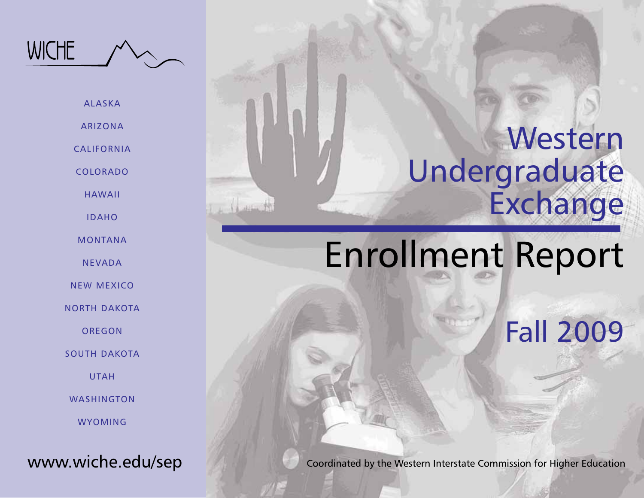

ARIZONA

CALIFORNIA

COLORADO

HAWAII

IDAHO

MONTANA

NEVADA

NEW MEXICO

NORTH DAKOTA

**OREGON** 

SOUTH DAKOTA

UTAH

WASHINGTON

WYOMING

www.wiche.edu/sep

## Western Undergraduate Exchange

# Enrollment Report

Fall 2009

Coordinated by the Western Interstate Commission for Higher Education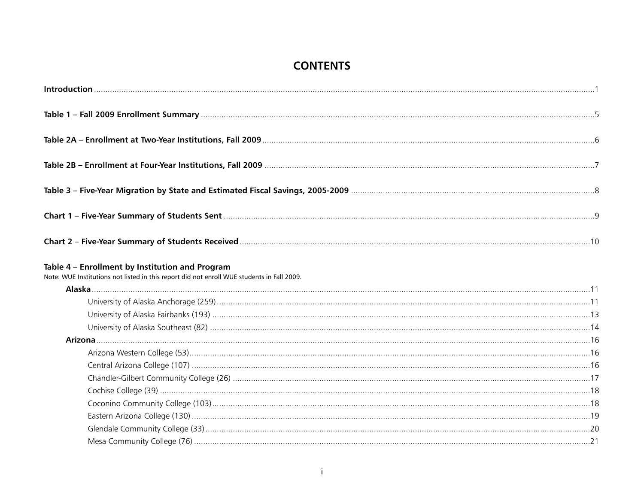#### **CONTENTS**

| Table 4 - Enrollment by Institution and Program<br>Note: WUE Institutions not listed in this report did not enroll WUE students in Fall 2009. |  |
|-----------------------------------------------------------------------------------------------------------------------------------------------|--|
|                                                                                                                                               |  |
|                                                                                                                                               |  |
|                                                                                                                                               |  |
|                                                                                                                                               |  |
|                                                                                                                                               |  |
|                                                                                                                                               |  |
|                                                                                                                                               |  |
|                                                                                                                                               |  |
|                                                                                                                                               |  |
|                                                                                                                                               |  |
|                                                                                                                                               |  |
|                                                                                                                                               |  |
|                                                                                                                                               |  |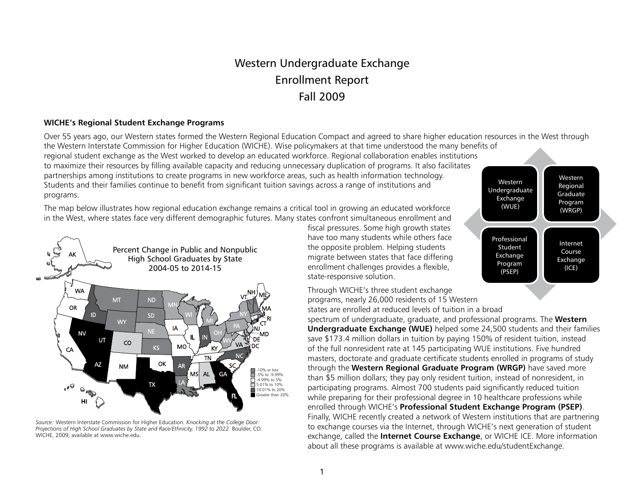## Western Undergraduate Exchange Enrollment Report Fall 2009

#### **WICHE's Regional Student Exchange Programs**

Over 55 years ago, our Western states formed the Western Regional Education Compact and agreed to share higher education resources in the West through the Western Interstate Commission for Higher Education (WICHE). Wise policymakers at that time understood the many benefits of

regional student exchange as the West worked to develop an educated workforce. Regional collaboration enables institutions to maximize their resources by filling available capacity and reducing unnecessary duplication of programs. It also facilitates partnerships among institutions to create programs in new workforce areas, such as health information technology. Students and their families continue to benefit from significant tuition savings across a range of institutions and programs.

The map below illustrates how regional education exchange remains a critical tool in growing an educated workforce in the West, where states face very different demographic futures. Many states confront simultaneous enrollment and



*Source:* Western Interstate Commission for Higher Education. *Knocking at the College Door: Projections of High School Graduates by State and Race/Ethnicity, 1992 to 2022.* Boulder, CO: WICHE, 2009; available at www.wiche.edu.

fiscal pressures. Some high growth states have too many students while others face the opposite problem. Helping students migrate between states that face differing enrollment challenges provides a flexible, state-responsive solution.

Through WICHE's three student exchange programs, nearly 26,000 residents of 15 Western states are enrolled at reduced levels of tuition in a broad

spectrum of undergraduate, graduate, and professional programs. The **Western Undergraduate Exchange (WUE)** helped some 24,500 students and their families save \$173.4 million dollars in tuition by paying 150% of resident tuition, instead of the full nonresident rate at 145 participating WUE institutions. Five hundred masters, doctorate and graduate certificate students enrolled in programs of study through the **Western Regional Graduate Program (WRGP)** have saved more than \$5 million dollars; they pay only resident tuition, instead of nonresident, in participating programs. Almost 700 students paid significantly reduced tuition while preparing for their professional degree in 10 healthcare professions while enrolled through WICHE's **Professional Student Exchange Program (PSEP)**. Finally, WICHE recently created a network of Western institutions that are partnering to exchange courses via the Internet, through WICHE's next generation of student exchange, called the **Internet Course Exchange**, or WICHE ICE. More information about all these programs is available at www.wiche.edu/studentExchange.

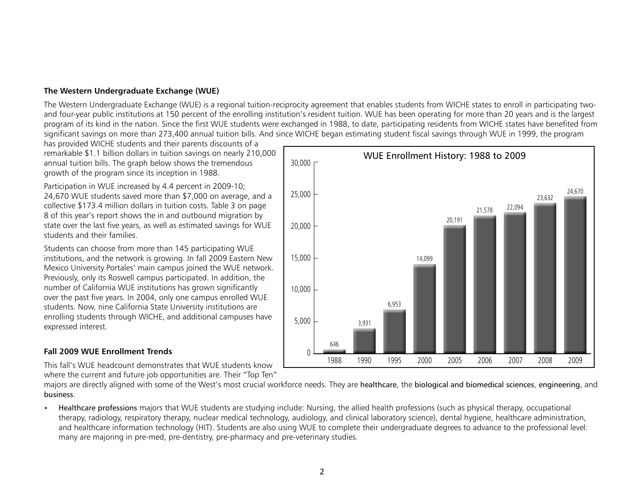#### **The Western Undergraduate Exchange (WUE)**

The Western Undergraduate Exchange (WUE) is a regional tuition-reciprocity agreement that enables students from WICHE states to enroll in participating twoand four-year public institutions at 150 percent of the enrolling institution's resident tuition. WUE has been operating for more than 20 years and is the largest program of its kind in the nation. Since the first WUE students were exchanged in 1988, to date, participating residents from WICHE states have benefited from significant savings on more than 273,400 annual tuition bills. And since WICHE began estimating student fiscal savings through WUE in 1999, the program

has provided WICHE students and their parents discounts of a remarkable \$1.1 billion dollars in tuition savings on nearly 210,000 annual tuition bills. The graph below shows the tremendous growth of the program since its inception in 1988.

Participation in WUE increased by 4.4 percent in 2009-10; 24,670 WUE students saved more than \$7,000 on average, and a collective \$173.4 million dollars in tuition costs. Table 3 on page 8 of this year's report shows the in and outbound migration by state over the last five years, as well as estimated savings for WUE students and their families.

Students can choose from more than 145 participating WUE institutions, and the network is growing. In fall 2009 Eastern New Mexico University Portales' main campus joined the WUE network. Previously, only its Roswell campus participated. In addition, the number of California WUE institutions has grown significantly over the past five years. In 2004, only one campus enrolled WUE students. Now, nine California State University institutions are enrolling students through WICHE, and additional campuses have expressed interest.

#### **Fall 2009 WUE Enrollment Trends**

This fall's WUE headcount demonstrates that WUE students know where the current and future job opportunities are. Their "Top Ten"

majors are directly aligned with some of the West's most crucial workforce needs. They are healthcare, the biological and biomedical sciences, engineering, and business.

• Healthcare professions majors that WUE students are studying include: Nursing, the allied health professions (such as physical therapy, occupational therapy, radiology, respiratory therapy, nuclear medical technology, audiology, and clinical laboratory science), dental hygiene, healthcare administration, and healthcare information technology (HIT). Students are also using WUE to complete their undergraduate degrees to advance to the professional level: many are majoring in pre-med, pre-dentistry, pre-pharmacy and pre-veterinary studies.

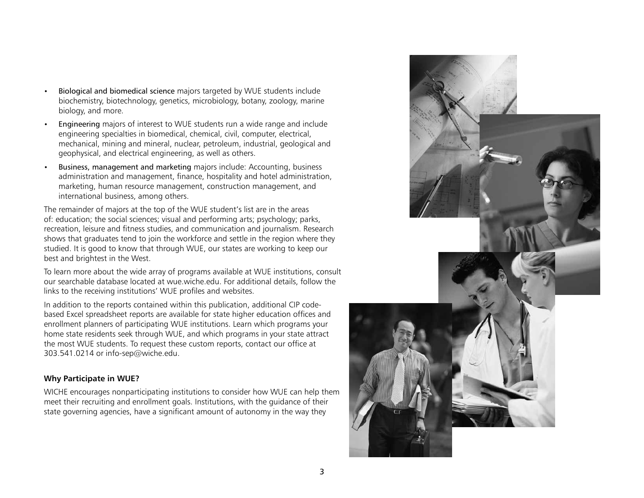- Biological and biomedical science majors targeted by WUE students include biochemistry, biotechnology, genetics, microbiology, botany, zoology, marine biology, and more.
- Engineering majors of interest to WUE students run a wide range and include engineering specialties in biomedical, chemical, civil, computer, electrical, mechanical, mining and mineral, nuclear, petroleum, industrial, geological and geophysical, and electrical engineering, as well as others.
- Business, management and marketing majors include: Accounting, business administration and management, finance, hospitality and hotel administration, marketing, human resource management, construction management, and international business, among others.

The remainder of majors at the top of the WUE student's list are in the areas of: education; the social sciences; visual and performing arts; psychology; parks, recreation, leisure and fitness studies, and communication and journalism. Research shows that graduates tend to join the workforce and settle in the region where they studied. It is good to know that through WUE, our states are working to keep our best and brightest in the West.

To learn more about the wide array of programs available at WUE institutions, consult our searchable database located at wue.wiche.edu. For additional details, follow the links to the receiving institutions' WUE profiles and websites.

In addition to the reports contained within this publication, additional CIP codebased Excel spreadsheet reports are available for state higher education offices and enrollment planners of participating WUE institutions. Learn which programs your home state residents seek through WUE, and which programs in your state attract the most WUE students. To request these custom reports, contact our office at 303.541.0214 or info-sep@wiche.edu.

#### **Why Participate in WUE?**

WICHE encourages nonparticipating institutions to consider how WUE can help them meet their recruiting and enrollment goals. Institutions, with the guidance of their state governing agencies, have a significant amount of autonomy in the way they

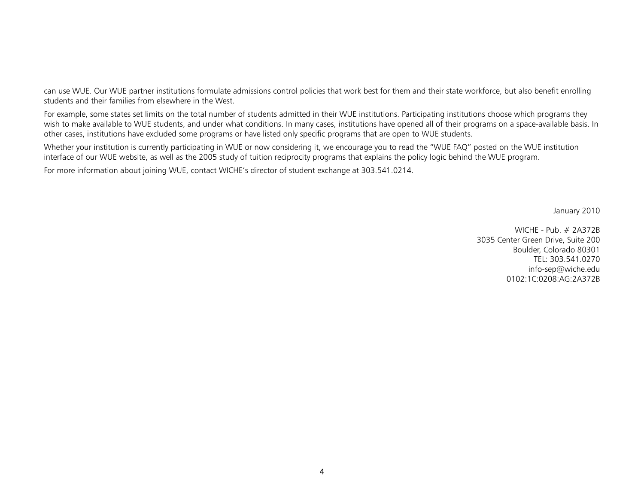can use WUE. Our WUE partner institutions formulate admissions control policies that work best for them and their state workforce, but also benefit enrolling students and their families from elsewhere in the West.

For example, some states set limits on the total number of students admitted in their WUE institutions. Participating institutions choose which programs they wish to make available to WUE students, and under what conditions. In many cases, institutions have opened all of their programs on a space-available basis. In other cases, institutions have excluded some programs or have listed only specific programs that are open to WUE students.

Whether your institution is currently participating in WUE or now considering it, we encourage you to read the "WUE FAQ" posted on the WUE institution interface of our WUE website, as well as the 2005 study of tuition reciprocity programs that explains the policy logic behind the WUE program.

For more information about joining WUE, contact WICHE's director of student exchange at 303.541.0214.

January 2010

WICHE - Pub. # 2A372B 3035 Center Green Drive, Suite 200 Boulder, Colorado 80301 TEL: 303.541.0270 info-sep@wiche.edu 0102:1C:0208:AG:2A372B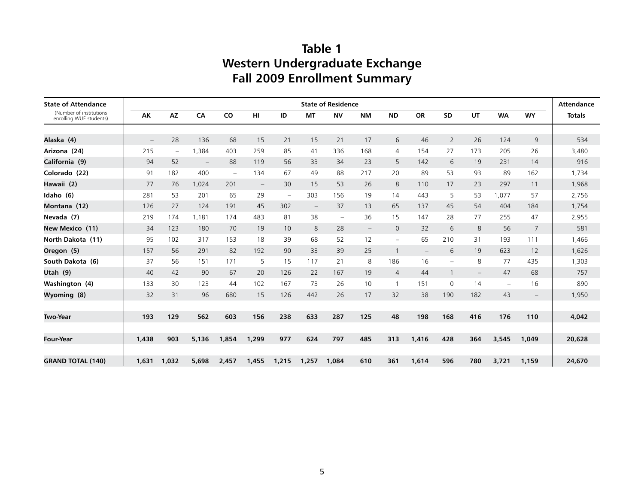## **Table 1 Western Undergraduate Exchange Fall 2009 Enrollment Summary**

| <b>State of Attendance</b>                         |                                 |                          |                          |                          |                          |                          |                          | <b>State of Residence</b> |                   |                          |                          |                          |     |                          |                          | <b>Attendance</b> |
|----------------------------------------------------|---------------------------------|--------------------------|--------------------------|--------------------------|--------------------------|--------------------------|--------------------------|---------------------------|-------------------|--------------------------|--------------------------|--------------------------|-----|--------------------------|--------------------------|-------------------|
| (Number of institutions<br>enrolling WUE students) | AK                              | <b>AZ</b>                | CA                       | CO                       | HI                       | ID                       | <b>MT</b>                | <b>NV</b>                 | <b>NM</b>         | <b>ND</b>                | <b>OR</b>                | <b>SD</b>                | UT  | <b>WA</b>                | <b>WY</b>                | <b>Totals</b>     |
|                                                    |                                 |                          |                          |                          |                          |                          |                          |                           |                   |                          |                          |                          |     |                          |                          |                   |
| Alaska (4)                                         | $\hspace{0.1mm}-\hspace{0.1mm}$ | 28                       | 136                      | 68                       | 15                       | 21                       | 15                       | 21                        | 17                | 6                        | 46                       | $\overline{2}$           | 26  | 124                      | 9                        | 534               |
| Arizona (24)                                       | 215                             | $\overline{\phantom{m}}$ | 1,384                    | 403                      | 259                      | 85                       | 41                       | 336                       | 168               | $\overline{4}$           | 154                      | 27                       | 173 | 205                      | 26                       | 3,480             |
| California (9)                                     | 94                              | 52                       | $\overline{\phantom{m}}$ | 88                       | 119                      | 56                       | 33                       | 34                        | 23                | 5                        | 142                      | 6                        | 19  | 231                      | 14                       | 916               |
| Colorado (22)                                      | 91                              | 182                      | 400                      | $\overline{\phantom{0}}$ | 134                      | 67                       | 49                       | 88                        | 217               | 20                       | 89                       | 53                       | 93  | 89                       | 162                      | 1,734             |
| Hawaii (2)                                         | 77                              | 76                       | 1.024                    | 201                      | $\overline{\phantom{m}}$ | 30                       | 15                       | 53                        | 26                | 8                        | 110                      | 17                       | 23  | 297                      | 11                       | 1,968             |
| Idaho (6)                                          | 281                             | 53                       | 201                      | 65                       | 29                       | $\overline{\phantom{a}}$ | 303                      | 156                       | 19                | 14                       | 443                      | 5                        | 53  | 1.077                    | 57                       | 2.756             |
| Montana (12)                                       | 126                             | 27                       | 124                      | 191                      | 45                       | 302                      | $\overline{\phantom{m}}$ | 37                        | 13                | 65                       | 137                      | 45                       | 54  | 404                      | 184                      | 1,754             |
| Nevada (7)                                         | 219                             | 174                      | 1.181                    | 174                      | 483                      | 81                       | 38                       | $\overline{\phantom{0}}$  | 36                | 15                       | 147                      | 28                       | 77  | 255                      | 47                       | 2.955             |
| New Mexico (11)                                    | 34                              | 123                      | 180                      | 70                       | 19                       | 10                       | 8                        | 28                        | $\qquad \qquad -$ | $\mathbf 0$              | 32                       | 6                        | 8   | 56                       | $\overline{7}$           | 581               |
| North Dakota (11)                                  | 95                              | 102                      | 317                      | 153                      | 18                       | 39                       | 68                       | 52                        | 12                | $\overline{\phantom{a}}$ | 65                       | 210                      | 31  | 193                      | 111                      | 1,466             |
| Oregon (5)                                         | 157                             | 56                       | 291                      | 82                       | 192                      | 90                       | 33                       | 39                        | 25                |                          | $\overline{\phantom{a}}$ | 6                        | 19  | 623                      | 12                       | 1,626             |
| South Dakota (6)                                   | 37                              | 56                       | 151                      | 171                      | 5                        | 15                       | 117                      | 21                        | 8                 | 186                      | 16                       | $\overline{\phantom{0}}$ | 8   | 77                       | 435                      | 1,303             |
| Utah (9)                                           | 40                              | 42                       | 90                       | 67                       | 20                       | 126                      | 22                       | 167                       | 19                | $\overline{4}$           | 44                       |                          |     | 47                       | 68                       | 757               |
| Washington (4)                                     | 133                             | 30                       | 123                      | 44                       | 102                      | 167                      | 73                       | 26                        | 10                | $\mathbf{1}$             | 151                      | 0                        | 14  | $\overline{\phantom{m}}$ | 16                       | 890               |
| Wyoming (8)                                        | 32                              | 31                       | 96                       | 680                      | 15                       | 126                      | 442                      | 26                        | 17                | 32                       | 38                       | 190                      | 182 | 43                       | $\overline{\phantom{m}}$ | 1,950             |
|                                                    |                                 |                          |                          |                          |                          |                          |                          |                           |                   |                          |                          |                          |     |                          |                          |                   |
| <b>Two-Year</b>                                    | 193                             | 129                      | 562                      | 603                      | 156                      | 238                      | 633                      | 287                       | 125               | 48                       | 198                      | 168                      | 416 | 176                      | 110                      | 4,042             |
|                                                    |                                 |                          |                          |                          |                          |                          |                          |                           |                   |                          |                          |                          |     |                          |                          |                   |
| <b>Four-Year</b>                                   | 1,438                           | 903                      | 5,136                    | 1.854                    | 1,299                    | 977                      | 624                      | 797                       | 485               | 313                      | 1,416                    | 428                      | 364 | 3,545                    | 1.049                    | 20,628            |
|                                                    |                                 |                          |                          |                          |                          |                          |                          |                           |                   |                          |                          |                          |     |                          |                          |                   |
| <b>GRAND TOTAL (140)</b>                           | 1,631                           | 1,032                    | 5,698                    | 2,457                    | 1,455                    | 1,215                    | 1,257                    | 1,084                     | 610               | 361                      | 1,614                    | 596                      | 780 | 3,721                    | 1,159                    | 24,670            |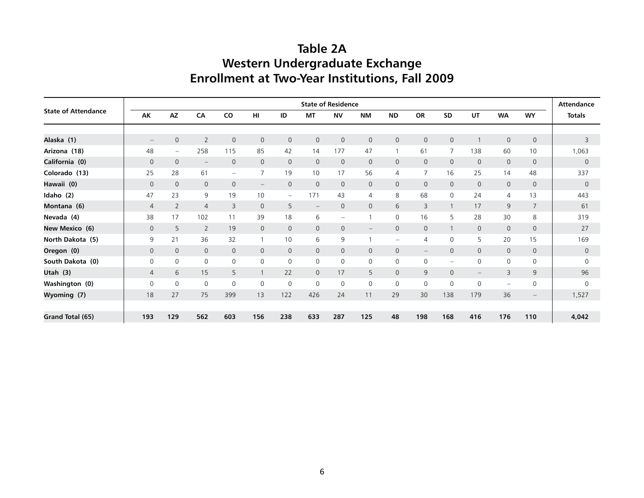## **Table 2A Western Undergraduate Exchange Enrollment at Two-Year Institutions, Fall 2009**

|                            |                   |                          |                          |                          |                          |                          |                          | <b>State of Residence</b> |                          |                          |                          |                          |                          |                          |                          | <b>Attendance</b> |  |  |
|----------------------------|-------------------|--------------------------|--------------------------|--------------------------|--------------------------|--------------------------|--------------------------|---------------------------|--------------------------|--------------------------|--------------------------|--------------------------|--------------------------|--------------------------|--------------------------|-------------------|--|--|
| <b>State of Attendance</b> | AK                | AZ                       | CA                       | CO                       | H <sub>II</sub>          | ID                       | <b>MT</b>                | <b>NV</b>                 | <b>NM</b>                | <b>ND</b>                | <b>OR</b>                | SD                       | UT                       | <b>WA</b>                | <b>WY</b>                | <b>Totals</b>     |  |  |
|                            |                   |                          |                          |                          |                          |                          |                          |                           |                          |                          |                          |                          |                          |                          |                          |                   |  |  |
| Alaska (1)                 | $\qquad \qquad -$ | $\mathbf 0$              | $\overline{2}$           | $\overline{0}$           | $\mathbf{0}$             | $\mathbf{0}$             | 0                        | $\mathbf 0$               | $\mathsf{O}$             | $\mathbf 0$              | $\mathbf{0}$             | 0                        | $\overline{1}$           | $\mathbf 0$              | $\mathsf{O}$             | 3                 |  |  |
| Arizona (18)               | 48                | $\overline{\phantom{m}}$ | 258                      | 115                      | 85                       | 42                       | 14                       | 177                       | 47                       |                          | 61                       | 7                        | 138                      | 60                       | 10                       | 1,063             |  |  |
| California (0)             | $\mathsf{O}$      | $\mathsf{O}\xspace$      | $\overline{\phantom{m}}$ | $\mathbf 0$              | $\Omega$                 | $\mathbf 0$              | $\mathsf{O}$             | $\mathbf 0$               | $\mathbf 0$              | $\mathbf{0}$             | $\mathbf{0}$             | $\mathsf{O}$             | $\mathbf{0}$             | $\mathbf 0$              | $\mathbf 0$              | $\mathbf 0$       |  |  |
| Colorado (13)              | 25                | 28                       | 61                       | $\overline{\phantom{0}}$ | $\overline{7}$           | 19                       | 10                       | 17                        | 56                       | $\overline{4}$           | $\overline{7}$           | 16                       | 25                       | 14                       | 48                       | 337               |  |  |
| Hawaii (0)                 | $\mathbf{0}$      | $\mathbf{0}$             | 0                        | $\mathbf{0}$             | $\overline{\phantom{m}}$ | $\mathbf 0$              | $\mathbf 0$              | $\mathbf 0$               | $\overline{0}$           | $\mathbf 0$              | $\mathbf{0}$             | $\mathbf 0$              | $\mathbf{0}$             | $\mathbf{0}$             | $\mathbf 0$              | $\mathbf{0}$      |  |  |
| Idaho (2)                  | 47                | 23                       | 9                        | 19                       | 10                       | $\overline{\phantom{0}}$ | 171                      | 43                        | 4                        | 8                        | 68                       | 0                        | 24                       | $\overline{4}$           | 13                       | 443               |  |  |
| Montana (6)                | $\overline{4}$    | $\overline{2}$           | $\overline{4}$           | 3                        | $\mathbf{0}$             | 5                        | $\overline{\phantom{0}}$ | $\mathbf 0$               | $\mathsf{O}$             | 6                        | 3                        | $\mathbf{1}$             | 17                       | 9                        | $\overline{7}$           | 61                |  |  |
| Nevada (4)                 | 38                | 17                       | 102                      | 11                       | 39                       | 18                       | 6                        | $\overline{\phantom{m}}$  |                          | $\mathbf 0$              | 16                       | 5                        | 28                       | 30                       | 8                        | 319               |  |  |
| New Mexico (6)             | $\mathbf 0$       | 5                        | $\overline{2}$           | 19                       | $\Omega$                 | $\mathbf{0}$             | 0                        | $\mathbf 0$               | $\overline{\phantom{m}}$ | $\mathbf{0}$             | $\Omega$                 |                          | $\mathbf{0}$             | $\mathbf 0$              | $\mathbf 0$              | 27                |  |  |
| North Dakota (5)           | 9                 | 21                       | 36                       | 32                       | 1                        | 10                       | 6                        | 9                         |                          | $\overline{\phantom{m}}$ | 4                        | $\Omega$                 | 5                        | 20                       | 15                       | 169               |  |  |
| Oregon (0)                 | $\mathbf 0$       | $\mathsf{O}$             | $\mathbf{0}$             | $\mathbf{0}$             | $\mathbf{0}$             | $\mathbf{0}$             | 0                        | $\mathbf 0$               | $\mathbf 0$              | $\mathbf 0$              | $\overline{\phantom{m}}$ | $\overline{0}$           | $\mathbf{0}$             | $\mathbf 0$              | $\mathbf 0$              | $\mathbf{0}$      |  |  |
| South Dakota (0)           | $\mathbf 0$       | 0                        | $\mathsf{O}$             | $\mathbf 0$              | $\mathsf{O}$             | $\mathbf{0}$             | 0                        | $\mathbf 0$               | 0                        | $\mathbf 0$              | 0                        | $\overline{\phantom{0}}$ | 0                        | $\mathsf{O}$             | $\mathsf{O}$             | $\Omega$          |  |  |
| Utah $(3)$                 | $\overline{4}$    | 6                        | 15                       | 5                        | $\mathbf{1}$             | 22                       | 0                        | 17                        | 5                        | $\mathbf{0}$             | 9                        | $\overline{0}$           | $\overline{\phantom{m}}$ | 3                        | 9                        | 96                |  |  |
| Washington (0)             | $\mathsf 0$       | 0                        | 0                        | $\mathbf 0$              | 0                        | 0                        | 0                        | $\mathbf 0$               | 0                        | $\mathbf 0$              | 0                        | 0                        | 0                        | $\overline{\phantom{0}}$ | $\mathsf{O}$             | 0                 |  |  |
| Wyoming (7)                | 18                | 27                       | 75                       | 399                      | 13                       | 122                      | 426                      | 24                        | 11                       | 29                       | 30                       | 138                      | 179                      | 36                       | $\overline{\phantom{0}}$ | 1,527             |  |  |
|                            |                   |                          |                          |                          |                          |                          |                          |                           |                          |                          |                          |                          |                          |                          |                          |                   |  |  |
| Grand Total (65)           | 193               | 129                      | 562                      | 603                      | 156                      | 238                      | 633                      | 287                       | 125                      | 48                       | 198                      | 168                      | 416                      | 176                      | 110                      | 4,042             |  |  |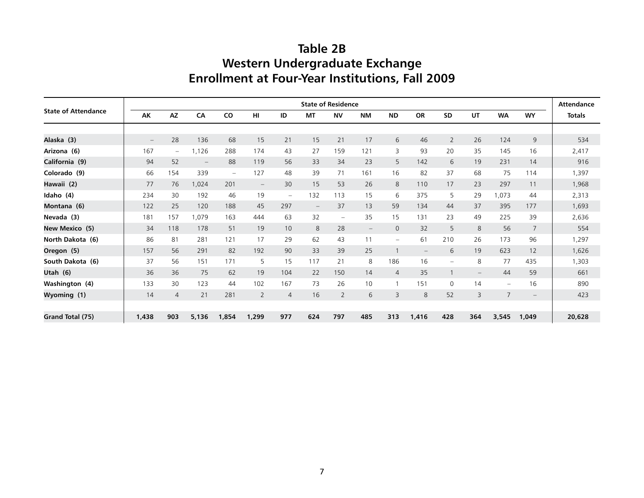## **Table 2B Western Undergraduate Exchange Enrollment at Four-Year Institutions, Fall 2009**

|                            |                          |                          |                   |                          |                          |                          |                          | <b>State of Residence</b> |                          |                          |                   |                          |                          |                          |                          | <b>Attendance</b> |  |
|----------------------------|--------------------------|--------------------------|-------------------|--------------------------|--------------------------|--------------------------|--------------------------|---------------------------|--------------------------|--------------------------|-------------------|--------------------------|--------------------------|--------------------------|--------------------------|-------------------|--|
| <b>State of Attendance</b> | AK                       | <b>AZ</b>                | CA                | CO                       | HI                       | ID                       | <b>MT</b>                | <b>NV</b>                 | <b>NM</b>                | <b>ND</b>                | <b>OR</b>         | <b>SD</b>                | UT                       | <b>WA</b>                | <b>WY</b>                | <b>Totals</b>     |  |
|                            |                          |                          |                   |                          |                          |                          |                          |                           |                          |                          |                   |                          |                          |                          |                          |                   |  |
| Alaska (3)                 | $\overline{\phantom{m}}$ | 28                       | 136               | 68                       | 15                       | 21                       | 15                       | 21                        | 17                       | 6                        | 46                | $\overline{2}$           | 26                       | 124                      | 9                        | 534               |  |
| Arizona (6)                | 167                      | $\overline{\phantom{m}}$ | 1,126             | 288                      | 174                      | 43                       | 27                       | 159                       | 121                      | 3                        | 93                | 20                       | 35                       | 145                      | 16                       | 2,417             |  |
| California (9)             | 94                       | 52                       | $\qquad \qquad -$ | 88                       | 119                      | 56                       | 33                       | 34                        | 23                       | 5                        | 142               | 6                        | 19                       | 231                      | 14                       | 916               |  |
| Colorado (9)               | 66                       | 154                      | 339               | $\overline{\phantom{0}}$ | 127                      | 48                       | 39                       | 71                        | 161                      | 16                       | 82                | 37                       | 68                       | 75                       | 114                      | 1,397             |  |
| Hawaii (2)                 | 77                       | 76                       | 1,024             | 201                      | $\overline{\phantom{m}}$ | 30                       | 15                       | 53                        | 26                       | 8                        | 110               | 17                       | 23                       | 297                      | 11                       | 1,968             |  |
| Idaho (4)                  | 234                      | 30                       | 192               | 46                       | 19                       | $\overline{\phantom{0}}$ | 132                      | 113                       | 15                       | 6                        | 375               | 5                        | 29                       | 1,073                    | 44                       | 2,313             |  |
| Montana (6)                | 122                      | 25                       | 120               | 188                      | 45                       | 297                      | $\overline{\phantom{m}}$ | 37                        | 13                       | 59                       | 134               | 44                       | 37                       | 395                      | 177                      | 1,693             |  |
| Nevada (3)                 | 181                      | 157                      | 1,079             | 163                      | 444                      | 63                       | 32                       | $-$                       | 35                       | 15                       | 131               | 23                       | 49                       | 225                      | 39                       | 2,636             |  |
| New Mexico (5)             | 34                       | 118                      | 178               | 51                       | 19                       | 10                       | 8                        | 28                        | $\overline{\phantom{m}}$ | $\mathbf 0$              | 32                | 5                        | 8                        | 56                       | $\overline{7}$           | 554               |  |
| North Dakota (6)           | 86                       | 81                       | 281               | 121                      | 17                       | 29                       | 62                       | 43                        | 11                       | $\overline{\phantom{m}}$ | 61                | 210                      | 26                       | 173                      | 96                       | 1,297             |  |
| Oregon (5)                 | 157                      | 56                       | 291               | 82                       | 192                      | 90                       | 33                       | 39                        | 25                       | $\mathbf{1}$             | $\qquad \qquad -$ | 6                        | 19                       | 623                      | 12                       | 1,626             |  |
| South Dakota (6)           | 37                       | 56                       | 151               | 171                      | 5                        | 15                       | 117                      | 21                        | 8                        | 186                      | 16                | $\overline{\phantom{0}}$ | 8                        | 77                       | 435                      | 1,303             |  |
| Utah (6)                   | 36                       | 36                       | 75                | 62                       | 19                       | 104                      | 22                       | 150                       | 14                       | $\overline{4}$           | 35                |                          | $\overline{\phantom{m}}$ | 44                       | 59                       | 661               |  |
| Washington (4)             | 133                      | 30                       | 123               | 44                       | 102                      | 167                      | 73                       | 26                        | 10                       |                          | 151               | $\Omega$                 | 14                       | $\overline{\phantom{m}}$ | 16                       | 890               |  |
| Wyoming (1)                | 14                       | $\overline{4}$           | 21                | 281                      | $\overline{2}$           | 4                        | 16                       | $\overline{2}$            | 6                        | 3                        | 8                 | 52                       | 3                        | $\overline{7}$           | $\overline{\phantom{m}}$ | 423               |  |
|                            |                          |                          |                   |                          |                          |                          |                          |                           |                          |                          |                   |                          |                          |                          |                          |                   |  |
| Grand Total (75)           | 1,438                    | 903                      | 5,136             | 1,854                    | 1,299                    | 977                      | 624                      | 797                       | 485                      | 313                      | 1,416             | 428                      | 364                      | 3,545                    | 1,049                    | 20,628            |  |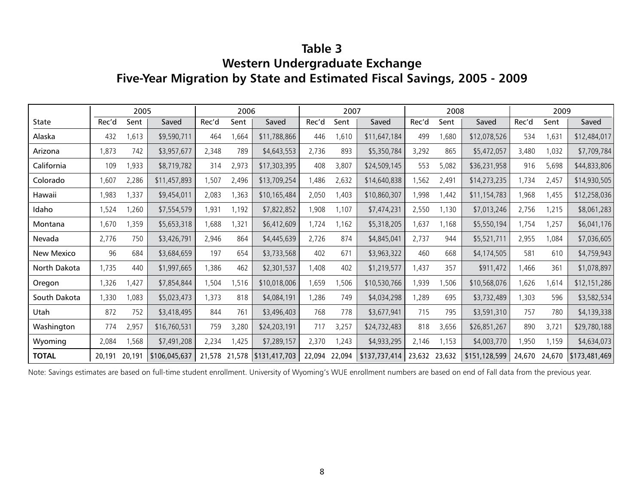## **Table 3 Western Undergraduate Exchange Five-Year Migration by State and Estimated Fiscal Savings, 2005 - 2009**

|              |        | 2005   |               |       | 2006  |                             |        | 2007   |               |               | 2008  |               | 2009   |        |               |  |  |
|--------------|--------|--------|---------------|-------|-------|-----------------------------|--------|--------|---------------|---------------|-------|---------------|--------|--------|---------------|--|--|
| State        | Rec'd  | Sent   | Saved         | Rec'd | Sent  | Saved                       | Rec'd  | Sent   | Saved         | Rec'd         | Sent  | Saved         | Rec'd  | Sent   | Saved         |  |  |
| Alaska       | 432    | 1,613  | \$9,590,711   | 464   | ,664  | \$11,788,866                | 446    | 1,610  | \$11,647,184  | 499           | 1,680 | \$12,078,526  | 534    | 1,631  | \$12,484,017  |  |  |
| Arizona      | 1,873  | 742    | \$3,957,677   | 2,348 | 789   | \$4,643,553                 | 2,736  | 893    | \$5,350,784   | 3,292         | 865   | \$5,472,057   | 3,480  | 1,032  | \$7,709,784   |  |  |
| California   | 109    | 1,933  | \$8,719,782   | 314   | 2,973 | \$17,303,395                | 408    | 3,807  | \$24,509,145  | 553           | 5,082 | \$36,231,958  | 916    | 5,698  | \$44,833,806  |  |  |
| Colorado     | 1,607  | 2,286  | \$11,457,893  | 1,507 | 2,496 | \$13,709,254                | 1,486  | 2,632  | \$14,640,838  | ,562          | 2,491 | \$14,273,235  | 1,734  | 2,457  | \$14,930,505  |  |  |
| Hawaii       | 1,983  | 1,337  | \$9,454,011   | 2,083 | 1,363 | \$10,165,484                | 2,050  | 1,403  | \$10,860,307  | ,998          | 1,442 | \$11,154,783  | 1,968  | 1,455  | \$12,258,036  |  |  |
| Idaho        | 1,524  | ,260   | \$7,554,579   | 1,931 | 1,192 | \$7,822,852                 | 1,908  | 1,107  | \$7,474,231   | 2,550         | 1,130 | \$7,013,246   | 2,756  | 1,215  | \$8,061,283   |  |  |
| Montana      | 1,670  | 1,359  | \$5,653,318   | 1,688 | 1,321 | \$6,412,609                 | 1,724  | 1,162  | \$5,318,205   | 1,637         | 1,168 | \$5,550,194   | 1,754  | 1,257  | \$6,041,176   |  |  |
| Nevada       | 2,776  | 750    | \$3,426,791   | 2,946 | 864   | \$4,445,639                 | 2,726  | 874    | \$4,845,041   | 2,737         | 944   | \$5,521,711   | 2,955  | 1,084  | \$7,036,605   |  |  |
| New Mexico   | 96     | 684    | \$3,684,659   | 197   | 654   | \$3,733,568                 | 402    | 671    | \$3,963,322   | 460           | 668   | \$4,174,505   | 581    | 610    | \$4,759,943   |  |  |
| North Dakota | 1,735  | 440    | \$1,997,665   | 1,386 | 462   | \$2,301,537                 | 1,408  | 402    | \$1,219,577   | 1,437         | 357   | \$911,472     | 1,466  | 361    | \$1,078,897   |  |  |
| Oregon       | 1,326  | 1,427  | \$7,854,844   | 1,504 | 1,516 | \$10,018,006                | 1,659  | ,506   | \$10,530,766  | 1,939         | 1,506 | \$10,568,076  | 1,626  | 1,614  | \$12,151,286  |  |  |
| South Dakota | 1,330  | 1,083  | \$5,023,473   | 1,373 | 818   | \$4,084,191                 | 1,286  | 749    | \$4,034,298   | ,289          | 695   | \$3,732,489   | 1,303  | 596    | \$3,582,534   |  |  |
| Utah         | 872    | 752    | \$3,418,495   | 844   | 761   | \$3,496,403                 | 768    | 778    | \$3,677,941   | 715           | 795   | \$3,591,310   | 757    | 780    | \$4,139,338   |  |  |
| Washington   | 774    | 2,957  | \$16,760,531  | 759   | 3,280 | \$24,203,191                | 717    | 3,257  | \$24,732,483  | 818           | 3,656 | \$26,851,267  | 890    | 3,721  | \$29,780,188  |  |  |
| Wyoming      | 2,084  | 1,568  | \$7,491,208   | 2,234 | 1,425 | \$7,289,157                 | 2,370  | 1,243  | \$4,933,295   | 2,146         | 1,153 | \$4,003,770   | 1,950  | 1,159  | \$4,634,073   |  |  |
| <b>TOTAL</b> | 20,191 | 20,191 | \$106,045,637 |       |       | 21,578 21,578 \$131,417,703 | 22,094 | 22,094 | \$137,737,414 | 23,632 23,632 |       | \$151,128,599 | 24,670 | 24,670 | \$173,481,469 |  |  |

Note: Savings estimates are based on full-time student enrollment. University of Wyoming's WUE enrollment numbers are based on end of Fall data from the previous year.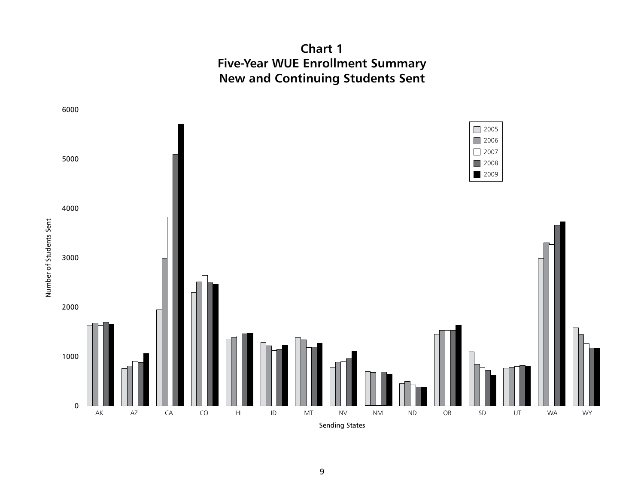**Chart 1 Five-Year WUE Enrollment Summary New and Continuing Students Sent**

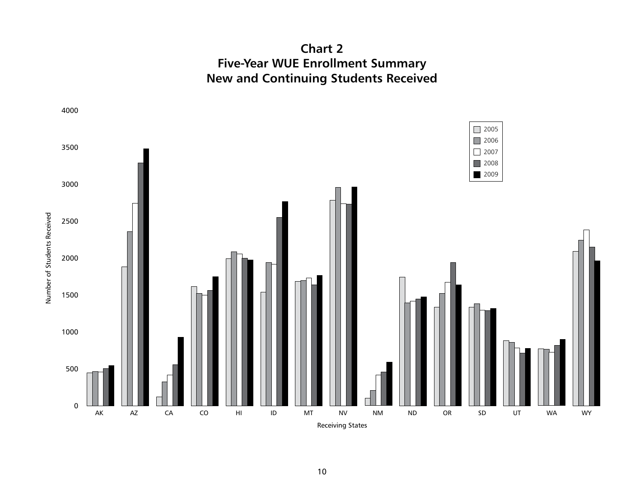**Chart 2 Five-Year WUE Enrollment Summary New and Continuing Students Received**

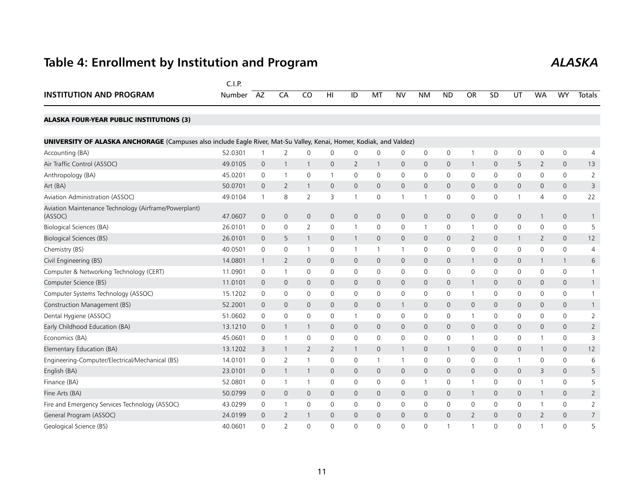## **Table 4: Enrollment by Institution and Program** *ALASKA*

|                                                                                                                            | C.I.P.  |                |                          |                |              |                |              |                |                     |                     |                     |                |                     |                |                     |                |
|----------------------------------------------------------------------------------------------------------------------------|---------|----------------|--------------------------|----------------|--------------|----------------|--------------|----------------|---------------------|---------------------|---------------------|----------------|---------------------|----------------|---------------------|----------------|
| <b>INSTITUTION AND PROGRAM</b>                                                                                             | Number  | AZ             | CA                       | CO             | HI           | ID             | MT           | <b>NV</b>      | <b>NM</b>           | <b>ND</b>           | <b>OR</b>           | SD             | UT                  | <b>WA</b>      | <b>WY</b>           | <b>Totals</b>  |
| <b>ALASKA FOUR-YEAR PUBLIC INSTITUTIONS (3)</b>                                                                            |         |                |                          |                |              |                |              |                |                     |                     |                     |                |                     |                |                     |                |
| <b>UNIVERSITY OF ALASKA ANCHORAGE</b> (Campuses also include Eagle River, Mat-Su Valley, Kenai, Homer, Kodiak, and Valdez) |         |                |                          |                |              |                |              |                |                     |                     |                     |                |                     |                |                     |                |
| Accounting (BA)                                                                                                            | 52.0301 | -1             | 2                        | 0              | 0            | $\mathbf 0$    | 0            | 0              | $\mathbf 0$         | $\mathsf 0$         |                     | $\mathbf 0$    | $\mathbf 0$         | 0              | $\mathsf{O}\xspace$ | $\overline{4}$ |
| Air Traffic Control (ASSOC)                                                                                                | 49.0105 | $\mathbf{0}$   | $\mathbf{1}$             | 1              | 0            | 2              | $\mathbf{1}$ | $\mathbf 0$    | $\mathbf{0}$        | $\mathbf 0$         | -1                  | $\mathbf 0$    | 5                   | $\overline{2}$ | $\mathsf{O}$        | 13             |
| Anthropology (BA)                                                                                                          | 45.0201 | $\mathbf 0$    | $\overline{1}$           | 0              | 1            | 0              | 0            | $\mathbf 0$    | $\mathbf 0$         | $\mathsf 0$         | $\mathbf 0$         | $\mathbf 0$    | 0                   | 0              | 0                   | $\overline{2}$ |
| Art (BA)                                                                                                                   | 50.0701 | $\mathbf{0}$   | 2                        | $\mathbf{1}$   | 0            | $\mathbf{0}$   | $\mathbf{0}$ | $\mathbf{0}$   | $\mathbf{0}$        | $\mathbf{0}$        | $\mathbf 0$         | $\mathbf{0}$   | $\mathbf{0}$        | 0              | $\mathsf{O}$        | 3              |
| Aviation Administration (ASSOC)                                                                                            | 49.0104 | $\overline{1}$ | 8                        | $\overline{2}$ | 3            | 1              | $\mathbf 0$  | $\mathbf{1}$   | $\mathbf{1}$        | $\mathbf 0$         | 0                   | $\mathbf{0}$   | 1                   | $\overline{4}$ | $\mathsf{O}$        | 22             |
| Aviation Maintenance Technology (Airframe/Powerplant)<br>(ASSOC)                                                           | 47.0607 | $\mathbf{0}$   | $\mathbf{0}$             | $\mathbf{0}$   | $\mathbf{0}$ | $\overline{0}$ | $\mathbf{0}$ | $\mathbf 0$    | $\mathsf{O}\xspace$ | $\mathsf{O}\xspace$ | $\mathbf{O}$        | $\overline{0}$ | $\mathbf{O}$        | $\mathbf{1}$   | $\mathsf{O}$        | 1              |
| Biological Sciences (BA)                                                                                                   | 26.0101 | $\mathbf 0$    | $\mathbf 0$              | $\overline{2}$ | 0            | 1              | $\mathbf 0$  | 0              | $\mathbf{1}$        | $\mathbf 0$         | $\overline{1}$      | 0              | $\mathsf{O}$        | 0              | $\mathsf{O}$        | 5              |
| <b>Biological Sciences (BS)</b>                                                                                            | 26.0101 | $\mathbf 0$    | 5                        | $\mathbf{1}$   | 0            | $\mathbf{1}$   | $\mathbf 0$  | $\mathbf 0$    | $\mathbf 0$         | $\mathbf 0$         | $\overline{2}$      | $\mathbf 0$    | $\mathbf{1}$        | $\overline{2}$ | $\mathsf{O}$        | 12             |
| Chemistry (BS)                                                                                                             | 40.0501 | $\mathbf 0$    | $\mathbf 0$              | $\mathbf{1}$   | 0            | 1              | $\mathbf{1}$ | $\mathbf{1}$   | $\mathbf 0$         | $\mathbf 0$         | 0                   | $\mathbf{0}$   | $\mathsf{O}$        | 0              | $\mathsf{O}$        | 4              |
| Civil Engineering (BS)                                                                                                     | 14.0801 | $\overline{1}$ | 2                        | $\mathbf{0}$   | 0            | $\overline{0}$ | $\mathbf{0}$ | $\mathbf{0}$   | $\mathbf{0}$        | $\overline{0}$      | $\mathbf{1}$        | $\mathbf{0}$   | $\mathsf{O}\xspace$ | -1             | $\mathbf{1}$        | 6              |
| Computer & Networking Technology (CERT)                                                                                    | 11.0901 | $\mathbf 0$    | $\overline{1}$           | $\Omega$       | $\mathbf{0}$ | 0              | $\mathbf 0$  | $\mathbf 0$    | $\mathbf 0$         | 0                   | 0                   | $\mathbf{0}$   | 0                   | $\Omega$       | $\mathsf{O}$        | $\mathbf{1}$   |
| Computer Science (BS)                                                                                                      | 11.0101 | $\mathbf 0$    | $\mathbf{0}$             | $\mathbf{0}$   | 0            | 0              | $\mathbf{0}$ | $\mathbf 0$    | $\mathbf 0$         | 0                   | $\mathbf 1$         | $\mathbf{0}$   | $\mathsf{O}$        | $\mathbf{0}$   | $\mathsf{O}$        | $\mathbf{1}$   |
| Computer Systems Technology (ASSOC)                                                                                        | 15.1202 | 0              | 0                        | 0              | 0            | 0              | $\mathbf 0$  | $\mathbf 0$    | $\mathbf 0$         | $\mathbf 0$         |                     | 0              | 0                   | 0              | 0                   |                |
| Construction Management (BS)                                                                                               | 52.2001 | $\mathbf{0}$   | $\mathbf{0}$             | $\mathbf{0}$   | 0            | $\mathbf{0}$   | $\mathbf{0}$ | $\overline{1}$ | $\mathbf{0}$        | $\mathbf 0$         | $\mathbf{0}$        | $\mathbf 0$    | $\mathbf{0}$        | 0              | $\mathbf{0}$        | $\mathbf{1}$   |
| Dental Hygiene (ASSOC)                                                                                                     | 51.0602 | 0              | $\mathbf 0$              | 0              | 0            | $\mathbf{1}$   | 0            | $\mathbf 0$    | 0                   | 0                   | $\mathbf 1$         | 0              | 0                   | 0              | 0                   | $\overline{2}$ |
| Early Childhood Education (BA)                                                                                             | 13.1210 | $\mathbf{0}$   | $\mathbf{1}$             | $\mathbf{1}$   | 0            | $\mathbf{0}$   | $\mathbf{0}$ | $\mathbf{0}$   | $\mathbf{0}$        | $\mathbf{0}$        | $\mathbf{0}$        | $\mathbf 0$    | $\mathbf{0}$        | 0              | $\mathbf{0}$        | $\overline{2}$ |
| Economics (BA)                                                                                                             | 45.0601 | 0              | $\mathbf{1}$             | 0              | 0            | $\mathbf 0$    | $\mathbf 0$  | 0              | $\mathbf 0$         | $\mathbf 0$         | $\mathbf{1}$        | $\mathbf{0}$   | 0                   | -1             | $\mathsf{O}$        | 3              |
| Elementary Education (BA)                                                                                                  | 13.1202 | 3              | $\mathbf{1}$             | $\overline{2}$ | 2            | $\mathbf{1}$   | $\mathbf 0$  | $\mathbf{1}$   | $\mathbf 0$         | $\mathbf{1}$        | $\mathbf 0$         | 0              | $\mathsf{O}$        | -1             | $\mathsf{O}$        | 12             |
| Engineering-Computer/Electrical/Mechanical (BS)                                                                            | 14.0101 | 0              | 2                        | 1              | 0            | 0              | 1            | $\mathbf{1}$   | 0                   | 0                   | 0                   | 0              | 1                   | 0              | 0                   | 6              |
| English (BA)                                                                                                               | 23.0101 | $\mathbf 0$    | $\mathbf{1}$             | $\mathbf{1}$   | $\mathbf 0$  | $\mathsf{O}$   | $\mathbf 0$  | $\mathbf 0$    | $\mathbf 0$         | $\mathsf{O}\xspace$ | $\mathsf{O}\xspace$ | $\mathsf{O}$   | $\mathsf{O}\xspace$ | 3              | $\mathsf{O}$        | 5              |
| Finance (BA)                                                                                                               | 52.0801 | $\mathbf 0$    | $\overline{1}$           | $\mathbf{1}$   | 0            | $\mathsf{O}$   | $\mathbf 0$  | $\mathbf 0$    | $\mathbf{1}$        | $\mathbf 0$         | $\mathbf 1$         | $\mathbf{0}$   | $\mathsf{O}$        |                | $\mathsf{O}$        | 5              |
| Fine Arts (BA)                                                                                                             | 50.0799 | $\mathbf 0$    | $\mathbf{0}$             | $\mathbf{0}$   | 0            | $\mathsf{O}$   | $\mathbf{0}$ | $\mathbf 0$    | $\mathbf 0$         | $\mathbf 0$         | $\mathbf{1}$        | $\mathbf{0}$   | $\mathsf{O}$        |                | $\mathsf{O}$        | $\overline{2}$ |
| Fire and Emergency Services Technology (ASSOC)                                                                             | 43.0299 | $\mathbf 0$    | 1                        | 0              | $\mathbf{0}$ | $\mathbf 0$    | $\mathbf 0$  | $\mathbf 0$    | $\mathbf 0$         | $\mathbf 0$         | 0                   | $\Omega$       | $\mathsf{O}$        |                | $\mathsf{O}$        | $\overline{2}$ |
| General Program (ASSOC)                                                                                                    | 24.0199 | $\mathbf 0$    | 2                        | $\mathbf{1}$   | $\Omega$     | $\mathbf{0}$   | $\Omega$     | $\mathbf{0}$   | $\Omega$            | $\Omega$            | $\overline{2}$      | $\Omega$       | $\mathbf{0}$        | $\overline{2}$ | $\mathbf{0}$        | $\overline{7}$ |
| Geological Science (BS)                                                                                                    | 40.0601 | $\Omega$       | $\overline{\phantom{0}}$ | $\Omega$       | $\Omega$     | $\Omega$       | $\Omega$     | $\mathbf{0}$   | 0                   | $\mathbf{1}$        |                     | $\Omega$       | $\Omega$            |                | $\Omega$            | 5              |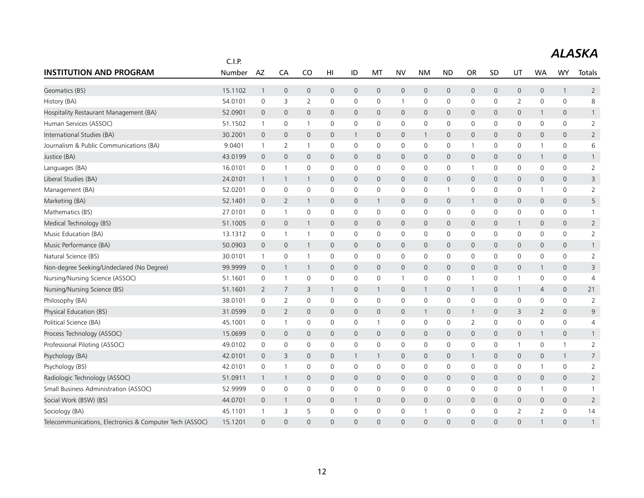|                                                         | C.I.P.  |                |                |                     |              |                |              |              |              |                |                |              |                |                |                     |                |  |  |
|---------------------------------------------------------|---------|----------------|----------------|---------------------|--------------|----------------|--------------|--------------|--------------|----------------|----------------|--------------|----------------|----------------|---------------------|----------------|--|--|
| <b>INSTITUTION AND PROGRAM</b>                          | Number  | AZ             | CA             | CO                  | HI           | ID             | MT           | <b>NV</b>    | <b>NM</b>    | <b>ND</b>      | <b>OR</b>      | <b>SD</b>    | UT             | <b>WA</b>      | <b>WY</b>           | Totals         |  |  |
| Geomatics (BS)                                          | 15.1102 | $\overline{1}$ | $\mathbf 0$    | $\mathbf 0$         | $\mathbf 0$  | 0              | $\mathbf 0$  | $\mathbf 0$  | $\mathbf 0$  | $\mathbf 0$    | $\mathsf{O}$   | $\mathbf 0$  | 0              | $\mathbf 0$    | $\mathbf{1}$        | $\overline{2}$ |  |  |
| History (BA)                                            | 54.0101 | 0              | 3              | $\overline{2}$      | 0            | 0              | 0            | $\mathbf{1}$ | $\mathbf 0$  | 0              | 0              | 0            | 2              | $\mathbf{0}$   | $\mathbf 0$         | 8              |  |  |
| Hospitality Restaurant Management (BA)                  | 52.0901 | $\overline{0}$ | $\mathbf 0$    | 0                   | 0            | 0              | $\mathbf 0$  | $\mathbf 0$  | $\mathbf 0$  | $\mathbf 0$    | $\mathsf{O}$   | $\mathbf{0}$ | 0              | $\mathbf{1}$   | 0                   | $\mathbf{1}$   |  |  |
| Human Services (ASSOC)                                  | 51.1502 | $\mathbf{1}$   | 0              | $\overline{1}$      | 0            | 0              | 0            | 0            | $\mathbf 0$  | 0              | 0              | $\Omega$     | 0              | 0              | $\mathbf 0$         | $\overline{2}$ |  |  |
| International Studies (BA)                              | 30.2001 | $\overline{0}$ | $\mathbf 0$    | $\mathsf{O}\xspace$ | 0            | $\mathbf{1}$   | $\mathbf 0$  | $\mathbf 0$  | $\mathbf{1}$ | 0              | $\mathsf{O}$   | $\mathbf{0}$ | 0              | $\mathbf 0$    | $\mathsf{O}\xspace$ | $\overline{2}$ |  |  |
| Journalism & Public Communications (BA)                 | 9.0401  | $\mathbf{1}$   | 2              | $\overline{1}$      | 0            | 0              | 0            | 0            | 0            | 0              | $\mathbf{1}$   | 0            | 0              | 1              | 0                   | 6              |  |  |
| Justice (BA)                                            | 43.0199 | $\mathbf 0$    | $\mathbf{0}$   | $\mathbf{0}$        | $\mathbf{0}$ | $\overline{0}$ | $\mathbf{0}$ | $\mathbf 0$  | $\mathbf{0}$ | $\mathbf{0}$   | $\mathbf{0}$   | $\Omega$     | $\mathbf{0}$   | $\mathbf{1}$   | $\mathbf{0}$        | $\mathbf{1}$   |  |  |
| Languages (BA)                                          | 16.0101 | 0              | $\mathbf{1}$   | 0                   | $\mathbf 0$  | 0              | 0            | 0            | 0            | 0              | $\mathbf{1}$   | 0            | 0              | 0              | 0                   | $\overline{2}$ |  |  |
| Liberal Studies (BA)                                    | 24.0101 | $\overline{1}$ | $\overline{1}$ | $\mathbf{1}$        | $\mathbf{0}$ | $\mathsf{O}$   | $\mathbf{0}$ | $\mathbf{0}$ | $\mathbf{0}$ | $\mathbf 0$    | $\mathbf{0}$   | 0            | $\mathbf{0}$   | $\mathbf{0}$   | $\mathbf{0}$        | 3              |  |  |
| Management (BA)                                         | 52.0201 | 0              | $\mathbf 0$    | 0                   | 0            | 0              | 0            | 0            | 0            | $\overline{1}$ | 0              | 0            | 0              | 1              | $\mathbf 0$         | $\overline{2}$ |  |  |
| Marketing (BA)                                          | 52.1401 | $\mathbf 0$    | 2              | $\mathbf{1}$        | $\mathbf{0}$ | $\mathsf{O}$   | $\mathbf{1}$ | $\mathbf 0$  | $\mathbf{0}$ | $\mathbf 0$    | $\mathbf{1}$   | 0            | $\mathbf{0}$   | $\mathbf{0}$   | $\mathbf{0}$        | 5              |  |  |
| Mathematics (BS)                                        | 27.0101 | 0              | $\mathbf{1}$   | 0                   | $\mathbf{0}$ | 0              | 0            | $\mathbf 0$  | $\mathbf 0$  | 0              | 0              | $\Omega$     | 0              | $\mathbf{0}$   | $\mathbf 0$         | $\mathbf{1}$   |  |  |
| Medical Technology (BS)                                 | 51.1005 | $\mathbf 0$    | $\mathbf 0$    | $\mathbf{1}$        | $\mathbf{0}$ | 0              | $\mathbf{0}$ | $\mathbf 0$  | $\mathbf{0}$ | $\mathbf 0$    | $\mathbf{0}$   | $\mathbf{0}$ | $\mathbf{1}$   | $\mathbf 0$    | $\mathbf 0$         | $\overline{2}$ |  |  |
| Music Education (BA)                                    | 13.1312 | 0              | -1             | $\overline{1}$      | $\mathbf{0}$ | 0              | 0            | 0            | $\mathbf 0$  | 0              | $\mathbf 0$    | 0            | 0              | 0              | 0                   | 2              |  |  |
| Music Performance (BA)                                  | 50.0903 | $\mathbf 0$    | $\mathbf 0$    | $\mathbf{1}$        | 0            | 0              | $\mathbf 0$  | $\mathbf 0$  | $\mathbf 0$  | $\mathbf 0$    | 0              | 0            | 0              | 0              | $\mathbf 0$         | $\mathbf{1}$   |  |  |
| Natural Science (BS)                                    | 30.0101 | $\mathbf{1}$   | $\mathbf 0$    | $\overline{1}$      | $\mathbf 0$  | 0              | $\mathbf 0$  | $\mathbf 0$  | $\mathbf 0$  | $\mathbf 0$    | $\mathsf{O}$   | 0            | 0              | $\mathbf 0$    | 0                   | $\overline{2}$ |  |  |
| Non-degree Seeking/Undeclared (No Degree)               | 99.9999 | $\mathbf 0$    | $\mathbf{1}$   | $\mathbf{1}$        | 0            | 0              | $\mathsf{O}$ | $\mathbf 0$  | $\mathbf 0$  | $\mathbf 0$    | $\mathsf{O}$   | 0            | 0              | $\mathbf{1}$   | $\mathbf 0$         | 3              |  |  |
| Nursing/Nursing Science (ASSOC)                         | 51.1601 | 0              | -1             | 0                   | 0            | 0              | 0            | $\mathbf{1}$ | $\mathbf 0$  | 0              | 1              | 0            | 1              | 0              | 0                   | $\overline{4}$ |  |  |
| Nursing/Nursing Science (BS)                            | 51.1601 | $\overline{2}$ | $\overline{7}$ | 3                   | 1            | 0              | $\mathbf{1}$ | $\mathbf 0$  | $\mathbf{1}$ | $\mathbf 0$    | $\mathbf{1}$   | $\mathbf 0$  | $\mathbf{1}$   | 4              | $\overline{0}$      | 21             |  |  |
| Philosophy (BA)                                         | 38.0101 | 0              | 2              | 0                   | $\mathbf 0$  | 0              | 0            | 0            | $\mathbf 0$  | $\mathbf 0$    | 0              | 0            | 0              | 0              | 0                   | $\overline{2}$ |  |  |
| Physical Education (BS)                                 | 31.0599 | $\mathbf{0}$   | 2              | $\overline{0}$      | $\mathbf{0}$ | $\mathsf{O}$   | $\mathbf{0}$ | $\mathbf 0$  | $\mathbf{1}$ | $\mathbf{0}$   | $\mathbf{1}$   | $\mathbf 0$  | 3              | 2              | $\mathbf{0}$        | 9              |  |  |
| Political Science (BA)                                  | 45.1001 | $\mathbf 0$    | -1             | 0                   | $\mathbf 0$  | 0              | 1            | 0            | $\mathbf 0$  | $\mathsf 0$    | $\overline{2}$ | 0            | 0              | 0              | 0                   | 4              |  |  |
| Process Technology (ASSOC)                              | 15.0699 | $\overline{0}$ | $\mathbf 0$    | 0                   | 0            | 0              | $\mathbf 0$  | $\mathbf 0$  | $\mathbf 0$  | $\mathbf 0$    | $\mathsf{O}$   | $\mathbf{0}$ | 0              | $\mathbf{1}$   | $\mathbf 0$         | $\mathbf{1}$   |  |  |
| Professional Piloting (ASSOC)                           | 49.0102 | $\mathbf 0$    | $\mathbf 0$    | 0                   | $\mathbf 0$  | 0              | 0            | 0            | $\mathbf 0$  | $\mathbf 0$    | 0              | 0            | $\mathbf{1}$   | $\mathbf 0$    | $\mathbf{1}$        | $\overline{2}$ |  |  |
| Psychology (BA)                                         | 42.0101 | $\mathbf 0$    | 3              | 0                   | 0            | $\mathbf{1}$   | $\mathbf{1}$ | $\mathbf 0$  | $\mathbf 0$  | $\mathbf 0$    | $\mathbf{1}$   | 0            | 0              | $\mathbf 0$    | $\mathbf{1}$        | $\overline{7}$ |  |  |
| Psychology (BS)                                         | 42.0101 | $\mathbf 0$    | $\mathbf 1$    | 0                   | $\mathbf 0$  | 0              | 0            | 0            | $\mathbf 0$  | $\mathbf 0$    | 0              | 0            | 0              | 1              | 0                   | 2              |  |  |
| Radiologic Technology (ASSOC)                           | 51.0911 | $\overline{1}$ | $\mathbf{1}$   | 0                   | 0            | 0              | $\mathbf 0$  | $\mathbf 0$  | $\mathbf 0$  | 0              | 0              | $\mathbf{0}$ | 0              | 0              | 0                   | $\overline{2}$ |  |  |
| Small Business Administration (ASSOC)                   | 52.9999 | $\mathbf 0$    | $\mathbf 0$    | 0                   | $\mathbf{0}$ | $\mathbf 0$    | $\mathbf{0}$ | $\mathbf 0$  | $\mathbf 0$  | $\mathbf 0$    | 0              | 0            | 0              | $\mathbf{1}$   | $\mathbf 0$         | $\mathbf{1}$   |  |  |
| Social Work (BSW) (BS)                                  | 44.0701 | $\mathbf 0$    | 1              | 0                   | 0            | $\mathbf{1}$   | $\mathbf 0$  | $\mathbf 0$  | $\mathbf 0$  | $\mathbf 0$    | $\mathsf{O}$   | 0            | 0              | $\mathbf 0$    | $\mathsf{O}$        | $\overline{2}$ |  |  |
| Sociology (BA)                                          | 45.1101 | $\overline{1}$ | 3              | 5                   | 0            | 0              | $\mathbf 0$  | $\mathbf 0$  | $\mathbf{1}$ | 0              | $\mathbf 0$    | 0            | $\overline{2}$ | $\overline{2}$ | $\mathbf 0$         | 14             |  |  |
| Telecommunications, Electronics & Computer Tech (ASSOC) | 15.1201 | $\Omega$       | $\Omega$       | $\Omega$            | $\Omega$     | $\Omega$       | $\Omega$     | $\Omega$     | $\Omega$     | $\Omega$       | $\Omega$       | $\Omega$     | $\Omega$       | $\mathbf{1}$   | $\Omega$            | $\mathbf{1}$   |  |  |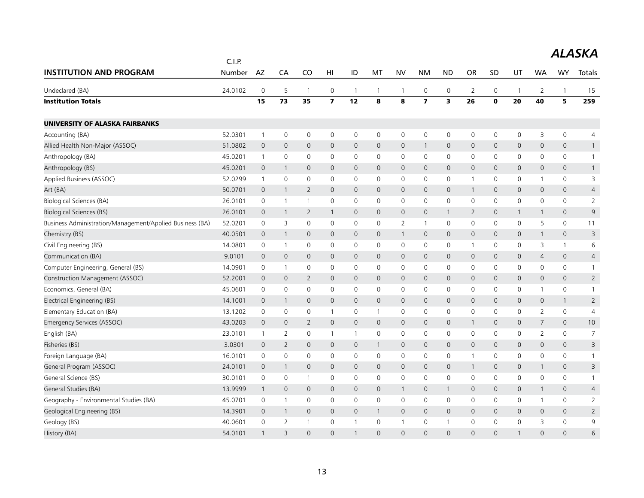|                                                          | C.I.P.  |                |                |                     |                         |                |                |                     |                         |                     |                |              |              |                |              |                |
|----------------------------------------------------------|---------|----------------|----------------|---------------------|-------------------------|----------------|----------------|---------------------|-------------------------|---------------------|----------------|--------------|--------------|----------------|--------------|----------------|
| <b>INSTITUTION AND PROGRAM</b>                           | Number  | AZ             | CA             | CO                  | H <sub>l</sub>          | ID             | MT             | <b>NV</b>           | <b>NM</b>               | <b>ND</b>           | <b>OR</b>      | SD           | UT           | <b>WA</b>      | <b>WY</b>    | Totals         |
| Undeclared (BA)                                          | 24.0102 | $\mathbf 0$    | 5              | $\overline{1}$      | 0                       | $\mathbf{1}$   | $\overline{1}$ | $\overline{1}$      | $\mathbf 0$             | 0                   | $\overline{2}$ | $\mathbf 0$  | $\mathbf 1$  | 2              | $\mathbf{1}$ | 15             |
| <b>Institution Totals</b>                                |         | 15             | 73             | 35                  | $\overline{\mathbf{z}}$ | 12             | 8              | 8                   | $\overline{\mathbf{z}}$ | 3                   | 26             | $\mathbf 0$  | 20           | 40             | 5            | 259            |
| UNIVERSITY OF ALASKA FAIRBANKS                           |         |                |                |                     |                         |                |                |                     |                         |                     |                |              |              |                |              |                |
| Accounting (BA)                                          | 52.0301 | $\overline{1}$ | $\mathbf 0$    | $\mathbf 0$         | $\mathbf 0$             | $\mathsf{O}$   | $\mathbf 0$    | $\mathbf 0$         | $\mathsf{O}\xspace$     | $\mathbf 0$         | $\mathbf 0$    | $\mathbf 0$  | 0            | 3              | $\mathsf{O}$ | $\overline{4}$ |
| Allied Health Non-Major (ASSOC)                          | 51.0802 | $\mathbf 0$    | 0              | $\mathbf{0}$        | 0                       | $\mathsf{O}$   | $\mathbf 0$    | $\mathbf 0$         | $\mathbf{1}$            | $\mathsf{O}$        | $\mathbf 0$    | $\mathbf{0}$ | 0            | $\mathbf 0$    | $\mathbf 0$  | $\mathbf{1}$   |
| Anthropology (BA)                                        | 45.0201 | $\overline{1}$ | 0              | $\mathbf 0$         | 0                       | 0              | $\mathbf 0$    | $\mathbf 0$         | $\mathbf 0$             | 0                   | $\mathbf 0$    | 0            | 0            | $\mathbf 0$    | $\mathbf 0$  | $\mathbf{1}$   |
| Anthropology (BS)                                        | 45.0201 | $\mathbf 0$    | $\mathbf{1}$   | $\mathbf 0$         | 0                       | $\mathsf{O}$   | $\mathbf 0$    | $\mathbf 0$         | $\mathbf 0$             | $\mathbf 0$         | $\mathbf 0$    | $\mathbf 0$  | 0            | $\mathbf 0$    | 0            | $\mathbf{1}$   |
| Applied Business (ASSOC)                                 | 52.0299 | $\overline{1}$ | 0              | $\mathbf 0$         | 0                       | $\mathsf{O}$   | $\mathbf 0$    | $\mathbf 0$         | $\mathbf 0$             | 0                   | $\mathbf{1}$   | 0            | 0            | 1              | $\mathbf 0$  | 3              |
| Art (BA)                                                 | 50.0701 | $\mathbf 0$    | $\mathbf{1}$   | 2                   | 0                       | $\mathbf{0}$   | $\mathbf{0}$   | $\mathbf{0}$        | $\mathbf{0}$            | $\mathbf{0}$        | $\mathbf{1}$   | $\mathbf{0}$ | $\mathsf{O}$ | $\mathbf 0$    | $\mathbf{0}$ | $\overline{4}$ |
| Biological Sciences (BA)                                 | 26.0101 | $\mathbf 0$    | $\mathbf{1}$   | $\mathbf{1}$        | 0                       | 0              | 0              | $\mathbf 0$         | $\mathbf 0$             | 0                   | 0              | $\mathbf 0$  | 0            | $\mathbf 0$    | 0            | $\overline{2}$ |
| <b>Biological Sciences (BS)</b>                          | 26.0101 | $\mathbf 0$    | $\mathbf{1}$   | $\overline{2}$      | $\mathbf{1}$            | $\mathsf{O}$   | $\mathbf{0}$   | $\mathbf 0$         | $\mathbf{0}$            | $\mathbf{1}$        | $\overline{2}$ | $\mathbf{0}$ | $\mathbf{1}$ | $\mathbf{1}$   | $\mathbf{0}$ | 9              |
| Business Administration/Management/Applied Business (BA) | 52.0201 | 0              | 3              | 0                   | 0                       | 0              | 0              | $\overline{2}$      | $\mathbf{1}$            | 0                   | 0              | 0            | 0            | 5              | $\mathsf{O}$ | 11             |
| Chemistry (BS)                                           | 40.0501 | $\mathbf 0$    | $\mathbf{1}$   | $\mathbf{0}$        | 0                       | $\mathbf{0}$   | $\mathbf{0}$   | $\overline{1}$      | $\mathbf{0}$            | $\mathbf{0}$        | $\mathbf{0}$   | $\mathbf{0}$ | $\mathsf{O}$ | $\mathbf{1}$   | $\mathbf{0}$ | 3              |
| Civil Engineering (BS)                                   | 14.0801 | $\mathbf 0$    | $\overline{1}$ | $\mathsf{O}\xspace$ | 0                       | 0              | 0              | $\mathbf 0$         | $\mathbf 0$             | 0                   | $\mathbf{1}$   | 0            | 0            | 3              | $\mathbf{1}$ | 6              |
| Communication (BA)                                       | 9.0101  | $\mathbf 0$    | $\overline{0}$ | $\mathbf{0}$        | 0                       | $\overline{0}$ | $\mathbf{0}$   | $\mathbf{0}$        | $\mathbf{0}$            | $\mathbf{O}$        | $\overline{0}$ | $\mathbf{0}$ | $\mathbf 0$  | $\overline{4}$ | $\mathbf{0}$ | $\overline{4}$ |
| Computer Engineering, General (BS)                       | 14.0901 | 0              | 1              | 0                   | 0                       | 0              | 0              | $\mathbf 0$         | $\mathbf 0$             | 0                   | 0              | 0            | 0            | 0              | 0            | $\mathbf{1}$   |
| Construction Management (ASSOC)                          | 52.2001 | $\mathbf 0$    | 0              | $\overline{2}$      | 0                       | $\mathsf{O}$   | $\mathbf 0$    | $\mathbf 0$         | $\mathbf 0$             | $\mathbf 0$         | $\mathbf 0$    | $\mathbf{0}$ | 0            | $\mathbf 0$    | 0            | $\overline{2}$ |
| Economics, General (BA)                                  | 45.0601 | 0              | 0              | 0                   | 0                       | $\mathsf{O}$   | $\mathbf{0}$   | $\mathbf 0$         | $\mathbf 0$             | $\mathbf 0$         | 0              | $\Omega$     | 0            | $\mathbf{1}$   | $\mathbf 0$  | $\mathbf{1}$   |
| Electrical Engineering (BS)                              | 14.1001 | $\mathbf 0$    | $\mathbf{1}$   | $\mathsf{O}\xspace$ | $\mathsf{O}\xspace$     | $\mathsf{O}$   | $\mathbf 0$    | $\mathbf 0$         | $\mathbf 0$             | $\mathsf{O}$        | $\mathbf{0}$   | $\mathbf{0}$ | 0            | $\mathbf 0$    | $\mathbf{1}$ | $\overline{2}$ |
| Elementary Education (BA)                                | 13.1202 | 0              | $\mathbf 0$    | 0                   | 1                       | 0              | $\mathbf{1}$   | $\mathbf 0$         | $\mathbf 0$             | $\mathbf 0$         | 0              | 0            | 0            | 2              | $\mathbf 0$  | $\overline{4}$ |
| Emergency Services (ASSOC)                               | 43.0203 | $\mathbf 0$    | 0              | $\overline{2}$      | $\mathsf{O}$            | $\mathsf{O}$   | $\mathbf 0$    | $\mathbf 0$         | $\mathbf 0$             | $\mathsf{O}\xspace$ | $\mathbf{1}$   | 0            | 0            | $\overline{7}$ | $\mathbf 0$  | 10             |
| English (BA)                                             | 23.0101 | $\overline{1}$ | 2              | 0                   | $\mathbf{1}$            | $\mathbf{1}$   | 0              | $\mathbf 0$         | 0                       | 0                   | 0              | $\mathbf{0}$ | 0            | 2              | $\mathbf 0$  | $\overline{7}$ |
| Fisheries (BS)                                           | 3.0301  | $\mathbf 0$    | 2              | $\mathbf 0$         | 0                       | $\mathsf{O}$   | $\mathbf{1}$   | $\mathbf 0$         | $\mathbf 0$             | $\mathsf{O}$        | $\mathbf 0$    | $\mathbf 0$  | 0            | $\mathbf 0$    | 0            | 3              |
| Foreign Language (BA)                                    | 16.0101 | $\mathbf 0$    | 0              | 0                   | 0                       | 0              | $\mathbf 0$    | $\mathsf{O}\xspace$ | $\mathbf 0$             | 0                   | $\mathbf 1$    | 0            | 0            | 0              | 0            | $\overline{1}$ |
| General Program (ASSOC)                                  | 24.0101 | $\mathbf 0$    | $\mathbf{1}$   | $\mathbf 0$         | 0                       | $\mathsf{O}$   | $\mathbf 0$    | $\mathbf 0$         | $\mathbf 0$             | $\mathsf{O}$        | $\mathbf{1}$   | $\mathbf 0$  | 0            | $\mathbf{1}$   | 0            | 3              |
| General Science (BS)                                     | 30.0101 | $\mathbf 0$    | $\mathbf 0$    | $\mathbf{1}$        | 0                       | 0              | $\mathbf 0$    | $\mathbf 0$         | $\mathbf 0$             | $\mathbf 0$         | $\mathbf 0$    | 0            | 0            | $\mathbf 0$    | $\mathbf 0$  | $\mathbf{1}$   |
| General Studies (BA)                                     | 13.9999 | $\mathbf 1$    | 0              | $\mathsf{O}$        | 0                       | $\mathsf{O}$   | $\mathbf 0$    | $\overline{1}$      | $\mathbf 0$             | $\mathbf{1}$        | $\mathbf 0$    | 0            | 0            | $\mathbf{1}$   | 0            | $\overline{4}$ |
| Geography - Environmental Studies (BA)                   | 45.0701 | $\mathbf 0$    | $\mathbf{1}$   | $\mathbf 0$         | 0                       | 0              | 0              | $\mathbf 0$         | $\mathbf 0$             | 0                   | 0              | $\mathbf 0$  | 0            | $\mathbf{1}$   | $\mathsf{O}$ | $\overline{2}$ |
| Geological Engineering (BS)                              | 14.3901 | $\mathbf 0$    | $\mathbf{1}$   | $\mathbf{0}$        | 0                       | $\mathbf{0}$   | $\overline{1}$ | $\mathbf{0}$        | $\mathbf{0}$            | $\mathbf{0}$        | $\mathbf{0}$   | $\mathbf{0}$ | $\mathsf{O}$ | $\mathbf 0$    | $\mathbf{0}$ | $\overline{2}$ |
| Geology (BS)                                             | 40.0601 | 0              | $\overline{2}$ | 1                   | 0                       | 1              | $\mathbf 0$    | $\mathbf{1}$        | $\mathbf 0$             | $\mathbf{1}$        | $\mathbf 0$    | 0            | 0            | 3              | $\mathbf 0$  | 9              |
| History (BA)                                             | 54.0101 | $\mathbf{1}$   | 3              | $\Omega$            | $\overline{0}$          | $\mathbf{1}$   | $\Omega$       | $\Omega$            | $\Omega$                | $\Omega$            | $\Omega$       | $\Omega$     | $\mathbf{1}$ | $\Omega$       | $\Omega$     | 6              |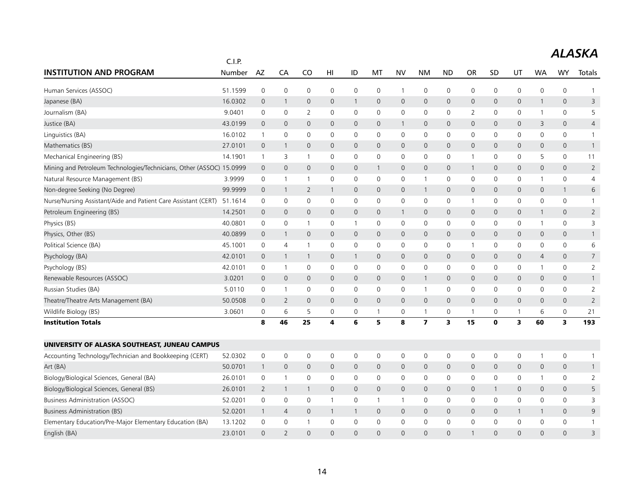|                                                                      | C.I.P.  |                     |                |                |                |              |              |                |                |                |                |              |              |                |                     |                |
|----------------------------------------------------------------------|---------|---------------------|----------------|----------------|----------------|--------------|--------------|----------------|----------------|----------------|----------------|--------------|--------------|----------------|---------------------|----------------|
| <b>INSTITUTION AND PROGRAM</b>                                       | Number  | AZ                  | CA             | CO             | H <sub>l</sub> | ID           | MT           | <b>NV</b>      | <b>NM</b>      | <b>ND</b>      | OR             | SD           | UT           | <b>WA</b>      | <b>WY</b>           | Totals         |
| Human Services (ASSOC)                                               | 51.1599 | $\mathbf 0$         | $\mathbf 0$    | $\mathbf 0$    | 0              | 0            | 0            | $\mathbf{1}$   | $\mathbf 0$    | $\mathbf 0$    | 0              | 0            | 0            | 0              | $\mathsf 0$         | 1              |
| Japanese (BA)                                                        | 16.0302 | $\overline{0}$      | $\overline{1}$ | $\mathbf 0$    | $\mathbf 0$    | $\mathbf{1}$ | $\mathbf{0}$ | $\overline{0}$ | $\mathbf{0}$   | $\overline{0}$ | $\mathbf 0$    | $\mathbf 0$  | 0            | $\mathbf{1}$   | $\mathbf{0}$        | 3              |
| Journalism (BA)                                                      | 9.0401  | $\mathbf 0$         | 0              | 2              | 0              | 0            | 0            | 0              | $\mathbf 0$    | $\mathbf 0$    | 2              | 0            | 0            | 1              | 0                   | 5              |
| Justice (BA)                                                         | 43.0199 | $\overline{0}$      | $\mathbf 0$    | $\overline{0}$ | $\mathbf 0$    | $\mathbf 0$  | $\mathbf 0$  | $\mathbf{1}$   | $\mathbf 0$    | $\mathbf 0$    | 0              | 0            | 0            | 3              | 0                   | $\overline{4}$ |
| Linguistics (BA)                                                     | 16.0102 | $\overline{1}$      | $\mathbf 0$    | $\mathbf 0$    | $\mathbf{0}$   | $\mathbf 0$  | $\Omega$     | $\mathbf 0$    | $\mathbf 0$    | $\mathbf 0$    | 0              | $\mathbf 0$  | $\mathbf 0$  | $\Omega$       | 0                   | $\mathbf{1}$   |
| Mathematics (BS)                                                     | 27.0101 | $\mathbf 0$         | $\mathbf{1}$   | $\mathbf{0}$   | $\mathbf{0}$   | $\mathbf 0$  | $\mathbf{0}$ | $\mathsf{O}$   | $\mathbf{0}$   | $\mathbf 0$    | 0              | $\mathbf{0}$ | 0            | $\mathbf{0}$   | $\overline{0}$      | $\mathbf{1}$   |
| Mechanical Engineering (BS)                                          | 14.1901 | $\mathbf{1}$        | 3              | $\overline{1}$ | $\mathbf 0$    | $\mathbf 0$  | $\mathbf 0$  | $\mathbf 0$    | $\mathbf 0$    | $\mathbf 0$    | $\mathbf{1}$   | 0            | 0            | 5              | 0                   | 11             |
| Mining and Petroleum Technologies/Technicians, Other (ASSOC) 15.0999 |         | $\mathbf 0$         | $\mathbf 0$    | $\mathbf 0$    | $\mathbf 0$    | 0            | $\mathbf{1}$ | $\mathsf{O}$   | $\mathbf 0$    | $\mathbf 0$    | $\mathbf{1}$   | $\mathbf 0$  | 0            | $\mathbf 0$    | $\mathsf{O}\xspace$ | $\overline{2}$ |
| Natural Resource Management (BS)                                     | 3.9999  | 0                   | $\overline{1}$ | $\overline{1}$ | 0              | 0            | 0            | 0              | $\mathbf{1}$   | $\mathbf 0$    | 0              | 0            | 0            | 1              | 0                   | $\overline{4}$ |
| Non-degree Seeking (No Degree)                                       | 99.9999 | $\overline{0}$      | $\overline{1}$ | 2              | $\mathbf{1}$   | $\mathbf{0}$ | $\mathbf{0}$ | $\mathsf{O}$   | $\mathbf{1}$   | $\mathbf{0}$   | $\mathbf 0$    | $\mathbf 0$  | 0            | $\mathbf{0}$   | $\mathbf{1}$        | 6              |
| Nurse/Nursing Assistant/Aide and Patient Care Assistant (CERT)       | 51.1614 | $\mathbf 0$         | $\mathbf 0$    | $\mathbf 0$    | $\mathbf 0$    | $\mathbf 0$  | $\mathbf 0$  | $\mathbf 0$    | $\mathbf 0$    | $\mathbf 0$    | $\mathbf 1$    | 0            | $\mathbf 0$  | $\mathbf 0$    | 0                   | $\mathbf{1}$   |
| Petroleum Engineering (BS)                                           | 14.2501 | $\overline{0}$      | $\mathbf 0$    | $\mathbf{0}$   | $\mathbf{0}$   | $\mathbf{0}$ | $\mathbf{0}$ | $\mathbf{1}$   | $\mathbf{0}$   | $\mathbf{0}$   | $\mathsf{O}$   | $\mathbf{0}$ | 0            | $\mathbf{1}$   | $\overline{0}$      | $\overline{2}$ |
| Physics (BS)                                                         | 40.0801 | $\mathbf 0$         | $\mathbf 0$    | $\overline{1}$ | 0              | $\mathbf{1}$ | $\mathbf 0$  | 0              | $\mathsf{O}$   | $\mathbf 0$    | 0              | 0            | 0            | 1              | $\mathbf 0$         | 3              |
| Physics, Other (BS)                                                  | 40.0899 | $\mathbf 0$         | $\overline{1}$ | $\mathbf{0}$   | $\mathbf{0}$   | $\mathbf{0}$ | $\mathbf 0$  | $\mathbf{0}$   | $\mathbf{0}$   | $\mathbf{0}$   | 0              | $\mathbf 0$  | 0            | $\mathbf 0$    | $\mathbf{0}$        | $\mathbf{1}$   |
| Political Science (BA)                                               | 45.1001 | $\mathbf 0$         | $\overline{4}$ | $\overline{1}$ | 0              | 0            | $\mathbf 0$  | 0              | $\mathsf{O}$   | $\mathbf 0$    | $\overline{1}$ | 0            | 0            | 0              | 0                   | 6              |
| Psychology (BA)                                                      | 42.0101 | $\overline{0}$      | $\mathbf{1}$   | $\mathbf{1}$   | $\mathbf{0}$   | $\mathbf{1}$ | $\mathbf{0}$ | $\mathsf{O}$   | $\mathbf{0}$   | $\overline{0}$ | $\mathbf 0$    | 0            | 0            | $\overline{4}$ | $\overline{0}$      | $\overline{7}$ |
| Psychology (BS)                                                      | 42.0101 | 0                   | $\overline{1}$ | $\mathbf 0$    | 0              | 0            | 0            | 0              | $\mathbf 0$    | $\mathbf 0$    | 0              | 0            | 0            | 1              | 0                   | $\overline{2}$ |
| Renewable Resources (ASSOC)                                          | 3.0201  | $\overline{0}$      | $\mathsf{O}$   | $\mathbf{0}$   | $\mathbf 0$    | $\mathbf 0$  | $\mathbf 0$  | $\mathsf{O}$   | $\mathbf{1}$   | $\mathbf 0$    | $\mathbf 0$    | $\mathbf{0}$ | 0            | $\mathbf 0$    | $\mathsf{O}\xspace$ | $\mathbf{1}$   |
| Russian Studies (BA)                                                 | 5.0110  | $\mathbf 0$         | $\overline{1}$ | $\mathbf 0$    | 0              | 0            | $\mathbf{0}$ | $\mathsf{O}$   | $\mathbf{1}$   | $\mathbf 0$    | 0              | 0            | 0            | $\mathbf{0}$   | 0                   | $\overline{2}$ |
| Theatre/Theatre Arts Management (BA)                                 | 50.0508 | $\overline{0}$      | 2              | $\mathbf{0}$   | $\mathbf 0$    | $\mathbf 0$  | $\mathbf 0$  | $\mathsf{O}$   | $\mathbf 0$    | $\mathbf 0$    | 0              | $\mathbf{0}$ | 0            | $\mathbf{0}$   | $\mathsf{O}\xspace$ | $\overline{2}$ |
| Wildlife Biology (BS)                                                | 3.0601  | $\mathbf 0$         | 6              | 5              | 0              | 0            | 1            | 0              | $\mathbf{1}$   | $\mathbf 0$    | $\overline{1}$ | 0            | $\mathbf{1}$ | 6              | 0                   | 21             |
| <b>Institution Totals</b>                                            |         | 8                   | 46             | 25             | 4              | 6            | 5            | 8              | $\overline{ }$ | 3              | 15             | $\mathbf 0$  | 3            | 60             | 3                   | 193            |
| UNIVERSITY OF ALASKA SOUTHEAST, JUNEAU CAMPUS                        |         |                     |                |                |                |              |              |                |                |                |                |              |              |                |                     |                |
| Accounting Technology/Technician and Bookkeeping (CERT)              | 52.0302 | $\mathbf 0$         | 0              | 0              | 0              | 0            | 0            | 0              | 0              | $\mathsf{O}$   | 0              | 0            | 0            | 1              | 0                   | 1              |
| Art (BA)                                                             | 50.0701 | $\overline{1}$      | $\mathbf 0$    | $\mathbf 0$    | $\mathbf{0}$   | $\mathbf 0$  | $\mathbf 0$  | $\mathsf{O}$   | $\mathbf 0$    | $\mathbf 0$    | 0              | $\mathbf{0}$ | 0            | $\mathbf 0$    | 0                   | $\mathbf{1}$   |
| Biology/Biological Sciences, General (BA)                            | 26.0101 | $\mathbf 0$         | $\overline{1}$ | $\mathbf 0$    | $\mathbf 0$    | $\mathbf 0$  | 0            | 0              | $\mathbf 0$    | $\mathbf 0$    | 0              | 0            | $\mathsf{O}$ | $\mathbf{1}$   | $\mathbf 0$         | $\overline{2}$ |
| Biology/Biological Sciences, General (BS)                            | 26.0101 | 2                   | $\overline{1}$ | $\mathbf{1}$   | $\mathsf{O}$   | $\mathsf{O}$ | 0            | $\mathsf{O}$   | $\mathbf 0$    | $\mathbf 0$    | 0              | -1           | 0            | $\mathbf 0$    | $\mathsf{O}$        | 5              |
| <b>Business Administration (ASSOC)</b>                               | 52.0201 | $\mathsf{O}\xspace$ | $\mathbf 0$    | $\mathbf 0$    | $\mathbf{1}$   | 0            | $\mathbf{1}$ | $\mathbf{1}$   | $\mathsf{O}$   | $\mathbf 0$    | 0              | $\mathbf 0$  | 0            | $\mathbf 0$    | 0                   | 3              |
| <b>Business Administration (BS)</b>                                  | 52.0201 | $\mathbf{1}$        | $\overline{4}$ | $\mathbf{0}$   | $\mathbf{1}$   | $\mathbf{1}$ | $\mathbf{0}$ | $\overline{0}$ | $\mathbf{0}$   | $\mathbf{0}$   | $\mathbf 0$    | $\mathbf 0$  | $\mathbf{1}$ | $\mathbf{1}$   | $\mathbf{0}$        | 9              |
| Elementary Education/Pre-Major Elementary Education (BA)             | 13.1202 | $\mathbf 0$         | $\mathbf 0$    | -1             | $\mathbf 0$    | 0            | 0            | 0              | $\mathbf 0$    | $\mathbf 0$    | 0              | $\mathbf 0$  | 0            | 0              | 0                   | $\mathbf{1}$   |
| English (BA)                                                         | 23.0101 | $\Omega$            | $\overline{2}$ | $\Omega$       | $\Omega$       | $\Omega$     | $\Omega$     | $\Omega$       | $\Omega$       | $\Omega$       | $\mathbf 1$    | $\Omega$     | $\Omega$     | $\Omega$       | $\Omega$            | 3              |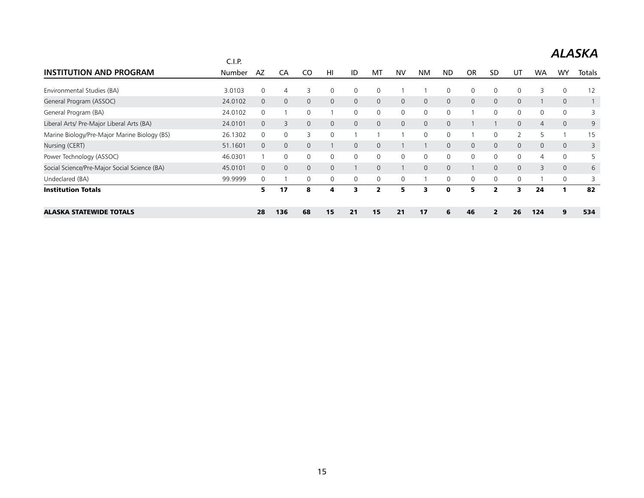|                                              | C.I.P.  |              |                |              |             |          |          |              |              |              |             |              |                |           |              |        |
|----------------------------------------------|---------|--------------|----------------|--------------|-------------|----------|----------|--------------|--------------|--------------|-------------|--------------|----------------|-----------|--------------|--------|
| <b>INSTITUTION AND PROGRAM</b>               | Number  | AZ           | CA             | CO           | HI          | ID       | M1       | <b>NV</b>    | <b>NM</b>    | <b>ND</b>    | <b>OR</b>   | <b>SD</b>    | יש             | <b>WA</b> | WY           | Totals |
| Environmental Studies (BA)                   | 3.0103  | $\Omega$     | 4              | 3            | 0           | 0        | 0        |              |              | 0            | 0           | 0            |                |           | 0            | 12     |
| General Program (ASSOC)                      | 24.0102 | $\Omega$     | $\mathbf{0}$   | $\Omega$     | $\Omega$    | $\Omega$ | $\Omega$ | $\Omega$     | $\Omega$     | $\mathbf{0}$ | $\Omega$    | $\Omega$     | $\Omega$       |           | $\Omega$     |        |
| General Program (BA)                         | 24.0102 | $\mathbf{0}$ |                | $\Omega$     |             | $\Omega$ | 0        | $\mathbf 0$  | $\Omega$     | 0            |             | $\Omega$     | $\mathbf{0}$   |           | 0            |        |
| Liberal Arts/ Pre-Major Liberal Arts (BA)    | 24.0101 | $\mathbf{0}$ | 3              | $\mathbf{0}$ | $\mathbf 0$ | 0        | $\Omega$ | $\mathbf{0}$ | $\mathbf{0}$ | $\mathbf{0}$ |             |              | $\overline{0}$ | 4         | $\mathbf{0}$ | 9      |
| Marine Biology/Pre-Major Marine Biology (BS) | 26.1302 | 0            | $\mathbf 0$    | 3            | $\Omega$    |          |          |              | $\Omega$     | 0            |             | $\Omega$     |                | 5         |              | 15     |
| Nursing (CERT)                               | 51.1601 | $\mathbf{0}$ | $\mathbf{0}$   | $\mathbf{0}$ |             | 0        | 0        |              |              | $\mathbf{0}$ | $\mathbf 0$ | $\mathbf{0}$ | $\overline{0}$ | 0         | $\mathbf{0}$ | 3      |
| Power Technology (ASSOC)                     | 46.0301 |              | $\Omega$       | $\mathbf 0$  | $\Omega$    | 0        | 0        | $\mathbf 0$  | $\Omega$     | 0            | 0           | $\Omega$     | $\mathbf{0}$   | 4         | 0            | 5      |
| Social Science/Pre-Major Social Science (BA) | 45.0101 | $\mathbf{0}$ | $\overline{0}$ | $\mathbf{0}$ | $\Omega$    |          | $\Omega$ |              | $\mathbf{0}$ | $\mathbf{0}$ |             | $\Omega$     | $\mathbf{0}$   | 3         | $\mathbf{0}$ | 6      |
| Undeclared (BA)                              | 99.9999 | $\mathbf 0$  |                | $\Omega$     | $\Omega$    | 0        | 0        | $\mathbf 0$  |              | 0            | 0           | $\Omega$     | $\Omega$       |           | 0            |        |
| <b>Institution Totals</b>                    |         | 5            | 17             | 8            | 4           | 3        | 2        | 5.           | э            | O            | 5           | 2            | ર              | 24        |              | 82     |
| <b>ALASKA STATEWIDE TOTALS</b>               |         | 28           | 136            | 68           | 15          | 21       | 15       | 21           | 17           | 6            | 46          | 2            | 26             | 124       | 9            | 534    |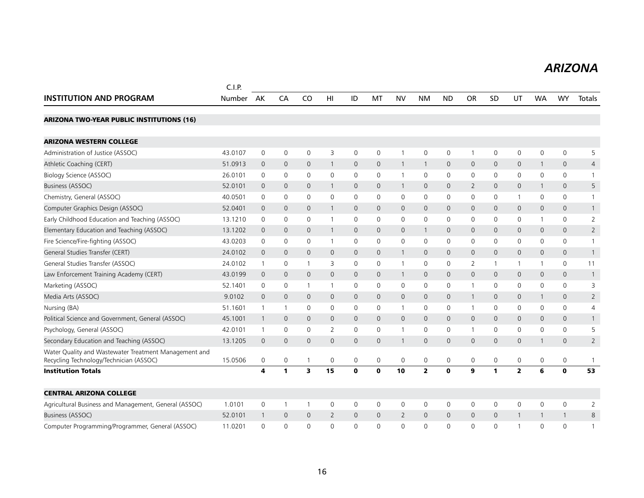#### *ARIZONA ARIZONA*

|                                                                                                  | C.I.P.  |                |                |                |                 |                     |              |                |                |              |                |              |              |              |                |                |
|--------------------------------------------------------------------------------------------------|---------|----------------|----------------|----------------|-----------------|---------------------|--------------|----------------|----------------|--------------|----------------|--------------|--------------|--------------|----------------|----------------|
| <b>INSTITUTION AND PROGRAM</b>                                                                   | Number  | AK             | CA             | C <sub>O</sub> | H <sub>II</sub> | ID                  | MT           | <b>NV</b>      | <b>NM</b>      | <b>ND</b>    | <b>OR</b>      | SD           | UT           | <b>WA</b>    | <b>WY</b>      | Totals         |
| <b>ARIZONA TWO-YEAR PUBLIC INSTITUTIONS (16)</b>                                                 |         |                |                |                |                 |                     |              |                |                |              |                |              |              |              |                |                |
| <b>ARIZONA WESTERN COLLEGE</b>                                                                   |         |                |                |                |                 |                     |              |                |                |              |                |              |              |              |                |                |
| Administration of Justice (ASSOC)                                                                | 43.0107 | $\mathbf 0$    | $\mathbf 0$    | $\mathbf 0$    | 3               | $\mathbf 0$         | $\mathbf 0$  | $\overline{1}$ | $\mathsf{O}$   | $\mathbf 0$  | $\mathbf{1}$   | $\mathbf 0$  | $\mathsf{O}$ | $\mathbf 0$  | $\mathbf 0$    | 5              |
| Athletic Coaching (CERT)                                                                         | 51.0913 | $\mathbf 0$    | $\mathbf 0$    | $\mathbf{0}$   | 1               | 0                   | $\mathbf 0$  | $\mathbf{1}$   | $\overline{1}$ | $\mathbf 0$  | 0              | $\mathbf 0$  | 0            | $\mathbf{1}$ | $\mathbf 0$    | 4              |
| Biology Science (ASSOC)                                                                          | 26.0101 | 0              | 0              | $\mathbf 0$    | $\mathbf 0$     | 0                   | 0            | $\mathbf{1}$   | 0              | 0            | 0              | 0            | 0            | 0            | 0              | 1              |
| <b>Business (ASSOC)</b>                                                                          | 52.0101 | $\mathbf 0$    | $\mathbf 0$    | $\mathbf{0}$   | $\mathbf{1}$    | $\mathbf{0}$        | $\mathbf{0}$ | $\mathbf{1}$   | $\mathbf{0}$   | $\mathbf 0$  | $\overline{2}$ | $\mathbf{0}$ | 0            | $\mathbf{1}$ | $\mathbf{0}$   | 5              |
| Chemistry, General (ASSOC)                                                                       | 40.0501 | $\mathbf 0$    | $\mathbf 0$    | $\mathbf 0$    | $\mathbf 0$     | $\mathbf 0$         | $\mathbf 0$  | $\mathbf 0$    | $\mathbf 0$    | $\mathbf 0$  | 0              | 0            | 1            | $\mathbf 0$  | 0              | $\mathbf{1}$   |
| Computer Graphics Design (ASSOC)                                                                 | 52.0401 | $\overline{0}$ | $\mathbf 0$    | $\mathbf{0}$   |                 | $\mathbf 0$         | $\mathbf{0}$ | $\mathbf 0$    | $\mathbf 0$    | $\mathbf 0$  | $\mathsf{O}$   | 0            | 0            | $\mathbf{0}$ | 0              | $\mathbf{1}$   |
| Early Childhood Education and Teaching (ASSOC)                                                   | 13.1210 | 0              | 0              | 0              | $\overline{1}$  | 0                   | 0            | 0              | $\mathbf 0$    | 0            | 0              | 0            | 0            | 1            | 0              | 2              |
| Elementary Education and Teaching (ASSOC)                                                        | 13.1202 | $\overline{0}$ | $\mathbf 0$    | $\mathbf 0$    | $\mathbf{1}$    | $\mathbf 0$         | $\mathbf{0}$ | $\mathbf 0$    | $\overline{1}$ | $\mathbf 0$  | 0              | $\mathbf 0$  | 0            | $\mathbf{0}$ | 0              | $\overline{2}$ |
| Fire Science/Fire-fighting (ASSOC)                                                               | 43.0203 | $\mathbf 0$    | $\mathbf 0$    | $\mathbf 0$    | $\overline{1}$  | $\mathbf 0$         | $\Omega$     | $\mathbf 0$    | $\mathbf 0$    | $\mathbf 0$  | 0              | $\mathbf{0}$ | $\mathbf 0$  | $\Omega$     | $\mathbf 0$    | $\mathbf{1}$   |
| General Studies Transfer (CERT)                                                                  | 24.0102 | $\mathbf{0}$   | $\mathbf 0$    | $\mathbf{0}$   | $\mathbf 0$     | $\mathsf{O}\xspace$ | $\mathbf{0}$ | $\mathbf{1}$   | $\mathbf{0}$   | $\mathbf{0}$ | $\mathsf{O}$   | $\mathbf 0$  | 0            | $\mathbf{0}$ | $\mathsf{O}$   | $\mathbf{1}$   |
| General Studies Transfer (ASSOC)                                                                 | 24.0102 | $\mathbf{1}$   | 0              | -1             | 3               | 0                   | 0            | $\mathbf{1}$   | 0              | 0            | 2              | -1           | 1            | 1            | 0              | 11             |
| Law Enforcement Training Academy (CERT)                                                          | 43.0199 | $\mathbf 0$    | $\mathbf 0$    | $\mathbf{0}$   | $\mathbf{0}$    | $\mathbf{0}$        | $\mathbf{0}$ | $\mathbf{1}$   | $\mathbf{0}$   | $\mathbf 0$  | $\mathsf{O}$   | $\mathbf 0$  | 0            | $\mathbf{0}$ | $\overline{0}$ | $\mathbf{1}$   |
| Marketing (ASSOC)                                                                                | 52.1401 | $\mathbf 0$    | 0              | -1             |                 | $\mathbf 0$         | $\mathbf{0}$ | $\mathbf 0$    | $\mathbf 0$    | $\mathbf 0$  | $\mathbf 1$    | $\mathbf{0}$ | 0            | $\mathbf{0}$ | $\Omega$       | 3              |
| Media Arts (ASSOC)                                                                               | 9.0102  | $\mathbf 0$    | $\mathbf 0$    | $\mathbf 0$    | $\mathbf 0$     | $\mathbf 0$         | $\mathbf 0$  | $\mathbf 0$    | $\mathbf 0$    | $\mathbf 0$  | $\mathbf{1}$   | $\mathbf 0$  | 0            | $\mathbf{1}$ | 0              | $\overline{2}$ |
| Nursing (BA)                                                                                     | 51.1601 | $\mathbf{1}$   | $\overline{1}$ | $\mathbf 0$    | 0               | 0                   | 0            | $\mathbf{1}$   | 0              | 0            | $\overline{1}$ | 0            | 0            | 0            | 0              | 4              |
| Political Science and Government, General (ASSOC)                                                | 45.1001 | $\mathbf{1}$   | $\mathbf 0$    | $\mathbf{0}$   | $\mathbf{0}$    | $\mathbf 0$         | $\mathbf{0}$ | $\mathbf{0}$   | $\mathbf{0}$   | $\mathbf{0}$ | $\mathbf{0}$   | $\mathbf 0$  | 0            | $\mathbf{0}$ | $\mathbf{0}$   | $\mathbf{1}$   |
| Psychology, General (ASSOC)                                                                      | 42.0101 | $\mathbf{1}$   | $\mathbf 0$    | $\mathbf 0$    | $\overline{2}$  | $\mathbf 0$         | $\Omega$     | $\mathbf{1}$   | $\mathbf 0$    | $\mathbf 0$  | $\mathbf{1}$   | $\mathbf{0}$ | $\mathbf 0$  | $\Omega$     | $\mathbf 0$    | 5              |
| Secondary Education and Teaching (ASSOC)                                                         | 13.1205 | $\Omega$       | $\Omega$       | $\Omega$       | $\Omega$        | $\Omega$            | $\Omega$     | $\mathbf{1}$   | $\Omega$       | $\mathbf{0}$ | $\Omega$       | $\Omega$     | 0            | $\mathbf{1}$ | $\mathbf{0}$   | $\overline{2}$ |
| Water Quality and Wastewater Treatment Management and<br>Recycling Technology/Technician (ASSOC) | 15.0506 | 0              | $\mathbf 0$    | $\mathbf{1}$   | 0               | 0                   | $\mathbf 0$  | $\mathbf 0$    | $\mathbf 0$    | $\mathbf 0$  | $\mathbf 0$    | 0            | 0            | 0            | 0              | $\overline{1}$ |
| <b>Institution Totals</b>                                                                        |         | 4              | $\mathbf{1}$   | 3              | 15              | $\mathbf 0$         | $\mathbf 0$  | 10             | $\overline{2}$ | $\mathbf 0$  | 9              | 1            | $\mathbf{2}$ | 6            | $\mathbf 0$    | 53             |
| <b>CENTRAL ARIZONA COLLEGE</b>                                                                   |         |                |                |                |                 |                     |              |                |                |              |                |              |              |              |                |                |
| Agricultural Business and Management, General (ASSOC)                                            | 1.0101  | $\mathbf 0$    | $\overline{1}$ | -1             | 0               | $\mathbf 0$         | 0            | $\mathbf 0$    | $\mathbf 0$    | $\mathbf 0$  | 0              | $\mathbf{0}$ | $\mathbf 0$  | $\mathbf 0$  | $\mathbf 0$    | $\overline{2}$ |
| <b>Business (ASSOC)</b>                                                                          | 52.0101 | $\mathbf{1}$   | $\Omega$       | $\Omega$       | $\overline{2}$  | $\Omega$            | $\Omega$     | $\overline{2}$ | $\Omega$       | $\Omega$     | $\Omega$       | $\Omega$     | $\mathbf{1}$ | $\mathbf{1}$ | $\mathbf{1}$   | 8              |
| Computer Programming/Programmer, General (ASSOC)                                                 | 11.0201 | $\Omega$       | $\Omega$       | $\Omega$       | $\Omega$        | $\Omega$            | $\Omega$     | $\Omega$       | $\Omega$       | $\Omega$     | $\Omega$       | 0            | 1            | $\Omega$     | $\Omega$       | $\mathbf{1}$   |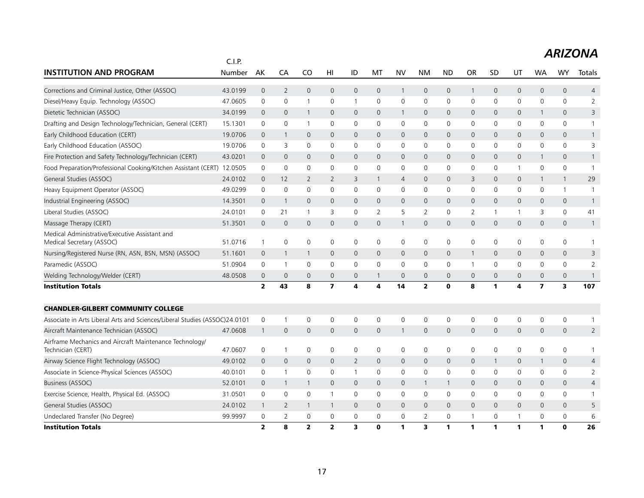|                                                                              | C.I.P.  |                         |                |                     |                         |                |                |                     |                |                |                |              |                     |                         |                     |                |
|------------------------------------------------------------------------------|---------|-------------------------|----------------|---------------------|-------------------------|----------------|----------------|---------------------|----------------|----------------|----------------|--------------|---------------------|-------------------------|---------------------|----------------|
| <b>INSTITUTION AND PROGRAM</b>                                               | Number  | AK                      | CA             | CO                  | HI                      | ID             | MT             | <b>NV</b>           | <b>NM</b>      | <b>ND</b>      | <b>OR</b>      | <b>SD</b>    | UT                  | WA                      | WY                  | Totals         |
| Corrections and Criminal Justice, Other (ASSOC)                              | 43.0199 | $\mathbf 0$             | $\overline{2}$ | $\mathsf{O}\xspace$ | $\mathbf 0$             | 0              | 0              | $\mathbf{1}$        | $\mathsf{O}$   | $\mathbf 0$    | $\mathbf{1}$   | $\mathbf 0$  | $\mathbf 0$         | $\mathsf{O}\xspace$     | $\mathbf 0$         | $\overline{4}$ |
| Diesel/Heavy Equip. Technology (ASSOC)                                       | 47.0605 | 0                       | 0              | $\overline{1}$      | 0                       | $\mathbf{1}$   | 0              | 0                   | 0              | 0              | $\mathbf{0}$   | $\mathbf{0}$ | 0                   | $\mathbf{0}$            | 0                   | 2              |
| Dietetic Technician (ASSOC)                                                  | 34.0199 | $\Omega$                | $\mathbf{0}$   | $\overline{1}$      | $\Omega$                | $\mathsf{O}$   | 0              | $\mathbf{1}$        | $\mathbf{0}$   | $\mathbf{0}$   | $\mathbf 0$    | $\Omega$     | $\mathbf{0}$        | $\mathbf{1}$            | $\overline{0}$      | 3              |
| Drafting and Design Technology/Technician, General (CERT)                    | 15.1301 | 0                       | $\mathbf 0$    | $\overline{1}$      | $\Omega$                | 0              | 0              | 0                   | $\mathbf 0$    | 0              | 0              | $\mathbf{0}$ | 0                   | 0                       | 0                   | 1              |
| Early Childhood Education (CERT)                                             | 19.0706 | $\mathbf 0$             | $\mathbf{1}$   | $\mathbf 0$         | $\mathbf{0}$            | 0              | 0              | $\mathbf{0}$        | $\mathbf{0}$   | $\mathbf{0}$   | $\mathbf 0$    | $\mathbf{0}$ | 0                   | $\mathbf{0}$            | $\mathbf{0}$        | $\mathbf{1}$   |
| Early Childhood Education (ASSOC)                                            | 19.0706 | 0                       | 3              | $\mathbf 0$         | 0                       | 0              | 0              | 0                   | $\mathbf 0$    | $\mathbf 0$    | 0              | 0            | 0                   | 0                       | 0                   | 3              |
| Fire Protection and Safety Technology/Technician (CERT)                      | 43.0201 | $\mathbf 0$             | $\mathbf 0$    | $\mathbf 0$         | $\mathbf{0}$            | 0              | 0              | 0                   | $\mathbf 0$    | $\mathbf 0$    | $\mathbf 0$    | $\mathbf{0}$ | 0                   | $\mathbf{1}$            | 0                   | $\mathbf{1}$   |
| Food Preparation/Professional Cooking/Kitchen Assistant (CERT) 12.0505       |         | 0                       | $\mathbf 0$    | $\mathbf 0$         | $\mathbf 0$             | 0              | $\mathbf 0$    | 0                   | $\mathbf 0$    | $\mathbf 0$    | 0              | 0            | $\mathbf{1}$        | 0                       | 0                   | $\overline{1}$ |
| General Studies (ASSOC)                                                      | 24.0102 | $\mathbf{0}$            | 12             | $\overline{2}$      | $\overline{2}$          | 3              | $\mathbf{1}$   | $\overline{4}$      | $\mathbf{0}$   | $\overline{0}$ | 3              | $\mathbf{0}$ | 0                   | $\mathbf{1}$            | $\mathbf{1}$        | 29             |
| Heavy Equipment Operator (ASSOC)                                             | 49.0299 | $\mathbf 0$             | $\mathbf 0$    | $\mathbf 0$         | 0                       | 0              | 0              | $\mathbf 0$         | $\mathbf 0$    | $\mathbf 0$    | $\mathbf 0$    | $\mathbf 0$  | 0                   | $\mathbf 0$             | $\mathbf{1}$        | $\overline{1}$ |
| Industrial Engineering (ASSOC)                                               | 14.3501 | 0                       | $\overline{1}$ | $\mathbf{0}$        | $\mathbf{0}$            | 0              | 0              | $\mathbf 0$         | $\mathbf 0$    | $\mathbf 0$    | $\mathbf 0$    | $\mathbf{0}$ | 0                   | $\mathbf{0}$            | 0                   | $\overline{1}$ |
| Liberal Studies (ASSOC)                                                      | 24.0101 | 0                       | 21             | $\overline{1}$      | 3                       | 0              | $\overline{2}$ | 5                   | $\overline{2}$ | $\mathbf 0$    | $\overline{2}$ | $\mathbf{1}$ | $\mathbf{1}$        | 3                       | 0                   | 41             |
| Massage Therapy (CERT)                                                       | 51.3501 | $\mathbf{0}$            | $\mathbf 0$    | $\mathbf 0$         | $\mathsf{O}$            | 0              | 0              | $\mathbf{1}$        | $\mathbf 0$    | $\mathbf 0$    | 0              | $\mathbf{0}$ | $\mathsf{O}\xspace$ | $\mathsf{O}\xspace$     | $\mathsf{O}\xspace$ | $\mathbf{1}$   |
| Medical Administrative/Executive Assistant and<br>Medical Secretary (ASSOC)  | 51.0716 | $\mathbf{1}$            | $\mathbf 0$    | $\mathbf 0$         | 0                       | 0              | 0              | $\mathbf 0$         | $\mathbf 0$    | $\mathbf 0$    | 0              | 0            | 0                   | 0                       | 0                   | 1              |
| Nursing/Registered Nurse (RN, ASN, BSN, MSN) (ASSOC)                         | 51.1601 | $\mathbf 0$             | $\mathbf{1}$   | -1                  | $\mathbf 0$             | 0              | 0              | $\mathbf{0}$        | $\mathbf{0}$   | $\overline{0}$ | -1             | $\mathbf 0$  | 0                   | $\mathbf 0$             | $\mathbf{0}$        | 3              |
| Paramedic (ASSOC)                                                            | 51.0904 | 0                       | $\mathbf{1}$   | $\mathbf 0$         | 0                       | 0              | 0              | 0                   | 0              | 0              | $\mathbf 1$    | 0            | 0                   | 0                       | 0                   | $\overline{2}$ |
| Welding Technology/Welder (CERT)                                             | 48.0508 | $\mathbf 0$             | $\mathbf 0$    | $\overline{0}$      | $\mathbf 0$             | 0              |                | $\mathsf{O}\xspace$ | $\mathbf{0}$   | $\overline{0}$ | $\mathbf 0$    | $\mathbf{0}$ | $\mathsf{O}$        | $\mathbf{0}$            | $\mathsf{O}\xspace$ | $\mathbf{1}$   |
| <b>Institution Totals</b>                                                    |         | $\overline{2}$          | 43             | 8                   | $\overline{\mathbf{z}}$ | 4              | 4              | 14                  | $\overline{2}$ | $\mathbf 0$    | 8              | 1            | 4                   | $\overline{\mathbf{z}}$ | 3                   | 107            |
| <b>CHANDLER-GILBERT COMMUNITY COLLEGE</b>                                    |         |                         |                |                     |                         |                |                |                     |                |                |                |              |                     |                         |                     |                |
| Associate in Arts Liberal Arts and Sciences/Liberal Studies (ASSOC)24.0101   |         | $\mathbf 0$             | $\mathbf{1}$   | $\mathbf 0$         | 0                       | 0              | 0              | $\mathsf 0$         | $\mathbf 0$    | $\mathbf 0$    | 0              | $\mathbf 0$  | 0                   | 0                       | 0                   | 1              |
| Aircraft Maintenance Technician (ASSOC)                                      | 47.0608 | $\mathbf{1}$            | $\overline{0}$ | $\Omega$            | $\Omega$                | $\mathbf 0$    | $\Omega$       | $\mathbf{1}$        | $\Omega$       | $\Omega$       | $\Omega$       | $\Omega$     | $\mathbf{O}$        | $\Omega$                | $\mathbf{0}$        | $\overline{2}$ |
| Airframe Mechanics and Aircraft Maintenance Technology/<br>Technician (CERT) | 47.0607 | 0                       | $\mathbf{1}$   | $\mathbf 0$         | 0                       | 0              | 0              | 0                   | 0              | 0              | $\mathbf 0$    | 0            | 0                   | 0                       | 0                   | 1              |
| Airway Science Flight Technology (ASSOC)                                     | 49.0102 | $\mathbf 0$             | $\mathbf 0$    | $\mathbf 0$         | $\mathbf 0$             | $\overline{2}$ | 0              | $\mathbf{0}$        | $\mathbf{0}$   | $\mathbf{0}$   | $\mathbf 0$    | 1            | $\mathbf{0}$        | $\mathbf{1}$            | 0                   | $\overline{4}$ |
| Associate in Science-Physical Sciences (ASSOC)                               | 40.0101 | 0                       | $\mathbf{1}$   | $\mathbf 0$         | $\mathbf 0$             | $\mathbf{1}$   | 0              | 0                   | $\mathbf 0$    | $\mathbf 0$    | $\mathbf 0$    | $\mathbf 0$  | 0                   | 0                       | 0                   | $\overline{2}$ |
| <b>Business (ASSOC)</b>                                                      | 52.0101 | $\mathbf{0}$            | $\mathbf{1}$   | $\mathbf{1}$        | $\mathbf{0}$            | 0              | 0              | 0                   | $\mathbf{1}$   | $\mathbf{1}$   | $\mathbf{0}$   | $\mathbf{0}$ | $\mathsf{O}$        | $\mathbf{0}$            | $\mathbf{0}$        | $\overline{4}$ |
| Exercise Science, Health, Physical Ed. (ASSOC)                               | 31.0501 | 0                       | 0              | $\mathsf 0$         | $\mathbf{1}$            | 0              | 0              | 0                   | $\mathbf 0$    | 0              | 0              | 0            | $\mathsf{O}$        | 0                       | 0                   | $\mathbf{1}$   |
| General Studies (ASSOC)                                                      | 24.0102 | $\mathbf{1}$            | $\overline{2}$ | $\overline{1}$      | $\mathbf{1}$            | 0              | 0              | $\mathbf{0}$        | $\mathbf{0}$   | $\mathbf{0}$   | $\mathbf{0}$   | $\mathbf{0}$ | 0                   | $\mathbf{0}$            | $\mathbf{0}$        | 5              |
| Undeclared Transfer (No Degree)                                              | 99.9997 | 0                       | 2              | $\mathbf 0$         | 0                       | 0              | 0              | 0                   | 2              | 0              | -1             | 0            | 1                   | 0                       | 0                   | 6              |
| <b>Institution Totals</b>                                                    |         | $\overline{\mathbf{z}}$ | 8              | $\overline{2}$      | $\overline{2}$          | 3              | $\Omega$       | 1                   | 3              | $\mathbf{1}$   | 1              | 1            | 1                   | 1                       | $\bf{0}$            | 26             |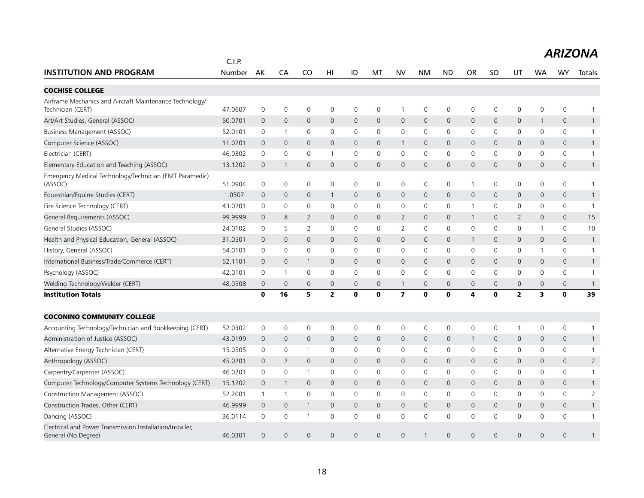|                                                                                  |                  |                     |                     |                |                     |                |              |                         |              |              |                |              |                         |                     |                     | <b>ARIZONA</b> |
|----------------------------------------------------------------------------------|------------------|---------------------|---------------------|----------------|---------------------|----------------|--------------|-------------------------|--------------|--------------|----------------|--------------|-------------------------|---------------------|---------------------|----------------|
| <b>INSTITUTION AND PROGRAM</b>                                                   | C.I.P.<br>Number | AK                  | CA                  | CO             | HI                  | ID             | MT           | <b>NV</b>               | <b>NM</b>    | <b>ND</b>    | <b>OR</b>      | SD           | UT                      | WA                  | WY                  | Totals         |
| <b>COCHISE COLLEGE</b>                                                           |                  |                     |                     |                |                     |                |              |                         |              |              |                |              |                         |                     |                     |                |
| Airframe Mechanics and Aircraft Maintenance Technology/<br>Technician (CERT)     | 47.0607          | $\mathbf 0$         | $\mathbf 0$         | $\mathbf 0$    | $\mathbf 0$         | 0              | $\mathbf 0$  | $\mathbf{1}$            | $\mathbf 0$  | $\mathbf 0$  | $\mathbf 0$    | $\mathbf 0$  | 0                       | 0                   | 0                   | $\mathbf{1}$   |
| Art/Art Studies, General (ASSOC)                                                 | 50.0701          | 0                   | $\mathbf 0$         | $\overline{0}$ | $\mathbf{0}$        | 0              | $\mathbf 0$  | $\mathsf{O}$            | $\mathsf{O}$ | $\mathbf 0$  | $\mathbf 0$    | 0            | 0                       | 1                   | $\mathbf 0$         | $\mathbf{1}$   |
| Business Management (ASSOC)                                                      | 52.0101          | 0                   | $\mathbf{1}$        | $\mathbf 0$    | 0                   | 0              | 0            | 0                       | $\mathbf 0$  | $\mathbf 0$  | 0              | 0            | 0                       | 0                   | $\mathbf 0$         | $\mathbf{1}$   |
| Computer Science (ASSOC)                                                         | 11.0201          | $\mathbf{0}$        | $\mathbf 0$         | $\mathbf{0}$   | $\mathbf{0}$        | 0              | $\mathbf{0}$ | $\mathbf{1}$            | $\mathsf{O}$ | $\mathbf 0$  | $\mathbf{0}$   | $\mathbf{0}$ | 0                       | $\mathbf{0}$        | $\mathbf{0}$        | $\mathbf{1}$   |
| Electrician (CERT)                                                               | 46.0302          | $\mathbf 0$         | 0                   | $\mathbf 0$    |                     | 0              | $\Omega$     | 0                       | $\mathbf 0$  | $\mathbf 0$  | 0              | $\mathbf{0}$ | 0                       | $\Omega$            | 0                   | $\mathbf{1}$   |
| Elementary Education and Teaching (ASSOC)                                        | 13.1202          | 0                   | $\mathbf{1}$        | $\mathbf 0$    | $\mathsf{O}\xspace$ | 0              | 0            | $\mathsf{O}$            | $\mathsf{O}$ | $\mathbf 0$  | 0              | 0            | 0                       | $\mathsf{O}\xspace$ | $\mathsf{O}\xspace$ | $\mathbf{1}$   |
| Emergency Medical Technology/Technician (EMT Paramedic)<br>(ASSOC)               | 51.0904          | 0                   | 0                   | $\mathbf 0$    | 0                   | 0              | 0            | 0                       | 0            | $\mathbf 0$  | 1              | 0            | 0                       | 0                   | 0                   | $\mathbf{1}$   |
| Equestrian/Equine Studies (CERT)                                                 | 1.0507           | $\Omega$            | $\mathbf{0}$        | $\overline{0}$ |                     | $\overline{0}$ | $\mathbf 0$  | $\mathbf{0}$            | $\mathbf{0}$ | $\mathbf 0$  | $\overline{0}$ | $\Omega$     | 0                       | $\mathsf{O}$        | $\mathbf{0}$        | $\mathbf{1}$   |
| Fire Science Technology (CERT)                                                   | 43.0201          | 0                   | 0                   | $\mathbf 0$    | 0                   | 0              | 0            | 0                       | $\mathbf 0$  | $\mathbf 0$  | 1              | 0            | 0                       | 0                   | 0                   | $\mathbf{1}$   |
| General Requirements (ASSOC)                                                     | 99.9999          | $\mathbf{0}$        | 8                   | 2              | $\mathbf{0}$        | $\mathsf{O}$   | 0            | $\overline{2}$          | $\mathbf{0}$ | $\mathbf{0}$ | $\mathbf{1}$   | $\mathbf{0}$ | $\overline{2}$          | $\mathbf{0}$        | $\mathbf{0}$        | 15             |
| General Studies (ASSOC)                                                          | 24.0102          | 0                   | 5                   | $\overline{2}$ | 0                   | 0              | 0            | $\overline{2}$          | $\mathbf 0$  | $\mathbf 0$  | 0              | 0            | 0                       | $\mathbf{1}$        | 0                   | 10             |
| Health and Physical Education, General (ASSOC)                                   | 31.0501          | $\mathbf{0}$        | $\mathbf{0}$        | $\overline{0}$ | $\overline{0}$      | $\mathbf{0}$   | $\mathbf 0$  | $\mathbf{0}$            | $\mathbf{0}$ | $\mathbf 0$  | $\overline{1}$ | $\mathbf{0}$ | $\mathsf{O}$            | $\mathbf{0}$        | $\mathbf{0}$        | $\overline{1}$ |
| History, General (ASSOC)                                                         | 54.0101          | $\mathbf 0$         | $\mathbf 0$         | $\mathbf 0$    | 0                   | 0              | 0            | 0                       | $\mathbf 0$  | $\mathbf 0$  | 0              | 0            | 0                       | 1                   | 0                   | $\overline{1}$ |
| International Business/Trade/Commerce (CERT)                                     | 52.1101          | $\mathbf{0}$        | $\overline{0}$      | $\overline{1}$ | $\overline{0}$      | $\mathbf{0}$   | 0            | $\mathbf{0}$            | $\mathbf{0}$ | $\mathbf 0$  | $\mathbf{0}$   | $\mathbf{0}$ | $\mathsf{O}$            | $\mathbf{0}$        | $\mathbf{0}$        | $\mathbf{1}$   |
| Psychology (ASSOC)                                                               | 42.0101          | 0                   | $\mathbf{1}$        | $\mathbf 0$    | 0                   | 0              | 0            | $\mathbf 0$             | 0            | $\mathbf 0$  | $\mathbf 0$    | 0            | $\mathbf 0$             | 0                   | $\mathbf 0$         | $\mathbf{1}$   |
| Welding Technology/Welder (CERT)                                                 | 48.0508          | $\overline{0}$      | $\mathbf 0$         | $\mathbf{0}$   | $\overline{0}$      | $\mathbf{0}$   | 0            | $\mathbf{1}$            | $\mathbf{0}$ | $\mathbf{0}$ | $\mathbf{0}$   | $\mathbf{0}$ | 0                       | $\mathbf{0}$        | 0                   | $\mathbf{1}$   |
| <b>Institution Totals</b>                                                        |                  | $\mathbf 0$         | 16                  | 5              | $\overline{2}$      | $\mathbf 0$    | $\mathbf o$  | $\overline{\mathbf{z}}$ | $\mathbf 0$  | $\mathbf 0$  | 4              | 0            | $\overline{\mathbf{2}}$ | 3                   | $\mathbf 0$         | 39             |
| <b>COCONINO COMMUNITY COLLEGE</b>                                                |                  |                     |                     |                |                     |                |              |                         |              |              |                |              |                         |                     |                     |                |
| Accounting Technology/Technician and Bookkeeping (CERT)                          | 52.0302          | 0                   | $\mathbf 0$         | $\mathbf 0$    | 0                   | 0              | 0            | 0                       | $\mathbf 0$  | $\mathbf 0$  | $\mathsf 0$    | 0            | 1                       | 0                   | 0                   | $\mathbf{1}$   |
| Administration of Justice (ASSOC)                                                | 43.0199          | 0                   | $\mathsf{O}$        | $\mathbf 0$    | $\mathbf 0$         | 0              | 0            | $\mathbf 0$             | $\mathsf{O}$ | $\mathbf 0$  | $\mathbf{1}$   | 0            | 0                       | $\mathsf{O}\xspace$ | $\mathbf 0$         | $\mathbf{1}$   |
| Alternative Energy Technician (CERT)                                             | 15.0505          | $\mathbf 0$         | 0                   | $\mathbf{1}$   | 0                   | 0              | 0            | 0                       | $\mathbf 0$  | $\mathbf 0$  | 0              | 0            | 0                       | 0                   | 0                   | $\mathbf{1}$   |
| Anthropology (ASSOC)                                                             | 45.0201          | 0                   | $\overline{2}$      | $\mathbf 0$    | $\mathsf{O}$        | 0              | 0            | $\mathsf{O}$            | $\mathsf{O}$ | $\mathbf 0$  | 0              | $\mathbf 0$  | 0                       | 0                   | $\mathsf{O}\xspace$ | $\overline{2}$ |
| Carpentry/Carpenter (ASSOC)                                                      | 46.0201          | 0                   | $\mathbf 0$         | $\mathbf{1}$   | 0                   | 0              | 0            | $\mathbf 0$             | $\mathbf 0$  | $\mathbf 0$  | $\mathbf 0$    | 0            | $\mathbf 0$             | 0                   | $\mathbf 0$         | $\mathbf{1}$   |
| Computer Technology/Computer Systems Technology (CERT)                           | 15.1202          | $\mathbf 0$         | $\mathbf{1}$        | $\mathbf 0$    | $\mathbf 0$         | 0              | 0            | 0                       | $\mathbf 0$  | $\mathbf 0$  | $\mathbf 0$    | $\mathbf 0$  | 0                       | 0                   | $\mathbf 0$         | $\mathbf{1}$   |
| Construction Management (ASSOC)                                                  | 52.2001          | 1                   | $\mathbf{1}$        | $\mathbf 0$    | 0                   | 0              | $\mathbf 0$  | $\mathbf 0$             | $\mathbf 0$  | $\mathbf 0$  | 0              | 0            | 0                       | 0                   | 0                   | $\overline{2}$ |
| Construction Trades, Other (CERT)                                                | 46.9999          | $\mathsf{O}\xspace$ | $\mathsf{O}\xspace$ | $\mathbf{1}$   | $\mathsf{O}\xspace$ | 0              | $\Omega$     | $\mathsf{O}\xspace$     | $\mathbf 0$  | $\mathbf 0$  | $\mathbf 0$    | $\Omega$     | 0                       | $\mathsf{O}\xspace$ | $\mathsf{O}\xspace$ | $\mathbf{1}$   |
| Dancing (ASSOC)                                                                  | 36.0114          | 0                   | 0                   | $\mathbf{1}$   | 0                   | 0              | 0            | 0                       | $\mathbf 0$  | $\mathbf 0$  | 0              | $\mathbf{0}$ | 0                       | 0                   | 0                   | $\mathbf{1}$   |
| Electrical and Power Transmission Installation/Installer,<br>General (No Degree) | 46.0301          | $\Omega$            | $\Omega$            | $\Omega$       | $\Omega$            | $\Omega$       | $\Omega$     | $\Omega$                |              | $\Omega$     | $\Omega$       | $\Omega$     | $\Omega$                | $\Omega$            | $\Omega$            | 1              |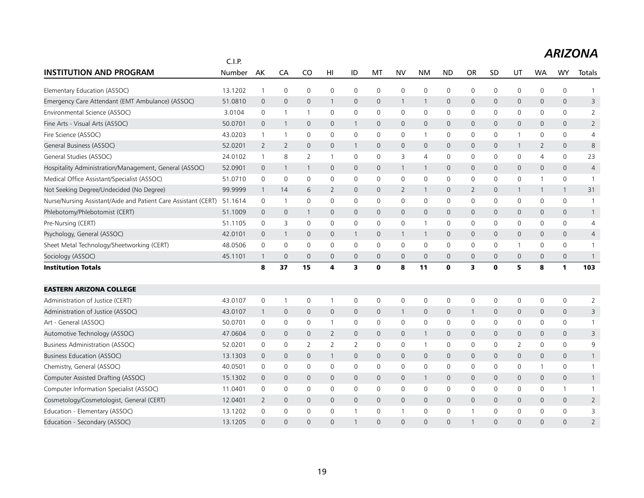|                                                                | C.I.P.  |                |                     |                |                 |                |              |                |                |                     |                |              |                |                     |              |                |
|----------------------------------------------------------------|---------|----------------|---------------------|----------------|-----------------|----------------|--------------|----------------|----------------|---------------------|----------------|--------------|----------------|---------------------|--------------|----------------|
| <b>INSTITUTION AND PROGRAM</b>                                 | Number  | AK             | CA                  | C <sub>O</sub> | H <sub>II</sub> | ID             | МT           | <b>NV</b>      | <b>NM</b>      | <b>ND</b>           | <b>OR</b>      | <b>SD</b>    | UT             | <b>WA</b>           | <b>WY</b>    | Totals         |
| Elementary Education (ASSOC)                                   | 13.1202 | $\mathbf{1}$   | $\mathsf{O}\xspace$ | $\mathbf 0$    | $\mathbf 0$     | $\mathbf 0$    | $\mathbf 0$  | $\mathbf 0$    | $\mathbf 0$    | 0                   | $\mathbf 0$    | $\mathbf 0$  | $\mathbf 0$    | 0                   | $\mathbf 0$  | 1              |
| Emergency Care Attendant (EMT Ambulance) (ASSOC)               | 51.0810 | $\mathbf 0$    | $\mathbf 0$         | $\mathbf 0$    | $\mathbf{1}$    | $\mathbf 0$    | $\mathbf 0$  | $\mathbf{1}$   | $\mathbf{1}$   | 0                   | 0              | $\mathbf 0$  | $\mathbf 0$    | $\mathbf 0$         | $\mathbf 0$  | 3              |
| Environmental Science (ASSOC)                                  | 3.0104  | 0              | 1                   | $\mathbf{1}$   | $\mathbf{0}$    | $\mathbf 0$    | $\mathbf 0$  | $\mathbf 0$    | $\mathbf 0$    | 0                   | 0              | $\mathbf{0}$ | $\mathbf 0$    | 0                   | $\mathbf 0$  | $\overline{2}$ |
| Fine Arts - Visual Arts (ASSOC)                                | 50.0701 | $\mathbf 0$    | $\mathbf{1}$        | $\overline{0}$ | $\mathbf 0$     | $\mathbf{1}$   | $\mathbf 0$  | $\mathsf{O}$   | $\mathbf 0$    | 0                   | $\mathbf 0$    | $\mathbf 0$  | $\mathbf 0$    | $\mathbf 0$         | $\mathbf 0$  | $\overline{2}$ |
| Fire Science (ASSOC)                                           | 43.0203 | $\mathbf{1}$   | 1                   | $\mathbf 0$    | 0               | 0              | 0            | 0              | $\mathbf{1}$   | 0                   | 0              | 0            | 1              | 0                   | $\mathbf 0$  | 4              |
| General Business (ASSOC)                                       | 52.0201 | $\overline{2}$ | $\overline{2}$      | $\mathbf 0$    | $\mathbf 0$     | $\mathbf{1}$   | $\mathbf 0$  | $\mathsf{O}$   | $\mathbf 0$    | 0                   | 0              | $\mathbf 0$  | $\mathbf{1}$   | $\overline{2}$      | $\mathbf 0$  | 8              |
| General Studies (ASSOC)                                        | 24.0102 | $\mathbf{1}$   | 8                   | 2              | $\mathbf{1}$    | $\mathbf 0$    | $\mathbf 0$  | 3              | 4              | $\mathbf 0$         | 0              | $\Omega$     | $\mathbf 0$    | $\overline{4}$      | $\mathbf 0$  | 23             |
| Hospitality Administration/Management, General (ASSOC)         | 52.0901 | $\mathbf 0$    | $\mathbf{1}$        | $\mathbf{1}$   | $\mathbf{0}$    | $\mathbf{0}$   | $\mathbf{0}$ | $\mathbf{1}$   | $\mathbf{1}$   | $\overline{0}$      | $\mathbf{0}$   | $\mathbf{0}$ | $\mathbf{0}$   | $\mathbf{0}$        | $\mathbf{0}$ | $\overline{4}$ |
| Medical Office Assistant/Specialist (ASSOC)                    | 51.0710 | $\mathbf 0$    | $\mathbf 0$         | $\mathbf 0$    | 0               | 0              | $\mathbf 0$  | $\mathbf 0$    | $\mathbf 0$    | 0                   | 0              | 0            | $\mathbf 0$    | $\mathbf{1}$        | $\mathbf 0$  | $\overline{1}$ |
| Not Seeking Degree/Undecided (No Degree)                       | 99.9999 | $\mathbf{1}$   | 14                  | 6              | $\overline{2}$  | 0              | $\mathbf 0$  | $\overline{2}$ | $\mathbf{1}$   | 0                   | $\overline{2}$ | $\mathbf{0}$ | $\mathbf{1}$   | $\mathbf{1}$        | $\mathbf{1}$ | 31             |
| Nurse/Nursing Assistant/Aide and Patient Care Assistant (CERT) | 51.1614 | $\mathbf 0$    | $\mathbf{1}$        | $\mathbf 0$    | $\mathbf{0}$    | $\mathbf 0$    | $\mathbf 0$  | $\mathbf 0$    | $\mathbf 0$    | 0                   | 0              | $\mathbf{0}$ | $\mathbf 0$    | $\mathbf 0$         | $\mathbf 0$  | $\mathbf{1}$   |
| Phlebotomy/Phlebotomist (CERT)                                 | 51.1009 | $\overline{0}$ | $\mathbf 0$         | $\mathbf{1}$   | $\mathbf{0}$    | $\mathbf{0}$   | $\mathbf{0}$ | $\mathbf{0}$   | $\mathbf{0}$   | $\mathsf{O}$        | $\mathbf{0}$   | $\Omega$     | $\mathbf{0}$   | $\mathbf{0}$        | $\mathbf{0}$ | $\mathbf{1}$   |
| Pre-Nursing (CERT)                                             | 51.1105 | 0              | 3                   | $\mathbf 0$    | 0               | 0              | 0            | 0              | $\mathbf{1}$   | 0                   | 0              | 0            | 0              | 0                   | $\mathsf{O}$ | 4              |
| Psychology, General (ASSOC)                                    | 42.0101 | $\mathbf 0$    | $\overline{1}$      | $\mathbf{0}$   | $\mathbf{0}$    | $\mathbf{1}$   | $\mathbf{0}$ | $\mathbf{1}$   | $\mathbf{1}$   | 0                   | $\mathbf{0}$   | $\mathbf{0}$ | $\mathbf{0}$   | $\mathbf{0}$        | $\mathbf 0$  | $\overline{4}$ |
| Sheet Metal Technology/Sheetworking (CERT)                     | 48.0506 | 0              | $\mathsf{O}\xspace$ | $\mathbf 0$    | 0               | 0              | 0            | 0              | $\mathbf 0$    | 0                   | 0              | 0            | 1              | 0                   | $\mathbf 0$  | $\mathbf{1}$   |
| Sociology (ASSOC)                                              | 45.1101 | $\mathbf{1}$   | $\overline{0}$      | $\mathbf{0}$   | $\mathbf{0}$    | $\mathbf 0$    | $\mathbf{0}$ | $\mathbf 0$    | $\mathbf{0}$   | $\overline{0}$      | $\mathbf{0}$   | $\mathbf{0}$ | $\mathbf{0}$   | $\mathbf{0}$        | $\mathbf 0$  | $\mathbf{1}$   |
| <b>Institution Totals</b>                                      |         | 8              | 37                  | 15             | 4               | 3              | $\mathbf 0$  | 8              | 11             | $\mathbf o$         | 3              | O            | 5              | 8                   | $\mathbf{1}$ | 103            |
| <b>EASTERN ARIZONA COLLEGE</b>                                 |         |                |                     |                |                 |                |              |                |                |                     |                |              |                |                     |              |                |
| Administration of Justice (CERT)                               | 43.0107 | $\mathbf 0$    | $\mathbf{1}$        | $\mathbf 0$    |                 | $\mathbf 0$    | $\mathbf 0$  | 0              | $\mathbf 0$    | 0                   | $\mathbf 0$    | $\mathbf 0$  | $\mathbf 0$    | 0                   | $\mathsf{O}$ | $\overline{2}$ |
| Administration of Justice (ASSOC)                              | 43.0107 | $\mathbf{1}$   | $\mathbf 0$         | $\mathbf 0$    | $\mathbf 0$     | $\mathbf 0$    | $\mathbf 0$  | $\mathbf{1}$   | $\mathbf 0$    | 0                   | $\mathbf{1}$   | $\mathbf 0$  | $\mathbf 0$    | $\mathbf 0$         | $\mathbf 0$  | 3              |
| Art - General (ASSOC)                                          | 50.0701 | 0              | 0                   | 0              |                 | 0              | 0            | 0              | $\mathbf 0$    | 0                   | 0              | $\mathbf 0$  | 0              | 0                   | $\mathbf 0$  | $\mathbf{1}$   |
| Automotive Technology (ASSOC)                                  | 47.0604 | $\mathbf 0$    | $\mathbf 0$         | $\mathbf 0$    | $\overline{2}$  | 0              | $\mathbf 0$  | $\mathsf{O}$   | $\mathbf{1}$   | 0                   | $\mathbf 0$    | $\mathbf 0$  | $\mathbf 0$    | $\mathbf 0$         | $\mathbf 0$  | 3              |
| Business Administration (ASSOC)                                | 52.0201 | 0              | 0                   | 2              | 2               | $\overline{2}$ | $\mathbf 0$  | 0              | $\overline{1}$ | 0                   | 0              | $\Omega$     | $\overline{2}$ | $\mathbf 0$         | $\mathbf 0$  | 9              |
| <b>Business Education (ASSOC)</b>                              | 13.1303 | $\mathbf 0$    | $\mathbf 0$         | $\mathbf 0$    | $\mathbf{1}$    | $\mathbf 0$    | $\mathbf 0$  | $\mathsf{O}$   | $\mathbf 0$    | $\mathsf{O}\xspace$ | $\mathbf 0$    | $\mathbf 0$  | $\mathbf 0$    | $\mathsf{O}\xspace$ | $\mathbf 0$  | $\mathbf{1}$   |
| Chemistry, General (ASSOC)                                     | 40.0501 | $\mathbf 0$    | 0                   | $\mathbf 0$    | 0               | 0              | $\mathbf 0$  | $\mathbf 0$    | $\mathbf 0$    | 0                   | 0              | 0            | $\mathbf 0$    | -1                  | $\mathsf{O}$ | $\mathbf{1}$   |
| Computer Assisted Drafting (ASSOC)                             | 15.1302 | $\overline{0}$ | $\mathbf 0$         | $\mathbf 0$    | $\mathbf 0$     | 0              | $\mathbf 0$  | $\mathsf{O}$   | $\mathbf{1}$   | 0                   | $\mathbf 0$    | $\mathbf 0$  | $\mathbf 0$    | $\mathbf 0$         | $\mathbf 0$  | $\mathbf{1}$   |
| Computer Information Specialist (ASSOC)                        | 11.0401 | 0              | 0                   | $\mathbf 0$    | $\mathbf{0}$    | $\mathbf 0$    | $\mathbf{0}$ | $\mathbf 0$    | $\mathbf 0$    | 0                   | 0              | $\mathbf{0}$ | $\mathbf 0$    | 0                   | $\mathbf{1}$ | $\mathbf{1}$   |
| Cosmetology/Cosmetologist, General (CERT)                      | 12.0401 | $\overline{2}$ | $\mathbf 0$         | $\mathbf{0}$   | $\mathbf{0}$    | $\mathbf{0}$   | $\mathbf{0}$ | $\mathbf{0}$   | $\mathbf{0}$   | $\overline{0}$      | $\mathbf{0}$   | $\mathbf{0}$ | $\pmb{0}$      | $\mathbf{0}$        | $\mathbf 0$  | $\overline{2}$ |
| Education - Elementary (ASSOC)                                 | 13.1202 | $\mathbf 0$    | $\mathbf 0$         | $\mathbf 0$    | 0               | 1              | 0            | $\mathbf{1}$   | $\mathbf 0$    | 0                   | $\overline{1}$ | $\mathbf{0}$ | $\mathbf 0$    | $\Omega$            | $\mathbf 0$  | 3              |
| Education - Secondary (ASSOC)                                  | 13.1205 | $\Omega$       | $\overline{0}$      | $\Omega$       | $\Omega$        | $\mathbf{1}$   | $\Omega$     | $\Omega$       | $\Omega$       | $\Omega$            |                | $\Omega$     | $\Omega$       | $\Omega$            | $\Omega$     | $\overline{2}$ |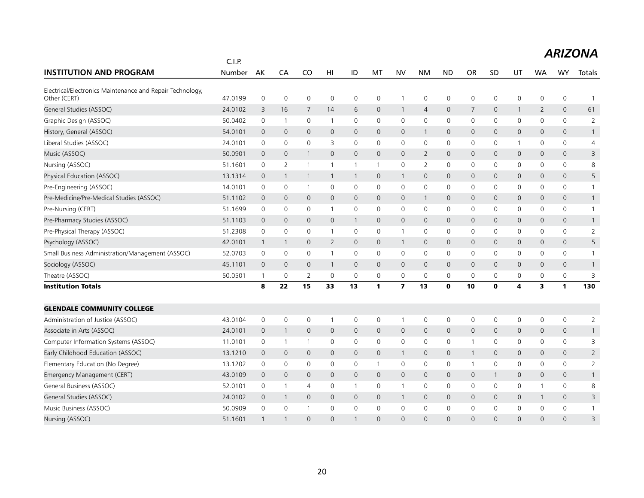|                                                                           | C.I.P.  |                |                |                |                     |              |              |                         |                |                |                |              |              |              |                     |                |
|---------------------------------------------------------------------------|---------|----------------|----------------|----------------|---------------------|--------------|--------------|-------------------------|----------------|----------------|----------------|--------------|--------------|--------------|---------------------|----------------|
| <b>INSTITUTION AND PROGRAM</b>                                            | Number  | AK             | CA             | CO             | HI                  | ID           | MT           | <b>NV</b>               | <b>NM</b>      | <b>ND</b>      | <b>OR</b>      | <b>SD</b>    | UT           | WA           | <b>WY</b>           | Totals         |
| Electrical/Electronics Maintenance and Repair Technology,<br>Other (CERT) | 47.0199 | $\mathbf 0$    | $\mathbf 0$    | 0              | $\mathsf{O}\xspace$ | 0            | 0            | $\mathbf{1}$            | $\mathsf{O}$   | 0              | 0              | 0            | 0            | 0            | $\mathsf{O}\xspace$ | $\overline{1}$ |
| General Studies (ASSOC)                                                   | 24.0102 | 3              | 16             | 7              | 14                  | 6            | $\mathbf{0}$ | $\mathbf{1}$            | $\overline{4}$ | $\overline{0}$ | $\overline{7}$ | $\mathbf{0}$ | $\mathbf{1}$ | 2            | $\mathbf{0}$        | 61             |
| Graphic Design (ASSOC)                                                    | 50.0402 | $\mathbf 0$    | $\overline{1}$ | $\mathbf 0$    | $\overline{1}$      | $\mathbf 0$  | 0            | $\mathbf 0$             | $\mathbf 0$    | $\mathbf 0$    | 0              | 0            | $\mathbf 0$  | 0            | $\mathbf 0$         | 2              |
| History, General (ASSOC)                                                  | 54.0101 | 0              | $\mathbf 0$    | $\mathbf{0}$   | 0                   | 0            | 0            | $\mathbf 0$             | $\overline{1}$ | $\mathbf 0$    | 0              | $\mathbf 0$  | 0            | 0            | 0                   | $\mathbf{1}$   |
| Liberal Studies (ASSOC)                                                   | 24.0101 | 0              | 0              | 0              | 3                   | 0            | 0            | 0                       | 0              | 0              | 0              | 0            | 1            | 0            | 0                   | 4              |
| Music (ASSOC)                                                             | 50.0901 | $\overline{0}$ | $\mathbf 0$    | $\mathbf{1}$   | $\mathbf{0}$        | $\mathbf 0$  | $\mathbf{0}$ | $\mathbf 0$             | $\overline{2}$ | $\mathbf 0$    | 0              | $\mathbf 0$  | 0            | $\mathbf{0}$ | 0                   | 3              |
| Nursing (ASSOC)                                                           | 51.1601 | $\mathbf 0$    | 2              | $\mathbf{1}$   | $\mathbf{1}$        | $\mathbf{1}$ | 1            | 0                       | 2              | 0              | 0              | 0            | 0            | 0            | $\mathbf 0$         | 8              |
| Physical Education (ASSOC)                                                | 13.1314 | $\overline{0}$ | $\overline{1}$ | $\mathbf{1}$   | $\mathbf{1}$        | $\mathbf{1}$ | $\mathbf{0}$ | $\mathbf{1}$            | $\mathbf{0}$   | $\mathbf{0}$   | $\mathsf{O}$   | $\mathbf{0}$ | 0            | $\mathbf{0}$ | $\mathbf{0}$        | 5              |
| Pre-Engineering (ASSOC)                                                   | 14.0101 | $\mathbf 0$    | $\mathbf 0$    | $\overline{1}$ | 0                   | $\mathbf 0$  | $\mathbf 0$  | $\mathbf 0$             | $\mathbf 0$    | $\mathbf 0$    | 0              | 0            | 0            | 0            | $\mathbf 0$         | $\mathbf{1}$   |
| Pre-Medicine/Pre-Medical Studies (ASSOC)                                  | 51.1102 | $\mathbf 0$    | $\mathbf{0}$   | $\mathbf{0}$   | $\mathbf{0}$        | $\mathbf{0}$ | $\mathbf{0}$ | $\mathbf{0}$            | $\overline{1}$ | $\mathbf{0}$   | $\mathsf{O}$   | 0            | 0            | $\mathbf{0}$ | $\mathbf{0}$        | $\mathbf{1}$   |
| Pre-Nursing (CERT)                                                        | 51.1699 | $\mathbf 0$    | 0              | $\mathbf 0$    | $\mathbf{1}$        | 0            | 0            | 0                       | $\mathbf 0$    | $\mathbf 0$    | 0              | 0            | 0            | 0            | $\mathbf 0$         | $\mathbf{1}$   |
| Pre-Pharmacy Studies (ASSOC)                                              | 51.1103 | 0              | $\mathbf 0$    | $\mathbf{0}$   | $\mathsf{O}$        | $\mathbf{1}$ | 0            | $\mathsf{O}$            | $\mathbf{0}$   | $\mathbf 0$    | 0              | $\mathbf 0$  | 0            | $\mathbf{0}$ | 0                   | $\mathbf{1}$   |
| Pre-Physical Therapy (ASSOC)                                              | 51.2308 | $\mathsf 0$    | 0              | $\mathbf 0$    | $\overline{1}$      | 0            | 0            | $\mathbf{1}$            | 0              | 0              | 0              | 0            | 0            | 0            | 0                   | $\overline{2}$ |
| Psychology (ASSOC)                                                        | 42.0101 | $\mathbf{1}$   | $\overline{1}$ | $\mathbf{0}$   | $\overline{2}$      | $\mathbf 0$  | $\mathbf 0$  | $\mathbf{1}$            | $\mathbf{0}$   | $\mathbf 0$    | $\mathsf{O}$   | $\mathbf 0$  | 0            | $\mathbf{0}$ | 0                   | 5              |
| Small Business Administration/Management (ASSOC)                          | 52.0703 | $\mathbf 0$    | $\mathbf 0$    | $\mathbf 0$    | $\mathbf{1}$        | $\mathbf 0$  | $\Omega$     | $\mathbf 0$             | $\mathbf 0$    | $\mathbf 0$    | 0              | $\mathbf 0$  | $\mathbf 0$  | $\Omega$     | $\mathbf 0$         | $\mathbf{1}$   |
| Sociology (ASSOC)                                                         | 45.1101 | $\overline{0}$ | $\mathbf 0$    | $\mathbf{0}$   | $\mathbf{1}$        | $\mathbf{0}$ | $\mathbf 0$  | $\overline{0}$          | $\mathbf{0}$   | $\mathbf{0}$   | $\mathsf{O}$   | $\Omega$     | 0            | $\mathbf{0}$ | $\mathbf{0}$        | $\mathbf{1}$   |
| Theatre (ASSOC)                                                           | 50.0501 | $\mathbf{1}$   | $\mathbf 0$    | $\overline{2}$ | $\mathbf 0$         | $\mathbf 0$  | $\mathbf 0$  | $\mathsf{O}\xspace$     | $\mathbf 0$    | $\mathbf 0$    | 0              | $\mathbf 0$  | 0            | $\mathbf 0$  | 0                   | 3              |
| <b>Institution Totals</b>                                                 |         | 8              | 22             | 15             | 33                  | 13           | 1            | $\overline{\mathbf{z}}$ | 13             | $\mathbf{0}$   | 10             | 0            | 4            | 3            | $\mathbf{1}$        | 130            |
| <b>GLENDALE COMMUNITY COLLEGE</b>                                         |         |                |                |                |                     |              |              |                         |                |                |                |              |              |              |                     |                |
| Administration of Justice (ASSOC)                                         | 43.0104 | $\mathbf 0$    | $\mathbf 0$    | $\mathbf 0$    |                     | $\mathbf 0$  | 0            | $\mathbf{1}$            | $\mathsf{O}$   | $\mathbf 0$    | 0              | 0            | $\mathbf 0$  | $\mathbf 0$  | 0                   | $\overline{2}$ |
| Associate in Arts (ASSOC)                                                 | 24.0101 | $\mathbf 0$    | $\overline{1}$ | $\mathbf 0$    | $\mathbf 0$         | $\mathbf 0$  | $\mathbf 0$  | $\mathsf{O}$            | $\mathbf 0$    | $\mathbf 0$    | $\mathbf 0$    | $\mathbf{0}$ | 0            | $\mathbf 0$  | $\mathbf 0$         | $\mathbf{1}$   |
| Computer Information Systems (ASSOC)                                      | 11.0101 | $\mathbf 0$    | $\overline{1}$ | $\overline{1}$ | $\mathbf 0$         | $\mathbf 0$  | $\mathbf 0$  | $\mathbf 0$             | $\mathbf 0$    | $\mathbf 0$    | $\mathbf{1}$   | $\mathbf 0$  | $\mathbf 0$  | $\Omega$     | $\mathbf 0$         | 3              |
| Early Childhood Education (ASSOC)                                         | 13.1210 | 0              | $\mathbf 0$    | $\mathbf 0$    | 0                   | $\mathsf{O}$ | 0            | $\mathbf{1}$            | $\mathbf 0$    | $\mathbf 0$    | $\mathbf{1}$   | 0            | 0            | 0            | $\mathsf{O}$        | $\overline{2}$ |
| Elementary Education (No Degree)                                          | 13.1202 | 0              | 0              | $\mathbf 0$    | 0                   | 0            | $\mathbf{1}$ | 0                       | 0              | $\mathbf 0$    | $\mathbf 1$    | 0            | 0            | 0            | 0                   | $\overline{2}$ |
| Emergency Management (CERT)                                               | 43.0109 | $\overline{0}$ | $\mathbf 0$    | $\mathbf 0$    | $\mathbf{0}$        | $\mathbf 0$  | $\mathbf 0$  | $\mathbf 0$             | $\mathbf 0$    | $\mathbf 0$    | $\mathbf 0$    | -1           | 0            | 0            | 0                   | $\mathbf{1}$   |
| General Business (ASSOC)                                                  | 52.0101 | $\mathbf 0$    | $\overline{1}$ | 4              | $\mathbf{0}$        | $\mathbf{1}$ | $\mathbf 0$  | $\mathbf{1}$            | $\mathbf 0$    | $\mathbf 0$    | 0              | 0            | $\mathbf 0$  | 1            | $\mathbf 0$         | 8              |
| General Studies (ASSOC)                                                   | 24.0102 | $\overline{0}$ | $\overline{1}$ | $\mathbf 0$    | $\mathbf 0$         | $\mathbf 0$  | 0            | $\mathbf{1}$            | $\mathbf 0$    | $\mathbf 0$    | $\mathbf 0$    | $\mathbf{0}$ | 0            | $\mathbf{1}$ | $\mathbf 0$         | 3              |
| Music Business (ASSOC)                                                    | 50.0909 | $\mathbf 0$    | $\mathbf 0$    |                | $\Omega$            | $\mathbf 0$  | $\Omega$     | $\mathbf 0$             | $\Omega$       | $\Omega$       | 0              | 0            | 0            | $\mathbf{0}$ | 0                   | $\mathbf{1}$   |
| Nursing (ASSOC)                                                           | 51.1601 |                |                | $\Omega$       | $\Omega$            |              | $\Omega$     | $\Omega$                | $\Omega$       | $\Omega$       | $\Omega$       | $\Omega$     | $\Omega$     | $\Omega$     | $\Omega$            | $\overline{3}$ |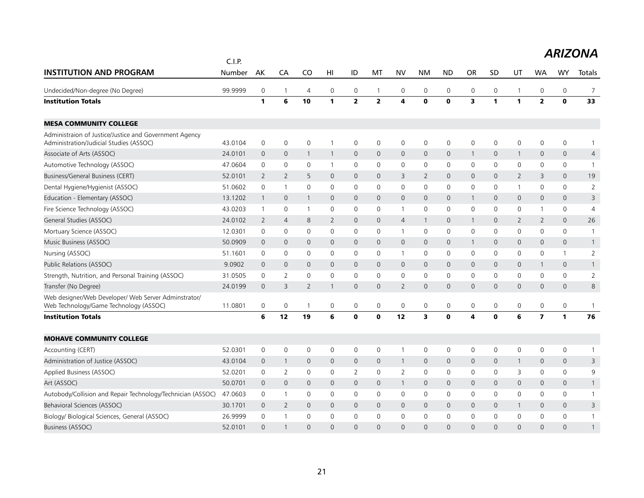|                                                                                                   | C.I.P.  |                |                |                |                 |                     |                |                         |                |                |                         |              |                |                         |                |                |
|---------------------------------------------------------------------------------------------------|---------|----------------|----------------|----------------|-----------------|---------------------|----------------|-------------------------|----------------|----------------|-------------------------|--------------|----------------|-------------------------|----------------|----------------|
| <b>INSTITUTION AND PROGRAM</b>                                                                    | Number  | AK             | CA             | C <sub>O</sub> | H <sub>II</sub> | ID                  | MT             | <b>NV</b>               | NM             | <b>ND</b>      | <b>OR</b>               | <b>SD</b>    | UT             | <b>WA</b>               | WY             | Totals         |
| Undecided/Non-degree (No Degree)                                                                  | 99.9999 | $\mathbf 0$    | $\overline{1}$ | $\overline{4}$ | 0               | $\mathbf 0$         | $\mathbf{1}$   | $\mathbf 0$             | $\mathbf 0$    | $\mathbf 0$    | 0                       | 0            | 1              | 0                       | $\mathbf 0$    | $\overline{7}$ |
| <b>Institution Totals</b>                                                                         |         | $\mathbf{1}$   | 6              | 10             | $\mathbf{1}$    | $\overline{2}$      | $\overline{2}$ | $\overline{\mathbf{4}}$ | $\bf{0}$       | $\mathbf{0}$   | $\overline{\mathbf{3}}$ | 1            | 1              | $\overline{2}$          | $\mathbf{o}$   | 33             |
| <b>MESA COMMUNITY COLLEGE</b>                                                                     |         |                |                |                |                 |                     |                |                         |                |                |                         |              |                |                         |                |                |
| Administraion of Justice/Justice and Government Agency<br>Administration/Judicial Studies (ASSOC) | 43.0104 | $\mathbf 0$    | $\mathbf 0$    | $\mathbf 0$    |                 | $\mathbf 0$         | $\Omega$       | $\mathbf 0$             | $\mathbf 0$    | $\mathbf 0$    | $\overline{0}$          | $\mathbf{0}$ | 0              | $\mathbf 0$             | $\mathbf 0$    | $\mathbf{1}$   |
| Associate of Arts (ASSOC)                                                                         | 24.0101 | $\mathbf 0$    | $\mathbf{0}$   | 1              | $\mathbf{1}$    | $\mathbf{0}$        | $\mathbf 0$    | $\mathbf{0}$            | $\mathbf{0}$   | $\mathbf{0}$   | $\mathbf{1}$            | $\mathbf 0$  | $\mathbf{1}$   | $\mathbf 0$             | $\mathbf{0}$   | $\overline{4}$ |
| Automotive Technology (ASSOC)                                                                     | 47.0604 | 0              | 0              | $\mathbf 0$    | $\overline{1}$  | $\mathbf 0$         | $\mathbf 0$    | 0                       | $\mathsf{O}$   | $\mathbf 0$    | 0                       | 0            | 0              | 0                       | 0              | $\mathbf{1}$   |
| Business/General Business (CERT)                                                                  | 52.0101 | 2              | 2              | 5              | $\mathbf{0}$    | $\mathbf{0}$        | $\mathbf{0}$   | 3                       | $\overline{2}$ | $\mathbf{0}$   | 0                       | $\mathbf 0$  | $\overline{2}$ | 3                       | $\mathbf{0}$   | 19             |
| Dental Hygiene/Hygienist (ASSOC)                                                                  | 51.0602 | $\mathbf 0$    | $\overline{1}$ | $\mathbf 0$    | $\mathbf 0$     | $\mathbf 0$         | 0              | 0                       | $\mathbf 0$    | $\mathbf 0$    | 0                       | 0            | 1              | $\mathbf 0$             | $\mathbf 0$    | $\overline{2}$ |
| Education - Elementary (ASSOC)                                                                    | 13.1202 | $\mathbf{1}$   | $\mathbf 0$    | $\mathbf{1}$   | $\mathbf{0}$    | $\mathbf 0$         | $\mathbf{0}$   | $\mathsf{O}$            | $\mathbf{0}$   | $\mathbf 0$    | $\mathbf{1}$            | $\mathbf 0$  | 0              | $\mathbf{0}$            | $\mathsf{O}$   | 3              |
| Fire Science Technology (ASSOC)                                                                   | 43.0203 | $\mathbf{1}$   | $\mathbf 0$    | $\overline{1}$ | $\mathbf 0$     | 0                   | $\mathbf 0$    | $\mathbf{1}$            | $\mathbf 0$    | $\mathbf 0$    | 0                       | 0            | 0              | $\mathbf{1}$            | 0              | $\overline{4}$ |
| General Studies (ASSOC)                                                                           | 24.0102 | 2              | $\overline{4}$ | 8              | 2               | $\mathbf{0}$        | $\mathbf{0}$   | $\overline{4}$          | $\mathbf{1}$   | $\mathbf{0}$   | $\mathbf{1}$            | $\Omega$     | $\overline{2}$ | 2                       | $\mathbf{0}$   | 26             |
| Mortuary Science (ASSOC)                                                                          | 12.0301 | $\mathbf 0$    | 0              | $\mathbf 0$    | $\Omega$        | 0                   | 0              | $\mathbf{1}$            | $\mathbf 0$    | $\mathbf 0$    | 0                       | $\mathbf{0}$ | 0              | $\mathbf{0}$            | 0              | 1              |
| Music Business (ASSOC)                                                                            | 50.0909 | $\mathbf 0$    | $\mathbf{0}$   | $\mathbf{0}$   | $\mathbf{0}$    | $\mathbf 0$         | $\mathbf{0}$   | $\mathbf{0}$            | $\mathbf 0$    | $\mathbf 0$    | $\mathbf{1}$            | 0            | 0              | $\mathbf 0$             | 0              | $\mathbf{1}$   |
| Nursing (ASSOC)                                                                                   | 51.1601 | $\mathbf 0$    | $\mathbf 0$    | $\mathbf 0$    | $\mathbf{0}$    | $\mathbf 0$         | $\Omega$       | $\mathbf{1}$            | $\mathbf 0$    | $\mathbf 0$    | 0                       | $\mathbf{0}$ | $\mathbf 0$    | 0                       | $\mathbf{1}$   | $\overline{2}$ |
| Public Relations (ASSOC)                                                                          | 9.0902  | $\overline{0}$ | $\mathbf 0$    | $\mathbf{0}$   | $\mathbf{0}$    | $\mathsf{O}\xspace$ | $\mathsf{O}$   | $\overline{0}$          | $\mathbf 0$    | $\mathbf 0$    | $\mathsf{O}$            | $\mathbf{0}$ | 0              | $\mathbf{1}$            | $\mathsf{O}$   | $\mathbf{1}$   |
| Strength, Nutrition, and Personal Training (ASSOC)                                                | 31.0505 | $\mathbf 0$    | $\overline{2}$ | $\mathbf 0$    | $\mathbf 0$     | $\mathbf 0$         | $\mathbf 0$    | $\mathbf 0$             | $\mathbf 0$    | $\mathbf 0$    | 0                       | $\mathbf 0$  | 0              | $\mathbf 0$             | 0              | $\overline{2}$ |
| Transfer (No Degree)                                                                              | 24.0199 | $\mathbf 0$    | 3              | $\overline{2}$ | $\mathbf{1}$    | $\mathbf 0$         | $\mathbf 0$    | 2                       | $\mathbf 0$    | $\mathbf 0$    | 0                       | $\mathbf 0$  | 0              | $\mathbf 0$             | 0              | 8              |
| Web designer/Web Developer/ Web Server Adminstrator/<br>Web Technology/Game Technology (ASSOC)    | 11.0801 | $\mathbf 0$    | 0              | $\overline{1}$ | 0               | 0                   | 0              | $\mathbf 0$             | $\mathbf 0$    | $\mathbf 0$    | 0                       | 0            | 0              | 0                       | 0              | $\mathbf{1}$   |
| <b>Institution Totals</b>                                                                         |         | 6              | 12             | 19             | 6               | 0                   | $\mathbf 0$    | 12                      | 3              | $\mathbf 0$    | 4                       | $\mathbf 0$  | 6              | $\overline{\mathbf{z}}$ | $\mathbf{1}$   | 76             |
| <b>MOHAVE COMMUNITY COLLEGE</b>                                                                   |         |                |                |                |                 |                     |                |                         |                |                |                         |              |                |                         |                |                |
| Accounting (CERT)                                                                                 | 52.0301 | $\mathbf 0$    | $\mathbf 0$    | $\mathbf 0$    | $\mathbf 0$     | $\mathbf 0$         | $\mathbf 0$    | $\mathbf{1}$            | $\mathbf 0$    | $\mathbf 0$    | 0                       | 0            | $\mathbf 0$    | $\mathbf 0$             | $\mathsf 0$    | 1              |
| Administration of Justice (ASSOC)                                                                 | 43.0104 | $\mathbf 0$    | $\overline{1}$ | $\mathbf{0}$   | $\mathbf{0}$    | $\mathbf{0}$        | $\mathbf{0}$   | $\mathbf{1}$            | $\mathbf{0}$   | $\mathbf{0}$   | $\mathsf{O}$            | $\mathbf 0$  | $\mathbf{1}$   | $\mathbf{0}$            | $\mathbf{0}$   | 3              |
| Applied Business (ASSOC)                                                                          | 52.0201 | $\mathbf 0$    | 2              | $\mathbf 0$    | 0               | $\overline{2}$      | 0              | 2                       | $\mathbf 0$    | $\mathbf 0$    | 0                       | $\mathbf{0}$ | 3              | 0                       | $\mathbf 0$    | 9              |
| Art (ASSOC)                                                                                       | 50.0701 | $\mathbf{0}$   | $\mathbf{0}$   | $\mathbf{0}$   | $\mathbf{0}$    | $\mathbf{0}$        | $\mathbf{0}$   | $\mathbf{1}$            | $\mathbf{0}$   | $\mathbf{0}$   | $\mathsf{O}$            | $\mathbf{0}$ | 0              | $\mathbf{0}$            | $\overline{0}$ | $\mathbf{1}$   |
| Autobody/Collision and Repair Technology/Technician (ASSOC)                                       | 47.0603 | $\mathbf 0$    | $\overline{1}$ | $\mathbf 0$    | $\mathbf{0}$    | $\mathbf 0$         | $\mathbf 0$    | $\mathbf 0$             | $\mathbf 0$    | $\mathbf 0$    | 0                       | $\mathbf 0$  | 0              | $\mathbf 0$             | $\mathbf 0$    | $\mathbf{1}$   |
| Behavioral Sciences (ASSOC)                                                                       | 30.1701 | $\overline{0}$ | 2              | $\mathbf{0}$   | $\mathbf{0}$    | $\overline{0}$      | $\mathbf{0}$   | $\mathbf{0}$            | $\mathbf{0}$   | $\overline{0}$ | $\mathbf 0$             | $\mathbf 0$  | $\mathbf{1}$   | $\mathbf{0}$            | $\mathbf{0}$   | 3              |
| Biology/ Biological Sciences, General (ASSOC)                                                     | 26.9999 | 0              | $\overline{1}$ | $\mathbf 0$    | $\mathbf 0$     | 0                   | 0              | 0                       | $\mathbf 0$    | $\mathbf 0$    | 0                       | 0            | 0              | 0                       | 0              | $\mathbf{1}$   |
| <b>Business (ASSOC)</b>                                                                           | 52.0101 | $\Omega$       |                | $\Omega$       | $\Omega$        | $\Omega$            | $\Omega$       | $\Omega$                | $\Omega$       | $\Omega$       | $\Omega$                | $\Omega$     | $\Omega$       | $\Omega$                | $\Omega$       | 1              |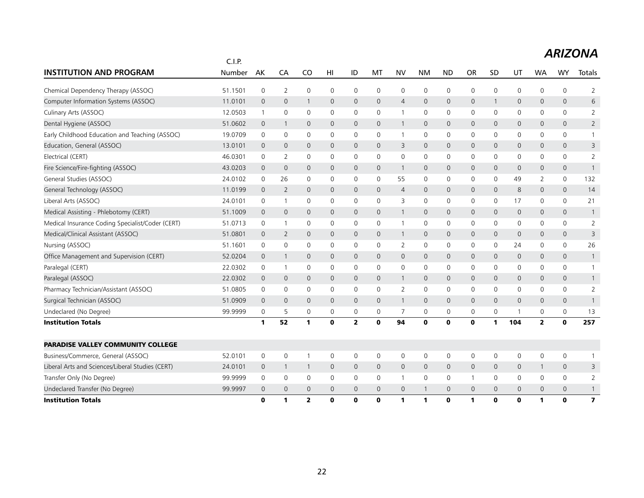|                                                  | C.I.P.  |                |                |                |                 |              |              |                |              |              |              |              |     |                |                |                         |
|--------------------------------------------------|---------|----------------|----------------|----------------|-----------------|--------------|--------------|----------------|--------------|--------------|--------------|--------------|-----|----------------|----------------|-------------------------|
| <b>INSTITUTION AND PROGRAM</b>                   | Number  | AK             | CA             | C <sub>O</sub> | H <sub>II</sub> | ID           | MT           | <b>NV</b>      | <b>NM</b>    | <b>ND</b>    | <b>OR</b>    | SD           | UT  | <b>WA</b>      | <b>WY</b>      | Totals                  |
| Chemical Dependency Therapy (ASSOC)              | 51.1501 | $\mathbf 0$    | 2              | $\mathbf 0$    | 0               | $\mathbf 0$  | $\Omega$     | $\mathbf 0$    | $\mathbf 0$  | $\mathbf 0$  | 0            | 0            | 0   | $\mathbf{0}$   | $\mathbf 0$    | $\overline{2}$          |
| Computer Information Systems (ASSOC)             | 11.0101 | $\overline{0}$ | $\mathbf{0}$   | 1              | $\mathbf{0}$    | $\mathbf{0}$ | $\mathbf 0$  | $\overline{4}$ | $\mathbf{0}$ | $\mathbf{0}$ | $\mathbf 0$  |              | 0   | $\mathbf 0$    | $\mathbf{0}$   | 6                       |
| Culinary Arts (ASSOC)                            | 12.0503 | $\mathbf{1}$   | 0              | $\mathbf 0$    | $\mathbf 0$     | 0            | 0            | $\mathbf{1}$   | $\mathbf 0$  | 0            | 0            | 0            | 0   | 0              | 0              | $\overline{2}$          |
| Dental Hygiene (ASSOC)                           | 51.0602 | $\mathbf{0}$   | $\overline{1}$ | $\mathbf{0}$   | $\mathbf{0}$    | $\mathbf{0}$ | $\mathbf 0$  | $\mathbf{1}$   | $\mathbf{0}$ | $\mathbf{0}$ | $\mathsf{O}$ | $\mathbf{0}$ | 0   | $\mathbf{0}$   | $\overline{0}$ | $\overline{2}$          |
| Early Childhood Education and Teaching (ASSOC)   | 19.0709 | $\mathbf 0$    | $\mathbf 0$    | 0              | 0               | $\mathbf 0$  | $\mathbf 0$  | $\mathbf{1}$   | $\mathsf{O}$ | $\mathbf 0$  | 0            | 0            | 0   | $\mathbf 0$    | 0              | $\mathbf{1}$            |
| Education, General (ASSOC)                       | 13.0101 | $\mathbf 0$    | $\mathbf 0$    | $\mathbf 0$    | $\mathbf 0$     | $\mathbf 0$  | $\mathbf{0}$ | 3              | $\mathbf 0$  | $\mathbf 0$  | 0            | $\mathbf 0$  | 0   | $\mathbf{0}$   | 0              | 3                       |
| Electrical (CERT)                                | 46.0301 | 0              | 2              | $\mathbf 0$    | $\mathbf 0$     | 0            | 0            | 0              | 0            | 0            | 0            | 0            | 0   | 0              | 0              | $\overline{2}$          |
| Fire Science/Fire-fighting (ASSOC)               | 43.0203 | $\overline{0}$ | $\mathbf 0$    | $\mathbf 0$    | 0               | 0            | 0            | $\mathbf{1}$   | $\mathbf 0$  | 0            | 0            | 0            | 0   | 0              | 0              | $\mathbf{1}$            |
| General Studies (ASSOC)                          | 24.0102 | $\mathbf 0$    | 26             | $\mathbf 0$    | $\mathbf 0$     | $\mathbf 0$  | $\mathbf 0$  | 55             | $\mathbf 0$  | $\mathbf 0$  | 0            | 0            | 49  | $\overline{2}$ | 0              | 132                     |
| General Technology (ASSOC)                       | 11.0199 | $\overline{0}$ | 2              | $\mathbf{0}$   | $\mathbf{0}$    | $\mathbf{0}$ | $\mathbf{0}$ | $\overline{4}$ | $\mathbf{0}$ | $\mathbf{0}$ | 0            | $\mathbf 0$  | 8   | $\mathbf{0}$   | $\overline{0}$ | 14                      |
| Liberal Arts (ASSOC)                             | 24.0101 | $\mathbf 0$    | $\overline{1}$ | $\mathbf 0$    | $\mathbf{0}$    | 0            | $\mathbf{0}$ | 3              | $\mathbf 0$  | $\mathbf 0$  | 0            | 0            | 17  | 0              | 0              | 21                      |
| Medical Assisting - Phlebotomy (CERT)            | 51.1009 | $\mathbf 0$    | $\mathbf 0$    | $\mathbf{0}$   | $\mathbf{0}$    | $\mathbf{0}$ | $\mathbf{0}$ | $\mathbf{1}$   | $\mathbf{0}$ | $\mathbf 0$  | $\mathsf{O}$ | $\mathbf 0$  | 0   | $\mathbf{0}$   | $\overline{0}$ | $\mathbf{1}$            |
| Medical Insurance Coding Specialist/Coder (CERT) | 51.0713 | $\mathbf 0$    | $\overline{1}$ | $\mathbf 0$    | $\mathbf 0$     | $\mathbf 0$  | $\mathbf 0$  | $\mathbf{1}$   | $\mathbf 0$  | $\mathbf 0$  | 0            | 0            | 0   | 0              | 0              | $\overline{2}$          |
| Medical/Clinical Assistant (ASSOC)               | 51.0801 | $\overline{0}$ | 2              | $\mathbf{0}$   | $\mathbf{0}$    | $\mathbf{0}$ | $\mathbf{0}$ | $\mathbf{1}$   | $\mathbf 0$  | $\mathbf 0$  | $\mathsf{O}$ | $\mathbf{0}$ | 0   | $\mathbf{0}$   | $\mathbf{0}$   | 3                       |
| Nursing (ASSOC)                                  | 51.1601 | $\mathbf 0$    | $\mathbf 0$    | $\mathbf 0$    | $\mathbf{0}$    | $\mathbf 0$  | $\Omega$     | $\overline{2}$ | $\mathbf 0$  | $\mathbf 0$  | 0            | $\mathbf{0}$ | 24  | $\mathbf{0}$   | 0              | 26                      |
| Office Management and Supervision (CERT)         | 52.0204 | $\mathbf 0$    | $\overline{1}$ | $\mathbf 0$    | $\mathbf 0$     | $\mathbf 0$  | $\mathbf 0$  | $\mathbf 0$    | $\mathbf 0$  | $\mathbf 0$  | 0            | $\mathbf 0$  | 0   | 0              | 0              | $\mathbf{1}$            |
| Paralegal (CERT)                                 | 22.0302 | 0              | $\overline{1}$ | $\mathbf 0$    | 0               | 0            | 0            | 0              | $\mathbf 0$  | 0            | 0            | 0            | 0   | 0              | 0              | $\mathbf{1}$            |
| Paralegal (ASSOC)                                | 22.0302 | $\mathbf 0$    | $\mathbf 0$    | $\mathbf 0$    | $\mathbf 0$     | $\mathbf 0$  | $\mathbf 0$  | $\mathbf{1}$   | $\mathbf 0$  | $\mathbf 0$  | 0            | 0            | 0   | 0              | 0              | $\mathbf{1}$            |
| Pharmacy Technician/Assistant (ASSOC)            | 51.0805 | 0              | $\mathbf 0$    | 0              | 0               | 0            | 0            | $\overline{2}$ | $\mathbf 0$  | $\mathbf 0$  | 0            | 0            | 0   | 0              | $\mathbf 0$    | $\overline{2}$          |
| Surgical Technician (ASSOC)                      | 51.0909 | $\overline{0}$ | $\mathbf 0$    | $\mathbf 0$    | $\mathsf{O}$    | $\mathbf 0$  | $\mathbf{0}$ | $\mathbf{1}$   | $\mathbf{0}$ | $\mathbf 0$  | 0            | $\mathbf{0}$ | 0   | $\mathbf 0$    | $\mathsf{O}$   | $\mathbf{1}$            |
| Undeclared (No Degree)                           | 99.9999 | 0              | 5              | 0              | 0               | 0            | 0            | 7              | 0            | 0            | 0            | 0            | 1   | 0              | 0              | 13                      |
| <b>Institution Totals</b>                        |         | $\mathbf{1}$   | 52             | $\mathbf{1}$   | $\mathbf{0}$    | $\mathbf{z}$ | $\mathbf 0$  | 94             | $\mathbf 0$  | $\mathbf 0$  | $\mathbf 0$  | 1            | 104 | $\overline{2}$ | $\mathbf 0$    | 257                     |
| <b>PARADISE VALLEY COMMUNITY COLLEGE</b>         |         |                |                |                |                 |              |              |                |              |              |              |              |     |                |                |                         |
| Business/Commerce, General (ASSOC)               | 52.0101 | $\mathbf 0$    | $\mathbf 0$    | $\mathbf 1$    | $\mathbf 0$     | 0            | 0            | 0              | $\mathsf{O}$ | $\mathbf 0$  | 0            | 0            | 0   | 0              | $\mathsf 0$    | 1                       |
| Liberal Arts and Sciences/Liberal Studies (CERT) | 24.0101 | $\mathbf 0$    | $\overline{1}$ | $\overline{1}$ | $\mathbf{0}$    | $\mathbf{0}$ | $\mathbf{0}$ | $\mathbf{0}$   | $\mathbf{0}$ | $\mathbf{0}$ | $\mathsf{O}$ | $\Omega$     | 0   | $\mathbf{1}$   | $\mathbf 0$    | 3                       |
| Transfer Only (No Degree)                        | 99.9999 | $\mathbf 0$    | $\mathbf 0$    | 0              | $\mathbf 0$     | 0            | $\mathbf 0$  | $\mathbf{1}$   | $\mathsf{O}$ | $\mathbf 0$  | $\mathbf{1}$ | 0            | 0   | $\mathbf 0$    | 0              | $\overline{2}$          |
| Undeclared Transfer (No Degree)                  | 99.9997 | $\overline{0}$ | $\mathbf{0}$   | $\overline{0}$ | $\mathbf{0}$    | 0            | $\mathbf{0}$ | $\mathbf 0$    | $\mathbf{1}$ | $\mathbf 0$  | $\mathbf 0$  | 0            | 0   | 0              | 0              | $\mathbf{1}$            |
| <b>Institution Totals</b>                        |         | $\bf{0}$       | 1              | $\overline{2}$ | 0               | 0            | $\bf{0}$     | 1              | 1            | $\mathbf{0}$ | 1            | 0            | 0   | 1              | $\bf{0}$       | $\overline{\mathbf{z}}$ |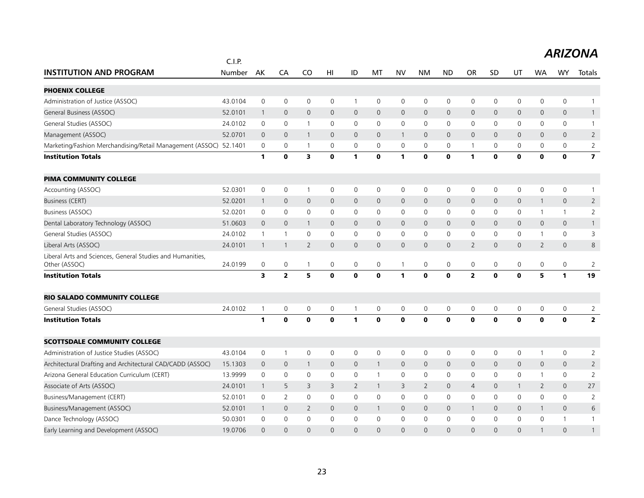|                                                                             | C.I.P.  |                |                |                         |                 |                     |                |              |                |                     |                |                     |                |                |                     |                         |
|-----------------------------------------------------------------------------|---------|----------------|----------------|-------------------------|-----------------|---------------------|----------------|--------------|----------------|---------------------|----------------|---------------------|----------------|----------------|---------------------|-------------------------|
| <b>INSTITUTION AND PROGRAM</b>                                              | Number  | AK             | CA             | CO                      | H <sub>II</sub> | ID                  | MT             | <b>NV</b>    | <b>NM</b>      | <b>ND</b>           | <b>OR</b>      | SD                  | UT             | <b>WA</b>      | <b>WY</b>           | Totals                  |
| <b>PHOENIX COLLEGE</b>                                                      |         |                |                |                         |                 |                     |                |              |                |                     |                |                     |                |                |                     |                         |
| Administration of Justice (ASSOC)                                           | 43.0104 | $\mathsf 0$    | $\mathbf 0$    | $\mathsf{O}\xspace$     | 0               | $\mathbf{1}$        | 0              | 0            | $\mathbf 0$    | $\mathbf 0$         | 0              | $\mathsf{O}\xspace$ | 0              | 0              | $\mathsf{O}\xspace$ | $\overline{1}$          |
| General Business (ASSOC)                                                    | 52.0101 | $\overline{1}$ | $\mathbf 0$    | $\mathbf{0}$            | $\mathsf{O}$    | $\mathsf{O}\xspace$ | $\mathbf{0}$   | $\mathsf{O}$ | $\mathbf 0$    | $\mathbf 0$         | $\mathsf{O}$   | 0                   | 0              | $\mathbf{0}$   | $\mathbf 0$         | $\mathbf{1}$            |
| General Studies (ASSOC)                                                     | 24.0102 | 0              | $\mathbf 0$    | $\mathbf{1}$            | 0               | 0                   | 0              | $\mathbf 0$  | $\mathbf 0$    | $\mathbf 0$         | 0              | 0                   | $\mathsf{O}$   | 0              | $\mathbf 0$         | $\mathbf{1}$            |
| Management (ASSOC)                                                          | 52.0701 | $\mathbf 0$    | $\mathbf{0}$   | $\mathbf{1}$            | $\mathbf{0}$    | $\mathbf{0}$        | $\mathbf{0}$   | $\mathbf{1}$ | $\mathbf{0}$   | $\mathbf{0}$        | $\mathsf{O}$   | $\mathbf{0}$        | $\mathbf{0}$   | $\Omega$       | $\overline{0}$      | $\overline{2}$          |
| Marketing/Fashion Merchandising/Retail Management (ASSOC) 52.1401           |         | 0              | 0              | $\overline{1}$          | 0               | 0                   | $\mathbf{0}$   | 0            | 0              | 0                   | $\mathbf{1}$   | 0                   | 0              | $\mathbf{0}$   | 0                   | $\overline{2}$          |
| <b>Institution Totals</b>                                                   |         | 1              | $\mathbf 0$    | $\overline{\mathbf{3}}$ | $\mathbf 0$     | 1                   | $\mathbf 0$    | $\mathbf{1}$ | $\mathbf{0}$   | $\mathbf 0$         | $\mathbf{1}$   | $\mathbf o$         | $\mathbf 0$    | $\mathbf 0$    | $\mathbf 0$         | $\overline{\mathbf{z}}$ |
| <b>PIMA COMMUNITY COLLEGE</b>                                               |         |                |                |                         |                 |                     |                |              |                |                     |                |                     |                |                |                     |                         |
| Accounting (ASSOC)                                                          | 52.0301 | $\mathbf 0$    | $\mathbf 0$    | $\overline{1}$          | 0               | 0                   | 0              | $\mathbf 0$  | $\mathbf 0$    | $\mathbf 0$         | 0              | $\mathbf 0$         | $\mathsf{O}$   | $\mathbf 0$    | $\mathbf 0$         | 1                       |
| Business (CERT)                                                             | 52.0201 | $\mathbf{1}$   | $\mathbf{0}$   | $\mathbf{0}$            | $\mathbf{0}$    | $\mathbf{0}$        | $\overline{0}$ | $\mathbf{0}$ | $\mathbf{0}$   | $\mathbf{0}$        | $\mathsf{O}$   | $\mathbf{0}$        | $\mathsf{O}$   | $\mathbf{1}$   | $\mathbf{0}$        | $\overline{2}$          |
| Business (ASSOC)                                                            | 52.0201 | 0              | $\mathbf 0$    | $\mathsf{O}\xspace$     | $\mathbf 0$     | $\mathbf 0$         | $\mathbf 0$    | 0            | $\mathbf 0$    | $\mathbf 0$         | 0              | $\mathbf 0$         | 0              | $\mathbf{1}$   | $\mathbf{1}$        | $\overline{2}$          |
| Dental Laboratory Technology (ASSOC)                                        | 51.0603 | $\mathbf 0$    | $\mathbf{0}$   | $\overline{1}$          | $\mathbf 0$     | $\mathbf{0}$        | $\mathbf{0}$   | $\mathbf{0}$ | $\mathbf{0}$   | $\mathbf{0}$        | $\mathsf{O}$   | 0                   | $\mathsf{O}$   | $\mathbf{0}$   | $\mathbf{0}$        | $\mathbf{1}$            |
| General Studies (ASSOC)                                                     | 24.0102 | $\mathbf{1}$   | $\overline{1}$ | $\mathbf 0$             | 0               | 0                   | 0              | 0            | $\mathbf 0$    | 0                   | 0              | $\mathbf 0$         | 0              | $\mathbf{1}$   | $\mathsf{O}$        | 3                       |
| Liberal Arts (ASSOC)                                                        | 24.0101 | $\overline{1}$ | $\overline{1}$ | $\overline{2}$          | $\mathbf{0}$    | $\mathbf{0}$        | $\overline{0}$ | $\mathbf{0}$ | $\mathbf{0}$   | $\overline{0}$      | $\overline{2}$ | $\mathbf{0}$        | 0              | $\overline{2}$ | $\overline{0}$      | 8                       |
| Liberal Arts and Sciences, General Studies and Humanities,<br>Other (ASSOC) | 24.0199 | 0              | $\mathbf 0$    | $\mathbf{1}$            | 0               | $\mathbf 0$         | $\mathbf 0$    | $\mathbf{1}$ | $\mathbf 0$    | $\mathbf 0$         | 0              | 0                   | $\mathsf{O}$   | 0              | $\mathbf 0$         | $\overline{2}$          |
| <b>Institution Totals</b>                                                   |         | 3              | $\mathbf{2}$   | 5                       | $\mathbf 0$     | $\mathbf 0$         | $\mathbf 0$    | $\mathbf{1}$ | $\mathbf{0}$   | $\mathbf 0$         | $\mathbf{2}$   | $\mathbf{0}$        | $\mathbf 0$    | 5              | $\mathbf{1}$        | 19                      |
| <b>RIO SALADO COMMUNITY COLLEGE</b>                                         |         |                |                |                         |                 |                     |                |              |                |                     |                |                     |                |                |                     |                         |
| General Studies (ASSOC)                                                     | 24.0102 | $\overline{1}$ | $\mathbf 0$    | 0                       | 0               | 1                   | 0              | 0            | $\mathbf 0$    | 0                   | 0              | 0                   | 0              | 0              | 0                   | 2                       |
| <b>Institution Totals</b>                                                   |         | $\mathbf{1}$   | $\mathbf 0$    | $\mathbf 0$             | $\mathbf 0$     | 1                   | $\mathbf 0$    | $\mathbf 0$  | $\mathbf{0}$   | $\mathbf 0$         | $\mathbf{0}$   | $\mathbf{0}$        | $\mathbf{0}$   | $\mathbf 0$    | $\mathbf 0$         | $\mathbf{2}$            |
| <b>SCOTTSDALE COMMUNITY COLLEGE</b>                                         |         |                |                |                         |                 |                     |                |              |                |                     |                |                     |                |                |                     |                         |
| Administration of Justice Studies (ASSOC)                                   | 43.0104 | $\mathbf 0$    | $\overline{1}$ | $\mathbf 0$             | 0               | $\mathsf 0$         | $\mathbf 0$    | 0            | $\mathbf 0$    | $\mathbf 0$         | 0              | $\mathbf 0$         | 0              | $\mathbf{1}$   | $\mathsf 0$         | $\overline{2}$          |
| Architectural Drafting and Architectural CAD/CADD (ASSOC)                   | 15.1303 | $\mathbf{0}$   | $\mathbf 0$    | $\overline{1}$          | $\mathbf{0}$    | $\mathbf 0$         | $\mathbf{1}$   | $\mathbf{0}$ | $\mathbf{0}$   | $\mathbf{0}$        | 0              | $\mathbf{0}$        | $\overline{0}$ | $\mathbf{0}$   | $\mathbf{0}$        | $\overline{2}$          |
| Arizona General Education Curriculum (CERT)                                 | 13.9999 | 0              | $\mathbf 0$    | $\mathbf 0$             | 0               | $\mathbf 0$         | $\mathbf{1}$   | $\mathbf 0$  | $\mathbf 0$    | $\mathbf 0$         | 0              | $\mathbf{0}$        | $\mathsf{O}$   | $\mathbf{1}$   | $\mathbf 0$         | 2                       |
| Associate of Arts (ASSOC)                                                   | 24.0101 | $\mathbf{1}$   | 5              | 3                       | 3               | $\overline{2}$      | $\mathbf{1}$   | 3            | $\overline{2}$ | $\mathbf{0}$        | $\overline{4}$ | $\mathbf{0}$        | $\mathbf{1}$   | $\overline{2}$ | $\mathbf{0}$        | 27                      |
| Business/Management (CERT)                                                  | 52.0101 | 0              | 2              | 0                       | $\mathbf 0$     | 0                   | $\mathbf 0$    | 0            | $\mathbf 0$    | 0                   | 0              | $\mathbf 0$         | $\mathsf{O}$   | $\mathbf 0$    | $\mathbf 0$         | $\overline{2}$          |
| Business/Management (ASSOC)                                                 | 52.0101 | $\mathbf{1}$   | $\mathbf 0$    | $\overline{2}$          | $\mathsf{O}$    | $\mathbf 0$         | $\mathbf{1}$   | $\mathsf{O}$ | $\mathbf 0$    | $\mathsf{O}\xspace$ | $\mathbf{1}$   | $\mathbf{0}$        | 0              | $\mathbf{1}$   | $\mathbf 0$         | $6\,$                   |
| Dance Technology (ASSOC)                                                    | 50.0301 | 0              | $\mathbf 0$    | 0                       | $\mathbf{0}$    | 0                   | $\Omega$       | $\mathbf 0$  | $\mathbf 0$    | $\mathbf 0$         | 0              | 0                   | 0              | $\mathbf{0}$   | 1                   | $\mathbf{1}$            |
| Early Learning and Development (ASSOC)                                      | 19.0706 | $\Omega$       | $\Omega$       | $\Omega$                | $\Omega$        | $\Omega$            | $\Omega$       | $\Omega$     | $\Omega$       | $\Omega$            | $\Omega$       | $\Omega$            | $\Omega$       | $\mathbf{1}$   | $\Omega$            | $\mathbf{1}$            |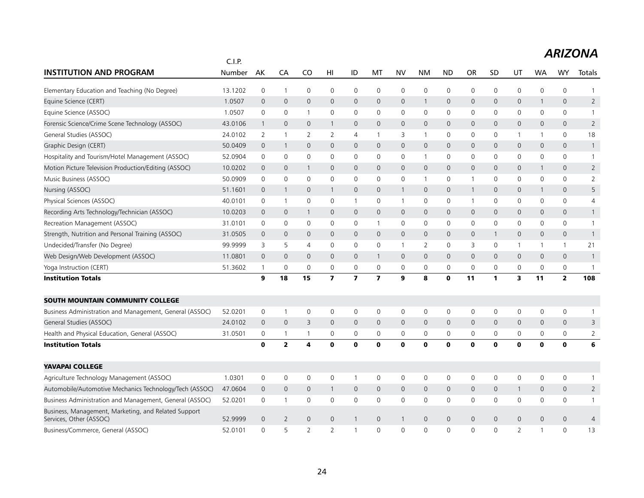|                                                                                 | C.I.P.  |                |                         |                          |                         |                         |                         |              |              |                     |                |                |                |                     |                     |                |
|---------------------------------------------------------------------------------|---------|----------------|-------------------------|--------------------------|-------------------------|-------------------------|-------------------------|--------------|--------------|---------------------|----------------|----------------|----------------|---------------------|---------------------|----------------|
| <b>INSTITUTION AND PROGRAM</b>                                                  | Number  | AK             | CA                      | CO                       | HI                      | ID                      | МT                      | <b>NV</b>    | <b>NM</b>    | <b>ND</b>           | OR             | SD             | UT             | <b>WA</b>           | <b>WY</b>           | Totals         |
| Elementary Education and Teaching (No Degree)                                   | 13.1202 | 0              | $\overline{1}$          | 0                        | 0                       | 0                       | 0                       | 0            | $\mathbf 0$  | $\mathsf 0$         | 0              | 0              | 0              | $\mathsf{O}\xspace$ | $\mathsf{O}\xspace$ | 1              |
| Equine Science (CERT)                                                           | 1.0507  | $\overline{0}$ | $\mathbf 0$             | $\mathbf 0$              | $\mathbf 0$             | $\mathbf 0$             | 0                       | $\mathsf{O}$ | $\mathbf{1}$ | 0                   | $\mathbf 0$    | 0              | 0              | 1                   | $\mathsf{O}$        | $\overline{2}$ |
| Equine Science (ASSOC)                                                          | 1.0507  | 0              | $\mathbf 0$             | $\overline{1}$           | 0                       | $\mathbf 0$             | 0                       | 0            | $\mathbf 0$  | $\mathbf 0$         | $\mathbf 0$    | 0              | 0              | $\mathbf 0$         | $\mathsf{O}$        | $\mathbf{1}$   |
| Forensic Science/Crime Scene Technology (ASSOC)                                 | 43.0106 | $\mathbf{1}$   | $\mathbf 0$             | $\mathbf{0}$             | $\mathbf{1}$            | $\mathbf{0}$            | $\mathbf{0}$            | $\mathbf{0}$ | $\mathbf{0}$ | $\mathbf 0$         | $\mathbf{0}$   | $\mathbf{0}$   | 0              | 0                   | $\mathbf{0}$        | $\overline{2}$ |
| General Studies (ASSOC)                                                         | 24.0102 | 2              | $\overline{1}$          | 2                        | 2                       | 4                       | $\mathbf{1}$            | 3            | $\mathbf{1}$ | 0                   | 0              | $\mathbf{0}$   | $\mathbf{1}$   | $\mathbf{1}$        | 0                   | 18             |
| Graphic Design (CERT)                                                           | 50.0409 | $\overline{0}$ | $\overline{1}$          | $\mathbf{0}$             | $\mathbf{0}$            | $\mathbf{0}$            | $\mathbf{0}$            | $\mathsf{O}$ | $\mathbf{0}$ | $\mathbf 0$         | $\mathbf{0}$   | $\mathbf{0}$   | 0              | 0                   | $\mathsf{O}$        | $\mathbf{1}$   |
| Hospitality and Tourism/Hotel Management (ASSOC)                                | 52.0904 | 0              | 0                       | $\mathbf 0$              | $\mathbf 0$             | 0                       | 0                       | 0            | $\mathbf{1}$ | 0                   | 0              | 0              | 0              | 0                   | 0                   | $\mathbf{1}$   |
| Motion Picture Television Production/Editing (ASSOC)                            | 10.0202 | $\mathbf 0$    | $\mathbf 0$             | $\mathbf{1}$             | $\mathbf 0$             | $\mathbf 0$             | $\mathsf{O}\xspace$     | $\mathsf{O}$ | $\mathsf{O}$ | $\mathsf{O}\xspace$ | $\mathbf{0}$   | $\mathbf{0}$   | 0              | $\mathbf{1}$        | $\mathsf{O}$        | $\overline{2}$ |
| Music Business (ASSOC)                                                          | 50.0909 | 0              | $\mathbf 0$             | $\mathbf 0$              | 0                       | 0                       | 0                       | 0            | $\mathbf{1}$ | $\mathbf 0$         | 1              | 0              | 0              | $\mathbf 0$         | $\mathsf{O}$        | $\overline{2}$ |
| Nursing (ASSOC)                                                                 | 51.1601 | $\overline{0}$ | $\overline{1}$          | $\mathbf{0}$             | $\mathbf{1}$            | $\mathbf{0}$            | $\mathbf{0}$            | $\mathbf{1}$ | $\mathbf{0}$ | $\mathbf 0$         | $\mathbf{1}$   | $\Omega$       | $\mathsf{O}$   | 1                   | $\mathbf{0}$        | 5              |
| Physical Sciences (ASSOC)                                                       | 40.0101 | 0              | $\mathbf{1}$            | 0                        | 0                       | $\mathbf{1}$            | 0                       | $\mathbf{1}$ | 0            | 0                   | $\mathbf{1}$   | 0              | 0              | 0                   | 0                   | 4              |
| Recording Arts Technology/Technician (ASSOC)                                    | 10.0203 | $\mathbf 0$    | $\mathbf 0$             | $\overline{1}$           | $\mathbf 0$             | 0                       | $\mathbf{0}$            | $\mathsf{O}$ | $\mathsf{O}$ | $\mathbf 0$         | $\mathsf{O}$   | $\overline{0}$ | 0              | 0                   | $\mathsf{O}$        | $\mathbf{1}$   |
| Recreation Management (ASSOC)                                                   | 31.0101 | 0              | $\mathbf 0$             | $\mathbf 0$              | $\mathbf{0}$            | $\mathbf 0$             | $\mathbf{1}$            | $\mathbf 0$  | $\mathbf 0$  | $\mathbf 0$         | $\mathbf 0$    | $\mathbf 0$    | 0              | 0                   | $\mathsf{O}$        | $\mathbf{1}$   |
| Strength, Nutrition and Personal Training (ASSOC)                               | 31.0505 | $\overline{0}$ | $\mathbf 0$             | $\mathbf{0}$             | $\mathbf{0}$            | $\mathbf{0}$            | $\mathbf{0}$            | $\mathbf{0}$ | $\mathbf{0}$ | $\mathbf 0$         | $\mathbf{0}$   | 1              | 0              | 0                   | $\mathbf{0}$        | $\mathbf{1}$   |
| Undecided/Transfer (No Degree)                                                  | 99.9999 | 3              | 5                       | 4                        | $\mathbf{0}$            | 0                       | 0                       | $\mathbf{1}$ | 2            | 0                   | 3              | $\mathbf{0}$   | $\mathbf{1}$   | $\mathbf{1}$        | $\mathbf{1}$        | 21             |
| Web Design/Web Development (ASSOC)                                              | 11.0801 | $\mathbf 0$    | $\mathbf 0$             | $\mathbf 0$              | $\mathbf 0$             | $\mathbf 0$             | $\mathbf{1}$            | $\mathbf 0$  | $\mathsf{O}$ | $\mathbf 0$         | $\mathbf 0$    | $\mathbf 0$    | 0              | 0                   | $\mathsf{O}$        | $\mathbf{1}$   |
| Yoga Instruction (CERT)                                                         | 51.3602 | $\mathbf{1}$   | 0                       | $\mathbf 0$              | $\mathbf 0$             | 0                       | $\mathbf 0$             | 0            | $\mathsf{O}$ | $\mathbf 0$         | $\mathbf 0$    | 0              | 0              | 0                   | 0                   | 1              |
| <b>Institution Totals</b>                                                       |         | 9              | 18                      | 15                       | $\overline{\mathbf{z}}$ | $\overline{\mathbf{z}}$ | $\overline{\mathbf{z}}$ | 9            | 8            | $\mathbf 0$         | 11             | 1              | 3              | 11                  | $\mathbf{z}$        | 108            |
| SOUTH MOUNTAIN COMMUNITY COLLEGE                                                |         |                |                         |                          |                         |                         |                         |              |              |                     |                |                |                |                     |                     |                |
| Business Administration and Management, General (ASSOC)                         | 52.0201 | 0              | $\overline{1}$          | $\mathbf 0$              | 0                       | 0                       | $\mathbf 0$             | 0            | $\mathbf 0$  | $\mathsf 0$         | $\mathsf 0$    | 0              | 0              | 0                   | $\mathsf{O}\xspace$ | 1              |
| General Studies (ASSOC)                                                         | 24.0102 | $\overline{0}$ | $\mathbf{0}$            | $\overline{3}$           | $\mathbf{0}$            | $\mathbf{0}$            | $\mathbf{0}$            | $\mathbf{0}$ | $\mathbf{0}$ | $\mathsf{O}\xspace$ | $\mathsf{O}$   | $\mathbf{0}$   | 0              | 0                   | $\mathbf{0}$        | 3              |
| Health and Physical Education, General (ASSOC)                                  | 31.0501 | 0              | $\overline{1}$          | $\overline{\phantom{a}}$ | 0                       | 0                       | 0                       | 0            | 0            | 0                   | $\mathbf 0$    | 0              | 0              | 0                   | 0                   | $\overline{2}$ |
| <b>Institution Totals</b>                                                       |         | $\bf{0}$       | $\overline{\mathbf{2}}$ | 4                        | $\bf{0}$                | $\mathbf{0}$            | O                       | $\mathbf 0$  | $\mathbf{0}$ | $\mathbf{o}$        | $\mathbf 0$    | $\bf{0}$       | $\mathbf 0$    | $\bf{0}$            | $\mathbf 0$         | 6              |
| <b>YAVAPAI COLLEGE</b>                                                          |         |                |                         |                          |                         |                         |                         |              |              |                     |                |                |                |                     |                     |                |
| Agriculture Technology Management (ASSOC)                                       | 1.0301  | 0              | 0                       | $\mathbf 0$              | 0                       | $\mathbf{1}$            | 0                       | 0            | 0            | $\mathsf 0$         | $\mathsf 0$    | 0              | 0              | 0                   | 0                   | 1              |
| Automobile/Automotive Mechanics Technology/Tech (ASSOC)                         | 47.0604 | $\mathbf 0$    | $\mathbf 0$             | $\mathbf 0$              | $\mathbf{1}$            | $\mathsf{O}\xspace$     | $\mathbf{0}$            | $\mathsf{O}$ | $\mathsf{O}$ | 0                   | $\mathsf{O}$   | $\mathbf{0}$   | $\mathbf{1}$   | 0                   | $\mathsf{O}$        | $\overline{2}$ |
| Business Administration and Management, General (ASSOC)                         | 52.0201 | $\mathbf 0$    | $\overline{1}$          | $\mathbf 0$              | 0                       | 0                       | 0                       | 0            | $\mathbf 0$  | 0                   | $\mathbf 0$    | 0              | 0              | $\mathbf 0$         | 0                   | $\mathbf{1}$   |
| Business, Management, Marketing, and Related Support<br>Services, Other (ASSOC) | 52.9999 | $\overline{0}$ | 2                       | $\mathbf{0}$             | $\mathbf{0}$            | $\mathbf{1}$            | $\mathbf 0$             | $\mathbf{1}$ | $\mathbf{0}$ | $\mathbf 0$         | $\overline{0}$ | $\Omega$       | 0              | 0                   | $\mathbf{0}$        | 4              |
| Business/Commerce, General (ASSOC)                                              | 52.0101 | $\Omega$       | 5                       | $\overline{\phantom{0}}$ | $\overline{2}$          | $\mathbf{1}$            | $\Omega$                | $\Omega$     | $\Omega$     | $\Omega$            | $\Omega$       | $\Omega$       | $\overline{2}$ | $\mathbf{1}$        | $\Omega$            | 13             |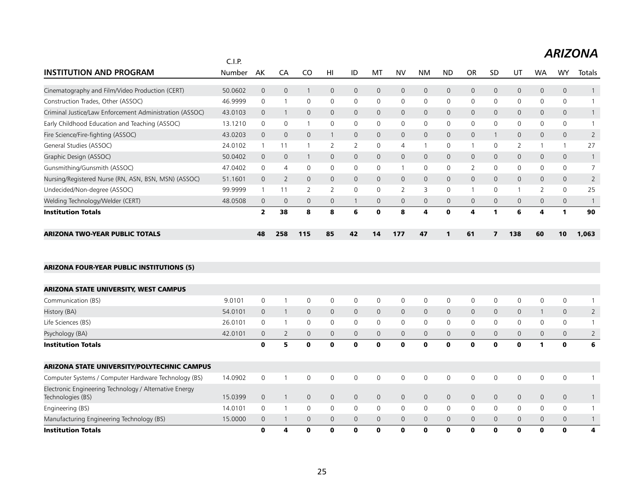|                                                         | C.I.P.  |                         |                |             |              |          |    |                |              |                |                |              |              |           |              |                |
|---------------------------------------------------------|---------|-------------------------|----------------|-------------|--------------|----------|----|----------------|--------------|----------------|----------------|--------------|--------------|-----------|--------------|----------------|
| <b>INSTITUTION AND PROGRAM</b>                          | Number  | AK                      | CA             | CO          | HI           | ID       | M  | <b>NV</b>      | NM           | <b>ND</b>      | OR             | <b>SD</b>    | U1           | <b>WA</b> | WY           | Totals         |
| Cinematography and Film/Video Production (CERT)         | 50.0602 | $\mathbf{0}$            | 0              |             | $\Omega$     | 0        | 0  | $\mathbf{0}$   | $\mathbf{0}$ | $\mathsf{O}$   | $\overline{0}$ | $\Omega$     | 0            | 0         | $\mathbf{0}$ |                |
| Construction Trades, Other (ASSOC)                      | 46.9999 | 0                       |                | $\Omega$    | $\mathbf{0}$ | 0        | 0  | 0              | $\Omega$     | 0              | $\mathbf 0$    | $\mathbf{0}$ | 0            | 0         | 0            |                |
| Criminal Justice/Law Enforcement Administration (ASSOC) | 43.0103 | $\Omega$                |                | $\Omega$    | $\Omega$     | 0        | 0  | $\mathbf{0}$   | $\Omega$     | $\mathbf{0}$   | $\mathbf{0}$   | $\Omega$     | 0            | $\Omega$  | $\mathbf{0}$ |                |
| Early Childhood Education and Teaching (ASSOC)          | 13.1210 | 0                       | $\Omega$       |             | $\mathbf{0}$ | 0        | 0  | 0              | 0            | 0              | $\mathbf{0}$   | $\Omega$     | 0            | 0         | 0            |                |
| Fire Science/Fire-fighting (ASSOC)                      | 43.0203 | $\Omega$                | $\Omega$       | $\Omega$    |              | 0        | 0  | $\mathbf 0$    | $\Omega$     | $\overline{0}$ | $\Omega$       |              | $\Omega$     | 0         | $\mathbf{0}$ |                |
| General Studies (ASSOC)                                 | 24.0102 |                         |                |             |              | 2        | 0  | 4              |              | 0              |                | $\Omega$     |              |           |              | 27             |
| Graphic Design (ASSOC)                                  | 50.0402 | $\Omega$                | $\Omega$       |             | $\Omega$     | $\Omega$ | 0  | $\Omega$       | $\Omega$     | $\mathbf{0}$   | $\Omega$       | $\Omega$     | $\mathbf{0}$ | 0         | $\mathbf{0}$ |                |
| Gunsmithing/Gunsmith (ASSOC)                            | 47.0402 | $\Omega$                | $\overline{4}$ | $\Omega$    | $\mathbf{0}$ | 0        | 0  |                | 0            | 0              | 2              | $\Omega$     | 0            | 0         | 0            |                |
| Nursing/Registered Nurse (RN, ASN, BSN, MSN) (ASSOC)    | 51.1601 | $\mathbf{0}$            | $\overline{2}$ | $\Omega$    | $\Omega$     | 0        | 0  | $\mathbf{0}$   | $\Omega$     | $\mathbf{0}$   | $\mathbf 0$    | $\Omega$     | $\mathbf{0}$ | 0         | $\mathbf{0}$ | $\overline{2}$ |
| Undecided/Non-degree (ASSOC)                            | 99.9999 |                         | 11             |             |              | 0        | 0  | $\overline{2}$ | 3            | 0              |                | $\Omega$     |              |           | 0            | 25             |
| Welding Technology/Welder (CERT)                        | 48.0508 | $\mathbf 0$             | $\mathbf 0$    | $\mathbf 0$ | $\mathbf 0$  |          | 0  | $\mathbf{0}$   | $\mathbf{0}$ | $\mathbf{0}$   | $\mathbf 0$    | $\mathbf{0}$ | 0            | 0         | $\mathbf{0}$ |                |
| <b>Institution Totals</b>                               |         | $\overline{\mathbf{z}}$ | 38             | 8           | 8            | 6        | ŋ  | 8              | 4            | O              | 4              |              | 6            | 4         |              | 90             |
| <b>ARIZONA TWO-YEAR PUBLIC TOTALS</b>                   |         | 48                      | 258            | 115         | 85           | 42       | 14 | 177            | 47           |                | 61             |              | 138          | 60        | 10           | 1,063          |

#### ARIZONA FOUR-YEAR PUBLIC INSTITUTIONS (5)

| <b>Institution Totals</b>                                                   |         | 0            | 4              | 0           | $\mathbf{o}$   | 0 | 0 | $\mathbf 0$    | 0            | 0            | 0            | $\mathbf 0$  | 0              | 0            | $\mathbf{o}$ | 4 |
|-----------------------------------------------------------------------------|---------|--------------|----------------|-------------|----------------|---|---|----------------|--------------|--------------|--------------|--------------|----------------|--------------|--------------|---|
| Manufacturing Engineering Technology (BS)                                   | 15,0000 | $\mathbf 0$  |                | $\Omega$    | $\Omega$       | 0 | 0 | $\mathbf{0}$   | $\mathbf{0}$ | $\mathbf{0}$ | $\mathbf 0$  | $\Omega$     | 0              | 0            | $\mathbf{0}$ |   |
| Engineering (BS)                                                            | 14.0101 | 0            |                | $\Omega$    | 0              | 0 | 0 | 0              | $\mathbf{0}$ | $\mathbf{0}$ | $\mathbf{0}$ | $\mathbf{0}$ | 0              | 0            | $\Omega$     |   |
| Electronic Engineering Technology / Alternative Energy<br>Technologies (BS) | 15.0399 | $\mathsf{O}$ |                | $\mathbf 0$ | $\overline{0}$ | 0 | 0 | $\mathbf{0}$   | $\Omega$     | $\mathbf{0}$ | $\mathbf{0}$ | $\Omega$     | $\mathbf 0$    | $\mathbf{0}$ | $\mathbf{0}$ |   |
| Computer Systems / Computer Hardware Technology (BS)                        | 14.0902 | $\Omega$     |                | $\Omega$    | 0              | 0 | 0 | 0              | $\Omega$     | 0            | 0            | 0            | 0              | 0            | 0            |   |
| <b>ARIZONA STATE UNIVERSITY/POLYTECHNIC CAMPUS</b>                          |         |              |                |             |                |   |   |                |              |              |              |              |                |              |              |   |
| <b>Institution Totals</b>                                                   |         | 0            | 5              | 0           | $\mathbf{o}$   | 0 | 0 | $\mathbf 0$    | 0            | 0            | 0            | $\mathbf{o}$ | 0              |              | 0            | 6 |
| Psychology (BA)                                                             | 42.0101 | 0            | $\overline{2}$ | $\mathbf 0$ | $\mathbf{0}$   | 0 | 0 | $\mathbf{0}$   | $\mathbf{0}$ | $\mathbf{0}$ | $\mathbf 0$  | $\mathbf{0}$ | 0              | 0            | $\mathbf{0}$ |   |
| Life Sciences (BS)                                                          | 26.0101 | 0            |                | $\Omega$    | 0              | 0 | 0 | 0              | $\mathbf{0}$ | 0            | 0            | $\Omega$     | 0              | 0            | 0            |   |
| History (BA)                                                                | 54.0101 | $\mathsf{O}$ |                | $\mathbf 0$ | $\mathbf{0}$   | 0 | 0 | $\overline{0}$ | $\Omega$     | $\mathbf{0}$ | $\mathbf 0$  | $\Omega$     | $\overline{0}$ |              | $\mathbf{0}$ | 2 |
| Communication (BS)                                                          | 9.0101  | $\Omega$     |                | $\Omega$    | 0              | 0 | 0 | 0              | $\mathbf{0}$ | 0            | 0            | 0            | 0              | 0            | 0            |   |
| <b>ARIZONA STATE UNIVERSITY, WEST CAMPUS</b>                                |         |              |                |             |                |   |   |                |              |              |              |              |                |              |              |   |
|                                                                             |         |              |                |             |                |   |   |                |              |              |              |              |                |              |              |   |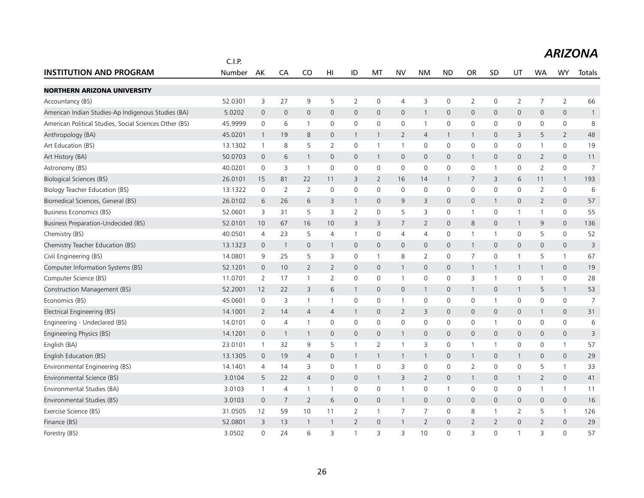|                                                        | C.I.P.  |                |                |                |                     |                |                |                     |                     |                     |                |                |                     | ◡╷╻┌           |                     |                |  |  |  |  |
|--------------------------------------------------------|---------|----------------|----------------|----------------|---------------------|----------------|----------------|---------------------|---------------------|---------------------|----------------|----------------|---------------------|----------------|---------------------|----------------|--|--|--|--|
| <b>INSTITUTION AND PROGRAM</b>                         | Number  | AK             | CA             | CO             | HI                  | ID             | МT             | <b>NV</b>           | <b>NM</b>           | <b>ND</b>           | <b>OR</b>      | <b>SD</b>      | UT                  | <b>WA</b>      | <b>WY</b>           | Totals         |  |  |  |  |
| <b>NORTHERN ARIZONA UNIVERSITY</b>                     |         |                |                |                |                     |                |                |                     |                     |                     |                |                |                     |                |                     |                |  |  |  |  |
| Accountancy (BS)                                       | 52.0301 | 3              | 27             | 9              | 5                   | $\overline{2}$ | 0              | 4                   | 3                   | $\mathsf{O}\xspace$ | $\overline{2}$ | 0              | $\overline{2}$      | $\overline{7}$ | $\overline{2}$      | 66             |  |  |  |  |
| American Indian Studies-Ap Indigenous Studies (BA)     | 5.0202  | $\mathbf 0$    | $\mathbf 0$    | $\mathbf{0}$   | $\mathbf{0}$        | $\mathbf 0$    | $\mathbf{0}$   | $\mathbf{0}$        | $\mathbf{1}$        | $\mathbf 0$         | $\mathbf 0$    | 0              | 0                   | 0              | $\mathsf{O}\xspace$ | $\mathbf{1}$   |  |  |  |  |
| American Political Studies, Social Sciences Other (BS) | 45.9999 | $\mathbf 0$    | 6              | $\mathbf{1}$   | 0                   | 0              | $\mathbf 0$    | $\mathbf 0$         | $\mathbf{1}$        | $\mathbf 0$         | $\mathbf 0$    | 0              | $\mathbf 0$         | 0              | 0                   | 8              |  |  |  |  |
| Anthropology (BA)                                      | 45.0201 | $\mathbf{1}$   | 19             | 8              | $\mathbf{0}$        | $\mathbf{1}$   | $\mathbf{1}$   | $\overline{2}$      | $\overline{4}$      | $\overline{1}$      | $\overline{1}$ | $\mathbf 0$    | 3                   | 5              | $\overline{2}$      | 48             |  |  |  |  |
| Art Education (BS)                                     | 13.1302 | $\mathbf{1}$   | 8              | 5              | $\overline{2}$      | 0              | $\mathbf{1}$   | $\mathbf{1}$        | $\mathsf{O}\xspace$ | $\mathsf{O}$        | $\mathbf 0$    | 0              | $\mathsf{O}$        | 1              | 0                   | 19             |  |  |  |  |
| Art History (BA)                                       | 50.0703 | $\mathbf 0$    | 6              | $\overline{1}$ | $\mathbf{0}$        | $\mathsf{O}$   | $\mathbf{1}$   | $\mathbf{0}$        | $\mathbf{0}$        | $\mathbf{0}$        | $\overline{1}$ | $\mathbf{0}$   | $\mathbf{0}$        | 2              | $\mathbf{0}$        | 11             |  |  |  |  |
| Astronomy (BS)                                         | 40.0201 | 0              | 3              | $\overline{1}$ | $\mathbf 0$         | 0              | 0              | 0                   | $\mathbf 0$         | $\mathsf{O}$        | 0              | $\overline{1}$ | 0                   | $\overline{2}$ | 0                   | $\overline{7}$ |  |  |  |  |
| <b>Biological Sciences (BS)</b>                        | 26.0101 | 15             | 81             | 22             | 11                  | 3              | 2              | 16                  | 14                  | $\overline{1}$      | 7              | 3              | 6                   | 11             | $\mathbf{1}$        | 193            |  |  |  |  |
| Biology Teacher Education (BS)                         | 13.1322 | $\mathsf 0$    | $\overline{2}$ | $\overline{2}$ | $\mathsf{O}\xspace$ | 0              | $\mathbf 0$    | 0                   | 0                   | $\mathsf{O}$        | $\mathbf 0$    | $\mathbf 0$    | $\mathbf 0$         | $\overline{2}$ | 0                   | 6              |  |  |  |  |
| Biomedical Sciences, General (BS)                      | 26.0102 | 6              | 26             | 6              | 3                   | $\mathbf{1}$   | $\mathbf 0$    | 9                   | 3                   | $\mathbf{0}$        | $\mathbf 0$    | $\mathbf{1}$   | $\mathsf{O}$        | $\overline{2}$ | $\mathbf{0}$        | 57             |  |  |  |  |
| <b>Business Economics (BS)</b>                         | 52.0601 | 3              | 31             | 5              | 3                   | $\overline{2}$ | 0              | 5                   | 3                   | $\mathsf{O}$        | $\overline{1}$ | 0              | $\mathbf{1}$        | 1              | 0                   | 55             |  |  |  |  |
| Business Preparation-Undecided (BS)                    | 52.0101 | 10             | 67             | 16             | 10                  | 3              | 3              | 7                   | $\overline{2}$      | $\mathbf{0}$        | 8              | $\mathbf 0$    | $\mathbf{1}$        | 9              | $\mathbf{0}$        | 136            |  |  |  |  |
| Chemistry (BS)                                         | 40.0501 | $\overline{4}$ | 23             | 5              | $\overline{4}$      | $\mathbf{1}$   | 0              | 4                   | 4                   | $\mathsf{O}$        | $\overline{1}$ | $\overline{1}$ | 0                   | 5              | 0                   | 52             |  |  |  |  |
| Chemistry Teacher Education (BS)                       | 13.1323 | $\mathbf{0}$   | $\overline{1}$ | $\mathbf 0$    |                     | 0              | 0              | $\mathbf 0$         | $\mathbf{0}$        | $\mathbf 0$         | $\mathbf{1}$   | $\mathbf 0$    | $\mathbf{0}$        | 0              | $\mathbf{0}$        | $\mathsf{3}$   |  |  |  |  |
| Civil Engineering (BS)                                 | 14.0801 | 9              | 25             | 5              | 3                   | 0              | $\mathbf{1}$   | 8                   | $\overline{2}$      | $\mathsf{O}$        | 7              | $\mathbf 0$    | $\mathbf{1}$        | 5              | $\mathbf{1}$        | 67             |  |  |  |  |
| Computer Information Systems (BS)                      | 52.1201 | $\mathbf 0$    | 10             | $\overline{2}$ | $\overline{2}$      | $\mathbf 0$    | $\mathbf{0}$   | $\mathbf{1}$        | $\mathbf{0}$        | $\mathbf 0$         | $\overline{1}$ | 1              | $\mathbf{1}$        | $\mathbf{1}$   | $\mathbf{0}$        | 19             |  |  |  |  |
| Computer Science (BS)                                  | 11.0701 | 2              | 17             | $\mathbf{1}$   | $\overline{2}$      | 0              | 0              | $\mathbf{1}$        | $\mathsf{O}\xspace$ | $\mathsf{O}$        | 3              | $\overline{1}$ | $\mathsf{O}$        | 1              | 0                   | 28             |  |  |  |  |
| Construction Management (BS)                           | 52.2001 | 12             | 22             | 3              | 6                   | 1              | 0              | $\mathbf 0$         | $\mathbf{1}$        | $\mathbf 0$         | $\overline{1}$ | $\mathbf{0}$   | $\mathbf{1}$        | 5              | $\mathbf{1}$        | 53             |  |  |  |  |
| Economics (BS)                                         | 45.0601 | 0              | 3              | $\overline{1}$ | 1                   | 0              | 0              | $\mathbf{1}$        | 0                   | $\mathsf{O}$        | 0              | $\overline{1}$ | 0                   | 0              | 0                   | $\overline{7}$ |  |  |  |  |
| Electrical Engineering (BS)                            | 14.1001 | $\overline{2}$ | 14             | $\overline{4}$ | $\overline{4}$      | $\mathbf{1}$   | $\mathbf{0}$   | $\overline{2}$      | 3                   | $\mathbf 0$         | $\mathbf 0$    | $\mathbf{0}$   | $\mathsf{O}$        | $\mathbf{1}$   | $\mathsf{O}\xspace$ | 31             |  |  |  |  |
| Engineering - Undeclared (BS)                          | 14.0101 | 0              | $\overline{4}$ | $\overline{1}$ | 0                   | 0              | 0              | $\mathsf{O}\xspace$ | $\mathsf{O}\xspace$ | $\mathsf{O}$        | 0              | 1              | $\mathsf{O}$        | 0              | 0                   | 6              |  |  |  |  |
| Engineering Physics (BS)                               | 14.1201 | $\mathbf 0$    | $\overline{1}$ | $\overline{1}$ | $\mathbf{0}$        | 0              | $\mathbf{0}$   | $\mathbf{1}$        | $\mathbf{0}$        | $\mathbf 0$         | $\mathbf 0$    | $\mathbf{0}$   | $\mathbf 0$         | $\mathsf{O}$   | $\mathsf{O}\xspace$ | 3              |  |  |  |  |
| English (BA)                                           | 23.0101 | $\mathbf{1}$   | 32             | 9              | 5                   | $\mathbf{1}$   | $\overline{2}$ | $\mathbf{1}$        | 3                   | $\mathsf{O}$        | $\overline{1}$ | $\overline{1}$ | $\mathsf{O}$        | 0              | $\mathbf{1}$        | 57             |  |  |  |  |
| English Education (BS)                                 | 13.1305 | $\mathbf 0$    | 19             | $\overline{4}$ | $\mathbf{0}$        | $\mathbf{1}$   | $\mathbf{1}$   | $\mathbf{1}$        | $\mathbf{1}$        | $\mathbf 0$         | $\overline{1}$ | $\mathbf 0$    | $\mathbf{1}$        | $\mathbf{0}$   | $\mathbf{0}$        | 29             |  |  |  |  |
| Environmental Engineering (BS)                         | 14.1401 | 4              | 14             | 3              | 0                   | $\mathbf{1}$   | 0              | 3                   | $\mathbf 0$         | $\mathbf 0$         | $\overline{2}$ | $\Omega$       | $\mathbf 0$         | 5              | $\mathbf{1}$        | 33             |  |  |  |  |
| Environmental Science (BS)                             | 3.0104  | 5              | 22             | $\overline{4}$ | $\mathbf 0$         | 0              | $\mathbf{1}$   | 3                   | $\overline{2}$      | $\mathbf 0$         | $\mathbf{1}$   | $\mathbf 0$    | $\mathbf{1}$        | $\overline{2}$ | $\mathsf{O}\xspace$ | 41             |  |  |  |  |
| Environmental Studies (BA)                             | 3.0103  | 1              | $\overline{4}$ | $\overline{1}$ |                     | 0              | 0              | $\mathbf{1}$        | 0                   | $\overline{1}$      | $\mathbf 0$    | 0              | 0                   | 1              | $\mathbf{1}$        | 11             |  |  |  |  |
| Environmental Studies (BS)                             | 3.0103  | $\mathbf 0$    | $\overline{7}$ | $\overline{2}$ | 6                   | 0              | $\mathbf 0$    | $\mathbf{1}$        | $\mathsf{O}$        | $\mathbf 0$         | $\mathbf 0$    | 0              | $\mathbf 0$         | 0              | $\mathsf{O}\xspace$ | 16             |  |  |  |  |
| Exercise Science (BS)                                  | 31.0505 | 12             | 59             | 10             | 11                  | $\overline{2}$ | 1              | 7                   | $\overline{7}$      | $\mathsf{O}$        | 8              | 1              | 2                   | 5              | $\mathbf{1}$        | 126            |  |  |  |  |
| Finance (BS)                                           | 52.0801 | 3              | 13             | $\overline{1}$ |                     | $\overline{2}$ | $\mathbf 0$    | $\mathbf{1}$        | $\overline{2}$      | $\mathbf 0$         | $\overline{2}$ | 2              | $\mathsf{O}\xspace$ | $\overline{2}$ | 0                   | 29             |  |  |  |  |
| Forestry (BS)                                          | 3.0502  | $\overline{0}$ | 24             | 6              | 3                   | $\mathbf 1$    | 3              | 3                   | 10                  | $\Omega$            | 3              | $\Omega$       | $\mathbf{1}$        | 3              | $\Omega$            | 57             |  |  |  |  |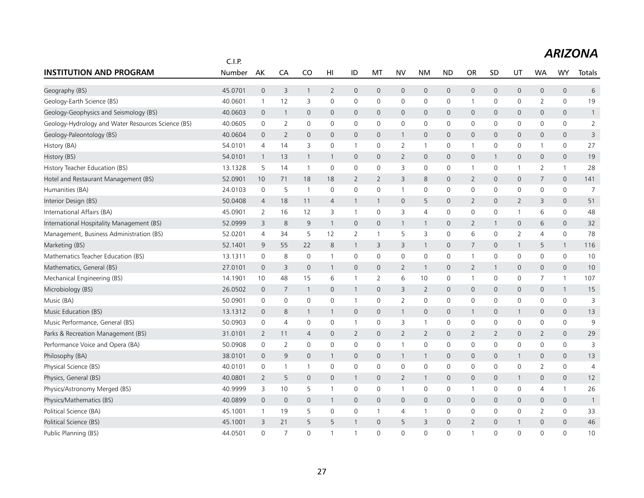|                                                    | C.I.P.  |                |                |                |                |                |                |                |                |                     |                |                |                |                |                     |                |
|----------------------------------------------------|---------|----------------|----------------|----------------|----------------|----------------|----------------|----------------|----------------|---------------------|----------------|----------------|----------------|----------------|---------------------|----------------|
| <b>INSTITUTION AND PROGRAM</b>                     | Number  | AK             | CA             | CO             | HI             | ID             | MT             | <b>NV</b>      | <b>NM</b>      | <b>ND</b>           | <b>OR</b>      | SD             | UT             | <b>WA</b>      | WY                  | Totals         |
| Geography (BS)                                     | 45.0701 | $\mathbf 0$    | 3              | $\mathbf{1}$   | $\overline{2}$ | $\mathbf 0$    | $\mathbf 0$    | $\mathsf{O}$   | $\mathbf 0$    | $\mathbf 0$         | 0              | $\mathbf 0$    | 0              | $\mathbf 0$    | $\mathsf{O}$        | 6              |
| Geology-Earth Science (BS)                         | 40.0601 | $\mathbf{1}$   | 12             | 3              | $\mathbf 0$    | 0              | $\mathbf 0$    | 0              | $\mathbf 0$    | 0                   | $\mathbf 1$    | 0              | 0              | $\overline{2}$ | 0                   | 19             |
| Geology-Geophysics and Seismology (BS)             | 40.0603 | $\mathbf 0$    | $\overline{1}$ | $\mathbf 0$    | $\mathbf 0$    | 0              | $\mathbf 0$    | $\mathsf{O}$   | $\mathbf 0$    | $\pmb{0}$           | 0              | 0              | 0              | 0              | 0                   | $\mathbf{1}$   |
| Geology-Hydrology and Water Resources Science (BS) | 40.0605 | $\mathbf 0$    | $\overline{2}$ | $\mathbf 0$    | $\mathbf 0$    | $\mathbf 0$    | $\mathbf 0$    | $\mathsf{O}$   | $\mathbf 0$    | $\mathbf 0$         | 0              | 0              | 0              | $\mathbf 0$    | $\mathbf 0$         | $\overline{2}$ |
| Geology-Paleontology (BS)                          | 40.0604 | $\mathbf 0$    | $\overline{2}$ | 0              | $\mathsf{O}$   | $\mathbf 0$    | $\mathbf 0$    | $\mathbf{1}$   | $\mathsf{O}$   | $\mathbf 0$         | 0              | 0              | 0              | $\mathbf 0$    | 0                   | 3              |
| History (BA)                                       | 54.0101 | 4              | 14             | 3              | $\mathbf 0$    | $\mathbf{1}$   | $\mathbf 0$    | $\overline{2}$ | $\overline{1}$ | 0                   | $\mathbf 1$    | 0              | 0              | 1              | 0                   | 27             |
| History (BS)                                       | 54.0101 | $\mathbf{1}$   | 13             | $\mathbf{1}$   | $\mathbf{1}$   | $\mathbf 0$    | $\mathbf{0}$   | $\overline{2}$ | $\mathbf 0$    | $\mathbf 0$         | 0              | 1              | 0              | $\mathbf 0$    | $\mathbf{0}$        | 19             |
| History Teacher Education (BS)                     | 13.1328 | 5              | 14             | $\overline{1}$ | $\mathbf 0$    | 0              | 0              | 3              | $\mathbf 0$    | 0                   | -1             | $\mathbf 0$    | 1              | $\overline{2}$ | 1                   | 28             |
| Hotel and Restaurant Management (BS)               | 52.0901 | 10             | 71             | 18             | 18             | $\overline{2}$ | $\overline{2}$ | 3              | 8              | $\pmb{0}$           | 2              | 0              | 0              | 7              | $\mathsf{O}\xspace$ | 141            |
| Humanities (BA)                                    | 24.0103 | $\mathbf 0$    | 5              | $\overline{1}$ | $\mathbf 0$    | $\mathsf 0$    | $\mathbf 0$    | $\mathbf{1}$   | $\mathbf 0$    | $\mathbf 0$         | 0              | $\mathbf 0$    | $\mathsf 0$    | $\mathbf 0$    | $\mathbf 0$         | $\overline{7}$ |
| Interior Design (BS)                               | 50.0408 | $\overline{4}$ | 18             | 11             | $\overline{4}$ | $\mathbf{1}$   | $\mathbf{1}$   | $\mathsf{O}$   | 5              | $\mathbf 0$         | $\overline{2}$ | $\mathbf{0}$   | $\overline{2}$ | 3              | 0                   | 51             |
| International Affairs (BA)                         | 45.0901 | 2              | 16             | 12             | 3              | $\mathbf{1}$   | $\mathbf 0$    | 3              | $\overline{4}$ | $\mathsf 0$         | 0              | 0              | $\mathbf{1}$   | 6              | 0                   | 48             |
| International Hospitality Management (BS)          | 52.0999 | 3              | 8              | 9              | $\mathbf{1}$   | $\mathbf 0$    | $\mathbf{0}$   | $\mathbf{1}$   | $\mathbf{1}$   | $\mathbf 0$         | $\overline{2}$ | -1             | 0              | 6              | $\mathbf{0}$        | 32             |
| Management, Business Administration (BS)           | 52.0201 | $\overline{4}$ | 34             | 5              | 12             | 2              | 1              | 5              | 3              | 0                   | 6              | 0              | 2              | 4              | 0                   | 78             |
| Marketing (BS)                                     | 52.1401 | 9              | 55             | 22             | 8              | $\mathbf{1}$   | 3              | 3              | $\mathbf{1}$   | $\mathbf 0$         | $\overline{7}$ | 0              | $\mathbf{1}$   | 5              | $\mathbf{1}$        | 116            |
| Mathematics Teacher Education (BS)                 | 13.1311 | $\mathbf 0$    | 8              | $\mathbf 0$    | $\mathbf{1}$   | $\mathbf 0$    | $\mathbf 0$    | 0              | $\mathbf 0$    | $\mathbf 0$         | $\mathbf{1}$   | $\mathbf 0$    | $\mathbf 0$    | $\mathbf 0$    | $\mathbf 0$         | 10             |
| Mathematics, General (BS)                          | 27.0101 | $\mathbf 0$    | 3              | $\mathbf 0$    | 1              | 0              | $\mathbf 0$    | $\overline{2}$ | $\mathbf{1}$   | $\mathbf 0$         | $\overline{2}$ |                | 0              | $\mathbf 0$    | 0                   | 10             |
| Mechanical Engineering (BS)                        | 14.1901 | 10             | 48             | 15             | 6              | 1              | 2              | 6              | 10             | 0                   | $\mathbf 1$    | 0              | 0              | $\overline{7}$ | $\mathbf{1}$        | 107            |
| Microbiology (BS)                                  | 26.0502 | $\mathbf 0$    | 7              | $\overline{1}$ | $\mathsf{O}$   | $\mathbf{1}$   | $\mathbf 0$    | 3              | $\overline{2}$ | $\mathsf{O}\xspace$ | 0              | $\mathbf 0$    | 0              | $\mathbf 0$    | $\mathbf{1}$        | 15             |
| Music (BA)                                         | 50.0901 | 0              | 0              | 0              | 0              | 1              | 0              | $\overline{2}$ | 0              | 0                   | 0              | 0              | 0              | 0              | 0                   | 3              |
| Music Education (BS)                               | 13.1312 | $\mathbf 0$    | 8              | $\mathbf{1}$   | $\mathbf{1}$   | $\mathbf 0$    | $\mathbf 0$    | $\mathbf{1}$   | $\mathsf{O}$   | $\mathbf 0$         | $\mathbf{1}$   | $\mathbf 0$    | $\mathbf{1}$   | $\mathbf 0$    | $\mathbf 0$         | 13             |
| Music Performance, General (BS)                    | 50.0903 | 0              | $\overline{4}$ | 0              | 0              | $\mathbf{1}$   | $\mathbf 0$    | 3              | $\mathbf{1}$   | $\mathbf 0$         | 0              | 0              | $\mathbf 0$    | 0              | 0                   | 9              |
| Parks & Recreation Management (BS)                 | 31.0101 | 2              | 11             | 4              | $\mathsf{O}$   | $\overline{2}$ | $\mathbf 0$    | $\overline{2}$ | 2              | $\mathbf 0$         | $\overline{2}$ | $\overline{2}$ | 0              | $\overline{2}$ | 0                   | 29             |
| Performance Voice and Opera (BA)                   | 50.0908 | 0              | $\overline{2}$ | 0              | 0              | 0              | 0              | $\mathbf{1}$   | $\mathbf 0$    | $\mathbf 0$         | 0              | 0              | 0              | 0              | 0                   | 3              |
| Philosophy (BA)                                    | 38.0101 | $\mathbf 0$    | 9              | $\mathbf 0$    | $\mathbf{1}$   | 0              | $\mathbf 0$    | $\mathbf{1}$   | $\mathbf{1}$   | $\mathbf 0$         | 0              | 0              | $\mathbf{1}$   | 0              | $\mathsf{O}\xspace$ | 13             |
| Physical Science (BS)                              | 40.0101 | 0              | $\overline{1}$ | $\overline{1}$ | 0              | 0              | 0              | $\mathbf 0$    | $\mathbf 0$    | $\mathbf 0$         | 0              | $\Omega$       | 0              | 2              | $\mathbf 0$         | $\overline{4}$ |
| Physics, General (BS)                              | 40.0801 | 2              | 5              | $\mathbf{0}$   | $\mathsf{O}$   | $\mathbf{1}$   | $\mathbf 0$    | $\overline{2}$ | $\mathbf{1}$   | $\mathbf 0$         | 0              | 0              | $\mathbf{1}$   | $\mathbf 0$    | 0                   | 12             |
| Physics/Astronomy Merged (BS)                      | 40.9999 | 3              | 10             | 5              | $\mathbf{1}$   | 0              | 0              | $\mathbf{1}$   | $\mathbf 0$    | $\mathbf 0$         | $\mathbf{1}$   | 0              | 0              | 4              | $\mathbf{1}$        | 26             |
| Physics/Mathematics (BS)                           | 40.0899 | $\mathbf 0$    | $\mathbf 0$    | $\mathbf 0$    | $\mathbf{1}$   | $\mathbf 0$    | $\mathbf 0$    | $\mathsf{O}$   | $\mathbf 0$    | $\mathsf{O}\xspace$ | 0              | 0              | 0              | $\mathbf 0$    | $\mathsf{O}$        | $\mathbf{1}$   |
| Political Science (BA)                             | 45.1001 | $\mathbf{1}$   | 19             | 5              | 0              | 0              | $\mathbf{1}$   | 4              | $\mathbf{1}$   | 0                   | 0              | 0              | 0              | 2              | 0                   | 33             |
| Political Science (BS)                             | 45.1001 | 3              | 21             | 5              | 5              | $\mathbf{1}$   | $\mathbf 0$    | 5              | 3              | 0                   | $\overline{2}$ | 0              | $\mathbf{1}$   | 0              | $\mathsf{O}\xspace$ | 46             |
| Public Planning (BS)                               | 44.0501 | $\Omega$       | $\overline{7}$ | $\Omega$       | $\mathbf{1}$   | $\mathbf{1}$   | $\Omega$       | $\Omega$       | $\Omega$       | $\mathbf 0$         | $\mathbf{1}$   | $\Omega$       | $\Omega$       | $\Omega$       | $\Omega$            | 10             |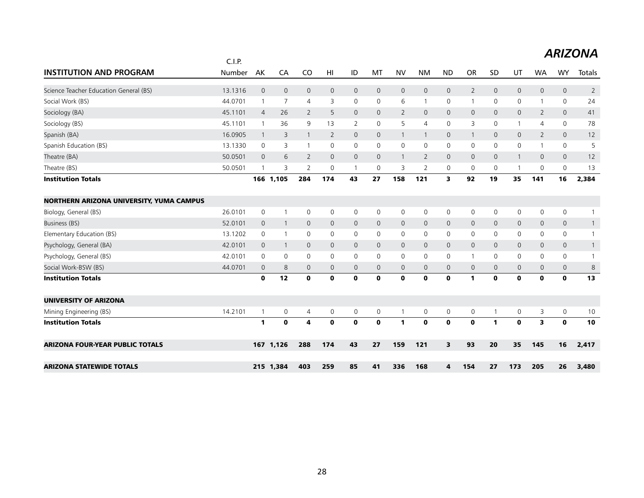|                                          | C.I.P.  |                |                |                |                |              |              |                |                |                         |                |              |                |                |                     | .              |
|------------------------------------------|---------|----------------|----------------|----------------|----------------|--------------|--------------|----------------|----------------|-------------------------|----------------|--------------|----------------|----------------|---------------------|----------------|
| <b>INSTITUTION AND PROGRAM</b>           | Number  | AK             | CA             | C <sub>O</sub> | HI             | ID           | MT           | <b>NV</b>      | <b>NM</b>      | <b>ND</b>               | <b>OR</b>      | <b>SD</b>    | UT             | <b>WA</b>      | <b>WY</b>           | Totals         |
| Science Teacher Education General (BS)   | 13.1316 | $\mathbf 0$    | $\mathbf 0$    | $\mathbf 0$    | $\mathsf{O}$   | $\mathsf{O}$ | $\mathbf 0$  | $\mathbf 0$    | $\mathbf 0$    | $\overline{0}$          | $\overline{2}$ | $\mathbf 0$  | $\mathsf{O}$   | 0              | $\mathsf{O}$        | $\overline{2}$ |
| Social Work (BS)                         | 44.0701 | $\overline{1}$ | 7              | 4              | 3              | 0            | 0            | 6              | $\mathbf{1}$   | $\mathbf 0$             | $\mathbf{1}$   | 0            | 0              | $\mathbf{1}$   | 0                   | 24             |
| Sociology (BA)                           | 45.1101 | $\overline{4}$ | 26             | $\overline{2}$ | 5              | $\mathsf{O}$ | 0            | $\overline{2}$ | $\mathbf 0$    | $\overline{0}$          | $\mathbf 0$    | $\mathbf{0}$ | 0              | $\overline{2}$ | $\mathsf{O}$        | 41             |
| Sociology (BS)                           | 45.1101 | -1             | 36             | 9              | 13             | 2            | 0            | 5              | $\overline{4}$ | 0                       | 3              | 0            |                | 4              | 0                   | 78             |
| Spanish (BA)                             | 16.0905 | $\overline{1}$ | 3              | $\overline{1}$ | $\overline{2}$ | $\mathbf{0}$ | $\mathbf{0}$ | $\mathbf{1}$   | $\overline{1}$ | $\mathbf 0$             | $\mathbf{1}$   | $\mathbf 0$  | $\mathbf 0$    | 2              | $\mathbf{0}$        | 12             |
| Spanish Education (BS)                   | 13.1330 | 0              | 3              | $\overline{1}$ | $\mathbf{0}$   | 0            | 0            | 0              | 0              | 0                       | 0              | $\mathbf{0}$ | 0              | $\mathbf{1}$   | 0                   | 5              |
| Theatre (BA)                             | 50.0501 | $\mathbf 0$    | 6              | 2              | $\mathsf{O}$   | $\mathbf 0$  | $\mathbf{0}$ | $\mathbf{1}$   | 2              | $\overline{0}$          | $\mathbf{0}$   | $\mathbf{0}$ | $\mathbf{1}$   | 0              | $\mathbf 0$         | 12             |
| Theatre (BS)                             | 50.0501 | $\overline{1}$ | 3              | 2              | $\mathbf 0$    | $\mathbf{1}$ | $\mathbf 0$  | 3              | $\overline{2}$ | 0                       | 0              | $\mathbf 0$  | $\overline{1}$ | 0              | 0                   | 13             |
| <b>Institution Totals</b>                |         |                | 166 1,105      | 284            | 174            | 43           | 27           | 158            | 121            | 3                       | 92             | 19           | 35             | 141            | 16                  | 2,384          |
| NORTHERN ARIZONA UNIVERSITY, YUMA CAMPUS |         |                |                |                |                |              |              |                |                |                         |                |              |                |                |                     |                |
| Biology, General (BS)                    | 26.0101 | 0              | -1             | 0              | 0              | 0            | 0            | 0              | 0              | 0                       | 0              | $\mathbf 0$  | 0              | 0              | $\mathsf{O}$        |                |
| Business (BS)                            | 52.0101 | $\mathbf{0}$   | $\overline{1}$ | $\mathbf{0}$   | $\mathbf{0}$   | $\mathbf{0}$ | $\mathbf{0}$ | $\mathbf{0}$   | $\mathbf{0}$   | $\mathbf 0$             | $\mathbf{0}$   | $\mathbf{0}$ | $\overline{0}$ | 0              | $\mathbf{0}$        | $\mathbf{1}$   |
| Elementary Education (BS)                | 13.1202 | 0              | $\overline{1}$ | $\mathbf 0$    | 0              | 0            | $\mathbf 0$  | $\mathsf{O}$   | $\mathbf 0$    | $\mathbf 0$             | 0              | 0            | 0              | 0              | $\mathsf{O}$        | $\mathbf{1}$   |
| Psychology, General (BA)                 | 42.0101 | $\mathbf 0$    | $\overline{1}$ | $\mathbf 0$    | $\mathbf{0}$   | $\mathbf{0}$ | $\mathbf{0}$ | $\mathsf{O}$   | $\mathbf 0$    | $\mathbf 0$             | $\mathbf{0}$   | $\mathbf 0$  | 0              | 0              | $\mathsf{O}$        | $\mathbf{1}$   |
| Psychology, General (BS)                 | 42.0101 | 0              | 0              | $\mathbf 0$    | $\mathbf 0$    | 0            | 0            | $\mathbf 0$    | $\mathbf 0$    | $\mathbf 0$             | $\mathbf{1}$   | 0            | 0              | 0              | $\mathbf 0$         | $\mathbf{1}$   |
| Social Work-BSW (BS)                     | 44.0701 | $\mathbf 0$    | 8              | $\mathbf 0$    | $\mathbf 0$    | 0            | 0            | $\mathsf{O}$   | $\mathbf 0$    | $\mathbf 0$             | $\mathbf 0$    | $\mathbf{0}$ | 0              | 0              | $\mathsf{O}$        | 8              |
| <b>Institution Totals</b>                |         | $\mathbf 0$    | 12             | $\mathbf 0$    | $\mathbf 0$    | $\mathbf{o}$ | $\mathbf 0$  | $\mathbf 0$    | $\mathbf 0$    | $\mathbf 0$             | $\mathbf{1}$   | $\mathbf 0$  | $\mathbf 0$    | $\mathbf 0$    | $\mathbf{0}$        | 13             |
| <b>UNIVERSITY OF ARIZONA</b>             |         |                |                |                |                |              |              |                |                |                         |                |              |                |                |                     |                |
| Mining Engineering (BS)                  | 14.2101 | $\overline{1}$ | $\mathbf 0$    | 4              | 0              | 0            | 0            | $\mathbf{1}$   | $\mathsf{O}$   | $\mathbf 0$             | 0              | $\mathbf{1}$ | 0              | 3              | $\mathsf{O}\xspace$ | 10             |
| <b>Institution Totals</b>                |         | 1              | $\mathbf 0$    | 4              | $\mathbf 0$    | $\mathbf 0$  | $\mathbf 0$  | 1              | $\mathbf 0$    | $\mathbf 0$             | $\mathbf 0$    | $\mathbf{1}$ | $\mathbf 0$    | 3              | $\mathbf 0$         | 10             |
| <b>ARIZONA FOUR-YEAR PUBLIC TOTALS</b>   |         |                | 167 1,126      | 288            | 174            | 43           | 27           | 159            | 121            | $\overline{\mathbf{3}}$ | 93             | 20           | 35             | 145            | 16                  | 2,417          |
| <b>ARIZONA STATEWIDE TOTALS</b>          |         |                | 215 1,384      | 403            | 259            | 85           | 41           | 336            | 168            | 4                       | 154            | 27           | 173            | 205            | 26                  | 3,480          |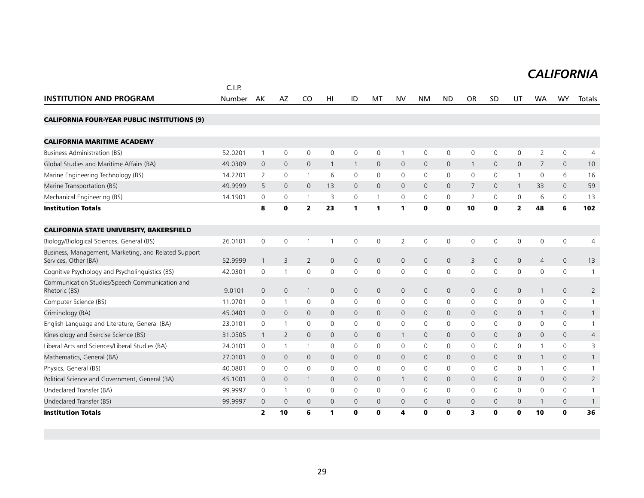## *CALIFORNIA*

|                                                                              | C.I.P.  |                         |                |                |                |              |                     |                     |              |              |                |              |                |                |              |                |
|------------------------------------------------------------------------------|---------|-------------------------|----------------|----------------|----------------|--------------|---------------------|---------------------|--------------|--------------|----------------|--------------|----------------|----------------|--------------|----------------|
| <b>INSTITUTION AND PROGRAM</b>                                               | Number  | AK                      | AZ             | CO             | HI             | ID           | MT                  | <b>NV</b>           | <b>NM</b>    | <b>ND</b>    | <b>OR</b>      | <b>SD</b>    | UT             | <b>WA</b>      | <b>WY</b>    | Totals         |
| <b>CALIFORNIA FOUR-YEAR PUBLIC INSTITUTIONS (9)</b>                          |         |                         |                |                |                |              |                     |                     |              |              |                |              |                |                |              |                |
| <b>CALIFORNIA MARITIME ACADEMY</b>                                           |         |                         |                |                |                |              |                     |                     |              |              |                |              |                |                |              |                |
| <b>Business Administration (BS)</b>                                          | 52.0201 | $\overline{1}$          | $\mathbf 0$    | $\mathbf 0$    | $\mathbf 0$    | 0            | 0                   | $\mathbf{1}$        | $\mathbf 0$  | 0            | 0              | $\mathbf 0$  | $\Omega$       | 2              | 0            | 4              |
| Global Studies and Maritime Affairs (BA)                                     | 49.0309 | $\mathbf 0$             | $\overline{0}$ | $\mathbf{0}$   |                | $\mathbf{1}$ | $\mathbf{0}$        | $\mathbf{0}$        | $\mathbf{0}$ | $\mathbf 0$  | $\overline{1}$ | $\mathbf{0}$ | $\mathbf{0}$   | $\overline{7}$ | $\mathbf{0}$ | 10             |
| Marine Engineering Technology (BS)                                           | 14.2201 | 2                       | $\mathbf 0$    | $\mathbf{1}$   | 6              | 0            | 0                   | 0                   | $\mathbf 0$  | $\mathsf{O}$ | $\mathbf 0$    | $\mathbf 0$  |                | $\mathbf{0}$   | 6            | 16             |
| Marine Transportation (BS)                                                   | 49.9999 | 5                       | $\Omega$       | $\Omega$       | 13             | 0            | $\Omega$            | $\Omega$            | $\Omega$     | $\Omega$     | 7              | $\Omega$     | $\mathbf{1}$   | 33             | $\mathbf{0}$ | 59             |
| Mechanical Engineering (BS)                                                  | 14.1901 | 0                       | $\mathbf 0$    | $\overline{1}$ | 3              | 0            | 1                   | 0                   | 0            | 0            | 2              | $\mathbf 0$  | $\mathbf 0$    | 6              | 0            | 13             |
| <b>Institution Totals</b>                                                    |         | 8                       | $\mathbf o$    | $\overline{2}$ | 23             | $\mathbf{1}$ | 1                   | $\mathbf{1}$        | $\mathbf 0$  | $\mathbf 0$  | 10             | $\mathbf 0$  | $\overline{2}$ | 48             | 6            | 102            |
| <b>CALIFORNIA STATE UNIVERSITY, BAKERSFIELD</b>                              |         |                         |                |                |                |              |                     |                     |              |              |                |              |                |                |              |                |
| Biology/Biological Sciences, General (BS)                                    | 26.0101 | $\mathbf 0$             | $\mathbf 0$    | $\overline{1}$ |                | 0            | 0                   | $\overline{2}$      | $\mathbf 0$  | 0            | $\mathbf 0$    | $\mathbf 0$  | $\mathbf 0$    | $\mathbf 0$    | $\mathbf 0$  | 4              |
| Business, Management, Marketing, and Related Support<br>Services, Other (BA) | 52.9999 | $\mathbf 1$             | 3              | $\overline{2}$ | $\overline{0}$ | $\mathsf{O}$ | $\mathsf{O}\xspace$ | $\mathsf{O}\xspace$ | $\mathbf 0$  | $\mathsf{O}$ | 3              | $\mathbf 0$  | $\mathsf{O}$   | $\overline{4}$ | $\mathsf{O}$ | 13             |
| Cognitive Psychology and Psycholinguistics (BS)                              | 42.0301 | 0                       | -1             | $\mathbf 0$    | $\mathbf 0$    | $\mathsf{O}$ | 0                   | 0                   | 0            | $\mathsf 0$  | $\mathbf 0$    | $\mathbf 0$  | $\mathbf 0$    | 0              | $\mathbf 0$  | $\overline{1}$ |
| Communication Studies/Speech Communication and<br>Rhetoric (BS)              | 9.0101  | $\mathbf 0$             | $\mathbf 0$    | $\overline{1}$ | $\mathbf{0}$   | $\mathsf{O}$ | $\mathbf{0}$        | $\mathsf{O}\xspace$ | $\mathbf 0$  | $\mathbf 0$  | $\mathbf 0$    | $\mathbf 0$  | $\mathbf 0$    | $\mathbf{1}$   | $\mathbf{0}$ | $\overline{2}$ |
| Computer Science (BS)                                                        | 11.0701 | 0                       | $\mathbf{1}$   | $\mathbf 0$    | $\mathbf 0$    | 0            | 0                   | 0                   | 0            | 0            | $\mathbf 0$    | $\mathbf 0$  | 0              | 0              | $\mathbf 0$  | $\overline{1}$ |
| Criminology (BA)                                                             | 45.0401 | $\Omega$                | $\mathbf{0}$   | $\mathbf 0$    | $\mathbf 0$    | 0            | $\mathbf{0}$        | $\mathbf{0}$        | $\mathbf{0}$ | $\mathbf 0$  | $\mathbf 0$    | $\mathbf{0}$ | $\mathbf{0}$   | 1              | $\mathbf{0}$ | $\overline{1}$ |
| English Language and Literature, General (BA)                                | 23.0101 | 0                       | $\mathbf{1}$   | $\mathbf 0$    | 0              | 0            | 0                   | 0                   | 0            | 0            | $\mathbf 0$    | $\mathbf 0$  | $\mathbf 0$    | 0              | $\mathsf{O}$ | $\overline{1}$ |
| Kinesiology and Exercise Science (BS)                                        | 31.0505 | $\mathbf 1$             | 2              | $\mathbf{0}$   | $\mathbf 0$    | 0            | $\mathbf{0}$        | $\mathbf{1}$        | $\mathbf{0}$ | $\mathsf{O}$ | $\mathbf 0$    | $\mathbf{0}$ | $\mathbf{0}$   | $\mathbf{0}$   | $\mathbf{0}$ | 4              |
| Liberal Arts and Sciences/Liberal Studies (BA)                               | 24.0101 | 0                       | $\mathbf{1}$   | $\overline{1}$ | $\mathbf 0$    | 0            | 0                   | $\mathbf 0$         | 0            | $\mathsf{O}$ | $\mathbf 0$    | $\mathbf 0$  | $\mathbf 0$    |                | $\mathsf{O}$ | 3              |
| Mathematics, General (BA)                                                    | 27.0101 | $\mathbf 0$             | $\mathbf{0}$   | $\mathbf 0$    | 0              | 0            | $\mathbf{0}$        | $\mathbf 0$         | $\mathbf{0}$ | $\mathsf{O}$ | $\mathbf 0$    | $\mathbf{0}$ | $\mathbf{0}$   |                | $\mathbf{0}$ | $\mathbf{1}$   |
| Physics, General (BS)                                                        | 40.0801 | 0                       | $\mathbf 0$    | $\mathbf 0$    | 0              | 0            | 0                   | 0                   | 0            | 0            | $\mathbf 0$    | $\mathbf 0$  | $\mathbf 0$    |                | 0            | $\overline{1}$ |
| Political Science and Government, General (BA)                               | 45.1001 | $\mathbf 0$             | $\mathbf 0$    | $\overline{1}$ | $\mathbf{0}$   | $\mathbf{0}$ | $\mathbf{0}$        | $\mathbf{1}$        | $\mathbf{0}$ | $\mathsf{O}$ | $\mathbf 0$    | $\mathbf{0}$ | $\mathbf{0}$   | $\mathbf{0}$   | $\mathsf{O}$ | 2              |
| Undeclared Transfer (BA)                                                     | 99.9997 | 0                       | $\overline{1}$ | $\mathbf 0$    | $\mathbf 0$    | $\mathsf{O}$ | 0                   | $\mathbf 0$         | 0            | $\mathbf 0$  | $\mathbf 0$    | $\mathbf 0$  | $\mathbf 0$    | 0              | $\mathbf 0$  | $\overline{1}$ |
| Undeclared Transfer (BS)                                                     | 99.9997 | $\mathbf 0$             | $\mathbf 0$    | $\mathbf 0$    | 0              | 0            | $\mathbf{0}$        | $\mathbf 0$         | $\mathbf{0}$ | $\mathbf 0$  | $\mathbf 0$    | $\mathbf{0}$ | $\mathbf{0}$   |                | $\mathbf{0}$ | $\overline{1}$ |
| <b>Institution Totals</b>                                                    |         | $\overline{\mathbf{z}}$ | 10             | 6              | 1              | $\mathbf 0$  | 0                   | 4                   | $\mathbf 0$  | $\mathbf 0$  | 3              | $\mathbf 0$  | 0              | 10             | $\mathbf 0$  | 36             |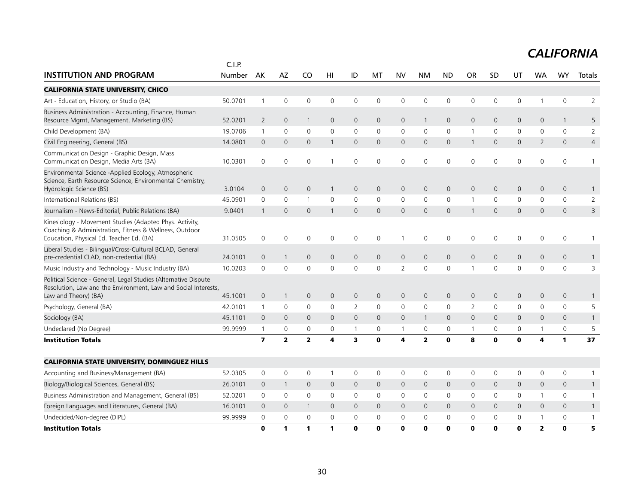|                                                                                                                                                               | C.I.P.  |                         |                         |                     |              |                |              |                |                |                     |                |              |              |                |              |                |
|---------------------------------------------------------------------------------------------------------------------------------------------------------------|---------|-------------------------|-------------------------|---------------------|--------------|----------------|--------------|----------------|----------------|---------------------|----------------|--------------|--------------|----------------|--------------|----------------|
| <b>INSTITUTION AND PROGRAM</b>                                                                                                                                | Number  | AK                      | AZ                      | CO                  | HI           | ID             | MT           | <b>NV</b>      | <b>NM</b>      | <b>ND</b>           | <b>OR</b>      | SD           | UT           | <b>WA</b>      | WY           | Totals         |
| <b>CALIFORNIA STATE UNIVERSITY, CHICO</b>                                                                                                                     |         |                         |                         |                     |              |                |              |                |                |                     |                |              |              |                |              |                |
| Art - Education, History, or Studio (BA)                                                                                                                      | 50.0701 | $\mathbf{1}$            | $\mathbf 0$             | $\mathbf 0$         | 0            | 0              | 0            | $\mathbf 0$    | $\mathbf 0$    | 0                   | 0              | 0            | 0            |                | 0            | $\overline{2}$ |
| Business Administration - Accounting, Finance, Human<br>Resource Mgmt, Management, Marketing (BS)                                                             | 52.0201 | $\overline{2}$          | $\mathbf 0$             | $\overline{1}$      | $\mathbf 0$  | 0              | 0            | 0              | $\mathbf{1}$   | $\mathbf 0$         | $\mathbf 0$    | $\mathbf 0$  | 0            | $\mathbf 0$    | $\mathbf{1}$ | 5              |
| Child Development (BA)                                                                                                                                        | 19.0706 | $\mathbf{1}$            | $\mathbf 0$             | $\mathbf 0$         | $\mathbf 0$  | 0              | 0            | $\mathbf 0$    | $\mathbf 0$    | $\mathbf 0$         | $\mathbf 1$    | $\mathbf 0$  | $\mathbf 0$  | $\mathbf 0$    | 0            | $\overline{2}$ |
| Civil Engineering, General (BS)                                                                                                                               | 14.0801 | $\mathbf 0$             | $\overline{0}$          | $\mathbf{0}$        | $\mathbf{1}$ | $\mathsf{O}$   | 0            | $\mathbf 0$    | $\mathbf{0}$   | $\mathbf{0}$        | $\mathbf{1}$   | $\mathbf 0$  | 0            | 2              | $\mathbf{0}$ | $\overline{4}$ |
| Communication Design - Graphic Design, Mass<br>Communication Design, Media Arts (BA)                                                                          | 10.0301 | $\mathbf 0$             | $\mathbf 0$             | $\mathbf 0$         |              | 0              | 0            | $\mathbf 0$    | $\mathbf 0$    | $\mathbf 0$         | 0              | $\mathbf 0$  | 0            | 0              | 0            | 1              |
| Environmental Science -Applied Ecology, Atmospheric<br>Science, Earth Resource Science, Environmental Chemistry,<br>Hydrologic Science (BS)                   | 3.0104  | $\mathbf{0}$            | $\mathbf{0}$            | $\mathbf 0$         | $\mathbf{1}$ | $\mathsf{O}$   | 0            | $\mathbf 0$    | $\mathsf{O}$   | $\mathbf 0$         | $\mathbf 0$    | $\mathbf{0}$ | 0            | $\mathbf 0$    | 0            | $\mathbf{1}$   |
| International Relations (BS)                                                                                                                                  | 45.0901 | 0                       | $\mathbf 0$             | $\overline{1}$      | $\mathbf 0$  | 0              | $\mathbf 0$  | 0              | $\mathsf{O}$   | $\mathbf 0$         | $\mathbf{1}$   | $\Omega$     | $\mathbf 0$  | $\Omega$       | 0            | 2              |
| Journalism - News-Editorial, Public Relations (BA)                                                                                                            | 9.0401  | $\mathbf 1$             | $\mathbf 0$             | $\mathbf 0$         |              | $\mathsf{O}$   | 0            | $\mathbf 0$    | $\mathbf{0}$   | $\mathbf{0}$        | -1             | $\mathbf{0}$ | 0            | $\mathbf{0}$   | $\mathbf{0}$ | 3              |
| Kinesiology - Movement Studies (Adapted Phys. Activity,<br>Coaching & Administration, Fitness & Wellness, Outdoor<br>Education, Physical Ed. Teacher Ed. (BA) | 31.0505 | $\mathbf 0$             | $\mathbf 0$             | $\mathbf 0$         | 0            | 0              | 0            |                | $\mathbf 0$    | 0                   | 0              | 0            | $\mathbf 0$  | 0              | 0            | 1              |
| Liberal Studies - Bilingual/Cross-Cultural BCLAD, General<br>pre-credential CLAD, non-credential (BA)                                                         | 24.0101 | $\mathbf 0$             | $\mathbf{1}$            | $\overline{0}$      | 0            | 0              | $\mathbf{0}$ | $\mathbf 0$    | $\mathsf{O}$   | $\mathbf 0$         | $\overline{0}$ | $\mathbf{0}$ | $\mathsf{O}$ | $\mathbf{0}$   | $\mathbf 0$  | $\mathbf{1}$   |
| Music Industry and Technology - Music Industry (BA)                                                                                                           | 10.0203 | 0                       | $\mathbf 0$             | $\mathbf 0$         | 0            | 0              | 0            | $\overline{2}$ | $\mathbf 0$    | $\mathbf 0$         | $\overline{1}$ | 0            | 0            | $\mathbf 0$    | 0            | 3              |
| Political Science - General, Legal Studies (Alternative Dispute<br>Resolution, Law and the Environment, Law and Social Interests,<br>Law and Theory) (BA)     | 45.1001 | $\mathbf 0$             | $\mathbf{1}$            | $\mathsf{O}\xspace$ | 0            | 0              | 0            | $\mathbf 0$    | $\mathsf{O}$   | $\mathsf{O}\xspace$ | $\mathsf{O}$   | $\mathbf 0$  | 0            | $\mathbf 0$    | $\mathbf 0$  | $\mathbf{1}$   |
| Psychology, General (BA)                                                                                                                                      | 42.0101 | $\mathbf{1}$            | $\mathbf 0$             | $\mathbf 0$         | 0            | $\overline{2}$ | 0            | 0              | $\mathbf 0$    | $\mathbf 0$         | 2              | 0            | 0            | 0              | 0            | 5              |
| Sociology (BA)                                                                                                                                                | 45.1101 | $\Omega$                | $\mathbf 0$             | $\mathbf 0$         | $\mathbf 0$  | $\mathsf{O}$   | 0            | $\mathbf{0}$   | $\mathbf{1}$   | $\mathbf{0}$        | $\mathbf 0$    | $\mathbf 0$  | $\mathbf{0}$ | $\mathbf{0}$   | $\mathbf{0}$ | $\mathbf{1}$   |
| Undeclared (No Degree)                                                                                                                                        | 99.9999 | $\mathbf{1}$            | $\mathbf 0$             | $\mathbf 0$         | $\mathbf 0$  | $\mathbf{1}$   | 0            | $\mathbf{1}$   | 0              | 0                   | $\overline{1}$ | $\mathbf 0$  | 0            | $\mathbf{1}$   | 0            | 5              |
| <b>Institution Totals</b>                                                                                                                                     |         | $\overline{\mathbf{z}}$ | $\overline{\mathbf{2}}$ | $\overline{2}$      | 4            | 3              | $\mathbf{0}$ | 4              | $\overline{2}$ | $\mathbf 0$         | 8              | $\bf{0}$     | $\mathbf{0}$ | 4              | $\mathbf{1}$ | 37             |
| <b>CALIFORNIA STATE UNIVERSITY, DOMINGUEZ HILLS</b>                                                                                                           |         |                         |                         |                     |              |                |              |                |                |                     |                |              |              |                |              |                |
| Accounting and Business/Management (BA)                                                                                                                       | 52.0305 | 0                       | $\mathbf 0$             | $\mathbf 0$         | $\mathbf{1}$ | 0              | 0            | 0              | 0              | $\mathbf 0$         | $\mathbf 0$    | 0            | $\mathbf 0$  | 0              | 0            | $\mathbf{1}$   |
| Biology/Biological Sciences, General (BS)                                                                                                                     | 26.0101 | $\Omega$                | $\mathbf{1}$            | $\mathbf{0}$        | $\Omega$     | $\mathsf{O}$   | $\Omega$     | $\mathbf{0}$   | $\mathbf{0}$   | $\mathbf{0}$        | $\Omega$       | $\Omega$     | $\mathbf{0}$ | $\Omega$       | $\mathbf{0}$ | $\mathbf{1}$   |
| Business Administration and Management, General (BS)                                                                                                          | 52.0201 | 0                       | 0                       | $\Omega$            | $\mathbf{0}$ | 0              | 0            | 0              | $\mathbf 0$    | 0                   | 0              | 0            | 0            | $\mathbf{1}$   | 0            | $\mathbf{1}$   |
| Foreign Languages and Literatures, General (BA)                                                                                                               | 16.0101 | $\mathbf 0$             | $\mathbf 0$             | -1                  | $\mathbf{0}$ | 0              | 0            | $\mathbf{0}$   | $\mathbf{0}$   | $\mathbf{0}$        | $\mathbf 0$    | $\mathbf 0$  | 0            | $\mathbf{0}$   | 0            | $\mathbf{1}$   |
| Undecided/Non-degree (DIPL)                                                                                                                                   | 99.9999 | 0                       | $\mathbf 0$             | $\mathbf 0$         | 0            | 0              | 0            | 0              | $\mathbf 0$    | 0                   | 0              | 0            | 0            |                | 0            | $\mathbf{1}$   |
| <b>Institution Totals</b>                                                                                                                                     |         | $\Omega$                | 1                       | 1                   | 1            | O              | $\Omega$     | $\Omega$       | $\Omega$       | $\mathbf{0}$        | $\Omega$       | $\Omega$     | $\mathbf{0}$ | $\overline{2}$ | $\bf{0}$     | 5              |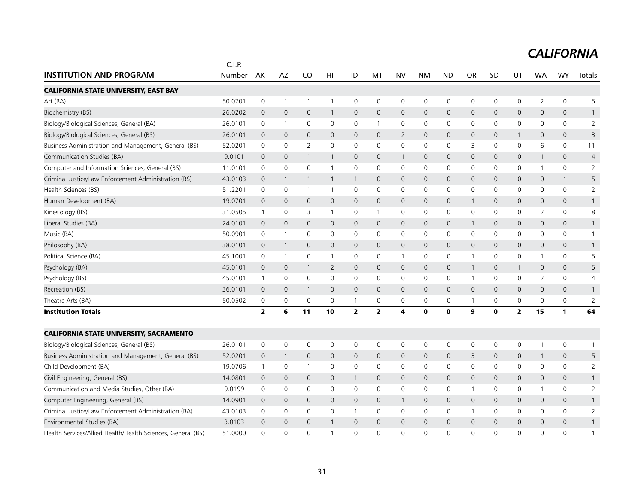|                                                             | C.I.P.  |                         |                |                |                |              |              |                         |              |                |              |              |                     |                |              |                |
|-------------------------------------------------------------|---------|-------------------------|----------------|----------------|----------------|--------------|--------------|-------------------------|--------------|----------------|--------------|--------------|---------------------|----------------|--------------|----------------|
| <b>INSTITUTION AND PROGRAM</b>                              | Number  | AK                      | AZ             | CO             | HI             | ID           | MT           | <b>NV</b>               | <b>NM</b>    | <b>ND</b>      | <b>OR</b>    | SD           | UT                  | <b>WA</b>      | <b>WY</b>    | Totals         |
| <b>CALIFORNIA STATE UNIVERSITY, EAST BAY</b>                |         |                         |                |                |                |              |              |                         |              |                |              |              |                     |                |              |                |
| Art (BA)                                                    | 50.0701 | $\mathbf 0$             | $\overline{1}$ | $\overline{1}$ | $\mathbf{1}$   | 0            | 0            | 0                       | $\mathbf 0$  | 0              | $\mathbf 0$  | $\mathbf 0$  | 0                   | $\overline{2}$ | $\mathsf{O}$ | 5              |
| Biochemistry (BS)                                           | 26.0202 | $\mathbf{0}$            | $\mathbf 0$    | $\mathbf{0}$   | 1              | $\mathbf 0$  | $\mathbf{0}$ | $\mathbf 0$             | $\mathbf{0}$ | $\mathbf{O}$   | $\mathbf{0}$ | $\mathbf{0}$ | $\mathbf{0}$        | $\mathbf{0}$   | $\mathbf 0$  | $\mathbf{1}$   |
| Biology/Biological Sciences, General (BA)                   | 26.0101 | 0                       | $\overline{1}$ | 0              | $\mathbf 0$    | 0            | $\mathbf{1}$ | $\mathbf 0$             | $\mathbf 0$  | $\mathbf 0$    | 0            | 0            | $\mathbf 0$         | $\Omega$       | $\mathbf 0$  | $\overline{2}$ |
| Biology/Biological Sciences, General (BS)                   | 26.0101 | $\mathbf{0}$            | $\mathbf{0}$   | $\mathbf{0}$   | $\mathbf{0}$   | $\mathbf 0$  | $\mathbf{0}$ | $\overline{2}$          | $\mathbf{0}$ | $\mathbf{0}$   | $\mathbf{0}$ | $\mathbf{0}$ | $\mathbf{1}$        | $\mathbf 0$    | $\mathbf{0}$ | 3              |
| Business Administration and Management, General (BS)        | 52.0201 | $\mathbf 0$             | $\mathbf 0$    | 2              | $\mathbf 0$    | $\mathbf 0$  | $\mathbf 0$  | $\mathbf 0$             | $\mathbf 0$  | $\mathbf 0$    | 3            | $\mathbf 0$  | $\mathbf 0$         | 6              | $\mathbf 0$  | 11             |
| Communication Studies (BA)                                  | 9.0101  | $\mathbf{0}$            | $\mathbf{0}$   | 1              | $\mathbf{1}$   | $\mathsf{O}$ | $\mathbf{0}$ | $\overline{1}$          | $\mathbf{0}$ | $\mathbf{0}$   | $\mathbf{0}$ | $\mathbf{0}$ | $\mathbf{0}$        | $\mathbf{1}$   | $\mathbf{0}$ | $\overline{4}$ |
| Computer and Information Sciences, General (BS)             | 11.0101 | 0                       | 0              | $\mathbf 0$    | 1              | 0            | $\mathbf 0$  | $\mathbf 0$             | $\mathbf 0$  | $\mathbf 0$    | 0            | $\mathbf{0}$ | $\mathbf 0$         | $\mathbf{1}$   | $\mathsf{O}$ | 2              |
| Criminal Justice/Law Enforcement Administration (BS)        | 43.0103 | $\mathbf 0$             | $\overline{1}$ | $\overline{1}$ | $\mathbf{1}$   | $\mathbf{1}$ | $\Omega$     | $\mathbf 0$             | $\Omega$     | $\Omega$       | $\Omega$     | $\Omega$     | $\mathbf 0$         | $\Omega$       | $\mathbf{1}$ | 5              |
| Health Sciences (BS)                                        | 51.2201 | 0                       | 0              | $\overline{1}$ | $\overline{1}$ | 0            | 0            | $\mathbf 0$             | $\mathbf 0$  | $\mathbf 0$    | 0            | $\mathbf{0}$ | 0                   | 0              | $\mathbf 0$  | $\overline{2}$ |
| Human Development (BA)                                      | 19.0701 | $\overline{0}$          | $\mathbf 0$    | $\mathbf{0}$   | $\mathbf{0}$   | 0            | $\mathbf 0$  | $\mathbf 0$             | $\mathbf{0}$ | $\mathsf{O}$   |              | $\mathbf 0$  | $\mathbf 0$         | $\mathbf 0$    | $\mathbf 0$  | $\mathbf{1}$   |
| Kinesiology (BS)                                            | 31.0505 | $\overline{1}$          | $\mathbf 0$    | 3              | $\mathbf{1}$   | 0            | $\mathbf{1}$ | $\mathbf 0$             | $\mathbf 0$  | $\mathbf 0$    | 0            | $\mathbf{0}$ | $\mathbf 0$         | $\overline{2}$ | $\mathbf 0$  | 8              |
| Liberal Studies (BA)                                        | 24.0101 | $\mathbf 0$             | $\mathbf 0$    | $\mathbf 0$    | $\mathbf 0$    | 0            | $\mathsf{O}$ | $\mathbf 0$             | $\mathbf 0$  | $\mathsf{O}$   | $\mathbf{1}$ | $\Omega$     | $\mathbf 0$         | 0              | $\mathbf 0$  | $\mathbf{1}$   |
| Music (BA)                                                  | 50.0901 | 0                       | $\mathbf{1}$   | $\mathbf 0$    | $\mathbf 0$    | 0            | $\mathbf 0$  | 0                       | $\mathbf 0$  | $\mathbf 0$    | $\mathbf 0$  | $\mathbf 0$  | $\mathbf 0$         | $\mathbf 0$    | $\mathbf 0$  | $\mathbf{1}$   |
| Philosophy (BA)                                             | 38.0101 | $\mathbf{0}$            | $\overline{1}$ | $\mathbf{0}$   | $\mathbf{0}$   | $\mathsf{O}$ | $\mathbf{0}$ | $\mathbf{0}$            | $\mathbf{0}$ | $\mathbf{0}$   | $\mathbf{0}$ | $\mathbf{0}$ | $\mathbf{0}$        | $\mathbf{0}$   | $\mathbf{0}$ | $\mathbf{1}$   |
| Political Science (BA)                                      | 45.1001 | 0                       | $\overline{1}$ | $\mathbf 0$    | $\mathbf{1}$   | 0            | 0            | $\mathbf{1}$            | $\mathbf 0$  | 0              | $\mathbf 1$  | $\mathbf{0}$ | 0                   | $\mathbf{1}$   | $\mathsf{O}$ | 5              |
| Psychology (BA)                                             | 45.0101 | $\mathbf{0}$            | $\mathbf 0$    | $\mathbf{1}$   | $\overline{2}$ | $\mathsf{O}$ | $\mathbf{0}$ | $\mathbf 0$             | $\mathbf{0}$ | $\mathsf{O}$   | $\mathbf{1}$ | $\mathbf{0}$ | $\mathbf{1}$        | $\mathbf{0}$   | $\mathbf 0$  | 5              |
| Psychology (BS)                                             | 45.0101 | $\overline{1}$          | $\mathbf 0$    | $\mathbf 0$    | $\mathbf 0$    | 0            | $\mathbf 0$  | $\mathbf 0$             | $\mathbf 0$  | $\mathsf{O}$   | $\mathbf{1}$ | $\mathbf{0}$ | $\mathbf 0$         | $\overline{2}$ | $\mathsf{O}$ | 4              |
| Recreation (BS)                                             | 36.0101 | $\mathbf 0$             | $\mathbf{0}$   | $\mathbf{1}$   | $\mathbf{0}$   | $\mathbf{0}$ | $\mathbf{0}$ | $\mathbf{0}$            | $\mathbf{0}$ | $\mathbf 0$    | $\mathbf 0$  | $\mathbf{0}$ | $\mathbf 0$         | 0              | $\mathbf 0$  | $\mathbf{1}$   |
| Theatre Arts (BA)                                           | 50.0502 | $\mathbf 0$             | $\mathbf 0$    | 0              | $\mathbf 0$    | 1            | $\mathbf 0$  | $\mathbf 0$             | $\mathbf 0$  | $\mathbf 0$    |              | 0            | 0                   | $\Omega$       | $\mathbf 0$  | $\overline{2}$ |
| <b>Institution Totals</b>                                   |         | $\overline{\mathbf{2}}$ | 6              | 11             | 10             | 2            | $\mathbf{2}$ | $\overline{\mathbf{4}}$ | $\mathbf 0$  | $\mathbf 0$    | 9            | $\mathbf 0$  | 2                   | 15             | 1            | 64             |
| <b>CALIFORNIA STATE UNIVERSITY, SACRAMENTO</b>              |         |                         |                |                |                |              |              |                         |              |                |              |              |                     |                |              |                |
| Biology/Biological Sciences, General (BS)                   | 26.0101 | $\mathsf 0$             | $\mathbf 0$    | $\mathbf 0$    | $\mathbf 0$    | 0            | 0            | 0                       | $\mathbf 0$  | 0              | $\mathbf 0$  | $\mathbf 0$  | 0                   | $\mathbf{1}$   | $\mathbf 0$  | 1              |
| Business Administration and Management, General (BS)        | 52.0201 | $\mathbf 0$             | $\overline{1}$ | $\mathbf 0$    | $\mathbf 0$    | 0            | $\mathbf 0$  | $\mathbf 0$             | $\mathbf 0$  | $\mathbf 0$    | 3            | $\mathbf{0}$ | $\mathsf{O}\xspace$ | $\mathbf{1}$   | $\mathbf 0$  | 5              |
| Child Development (BA)                                      | 19.0706 | $\mathbf{1}$            | $\mathbf 0$    | $\overline{1}$ | $\mathbf 0$    | 0            | 0            | 0                       | $\mathbf 0$  | $\mathbf 0$    | 0            | 0            | $\mathbf 0$         | 0              | $\mathsf{O}$ | $\overline{2}$ |
| Civil Engineering, General (BS)                             | 14.0801 | $\mathbf 0$             | $\mathbf 0$    | $\mathbf{0}$   | $\mathbf{0}$   | $\mathbf{1}$ | $\mathbf{0}$ | $\mathbf{0}$            | $\mathbf{0}$ | $\mathbf{0}$   | $\mathbf 0$  | $\mathbf{0}$ | $\mathbf{0}$        | 0              | $\mathbf 0$  | $\mathbf{1}$   |
| Communication and Media Studies, Other (BA)                 | 9.0199  | 0                       | $\mathbf 0$    | 0              | $\mathbf{0}$   | 0            | $\mathbf{0}$ | $\mathbf 0$             | $\mathbf 0$  | $\mathbf 0$    | $\mathbf 1$  | $\mathbf{0}$ | 0                   | $\mathbf{1}$   | $\mathbf 0$  | 2              |
| Computer Engineering, General (BS)                          | 14.0901 | $\mathbf 0$             | $\mathbf 0$    | $\mathbf 0$    | $\mathbf 0$    | $\mathbf 0$  | $\mathsf{O}$ | $\overline{1}$          | $\mathbf 0$  | $\mathsf{O}$   | $\mathbf 0$  | $\mathsf{O}$ | $\mathbf 0$         | 0              | $\mathbf 0$  | $\mathbf{1}$   |
| Criminal Justice/Law Enforcement Administration (BA)        | 43.0103 | 0                       | $\mathbf 0$    | 0              | 0              | $\mathbf{1}$ | $\mathbf 0$  | 0                       | $\mathbf 0$  | $\mathsf 0$    | $\mathbf 1$  | 0            | 0                   | $\mathbf 0$    | $\mathsf{O}$ | $\overline{2}$ |
| Environmental Studies (BA)                                  | 3.0103  | $\mathbf 0$             | $\mathbf 0$    | $\mathbf{0}$   | 1              | $\mathbf 0$  | $\mathbf{0}$ | $\mathbf{0}$            | $\mathbf{0}$ | $\overline{0}$ | $\mathbf 0$  | $\Omega$     | 0                   | 0              | $\mathbf{0}$ | $\mathbf{1}$   |
| Health Services/Allied Health/Health Sciences, General (BS) | 51.0000 | $\Omega$                | $\Omega$       | 0              | $\mathbf{1}$   | $\Omega$     | $\Omega$     | $\Omega$                | $\Omega$     | $\Omega$       | $\Omega$     | $\Omega$     | $\Omega$            | $\Omega$       | $\Omega$     | $\mathbf{1}$   |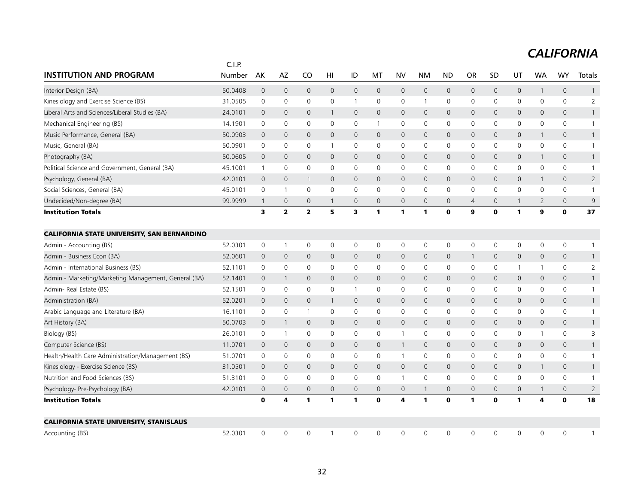|                                                      | C.I.P.  |                     |                     |                         |                     |                     |                |                     |              |                     |              |              |              |                |                     |                |
|------------------------------------------------------|---------|---------------------|---------------------|-------------------------|---------------------|---------------------|----------------|---------------------|--------------|---------------------|--------------|--------------|--------------|----------------|---------------------|----------------|
| <b>INSTITUTION AND PROGRAM</b>                       | Number  | AK                  | AZ                  | CO                      | HI                  | ID                  | МT             | <b>NV</b>           | <b>NM</b>    | <b>ND</b>           | <b>OR</b>    | SD           | UT           | <b>WA</b>      | WY                  | Totals         |
| Interior Design (BA)                                 | 50.0408 | $\overline{0}$      | $\mathbf 0$         | $\mathbf 0$             | $\mathsf{O}\xspace$ | $\mathsf{O}\xspace$ | $\mathbf 0$    | $\mathbf 0$         | $\mathbf 0$  | $\mathbf 0$         | 0            | $\mathbf{0}$ | 0            | $\mathbf{1}$   | $\mathsf{O}\xspace$ | $\mathbf{1}$   |
| Kinesiology and Exercise Science (BS)                | 31.0505 | 0                   | 0                   | $\mathbf 0$             | $\mathbf 0$         | $\mathbf{1}$        | 0              | $\mathbf 0$         | $\mathbf{1}$ | $\mathsf 0$         | 0            | 0            | $\mathbf 0$  | $\mathbf 0$    | 0                   | $\overline{2}$ |
| Liberal Arts and Sciences/Liberal Studies (BA)       | 24.0101 | $\mathbf 0$         | $\mathbf{0}$        | $\overline{0}$          | $\mathbf{1}$        | $\mathbf{0}$        | $\overline{0}$ | $\mathbf{0}$        | $\mathbf{0}$ | $\mathbf 0$         | $\mathbf{0}$ | $\mathbf 0$  | 0            | $\mathbf 0$    | $\mathbf{0}$        | $\mathbf{1}$   |
| Mechanical Engineering (BS)                          | 14.1901 | 0                   | $\mathsf{O}\xspace$ | 0                       | $\mathbf 0$         | $\mathbf 0$         | $\mathbf{1}$   | $\mathbf 0$         | $\mathsf{O}$ | $\mathbf 0$         | 0            | 0            | $\mathbf 0$  | $\mathbf 0$    | 0                   | $\mathbf{1}$   |
| Music Performance, General (BA)                      | 50.0903 | $\mathbf 0$         | $\mathbf 0$         | $\mathbf{0}$            | $\mathsf{O}$        | $\mathbf{0}$        | $\mathbf 0$    | $\mathbf{0}$        | $\mathbf{0}$ | $\mathbf 0$         | $\mathbf{0}$ | $\mathbf 0$  | 0            | 1              | 0                   | $\mathbf{1}$   |
| Music, General (BA)                                  | 50.0901 | 0                   | 0                   | $\mathbf 0$             | $\mathbf{1}$        | 0                   | 0              | $\mathbf 0$         | $\mathbf 0$  | $\mathbf 0$         | 0            | $\mathbf{0}$ | 0            | 0              | 0                   | $\mathbf{1}$   |
| Photography (BA)                                     | 50.0605 | $\overline{0}$      | $\mathbf 0$         | $\mathbf{0}$            | $\mathbf{0}$        | $\mathsf{O}$        | $\overline{0}$ | 0                   | $\mathbf 0$  | $\mathsf{O}\xspace$ | 0            | $\mathbf{0}$ | 0            | $\mathbf{1}$   | $\mathsf{O}\xspace$ | $\mathbf{1}$   |
| Political Science and Government, General (BA)       | 45.1001 | $\mathbf{1}$        | $\mathsf{O}\xspace$ | $\mathbf 0$             | $\mathbf{0}$        | $\mathbf 0$         | $\mathbf 0$    | 0                   | $\mathbf 0$  | $\mathbf 0$         | 0            | $\mathbf 0$  | $\mathbf 0$  | $\mathbf 0$    | $\mathsf{O}$        | $\mathbf{1}$   |
| Psychology, General (BA)                             | 42.0101 | $\mathbf 0$         | $\mathbf{0}$        | $\mathbf{1}$            | $\mathbf{0}$        | $\mathbf{0}$        | $\mathbf{0}$   | $\mathbf{0}$        | $\mathbf{0}$ | $\mathbf 0$         | $\mathbf 0$  | $\mathbf{0}$ | 0            | $\mathbf{1}$   | $\mathbf{0}$        | $\overline{2}$ |
| Social Sciences, General (BA)                        | 45.0101 | $\mathbf 0$         | $\mathbf{1}$        | $\mathbf 0$             | 0                   | 0                   | 0              | 0                   | 0            | 0                   | 0            | 0            | 0            | 0              | 0                   | $\overline{1}$ |
| Undecided/Non-degree (BA)                            | 99.9999 | $\mathbf{1}$        | $\mathbf 0$         | $\overline{0}$          | 1                   | 0                   | $\mathbf 0$    | 0                   | $\mathbf{0}$ | $\mathbf 0$         | 4            | $\mathbf 0$  | $\mathbf{1}$ | $\overline{2}$ | 0                   | 9              |
| <b>Institution Totals</b>                            |         | 3                   | $\overline{2}$      | $\overline{\mathbf{2}}$ | 5                   | 3                   | 1              | $\mathbf{1}$        | $\mathbf{1}$ | $\mathbf 0$         | 9            | 0            | 1            | 9              | $\mathbf 0$         | 37             |
| <b>CALIFORNIA STATE UNIVERSITY, SAN BERNARDINO</b>   |         |                     |                     |                         |                     |                     |                |                     |              |                     |              |              |              |                |                     |                |
| Admin - Accounting (BS)                              | 52.0301 | $\mathsf{O}\xspace$ | $\mathbf{1}$        | $\mathsf{O}$            | 0                   | 0                   | 0              | $\mathbf 0$         | 0            | $\mathbf 0$         | 0            | 0            | 0            | 0              | $\mathsf{O}\xspace$ | $\mathbf{1}$   |
| Admin - Business Econ (BA)                           | 52.0601 | $\mathbf 0$         | $\mathbf 0$         | $\mathbf 0$             | $\mathbf{0}$        | $\mathsf{O}$        | $\overline{0}$ | $\mathsf{O}$        | $\mathbf 0$  | $\mathbf 0$         | $\mathbf{1}$ | $\mathbf 0$  | 0            | $\mathbf 0$    | $\mathsf{O}\xspace$ | $\mathbf{1}$   |
| Admin - International Business (BS)                  | 52.1101 | $\mathbf 0$         | 0                   | $\mathbf 0$             | 0                   | 0                   | 0              | 0                   | $\mathbf 0$  | $\mathbf 0$         | 0            | 0            | $\mathbf{1}$ | $\mathbf{1}$   | 0                   | $\overline{2}$ |
| Admin - Marketing/Marketing Management, General (BA) | 52.1401 | 0                   | $\mathbf{1}$        | $\mathbf 0$             | $\Omega$            | $\mathsf{O}$        | 0              | 0                   | $\mathbf 0$  | $\mathbf 0$         | 0            | 0            | 0            | $\mathbf 0$    | 0                   | $\mathbf{1}$   |
| Admin- Real Estate (BS)                              | 52.1501 | 0                   | $\mathsf{O}\xspace$ | $\mathbf 0$             | $\mathbf 0$         | $\mathbf{1}$        | 0              | 0                   | $\mathsf{O}$ | $\mathbf 0$         | 0            | 0            | 0            | $\mathbf 0$    | 0                   | $\mathbf{1}$   |
| Administration (BA)                                  | 52.0201 | $\mathbf 0$         | $\mathbf{0}$        | $\mathbf{0}$            | $\mathbf{1}$        | $\mathbf{0}$        | $\mathbf 0$    | $\overline{0}$      | $\mathbf{0}$ | $\mathbf 0$         | $\mathbf 0$  | $\mathbf 0$  | 0            | $\mathbf 0$    | $\mathbf{0}$        | $\mathbf{1}$   |
| Arabic Language and Literature (BA)                  | 16.1101 | 0                   | 0                   | -1                      | 0                   | 0                   | 0              | 0                   | 0            | 0                   | 0            | 0            | 0            | 0              | 0                   | $\mathbf{1}$   |
| Art History (BA)                                     | 50.0703 | 0                   | $\mathbf{1}$        | $\mathbf 0$             | 0                   | $\mathsf{O}$        | $\mathbf 0$    | $\mathsf{O}\xspace$ | $\mathbf 0$  | $\mathbf 0$         | 0            | $\mathbf{0}$ | 0            | $\mathbf 0$    | 0                   | $\mathbf{1}$   |
| Biology (BS)                                         | 26.0101 | 0                   | $\mathbf{1}$        | $\mathbf 0$             | 0                   | 0                   | 0              | $\mathbf{1}$        | $\mathbf 0$  | $\mathbf 0$         | 0            | 0            | 0            | $\mathbf{1}$   | $\mathbf 0$         | 3              |
| Computer Science (BS)                                | 11.0701 | $\mathbf 0$         | $\mathbf 0$         | $\mathbf 0$             | 0                   | $\mathsf{O}$        | 0              | $\mathbf{1}$        | $\mathbf 0$  | $\mathbf 0$         | 0            | $\mathbf 0$  | 0            | $\mathbf 0$    | 0                   | $\mathbf{1}$   |
| Health/Health Care Administration/Management (BS)    | 51.0701 | $\mathbf 0$         | $\mathsf{O}\xspace$ | $\mathbf 0$             | $\mathbf 0$         | $\mathbf 0$         | $\mathbf 0$    | $\mathbf{1}$        | $\mathsf{O}$ | $\mathbf 0$         | 0            | 0            | $\mathbf 0$  | $\mathbf 0$    | $\mathsf{O}\xspace$ | $\mathbf{1}$   |
| Kinesiology - Exercise Science (BS)                  | 31.0501 | $\mathbf 0$         | $\mathbf{0}$        | $\mathbf{0}$            | $\mathbf{0}$        | $\mathbf{0}$        | $\overline{0}$ | $\mathsf{O}$        | $\mathbf{0}$ | $\mathbf 0$         | $\mathbf{0}$ | $\mathbf 0$  | $\mathbf{0}$ | 1              | $\mathbf{0}$        | $\mathbf{1}$   |
| Nutrition and Food Sciences (BS)                     | 51.3101 | $\mathbf 0$         | $\mathbf 0$         | $\mathbf 0$             | 0                   | 0                   | 0              | $\overline{1}$      | $\mathbf 0$  | $\mathbf 0$         | 0            | 0            | $\mathbf 0$  | 0              | $\mathbf 0$         | $\mathbf{1}$   |
| Psychology- Pre-Psychology (BA)                      | 42.0101 | $\overline{0}$      | $\mathbf 0$         | $\mathbf{0}$            | $\mathbf{0}$        | $\mathsf{O}$        | $\overline{0}$ | 0                   | $\mathbf{1}$ | $\mathbf 0$         | $\mathbf 0$  | $\mathbf 0$  | 0            | 1              | $\mathbf 0$         | $\overline{2}$ |
| <b>Institution Totals</b>                            |         | $\mathbf o$         | 4                   | $\mathbf{1}$            | 1                   | 1                   | $\mathbf 0$    | 4                   | $\mathbf{1}$ | $\mathbf 0$         | $\mathbf{1}$ | $\mathbf 0$  | $\mathbf{1}$ | 4              | $\mathbf 0$         | 18             |
| <b>CALIFORNIA STATE UNIVERSITY, STANISLAUS</b>       |         |                     |                     |                         |                     |                     |                |                     |              |                     |              |              |              |                |                     |                |
| Accounting (BS)                                      | 52.0301 | 0                   | $\mathbf 0$         | 0                       |                     | 0                   | 0              | $\Omega$            | $\mathbf{0}$ | 0                   | 0            | $\mathbf{0}$ | 0            | 0              | 0                   | 1              |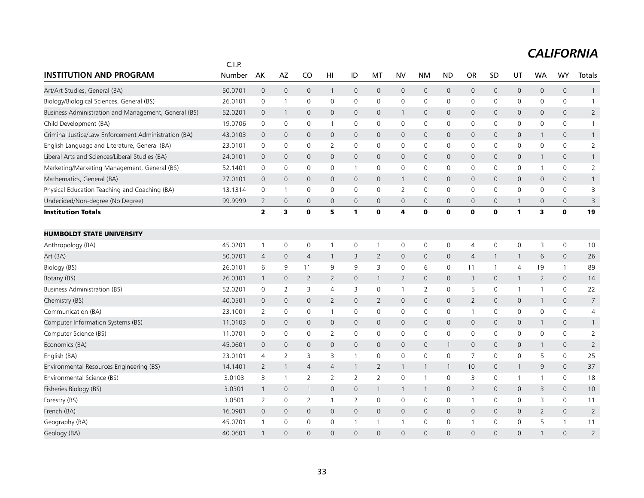|                                                      | C.I.P.  |                         |                     |                |                |                     |                |                     |                |                |                     |              |                     |                     |                |                |
|------------------------------------------------------|---------|-------------------------|---------------------|----------------|----------------|---------------------|----------------|---------------------|----------------|----------------|---------------------|--------------|---------------------|---------------------|----------------|----------------|
| <b>INSTITUTION AND PROGRAM</b>                       | Number  | AK                      | AZ                  | CO             | HI             | ID                  | МT             | <b>NV</b>           | <b>NM</b>      | <b>ND</b>      | <b>OR</b>           | SD           | UT                  | <b>WA</b>           | WY             | Totals         |
| Art/Art Studies, General (BA)                        | 50.0701 | $\overline{0}$          | $\mathbf 0$         | $\mathbf 0$    | $\mathbf{1}$   | 0                   | $\mathbf 0$    | $\mathbf 0$         | $\mathbf 0$    | $\overline{0}$ | $\mathsf{O}$        | $\mathbf 0$  | 0                   | $\mathsf{O}\xspace$ | $\mathbf 0$    | $\overline{1}$ |
| Biology/Biological Sciences, General (BS)            | 26.0101 | 0                       | $\mathbf{1}$        | 0              | $\mathbf 0$    | 0                   | $\mathbf 0$    | $\mathbf 0$         | $\mathsf{O}$   | $\mathbf 0$    | 0                   | 0            | 0                   | $\mathbf 0$         | 0              | $\mathbf{1}$   |
| Business Administration and Management, General (BS) | 52.0201 | $\mathbf 0$             | $\mathbf{1}$        | $\mathbf{0}$   | $\mathbf{0}$   | 0                   | $\mathbf 0$    | $\mathbf{1}$        | $\mathbf{0}$   | $\overline{0}$ | $\mathbf{0}$        | $\mathbf 0$  | 0                   | $\mathbf 0$         | $\mathbf 0$    | $\overline{2}$ |
| Child Development (BA)                               | 19.0706 | 0                       | $\mathbf 0$         | $\mathbf 0$    | -1             | 0                   | 0              | 0                   | $\mathbf 0$    | $\mathbf 0$    | 0                   | 0            | $\mathsf{O}$        | 0                   | 0              | $\mathbf{1}$   |
| Criminal Justice/Law Enforcement Administration (BA) | 43.0103 | 0                       | $\mathbf 0$         | $\mathbf 0$    | 0              | $\mathsf{O}$        | $\mathbf 0$    | $\mathsf{O}$        | $\mathbf 0$    | $\mathbf 0$    | $\mathbf 0$         | $\mathbf 0$  | 0                   | $\mathbf{1}$        | 0              | $\mathbf{1}$   |
| English Language and Literature, General (BA)        | 23.0101 | $\mathbf 0$             | $\mathbf 0$         | $\mathbf 0$    | $\overline{2}$ | $\mathsf{O}$        | $\mathbf 0$    | $\mathbf 0$         | $\mathbf 0$    | $\mathbf 0$    | $\mathbf 0$         | $\mathbf 0$  | $\mathsf{O}$        | $\mathbf 0$         | $\mathsf{O}$   | $\overline{2}$ |
| Liberal Arts and Sciences/Liberal Studies (BA)       | 24.0101 | $\mathbf 0$             | $\mathbf{0}$        | $\mathbf{0}$   | $\mathbf{0}$   | $\mathbf{0}$        | $\mathbf 0$    | $\mathbf{0}$        | $\mathbf{0}$   | $\mathbf 0$    | 0                   | $\mathbf{0}$ | $\mathbf{0}$        | $\mathbf{1}$        | $\mathbf{0}$   | $\mathbf{1}$   |
| Marketing/Marketing Management, General (BS)         | 52.1401 | 0                       | $\mathsf{O}\xspace$ | $\mathbf 0$    | 0              | $\mathbf{1}$        | 0              | 0                   | $\mathsf{O}$   | $\mathbf 0$    | 0                   | 0            | 0                   | $\mathbf{1}$        | 0              | $\overline{2}$ |
| Mathematics, General (BA)                            | 27.0101 | $\overline{0}$          | $\mathbf 0$         | $\overline{0}$ | $\mathbf{0}$   | $\mathsf{O}$        | $\mathbf{0}$   | $\mathbf{1}$        | $\mathbf{0}$   | $\mathbf 0$    | 0                   | $\mathbf{0}$ | $\mathsf{O}$        | $\mathbf{0}$        | $\mathsf{O}$   | $\mathbf{1}$   |
| Physical Education Teaching and Coaching (BA)        | 13.1314 | 0                       | $\mathbf{1}$        | 0              | 0              | 0                   | 0              | 2                   | $\mathbf 0$    | $\mathbf 0$    | 0                   | 0            | 0                   | 0                   | $\mathbf 0$    | 3              |
| Undecided/Non-degree (No Degree)                     | 99.9999 | 2                       | $\mathbf 0$         | $\mathbf{0}$   | $\mathbf{0}$   | $\mathsf{O}$        | $\mathbf 0$    | 0                   | $\mathbf 0$    | $\mathbf 0$    | $\mathbf{0}$        | $\mathbf 0$  | $\mathbf{1}$        | $\mathbf 0$         | 0              | 3              |
| <b>Institution Totals</b>                            |         | $\overline{\mathbf{2}}$ | 3                   | $\mathbf 0$    | 5              | 1                   | $\mathbf 0$    | 4                   | $\mathbf 0$    | $\mathbf 0$    | $\mathbf 0$         | $\mathbf 0$  | $\mathbf{1}$        | 3                   | $\mathbf 0$    | 19             |
| <b>HUMBOLDT STATE UNIVERSITY</b>                     |         |                         |                     |                |                |                     |                |                     |                |                |                     |              |                     |                     |                |                |
| Anthropology (BA)                                    | 45.0201 | $\mathbf{1}$            | $\mathsf{O}\xspace$ | $\mathbf 0$    | -1             | 0                   | -1             | $\mathbf 0$         | 0              | $\mathbf 0$    | 4                   | 0            | 0                   | 3                   | 0              | 10             |
| Art (BA)                                             | 50.0701 | 4                       | $\mathbf 0$         | $\overline{4}$ | $\mathbf{1}$   | 3                   | $\overline{2}$ | $\mathsf{O}\xspace$ | $\mathbf 0$    | $\mathbf 0$    | 4                   | $\mathbf{1}$ | $\mathbf{1}$        | 6                   | $\mathbf 0$    | 26             |
| Biology (BS)                                         | 26.0101 | 6                       | 9                   | 11             | 9              | 9                   | 3              | $\mathbf 0$         | 6              | $\mathbf 0$    | 11                  | $\mathbf{1}$ | $\overline{4}$      | 19                  | $\mathbf{1}$   | 89             |
| Botany (BS)                                          | 26.0301 | $\mathbf{1}$            | $\mathbf{0}$        | 2              | $\overline{2}$ | $\mathbf{0}$        | $\mathbf{1}$   | $\overline{2}$      | $\mathbf{0}$   | $\mathbf 0$    | 3                   | $\mathbf{0}$ | $\mathbf{1}$        | 2                   | $\overline{0}$ | 14             |
| <b>Business Administration (BS)</b>                  | 52.0201 | 0                       | $\overline{2}$      | 3              | 4              | 3                   | 0              | $\mathbf{1}$        | $\overline{2}$ | $\mathbf 0$    | 5                   | 0            | 1                   | 1                   | 0              | 22             |
| Chemistry (BS)                                       | 40.0501 | 0                       | $\mathsf{O}\xspace$ | $\mathbf 0$    | $\overline{2}$ | $\mathbf{O}$        | $\overline{2}$ | $\mathsf{O}$        | $\mathbf 0$    | $\mathbf 0$    | $\overline{2}$      | $\mathbf{0}$ | $\mathsf{O}\xspace$ | $\mathbf{1}$        | $\mathsf{O}$   | $\overline{7}$ |
| Communication (BA)                                   | 23.1001 | 2                       | 0                   | $\mathbf 0$    | -1             | 0                   | 0              | 0                   | $\mathbf 0$    | 0              | $\mathbf{1}$        | 0            | 0                   | 0                   | $\mathbf 0$    | $\overline{4}$ |
| Computer Information Systems (BS)                    | 11.0103 | 0                       | $\mathbf 0$         | $\mathbf 0$    | 0              | $\mathsf{O}$        | $\mathbf 0$    | $\mathsf{O}$        | $\mathbf 0$    | $\overline{0}$ | $\mathbf 0$         | $\mathbf 0$  | $\mathsf{O}$        | 1                   | $\mathbf 0$    | $\mathbf{1}$   |
| Computer Science (BS)                                | 11.0701 | 0                       | 0                   | 0              | $\overline{2}$ | 0                   | $\mathbf 0$    | 0                   | $\mathsf{O}$   | $\mathsf 0$    | 0                   | 0            | 0                   | $\mathbf 0$         | 0              | $\overline{2}$ |
| Economics (BA)                                       | 45.0601 | 0                       | $\mathbf 0$         | $\mathbf 0$    | $\mathsf{O}$   | $\mathsf{O}\xspace$ | $\mathbf{0}$   | $\mathsf{O}$        | $\mathbf 0$    | $\mathbf{1}$   | $\mathsf{O}\xspace$ | $\mathbf{0}$ | $\mathsf{O}$        | $\mathbf{1}$        | $\mathsf{O}$   | $\overline{2}$ |
| English (BA)                                         | 23.0101 | $\overline{4}$          | $\overline{2}$      | 3              | 3              | $\mathbf{1}$        | 0              | 0                   | $\mathbf 0$    | $\mathbf 0$    | $\overline{7}$      | 0            | $\mathsf{O}$        | 5                   | 0              | 25             |
| Environmental Resources Engineering (BS)             | 14.1401 | 2                       | $\mathbf{1}$        | $\overline{4}$ | $\overline{4}$ | $\mathbf{1}$        | $\overline{2}$ | $\mathbf{1}$        | $\mathbf{1}$   | $\mathbf{1}$   | 10                  | $\mathbf 0$  | $\mathbf{1}$        | 9                   | 0              | 37             |
| Environmental Science (BS)                           | 3.0103  | 3                       | $\mathbf{1}$        | $\overline{2}$ | $\overline{2}$ | $\overline{2}$      | $\overline{2}$ | 0                   | $\mathbf{1}$   | $\mathbf 0$    | 3                   | 0            | $\mathbf{1}$        | 1                   | 0              | 18             |
| Fisheries Biology (BS)                               | 3.0301  | $\mathbf{1}$            | $\mathbf 0$         | $\mathbf{1}$   | $\overline{0}$ | $\mathbf{0}$        | 1              | $\mathbf{1}$        | $\overline{1}$ | $\mathbf 0$    | $\overline{2}$      | $\mathbf{0}$ | $\mathsf{O}$        | 3                   | $\mathbf{0}$   | 10             |
| Forestry (BS)                                        | 3.0501  | 2                       | 0                   | $\overline{2}$ | $\mathbf{1}$   | $\overline{2}$      | 0              | 0                   | $\mathbf 0$    | 0              | $\mathbf{1}$        | $\mathbf{0}$ | 0                   | 3                   | 0              | 11             |
| French (BA)                                          | 16.0901 | $\overline{0}$          | $\mathbf 0$         | $\mathbf 0$    | 0              | $\mathsf{O}$        | $\mathbf 0$    | $\mathsf{O}$        | $\mathbf 0$    | $\overline{0}$ | $\mathbf 0$         | $\mathbf 0$  | $\mathsf{O}$        | $\overline{2}$      | $\mathsf{O}$   | $\overline{2}$ |
| Geography (BA)                                       | 45.0701 | -1                      | $\mathbf 0$         | 0              | $\mathbf 0$    | 1                   |                | 1                   | $\mathbf 0$    | $\mathbf 0$    | -1                  | 0            | 0                   | 5                   | $\mathbf{1}$   | 11             |
| Geology (BA)                                         | 40.0601 | $\mathbf{1}$            | $\Omega$            | $\Omega$       | $\Omega$       | $\Omega$            | $\Omega$       | $\Omega$            | $\Omega$       | $\Omega$       | $\Omega$            | $\Omega$     | $\Omega$            | $\mathbf{1}$        | $\Omega$       | $\overline{2}$ |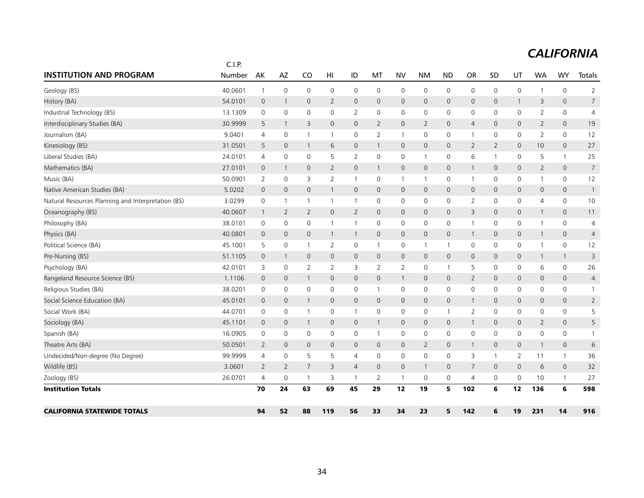|                                                    | C.I.P.  |                |                |                |                |                     |                |                |                     |                     |                |                |              |                |              |                |
|----------------------------------------------------|---------|----------------|----------------|----------------|----------------|---------------------|----------------|----------------|---------------------|---------------------|----------------|----------------|--------------|----------------|--------------|----------------|
| <b>INSTITUTION AND PROGRAM</b>                     | Number  | AK             | AZ             | CO             | HI             | ID                  | МT             | <b>NV</b>      | <b>NM</b>           | <b>ND</b>           | <b>OR</b>      | SD             | UT           | <b>WA</b>      | <b>WY</b>    | Totals         |
| Geology (BS)                                       | 40.0601 | $\overline{1}$ | $\mathbf 0$    | $\mathbf 0$    | 0              | 0                   | $\mathbf 0$    | $\mathbf 0$    | 0                   | 0                   | 0              | 0              | 0            |                | 0            | $\overline{2}$ |
| History (BA)                                       | 54.0101 | $\mathbf 0$    | $\mathbf{1}$   | $\mathbf{0}$   | $\overline{2}$ | $\mathsf{O}$        | $\mathbf 0$    | $\mathbf 0$    | 0                   | $\mathbf 0$         | $\mathbf{0}$   | 0              | $\mathbf{1}$ | 3              | $\mathsf{O}$ | $\overline{7}$ |
| Industrial Technology (BS)                         | 13.1309 | 0              | $\mathbf 0$    | 0              | 0              | $\overline{2}$      | 0              | $\mathbf 0$    | $\mathbf 0$         | $\mathsf 0$         | 0              | 0              | 0            | $\overline{2}$ | 0            | $\overline{4}$ |
| Interdisciplinary Studies (BA)                     | 30.9999 | 5              | $\mathbf{1}$   | 3              | 0              | $\mathsf{O}$        | $\overline{2}$ | $\mathbf 0$    | 2                   | $\mathbf 0$         | $\overline{4}$ | $\mathbf{0}$   | $\mathsf{O}$ | $\overline{2}$ | $\mathsf{O}$ | 19             |
| Journalism (BA)                                    | 9.0401  | $\overline{4}$ | 0              | $\mathbf{1}$   | 1              | $\mathbf 0$         | 2              | $\mathbf{1}$   | 0                   | $\mathbf 0$         | $\overline{1}$ | 0              | $\mathbf 0$  | $\overline{2}$ | $\mathsf{O}$ | 12             |
| Kinesiology (BS)                                   | 31.0501 | 5              | $\mathbf 0$    | $\mathbf{1}$   | 6              | $\mathsf{O}\xspace$ | $\mathbf{1}$   | $\mathbf 0$    | $\mathsf{O}\xspace$ | $\mathbf 0$         | $\overline{2}$ | $\overline{2}$ | $\mathsf{O}$ | 10             | $\mathsf{O}$ | 27             |
| Liberal Studies (BA)                               | 24.0101 | $\overline{4}$ | $\mathbf 0$    | 0              | 5              | 2                   | $\mathbf 0$    | $\mathbf 0$    | $\mathbf{1}$        | $\mathsf 0$         | 6              | $\mathbf{1}$   | $\mathbf 0$  | 5              | $\mathbf{1}$ | 25             |
| Mathematics (BA)                                   | 27.0101 | $\mathbf{0}$   | $\mathbf{1}$   | $\mathbf{0}$   | $\overline{2}$ | $\mathbf{0}$        | $\mathbf{1}$   | $\mathbf{0}$   | $\mathbf{0}$        | $\mathbf{0}$        | -1             | $\mathbf{0}$   | $\mathbf{0}$ | $\overline{2}$ | $\mathbf{0}$ | $\overline{7}$ |
| Music (BA)                                         | 50.0901 | 2              | $\mathbf 0$    | 3              | 2              | 1                   | 0              | $\mathbf{1}$   | $\mathbf{1}$        | 0                   | -1             | 0              | 0            | -1             | 0            | 12             |
| Native American Studies (BA)                       | 5.0202  | $\mathbf{0}$   | $\mathbf 0$    | $\mathbf{0}$   | 1              | $\overline{0}$      | $\mathbf 0$    | $\mathbf 0$    | $\mathbf{0}$        | $\mathbf{0}$        | $\mathbf{0}$   | $\mathbf{0}$   | $\mathsf{O}$ | $\mathbf 0$    | $\mathbf{0}$ | $\mathbf{1}$   |
| Natural Resources Planning and Interpretation (BS) | 3.0299  | $\mathbf 0$    | $\mathbf{1}$   | 1              | 1              | $\mathbf{1}$        | $\mathbf 0$    | 0              | $\mathbf 0$         | 0                   | 2              | 0              | 0            | 4              | $\mathsf{O}$ | 10             |
| Oceanography (BS)                                  | 40.0607 | $\overline{1}$ | $\overline{2}$ | $\overline{2}$ | 0              | $\overline{2}$      | $\mathbf 0$    | $\mathbf 0$    | $\mathbf 0$         | $\mathbf 0$         | 3              | $\mathbf{0}$   | $\mathsf{O}$ | -1             | $\mathsf{O}$ | 11             |
| Philosophy (BA)                                    | 38.0101 | 0              | $\mathbf 0$    | 0              | 1              | $\mathbf{1}$        | $\mathbf 0$    | $\mathbf 0$    | $\mathbf 0$         | $\mathsf 0$         | $\mathbf{1}$   | 0              | 0            | -1             | 0            | 4              |
| Physics (BA)                                       | 40.0801 | $\mathbf 0$    | $\mathbf 0$    | 0              | 1              | $\mathbf{1}$        | $\mathbf 0$    | $\mathbf 0$    | $\mathbf 0$         | $\mathbf 0$         | $\mathbf{1}$   | 0              | $\mathsf{O}$ | $\mathbf{1}$   | $\mathsf{O}$ | $\overline{4}$ |
| Political Science (BA)                             | 45.1001 | 5              | 0              | 1              | 2              | 0                   | 1              | 0              | $\mathbf{1}$        | $\mathbf{1}$        | 0              | 0              | 0            | -1             | 0            | 12             |
| Pre-Nursing (BS)                                   | 51.1105 | $\mathbf 0$    | $\mathbf{1}$   | 0              | $\mathbf 0$    | $\mathsf{O}$        | $\mathbf 0$    | $\mathbf 0$    | $\mathsf{O}\xspace$ | $\mathsf{O}\xspace$ | $\mathbf 0$    | 0              | $\mathsf{O}$ | 1              | $\mathbf{1}$ | 3              |
| Psychology (BA)                                    | 42.0101 | 3              | $\mathbf 0$    | $\overline{2}$ | $\overline{2}$ | 3                   | 2              | $\overline{2}$ | 0                   | $\mathbf{1}$        | 5              | 0              | 0            | 6              | 0            | 26             |
| Rangeland Resource Science (BS)                    | 1.1106  | $\mathbf 0$    | $\mathbf 0$    | $\mathbf{1}$   | 0              | 0                   | $\mathbf 0$    | $\overline{1}$ | $\mathbf 0$         | $\mathbf 0$         | $\overline{2}$ | 0              | $\mathsf{O}$ | $\mathbf 0$    | $\mathsf{O}$ | $\overline{4}$ |
| Religious Studies (BA)                             | 38.0201 | $\mathbf 0$    | $\mathbf 0$    | 0              | $\mathbf 0$    | $\mathsf{O}$        | $\mathbf{1}$   | $\mathbf 0$    | $\mathbf 0$         | $\mathsf 0$         | 0              | $\mathbf 0$    | 0            | $\mathbf 0$    | 0            | $\mathbf{1}$   |
| Social Science Education (BA)                      | 45.0101 | $\mathbf 0$    | $\mathbf 0$    | $\mathbf{1}$   | $\mathbf 0$    | $\mathsf{O}$        | $\mathbf 0$    | $\mathbf 0$    | $\mathsf{O}\xspace$ | $\mathsf{O}\xspace$ | $\mathbf{1}$   | $\mathbf{0}$   | $\mathsf{O}$ | $\mathbf 0$    | $\mathsf{O}$ | $\overline{2}$ |
| Social Work (BA)                                   | 44.0701 | 0              | $\mathbf 0$    | 1              | 0              | 1                   | $\mathbf 0$    | $\mathbf 0$    | $\mathbf 0$         | $\mathbf{1}$        | $\overline{2}$ | 0              | 0            | 0              | $\mathsf{O}$ | 5              |
| Sociology (BA)                                     | 45.1101 | $\mathbf 0$    | $\mathbf 0$    | $\mathbf{1}$   | 0              | $\mathsf{O}$        | $\mathbf{1}$   | $\mathbf 0$    | $\mathbf 0$         | $\mathbf 0$         | $\mathbf{1}$   | $\mathbf{0}$   | $\mathsf{O}$ | 2              | $\mathbf{0}$ | 5              |
| Spanish (BA)                                       | 16.0905 | 0              | 0              | 0              | 0              | 0                   | $\mathbf{1}$   | 0              | 0                   | 0                   | 0              | 0              | 0            | 0              | 0            | $\mathbf{1}$   |
| Theatre Arts (BA)                                  | 50.0501 | 2              | $\mathbf{0}$   | $\mathbf{0}$   | 0              | $\mathbf{0}$        | $\mathbf 0$    | $\mathbf 0$    | 2                   | $\mathbf 0$         | -1             | $\mathbf{0}$   | $\mathsf{O}$ | -1             | $\mathsf{O}$ | 6              |
| Undecided/Non-degree (No Degree)                   | 99.9999 | $\overline{4}$ | $\mathbf 0$    | 5              | 5              | $\overline{4}$      | $\mathbf 0$    | $\mathbf 0$    | $\mathbf 0$         | $\mathbf 0$         | 3              | $\mathbf{1}$   | 2            | 11             | $\mathbf{1}$ | 36             |
| Wildlife (BS)                                      | 3.0601  | 2              | 2              | $\overline{7}$ | 3              | 4                   | $\mathbf 0$    | $\mathbf 0$    | $\mathbf{1}$        | $\mathbf{0}$        | $\overline{7}$ | $\mathbf{0}$   | $\mathsf{O}$ | 6              | $\mathsf{O}$ | 32             |
| Zoology (BS)                                       | 26.0701 | $\overline{4}$ | $\mathbf 0$    | 1              | 3              | 1                   | 2              | $\overline{1}$ | 0                   | $\mathbf 0$         | 4              | 0              | $\mathbf 0$  | 10             | $\mathbf{1}$ | 27             |
| <b>Institution Totals</b>                          |         | 70             | 24             | 63             | 69             | 45                  | 29             | 12             | 19                  | 5                   | 102            | 6              | 12           | 136            | 6            | 598            |
| <b>CALIFORNIA STATEWIDE TOTALS</b>                 |         | 94             | 52             | 88             | 119            | 56                  | 33             | 34             | 23                  | 5                   | 142            | 6              | 19           | 231            | 14           | 916            |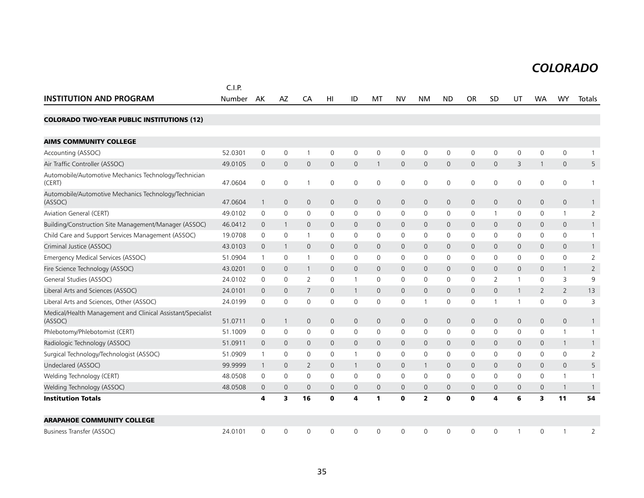|                                                                        | C.I.P.  |                |                         |                     |              |                     |              |                     |                         |                     |                     |                |              |                |                |                |
|------------------------------------------------------------------------|---------|----------------|-------------------------|---------------------|--------------|---------------------|--------------|---------------------|-------------------------|---------------------|---------------------|----------------|--------------|----------------|----------------|----------------|
| <b>INSTITUTION AND PROGRAM</b>                                         | Number  | AK             | AZ                      | CA                  | HI           | ID                  | MT           | <b>NV</b>           | <b>NM</b>               | <b>ND</b>           | <b>OR</b>           | <b>SD</b>      | UT           | <b>WA</b>      | <b>WY</b>      | Totals         |
| <b>COLORADO TWO-YEAR PUBLIC INSTITUTIONS (12)</b>                      |         |                |                         |                     |              |                     |              |                     |                         |                     |                     |                |              |                |                |                |
| <b>AIMS COMMUNITY COLLEGE</b>                                          |         |                |                         |                     |              |                     |              |                     |                         |                     |                     |                |              |                |                |                |
| Accounting (ASSOC)                                                     | 52.0301 | 0              | 0                       | $\overline{1}$      | $\mathbf 0$  | 0                   | $\mathbf 0$  | 0                   | 0                       | 0                   | $\mathsf{O}$        | 0              | 0            | $\mathbf 0$    | $\mathbf 0$    | $\mathbf{1}$   |
| Air Traffic Controller (ASSOC)                                         | 49.0105 | $\overline{0}$ | $\mathbf 0$             | $\mathsf{O}\xspace$ | 0            | $\mathsf{O}\xspace$ | $\mathbf{1}$ | $\mathbf 0$         | $\mathbf 0$             | $\mathsf{O}\xspace$ | $\mathsf{O}$        | 0              | 3            | $\mathbf{1}$   | $\mathbf 0$    | 5              |
| Automobile/Automotive Mechanics Technology/Technician<br>(CERT)        | 47.0604 | $\mathbf 0$    | $\mathbf 0$             | 1                   | $\mathbf 0$  | $\mathbf 0$         | $\mathbf 0$  | $\mathsf{O}\xspace$ | 0                       | 0                   | $\mathsf 0$         | 0              | 0            | 0              | $\mathbf 0$    | 1              |
| Automobile/Automotive Mechanics Technology/Technician<br>(ASSOC)       | 47.0604 | $\overline{1}$ | $\mathbf 0$             | $\mathsf{O}\xspace$ | 0            | $\mathbf 0$         | $\mathbf 0$  | $\mathbf 0$         | $\mathbf 0$             | $\mathbf 0$         | $\mathsf{O}\xspace$ | $\mathbf 0$    | 0            | $\mathbf 0$    | $\mathsf{O}$   | $\mathbf{1}$   |
| <b>Aviation General (CERT)</b>                                         | 49.0102 | $\mathbf 0$    | 0                       | 0                   | 0            | 0                   | $\mathbf 0$  | 0                   | $\mathbf 0$             | 0                   | 0                   |                | 0            | $\mathbf 0$    | $\mathbf{1}$   | $\sqrt{2}$     |
| Building/Construction Site Management/Manager (ASSOC)                  | 46.0412 | $\mathbf 0$    | $\mathbf{1}$            | $\mathbf{0}$        | 0            | 0                   | $\mathbf 0$  | $\mathbf 0$         | $\mathbf 0$             | $\mathbf 0$         | 0                   | $\mathbf 0$    | 0            | 0              | $\mathbf 0$    | $\mathbf{1}$   |
| Child Care and Support Services Management (ASSOC)                     | 19.0708 | 0              | 0                       | $\mathbf 1$         | 0            | 0                   | 0            | 0                   | $\mathbf 0$             | 0                   | 0                   | 0              | 0            | 0              | $\mathbf 0$    | $\mathbf{1}$   |
| Criminal Justice (ASSOC)                                               | 43.0103 | $\mathbf 0$    | $\mathbf 1$             | $\mathbf{0}$        | $\mathbf{0}$ | $\mathsf{O}$        | $\Omega$     | $\mathbf{0}$        | $\mathbf{0}$            | $\mathbf 0$         | $\mathbf{0}$        | $\Omega$       | $\mathbf{0}$ | $\Omega$       | $\mathbf{0}$   | $\mathbf{1}$   |
| Emergency Medical Services (ASSOC)                                     | 51.0904 | $\mathbf{1}$   | $\mathbf 0$             | $\overline{1}$      | 0            | 0                   | $\mathbf{0}$ | 0                   | $\mathbf 0$             | 0                   | 0                   | 0              | 0            | $\mathbf{0}$   | $\mathbf 0$    | 2              |
| Fire Science Technology (ASSOC)                                        | 43.0201 | $\mathbf 0$    | $\mathbf 0$             | $\mathbf{1}$        | $\mathbf{0}$ | 0                   | $\mathbf{0}$ | $\mathbf{0}$        | $\mathbf{0}$            | $\mathbf 0$         | $\mathbf{0}$        | $\Omega$       | 0            | $\mathbf 0$    | $\mathbf{1}$   | $\overline{2}$ |
| General Studies (ASSOC)                                                | 24.0102 | 0              | 0                       | 2                   | 0            | $\mathbf{1}$        | $\mathbf 0$  | 0                   | $\mathbf 0$             | 0                   | $\mathbf 0$         | 2              | -1           | $\mathbf{0}$   | 3              | 9              |
| Liberal Arts and Sciences (ASSOC)                                      | 24.0101 | $\overline{0}$ | $\mathbf{0}$            | 7                   | $\mathbf{0}$ | $\mathbf{1}$        | $\mathbf 0$  | $\mathbf 0$         | 0                       | $\mathbf 0$         | $\mathbf{0}$        | $\overline{0}$ | $\mathbf{1}$ | $\overline{2}$ | $\overline{2}$ | 13             |
| Liberal Arts and Sciences, Other (ASSOC)                               | 24.0199 | 0              | 0                       | 0                   | 0            | 0                   | $\mathbf 0$  | $\mathbf 0$         |                         | 0                   | 0                   |                | 1            | 0              | $\mathbf 0$    | 3              |
| Medical/Health Management and Clinical Assistant/Specialist<br>(ASSOC) | 51.0711 | $\theta$       | $\mathbf{1}$            | $\mathsf{O}\xspace$ | 0            | $\mathbf 0$         | $\mathbf 0$  | $\mathbf 0$         | $\mathbf 0$             | 0                   | $\mathsf{O}\xspace$ | $\mathbf 0$    | 0            | $\mathbf 0$    | $\mathbf 0$    | $\mathbf{1}$   |
| Phlebotomy/Phlebotomist (CERT)                                         | 51.1009 | 0              | 0                       | 0                   | 0            | 0                   | $\mathbf 0$  | $\mathbf 0$         | $\mathbf 0$             | $\mathbf 0$         | 0                   | 0              | 0            | 0              | $\mathbf{1}$   | 1              |
| Radiologic Technology (ASSOC)                                          | 51.0911 | $\mathbf 0$    | $\mathbf{0}$            | $\mathbf{0}$        | $\mathbf{0}$ | 0                   | $\mathbf{0}$ | $\mathbf 0$         | $\mathbf 0$             | $\mathbf 0$         | $\mathbf{0}$        | $\mathbf{0}$   | 0            | $\mathbf 0$    | $\mathbf{1}$   | $\mathbf{1}$   |
| Surgical Technology/Technologist (ASSOC)                               | 51.0909 | $\mathbf{1}$   | 0                       | 0                   | 0            | $\mathbf{1}$        | 0            | 0                   | 0                       | 0                   | 0                   | 0              | 0            | 0              | 0              | $\overline{2}$ |
| Undeclared (ASSOC)                                                     | 99.9999 | $\overline{1}$ | $\mathbf 0$             | $\overline{2}$      | $\mathbf{0}$ | $\mathbf{1}$        | $\mathbf{0}$ | $\mathbf 0$         | 1                       | $\mathbf{0}$        | $\mathbf{0}$        | $\mathbf 0$    | $\mathbf{0}$ | $\mathbf 0$    | $\mathbf{0}$   | 5              |
| Welding Technology (CERT)                                              | 48.0508 | 0              | $\Omega$                | $\Omega$            | $\mathbf{0}$ | $\Omega$            | $\mathbf{0}$ | $\mathbf 0$         | $\mathbf{0}$            | $\Omega$            | $\Omega$            | $\Omega$       | $\Omega$     | $\mathbf{0}$   | $\mathbf{1}$   | $\mathbf{1}$   |
| Welding Technology (ASSOC)                                             | 48.0508 | $\mathbf 0$    | $\mathbf{0}$            | $\mathbf{0}$        | $\mathbf{0}$ | 0                   | $\mathbf{0}$ | $\mathbf 0$         | 0                       | $\mathbf 0$         | $\mathbf{0}$        | $\mathbf{0}$   | 0            | $\mathbf 0$    | $\mathbf{1}$   | $\overline{1}$ |
| <b>Institution Totals</b>                                              |         | 4              | $\overline{\mathbf{3}}$ | 16                  | $\bf{0}$     | 4                   | $\mathbf{1}$ | $\mathbf 0$         | $\overline{\mathbf{2}}$ | $\mathbf{0}$        | $\mathbf 0$         | 4              | 6            | 3              | 11             | 54             |
| <b>ARAPAHOE COMMUNITY COLLEGE</b>                                      |         |                |                         |                     |              |                     |              |                     |                         |                     |                     |                |              |                |                |                |
| Business Transfer (ASSOC)                                              | 24.0101 | $\mathbf 0$    | 0                       | 0                   | $\mathbf 0$  | 0                   | $\mathbf 0$  | $\mathbf 0$         | 0                       | 0                   | $\mathbf 0$         | 0              | -1           | 0              | 1              | $\overline{2}$ |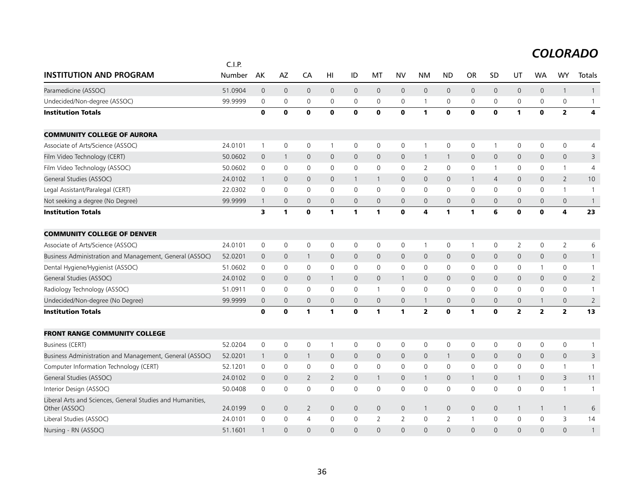|                                                                             | C.I.P.  |                |                     |                     |                     |              |                |                |                         |                |                     |                     |                         |                     |                         |                         |
|-----------------------------------------------------------------------------|---------|----------------|---------------------|---------------------|---------------------|--------------|----------------|----------------|-------------------------|----------------|---------------------|---------------------|-------------------------|---------------------|-------------------------|-------------------------|
| <b>INSTITUTION AND PROGRAM</b>                                              | Number  | AK             | <b>AZ</b>           | CA                  | HI                  | ID           | MT             | <b>NV</b>      | <b>NM</b>               | <b>ND</b>      | <b>OR</b>           | <b>SD</b>           | UT                      | <b>WA</b>           | <b>WY</b>               | Totals                  |
| Paramedicine (ASSOC)                                                        | 51.0904 | $\overline{0}$ | $\mathsf{O}$        | $\mathbf 0$         | $\mathbf 0$         | 0            | $\mathbf 0$    | $\mathbf 0$    | $\mathsf{O}$            | $\mathbf 0$    | $\mathsf{O}$        | $\mathsf{O}\xspace$ | $\mathbf 0$             | $\mathsf{O}\xspace$ | $\mathbf{1}$            | $\mathbf{1}$            |
| Undecided/Non-degree (ASSOC)                                                | 99.9999 | 0              | 0                   | $\mathsf 0$         | $\mathbf 0$         | 0            | $\mathbf 0$    | $\mathbf 0$    | $\mathbf{1}$            | $\mathbf 0$    | $\mathbf 0$         | $\mathbf 0$         | 0                       | $\mathbf 0$         | 0                       | $\mathbf{1}$            |
| <b>Institution Totals</b>                                                   |         | $\mathbf 0$    | $\mathbf 0$         | $\mathbf 0$         | $\mathbf 0$         | $\mathbf 0$  | $\mathbf 0$    | $\mathbf{o}$   | 1                       | $\mathbf 0$    | $\mathbf 0$         | $\mathbf 0$         | $\mathbf{1}$            | $\mathbf o$         | $\overline{2}$          | $\overline{\mathbf{4}}$ |
| <b>COMMUNITY COLLEGE OF AURORA</b>                                          |         |                |                     |                     |                     |              |                |                |                         |                |                     |                     |                         |                     |                         |                         |
| Associate of Arts/Science (ASSOC)                                           | 24.0101 | $\mathbf{1}$   | $\mathbf 0$         | 0                   | -1                  | 0            | $\mathbf 0$    | $\mathbf 0$    | $\mathbf{1}$            | $\mathbf 0$    | $\mathbf 0$         | 1                   | $\mathbf 0$             | 0                   | $\mathbf 0$             | $\overline{4}$          |
| Film Video Technology (CERT)                                                | 50.0602 | $\mathbf 0$    | $\mathbf{1}$        | $\mathbf{0}$        | $\mathbf 0$         | $\mathsf{O}$ | $\mathbf{0}$   | $\mathbf{0}$   | $\overline{1}$          | $\mathbf{1}$   | $\mathbf{0}$        | $\mathbf{0}$        | $\mathbf{0}$            | $\mathbf{0}$        | $\mathbf 0$             | 3                       |
| Film Video Technology (ASSOC)                                               | 50.0602 | 0              | $\mathbf 0$         | $\mathbf 0$         | 0                   | 0            | 0              | 0              | $\overline{2}$          | $\mathbf 0$    | 0                   | $\mathbf{1}$        | 0                       | 0                   | $\mathbf{1}$            | 4                       |
| General Studies (ASSOC)                                                     | 24.0102 | $\mathbf{1}$   | 0                   | $\mathbf{0}$        | $\mathbf{0}$        | $\mathbf{1}$ | 1              | $\mathbf{0}$   | $\mathbf{0}$            | $\mathbf 0$    | $\mathbf{1}$        | $\overline{4}$      | $\mathbf{0}$            | $\mathbf{0}$        | $\overline{2}$          | 10                      |
| Legal Assistant/Paralegal (CERT)                                            | 22.0302 | 0              | $\mathbf 0$         | $\mathbf 0$         | $\mathbf 0$         | 0            | $\mathbf 0$    | 0              | $\mathbf 0$             | $\mathbf 0$    | $\mathbf 0$         | $\mathbf 0$         | 0                       | 0                   | $\mathbf{1}$            | $\overline{1}$          |
| Not seeking a degree (No Degree)                                            | 99.9999 | $\mathbf{1}$   | $\mathbf{0}$        | $\mathbf{0}$        | $\mathbf{0}$        | $\mathsf{O}$ | $\mathbf{0}$   | $\mathbf 0$    | $\mathbf{0}$            | $\mathbf{0}$   | $\mathbf{0}$        | $\mathbf{0}$        | $\mathbf{0}$            | $\mathbf{0}$        | $\mathbf 0$             | $\overline{1}$          |
| <b>Institution Totals</b>                                                   |         | 3              | $\mathbf{1}$        | $\mathbf 0$         | $\mathbf{1}$        | 1            | 1              | $\mathbf 0$    | 4                       | $\mathbf{1}$   | $\mathbf{1}$        | 6                   | $\mathbf{0}$            | $\mathbf{0}$        | 4                       | 23                      |
| <b>COMMUNITY COLLEGE OF DENVER</b>                                          |         |                |                     |                     |                     |              |                |                |                         |                |                     |                     |                         |                     |                         |                         |
| Associate of Arts/Science (ASSOC)                                           | 24.0101 | 0              | $\mathbf 0$         | $\mathbf 0$         | 0                   | 0            | 0              | 0              | $\mathbf{1}$            | 0              | $\mathbf 1$         | 0                   | $\overline{2}$          | 0                   | $\overline{2}$          | 6                       |
| Business Administration and Management, General (ASSOC)                     | 52.0201 | $\mathbf 0$    | $\mathsf{O}\xspace$ | $\mathbf{1}$        | 0                   | 0            | 0              | $\mathbf 0$    | $\mathsf{O}$            | $\mathbf 0$    | $\mathsf{O}\xspace$ | $\mathbf{0}$        | $\mathsf{O}\xspace$     | $\mathbf 0$         | $\mathbf 0$             | $\mathbf{1}$            |
| Dental Hygiene/Hygienist (ASSOC)                                            | 51.0602 | 0              | 0                   | $\mathsf{O}\xspace$ | $\mathbf 0$         | 0            | 0              | 0              | $\mathbf 0$             | $\mathbf 0$    | 0                   | 0                   | 0                       | $\mathbf{1}$        | 0                       | $\mathbf{1}$            |
| General Studies (ASSOC)                                                     | 24.0102 | $\mathbf{0}$   | $\mathbf{0}$        | $\mathbf{0}$        | $\mathbf{1}$        | $\mathsf{O}$ | $\mathbf{0}$   | $\mathbf{1}$   | $\mathbf{0}$            | $\overline{0}$ | $\overline{0}$      | $\mathbf{0}$        | $\mathbf{0}$            | $\mathbf{0}$        | $\mathbf{0}$            | $\overline{2}$          |
| Radiology Technology (ASSOC)                                                | 51.0911 | 0              | 0                   | $\mathbf 0$         | 0                   | 0            | 1              | 0              | $\mathbf 0$             | $\mathbf 0$    | 0                   | 0                   | 0                       | 0                   | 0                       | $\mathbf{1}$            |
| Undecided/Non-degree (No Degree)                                            | 99.9999 | $\mathbf 0$    | $\mathsf{O}\xspace$ | $\mathsf{O}\xspace$ | $\mathsf{O}\xspace$ | 0            | $\mathbf 0$    | $\mathsf{O}$   | $\mathbf{1}$            | $\mathbf 0$    | $\overline{0}$      | $\mathbf{0}$        | $\mathsf{O}$            | $\mathbf{1}$        | $\mathsf{O}\xspace$     | $\overline{2}$          |
| <b>Institution Totals</b>                                                   |         | $\mathbf 0$    | $\mathbf 0$         | 1                   | 1                   | $\mathbf{0}$ | 1              | 1              | $\overline{\mathbf{2}}$ | $\mathbf 0$    | 1                   | $\mathbf 0$         | $\overline{\mathbf{2}}$ | $\overline{2}$      | $\overline{\mathbf{2}}$ | 13                      |
| <b>FRONT RANGE COMMUNITY COLLEGE</b>                                        |         |                |                     |                     |                     |              |                |                |                         |                |                     |                     |                         |                     |                         |                         |
| Business (CERT)                                                             | 52.0204 | 0              | $\mathbf 0$         | $\mathbf 0$         | -1                  | 0            | 0              | $\mathbf 0$    | $\mathbf 0$             | $\mathbf 0$    | 0                   | 0                   | 0                       | 0                   | $\mathsf{O}\xspace$     | 1                       |
| Business Administration and Management, General (ASSOC)                     | 52.0201 | $\mathbf{1}$   | $\mathbf 0$         | $\overline{1}$      | $\mathbf 0$         | $\mathsf{O}$ | 0              | $\mathbf 0$    | $\mathbf 0$             | $\mathbf{1}$   | $\mathbf 0$         | $\mathbf 0$         | $\mathbf{0}$            | $\mathbf 0$         | $\mathbf 0$             | 3                       |
| Computer Information Technology (CERT)                                      | 52.1201 | 0              | $\mathbf 0$         | $\mathbf 0$         | $\mathbf 0$         | $\Omega$     | $\mathbf{0}$   | $\mathbf 0$    | $\mathbf 0$             | $\mathbf 0$    | $\mathbf 0$         | $\Omega$            | $\mathbf 0$             | $\Omega$            | $\mathbf{1}$            | $\mathbf{1}$            |
| General Studies (ASSOC)                                                     | 24.0102 | $\Omega$       | $\mathbf{0}$        | 2                   | 2                   | $\mathsf{O}$ | $\mathbf{1}$   | $\mathbf{0}$   | $\overline{1}$          | $\overline{0}$ | $\mathbf{1}$        | $\mathbf{0}$        | $\mathbf{1}$            | $\Omega$            | 3                       | 11                      |
| Interior Design (ASSOC)                                                     | 50.0408 | $\mathbf 0$    | $\mathbf 0$         | $\mathbf 0$         | 0                   | 0            | 0              | $\mathbf 0$    | $\mathbf 0$             | $\mathbf 0$    | 0                   | 0                   | $\mathbf 0$             | $\mathbf 0$         | $\mathbf{1}$            | $\overline{1}$          |
| Liberal Arts and Sciences, General Studies and Humanities,<br>Other (ASSOC) | 24.0199 | $\mathbf 0$    | $\mathbf 0$         | $\overline{2}$      | $\mathbf 0$         | 0            | $\mathbf 0$    | $\mathbf 0$    | $\mathbf{1}$            | $\mathbf 0$    | $\mathbf 0$         | $\mathbf 0$         | $\mathbf{1}$            | $\mathbf{1}$        | $\overline{1}$          | 6                       |
| Liberal Studies (ASSOC)                                                     | 24.0101 | 0              | $\mathbf 0$         | $\overline{4}$      | $\Omega$            | 0            | $\overline{2}$ | $\overline{2}$ | $\mathbf 0$             | 2              | $\mathbf{1}$        | 0                   | 0                       | $\Omega$            | 3                       | 14                      |
| Nursing - RN (ASSOC)                                                        | 51.1601 | $\mathbf{1}$   | $\Omega$            | $\Omega$            | $\Omega$            | $\Omega$     | $\Omega$       | $\Omega$       | $\Omega$                | $\Omega$       | $\Omega$            | $\Omega$            | $\Omega$                | $\Omega$            | $\Omega$                | $\mathbf{1}$            |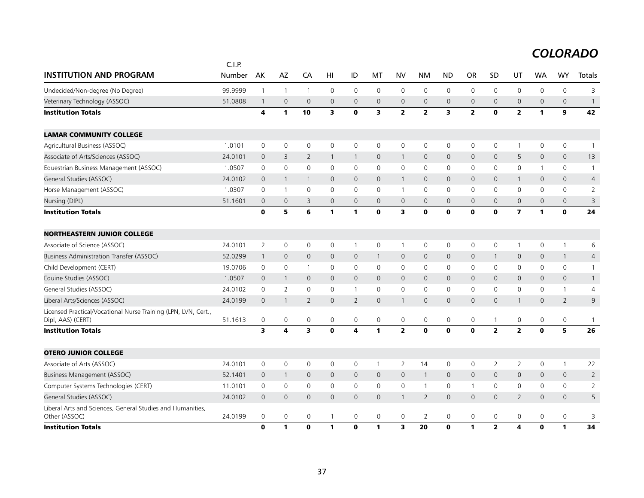|                                                                                     | C.I.P.  |                |                |                         |                     |                |              |                     |                |              |                         |                         |                         |              |                |                |
|-------------------------------------------------------------------------------------|---------|----------------|----------------|-------------------------|---------------------|----------------|--------------|---------------------|----------------|--------------|-------------------------|-------------------------|-------------------------|--------------|----------------|----------------|
| <b>INSTITUTION AND PROGRAM</b>                                                      | Number  | AK             | AZ             | CA                      | H <sub>l</sub>      | ID             | MT           | <b>NV</b>           | <b>NM</b>      | <b>ND</b>    | OR                      | SD                      | UT                      | <b>WA</b>    | <b>WY</b>      | Totals         |
| Undecided/Non-degree (No Degree)                                                    | 99.9999 | $\mathbf{1}$   | $\mathbf{1}$   | $\overline{1}$          | $\mathsf{O}\xspace$ | $\mathsf 0$    | 0            | $\mathsf 0$         | $\mathsf{O}$   | $\mathsf{O}$ | $\mathsf{O}$            | $\mathsf 0$             | $\mathsf{O}$            | 0            | 0              | 3              |
| Veterinary Technology (ASSOC)                                                       | 51.0808 | $\mathbf{1}$   | $\mathbf{0}$   | $\mathbf{0}$            | $\mathbf{0}$        | $\mathsf{O}$   | $\mathbf{0}$ | $\mathbf{0}$        | $\mathbf{0}$   | $\mathbf{0}$ | $\mathbf{0}$            | $\Omega$                | $\mathbf{0}$            | $\mathsf{O}$ | $\mathsf{O}$   | $\overline{1}$ |
| <b>Institution Totals</b>                                                           |         | 4              | 1              | 10                      | 3                   | $\mathbf 0$    | 3            | $\overline{2}$      | $\overline{2}$ | 3            | $\overline{\mathbf{2}}$ | $\mathbf 0$             | $\overline{2}$          | 1            | 9              | 42             |
| <b>LAMAR COMMUNITY COLLEGE</b>                                                      |         |                |                |                         |                     |                |              |                     |                |              |                         |                         |                         |              |                |                |
| Agricultural Business (ASSOC)                                                       | 1.0101  | $\mathbf 0$    | $\mathbf 0$    | $\mathbf 0$             | $\mathbf 0$         | $\mathsf{O}$   | $\mathbf 0$  | $\mathbf 0$         | $\mathsf{O}$   | $\mathsf{O}$ | $\mathbf 0$             | $\mathbf 0$             | $\mathbf{1}$            | 0            | 0              | $\overline{1}$ |
| Associate of Arts/Sciences (ASSOC)                                                  | 24.0101 | $\mathbf{0}$   | 3              | $\overline{2}$          | $\mathbf{1}$        | $\mathbf{1}$   | $\mathbf{0}$ | $\mathbf{1}$        | $\mathbf{0}$   | $\mathsf{O}$ | $\mathbf{0}$            | $\mathbf{0}$            | 5                       | $\mathbf{0}$ | $\mathbf{0}$   | 13             |
| Equestrian Business Management (ASSOC)                                              | 1.0507  | 0              | 0              | $\mathbf 0$             | 0                   | 0              | 0            | 0                   | $\mathbf 0$    | $\mathsf{O}$ | 0                       | 0                       | 0                       | -1           | 0              | -1             |
| General Studies (ASSOC)                                                             | 24.0102 | $\mathbf{0}$   | $\mathbf{1}$   | $\overline{1}$          | $\mathbf{0}$        | $\mathbf{0}$   | $\mathbf{0}$ | $\mathbf{1}$        | $\mathbf{0}$   | $\mathsf{O}$ | $\mathbf{0}$            | $\mathbf{0}$            | $\mathbf{1}$            | $\mathbf{0}$ | $\mathbf{0}$   | $\overline{4}$ |
| Horse Management (ASSOC)                                                            | 1.0307  | 0              | $\mathbf{1}$   | $\mathbf 0$             | $\mathbf 0$         | $\mathsf{O}$   | 0            | $\mathbf{1}$        | $\mathbf 0$    | $\mathbf 0$  | $\mathbf 0$             | 0                       | $\mathbf 0$             | 0            | 0              | $\overline{2}$ |
| Nursing (DIPL)                                                                      | 51.1601 | $\mathbf{0}$   | $\mathbf 0$    | 3                       | $\mathbf{0}$        | 0              | $\mathbf{0}$ | $\mathbf 0$         | $\mathbf{0}$   | $\mathbf{0}$ | $\mathbf 0$             | $\mathbf{0}$            | $\mathsf{O}$            | $\mathbf{0}$ | $\mathbf{0}$   | 3              |
| <b>Institution Totals</b>                                                           |         | $\mathbf 0$    | 5              | 6                       | 1                   | 1              | $\mathbf 0$  | 3                   | $\mathbf 0$    | $\mathbf 0$  | $\mathbf 0$             | $\mathbf 0$             | $\overline{\mathbf{z}}$ | $\mathbf{1}$ | $\mathbf{0}$   | 24             |
| <b>NORTHEASTERN JUNIOR COLLEGE</b>                                                  |         |                |                |                         |                     |                |              |                     |                |              |                         |                         |                         |              |                |                |
| Associate of Science (ASSOC)                                                        | 24.0101 | $\overline{2}$ | $\mathbf 0$    | $\mathbf 0$             | $\mathbf 0$         | $\mathbf{1}$   | 0            | $\mathbf{1}$        | 0              | $\mathsf{O}$ | $\mathbf 0$             | $\mathbf 0$             | $\mathbf{1}$            | $\mathbf 0$  | $\mathbf{1}$   | 6              |
| Business Administration Transfer (ASSOC)                                            | 52.0299 | $\mathbf{1}$   | $\mathbf 0$    | $\mathbf{0}$            | $\mathbf{0}$        | $\mathbf{0}$   | $\mathbf{1}$ | $\mathbf{0}$        | $\mathbf{0}$   | $\mathbf{0}$ | $\mathbf{0}$            | $\overline{1}$          | $\mathbf{0}$            | $\mathbf{0}$ | $\mathbf{1}$   | $\overline{4}$ |
| Child Development (CERT)                                                            | 19.0706 | $\mathbf 0$    | 0              | $\overline{1}$          | 0                   | 0              | 0            | 0                   | 0              | $\mathbf 0$  | $\mathbf 0$             | 0                       | 0                       | 0            | 0              | -1             |
| Equine Studies (ASSOC)                                                              | 1.0507  | $\mathbf 0$    | $\mathbf{1}$   | $\overline{0}$          | $\mathbf 0$         | 0              | $\mathbf{0}$ | 0                   | $\mathbf 0$    | $\mathsf{O}$ | $\mathbf{0}$            | $\mathbf 0$             | $\mathbf 0$             | $\mathbf{0}$ | 0              | $\mathbf{1}$   |
| General Studies (ASSOC)                                                             | 24.0102 | $\mathbf 0$    | $\overline{2}$ | $\mathbf 0$             | $\mathbf 0$         | $\mathbf{1}$   | $\mathbf 0$  | $\mathsf{O}\xspace$ | $\mathbf 0$    | $\mathsf{O}$ | $\mathbf 0$             | $\mathbf 0$             | $\mathbf 0$             | $\mathbf 0$  | $\mathbf{1}$   | 4              |
| Liberal Arts/Sciences (ASSOC)                                                       | 24.0199 | $\mathbf{0}$   | $\mathbf{1}$   | $\overline{2}$          | $\mathbf{0}$        | $\overline{2}$ | $\mathbf{0}$ | $\mathbf{1}$        | $\mathbf{0}$   | $\mathbf{0}$ | $\mathbf{0}$            | $\mathbf{0}$            | $\mathbf{1}$            | $\mathbf{0}$ | $\overline{2}$ | 9              |
| Licensed Practical/Vocational Nurse Training (LPN, LVN, Cert.,<br>Dipl, AAS) (CERT) | 51.1613 | 0              | $\mathbf 0$    | $\mathbf 0$             | 0                   | 0              | 0            | $\mathsf{O}\xspace$ | $\mathbf 0$    | 0            | 0                       | $\overline{1}$          | 0                       | 0            | 0              | $\overline{1}$ |
| <b>Institution Totals</b>                                                           |         | 3              | 4              | $\overline{\mathbf{3}}$ | $\bf{0}$            | 4              | 1            | $\overline{2}$      | $\mathbf{0}$   | $\mathbf{o}$ | $\mathbf{0}$            | $\overline{2}$          | $\overline{2}$          | $\mathbf{0}$ | 5              | 26             |
| <b>OTERO JUNIOR COLLEGE</b>                                                         |         |                |                |                         |                     |                |              |                     |                |              |                         |                         |                         |              |                |                |
| Associate of Arts (ASSOC)                                                           | 24.0101 | $\mathbf 0$    | $\mathbf 0$    | $\mathbf 0$             | 0                   | $\mathsf{O}$   | $\mathbf{1}$ | $\overline{2}$      | 14             | $\mathsf{O}$ | 0                       | 2                       | 2                       | 0            | $\mathbf{1}$   | 22             |
| Business Management (ASSOC)                                                         | 52.1401 | $\mathbf 0$    | $\mathbf{1}$   | $\mathbf 0$             | $\mathbf{0}$        | 0              | $\mathbf 0$  | $\mathbf{0}$        | $\mathbf{1}$   | $\mathsf{O}$ | $\mathbf 0$             | $\mathbf{0}$            | $\mathbf 0$             | $\mathbf{0}$ | 0              | $\overline{2}$ |
| Computer Systems Technologies (CERT)                                                | 11.0101 | $\mathbf 0$    | $\mathbf 0$    | $\mathbf 0$             | $\mathbf 0$         | 0              | $\mathbf 0$  | 0                   | $\mathbf{1}$   | $\mathsf{O}$ | $\overline{1}$          | $\mathbf 0$             | $\mathbf 0$             | 0            | 0              | $\overline{2}$ |
| General Studies (ASSOC)                                                             | 24.0102 | $\Omega$       | $\mathbf{0}$   | $\mathbf{0}$            | $\Omega$            | $\mathsf{O}$   | $\mathbf{0}$ | $\mathbf{1}$        | $\overline{2}$ | $\mathsf{O}$ | $\mathbf{0}$            | $\mathbf{0}$            | $\overline{2}$          | $\mathbf{0}$ | $\mathsf{O}$   | 5              |
| Liberal Arts and Sciences, General Studies and Humanities,<br>Other (ASSOC)         | 24.0199 | $\mathbf 0$    | 0              | $\mathbf 0$             |                     | 0              | 0            | 0                   | $\overline{2}$ | $\mathbf 0$  | $\mathbf 0$             | $\mathsf 0$             | $\mathsf{O}$            | 0            | 0              | 3              |
| <b>Institution Totals</b>                                                           |         | $\bf{0}$       | $\mathbf{1}$   | $\mathbf 0$             | 1                   | $\bf{0}$       | 1            | 3                   | 20             | $\bf{0}$     | $\mathbf{1}$            | $\overline{\mathbf{2}}$ | 4                       | $\mathbf{0}$ | $\mathbf{1}$   | 34             |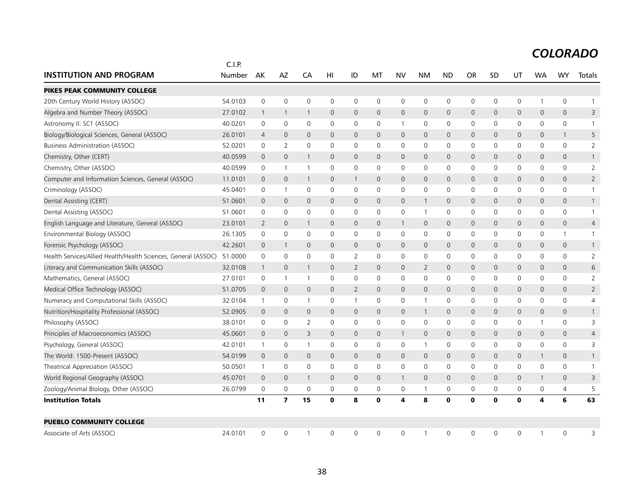|                                                                        | C.I.P.  |              |                         |                |              |                |              |                     |                     |              |              |              |                |              |                     |                |
|------------------------------------------------------------------------|---------|--------------|-------------------------|----------------|--------------|----------------|--------------|---------------------|---------------------|--------------|--------------|--------------|----------------|--------------|---------------------|----------------|
| <b>INSTITUTION AND PROGRAM</b>                                         | Number  | AK           | AZ                      | CA             | HI           | ID             | MT           | <b>NV</b>           | <b>NM</b>           | <b>ND</b>    | <b>OR</b>    | <b>SD</b>    | UT             | <b>WA</b>    | <b>WY</b>           | Totals         |
| PIKES PEAK COMMUNITY COLLEGE                                           |         |              |                         |                |              |                |              |                     |                     |              |              |              |                |              |                     |                |
| 20th Century World History (ASSOC)                                     | 54.0103 | 0            | $\mathbf 0$             | $\mathbf 0$    | $\mathbf 0$  | 0              | 0            | $\mathbf 0$         | 0                   | 0            | $\mathbf 0$  | 0            | 0              | 1            | 0                   |                |
| Algebra and Number Theory (ASSOC)                                      | 27.0102 | $\mathbf{1}$ | $\mathbf{1}$            | $\overline{1}$ | $\mathbf 0$  | 0              | $\mathbf 0$  | $\mathbf 0$         | $\mathsf{O}$        | $\mathbf 0$  | $\mathbf 0$  | 0            | $\mathsf{O}$   | 0            | $\mathsf{O}\xspace$ | 3              |
| Astronomy II: SC1 (ASSOC)                                              | 40.0201 | 0            | $\mathbf 0$             | $\mathbf 0$    | 0            | 0              | 0            | $\mathbf{1}$        | 0                   | $\mathsf{O}$ | 0            | 0            | $\mathbf 0$    | 0            | 0                   |                |
| Biology/Biological Sciences, General (ASSOC)                           | 26.0101 | 4            | $\mathbf 0$             | $\mathbf 0$    | $\mathbf 0$  | $\mathsf{O}$   | 0            | $\mathbf{0}$        | $\mathbf{0}$        | $\mathbf{0}$ | $\mathbf{0}$ | 0            | $\mathbf{0}$   | 0            | $\mathbf{1}$        | 5              |
| Business Administration (ASSOC)                                        | 52.0201 | 0            | $\overline{2}$          | 0              | 0            | 0              | 0            | 0                   | 0                   | $\mathsf{O}$ | 0            | 0            | $\mathsf{O}$   | 0            | 0                   | $\overline{2}$ |
| Chemistry, Other (CERT)                                                | 40.0599 | $\mathbf 0$  | $\mathsf{O}\xspace$     | $\overline{1}$ | $\mathsf{O}$ | 0              | 0            | $\mathsf{O}\xspace$ | $\mathbf{0}$        | $\mathbf{0}$ | $\mathbf 0$  | 0            | $\overline{0}$ | 0            | $\mathbf{0}$        |                |
| Chemistry, Other (ASSOC)                                               | 40.0599 | 0            | $\mathbf{1}$            | $\overline{1}$ | 0            | 0              | $\mathbf{0}$ | 0                   | 0                   | 0            | $\mathbf 0$  | 0            | 0              | 0            | 0                   | 2              |
| Computer and Information Sciences, General (ASSOC)                     | 11.0101 | $\mathbf 0$  | $\mathbf 0$             | $\overline{1}$ | $\mathbf 0$  | $\mathbf{1}$   | 0            | $\mathbf 0$         | $\mathsf{O}$        | $\mathbf 0$  | $\mathbf{0}$ | 0            | $\mathsf{O}$   | 0            | 0                   | $\overline{2}$ |
| Criminology (ASSOC)                                                    | 45.0401 | 0            | -1                      | 0              | 0            | 0              | 0            | $\mathbf 0$         | 0                   | 0            | 0            | 0            | 0              | 0            | 0                   |                |
| Dental Assisting (CERT)                                                | 51.0601 | $\mathbf 0$  | $\mathbf 0$             | $\mathbf 0$    | $\mathbf 0$  | 0              | 0            | $\mathsf{O}$        | $\mathbf{1}$        | $\mathbf 0$  | $\mathbf 0$  | 0            | 0              | 0            | 0                   | $\mathbf{1}$   |
| Dental Assisting (ASSOC)                                               | 51.0601 | $\mathbf 0$  | $\mathbf 0$             | $\mathbf 0$    | $\mathbf 0$  | 0              | $\mathbf 0$  | 0                   | $\mathbf{1}$        | $\mathbf 0$  | $\mathbf 0$  | 0            | $\mathbf 0$    | 0            | 0                   | $\mathbf{1}$   |
| English Language and Literature, General (ASSOC)                       | 23.0101 | 2            | $\mathbf 0$             | $\overline{1}$ | $\mathbf 0$  | 0              | 0            | $\mathbf{1}$        | $\mathbf{0}$        | $\mathbf{0}$ | $\mathbf{0}$ | $\mathbf{0}$ | $\mathbf{0}$   | $\mathbf{0}$ | $\mathbf{0}$        | 4              |
| Environmental Biology (ASSOC)                                          | 26.1305 | 0            | $\mathbf 0$             | $\mathbf 0$    | 0            | 0              | 0            | 0                   | $\mathsf{O}\xspace$ | $\mathsf{O}$ | $\mathbf 0$  | 0            | $\mathsf{O}$   | 0            | $\mathbf{1}$        | $\mathbf{1}$   |
| Forensic Psychology (ASSOC)                                            | 42.2601 | $\mathbf 0$  | $\mathbf{1}$            | $\overline{0}$ | $\mathbf{0}$ | $\mathbf 0$    | 0            | $\mathbf{0}$        | $\mathbf{0}$        | $\mathbf{0}$ | $\mathbf 0$  | 0            | $\mathbf{0}$   | $\mathbf{0}$ | $\mathbf{0}$        |                |
| Health Services/Allied Health/Health Sciences, General (ASSOC) 51.0000 |         | 0            | $\mathbf 0$             | $\mathbf 0$    | 0            | 2              | 0            | 0                   | 0                   | 0            | $\mathbf 0$  | 0            | 0              | 0            | 0                   | 2              |
| Literacy and Communication Skills (ASSOC)                              | 32.0108 | 1            | $\mathbf 0$             | $\overline{1}$ | 0            | $\overline{2}$ | 0            | $\mathbf 0$         | $\overline{2}$      | $\mathbf 0$  | $\mathbf 0$  | 0            | $\mathsf{O}$   | 0            | 0                   | 6              |
| Mathematics, General (ASSOC)                                           | 27.0101 | 0            | 1                       | $\overline{1}$ | $\mathbf 0$  | 0              | $\Omega$     | $\mathbf 0$         | $\mathbf 0$         | $\mathbf 0$  | $\mathbf 0$  | 0            | $\mathbf 0$    | 0            | 0                   | $\overline{2}$ |
| Medical Office Technology (ASSOC)                                      | 51.0705 | $\mathbf 0$  | $\mathbf{0}$            | $\mathbf 0$    | $\mathbf{0}$ | $\overline{2}$ | $\Omega$     | $\Omega$            | $\Omega$            | $\mathbf{0}$ | $\mathbf{0}$ | $\Omega$     | $\mathbf{0}$   | 0            | $\mathbf{0}$        | $\overline{2}$ |
| Numeracy and Computational Skills (ASSOC)                              | 32.0104 | 1            | 0                       | $\overline{1}$ | 0            | $\mathbf{1}$   | 0            | 0                   | $\mathbf{1}$        | 0            | 0            | 0            | 0              | 0            | 0                   | 4              |
| Nutrition/Hospitality Professional (ASSOC)                             | 52.0905 | $\mathbf 0$  | $\mathbf 0$             | $\mathbf 0$    | $\mathbf{0}$ | 0              | 0            | $\mathbf{0}$        | $\mathbf{1}$        | $\mathbf{0}$ | $\mathbf{0}$ | $\mathbf 0$  | $\mathbf{0}$   | 0            | $\mathbf{0}$        | $\mathbf{1}$   |
| Philosophy (ASSOC)                                                     | 38.0101 | 0            | 0                       | $\overline{2}$ | 0            | 0              | 0            | 0                   | 0                   | $\mathsf{O}$ | 0            | 0            | 0              | 1            | 0                   | 3              |
| Principles of Macroeconomics (ASSOC)                                   | 45.0601 | $\mathbf 0$  | $\overline{0}$          | 3              | $\mathbf 0$  | $\mathsf{O}$   | $\mathbf 0$  | $\mathbf{1}$        | $\mathbf{0}$        | $\mathbf{0}$ | $\mathbf{0}$ | 0            | $\mathsf{O}$   | 0            | $\mathbf{0}$        | $\overline{4}$ |
| Psychology, General (ASSOC)                                            | 42.0101 | $\mathbf{1}$ | $\mathbf 0$             | $\overline{1}$ | 0            | 0              | 0            | 0                   | $\mathbf{1}$        | 0            | 0            | 0            | 0              | 0            | 0                   | 3              |
| The World: 1500-Present (ASSOC)                                        | 54.0199 | $\mathbf 0$  | $\mathbf 0$             | $\mathbf 0$    | 0            | 0              | 0            | $\mathbf 0$         | $\mathsf{O}$        | $\mathbf 0$  | $\mathbf 0$  | 0            | $\mathsf{O}$   | $\mathbf{1}$ | 0                   | $\mathbf{1}$   |
| Theatrical Appreciation (ASSOC)                                        | 50.0501 | $\mathbf{1}$ | $\mathbf 0$             | $\mathbf 0$    | 0            | 0              | $\mathbf 0$  | $\mathbf 0$         | $\mathsf{O}$        | $\mathbf 0$  | $\mathbf 0$  | 0            | $\mathbf 0$    | 0            | 0                   | $\mathbf{1}$   |
| World Regional Geography (ASSOC)                                       | 45.0701 | $\mathbf 0$  | $\mathbf{0}$            | $\overline{1}$ | $\mathbf{0}$ | $\mathsf{O}$   | 0            | $\mathbf{1}$        | $\mathbf{0}$        | $\mathbf{0}$ | $\mathbf{0}$ | 0            | $\mathbf{0}$   | 1            | $\mathbf{0}$        | 3              |
| Zoology/Animal Biology, Other (ASSOC)                                  | 26.0799 | 0            | $\mathsf{O}\xspace$     | $\mathbf 0$    | 0            | 0              | 0            | 0                   | $\mathbf{1}$        | $\mathsf{O}$ | $\mathsf 0$  | 0            | $\mathsf{O}$   | 0            | $\overline{4}$      | 5              |
| <b>Institution Totals</b>                                              |         | 11           | $\overline{\mathbf{z}}$ | 15             | $\mathbf 0$  | 8              | $\mathbf o$  | 4                   | 8                   | $\mathbf 0$  | $\mathbf 0$  | $\mathbf 0$  | $\mathbf 0$    | 4            | 6                   | 63             |
| <b>PUEBLO COMMUNITY COLLEGE</b>                                        |         |              |                         |                |              |                |              |                     |                     |              |              |              |                |              |                     |                |
| Associate of Arts (ASSOC)                                              | 24.0101 | $\Omega$     | $\mathbf 0$             | -1             | $\Omega$     | $\mathbf 0$    | $\mathbf{0}$ | $\Omega$            | -1                  | $\Omega$     | $\Omega$     | 0            | $\Omega$       |              | $\Omega$            | 3              |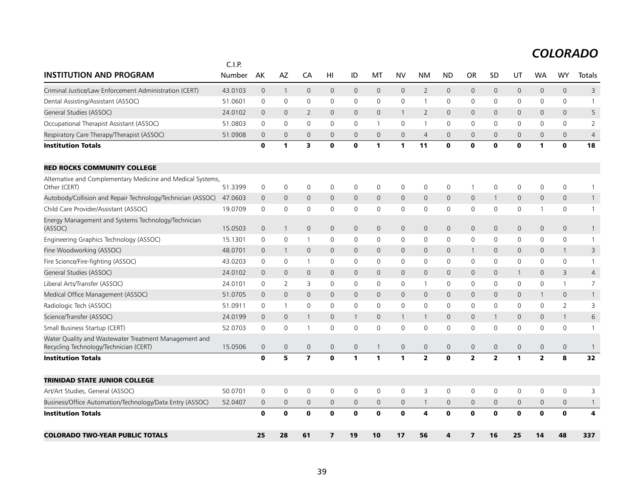| <b>INSTITUTION AND PROGRAM</b>                                                                  | C.I.P.<br>Number | AK             | AZ                  | CA                      | HI           | ID             | MT             | <b>NV</b>    | <b>NM</b>               | <b>ND</b>           | OR                      | SD             | UT                  | <b>WA</b>      | WY                  | Totals       |
|-------------------------------------------------------------------------------------------------|------------------|----------------|---------------------|-------------------------|--------------|----------------|----------------|--------------|-------------------------|---------------------|-------------------------|----------------|---------------------|----------------|---------------------|--------------|
|                                                                                                 |                  |                |                     |                         |              |                |                |              |                         |                     |                         |                |                     |                |                     |              |
| Criminal Justice/Law Enforcement Administration (CERT)                                          | 43.0103          | $\overline{0}$ | $\mathbf{1}$        | $\mathbf{0}$            | $\mathbf{0}$ | $\overline{0}$ | $\mathbf{0}$   | $\mathsf{O}$ | $\overline{2}$          | $\mathbf 0$         | $\mathbf{0}$            | $\mathbf{0}$   | $\overline{0}$      | $\mathbf 0$    | $\mathbf{0}$        | 3            |
| Dental Assisting/Assistant (ASSOC)                                                              | 51.0601          | 0              | $\mathsf{O}\xspace$ | 0                       | 0            | 0              | 0              | 0            | $\mathbf{1}$            | 0                   | 0                       | 0              | 0                   | 0              | $\mathsf{O}$        | $\mathbf{1}$ |
| General Studies (ASSOC)                                                                         | 24.0102          | $\mathbf 0$    | $\mathbf 0$         | 2                       | $\mathbf 0$  | $\mathbf 0$    | $\mathbf{0}$   | $\mathbf{1}$ | $\overline{2}$          | $\overline{0}$      | $\mathbf 0$             | $\mathbf{0}$   | $\mathbf 0$         | $\mathbf{0}$   | $\mathbf 0$         | 5            |
| Occupational Therapist Assistant (ASSOC)                                                        | 51.0803          | $\Omega$       | $\Omega$            | $\Omega$                | $\Omega$     | $\mathbf{0}$   | $\mathbf{1}$   | $\mathbf 0$  | $\mathbf{1}$            | $\mathbf 0$         | $\mathbf 0$             | $\mathbf{0}$   | 0                   | $\Omega$       | $\mathbf{0}$        | 2            |
| Respiratory Care Therapy/Therapist (ASSOC)                                                      | 51.0908          | $\mathbf 0$    | $\mathbf 0$         | $\mathbf 0$             | $\mathbf{0}$ | $\mathbf 0$    | $\overline{0}$ | $\mathbf{0}$ | $\overline{4}$          | $\overline{0}$      | $\overline{0}$          | $\overline{0}$ | 0                   | $\overline{0}$ | $\mathbf{0}$        | 4            |
| <b>Institution Totals</b>                                                                       |                  | $\mathbf o$    | 1                   | 3                       | 0            | O              | 1              | 1            | 11                      | $\mathbf 0$         | $\mathbf{0}$            | $\bf{0}$       | $\mathbf 0$         | 1              | $\mathbf 0$         | 18           |
| <b>RED ROCKS COMMUNITY COLLEGE</b>                                                              |                  |                |                     |                         |              |                |                |              |                         |                     |                         |                |                     |                |                     |              |
| Alternative and Complementary Medicine and Medical Systems,<br>Other (CERT)                     | 51.3399          | $\mathbf 0$    | $\mathsf{O}\xspace$ | $\mathbf 0$             | 0            | $\mathbf 0$    | 0              | 0            | $\mathbf 0$             | 0                   | $\overline{1}$          | 0              | $\mathbf 0$         | 0              | $\mathbf 0$         | 1            |
| Autobody/Collision and Repair Technology/Technician (ASSOC)                                     | 47.0603          | $\mathbf 0$    | $\mathbf 0$         | $\mathbf{0}$            | $\mathbf{0}$ | $\mathbf 0$    | $\mathbf{0}$   | $\mathbf 0$  | $\mathbf{0}$            | $\mathsf{O}$        | $\mathbf 0$             | $\mathbf{1}$   | $\mathbf{0}$        | $\mathbf{0}$   | $\mathbf 0$         | $\mathbf{1}$ |
| Child Care Provider/Assistant (ASSOC)                                                           | 19.0709          | 0              | 0                   | 0                       | 0            | 0              | 0              | 0            | 0                       | 0                   | 0                       | 0              | 0                   | 1              | $\mathsf{O}$        | $\mathbf{1}$ |
| Energy Management and Systems Technology/Technician<br>(ASSOC)                                  | 15.0503          | $\mathbf 0$    | $\overline{1}$      | $\mathbf 0$             | $\mathsf{O}$ | $\mathbf 0$    | $\mathbf 0$    | $\mathsf{O}$ | $\mathbf 0$             | $\mathsf{O}\xspace$ | $\mathbf 0$             | $\mathbf{0}$   | $\mathbf 0$         | $\mathbf{0}$   | $\mathbf 0$         | $\mathbf{1}$ |
| Engineering Graphics Technology (ASSOC)                                                         | 15.1301          | 0              | 0                   | $\mathbf{1}$            | 0            | 0              | 0              | 0            | 0                       | 0                   | 0                       | $\mathbf 0$    | 0                   | 0              | $\mathsf{O}\xspace$ | $\mathbf{1}$ |
| Fine Woodworking (ASSOC)                                                                        | 48.0701          | $\mathbf 0$    | $\mathbf{1}$        | $\mathbf{0}$            | $\mathbf{0}$ | $\mathbf{0}$   | $\mathbf{0}$   | $\mathbf{0}$ | $\mathbf{0}$            | $\mathsf{O}$        | 1                       | $\mathbf{0}$   | $\mathbf{0}$        | $\mathbf{0}$   | $\overline{1}$      | 3            |
| Fire Science/Fire-fighting (ASSOC)                                                              | 43.0203          | 0              | 0                   | -1                      | 0            | 0              | 0              | 0            | 0                       | 0                   | 0                       | 0              | 0                   | 0              | 0                   | 1            |
| General Studies (ASSOC)                                                                         | 24.0102          | $\mathbf 0$    | $\mathbf 0$         | $\mathbf 0$             | $\mathbf 0$  | $\mathbf 0$    | $\mathbf 0$    | $\mathsf{O}$ | $\mathsf{O}\xspace$     | 0                   | $\mathbf 0$             | $\mathbf 0$    | $\mathbf{1}$        | $\mathbf 0$    | 3                   | 4            |
| Liberal Arts/Transfer (ASSOC)                                                                   | 24.0101          | $\Omega$       | 2                   | 3                       | $\mathbf{0}$ | 0              | $\mathbf{0}$   | 0            | $\overline{1}$          | $\mathbf 0$         | 0                       | $\mathbf{0}$   | 0                   | $\Omega$       | $\mathbf{1}$        | 7            |
| Medical Office Management (ASSOC)                                                               | 51.0705          | $\overline{0}$ | $\mathbf 0$         | $\mathbf{0}$            | $\mathbf{0}$ | $\mathbf{0}$   | $\mathbf{0}$   | $\mathsf{O}$ | $\mathbf{0}$            | $\mathsf{O}$        | $\mathbf{0}$            | $\mathbf{0}$   | $\mathsf{O}$        | $\mathbf{1}$   | $\mathbf 0$         | $\mathbf{1}$ |
| Radiologic Tech (ASSOC)                                                                         | 51.0911          | 0              | $\mathbf{1}$        | $\mathbf 0$             | 0            | $\mathsf{O}$   | $\mathbf 0$    | $\mathbf 0$  | $\mathbf 0$             | 0                   | 0                       | $\mathbf{0}$   | 0                   | $\mathbf 0$    | 2                   | 3            |
| Science/Transfer (ASSOC)                                                                        | 24.0199          | $\overline{0}$ | $\mathbf{0}$        | 1                       | $\mathbf{0}$ | $\mathbf{1}$   | $\mathbf 0$    | $\mathbf{1}$ | $\mathbf{1}$            | $\mathbf{0}$        | $\mathbf{0}$            | $\overline{1}$ | $\mathbf{0}$        | $\overline{0}$ | $\overline{1}$      | 6            |
| Small Business Startup (CERT)                                                                   | 52.0703          | 0              | 0                   | -1                      | 0            | 0              | $\mathbf{0}$   | 0            | $\mathbf 0$             | 0                   | 0                       | $\mathbf{0}$   | 0                   | $\Omega$       | $\mathbf 0$         | $\mathbf{1}$ |
| Water Quality and Wastewater Treatment Management and<br>Recycling Technology/Technician (CERT) | 15.0506          | $\mathbf{0}$   | $\mathbf 0$         | $\mathbf{0}$            | $\mathbf 0$  | $\mathbf{0}$   | $\mathbf{1}$   | $\mathsf{O}$ | $\mathbf{0}$            | $\mathsf{O}\xspace$ | $\mathbf{0}$            | $\mathbf 0$    | $\mathsf{O}\xspace$ | $\overline{0}$ | $\mathbf 0$         | $\mathbf{1}$ |
| <b>Institution Totals</b>                                                                       |                  | $\mathbf o$    | 5                   | $\overline{\mathbf{z}}$ | 0            | 1              | 1              | 1            | $\overline{\mathbf{2}}$ | $\mathbf{o}$        | $\overline{\mathbf{z}}$ | $\overline{2}$ | 1                   | $\overline{2}$ | 8                   | 32           |
| <b>TRINIDAD STATE JUNIOR COLLEGE</b>                                                            |                  |                |                     |                         |              |                |                |              |                         |                     |                         |                |                     |                |                     |              |
| Art/Art Studies, General (ASSOC)                                                                | 50.0701          | 0              | 0                   | 0                       | 0            | 0              | 0              | 0            | 3                       | 0                   | 0                       | 0              | 0                   | 0              | $\mathsf{O}$        | 3            |
| Business/Office Automation/Technology/Data Entry (ASSOC)                                        | 52.0407          | $\mathbf 0$    | $\mathbf 0$         | $\mathbf 0$             | $\mathbf 0$  | $\mathbf 0$    | $\mathbf 0$    | $\mathsf{O}$ | $\mathbf{1}$            | 0                   | $\mathbf 0$             | $\mathbf{0}$   | $\mathbf 0$         | $\overline{0}$ | $\mathbf 0$         | $\mathbf{1}$ |
| <b>Institution Totals</b>                                                                       |                  | $\mathbf o$    | $\mathbf 0$         | $\mathbf 0$             | $\mathbf o$  | O              | $\mathbf 0$    | $\mathbf o$  | 4                       | $\mathbf 0$         | $\mathbf 0$             | $\mathbf 0$    | $\mathbf 0$         | $\mathbf 0$    | $\mathbf 0$         | 4            |
| <b>COLORADO TWO-YEAR PUBLIC TOTALS</b>                                                          |                  | 25             | 28                  | 61                      | 7            | 19             | 10             | 17           | 56                      | 4                   | 7                       | 16             | 25                  | 14             | 48                  | 337          |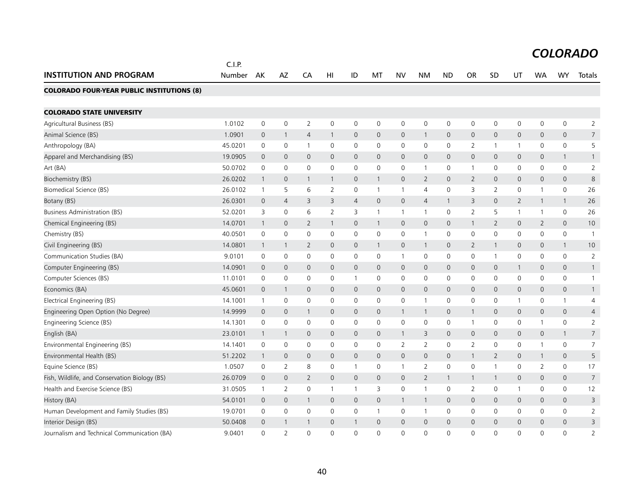|                                                   | C.I.P.  |                |                |                |                |                |              |                |                     |                     |                |                |                |                |                     |                |
|---------------------------------------------------|---------|----------------|----------------|----------------|----------------|----------------|--------------|----------------|---------------------|---------------------|----------------|----------------|----------------|----------------|---------------------|----------------|
| <b>INSTITUTION AND PROGRAM</b>                    | Number  | AK             | AZ             | CA             | HI             | ID             | МT           | NV             | NΜ                  | <b>ND</b>           | <b>OR</b>      | <b>SD</b>      | UT             | <b>WA</b>      | WY                  | Totals         |
| <b>COLORADO FOUR-YEAR PUBLIC INSTITUTIONS (8)</b> |         |                |                |                |                |                |              |                |                     |                     |                |                |                |                |                     |                |
|                                                   |         |                |                |                |                |                |              |                |                     |                     |                |                |                |                |                     |                |
| <b>COLORADO STATE UNIVERSITY</b>                  |         |                |                |                |                |                |              |                |                     |                     |                |                |                |                |                     |                |
| Agricultural Business (BS)                        | 1.0102  | $\mathbf 0$    | $\mathbf 0$    | $\overline{2}$ | $\mathbf 0$    | 0              | 0            | $\mathbf 0$    | 0                   | $\mathbf 0$         | 0              | 0              | 0              | $\mathbf 0$    | $\mathsf{O}\xspace$ | $\overline{2}$ |
| Animal Science (BS)                               | 1.0901  | $\mathbf{0}$   | $\overline{1}$ | $\overline{4}$ | $\mathbf{1}$   | $\mathbf{0}$   | $\mathbf{0}$ | $\mathbf{0}$   | $\mathbf{1}$        | $\overline{0}$      | $\mathsf{O}$   | 0              | $\overline{0}$ | $\mathbf{0}$   | $\mathbf 0$         | $\overline{7}$ |
| Anthropology (BA)                                 | 45.0201 | $\mathbf 0$    | $\mathbf 0$    | $\mathbf{1}$   | $\mathbf 0$    | 0              | 0            | $\mathbf 0$    | $\mathbf 0$         | $\mathbf 0$         | 2              | 1              | $\mathbf{1}$   | 0              | $\mathsf{O}$        | 5              |
| Apparel and Merchandising (BS)                    | 19.0905 | $\mathbf 0$    | $\mathbf{0}$   | $\mathbf{0}$   | 0              | $\mathbf 0$    | $\mathbf{0}$ | $\mathbf{0}$   | $\mathbf{0}$        | $\mathbf 0$         | $\mathsf{O}$   | 0              | $\mathbf 0$    | $\mathbf 0$    | $\mathbf{1}$        | 1              |
| Art(BA)                                           | 50.0702 | $\mathbf 0$    | $\mathbf 0$    | 0              | 0              | $\mathsf{O}$   | 0            | $\mathbf 0$    | $\mathbf{1}$        | $\mathbf 0$         | $\mathbf{1}$   | $\mathbf{0}$   | $\mathsf{O}$   | $\mathbf 0$    | $\mathbf 0$         | $\overline{2}$ |
| Biochemistry (BS)                                 | 26.0202 | $\overline{1}$ | $\mathbf 0$    | 1              | 1              | $\mathsf{O}$   | $\mathbf{1}$ | $\mathbf 0$    | 2                   | $\overline{0}$      | $\overline{2}$ | 0              | $\mathsf{O}$   | $\mathbf{0}$   | $\mathbf{0}$        | $\,8\,$        |
| Biomedical Science (BS)                           | 26.0102 | $\overline{1}$ | 5              | 6              | 2              | 0              | -1           | $\overline{1}$ | $\overline{4}$      | $\mathbf 0$         | 3              | $\overline{2}$ | $\mathsf{O}$   | $\mathbf{1}$   | $\mathbf 0$         | 26             |
| Botany (BS)                                       | 26.0301 | $\mathbf{0}$   | $\overline{4}$ | 3              | 3              | $\overline{4}$ | $\mathbf{0}$ | $\mathbf 0$    | $\overline{4}$      | $\overline{1}$      | 3              | 0              | $\overline{2}$ | $\overline{1}$ | $\mathbf{1}$        | 26             |
| Business Administration (BS)                      | 52.0201 | 3              | $\mathbf 0$    | 6              | $\overline{2}$ | 3              | $\mathbf{1}$ | $\mathbf{1}$   | $\mathbf{1}$        | $\mathbf 0$         | 2              | 5              | $\mathbf{1}$   | $\mathbf{1}$   | $\mathbf 0$         | 26             |
| Chemical Engineering (BS)                         | 14.0701 | $\mathbf{1}$   | $\mathbf{0}$   | $\overline{2}$ | $\mathbf{1}$   | $\mathsf{O}$   | $\mathbf{1}$ | $\mathbf 0$    | $\mathbf{0}$        | $\mathbf 0$         | $\overline{1}$ | $\overline{2}$ | $\mathsf{O}$   | $\overline{2}$ | $\mathbf{0}$        | 10             |
| Chemistry (BS)                                    | 40.0501 | $\mathbf 0$    | $\mathbf 0$    | $\mathbf 0$    | 0              | 0              | $\mathbf 0$  | $\mathbf 0$    | $\mathbf{1}$        | $\mathbf 0$         | $\mathbf 0$    | 0              | $\mathsf{O}$   | $\mathbf 0$    | $\mathsf{O}$        | $\mathbf{1}$   |
| Civil Engineering (BS)                            | 14.0801 | $\overline{1}$ | $\mathbf{1}$   | $\overline{2}$ | 0              | $\mathbf 0$    | $\mathbf{1}$ | $\mathbf{0}$   | $\mathbf{1}$        | $\Omega$            | $\overline{2}$ | 1              | $\mathbf{0}$   | $\mathbf{0}$   | $\mathbf{1}$        | 10             |
| Communication Studies (BA)                        | 9.0101  | 0              | 0              | 0              | 0              | 0              | 0            | $\mathbf{1}$   | 0                   | 0                   | 0              | 1              | 0              | 0              | 0                   | $\overline{2}$ |
| Computer Engineering (BS)                         | 14.0901 | $\mathbf 0$    | $\mathbf 0$    | $\mathbf 0$    | 0              | $\mathbf 0$    | $\mathbf 0$  | $\mathbf 0$    | $\mathbf 0$         | $\overline{0}$      | $\mathsf{O}$   | 0              | $\mathbf{1}$   | $\mathbf 0$    | $\mathbf 0$         | $\mathbf{1}$   |
| Computer Sciences (BS)                            | 11.0101 | $\mathbf 0$    | $\mathbf 0$    | 0              | 0              | $\mathbf{1}$   | 0            | $\mathbf 0$    | 0                   | $\mathbf 0$         | 0              | 0              | 0              | $\mathbf 0$    | $\mathsf{O}$        | 1              |
| Economics (BA)                                    | 45.0601 | $\mathbf 0$    | $\mathbf{1}$   | $\mathbf 0$    | 0              | $\mathsf{O}$   | $\mathbf 0$  | $\mathbf 0$    | $\mathsf{O}\xspace$ | $\mathsf{O}\xspace$ | $\mathbf 0$    | 0              | $\mathsf{O}$   | $\mathbf 0$    | $\mathbf 0$         | $\mathbf{1}$   |
| Electrical Engineering (BS)                       | 14.1001 | $\overline{1}$ | $\mathbf 0$    | 0              | 0              | 0              | $\mathbf 0$  | $\mathbf 0$    | $\mathbf{1}$        | $\mathbf 0$         | 0              | 0              | $\mathbf{1}$   | $\mathbf 0$    | $\mathbf{1}$        | 4              |
| Engineering Open Option (No Degree)               | 14.9999 | $\mathbf 0$    | $\mathbf 0$    | $\mathbf{1}$   | 0              | $\mathbf 0$    | $\mathbf{0}$ | $\overline{1}$ | $\mathbf{1}$        | $\overline{0}$      | $\mathbf{1}$   | 0              | $\mathsf{O}$   | $\mathbf{0}$   | $\mathbf 0$         | 4              |
| Engineering Science (BS)                          | 14.1301 | $\mathbf 0$    | $\mathbf 0$    | $\mathbf 0$    | 0              | 0              | 0            | $\mathbf 0$    | 0                   | $\mathbf 0$         | $\mathbf{1}$   | 0              | 0              | $\mathbf{1}$   | $\mathsf{O}$        | $\overline{2}$ |
| English (BA)                                      | 23.0101 | $\overline{1}$ | $\mathbf{1}$   | $\mathbf{0}$   | 0              | $\mathsf{O}$   | $\mathbf 0$  | $\mathbf{1}$   | 3                   | $\overline{0}$      | $\mathsf{O}$   | 0              | $\mathsf{O}$   | $\mathbf 0$    | $\mathbf{1}$        | $\overline{7}$ |
| Environmental Engineering (BS)                    | 14.1401 | $\mathbf 0$    | $\mathbf 0$    | $\mathbf 0$    | $\mathbf 0$    | 0              | 0            | 2              | $\overline{2}$      | $\mathbf 0$         | $\overline{2}$ | 0              | 0              | $\mathbf{1}$   | $\mathsf 0$         | $\overline{7}$ |
| Environmental Health (BS)                         | 51.2202 | $\overline{1}$ | $\mathbf{0}$   | $\mathbf{0}$   | $\mathbf{0}$   | $\overline{0}$ | $\mathbf{0}$ | $\mathbf{0}$   | $\mathbf{0}$        | $\mathbf 0$         | $\overline{1}$ | 2              | $\mathbf{0}$   | $\overline{1}$ | $\mathbf 0$         | 5              |
| Equine Science (BS)                               | 1.0507  | $\mathbf 0$    | 2              | 8              | 0              | $\mathbf{1}$   | 0            | $\mathbf{1}$   | 2                   | $\mathbf 0$         | 0              | 1              | 0              | 2              | 0                   | 17             |
| Fish, Wildlife, and Conservation Biology (BS)     | 26.0709 | $\mathbf{0}$   | $\mathbf{0}$   | $\overline{2}$ | 0              | $\mathbf 0$    | $\mathbf{0}$ | $\mathbf 0$    | 2                   | $\mathbf{1}$        | $\mathbf{1}$   | 1              | $\mathbf 0$    | $\mathbf 0$    | $\mathbf{0}$        | $\overline{7}$ |
| Health and Exercise Science (BS)                  | 31.0505 | $\overline{1}$ | 2              | $\mathbf 0$    | $\mathbf{1}$   | $\mathbf{1}$   | 3            | $\mathbf 0$    | $\mathbf{1}$        | $\mathbf 0$         | 2              | 0              | $\mathbf{1}$   | $\mathbf 0$    | $\mathbf 0$         | 12             |
| History (BA)                                      | 54.0101 | $\mathbf 0$    | $\mathbf 0$    | $\mathbf{1}$   | 0              | $\mathsf{O}$   | $\mathbf 0$  | $\mathbf{1}$   | $\mathbf{1}$        | $\mathbf 0$         | $\mathsf{O}$   | 0              | $\mathsf{O}$   | $\mathbf 0$    | $\mathbf 0$         | 3              |
| Human Development and Family Studies (BS)         | 19.0701 | $\mathbf 0$    | $\mathbf 0$    | 0              | $\mathbf{0}$   | 0              | -1           | $\mathbf 0$    | $\mathbf{1}$        | 0                   | 0              | 0              | 0              | $\mathbf 0$    | $\mathbf 0$         | $\overline{2}$ |
| Interior Design (BS)                              | 50.0408 | $\mathbf 0$    | 1              | 1              | 0              | $\mathbf{1}$   | $\Omega$     | $\mathbf{0}$   | $\mathbf{0}$        | $\overline{0}$      | $\mathbf{0}$   | 0              | $\mathbf{0}$   | $\mathbf{0}$   | $\mathbf{0}$        | 3              |
| Journalism and Technical Communication (BA)       | 9.0401  | $\Omega$       | $\overline{2}$ | $\Omega$       | $\Omega$       | $\Omega$       | $\Omega$     | $\Omega$       | $\Omega$            | $\Omega$            | $\Omega$       | $\Omega$       | $\Omega$       | $\Omega$       | $\Omega$            | $\overline{2}$ |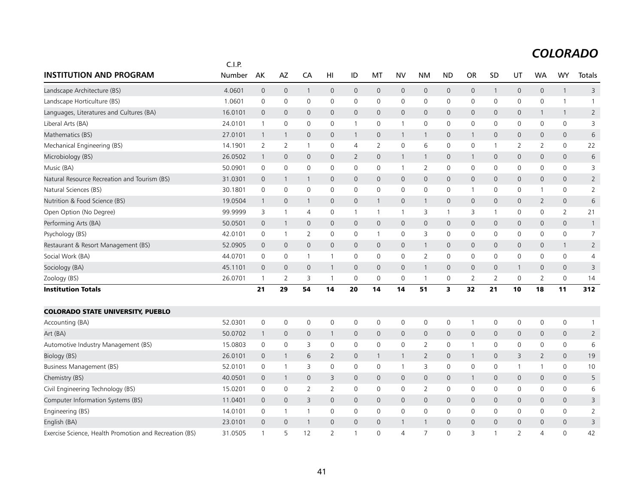|                                                        | C.I.P.  |                |                |                |              |                     |              |              |                     |                     |                |              |                     |                |                     |                |
|--------------------------------------------------------|---------|----------------|----------------|----------------|--------------|---------------------|--------------|--------------|---------------------|---------------------|----------------|--------------|---------------------|----------------|---------------------|----------------|
| <b>INSTITUTION AND PROGRAM</b>                         | Number  | AK             | AZ             | CA             | HI           | ID                  | МT           | <b>NV</b>    | <b>NM</b>           | <b>ND</b>           | <b>OR</b>      | SD           | UT                  | WA             | WY                  | Totals         |
| Landscape Architecture (BS)                            | 4.0601  | $\mathbf 0$    | $\mathbf 0$    | $\mathbf{1}$   | 0            | $\mathsf{O}\xspace$ | $\mathbf 0$  | $\mathbf 0$  | $\mathbf 0$         | $\mathbf 0$         | $\mathsf{O}$   | 1            | $\mathsf{O}\xspace$ | $\mathbf 0$    | $\mathbf{1}$        | 3              |
| Landscape Horticulture (BS)                            | 1.0601  | $\mathbf 0$    | $\mathbf 0$    | $\mathbf 0$    | $\mathbf 0$  | 0                   | 0            | $\mathbf 0$  | $\mathbf 0$         | $\mathbf 0$         | $\mathbf 0$    | $\mathbf 0$  | $\mathsf{O}$        | $\mathbf 0$    | $\mathbf{1}$        | $\mathbf{1}$   |
| Languages, Literatures and Cultures (BA)               | 16.0101 | $\mathbf{0}$   | $\mathbf{0}$   | $\mathbf{0}$   | 0            | $\mathsf{O}$        | $\mathbf{0}$ | $\mathbf{0}$ | $\mathbf{0}$        | $\mathbf 0$         | $\overline{0}$ | 0            | $\mathsf{O}$        | $\overline{1}$ | $\mathbf{1}$        | $\overline{2}$ |
| Liberal Arts (BA)                                      | 24.0101 | $\overline{1}$ | 0              | 0              | 0            | $\mathbf{1}$        | 0            | $\mathbf{1}$ | 0                   | 0                   | 0              | 0            | 0                   | 0              | $\mathsf{O}$        | 3              |
| Mathematics (BS)                                       | 27.0101 | $\overline{1}$ | $\mathbf{1}$   | $\mathbf 0$    | 0            | $\overline{1}$      | $\mathbf{0}$ | $\mathbf{1}$ | $\mathbf{1}$        | $\mathsf{O}\xspace$ | $\mathbf{1}$   | 0            | $\mathsf{O}$        | $\mathbf{0}$   | $\mathbf 0$         | 6              |
| Mechanical Engineering (BS)                            | 14.1901 | 2              | 2              | $\mathbf{1}$   | 0            | 4                   | 2            | $\mathbf 0$  | 6                   | $\mathbf 0$         | 0              | 1            | 2                   | 2              | $\mathsf{O}$        | 22             |
| Microbiology (BS)                                      | 26.0502 | $\overline{1}$ | $\mathbf{0}$   | $\mathbf{0}$   | 0            | $\overline{2}$      | $\mathbf 0$  | $\mathbf{1}$ | $\mathbf{1}$        | $\mathbf 0$         | $\mathbf{1}$   | 0            | $\mathsf{O}$        | $\mathbf 0$    | $\mathsf{O}$        | 6              |
| Music (BA)                                             | 50.0901 | $\mathbf 0$    | $\mathbf 0$    | $\mathbf 0$    | 0            | $\mathsf{O}$        | 0            | $\mathbf{1}$ | 2                   | 0                   | $\mathbf 0$    | 0            | $\mathsf{O}$        | $\mathbf 0$    | $\mathsf{O}$        | 3              |
| Natural Resource Recreation and Tourism (BS)           | 31.0301 | $\mathbf{0}$   | $\mathbf{1}$   | 1              | 0            | $\mathsf{O}$        | $\mathbf{0}$ | $\mathbf 0$  | $\mathbf 0$         | $\overline{0}$      | $\mathbf 0$    | 0            | $\mathsf{O}$        | $\mathbf 0$    | $\mathbf 0$         | $\overline{2}$ |
| Natural Sciences (BS)                                  | 30.1801 | $\mathbf 0$    | $\mathbf 0$    | 0              | 0            | 0                   | 0            | $\mathbf 0$  | $\mathbf 0$         | $\mathbf 0$         | -1             | 0            | 0                   | $\mathbf{1}$   | $\mathsf 0$         | $\overline{2}$ |
| Nutrition & Food Science (BS)                          | 19.0504 | $\overline{1}$ | $\mathbf 0$    | $\mathbf{1}$   | 0            | $\mathbf 0$         | $\mathbf{1}$ | $\mathsf{O}$ | $\mathbf{1}$        | $\mathsf{O}\xspace$ | $\mathsf{O}$   | 0            | $\mathsf{O}$        | $\overline{2}$ | $\mathsf{O}$        | 6              |
| Open Option (No Degree)                                | 99.9999 | 3              | $\mathbf{1}$   | $\overline{4}$ | 0            | $\mathbf{1}$        | $\mathbf{1}$ | $\mathbf{1}$ | 3                   | $\mathbf{1}$        | 3              | $\mathbf{1}$ | 0                   | $\mathbf 0$    | 2                   | 21             |
| Performing Arts (BA)                                   | 50.0501 | $\mathbf 0$    | $\mathbf{1}$   | $\mathsf{O}$   | $\mathbf 0$  | $\mathsf{O}$        | $\mathbf 0$  | $\mathbf 0$  | $\mathsf{O}\xspace$ | $\mathsf{O}\xspace$ | $\mathsf{O}$   | $\mathbf 0$  | $\mathsf{O}$        | $\mathbf 0$    | $\mathbf 0$         | $\mathbf{1}$   |
| Psychology (BS)                                        | 42.0101 | $\mathbf 0$    | $\overline{1}$ | 2              | 0            | 0                   | $\mathbf{1}$ | $\mathbf 0$  | 3                   | $\mathbf 0$         | $\mathbf 0$    | 0            | 0                   | $\mathbf 0$    | $\mathsf{O}$        | $\overline{7}$ |
| Restaurant & Resort Management (BS)                    | 52.0905 | $\mathbf{0}$   | $\mathbf{0}$   | $\mathbf{0}$   | 0            | $\overline{0}$      | $\mathbf{0}$ | $\mathbf{0}$ | $\mathbf{1}$        | $\mathbf{0}$        | $\mathbf 0$    | 0            | $\mathbf{0}$        | $\mathbf{0}$   | $\overline{1}$      | $\overline{2}$ |
| Social Work (BA)                                       | 44.0701 | $\mathbf 0$    | $\mathbf 0$    | $\mathbf{1}$   | 1            | 0                   | $\mathbf 0$  | $\mathbf 0$  | $\overline{2}$      | $\mathbf 0$         | $\mathbf 0$    | 0            | $\mathbf 0$         | $\mathbf 0$    | $\mathsf{O}$        | $\overline{4}$ |
| Sociology (BA)                                         | 45.1101 | $\mathbf 0$    | $\mathbf{0}$   | $\mathbf{0}$   | 1            | $\mathbf 0$         | $\mathbf{0}$ | $\mathbf 0$  | $\mathbf{1}$        | $\overline{0}$      | $\mathsf{O}$   | 0            | $\mathbf{1}$        | $\mathbf{0}$   | $\mathsf{O}\xspace$ | 3              |
| Zoology (BS)                                           | 26.0701 | $\overline{1}$ | 2              | 3              | 1            | $\mathbf 0$         | $\mathbf 0$  | $\mathbf 0$  | $\mathbf{1}$        | 0                   | 2              | 2            | $\mathbf 0$         | 2              | $\mathbf 0$         | 14             |
| <b>Institution Totals</b>                              |         | 21             | 29             | 54             | 14           | 20                  | 14           | 14           | 51                  | 3                   | 32             | 21           | 10                  | 18             | 11                  | 312            |
| <b>COLORADO STATE UNIVERSITY, PUEBLO</b>               |         |                |                |                |              |                     |              |              |                     |                     |                |              |                     |                |                     |                |
| Accounting (BA)                                        | 52.0301 | $\mathbf 0$    | $\mathbf 0$    | $\mathbf 0$    | 0            | 0                   | 0            | $\mathbf 0$  | 0                   | $\mathbf 0$         |                | 0            | $\mathsf{O}$        | $\mathbf 0$    | 0                   | $\mathbf{1}$   |
| Art (BA)                                               | 50.0702 | $\overline{1}$ | $\mathbf 0$    | $\mathbf{0}$   | $\mathbf{1}$ | $\mathbf 0$         | 0            | $\mathbf 0$  | 0                   | $\overline{0}$      | $\mathsf{O}$   | 0            | $\mathsf{O}$        | $\mathbf 0$    | $\mathbf 0$         | $\overline{2}$ |
| Automotive Industry Management (BS)                    | 15.0803 | $\mathbf 0$    | $\mathbf 0$    | 3              | $\mathbf 0$  | $\mathsf{O}$        | $\mathbf 0$  | $\mathbf 0$  | 2                   | $\mathbf 0$         | $\mathbf{1}$   | $\mathbf 0$  | $\mathsf{O}$        | $\mathbf 0$    | $\mathbf 0$         | 6              |
| Biology (BS)                                           | 26.0101 | $\mathbf 0$    | $\mathbf{1}$   | 6              | 2            | $\overline{0}$      | $\mathbf{1}$ | $\mathbf{1}$ | $\overline{2}$      | $\mathbf 0$         | $\mathbf{1}$   | $\mathbf 0$  | 3                   | $\overline{2}$ | $\mathbf 0$         | 19             |
| <b>Business Management (BS)</b>                        | 52.0101 | $\mathbf 0$    | $\mathbf{1}$   | 3              | 0            | 0                   | 0            | $\mathbf{1}$ | 3                   | $\mathbf 0$         | 0              | 0            | $\mathbf{1}$        | $\mathbf{1}$   | 0                   | 10             |
| Chemistry (BS)                                         | 40.0501 | $\mathbf{0}$   | $\mathbf{1}$   | $\mathbf{0}$   | 3            | $\mathbf 0$         | $\mathbf{0}$ | $\mathbf{0}$ | $\mathbf{0}$        | $\overline{0}$      | $\mathbf{1}$   | 0            | $\mathbf{0}$        | $\mathbf{0}$   | $\mathbf{0}$        | 5              |
| Civil Engineering Technology (BS)                      | 15.0201 | $\mathbf 0$    | $\mathbf 0$    | $\overline{2}$ | 2            | 0                   | 0            | $\mathbf 0$  | $\overline{2}$      | $\mathbf 0$         | 0              | 0            | 0                   | $\mathbf 0$    | $\mathsf{O}$        | 6              |
| Computer Information Systems (BS)                      | 11.0401 | $\mathbf{0}$   | $\mathbf{0}$   | 3              | $\mathbf{0}$ | $\mathbf 0$         | $\mathbf{0}$ | $\mathbf{0}$ | $\mathbf{0}$        | $\mathbf 0$         | $\mathbf 0$    | $\mathbf{0}$ | $\overline{0}$      | $\mathbf{0}$   | $\mathbf 0$         | 3              |
| Engineering (BS)                                       | 14.0101 | 0              | $\mathbf{1}$   | 1              | 0            | 0                   | 0            | 0            | 0                   | 0                   | 0              | 0            | 0                   | 0              | 0                   | $\overline{2}$ |
| English (BA)                                           | 23.0101 | $\mathbf 0$    | $\mathbf 0$    | $\mathbf{1}$   | 0            | $\mathbf 0$         | $\mathbf 0$  | $\mathbf{1}$ | $\mathbf{1}$        | $\mathbf 0$         | $\mathbf 0$    | 0            | $\mathsf{O}$        | $\mathbf 0$    | $\mathbf 0$         | 3              |
| Exercise Science, Health Promotion and Recreation (BS) | 31.0505 | $\overline{1}$ | 5              | 12             | 2            | $\mathbf{1}$        | $\mathbf{0}$ | 4            | $\overline{7}$      | $\Omega$            | 3              |              | $\overline{2}$      | $\overline{4}$ | 0                   | 42             |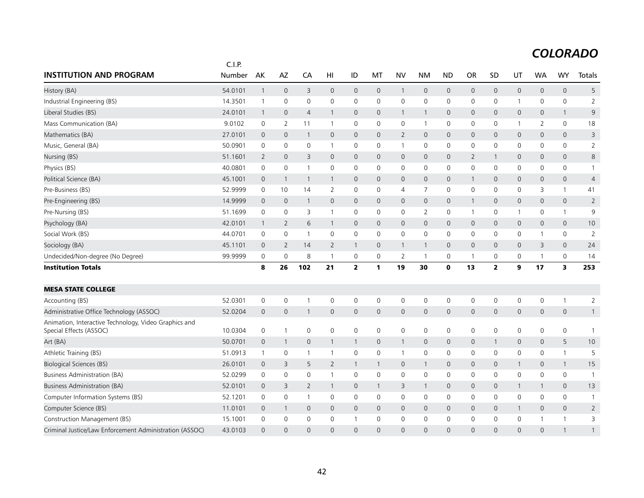|                                                                                  | C.I.P.  |                |                |                |                     |                     |                     |                         |                     |                     |                |              |                     |                     |                |                |
|----------------------------------------------------------------------------------|---------|----------------|----------------|----------------|---------------------|---------------------|---------------------|-------------------------|---------------------|---------------------|----------------|--------------|---------------------|---------------------|----------------|----------------|
| <b>INSTITUTION AND PROGRAM</b>                                                   | Number  | AK             | AZ             | CA             | HI                  | ID                  | МT                  | <b>NV</b>               | <b>NM</b>           | <b>ND</b>           | <b>OR</b>      | <b>SD</b>    | UT                  | <b>WA</b>           | <b>WY</b>      | Totals         |
| History (BA)                                                                     | 54.0101 | $\overline{1}$ | $\mathbf 0$    | 3              | $\mathsf{O}\xspace$ | $\mathbf 0$         | $\mathsf{O}$        | $\mathbf{1}$            | $\mathbf 0$         | $\mathsf{O}\xspace$ | $\mathbf 0$    | $\mathsf{O}$ | $\mathsf{O}\xspace$ | $\mathsf{O}$        | $\mathbf 0$    | 5              |
| Industrial Engineering (BS)                                                      | 14.3501 | $\mathbf{1}$   | $\mathbf 0$    | 0              | 0                   | $\mathsf{O}$        | $\mathbf 0$         | $\mathsf{O}\xspace$     | 0                   | 0                   | $\mathbf 0$    | $\mathbf 0$  | $\mathbf{1}$        | 0                   | $\mathsf{O}$   | $\overline{2}$ |
| Liberal Studies (BS)                                                             | 24.0101 | $\overline{1}$ | $\mathbf 0$    | $\overline{4}$ | $\mathbf{1}$        | $\mathbf 0$         | $\mathbf 0$         | $\overline{1}$          | $\mathbf{1}$        | $\mathbf 0$         | $\mathbf 0$    | $\mathbf{0}$ | $\mathsf{O}\xspace$ | $\mathbf{0}$        | $\mathbf{1}$   | 9              |
| Mass Communication (BA)                                                          | 9.0102  | 0              | 2              | 11             | -1                  | 0                   | 0                   | 0                       | $\mathbf{1}$        | 0                   | 0              | 0            | 1                   | 2                   | 0              | 18             |
| Mathematics (BA)                                                                 | 27.0101 | $\mathbf 0$    | $\mathbf 0$    | -1             | 0                   | $\mathsf{O}$        | 0                   | $\overline{2}$          | $\mathbf 0$         | $\mathbf 0$         | $\mathbf 0$    | $\mathbf{0}$ | 0                   | $\mathbf 0$         | $\mathbf 0$    | 3              |
| Music, General (BA)                                                              | 50.0901 | $\mathbf 0$    | $\mathbf 0$    | 0              | 1                   | $\mathbf 0$         | 0                   | $\mathbf{1}$            | $\mathbf 0$         | $\mathbf 0$         | $\mathbf 0$    | $\mathbf{0}$ | $\mathbf 0$         | $\mathbf 0$         | $\mathsf{O}$   | $\overline{2}$ |
| Nursing (BS)                                                                     | 51.1601 | $\overline{2}$ | $\mathbf 0$    | 3              | $\mathbf{0}$        | $\mathsf{O}$        | $\mathbf{0}$        | $\mathbf 0$             | $\mathbf{0}$        | $\mathbf{0}$        | $\overline{2}$ | $\mathbf{1}$ | $\mathbf 0$         | $\mathbf 0$         | $\mathbf 0$    | 8              |
| Physics (BS)                                                                     | 40.0801 | $\mathbf 0$    | 0              | $\overline{1}$ | $\mathbf 0$         | 0                   | 0                   | $\mathbf 0$             | 0                   | $\mathbf 0$         | 0              | 0            | 0                   | 0                   | $\mathsf{O}$   | $\mathbf{1}$   |
| Political Science (BA)                                                           | 45.1001 | $\mathbf 0$    | $\overline{1}$ | $\overline{1}$ | $\mathbf{1}$        | $\mathbf{0}$        | $\mathbf 0$         | $\mathbf 0$             | $\mathbf{0}$        | $\mathbf 0$         | -1             | $\mathbf{0}$ | $\mathbf{0}$        | $\mathbf{0}$        | $\mathbf 0$    | $\overline{4}$ |
| Pre-Business (BS)                                                                | 52.9999 | $\mathbf 0$    | 10             | 14             | 2                   | 0                   | 0                   | $\overline{4}$          | $\overline{7}$      | $\mathbf 0$         | $\mathbf 0$    | $\mathbf 0$  | 0                   | 3                   | $\mathbf{1}$   | 41             |
| Pre-Engineering (BS)                                                             | 14.9999 | $\mathbf 0$    | $\mathbf 0$    | $\mathbf{1}$   | $\mathbf{0}$        | $\mathsf{O}$        | $\mathbf 0$         | $\mathbf 0$             | $\mathsf{O}\xspace$ | $\mathbf 0$         | $\mathbf{1}$   | $\mathbf{0}$ | $\mathsf{O}\xspace$ | $\mathbf{0}$        | $\mathbf 0$    | $\overline{2}$ |
| Pre-Nursing (BS)                                                                 | 51.1699 | $\mathbf 0$    | $\mathbf 0$    | 3              | $\mathbf{1}$        | 0                   | $\mathbf 0$         | $\mathbf 0$             | 2                   | 0                   | $\mathbf{1}$   | 0            | $\mathbf{1}$        | 0                   | $\mathbf{1}$   | 9              |
| Psychology (BA)                                                                  | 42.0101 | $\mathbf{1}$   | 2              | 6              | $\mathbf{1}$        | $\mathsf{O}$        | $\mathbf 0$         | $\mathbf 0$             | $\mathbf 0$         | $\mathbf 0$         | $\mathbf 0$    | $\mathbf 0$  | $\mathbf 0$         | $\mathbf 0$         | $\mathbf 0$    | 10             |
| Social Work (BS)                                                                 | 44.0701 | 0              | 0              | $\overline{1}$ | $\mathbf 0$         | 0                   | 0                   | $\mathbf 0$             | 0                   | $\mathbf 0$         | 0              | $\mathbf 0$  | 0                   | $\mathbf{1}$        | $\mathsf{O}$   | $\overline{2}$ |
| Sociology (BA)                                                                   | 45.1101 | $\overline{0}$ | $\overline{2}$ | 14             | $\overline{2}$      | $\mathbf{1}$        | $\mathbf 0$         | $\overline{\mathbf{1}}$ | $\mathbf{1}$        | $\mathbf 0$         | $\mathbf 0$    | $\mathbf 0$  | $\mathbf 0$         | 3                   | $\mathbf 0$    | 24             |
| Undecided/Non-degree (No Degree)                                                 | 99.9999 | $\mathbf 0$    | $\mathbf 0$    | 8              | $\mathbf{1}$        | 0                   | $\mathsf{O}\xspace$ | $\overline{2}$          | $\mathbf{1}$        | $\mathbf 0$         |                | $\mathbf 0$  | 0                   | $\mathbf{1}$        | $\mathsf{O}$   | 14             |
| <b>Institution Totals</b>                                                        |         | 8              | 26             | 102            | 21                  | $\mathbf{2}$        | 1                   | 19                      | 30                  | $\mathbf 0$         | 13             | $\mathbf{z}$ | 9                   | 17                  | 3              | 253            |
| <b>MESA STATE COLLEGE</b>                                                        |         |                |                |                |                     |                     |                     |                         |                     |                     |                |              |                     |                     |                |                |
| Accounting (BS)                                                                  | 52.0301 | $\mathbf 0$    | $\mathbf 0$    | $\mathbf{1}$   | $\mathbf 0$         | 0                   | 0                   | $\mathbf 0$             | 0                   | 0                   | 0              | $\mathbf 0$  | 0                   | 0                   | $\mathbf{1}$   | $\overline{2}$ |
| Administrative Office Technology (ASSOC)                                         | 52.0204 | $\mathbf 0$    | $\mathbf 0$    | 1              | 0                   | $\mathsf{O}$        | $\mathsf{O}$        | $\mathbf 0$             | $\mathbf 0$         | $\mathbf 0$         | 0              | $\mathsf{O}$ | $\mathbf 0$         | $\mathsf{O}$        | $\mathbf 0$    | $\mathbf{1}$   |
| Animation, Interactive Technology, Video Graphics and<br>Special Effects (ASSOC) | 10.0304 | $\mathbf 0$    | $\overline{1}$ | 0              | $\mathsf{O}\xspace$ | $\mathbf 0$         | 0                   | $\mathsf{O}\xspace$     | 0                   | $\mathsf 0$         | $\mathbf 0$    | $\mathbf 0$  | 0                   | $\mathbf 0$         | $\mathsf{O}$   | $\overline{1}$ |
| Art (BA)                                                                         | 50.0701 | $\mathbf 0$    | $\overline{1}$ | $\mathsf{O}$   | $\mathbf{1}$        | $\mathbf{1}$        | $\mathsf{O}\xspace$ | $\mathbf{1}$            | $\mathsf{O}\xspace$ | $\mathsf{O}\xspace$ | $\mathbf 0$    | $\mathbf{1}$ | $\mathsf{O}\xspace$ | $\mathsf{O}\xspace$ | 5              | 10             |
| Athletic Training (BS)                                                           | 51.0913 | $\mathbf{1}$   | $\mathbf 0$    | $\overline{1}$ | $\mathbf{1}$        | $\mathsf{O}\xspace$ | 0                   | $\mathbf{1}$            | 0                   | 0                   | $\mathsf 0$    | $\mathbf 0$  | 0                   | 0                   | $\mathbf{1}$   | 5              |
| <b>Biological Sciences (BS)</b>                                                  | 26.0101 | $\mathbf 0$    | $\overline{3}$ | 5              | $\overline{2}$      | $\mathbf{1}$        | $\mathbf{1}$        | $\mathbf 0$             | $\mathbf{1}$        | $\mathbf 0$         | $\mathbf 0$    | $\mathbf{0}$ | $\mathbf{1}$        | $\mathbf 0$         | $\overline{1}$ | 15             |
| Business Administration (BA)                                                     | 52.0299 | 0              | 0              | 0              | 1                   | 0                   | 0                   | $\mathbf 0$             | 0                   | $\mathbf 0$         | 0              | 0            | 0                   | 0                   | 0              | $\overline{1}$ |
| Business Administration (BA)                                                     | 52.0101 | $\mathbf 0$    | 3              | $\overline{2}$ | 1                   | $\mathbf 0$         | $\mathbf{1}$        | 3                       | $\mathbf{1}$        | $\mathbf 0$         | $\mathbf 0$    | $\mathbf{0}$ | $\mathbf{1}$        | 1                   | $\mathbf 0$    | 13             |
| Computer Information Systems (BS)                                                | 52.1201 | 0              | $\mathbf 0$    | $\overline{1}$ | $\mathbf 0$         | $\mathbf 0$         | 0                   | $\mathbf 0$             | $\mathbf 0$         | $\mathbf 0$         | 0              | 0            | $\mathbf 0$         | $\Omega$            | $\mathbf 0$    | $\mathbf{1}$   |
| Computer Science (BS)                                                            | 11.0101 | $\mathbf 0$    | 1              | 0              | 0                   | $\mathsf{O}$        | $\mathsf{O}$        | $\mathbf 0$             | $\mathbf 0$         | $\mathbf 0$         | $\mathbf{0}$   | $\mathbf{0}$ | $\mathbf{1}$        | 0                   | $\mathbf 0$    | $\overline{2}$ |
| Construction Management (BS)                                                     | 15.1001 | $\mathbf 0$    | $\mathbf 0$    | 0              | $\mathbf 0$         | 1                   | 0                   | $\mathbf 0$             | $\mathbf 0$         | $\mathbf 0$         | 0              | $\Omega$     | $\mathbf 0$         | $\mathbf{1}$        | $\mathbf{1}$   | 3              |
| Criminal Justice/Law Enforcement Administration (ASSOC)                          | 43.0103 | $\Omega$       | $\Omega$       | $\Omega$       | $\Omega$            | $\Omega$            | $\Omega$            | $\Omega$                | $\Omega$            | $\Omega$            | $\Omega$       | $\Omega$     | $\Omega$            | $\Omega$            | $\mathbf{1}$   | $\mathbf{1}$   |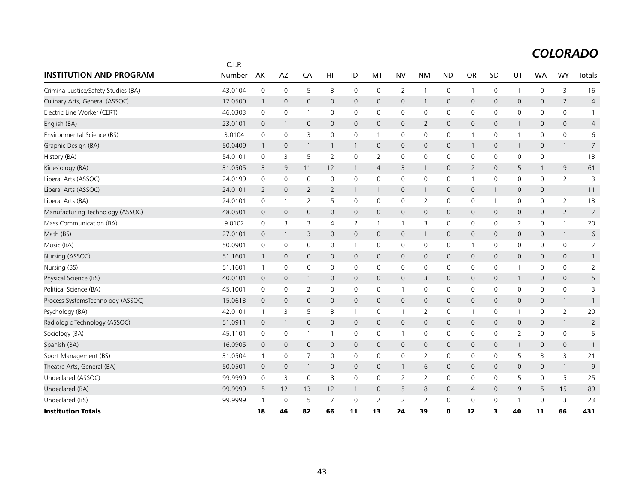| <b>INSTITUTION AND PROGRAM</b>       | C.I.P.<br>Number | AK                       | AZ           | CA             | HI             | ID             | MT             | <b>NV</b>      | <b>NM</b>           | <b>ND</b>      | <b>OR</b>      | SD           | UT                  | <b>WA</b>    | <b>WY</b>      | Totals         |
|--------------------------------------|------------------|--------------------------|--------------|----------------|----------------|----------------|----------------|----------------|---------------------|----------------|----------------|--------------|---------------------|--------------|----------------|----------------|
|                                      |                  |                          |              |                |                |                |                |                |                     |                |                |              |                     |              |                |                |
| Criminal Justice/Safety Studies (BA) | 43.0104          | $\mathbf 0$              | 0            | 5              | 3              | $\mathbf 0$    | 0              | 2              | $\mathbf{1}$        | $\mathbf 0$    | -1             | 0            | $\mathbf{1}$        | $\mathbf 0$  | 3              | 16             |
| Culinary Arts, General (ASSOC)       | 12.0500          | $\mathbf{1}$             | $\mathbf{0}$ | $\mathbf{0}$   | 0              | $\mathbf{0}$   | $\mathbf 0$    | $\mathbf 0$    | $\mathbf{1}$        | $\mathbf 0$    | $\mathbf{0}$   | $\mathbf{0}$ | $\mathbf 0$         | $\mathbf 0$  | $\overline{2}$ | $\overline{4}$ |
| Electric Line Worker (CERT)          | 46.0303          | $\mathbf 0$              | 0            | -1             | 0              | 0              | 0              | $\mathbf 0$    | 0                   | $\mathbf 0$    | 0              | 0            | 0                   | 0            | $\mathbf 0$    | $\mathbf{1}$   |
| English (BA)                         | 23.0101          | $\overline{0}$           | 1            | $\mathbf{0}$   | 0              | $\mathsf{O}$   | $\mathbf{0}$   | $\overline{0}$ | $\overline{2}$      | $\mathbf 0$    | $\mathbf{0}$   | $\mathbf{0}$ | 1                   | $\mathbf{0}$ | $\mathbf 0$    | 4              |
| Environmental Science (BS)           | 3.0104           | $\mathbf 0$              | 0            | 3              | 0              | $\mathbf 0$    | $\mathbf{1}$   | $\mathbf 0$    | 0                   | $\mathbf 0$    | -1             | 0            | $\mathbf{1}$        | $\mathbf{0}$ | $\mathbf 0$    | 6              |
| Graphic Design (BA)                  | 50.0409          | $\mathbf{1}$             | 0            | -1             | $\mathbf{1}$   | $\overline{1}$ | $\mathbf{0}$   | $\mathbf 0$    | 0                   | $\mathbf 0$    | $\mathbf{1}$   | $\mathbf{0}$ | 1                   | 0            | $\mathbf{1}$   | $\overline{7}$ |
| History (BA)                         | 54.0101          | $\mathbf 0$              | 3            | 5              | $\overline{2}$ | $\mathsf{O}$   | 2              | $\mathbf 0$    | 0                   | 0              | 0              | 0            | 0                   | 0            | $\mathbf{1}$   | 13             |
| Kinesiology (BA)                     | 31.0505          | 3                        | 9            | 11             | 12             | $\mathbf{1}$   | $\overline{4}$ | 3              | $\mathbf{1}$        | $\mathbf 0$    | $\overline{2}$ | $\mathbf{0}$ | 5                   | $\mathbf{1}$ | 9              | 61             |
| Liberal Arts (ASSOC)                 | 24.0199          | $\mathbf 0$              | 0            | 0              | 0              | 0              | 0              | 0              | 0                   | 0              | $\mathbf{1}$   | 0            | 0                   | 0            | 2              | 3              |
| Liberal Arts (ASSOC)                 | 24.0101          | 2                        | $\mathbf{0}$ | $\overline{2}$ | 2              | $\mathbf{1}$   | $\mathbf{1}$   | $\overline{0}$ | $\mathbf{1}$        | $\mathbf 0$    | $\mathsf{O}$   | $\mathbf{1}$ | $\mathbf 0$         | $\mathbf{0}$ | $\overline{1}$ | 11             |
| Liberal Arts (BA)                    | 24.0101          | 0                        | $\mathbf 1$  | 2              | 5              | 0              | 0              | 0              | 2                   | 0              | 0              | 1            | 0                   | 0            | 2              | 13             |
| Manufacturing Technology (ASSOC)     | 48.0501          | $\overline{0}$           | 0            | $\mathsf{O}$   | 0              | $\mathbf 0$    | $\mathbf 0$    | $\mathbf 0$    | 0                   | $\mathbf 0$    | $\mathsf{O}$   | 0            | $\mathbf 0$         | 0            | $\overline{2}$ | $\overline{2}$ |
| Mass Communication (BA)              | 9.0102           | $\mathbf 0$              | 3            | 3              | 4              | 2              | $\mathbf{1}$   | $\mathbf{1}$   | 3                   | 0              | 0              | 0            | 2                   | 0            | $\mathbf{1}$   | 20             |
| Math (BS)                            | 27.0101          | $\overline{0}$           | $\mathbf{1}$ | 3              | 0              | $\mathbf{0}$   | $\mathbf{0}$   | $\mathbf 0$    | $\mathbf{1}$        | $\mathbf 0$    | $\mathsf{O}$   | $\mathbf{0}$ | $\mathbf{0}$        | $\mathbf{0}$ | $\mathbf{1}$   | 6              |
| Music (BA)                           | 50.0901          | 0                        | 0            | 0              | 0              | $\mathbf{1}$   | 0              | $\mathbf 0$    | 0                   | $\mathbf 0$    | $\mathbf{1}$   | 0            | 0                   | 0            | $\mathsf{O}$   | $\overline{2}$ |
| Nursing (ASSOC)                      | 51.1601          | $\mathbf{1}$             | $\mathbf{0}$ | $\mathbf{0}$   | 0              | $\mathsf{O}$   | $\mathbf{0}$   | $\mathbf 0$    | $\mathsf{O}\xspace$ | $\overline{0}$ | $\mathsf{O}$   | $\mathbf{0}$ | $\mathsf{O}\xspace$ | $\mathbf{0}$ | $\mathbf 0$    | $\mathbf{1}$   |
| Nursing (BS)                         | 51.1601          | $\overline{1}$           | 0            | 0              | 0              | $\mathsf{O}$   | 0              | 0              | 0                   | 0              | 0              | 0            | $\mathbf{1}$        | 0            | $\mathsf{O}$   | $\overline{2}$ |
| Physical Science (BS)                | 40.0101          | $\mathbf 0$              | 0            | -1             | 0              | $\mathsf{O}$   | $\mathbf 0$    | $\mathbf 0$    | 3                   | $\overline{0}$ | $\mathsf{O}$   | $\mathsf{O}$ | $\mathbf{1}$        | $\mathbf 0$  | $\mathbf 0$    | 5              |
| Political Science (BA)               | 45.1001          | $\mathbf 0$              | 0            | $\overline{2}$ | 0              | $\mathsf{O}$   | 0              | $\mathbf{1}$   | 0                   | $\mathbf 0$    | $\mathbf 0$    | $\mathbf 0$  | $\mathsf 0$         | $\mathbf 0$  | $\mathsf{O}$   | 3              |
| Process SystemsTechnology (ASSOC)    | 15.0613          | $\overline{0}$           | $\mathbf{0}$ | $\mathbf{0}$   | 0              | $\mathsf{O}$   | $\mathbf{0}$   | $\mathbf{0}$   | $\mathbf{0}$        | $\mathbf 0$    | $\mathbf{0}$   | $\mathbf{0}$ | $\mathbf 0$         | $\mathbf{0}$ | $\overline{1}$ | $\mathbf{1}$   |
| Psychology (BA)                      | 42.0101          | $\overline{1}$           | 3            | 5              | 3              | $\mathbf{1}$   | 0              | $\mathbf{1}$   | $\overline{2}$      | 0              | $\mathbf{1}$   | 0            | $\mathbf{1}$        | 0            | $\overline{2}$ | 20             |
| Radiologic Technology (ASSOC)        | 51.0911          | $\mathbf 0$              | $\mathbf{1}$ | $\mathsf{O}$   | 0              | $\mathsf{O}$   | $\mathbf{0}$   | $\mathbf 0$    | $\mathsf{O}\xspace$ | $\overline{0}$ | $\mathsf{O}$   | $\mathsf{O}$ | $\mathbf 0$         | $\mathbf 0$  | $\overline{1}$ | $\overline{2}$ |
| Sociology (BA)                       | 45.1101          | 0                        | 0            | $\overline{1}$ | 1              | 0              | 0              | $\mathbf{1}$   | 0                   | 0              | 0              | 0            | $\overline{2}$      | $\mathbf 0$  | $\mathsf{O}$   | 5              |
| Spanish (BA)                         | 16.0905          | $\mathbf 0$              | 0            | $\mathbf 0$    | 0              | $\mathsf{O}$   | $\mathbf 0$    | $\mathbf 0$    | 0                   | $\overline{0}$ | $\mathsf{O}$   | $\mathsf{O}$ | $\mathbf{1}$        | $\mathbf 0$  | $\mathbf 0$    | $\mathbf{1}$   |
| Sport Management (BS)                | 31.0504          | $\overline{1}$           | 0            | $\overline{7}$ | $\mathbf 0$    | $\mathsf{O}$   | $\mathbf 0$    | $\mathsf{O}$   | $\overline{2}$      | $\mathbf 0$    | $\mathbf 0$    | $\mathbf 0$  | 5                   | 3            | 3              | 21             |
| Theatre Arts, General (BA)           | 50.0501          | $\overline{0}$           | 0            | $\mathbf{1}$   | 0              | $\mathsf{O}$   | $\mathbf{0}$   | $\mathbf{1}$   | 6                   | $\mathbf 0$    | $\mathsf{O}$   | $\mathbf{0}$ | $\mathbf 0$         | $\mathbf{0}$ | $\overline{1}$ | 9              |
| Undeclared (ASSOC)                   | 99.9999          | 0                        | 3            | 0              | 8              | 0              | 0              | 2              | $\overline{2}$      | 0              | 0              | 0            | 5                   | 0            | 5              | 25             |
| Undeclared (BA)                      | 99.9999          | 5                        | 12           | 13             | 12             | $\mathbf{1}$   | $\mathbf 0$    | 5              | 8                   | $\overline{0}$ | $\overline{4}$ | $\mathsf{O}$ | 9                   | 5            | 15             | 89             |
| Undeclared (BS)                      | 99.9999          | $\overline{\phantom{a}}$ | 0            | 5              | $\overline{7}$ | $\mathbf 0$    | $\overline{2}$ | $\overline{2}$ | $\overline{2}$      | 0              | $\mathbf 0$    | 0            | $\mathbf{1}$        | $\mathbf 0$  | 3              | 23             |
| <b>Institution Totals</b>            |                  | 18                       | 46           | 82             | 66             | 11             | 13             | 24             | 39                  | $\mathbf o$    | 12             | 3            | 40                  | 11           | 66             | 431            |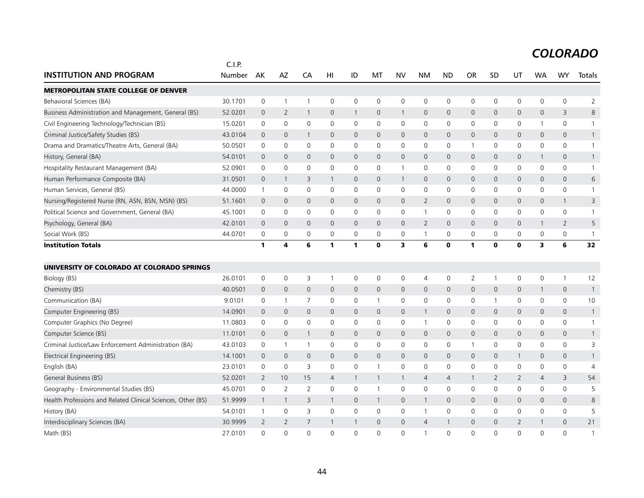|                                                              | C.I.P.  |              |              |                |              |              |              |                         |                |                |                |              |              |                |                     |                |
|--------------------------------------------------------------|---------|--------------|--------------|----------------|--------------|--------------|--------------|-------------------------|----------------|----------------|----------------|--------------|--------------|----------------|---------------------|----------------|
| <b>INSTITUTION AND PROGRAM</b>                               | Number  | AK           | AZ           | CA             | HI           | ID           | MT           | <b>NV</b>               | <b>NM</b>      | <b>ND</b>      | <b>OR</b>      | SD           | UT           | <b>WA</b>      | <b>WY</b>           | Totals         |
| <b>METROPOLITAN STATE COLLEGE OF DENVER</b>                  |         |              |              |                |              |              |              |                         |                |                |                |              |              |                |                     |                |
| Behavioral Sciences (BA)                                     | 30.1701 | 0            | $\mathbf{1}$ | $\overline{1}$ | $\mathbf 0$  | 0            | $\mathbf 0$  | $\mathbf 0$             | $\mathbf 0$    | 0              | 0              | 0            | 0            | 0              | $\mathsf 0$         | $\overline{2}$ |
| Business Administration and Management, General (BS)         | 52.0201 | $\mathbf{0}$ | 2            | $\overline{1}$ | $\mathbf{0}$ | $\mathbf{1}$ | 0            | $\mathbf{1}$            | $\mathbf{0}$   | $\mathbf{0}$   | $\mathbf{0}$   | $\mathbf{0}$ | 0            | $\mathbf{0}$   | 3                   | 8              |
| Civil Engineering Technology/Technician (BS)                 | 15.0201 | 0            | $\mathbf 0$  | $\mathbf 0$    | 0            | 0            | 0            | $\mathbf 0$             | $\mathbf 0$    | $\mathbf 0$    | 0              | 0            | 0            | 1              | 0                   | $\mathbf{1}$   |
| Criminal Justice/Safety Studies (BS)                         | 43.0104 | $\mathbf 0$  | $\mathbf 0$  | $\overline{1}$ | $\mathbf{0}$ | $\mathsf{O}$ | 0            | $\mathbf{0}$            | $\mathbf{0}$   | $\mathbf{0}$   | $\mathbf{0}$   | $\Omega$     | 0            | $\mathbf 0$    | $\mathbf{0}$        | $\mathbf{1}$   |
| Drama and Dramatics/Theatre Arts, General (BA)               | 50.0501 | $\mathbf 0$  | $\mathbf 0$  | $\mathbf 0$    | $\mathbf 0$  | 0            | 0            | $\mathbf 0$             | $\mathbf 0$    | $\mathbf 0$    | $\mathbf{1}$   | $\mathbf 0$  | $\mathsf{O}$ | $\mathbf 0$    | 0                   | $\mathbf{1}$   |
| History, General (BA)                                        | 54.0101 | $\mathbf{0}$ | $\mathbf 0$  | $\mathbf{0}$   | $\mathbf{0}$ | $\mathsf{O}$ | 0            | $\mathbf{0}$            | $\mathbf{0}$   | $\mathbf{0}$   | $\mathbf{0}$   | $\mathbf{0}$ | $\mathbf{0}$ | $\mathbf{1}$   | $\mathbf{0}$        | $\mathbf{1}$   |
| Hospitality Restaurant Management (BA)                       | 52.0901 | 0            | $\mathbf 0$  | $\mathbf 0$    | 0            | 0            | 0            | $\mathbf{1}$            | $\mathbf 0$    | $\mathbf 0$    | 0              | 0            | 0            | 0              | 0                   | $\mathbf{1}$   |
| Human Performance Composite (BA)                             | 31.0501 | $\Omega$     | $\mathbf{1}$ | 3              | $\mathbf{1}$ | 0            | $\Omega$     | $\mathbf{1}$            | $\Omega$       | $\Omega$       | $\mathbf 0$    | $\Omega$     | $\mathsf{O}$ | $\Omega$       | $\Omega$            | 6              |
| Human Services, General (BS)                                 | 44.0000 | $\mathbf{1}$ | $\mathbf 0$  | $\mathbf 0$    | 0            | 0            | 0            | 0                       | $\mathbf 0$    | $\mathbf 0$    | 0              | 0            | 0            | 0              | 0                   | $\overline{1}$ |
| Nursing/Registered Nurse (RN, ASN, BSN, MSN) (BS)            | 51.1601 | $\mathbf{0}$ | $\mathbf 0$  | $\overline{0}$ | $\mathbf{0}$ | $\mathsf{O}$ | 0            | 0                       | $\overline{2}$ | $\overline{0}$ | $\mathbf 0$    | $\mathbf{0}$ | 0            | $\mathbf{0}$   | $\mathbf{1}$        | 3              |
| Political Science and Government, General (BA)               | 45.1001 | 0            | $\mathbf 0$  | $\mathbf 0$    | $\mathbf 0$  | 0            | 0            | $\mathbf 0$             | $\overline{1}$ | $\mathbf 0$    | 0              | 0            | $\mathbf 0$  | $\Omega$       | 0                   | $\mathbf{1}$   |
| Psychology, General (BA)                                     | 42.0101 | $\Omega$     | $\mathbf 0$  | $\Omega$       | $\Omega$     | 0            | $\Omega$     | $\Omega$                | 2              | $\mathbf 0$    | $\Omega$       | $\Omega$     | $\mathsf{O}$ | $\mathbf{1}$   | $\overline{2}$      | 5              |
| Social Work (BS)                                             | 44.0701 | $\mathbf 0$  | $\mathbf 0$  | $\mathbf 0$    | 0            | 0            | 0            | $\mathbf 0$             | $\overline{1}$ | $\mathbf 0$    | 0              | $\mathbf 0$  | $\mathsf{O}$ | $\mathbf 0$    | 0                   | $\mathbf{1}$   |
| <b>Institution Totals</b>                                    |         | 1            | 4            | 6              | 1            | 1            | $\bf{0}$     | $\overline{\mathbf{3}}$ | 6              | $\mathbf 0$    | $\mathbf{1}$   | $\bf{0}$     | $\mathbf 0$  | 3              | 6                   | 32             |
| UNIVERSITY OF COLORADO AT COLORADO SPRINGS                   |         |              |              |                |              |              |              |                         |                |                |                |              |              |                |                     |                |
| Biology (BS)                                                 | 26.0101 | 0            | 0            | 3              | $\mathbf{1}$ | 0            | 0            | $\mathbf 0$             | $\overline{4}$ | 0              | $\overline{2}$ | $\mathbf{1}$ | $\mathsf{O}$ | 0              | $\mathbf{1}$        | 12             |
| Chemistry (BS)                                               | 40.0501 | $\mathbf 0$  | $\mathbf 0$  | $\overline{0}$ | $\mathbf 0$  | 0            | 0            | $\mathbf 0$             | $\mathbf{0}$   | $\mathbf{0}$   | $\mathbf 0$    | $\mathbf 0$  | 0            | 1              | $\mathsf{O}\xspace$ | $\mathbf{1}$   |
| Communication (BA)                                           | 9.0101  | 0            | -1           | 7              | 0            | 0            | 1            | 0                       | $\mathbf 0$    | 0              | 0              | 1            | 0            | 0              | 0                   | 10             |
| Computer Engineering (BS)                                    | 14.0901 | 0            | $\mathbf 0$  | $\mathbf 0$    | $\mathbf 0$  | 0            | 0            | 0                       | $\mathbf{1}$   | $\mathbf 0$    | $\mathbf 0$    | $\mathbf 0$  | 0            | 0              | 0                   | $\mathbf{1}$   |
| Computer Graphics (No Degree)                                | 11.0803 | $\mathbf 0$  | $\mathbf 0$  | $\mathbf 0$    | $\mathbf 0$  | 0            | 0            | $\mathbf 0$             | $\mathbf{1}$   | $\mathbf 0$    | $\mathbf 0$    | $\mathbf 0$  | $\mathbf 0$  | $\mathbf 0$    | 0                   | $\mathbf{1}$   |
| Computer Science (BS)                                        | 11.0101 | $\mathbf 0$  | $\mathbf 0$  | $\overline{1}$ | $\mathbf{0}$ | 0            | 0            | $\mathsf{O}$            | $\mathbf{0}$   | $\mathbf{0}$   | $\mathbf 0$    | $\mathbf{0}$ | $\mathbf{0}$ | $\mathbf{0}$   | $\mathbf{0}$        | $\mathbf{1}$   |
| Criminal Justice/Law Enforcement Administration (BA)         | 43.0103 | 0            | $\mathbf{1}$ | $\overline{1}$ | 0            | 0            | 0            | $\mathbf 0$             | $\mathbf 0$    | $\mathbf 0$    | $\mathbf 1$    | 0            | 0            | 0              | 0                   | 3              |
| Electrical Engineering (BS)                                  | 14.1001 | 0            | $\mathbf 0$  | $\overline{0}$ | $\mathbf{0}$ | 0            | 0            | $\mathbf{0}$            | $\mathbf{0}$   | $\mathbf 0$    | $\mathbf 0$    | $\mathbf 0$  | $\mathbf{1}$ | $\overline{0}$ | $\mathsf{O}\xspace$ | $\mathbf{1}$   |
| English (BA)                                                 | 23.0101 | 0            | $\mathbf 0$  | 3              | 0            | 0            | 1            | $\mathbf 0$             | $\mathbf 0$    | $\mathbf 0$    | 0              | 0            | $\mathbf 0$  | 0              | 0                   | 4              |
| General Business (BS)                                        | 52.0201 | 2            | 10           | 15             | 4            | $\mathbf{1}$ | $\mathbf{1}$ | $\mathbf{1}$            | $\overline{4}$ | $\overline{4}$ | 1              | 2            | $\mathbf{2}$ | 4              | 3                   | 54             |
| Geography - Environmental Studies (BS)                       | 45.0701 | 0            | 2            | $\overline{2}$ | $\Omega$     | $\Omega$     | 1            | $\mathbf 0$             | $\mathbf 0$    | $\mathbf 0$    | 0              | $\mathbf{0}$ | $\mathbf 0$  | $\mathbf{0}$   | 0                   | 5              |
| Health Professions and Related Clinical Sciences, Other (BS) | 51.9999 | 1            | $\mathbf{1}$ | 3              | $\mathbf{1}$ | 0            | 1            | $\mathbf 0$             | $\mathbf{1}$   | $\mathbf 0$    | $\mathbf 0$    | $\mathbf 0$  | $\mathsf{O}$ | $\mathbf 0$    | $\mathsf{O}$        | 8              |
| History (BA)                                                 | 54.0101 | $\mathbf{1}$ | 0            | 3              | $\mathbf 0$  | 0            | 0            | $\mathbf 0$             | $\overline{1}$ | $\mathbf 0$    | 0              | 0            | 0            | $\mathbf 0$    | 0                   | 5              |
| Interdisciplinary Sciences (BA)                              | 30.9999 | 2            | 2            | 7              |              | 1            | 0            | $\mathbf{0}$            | $\overline{4}$ | $\mathbf{1}$   | $\mathbf 0$    | $\mathbf 0$  | 2            | 1              | $\mathbf{0}$        | 21             |
| Math (BS)                                                    | 27.0101 | $\Omega$     | $\Omega$     | $\Omega$       | $\Omega$     | $\Omega$     | $\Omega$     | $\Omega$                | $\overline{1}$ | $\Omega$       | $\Omega$       | $\Omega$     | $\Omega$     | $\Omega$       | $\Omega$            | $\mathbf{1}$   |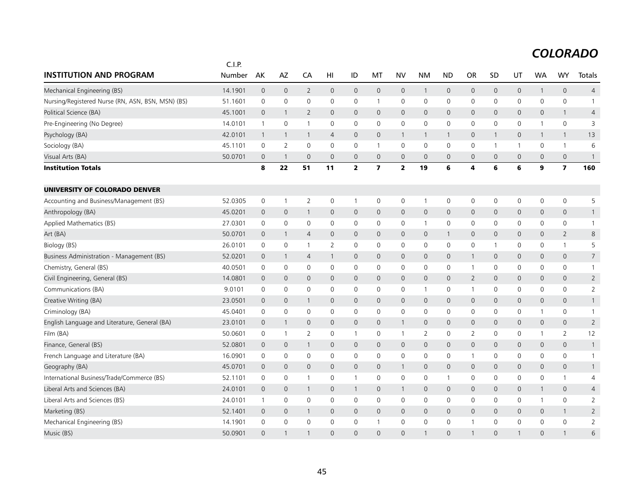|                                                   | C.I.P.  |                |                |                |                     |                     |                         |                     |                     |                     |                |                |              |                     |                         |                |
|---------------------------------------------------|---------|----------------|----------------|----------------|---------------------|---------------------|-------------------------|---------------------|---------------------|---------------------|----------------|----------------|--------------|---------------------|-------------------------|----------------|
| <b>INSTITUTION AND PROGRAM</b>                    | Number  | AK             | AZ             | CA             | HI                  | ID                  | МT                      | <b>NV</b>           | <b>NM</b>           | <b>ND</b>           | <b>OR</b>      | SD             | UT           | <b>WA</b>           | <b>WY</b>               | Totals         |
| Mechanical Engineering (BS)                       | 14.1901 | $\overline{0}$ | $\mathbf{0}$   | $\overline{2}$ | $\mathbf{0}$        | $\overline{0}$      | $\mathbf 0$             | $\mathbf 0$         | $\mathbf{1}$        | $\mathbf{0}$        | $\mathbf 0$    | $\mathbf{0}$   | $\mathbf 0$  | $\mathbf{1}$        | $\mathbf 0$             | $\overline{4}$ |
| Nursing/Registered Nurse (RN, ASN, BSN, MSN) (BS) | 51.1601 | $\mathbf 0$    | $\mathbf 0$    | 0              | $\mathbf 0$         | 0                   | $\mathbf{1}$            | $\mathbf 0$         | $\mathbf 0$         | $\mathbf 0$         | 0              | 0              | 0            | $\mathbf 0$         | $\mathsf{O}$            | $\mathbf{1}$   |
| Political Science (BA)                            | 45.1001 | $\overline{0}$ | $\mathbf{1}$   | $\overline{2}$ | $\mathsf{O}\xspace$ | $\mathbf 0$         | $\mathsf{O}$            | $\mathbf 0$         | $\mathsf{O}\xspace$ | $\mathsf{O}\xspace$ | $\mathbf 0$    | $\mathsf{O}$   | $\mathsf{O}$ | $\mathsf{O}$        | $\mathbf{1}$            | 4              |
| Pre-Engineering (No Degree)                       | 14.0101 | $\mathbf{1}$   | $\mathbf 0$    | $\overline{1}$ | $\mathbf 0$         | $\mathbf 0$         | $\mathbf 0$             | $\mathbf 0$         | $\mathbf 0$         | $\mathbf 0$         | $\mathbf 0$    | 0              | $\mathbf 0$  | $\mathbf{1}$        | $\mathsf{O}$            | 3              |
| Psychology (BA)                                   | 42.0101 | $\overline{1}$ | $\mathbf{1}$   | $\overline{1}$ | $\overline{4}$      | $\mathbf{0}$        | $\mathbf 0$             | $\mathbf{1}$        | $\mathbf{1}$        | $\mathbf{1}$        | $\mathbf 0$    | $\mathbf{1}$   | $\mathbf{0}$ | 1                   | $\overline{1}$          | 13             |
| Sociology (BA)                                    | 45.1101 | $\mathbf 0$    | $\overline{2}$ | $\mathsf{O}$   | $\mathbf 0$         | 0                   | $\mathbf{1}$            | $\mathbf 0$         | $\mathbf 0$         | $\mathbf 0$         | 0              | $\overline{1}$ | $\mathbf{1}$ | 0                   | $\mathbf{1}$            | 6              |
| Visual Arts (BA)                                  | 50.0701 | $\mathbf 0$    | -1             | $\mathbf{0}$   | 0                   | $\mathsf{O}\xspace$ | $\mathbf 0$             | $\mathbf 0$         | $\mathbf 0$         | $\mathbf 0$         | $\mathbf 0$    | $\mathbf 0$    | $\mathbf 0$  | $\mathbf 0$         | $\mathsf{O}\xspace$     | $\mathbf{1}$   |
| <b>Institution Totals</b>                         |         | 8              | 22             | 51             | 11                  | $\overline{2}$      | $\overline{\mathbf{z}}$ | $\overline{2}$      | 19                  | 6                   | 4              | 6              | 6            | 9                   | $\overline{\mathbf{z}}$ | 160            |
| UNIVERSITY OF COLORADO DENVER                     |         |                |                |                |                     |                     |                         |                     |                     |                     |                |                |              |                     |                         |                |
| Accounting and Business/Management (BS)           | 52.0305 | 0              | $\overline{1}$ | $\overline{2}$ | $\mathbf 0$         | $\mathbf{1}$        | 0                       | 0                   | $\mathbf{1}$        | 0                   | 0              | 0              | 0            | 0                   | 0                       | 5              |
| Anthropology (BA)                                 | 45.0201 | $\overline{0}$ | $\mathbf 0$    | $\mathbf{1}$   | 0                   | $\mathbf 0$         | $\mathbf 0$             | $\mathbf 0$         | $\mathsf{O}\xspace$ | $\mathsf{O}\xspace$ | $\mathbf{0}$   | $\mathsf{O}$   | $\mathbf 0$  | $\mathsf{O}\xspace$ | $\mathbf 0$             | $\mathbf{1}$   |
| Applied Mathematics (BS)                          | 27.0301 | 0              | $\mathbf 0$    | 0              | $\mathbf 0$         | $\mathsf{O}$        | 0                       | $\mathbf 0$         | $\mathbf{1}$        | 0                   | 0              | $\mathbf 0$    | 0            | $\mathbf 0$         | $\mathsf{O}$            | $\mathbf{1}$   |
| Art (BA)                                          | 50.0701 | $\mathbf 0$    | $\mathbf{1}$   | $\overline{4}$ | $\mathbf{0}$        | $\mathbf{0}$        | $\mathbf 0$             | $\mathbf{0}$        | $\mathbf{0}$        | $\mathbf{1}$        | $\mathbf 0$    | $\mathbf{0}$   | 0            | $\mathbf 0$         | $\overline{2}$          | 8              |
| Biology (BS)                                      | 26.0101 | $\mathbf 0$    | $\mathbf 0$    | $\overline{1}$ | $\overline{2}$      | 0                   | 0                       | $\mathbf 0$         | $\mathbf 0$         | $\mathsf 0$         | 0              | -1             | 0            | 0                   | $\mathbf{1}$            | 5              |
| Business Administration - Management (BS)         | 52.0201 | $\overline{0}$ | $\mathbf{1}$   | $\overline{4}$ | $\mathbf{1}$        | $\mathsf{O}$        | $\mathbf 0$             | $\mathbf 0$         | $\mathbf 0$         | $\mathbf 0$         | 1              | $\mathbf 0$    | $\mathbf 0$  | $\mathbf 0$         | $\mathbf 0$             | $\overline{7}$ |
| Chemistry, General (BS)                           | 40.0501 | 0              | $\mathbf 0$    | $\mathsf{O}$   | $\mathbf 0$         | 0                   | 0                       | $\mathbf 0$         | $\mathbf 0$         | $\mathbf 0$         | $\mathbf{1}$   | $\mathbf 0$    | 0            | $\mathbf 0$         | $\mathsf{O}$            | $\mathbf{1}$   |
| Civil Engineering, General (BS)                   | 14.0801 | $\mathbf{0}$   | $\mathbf 0$    | $\mathbf{0}$   | $\mathbf{0}$        | $\mathbf{0}$        | $\mathbf{0}$            | $\mathbf{0}$        | $\mathbf{0}$        | $\mathbf{0}$        | $\overline{2}$ | $\mathbf{0}$   | $\mathbf{0}$ | $\mathbf{0}$        | $\mathbf 0$             | $\overline{2}$ |
| Communications (BA)                               | 9.0101  | 0              | $\mathbf 0$    | 0              | 0                   | $\mathsf{O}$        | 0                       | $\mathbf 0$         | $\mathbf{1}$        | 0                   | -1             | 0              | $\mathbf 0$  | $\mathbf 0$         | $\mathsf{O}$            | $\overline{2}$ |
| Creative Writing (BA)                             | 23.0501 | $\mathbf 0$    | $\mathbf 0$    | $\mathbf{1}$   | 0                   | $\mathsf{O}$        | $\mathsf{O}$            | $\mathbf 0$         | $\mathbf 0$         | $\mathbf 0$         | $\mathbf 0$    | $\mathsf{O}$   | $\mathbf 0$  | 0                   | $\mathbf 0$             | $\mathbf{1}$   |
| Criminology (BA)                                  | 45.0401 | $\mathbf 0$    | $\mathbf 0$    | 0              | 0                   | 0                   | 0                       | $\mathbf 0$         | $\mathbf 0$         | $\mathbf 0$         | 0              | 0              | 0            | $\mathbf{1}$        | $\mathsf{O}$            | $\overline{1}$ |
| English Language and Literature, General (BA)     | 23.0101 | $\mathbf 0$    | $\mathbf{1}$   | $\mathbf 0$    | $\mathbf{0}$        | $\mathbf 0$         | 0                       | $\mathbf{1}$        | 0                   | 0                   | $\mathbf 0$    | $\mathbf{0}$   | 0            | $\mathbf 0$         | $\mathbf 0$             | $\overline{2}$ |
| Film (BA)                                         | 50.0601 | 0              | -1             | $\overline{2}$ | $\mathbf 0$         | $\mathbf{1}$        | 0                       | $\mathbf{1}$        | 2                   | $\mathbf 0$         | $\overline{2}$ | 0              | 0            | $\mathbf{1}$        | 2                       | 12             |
| Finance, General (BS)                             | 52.0801 | $\overline{0}$ | $\mathbf 0$    | $\mathbf{1}$   | 0                   | $\mathsf{O}$        | $\mathsf{O}$            | $\mathbf 0$         | $\mathsf{O}\xspace$ | $\mathbf 0$         | $\mathbf 0$    | $\mathsf{O}$   | $\mathsf{O}$ | 0                   | $\mathbf 0$             | $\mathbf{1}$   |
| French Language and Literature (BA)               | 16.0901 | 0              | $\mathbf 0$    | 0              | $\mathbf 0$         | $\mathbf 0$         | $\mathbf 0$             | $\mathsf{O}\xspace$ | 0                   | 0                   | $\mathbf 1$    | 0              | 0            | $\mathbf 0$         | $\mathsf{O}$            | $\mathbf{1}$   |
| Geography (BA)                                    | 45.0701 | $\mathbf 0$    | $\mathbf{0}$   | $\mathbf{0}$   | $\mathbf{0}$        | $\mathsf{O}\xspace$ | $\mathbf{0}$            | $\overline{1}$      | $\mathbf 0$         | $\mathbf{0}$        | $\mathbf 0$    | $\mathbf{0}$   | $\mathbf 0$  | $\mathbf{0}$        | $\mathbf 0$             | $\mathbf{1}$   |
| International Business/Trade/Commerce (BS)        | 52.1101 | 0              | 0              | $\overline{1}$ | $\mathbf 0$         | 1                   | 0                       | $\mathbf 0$         | $\mathbf 0$         | $\mathbf{1}$        | 0              | 0              | 0            | 0                   | $\mathbf{1}$            | 4              |
| Liberal Arts and Sciences (BA)                    | 24.0101 | $\mathbf 0$    | $\mathbf{0}$   | $\mathbf{1}$   | $\mathbf{0}$        | $\mathbf{1}$        | $\mathbf 0$             | $\overline{1}$      | $\mathbf{0}$        | $\mathbf{0}$        | $\mathbf{0}$   | $\mathbf{0}$   | $\mathbf{0}$ | $\mathbf{1}$        | $\mathbf 0$             | $\overline{4}$ |
| Liberal Arts and Sciences (BS)                    | 24.0101 | $\mathbf{1}$   | 0              | 0              | 0                   | 0                   | $\mathbf 0$             | $\mathbf 0$         | 0                   | 0                   | 0              | 0              | 0            | $\mathbf{1}$        | $\mathsf{O}$            | 2              |
| Marketing (BS)                                    | 52.1401 | $\overline{0}$ | $\mathbf 0$    | $\mathbf{1}$   | 0                   | $\mathbf 0$         | $\mathsf{O}$            | $\mathbf 0$         | $\mathbf 0$         | $\mathbf 0$         | $\mathbf 0$    | $\mathbf 0$    | $\mathbf 0$  | $\mathbf 0$         | $\mathbf{1}$            | $\overline{2}$ |
| Mechanical Engineering (BS)                       | 14.1901 | 0              | $\mathbf 0$    | 0              | $\mathbf 0$         | 0                   | 1                       | $\mathbf 0$         | $\mathbf 0$         | $\mathbf 0$         |                | $\mathbf 0$    | 0            | $\mathbf 0$         | $\mathbf 0$             | $\overline{2}$ |
| Music (BS)                                        | 50.0901 | $\Omega$       |                | $\mathbf{1}$   | $\Omega$            | $\Omega$            | $\Omega$                | $\Omega$            | $\mathbf{1}$        | $\Omega$            |                | $\Omega$       | $\mathbf{1}$ | $\Omega$            | $\mathbf{1}$            | 6              |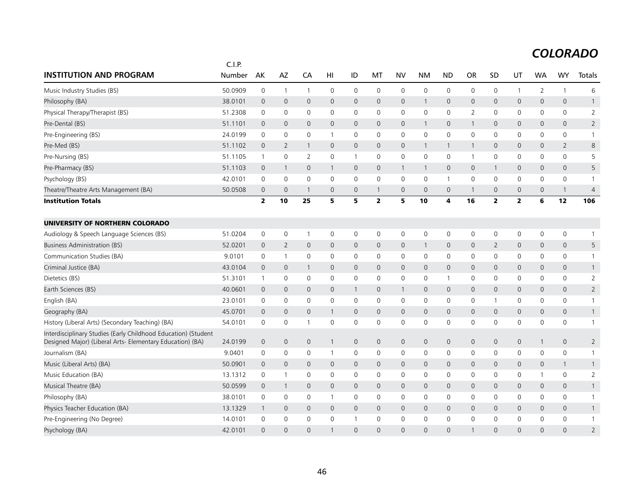|                                                                                                                             | C.I.P.  |                |                |                |                     |                     |                |                     |              |              |                |                |                         |                     |                |                |
|-----------------------------------------------------------------------------------------------------------------------------|---------|----------------|----------------|----------------|---------------------|---------------------|----------------|---------------------|--------------|--------------|----------------|----------------|-------------------------|---------------------|----------------|----------------|
| <b>INSTITUTION AND PROGRAM</b>                                                                                              | Number  | AK             | <b>AZ</b>      | CA             | HI                  | ID                  | МT             | <b>NV</b>           | NM           | <b>ND</b>    | OR             | <b>SD</b>      | UT                      | <b>WA</b>           | <b>WY</b>      | Totals         |
| Music Industry Studies (BS)                                                                                                 | 50.0909 | 0              | $\overline{1}$ | $\overline{1}$ | 0                   | $\mathbf 0$         | 0              | $\mathbf 0$         | 0            | $\mathbf 0$  | 0              | 0              | $\mathbf{1}$            | 2                   | $\mathbf{1}$   | 6              |
| Philosophy (BA)                                                                                                             | 38.0101 | $\mathbf 0$    | $\mathbf 0$    | 0              | $\mathsf{O}\xspace$ | $\mathsf{O}$        | $\mathbf 0$    | $\mathbf 0$         | $\mathbf{1}$ | $\mathbf 0$  | $\mathbf 0$    | $\mathsf{O}$   | $\mathbf 0$             | $\mathsf{O}\xspace$ | $\mathbf 0$    | $\mathbf{1}$   |
| Physical Therapy/Therapist (BS)                                                                                             | 51.2308 | $\mathbf 0$    | $\mathbf 0$    | 0              | $\mathbf 0$         | 0                   | 0              | $\mathsf{O}\xspace$ | $\mathsf 0$  | $\mathsf 0$  | $\overline{2}$ | 0              | 0                       | 0                   | $\mathsf{O}$   | $\overline{2}$ |
| Pre-Dental (BS)                                                                                                             | 51.1101 | $\overline{0}$ | $\mathbf 0$    | 0              | 0                   | $\mathsf{O}\xspace$ | $\mathbf 0$    | $\mathbf 0$         | $\mathbf{1}$ | $\mathbf 0$  |                | $\mathbf 0$    | $\mathbf 0$             | $\mathbf{0}$        | $\mathbf 0$    | $\overline{2}$ |
| Pre-Engineering (BS)                                                                                                        | 24.0199 | 0              | 0              | 0              | 1                   | 0                   | 0              | $\mathbf 0$         | $\mathbf 0$  | $\mathbf 0$  | $\mathbf 0$    | 0              | 0                       | 0                   | $\mathsf{O}$   | $\mathbf{1}$   |
| Pre-Med (BS)                                                                                                                | 51.1102 | $\overline{0}$ | $\overline{2}$ | $\mathbf{1}$   | $\mathbf{0}$        | $\mathsf{O}\xspace$ | $\mathbf 0$    | $\mathbf 0$         | $\mathbf{1}$ | $\mathbf{1}$ | $\mathbf{1}$   | $\mathbf{0}$   | $\mathbf 0$             | $\mathbf{0}$        | $\overline{2}$ | 8              |
| Pre-Nursing (BS)                                                                                                            | 51.1105 | $\mathbf{1}$   | $\mathbf 0$    | $\overline{2}$ | $\mathbf 0$         | $\mathbf{1}$        | $\mathbf 0$    | $\mathbf 0$         | $\mathbf 0$  | 0            | $\mathbf 1$    | $\mathbf 0$    | $\mathbf 0$             | $\mathbf 0$         | $\mathsf{O}$   | 5              |
| Pre-Pharmacy (BS)                                                                                                           | 51.1103 | $\overline{0}$ | $\mathbf{1}$   | $\mathbf 0$    | $\mathbf{1}$        | $\mathsf{O}$        | $\mathsf{O}$   | $\overline{1}$      | $\mathbf{1}$ | $\mathbf 0$  | $\mathbf 0$    | $\mathbf{1}$   | $\mathbf 0$             | $\mathbf 0$         | $\mathbf 0$    | 5              |
| Psychology (BS)                                                                                                             | 42.0101 | $\mathbf 0$    | $\mathbf 0$    | 0              | $\mathbf 0$         | 0                   | $\mathbf 0$    | $\mathbf 0$         | $\mathbf 0$  | $\mathbf{1}$ | $\mathsf 0$    | $\mathbf 0$    | 0                       | $\mathbf 0$         | $\mathsf{O}$   | $\mathbf{1}$   |
| Theatre/Theatre Arts Management (BA)                                                                                        | 50.0508 | $\mathbf 0$    | $\overline{0}$ | $\overline{1}$ | 0                   | 0                   | $\mathbf{1}$   | $\mathbf 0$         | $\mathbf{0}$ | 0            | -1             | 0              | 0                       | 0                   | $\overline{1}$ | $\overline{4}$ |
| <b>Institution Totals</b>                                                                                                   |         | $\overline{2}$ | 10             | 25             | 5                   | 5                   | $\overline{2}$ | 5                   | 10           | 4            | 16             | $\overline{2}$ | $\overline{\mathbf{2}}$ | 6                   | 12             | 106            |
| UNIVERSITY OF NORTHERN COLORADO                                                                                             |         |                |                |                |                     |                     |                |                     |              |              |                |                |                         |                     |                |                |
| Audiology & Speech Language Sciences (BS)                                                                                   | 51.0204 | $\mathbf 0$    | 0              | $\overline{1}$ | 0                   | 0                   | 0              | $\mathbf 0$         | 0            | $\mathbf 0$  | 0              | 0              | 0                       | 0                   | $\mathsf{O}$   | $\mathbf{1}$   |
| Business Administration (BS)                                                                                                | 52.0201 | $\mathbf 0$    | 2              | $\mathbf 0$    | 0                   | $\mathsf{O}$        | 0              | $\mathbf 0$         | $\mathbf{1}$ | $\mathbf 0$  | $\mathbf 0$    | $\overline{2}$ | $\mathbf 0$             | 0                   | $\mathbf 0$    | 5              |
| Communication Studies (BA)                                                                                                  | 9.0101  | 0              | $\overline{1}$ | 0              | $\mathbf 0$         | 0                   | 0              | 0                   | $\mathbf 0$  | $\mathbf 0$  | 0              | 0              | 0                       | 0                   | $\mathbf 0$    | $\mathbf{1}$   |
| Criminal Justice (BA)                                                                                                       | 43.0104 | $\mathbf 0$    | $\mathbf 0$    | $\mathbf{1}$   | $\mathbf{0}$        | $\mathbf{0}$        | $\mathbf 0$    | $\mathbf{0}$        | $\mathbf{0}$ | $\mathbf{0}$ | $\mathbf{0}$   | $\mathbf{0}$   | $\mathbf 0$             | $\mathbf{0}$        | $\mathbf 0$    | $\mathbf{1}$   |
| Dietetics (BS)                                                                                                              | 51.3101 | $\mathbf{1}$   | $\mathbf 0$    | 0              | $\mathbf 0$         | 0                   | 0              | $\mathbf 0$         | 0            | 1            | 0              | 0              | 0                       | 0                   | $\mathsf{O}$   | $\overline{2}$ |
| Earth Sciences (BS)                                                                                                         | 40.0601 | $\overline{0}$ | $\mathbf 0$    | 0              | $\mathbf{0}$        | $\mathbf{1}$        | $\mathbf{0}$   | $\overline{1}$      | $\mathbf{0}$ | $\mathbf 0$  | $\mathbf 0$    | $\mathbf{0}$   | $\mathbf{0}$            | $\mathbf{0}$        | $\mathbf 0$    | $\overline{2}$ |
| English (BA)                                                                                                                | 23.0101 | 0              | 0              | 0              | 0                   | 0                   | 0              | 0                   | $\mathbf 0$  | 0            | 0              | -1             | 0                       | 0                   | 0              | $\mathbf{1}$   |
| Geography (BA)                                                                                                              | 45.0701 | $\mathbf 0$    | $\mathbf{0}$   | $\mathbf{0}$   | $\mathbf{1}$        | $\mathbf 0$         | $\mathbf 0$    | $\mathbf 0$         | $\mathbf 0$  | $\mathbf{0}$ | $\mathbf{0}$   | $\mathbf{0}$   | $\mathbf{0}$            | $\mathbf{0}$        | $\mathbf 0$    | $\mathbf{1}$   |
| History (Liberal Arts) (Secondary Teaching) (BA)                                                                            | 54.0101 | 0              | 0              | $\mathbf{1}$   | 0                   | 0                   | 0              | $\mathbf 0$         | 0            | 0            | 0              | $\mathbf{0}$   | 0                       | 0                   | 0              | 1              |
| Interdisciplinary Studies (Early Childhood Education) (Student<br>Designed Major) (Liberal Arts- Elementary Education) (BA) | 24.0199 | $\mathbf 0$    | $\mathbf 0$    | $\mathsf{O}$   | 1                   | $\mathbf 0$         | $\mathbf 0$    | $\mathbf 0$         | $\mathbf 0$  | $\mathbf 0$  | $\mathbf 0$    | $\mathbf 0$    | $\mathbf 0$             | $\mathbf{1}$        | $\mathbf 0$    | $\overline{2}$ |
| Journalism (BA)                                                                                                             | 9.0401  | 0              | 0              | 0              | $\mathbf{1}$        | 0                   | 0              | 0                   | 0            | 0            | 0              | 0              | 0                       | 0                   | $\mathsf{O}$   | 1              |
| Music (Liberal Arts) (BA)                                                                                                   | 50.0901 | $\mathbf 0$    | $\mathbf 0$    | $\mathbf{0}$   | $\mathbf{0}$        | $\mathbf 0$         | $\mathbf{0}$   | $\mathbf{0}$        | $\mathbf{0}$ | $\mathbf 0$  | $\mathbf 0$    | $\mathbf{0}$   | 0                       | 0                   | $\mathbf{1}$   | $\mathbf{1}$   |
| Music Education (BA)                                                                                                        | 13.1312 | 0              | -1             | 0              | $\mathbf 0$         | 0                   | 0              | $\mathbf 0$         | $\mathbf 0$  | 0            | 0              | $\mathbf 0$    | 0                       | 1                   | $\mathsf{O}$   | 2              |
| Musical Theatre (BA)                                                                                                        | 50.0599 | $\mathbf 0$    | $\mathbf{1}$   | $\mathbf{0}$   | 0                   | $\mathsf{O}$        | 0              | $\mathbf 0$         | $\mathbf 0$  | 0            | $\mathbf{0}$   | $\mathbf{0}$   | 0                       | $\mathbf 0$         | $\mathbf 0$    | $\mathbf{1}$   |
| Philosophy (BA)                                                                                                             | 38.0101 | $\mathbf 0$    | $\mathbf 0$    | 0              | $\mathbf{1}$        | $\mathbf 0$         | 0              | $\mathbf 0$         | $\mathbf 0$  | $\mathbf 0$  | 0              | $\mathbf{0}$   | $\mathbf 0$             | 0                   | $\mathbf 0$    | $\mathbf{1}$   |
| Physics Teacher Education (BA)                                                                                              | 13.1329 | $\overline{1}$ | $\mathbf 0$    | $\mathbf{0}$   | $\mathbf{0}$        | $\mathsf{O}$        | $\mathbf{0}$   | $\mathbf{0}$        | $\mathbf{0}$ | $\mathbf{0}$ | $\mathbf{0}$   | $\mathbf{0}$   | $\mathsf{O}$            | $\mathbf{0}$        | $\mathbf 0$    | $\mathbf{1}$   |
| Pre-Engineering (No Degree)                                                                                                 | 14.0101 | $\mathbf 0$    | $\mathbf 0$    | 0              | 0                   | 1                   | $\mathbf 0$    | $\mathbf 0$         | $\mathbf 0$  | $\mathbf 0$  | 0              | $\Omega$       | $\mathbf 0$             | $\mathbf 0$         | $\mathsf{O}$   | $\mathbf{1}$   |
| Psychology (BA)                                                                                                             | 42.0101 | $\Omega$       | $\Omega$       | $\Omega$       |                     | $\Omega$            | $\Omega$       | $\Omega$            | $\Omega$     | $\Omega$     |                | $\Omega$       | $\Omega$                | $\Omega$            | $\mathbf{0}$   | $\overline{2}$ |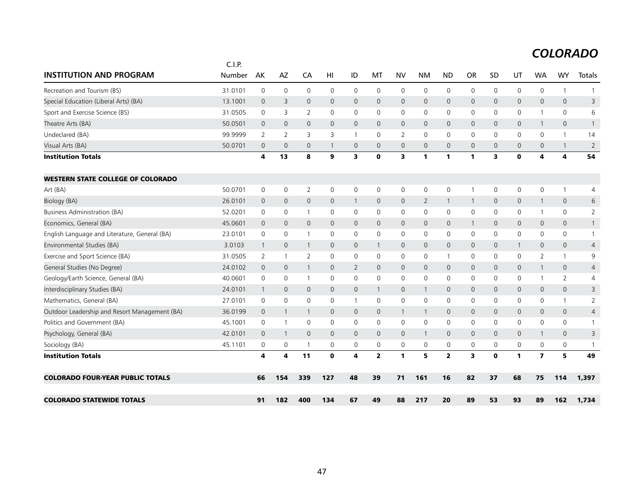|                                               | C.I.P.  |                |                         |                |              |                     |                |                         |              |                         |                     |              |              |                         |                |                |
|-----------------------------------------------|---------|----------------|-------------------------|----------------|--------------|---------------------|----------------|-------------------------|--------------|-------------------------|---------------------|--------------|--------------|-------------------------|----------------|----------------|
| <b>INSTITUTION AND PROGRAM</b>                | Number  | AK             | <b>AZ</b>               | CA             | HI           | ID                  | MT             | <b>NV</b>               | <b>NM</b>    | <b>ND</b>               | <b>OR</b>           | SD           | UT           | <b>WA</b>               | <b>WY</b>      | Totals         |
| Recreation and Tourism (BS)                   | 31.0101 | $\mathbf 0$    | $\mathbf 0$             | $\mathsf{O}$   | $\mathbf 0$  | $\mathbf 0$         | $\mathbf 0$    | $\mathbf 0$             | $\mathbf 0$  | $\mathbf 0$             | 0                   | $\mathbf 0$  | $\mathbf 0$  | $\mathbf 0$             | $\mathbf{1}$   | $\mathbf{1}$   |
| Special Education (Liberal Arts) (BA)         | 13.1001 | $\mathbf 0$    | 3                       | $\mathbf{0}$   | $\mathbf{0}$ | 0                   | 0              | $\mathbf 0$             | $\mathbf 0$  | $\mathbf 0$             | $\mathbf{0}$        | $\mathbf{0}$ | 0            | 0                       | $\mathbf 0$    | 3              |
| Sport and Exercise Science (BS)               | 31.0505 | 0              | 3                       | $\overline{2}$ | 0            | 0                   | $\mathbf{0}$   | $\mathbf 0$             | 0            | 0                       | 0                   | $\mathbf{0}$ | 0            | $\mathbf{1}$            | $\mathbf 0$    | 6              |
| Theatre Arts (BA)                             | 50.0501 | $\mathbf 0$    | $\mathbf{0}$            | $\overline{0}$ | $\mathbf{0}$ | $\mathbf{O}$        | $\mathbf 0$    | $\mathbf{0}$            | $\mathbf{0}$ | $\mathbf{0}$            | $\mathbf{0}$        | $\mathbf{0}$ | $\mathbf{0}$ | $\mathbf{1}$            | $\mathbf{0}$   | $\mathbf{1}$   |
| Undeclared (BA)                               | 99.9999 | $\overline{2}$ | $\overline{2}$          | 3              | 3            | $\mathbf{1}$        | $\Omega$       | 2                       | $\mathbf{0}$ | $\mathbf 0$             | $\mathbf{0}$        | $\mathbf{0}$ | $\mathbf 0$  | $\Omega$                | $\mathbf{1}$   | 14             |
| Visual Arts (BA)                              | 50.0701 | $\overline{0}$ | $\overline{0}$          | $\mathbf{0}$   | $\mathbf{1}$ | $\mathsf{O}\xspace$ | $\mathbf{0}$   | $\mathbf 0$             | $\mathbf{0}$ | $\overline{0}$          | $\mathsf{O}\xspace$ | $\mathbf{0}$ | $\mathbf 0$  | $\mathbf{0}$            | $\mathbf{1}$   | $\overline{2}$ |
| <b>Institution Totals</b>                     |         | 4              | 13                      | 8              | 9            | 3                   | $\mathbf 0$    | $\overline{\mathbf{3}}$ | $\mathbf{1}$ | $\mathbf{1}$            | 1                   | 3            | $\mathbf 0$  | 4                       | 4              | 54             |
| <b>WESTERN STATE COLLEGE OF COLORADO</b>      |         |                |                         |                |              |                     |                |                         |              |                         |                     |              |              |                         |                |                |
| Art (BA)                                      | 50.0701 | 0              | 0                       | 2              | $\mathbf 0$  | 0                   | 0              | 0                       | $\mathbf 0$  | 0                       |                     | 0            | 0            | 0                       | $\mathbf{1}$   | 4              |
| Biology (BA)                                  | 26.0101 | $\mathbf{0}$   | $\mathbf{0}$            | $\mathbf{0}$   | $\mathbf{0}$ | $\mathbf{1}$        | $\mathbf{0}$   | $\mathbf 0$             | 2            | $\mathbf{1}$            | -1                  | $\mathbf{0}$ | $\mathsf{O}$ | $\mathbf{1}$            | $\mathbf 0$    | 6              |
| Business Administration (BA)                  | 52.0201 | 0              | $\mathbf 0$             | $\overline{1}$ | 0            | 0                   | 0              | $\mathbf 0$             | $\mathbf 0$  | $\mathbf 0$             | 0                   | $\mathbf 0$  | 0            | 1                       | $\mathbf 0$    | $\overline{2}$ |
| Economics, General (BA)                       | 45.0601 | $\overline{0}$ | $\mathbf 0$             | $\mathsf{O}$   | $\mathbf{0}$ | $\mathsf{O}$        | $\mathsf{O}$   | $\mathbf 0$             | $\mathbf 0$  | $\mathbf 0$             | $\mathbf{1}$        | $\mathbf{0}$ | $\mathbf 0$  | 0                       | $\mathbf 0$    | $\mathbf{1}$   |
| English Language and Literature, General (BA) | 23.0101 | 0              | 0                       | $\overline{1}$ | 0            | 0                   | 0              | 0                       | 0            | 0                       | 0                   | 0            | 0            | 0                       | $\mathsf{O}$   | $\mathbf{1}$   |
| Environmental Studies (BA)                    | 3.0103  | $\overline{1}$ | $\mathbf 0$             | $\overline{1}$ | 0            | $\mathsf{O}$        | $\mathbf{1}$   | $\mathbf 0$             | $\mathbf 0$  | $\mathbf 0$             | $\mathbf 0$         | $\mathbf{0}$ | $\mathbf{1}$ | $\mathbf{0}$            | $\mathbf 0$    | 4              |
| Exercise and Sport Science (BA)               | 31.0505 | 2              | $\overline{1}$          | $\overline{2}$ | $\mathbf 0$  | $\mathbf 0$         | 0              | $\mathbf 0$             | $\mathbf 0$  | $\mathbf{1}$            | 0                   | $\mathbf{0}$ | 0            | 2                       | $\mathbf{1}$   | 9              |
| General Studies (No Degree)                   | 24.0102 | $\mathbf 0$    | $\mathbf{0}$            | $\mathbf{1}$   | $\mathbf{0}$ | $\overline{2}$      | $\Omega$       | $\mathbf{0}$            | $\mathbf{0}$ | $\Omega$                | $\mathbf{0}$        | $\mathbf{0}$ | $\mathbf{0}$ | $\mathbf{1}$            | $\mathbf 0$    | $\overline{4}$ |
| Geology/Earth Science, General (BA)           | 40.0601 | $\mathbf{0}$   | $\Omega$                | $\overline{1}$ | $\mathbf{0}$ | $\mathbf 0$         | $\mathbf{0}$   | $\mathbf 0$             | $\mathbf{0}$ | $\Omega$                | $\mathbf{0}$        | $\mathbf{0}$ | $\mathbf{0}$ | $\mathbf{1}$            | $\overline{2}$ | 4              |
| Interdisciplinary Studies (BA)                | 24.0101 | $\mathbf{1}$   | $\mathbf 0$             | $\mathbf{0}$   | $\mathbf{0}$ | $\mathsf{O}$        | $\mathbf{1}$   | $\mathbf 0$             | $\mathbf{1}$ | $\mathbf{0}$            | $\mathbf{0}$        | $\mathbf{0}$ | $\mathsf{O}$ | 0                       | $\mathbf 0$    | 3              |
| Mathematics, General (BA)                     | 27.0101 | 0              | 0                       | 0              | 0            | 1                   | 0              | 0                       | 0            | 0                       | 0                   | 0            | 0            | 0                       | $\mathbf{1}$   | 2              |
| Outdoor Leadership and Resort Management (BA) | 36.0199 | $\mathbf 0$    | $\mathbf{1}$            | $\mathbf{1}$   | $\mathbf{0}$ | $\mathsf{O}$        | $\mathbf{0}$   | $\mathbf{1}$            | $\mathbf{1}$ | $\mathbf{0}$            | $\mathsf{O}$        | $\mathbf{0}$ | 0            | $\mathbf{0}$            | $\mathbf 0$    | 4              |
| Politics and Government (BA)                  | 45.1001 | 0              | $\overline{1}$          | 0              | $\mathbf{0}$ | $\mathbf 0$         | $\mathbf{0}$   | $\mathbf 0$             | $\mathbf 0$  | $\mathbf 0$             | 0                   | $\mathbf{0}$ | $\mathbf 0$  | $\mathbf{0}$            | $\mathbf 0$    | $\mathbf{1}$   |
| Psychology, General (BA)                      | 42.0101 | $\mathbf 0$    | $\overline{1}$          | $\mathbf{0}$   | $\mathbf{0}$ | $\mathbf{0}$        | $\mathbf{0}$   | $\mathbf{0}$            | $\mathbf{1}$ | $\mathbf{0}$            | $\mathbf{0}$        | $\mathbf{0}$ | $\mathbf{0}$ | $\mathbf{1}$            | $\mathbf{0}$   | 3              |
| Sociology (BA)                                | 45.1101 | 0              | $\mathbf 0$             | $\overline{1}$ | $\mathbf{0}$ | 0                   | 0              | 0                       | 0            | $\mathbf 0$             | 0                   | $\mathbf{0}$ | 0            | 0                       | $\mathbf 0$    | $\mathbf{1}$   |
| <b>Institution Totals</b>                     |         | 4              | $\overline{\mathbf{4}}$ | 11             | $\mathbf 0$  | 4                   | $\overline{2}$ | $\mathbf{1}$            | 5            | $\overline{\mathbf{2}}$ | 3                   | $\mathbf 0$  | 1            | $\overline{\mathbf{z}}$ | 5              | 49             |
| <b>COLORADO FOUR-YEAR PUBLIC TOTALS</b>       |         | 66             | 154                     | 339            | 127          | 48                  | 39             | 71                      | 161          | 16                      | 82                  | 37           | 68           | 75                      | 114            | 1,397          |
|                                               |         |                |                         |                |              |                     |                |                         |              |                         |                     |              |              |                         |                |                |
| <b>COLORADO STATEWIDE TOTALS</b>              |         | 91             | 182                     | 400            | 134          | 67                  | 49             | 88                      | 217          | 20                      | 89                  | 53           | 93           | 89                      | 162            | 1,734          |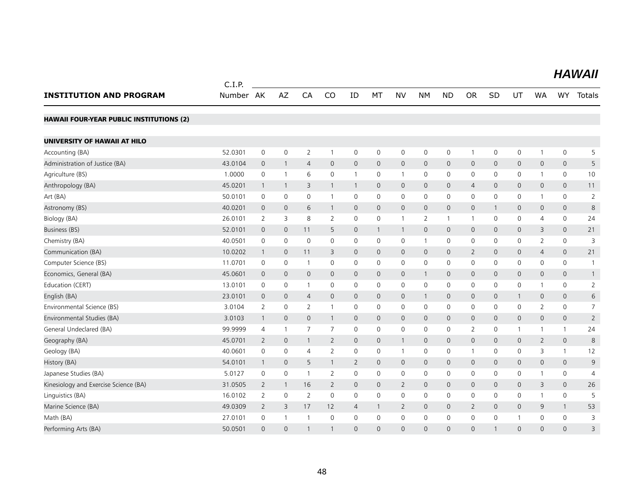|                                                 | C.I.P.    |                          |                |                |                |                |              |                |                |                |                |              |                |                |                     |                |
|-------------------------------------------------|-----------|--------------------------|----------------|----------------|----------------|----------------|--------------|----------------|----------------|----------------|----------------|--------------|----------------|----------------|---------------------|----------------|
| <b>INSTITUTION AND PROGRAM</b>                  | Number AK |                          | AZ             | CA             | CO             | ID             | MT           | <b>NV</b>      | <b>NM</b>      | <b>ND</b>      | <b>OR</b>      | <b>SD</b>    | UT             | <b>WA</b>      | WY                  | Totals         |
| <b>HAWAII FOUR-YEAR PUBLIC INSTITUTIONS (2)</b> |           |                          |                |                |                |                |              |                |                |                |                |              |                |                |                     |                |
| UNIVERSITY OF HAWAII AT HILO                    |           |                          |                |                |                |                |              |                |                |                |                |              |                |                |                     |                |
| Accounting (BA)                                 | 52.0301   | $\mathbf 0$              | $\mathbf 0$    | $\overline{2}$ | $\mathbf{1}$   | 0              | 0            | 0              | $\mathsf{O}$   | $\mathbf 0$    | $\mathbf{1}$   | 0            | 0              | $\mathbf{1}$   | 0                   | 5              |
| Administration of Justice (BA)                  | 43.0104   | $\mathbf 0$              | $\mathbf{1}$   | $\overline{4}$ | $\mathbf{0}$   | $\mathbf 0$    | $\mathbf{0}$ | $\mathsf{O}$   | $\mathbf 0$    | $\mathbf 0$    | $\mathbf 0$    | $\mathbf{0}$ | $\overline{0}$ | 0              | $\mathsf{O}\xspace$ | 5              |
| Agriculture (BS)                                | 1.0000    | $\mathbf 0$              | $\mathbf{1}$   | 6              | $\mathbf 0$    | $\mathbf{1}$   | $\mathbf 0$  | $\mathbf{1}$   | $\mathsf{O}$   | $\mathbf 0$    | 0              | 0            | 0              | 1              | 0                   | 10             |
| Anthropology (BA)                               | 45.0201   | $\overline{1}$           | $\overline{1}$ | 3              | $\mathbf{1}$   | 1              | $\mathbf 0$  | $\mathsf{O}$   | $\mathbf 0$    | $\mathbf 0$    | 4              | $\mathbf 0$  | $\mathsf{O}$   | 0              | $\mathbf{0}$        | 11             |
| Art (BA)                                        | 50.0101   | $\mathbf 0$              | $\mathbf 0$    | 0              | $\mathbf{1}$   | 0              | $\mathbf 0$  | 0              | $\mathsf{O}$   | $\mathbf 0$    | $\mathbf 0$    | $\mathbf 0$  | $\mathsf{O}$   | 1              | 0                   | $\overline{2}$ |
| Astronomy (BS)                                  | 40.0201   | $\mathbf{0}$             | $\mathbf{0}$   | 6              | $\mathbf{1}$   | $\mathbf 0$    | $\mathbf{0}$ | $\overline{0}$ | $\mathbf{0}$   | $\mathbf{0}$   | $\mathbf{0}$   | 1            | $\mathbf{0}$   | 0              | $\mathbf{0}$        | 8              |
| Biology (BA)                                    | 26.0101   | $\overline{2}$           | 3              | 8              | $\overline{2}$ | $\mathbf 0$    | $\mathbf 0$  | $\mathbf{1}$   | $\overline{2}$ | $\mathbf{1}$   | $\mathbf{1}$   | $\mathbf 0$  | $\mathbf 0$    | $\overline{4}$ | 0                   | 24             |
| Business (BS)                                   | 52.0101   | $\mathbf 0$              | $\mathbf{0}$   | 11             | 5              | $\mathbf 0$    | $\mathbf{1}$ | $\mathbf{1}$   | $\mathbf 0$    | $\mathbf 0$    | $\mathbf{0}$   | $\mathbf{0}$ | $\mathsf{O}$   | 3              | $\mathbf{0}$        | 21             |
| Chemistry (BA)                                  | 40.0501   | 0                        | 0              | 0              | $\mathbf 0$    | 0              | 0            | 0              | $\mathbf{1}$   | 0              | 0              | 0            | 0              | 2              | 0                   | 3              |
| Communication (BA)                              | 10.0202   | $\overline{1}$           | $\mathbf 0$    | 11             | 3              | $\mathbf 0$    | $\mathbf{0}$ | $\mathsf{O}$   | $\mathbf 0$    | $\mathbf 0$    | $\overline{2}$ | $\mathbf{0}$ | $\mathbf 0$    | $\overline{4}$ | 0                   | 21             |
| Computer Science (BS)                           | 11.0701   | $\mathbf 0$              | $\mathbf 0$    | $\overline{1}$ | 0              | 0              | 0            | 0              | $\mathsf{O}$   | $\mathbf 0$    | $\mathbf 0$    | 0            | 0              | 0              | 0                   | $\mathbf{1}$   |
| Economics, General (BA)                         | 45.0601   | $\mathbf{0}$             | $\mathbf{0}$   | $\mathbf{0}$   | $\mathbf 0$    | $\mathbf{0}$   | $\mathbf{0}$ | $\mathsf{O}$   | $\mathbf{1}$   | $\mathbf{0}$   | $\mathbf 0$    | $\mathbf{0}$ | $\mathsf{O}$   | $\mathbf{0}$   | $\mathsf{O}\xspace$ | $\mathbf{1}$   |
| Education (CERT)                                | 13.0101   | 0                        | $\mathbf 0$    | $\overline{1}$ | $\mathbf{0}$   | $\mathbf 0$    | $\mathbf 0$  | $\mathbf 0$    | $\mathbf 0$    | $\mathbf 0$    | $\mathbf 0$    | 0            | $\mathbf 0$    | 1              | 0                   | $\overline{2}$ |
| English (BA)                                    | 23.0101   | $\mathbf{0}$             | $\mathbf{0}$   | $\overline{4}$ | $\mathbf 0$    | $\mathbf{0}$   | $\mathbf{0}$ | $\overline{0}$ | $\mathbf{1}$   | $\overline{0}$ | $\mathbf{0}$   | $\mathbf{0}$ | $\mathbf{1}$   | $\mathbf{0}$   | $\mathbf{0}$        | 6              |
| Environmental Science (BS)                      | 3.0104    | 2                        | 0              | 2              | $\mathbf{1}$   | 0              | 0            | 0              | 0              | 0              | 0              | 0            | 0              | 2              | 0                   | $\overline{7}$ |
| Environmental Studies (BA)                      | 3.0103    | $\overline{1}$           | $\mathbf{0}$   | $\mathbf{0}$   | $\mathbf{1}$   | $\mathbf{0}$   | $\mathbf{0}$ | $\overline{0}$ | $\mathbf{0}$   | $\mathbf{0}$   | $\mathbf{0}$   | $\mathbf{0}$ | $\overline{0}$ | $\mathbf{0}$   | $\overline{0}$      | $\overline{2}$ |
| General Undeclared (BA)                         | 99.9999   | $\overline{4}$           | $\overline{1}$ | $\overline{7}$ | $\overline{7}$ | $\mathbf 0$    | $\mathbf{0}$ | $\mathbf 0$    | $\mathbf 0$    | $\mathbf 0$    | $\overline{2}$ | 0            | $\mathbf{1}$   | 1              | $\mathbf{1}$        | 24             |
| Geography (BA)                                  | 45.0701   | 2                        | $\mathbf{0}$   | $\mathbf{1}$   | $\overline{2}$ | $\mathbf 0$    | $\mathbf{0}$ | $\mathbf{1}$   | $\mathbf{0}$   | $\mathbf{0}$   | $\mathbf{0}$   | $\mathbf{0}$ | $\mathbf{0}$   | 2              | $\mathbf{0}$        | 8              |
| Geology (BA)                                    | 40.0601   | 0                        | 0              | 4              | 2              | 0              | 0            | $\mathbf{1}$   | $\mathbf 0$    | 0              | $\mathbf 1$    | 0            | 0              | 3              | $\mathbf{1}$        | 12             |
| History (BA)                                    | 54.0101   | $\overline{\phantom{a}}$ | $\mathbf 0$    | 5              | $\mathbf{1}$   | $\overline{2}$ | $\mathbf 0$  | $\mathsf{O}$   | $\mathbf 0$    | $\mathbf 0$    | $\mathbf 0$    | $\mathbf 0$  | $\mathsf{O}$   | $\mathsf{O}$   | $\mathsf{O}\xspace$ | 9              |
| Japanese Studies (BA)                           | 5.0127    | 0                        | 0              | $\overline{1}$ | 2              | 0              | 0            | 0              | 0              | 0              | $\mathbf 0$    | 0            | 0              | 1              | 0                   | $\overline{4}$ |
| Kinesiology and Exercise Science (BA)           | 31.0505   | $\overline{2}$           | $\mathbf{1}$   | 16             | $\overline{2}$ | $\mathbf 0$    | $\mathbf 0$  | $\overline{2}$ | $\mathbf 0$    | $\mathbf 0$    | $\mathbf 0$    | $\mathbf 0$  | $\mathsf{O}$   | 3              | $\mathsf{O}$        | 26             |
| Linguistics (BA)                                | 16.0102   | 2                        | $\mathbf 0$    | 2              | $\mathbf 0$    | 0              | 0            | $\mathbf 0$    | $\mathbf 0$    | $\mathbf 0$    | $\mathbf 0$    | 0            | 0              | 1              | 0                   | 5              |
| Marine Science (BA)                             | 49.0309   | $\overline{2}$           | 3              | 17             | 12             | $\overline{4}$ | $\mathbf{1}$ | $\overline{2}$ | $\mathbf 0$    | $\mathbf 0$    | $\overline{2}$ | $\mathbf{0}$ | $\mathsf{O}$   | 9              | $\mathbf{1}$        | 53             |
| Math (BA)                                       | 27.0101   | $\mathbf 0$              | 1              | $\overline{1}$ | $\mathbf 0$    | $\mathbf 0$    | $\Omega$     | $\mathbf 0$    | $\mathbf 0$    | $\mathbf 0$    | $\mathbf 0$    | $\Omega$     | $\mathbf{1}$   | 0              | 0                   | 3              |
| Performing Arts (BA)                            | 50.0501   | $\mathbf{0}$             | $\mathbf{0}$   | $\mathbf{1}$   | 1              | $\mathbf 0$    | $\Omega$     | $\Omega$       | $\Omega$       | $\mathbf{O}$   | $\Omega$       | $\mathbf{1}$ | $\mathsf{O}$   | $\Omega$       | $\Omega$            | 3              |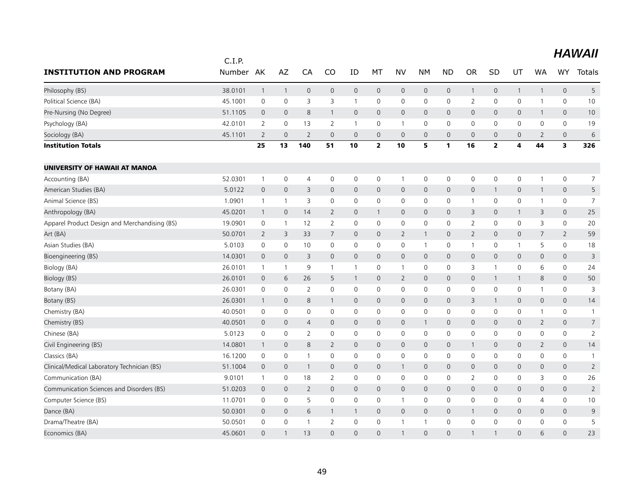|                                               | C.I.P.  |                |                     |                |                |              |                     |                     |                     |              |                          |                |              |                |                         |                |
|-----------------------------------------------|---------|----------------|---------------------|----------------|----------------|--------------|---------------------|---------------------|---------------------|--------------|--------------------------|----------------|--------------|----------------|-------------------------|----------------|
| <b>INSTITUTION AND PROGRAM</b>                | Number  | AK             | AZ                  | CA             | CO             | ID           | MT                  | <b>NV</b>           | NΜ                  | <b>ND</b>    | <b>OR</b>                | SD             | UT           | <b>WA</b>      | <b>WY</b>               | <b>Totals</b>  |
| Philosophy (BS)                               | 38.0101 | $\mathbf{1}$   | $\mathbf{1}$        | $\mathbf 0$    | $\mathsf{O}$   | 0            | $\mathsf{O}\xspace$ | $\mathsf{O}$        | $\mathsf{O}$        | $\mathbf 0$  | $\mathbf{1}$             | $\mathbf 0$    | $\mathbf{1}$ | $\mathbf{1}$   | $\mathsf{O}\xspace$     | 5              |
| Political Science (BA)                        | 45.1001 | $\mathbf 0$    | 0                   | 3              | 3              | $\mathbf{1}$ | $\mathbf 0$         | 0                   | 0                   | 0            | $\overline{2}$           | 0              | $\mathbf 0$  | 1              | 0                       | 10             |
| Pre-Nursing (No Degree)                       | 51.1105 | $\mathbf{0}$   | $\mathbf 0$         | 8              | $\mathbf{1}$   | 0            | $\mathbf{0}$        | $\mathsf{O}$        | $\mathbf 0$         | $\mathbf 0$  | $\mathbf 0$              | 0              | $\mathsf{O}$ | $\mathbf{1}$   | 0                       | 10             |
| Psychology (BA)                               | 42.0101 | $\overline{2}$ | $\mathbf 0$         | 13             | $\overline{2}$ | 1            | 0                   | 1                   | 0                   | $\mathbf 0$  | 0                        | 0              | 0            | 0              | 0                       | 19             |
| Sociology (BA)                                | 45.1101 | $\overline{2}$ | $\mathbf 0$         | $\overline{2}$ | $\mathbf{0}$   | 0            | $\mathbf{0}$        | $\mathbf 0$         | $\mathbf 0$         | $\mathbf 0$  | $\mathbf 0$              | 0              | $\mathbf 0$  | $\overline{2}$ | $\mathsf{O}\xspace$     | $6\,$          |
| <b>Institution Totals</b>                     |         | 25             | 13                  | 140            | 51             | 10           | $\overline{2}$      | 10                  | 5                   | $\mathbf{1}$ | 16                       | $\overline{2}$ | 4            | 44             | $\overline{\mathbf{3}}$ | 326            |
| UNIVERSITY OF HAWAII AT MANOA                 |         |                |                     |                |                |              |                     |                     |                     |              |                          |                |              |                |                         |                |
| Accounting (BA)                               | 52.0301 | $\mathbf{1}$   | $\mathsf{O}\xspace$ | $\overline{4}$ | 0              | 0            | $\mathbf 0$         | $\mathbf{1}$        | 0                   | $\mathbf 0$  | $\mathbf 0$              | 0              | $\mathsf{O}$ | 1              | 0                       | $\overline{7}$ |
| American Studies (BA)                         | 5.0122  | $\mathbf 0$    | $\mathbf 0$         | 3              | 0              | 0            | $\mathbf 0$         | $\mathsf{O}$        | $\mathsf{O}$        | $\mathbf 0$  | $\mathbf 0$              | $\mathbf{1}$   | $\mathbf 0$  | $\mathbf{1}$   | $\mathsf{O}\xspace$     | 5              |
| Animal Science (BS)                           | 1.0901  | $\mathbf{1}$   | $\mathbf{1}$        | 3              | 0              | 0            | 0                   | 0                   | 0                   | $\mathbf 0$  | -1                       | 0              | $\mathsf{O}$ | 1              | 0                       | $\overline{7}$ |
| Anthropology (BA)                             | 45.0201 | $\mathbf{1}$   | $\mathbf 0$         | 14             | $\overline{2}$ | 0            | 1                   | $\mathsf{O}$        | $\mathsf{O}$        | $\mathbf 0$  | 3                        | 0              | $\mathbf{1}$ | 3              | 0                       | 25             |
| Apparel Product Design and Merchandising (BS) | 19.0901 | $\mathbf 0$    | $\mathbf{1}$        | 12             | $\overline{2}$ | 0            | $\mathbf 0$         | 0                   | $\mathbf 0$         | $\mathbf 0$  | $\overline{2}$           | 0              | $\mathbf 0$  | 3              | 0                       | 20             |
| Art (BA)                                      | 50.0701 | 2              | 3                   | 33             | $\overline{7}$ | 0            | $\mathbf 0$         | $\overline{2}$      | $\mathbf{1}$        | $\mathbf 0$  | $\overline{2}$           | 0              | $\mathsf{O}$ | 7              | $\overline{2}$          | 59             |
| Asian Studies (BA)                            | 5.0103  | $\mathbf 0$    | $\mathsf{O}\xspace$ | 10             | $\mathbf 0$    | 0            | 0                   | 0                   | $\mathbf{1}$        | $\mathbf 0$  | $\overline{\phantom{a}}$ | 0              | $\mathbf{1}$ | 5              | 0                       | 18             |
| Bioengineering (BS)                           | 14.0301 | $\overline{0}$ | $\mathbf 0$         | 3              | $\mathbf{0}$   | $\mathsf{O}$ | 0                   | $\mathbf{0}$        | $\mathbf{0}$        | $\mathbf 0$  | $\mathbf 0$              | 0              | $\mathbf{0}$ | 0              | $\mathbf{0}$            | 3              |
| Biology (BA)                                  | 26.0101 | $\mathbf{1}$   | $\mathbf{1}$        | 9              | 1              | $\mathbf{1}$ | 0                   | $\mathbf{1}$        | 0                   | $\mathbf 0$  | 3                        | $\overline{1}$ | $\mathsf{O}$ | 6              | 0                       | 24             |
| Biology (BS)                                  | 26.0101 | $\overline{0}$ | 6                   | 26             | 5              | $\mathbf{1}$ | 0                   | $\overline{2}$      | $\mathbf 0$         | $\mathbf 0$  | $\mathbf 0$              | 1              | $\mathbf{1}$ | 8              | 0                       | 50             |
| Botany (BA)                                   | 26.0301 | 0              | 0                   | $\overline{2}$ | $\mathbf 0$    | 0            | 0                   | 0                   | 0                   | 0            | 0                        | 0              | $\mathsf{O}$ | 1              | 0                       | 3              |
| Botany (BS)                                   | 26.0301 | $\mathbf{1}$   | $\mathbf 0$         | 8              | $\mathbf{1}$   | 0            | $\mathbf{0}$        | $\mathsf{O}$        | $\mathbf 0$         | $\mathbf 0$  | 3                        | $\mathbf{1}$   | $\mathsf{O}$ | 0              | $\mathsf{O}\xspace$     | 14             |
| Chemistry (BA)                                | 40.0501 | 0              | 0                   | 0              | 0              | 0            | 0                   | 0                   | $\mathsf{O}\xspace$ | $\mathbf 0$  | 0                        | 0              | 0            | 1              | 0                       |                |
| Chemistry (BS)                                | 40.0501 | $\overline{0}$ | $\mathbf 0$         | 4              | 0              | 0            | $\mathbf 0$         | $\mathsf{O}$        | $\mathbf{1}$        | $\mathsf{O}$ | $\mathbf 0$              | $\mathbf 0$    | $\mathsf{O}$ | $\overline{2}$ | $\mathsf{O}\xspace$     | $\overline{7}$ |
| Chinese (BA)                                  | 5.0123  | $\mathbf 0$    | 0                   | $\overline{2}$ | 0              | 0            | $\mathbf 0$         | 0                   | 0                   | $\mathbf 0$  | 0                        | 0              | $\mathbf 0$  | 0              | 0                       | $\overline{2}$ |
| Civil Engineering (BS)                        | 14.0801 | $\mathbf{1}$   | $\mathbf 0$         | 8              | $\overline{2}$ | 0            | $\mathbf 0$         | $\mathsf{O}$        | $\mathsf{O}\xspace$ | $\mathbf 0$  | $\mathbf{1}$             | $\mathbf 0$    | $\mathbf 0$  | $\overline{2}$ | $\mathsf{O}\xspace$     | 14             |
| Classics (BA)                                 | 16.1200 | $\mathbf 0$    | $\mathsf{O}\xspace$ | $\overline{1}$ | $\mathbf 0$    | 0            | $\mathbf 0$         | 0                   | $\mathbf 0$         | $\mathbf 0$  | $\mathbf 0$              | 0              | $\mathsf{O}$ | 0              | 0                       | -1             |
| Clinical/Medical Laboratory Technician (BS)   | 51.1004 | $\overline{0}$ | $\mathbf 0$         | $\overline{1}$ | 0              | 0            | $\mathbf{0}$        | $\mathbf{1}$        | $\mathsf{O}$        | $\mathbf 0$  | $\mathbf 0$              | 0              | $\mathsf{O}$ | 0              | 0                       | $\overline{2}$ |
| Communication (BA)                            | 9.0101  | $\mathbf{1}$   | 0                   | 18             | 2              | 0            | $\mathbf 0$         | 0                   | $\mathbf 0$         | $\mathbf 0$  | $\overline{2}$           | 0              | $\mathbf 0$  | 3              | 0                       | 26             |
| Communication Sciences and Disorders (BS)     | 51.0203 | $\overline{0}$ | $\mathbf 0$         | 2              | $\mathbf{0}$   | 0            | $\mathbf{0}$        | $\mathsf{O}\xspace$ | $\mathbf 0$         | $\mathbf 0$  | $\mathbf 0$              | 0              | $\mathsf{O}$ | $\mathbf{0}$   | 0                       | $\overline{2}$ |
| Computer Science (BS)                         | 11.0701 | $\mathbf 0$    | $\mathbf 0$         | 5              | $\mathbf 0$    | 0            | $\mathbf 0$         | $\mathbf{1}$        | $\mathbf 0$         | $\mathbf 0$  | $\mathbf 0$              | 0              | $\mathbf 0$  | $\overline{4}$ | 0                       | 10             |
| Dance (BA)                                    | 50.0301 | $\mathbf 0$    | 0                   | 6              | $\mathbf{1}$   | $\mathbf{1}$ | $\mathbf 0$         | $\mathbf{0}$        | $\mathbf{0}$        | $\mathbf 0$  | 1                        | 0              | $\mathbf{0}$ | $\mathbf{0}$   | 0                       | 9              |
| Drama/Theatre (BA)                            | 50.0501 | $\mathbf 0$    | $\mathsf{O}\xspace$ | $\overline{1}$ | $\overline{2}$ | 0            | 0                   | $\mathbf{1}$        | $\mathbf{1}$        | $\mathsf{O}$ | $\mathbf 0$              | 0              | 0            | 0              | 0                       | 5              |
| Economics (BA)                                | 45.0601 | $\Omega$       | $\overline{1}$      | 13             | $\Omega$       | $\Omega$     | $\overline{0}$      | $\mathbf{1}$        | $\Omega$            | $\Omega$     | -1                       | 1              | $\Omega$     | 6              | $\Omega$                | 23             |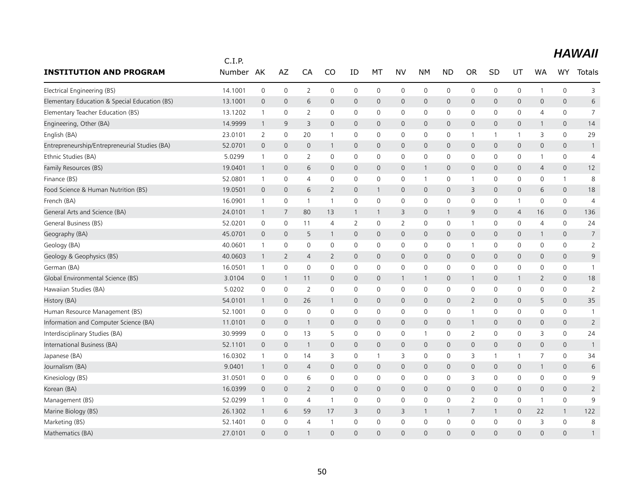|                                               | C.I.P.    |                |              |                |                |                |              |                |              |                     |                     |              |                |              |                     |                |
|-----------------------------------------------|-----------|----------------|--------------|----------------|----------------|----------------|--------------|----------------|--------------|---------------------|---------------------|--------------|----------------|--------------|---------------------|----------------|
| <b>INSTITUTION AND PROGRAM</b>                | Number AK |                | AZ           | CA             | CO             | ID             | MT           | <b>NV</b>      | <b>NM</b>    | <b>ND</b>           | <b>OR</b>           | SD           | UT             | WA           | <b>WY</b>           | Totals         |
| Electrical Engineering (BS)                   | 14.1001   | $\mathbf 0$    | $\mathbf 0$  | 2              | $\mathbf 0$    | $\mathbf 0$    | $\mathbf 0$  | 0              | $\mathsf{O}$ | $\mathbf 0$         | 0                   | $\mathbf 0$  | 0              | $\mathbf{1}$ | $\mathbf 0$         | 3              |
| Elementary Education & Special Education (BS) | 13.1001   | $\mathbf 0$    | $\mathbf{0}$ | 6              | $\mathbf{0}$   | $\mathbf{0}$   | $\mathbf{0}$ | $\mathbf{0}$   | $\mathbf{0}$ | $\mathbf 0$         | $\mathbf{0}$        | $\mathbf 0$  | 0              | 0            | $\mathbf{0}$        | 6              |
| Elementary Teacher Education (BS)             | 13.1202   | $\mathbf{1}$   | 0            | 2              | 0              | 0              | 0            | 0              | $\mathsf{O}$ | $\mathbf 0$         | 0                   | 0            | 0              | 4            | $\mathsf{O}\xspace$ | $\overline{7}$ |
| Engineering, Other (BA)                       | 14.9999   | $\overline{1}$ | 9            | 3              | $\mathbf{0}$   | $\mathbf 0$    | $\mathbf{0}$ | $\mathsf{O}$   | $\mathbf 0$  | $\mathsf{O}\xspace$ | 0                   | $\mathbf{0}$ | 0              | 1            | $\mathbf{0}$        | 14             |
| English (BA)                                  | 23.0101   | 2              | 0            | 20             | $\mathbf{1}$   | 0              | 0            | 0              | $\mathbf 0$  | $\mathbf 0$         | $\mathbf{1}$        | 1            | 1              | 3            | 0                   | 29             |
| Entrepreneurship/Entrepreneurial Studies (BA) | 52.0701   | $\overline{0}$ | $\mathbf 0$  | $\mathbf{0}$   | $\mathbf{1}$   | $\mathbf{0}$   | $\mathbf{0}$ | $\mathsf{O}$   | $\mathbf{0}$ | $\mathbf 0$         | $\mathbf 0$         | $\mathbf{0}$ | 0              | 0            | $\mathbf{0}$        | $\mathbf{1}$   |
| Ethnic Studies (BA)                           | 5.0299    | $\mathbf{1}$   | 0            | 2              | $\mathbf 0$    | $\mathbf 0$    | 0            | $\mathbf 0$    | $\mathbf 0$  | $\mathbf 0$         | 0                   | 0            | 0              | 1            | $\mathbf 0$         | $\overline{4}$ |
| Family Resources (BS)                         | 19.0401   | $\overline{1}$ | $\mathbf 0$  | 6              | $\mathbf 0$    | $\mathbf{0}$   | $\mathbf{0}$ | $\mathbf{0}$   | $\mathbf{1}$ | $\mathbf 0$         | $\mathbf 0$         | $\mathbf{0}$ | 0              | 4            | $\mathbf{0}$        | 12             |
| Finance (BS)                                  | 52.0801   | $\mathbf{1}$   | 0            | 4              | 0              | $\mathbf 0$    | $\mathbf 0$  | 0              | $\mathbf{1}$ | $\mathbf 0$         | $\mathbf 1$         | 0            | 0              | 0            | $\mathbf{1}$        | 8              |
| Food Science & Human Nutrition (BS)           | 19.0501   | $\mathbf 0$    | $\mathbf 0$  | 6              | $\overline{2}$ | $\mathbf 0$    | 1            | $\mathbf{0}$   | $\mathbf 0$  | $\mathbf 0$         | 3                   | $\mathbf{0}$ | 0              | 6            | $\mathbf 0$         | 18             |
| French (BA)                                   | 16.0901   | $\mathbf{1}$   | $\mathbf 0$  | $\overline{1}$ | $\mathbf{1}$   | 0              | $\mathbf 0$  | 0              | $\mathsf{O}$ | $\mathbf 0$         | 0                   | 0            | 1              | 0            | $\mathsf{O}\xspace$ | $\overline{4}$ |
| General Arts and Science (BA)                 | 24.0101   | $\mathbf{1}$   | 7            | 80             | 13             | $\mathbf{1}$   | $\mathbf{1}$ | 3              | $\mathbf 0$  | $\mathbf{1}$        | 9                   | $\mathbf{0}$ | $\overline{4}$ | 16           | $\mathbf{0}$        | 136            |
| General Business (BS)                         | 52.0201   | 0              | 0            | 11             | $\overline{4}$ | 2              | 0            | 2              | $\mathbf 0$  | 0                   | $\mathbf 1$         | 0            | 0              | 4            | 0                   | 24             |
| Geography (BA)                                | 45.0701   | $\overline{0}$ | $\mathbf 0$  | 5              | 1              | $\mathbf 0$    | $\mathbf 0$  | $\mathsf{O}$   | $\mathbf 0$  | $\mathbf 0$         | $\mathbf 0$         | $\mathbf 0$  | 0              | $\mathbf{1}$ | $\mathbf 0$         | $\overline{7}$ |
| Geology (BA)                                  | 40.0601   | $\overline{1}$ | $\mathbf 0$  | 0              | $\mathbf 0$    | $\mathbf 0$    | $\mathbf 0$  | $\mathbf 0$    | $\mathbf 0$  | $\mathbf 0$         | $\mathbf 1$         | 0            | 0              | 0            | $\mathbf 0$         | $\overline{2}$ |
| Geology & Geophysics (BS)                     | 40.0603   | $\overline{1}$ | 2            | $\overline{4}$ | 2              | $\mathbf 0$    | $\mathbf{0}$ | $\mathbf{0}$   | $\mathbf 0$  | $\mathbf 0$         | $\mathbf{0}$        | $\mathbf 0$  | 0              | 0            | $\mathbf{0}$        | 9              |
| German (BA)                                   | 16.0501   | $\mathbf{1}$   | $\mathbf 0$  | $\mathbf 0$    | $\mathbf 0$    | 0              | $\mathbf 0$  | 0              | $\mathbf 0$  | $\mathbf 0$         | $\mathbf 0$         | $\mathbf 0$  | 0              | 0            | $\mathbf 0$         | $\mathbf{1}$   |
| Global Environmental Science (BS)             | 3.0104    | $\mathbf{0}$   | $\mathbf{1}$ | 11             | $\mathbf 0$    | $\mathbf{0}$   | $\mathbf{0}$ | $\mathbf{1}$   | $\mathbf{1}$ | $\mathbf 0$         | $\mathbf{1}$        | $\mathbf 0$  | $\mathbf{1}$   | 2            | $\mathbf{0}$        | 18             |
| Hawaiian Studies (BA)                         | 5.0202    | $\mathbf 0$    | $\mathbf 0$  | $\overline{2}$ | $\mathbf 0$    | $\mathbf 0$    | $\mathbf 0$  | $\mathbf 0$    | $\mathbf 0$  | $\mathbf 0$         | $\mathbf 0$         | 0            | 0              | 0            | $\mathbf 0$         | $\overline{2}$ |
| History (BA)                                  | 54.0101   | $\mathbf{1}$   | $\mathbf 0$  | 26             | $\mathbf{1}$   | $\mathbf{0}$   | $\mathbf{0}$ | $\mathsf{O}$   | $\mathbf 0$  | $\mathbf 0$         | $\overline{2}$      | $\mathbf{0}$ | 0              | 5            | $\mathbf{0}$        | 35             |
| Human Resource Management (BS)                | 52.1001   | 0              | 0            | 0              | 0              | 0              | 0            | 0              | $\mathbf 0$  | $\mathbf 0$         | -1                  | 0            | 0              | 0            | 0                   | $\overline{1}$ |
| Information and Computer Science (BA)         | 11.0101   | $\theta$       | $\mathbf 0$  | $\mathbf{1}$   | $\mathsf{O}$   | $\mathbf 0$    | $\mathbf 0$  | $\mathbf 0$    | $\mathbf 0$  | $\mathbf 0$         | $\mathbf{1}$        | 0            | 0              | 0            | $\mathbf 0$         | $\overline{2}$ |
| Interdisciplinary Studies (BA)                | 30.9999   | $\mathbf 0$    | $\mathbf 0$  | 13             | 5              | $\mathbf 0$    | 0            | 0              | $\mathbf{1}$ | $\mathbf 0$         | $\overline{2}$      | $\mathbf 0$  | 0              | 3            | $\mathbf 0$         | 24             |
| International Business (BA)                   | 52.1101   | $\mathbf 0$    | $\mathbf{0}$ | $\overline{1}$ | $\mathbf{0}$   | $\mathbf{0}$   | $\mathbf{0}$ | $\mathbf{0}$   | $\mathbf{0}$ | $\mathbf 0$         | $\mathbf 0$         | $\mathbf{0}$ | 0              | 0            | $\mathbf{0}$        | $\overline{1}$ |
| Japanese (BA)                                 | 16.0302   | $\mathbf{1}$   | 0            | 14             | 3              | 0              | $\mathbf{1}$ | 3              | $\mathsf{O}$ | 0                   | 3                   | $\mathbf{1}$ | $\mathbf{1}$   | 7            | $\mathsf{O}\xspace$ | 34             |
| Journalism (BA)                               | 9.0401    | $\overline{1}$ | $\mathbf 0$  | $\overline{4}$ | $\mathbf{0}$   | $\overline{0}$ | $\mathbf{0}$ | $\overline{0}$ | $\mathbf{0}$ | $\mathbf{0}$        | $\mathsf{O}\xspace$ | $\mathbf{0}$ | $\mathbf 0$    | $\mathbf{1}$ | $\mathbf{0}$        | 6              |
| Kinesiology (BS)                              | 31.0501   | 0              | 0            | 6              | $\mathbf{0}$   | 0              | 0            | 0              | $\mathbf 0$  | $\mathbf 0$         | 3                   | $\mathbf{0}$ | 0              | 0            | $\mathsf{O}$        | 9              |
| Korean (BA)                                   | 16.0399   | $\overline{0}$ | $\mathbf 0$  | $\overline{2}$ | $\mathbf{0}$   | $\mathbf 0$    | $\mathbf 0$  | $\mathsf{O}$   | $\mathbf 0$  | $\mathbf 0$         | $\mathbf 0$         | $\mathbf{0}$ | 0              | 0            | $\mathbf 0$         | $\overline{2}$ |
| Management (BS)                               | 52.0299   | $\mathbf{1}$   | 0            | $\overline{4}$ | $\mathbf{1}$   | 0              | $\mathbf{0}$ | 0              | $\mathbf 0$  | 0                   | 2                   | 0            | 0              | $\mathbf{1}$ | 0                   | 9              |
| Marine Biology (BS)                           | 26.1302   | $\overline{1}$ | 6            | 59             | 17             | 3              | $\mathbf 0$  | 3              | $\mathbf{1}$ | $\mathbf{1}$        | 7                   | 1            | 0              | 22           | $\mathbf{1}$        | 122            |
| Marketing (BS)                                | 52.1401   | $\mathbf 0$    | $\mathbf 0$  | 4              |                | $\mathbf 0$    | $\mathbf{0}$ | $\mathbf 0$    | $\mathbf 0$  | $\mathbf 0$         | 0                   | $\mathbf 0$  | 0              | 3            | $\mathbf 0$         | $\,8\,$        |
| Mathematics (BA)                              | 27.0101   | $\Omega$       | $\Omega$     | 1              | $\Omega$       | $\Omega$       | $\Omega$     | $\Omega$       | $\Omega$     | $\Omega$            | $\Omega$            | $\Omega$     | $\Omega$       | $\Omega$     | $\Omega$            | $\mathbf{1}$   |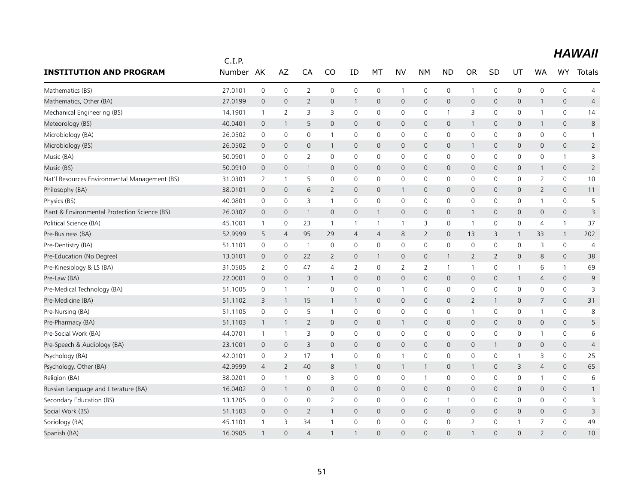|                                               | C.I.P.  |                |                |                |                |                     |                |                |                |                |                |                |              |                     |                     |                |
|-----------------------------------------------|---------|----------------|----------------|----------------|----------------|---------------------|----------------|----------------|----------------|----------------|----------------|----------------|--------------|---------------------|---------------------|----------------|
| <b>INSTITUTION AND PROGRAM</b>                | Number  | AK             | AZ             | CA             | CO             | ID                  | МT             | <b>NV</b>      | NΜ             | <b>ND</b>      | <b>OR</b>      | SD             | UT           | <b>WA</b>           | <b>WY</b>           | Totals         |
| Mathematics (BS)                              | 27.0101 | $\mathbf 0$    | $\mathbf 0$    | $\overline{2}$ | 0              | $\mathbf 0$         | $\mathbf 0$    | $\mathbf{1}$   | $\mathbf 0$    | $\mathsf{O}$   | $\mathbf{1}$   | 0              | $\mathbf 0$  | $\mathbf 0$         | 0                   | $\overline{4}$ |
| Mathematics, Other (BA)                       | 27.0199 | $\mathbf{0}$   | $\mathbf{0}$   | $\overline{2}$ | $\mathbf 0$    | 1                   | $\mathbf{0}$   | $\mathbf{0}$   | $\mathbf{0}$   | $\mathbf 0$    | $\mathbf 0$    | $\mathbf{0}$   | $\mathsf{O}$ | $\mathbf{1}$        | $\mathbf{0}$        | $\overline{4}$ |
| Mechanical Engineering (BS)                   | 14.1901 | $\mathbf{1}$   | 2              | 3              | 3              | 0                   | 0              | 0              | 0              | $\mathbf{1}$   | 3              | 0              | 0            | 1                   | 0                   | 14             |
| Meteorology (BS)                              | 40.0401 | $\mathbf 0$    | $\mathbf{1}$   | 5              | $\mathbf{0}$   | $\mathbf 0$         | $\mathbf 0$    | $\mathsf{O}$   | $\mathbf 0$    | $\mathbf 0$    | $\mathbf{1}$   | $\overline{0}$ | $\mathsf{O}$ | $\mathbf{1}$        | $\mathsf{O}\xspace$ | 8              |
| Microbiology (BA)                             | 26.0502 | $\mathbf 0$    | $\mathbf 0$    | 0              | 1              | 0                   | 0              | 0              | $\mathbf 0$    | $\mathbf 0$    | $\mathbf 0$    | $\mathbf{0}$   | 0            | 0                   | 0                   | $\mathbf{1}$   |
| Microbiology (BS)                             | 26.0502 | $\mathbf 0$    | $\mathbf{0}$   | 0              | $\mathbf{1}$   | $\mathbf 0$         | $\mathbf{0}$   | $\mathsf{O}$   | $\mathbf 0$    | $\mathbf 0$    | $\mathbf{1}$   | $\mathbf{0}$   | $\mathsf{O}$ | 0                   | 0                   | $\overline{2}$ |
| Music (BA)                                    | 50.0901 | $\mathbf 0$    | $\mathbf 0$    | $\overline{2}$ | $\mathbf 0$    | $\mathbf 0$         | $\mathbf 0$    | $\mathbf 0$    | $\mathbf 0$    | $\mathbf 0$    | $\mathbf 0$    | 0              | $\mathbf 0$  | 0                   | $\mathbf{1}$        | 3              |
| Music (BS)                                    | 50.0910 | $\mathbf{0}$   | $\mathbf{0}$   | $\mathbf{1}$   | $\mathbf{0}$   | $\mathbf 0$         | $\mathbf{0}$   | $\mathsf{O}$   | $\mathbf{0}$   | $\mathbf 0$    | $\mathbf{0}$   | $\mathbf{0}$   | $\mathsf{O}$ | 1                   | 0                   | $\overline{2}$ |
| Nat'l Resources Environmental Management (BS) | 31.0301 | $\overline{2}$ | $\overline{1}$ | 5              | $\mathbf 0$    | 0                   | $\mathbf 0$    | 0              | $\mathsf{O}$   | $\mathbf 0$    | 0              | 0              | $\mathsf{O}$ | 2                   | 0                   | 10             |
| Philosophy (BA)                               | 38.0101 | $\mathbf 0$    | $\overline{0}$ | 6              | $\overline{2}$ | 0                   | $\mathbf{0}$   | $\mathbf{1}$   | $\mathbf 0$    | $\overline{0}$ | 0              | $\mathbf{0}$   | $\mathsf{O}$ | $\overline{2}$      | 0                   | 11             |
| Physics (BS)                                  | 40.0801 | $\mathbf 0$    | $\mathbf 0$    | 3              | $\mathbf{1}$   | $\mathsf 0$         | 0              | 0              | $\mathsf{O}$   | $\mathbf 0$    | 0              | 0              | $\mathsf{O}$ | 1                   | 0                   | 5              |
| Plant & Environmental Protection Science (BS) | 26.0307 | $\mathbf 0$    | $\mathbf 0$    | $\mathbf{1}$   | $\mathbf 0$    | $\mathsf{O}\xspace$ | $\mathbf{1}$   | $\mathsf{O}$   | $\mathbf 0$    | $\mathbf 0$    | $\mathbf{1}$   | $\mathbf 0$    | $\mathsf{O}$ | $\mathsf{O}\xspace$ | $\mathsf{O}\xspace$ | 3              |
| Political Science (BA)                        | 45.1001 | $\overline{1}$ | $\mathbf 0$    | 23             | $\mathbf{1}$   | $\mathbf{1}$        | $\mathbf{1}$   | $\mathbf{1}$   | 3              | $\mathbf 0$    | $\overline{1}$ | 0              | 0            | 4                   | $\mathbf{1}$        | 37             |
| Pre-Business (BA)                             | 52.9999 | 5              | $\overline{4}$ | 95             | 29             | $\overline{4}$      | $\overline{4}$ | 8              | $\overline{2}$ | $\mathbf 0$    | 13             | 3              | $\mathbf{1}$ | 33                  | $\mathbf{1}$        | 202            |
| Pre-Dentistry (BA)                            | 51.1101 | $\mathbf 0$    | $\mathbf 0$    | $\overline{1}$ | $\mathbf 0$    | 0                   | $\mathbf 0$    | 0              | $\mathsf{O}$   | $\mathbf 0$    | $\mathbf 0$    | 0              | $\mathbf 0$  | 3                   | 0                   | $\overline{4}$ |
| Pre-Education (No Degree)                     | 13.0101 | $\mathbf 0$    | $\mathbf{0}$   | 22             | 2              | 0                   | $\mathbf{1}$   | $\mathsf{O}$   | $\mathbf 0$    | $\mathbf{1}$   | $\overline{2}$ | $\overline{2}$ | $\mathbf{0}$ | 8                   | $\mathbf{0}$        | 38             |
| Pre-Kinesiology & LS (BA)                     | 31.0505 | 2              | 0              | 47             | $\overline{4}$ | $\overline{2}$      | 0              | $\overline{2}$ | $\overline{2}$ | $\overline{1}$ | $\mathbf{1}$   | 0              | $\mathbf{1}$ | 6                   | $\mathbf{1}$        | 69             |
| Pre-Law (BA)                                  | 22.0001 | $\mathbf{0}$   | $\mathbf{0}$   | 3              | 1              | $\overline{0}$      | $\mathbf{0}$   | $\overline{0}$ | $\mathbf{0}$   | $\overline{0}$ | $\mathbf 0$    | $\mathbf{0}$   | $\mathbf{1}$ | $\overline{4}$      | $\mathbf{0}$        | 9              |
| Pre-Medical Technology (BA)                   | 51.1005 | $\mathbf 0$    | $\mathbf{1}$   | $\overline{1}$ | $\mathbf 0$    | $\mathbf 0$         | $\mathbf 0$    | $\mathbf{1}$   | $\mathsf{O}$   | $\mathbf 0$    | $\mathbf 0$    | 0              | $\mathsf{O}$ | $\mathbf 0$         | 0                   | 3              |
| Pre-Medicine (BA)                             | 51.1102 | 3              | $\overline{1}$ | 15             | $\mathbf{1}$   | $\mathbf{1}$        | $\mathbf{0}$   | $\mathsf{O}$   | $\mathbf 0$    | $\mathbf{0}$   | 2              | $\mathbf{1}$   | $\mathbf 0$  | 7                   | 0                   | 31             |
| Pre-Nursing (BA)                              | 51.1105 | 0              | 0              | 5              | 1              | 0                   | 0              | 0              | $\mathbf 0$    | $\mathbf 0$    | $\overline{1}$ | 0              | 0            | 1                   | 0                   | 8              |
| Pre-Pharmacy (BA)                             | 51.1103 | $\overline{1}$ | $\mathbf{1}$   | $\overline{2}$ | $\mathbf 0$    | $\mathbf 0$         | $\mathbf 0$    | $\mathbf{1}$   | $\mathbf 0$    | $\mathbf 0$    | $\mathbf 0$    | $\mathbf 0$    | $\mathsf{O}$ | 0                   | 0                   | 5              |
| Pre-Social Work (BA)                          | 44.0701 | $\overline{1}$ | $\overline{1}$ | 3              | $\mathbf 0$    | $\mathbf 0$         | $\mathbf 0$    | 0              | $\mathbf 0$    | $\mathbf 0$    | $\mathbf 0$    | $\mathbf 0$    | $\mathbf 0$  | 1                   | 0                   | 6              |
| Pre-Speech & Audiology (BA)                   | 23.1001 | $\mathbf{0}$   | $\mathbf{0}$   | 3              | $\mathbf 0$    | $\mathbf{0}$        | $\mathbf{0}$   | $\overline{0}$ | $\mathbf{0}$   | $\overline{0}$ | $\mathbf{0}$   | 1              | $\mathsf{O}$ | 0                   | $\mathbf{0}$        | $\overline{4}$ |
| Psychology (BA)                               | 42.0101 | 0              | 2              | 17             | $\mathbf{1}$   | $\mathsf 0$         | 0              | $\mathbf{1}$   | $\mathsf{O}$   | 0              | 0              | 0              | $\mathbf{1}$ | 3                   | 0                   | 25             |
| Psychology, Other (BA)                        | 42.9999 | $\overline{4}$ | 2              | 40             | 8              | $\mathbf{1}$        | $\mathbf 0$    | $\mathbf{1}$   | $\mathbf{1}$   | $\mathbf 0$    | $\mathbf{1}$   | $\mathbf{0}$   | 3            | $\overline{4}$      | $\mathbf{0}$        | 65             |
| Religion (BA)                                 | 38.0201 | 0              | $\overline{1}$ | $\mathbf 0$    | 3              | 0                   | 0              | 0              | $\mathbf{1}$   | $\mathbf 0$    | $\mathbf 0$    | $\mathbf{0}$   | 0            | 1                   | 0                   | 6              |
| Russian Language and Literature (BA)          | 16.0402 | $\mathbf 0$    | $\mathbf{1}$   | $\mathbf{0}$   | $\mathbf 0$    | $\mathbf 0$         | $\mathbf 0$    | $\mathsf{O}$   | $\mathbf 0$    | $\mathbf 0$    | $\mathbf{0}$   | $\mathbf{0}$   | $\mathsf{O}$ | 0                   | 0                   | $\mathbf{1}$   |
| Secondary Education (BS)                      | 13.1205 | $\mathbf 0$    | 0              | 0              | 2              | 0                   | 0              | 0              | $\mathbf 0$    | $\mathbf{1}$   | 0              | 0              | 0            | 0                   | 0                   | 3              |
| Social Work (BS)                              | 51.1503 | $\mathbf 0$    | $\overline{0}$ | $\overline{2}$ | 1              | $\mathbf 0$         | $\mathbf 0$    | $\overline{0}$ | $\mathbf 0$    | $\mathbf 0$    | $\mathbf 0$    | 0              | 0            | 0                   | 0                   | 3              |
| Sociology (BA)                                | 45.1101 | $\overline{1}$ | 3              | 34             | $\mathbf{1}$   | 0                   | $\mathbf 0$    | $\mathbf 0$    | $\mathbf 0$    | $\mathbf 0$    | $\overline{2}$ | 0              | $\mathbf{1}$ | $\overline{7}$      | 0                   | 49             |
| Spanish (BA)                                  | 16.0905 | $\mathbf{1}$   | $\Omega$       | $\overline{4}$ |                |                     | $\Omega$       | $\Omega$       | $\Omega$       | $\Omega$       | 1              | $\Omega$       | $\Omega$     | $\overline{2}$      | $\Omega$            | 10             |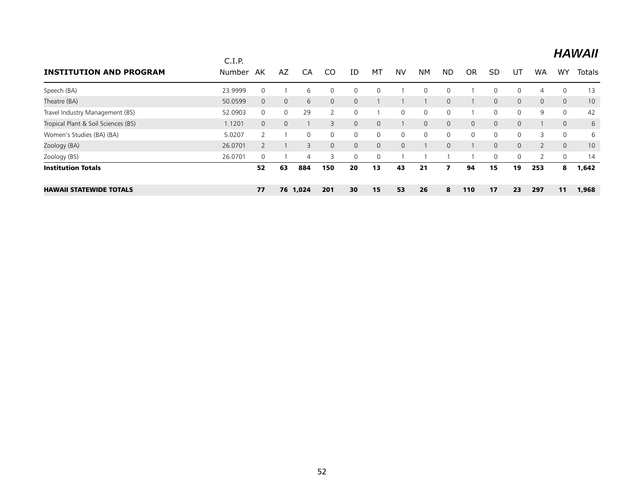|                                     | C.I.P.  |              |              |                |          |              |          |              |              |              |             |              |              |                |                | <b>HAWAII</b> |
|-------------------------------------|---------|--------------|--------------|----------------|----------|--------------|----------|--------------|--------------|--------------|-------------|--------------|--------------|----------------|----------------|---------------|
| <b>INSTITUTION AND PROGRAM</b>      | Number  | AK           | AZ           | CA             | CO       | ID           | MT       | <b>NV</b>    | <b>NM</b>    | <b>ND</b>    | <b>OR</b>   | <b>SD</b>    | UT           | <b>WA</b>      | WY             | <b>Totals</b> |
| Speech (BA)                         | 23.9999 | 0            |              | 6              | 0        | 0            | 0        |              | $\mathbf{0}$ | $\mathbf{0}$ |             | $\mathbf{0}$ | $\Omega$     | 4              | 0              | 13            |
| Theatre (BA)                        | 50.0599 | $\mathbf{0}$ | $\mathbf{0}$ | 6              | $\Omega$ | $\mathbf{0}$ |          |              |              | $\mathbf 0$  |             | $\mathbf{0}$ | 0            | $\mathbf{0}$   | $\overline{0}$ | 10            |
| Travel Industry Management (BS)     | 52.0903 | $\mathbf{0}$ | $\Omega$     | 29             |          | $\Omega$     |          | $\mathbf{0}$ | $\mathbf{0}$ | 0            |             | $\mathbf{0}$ | $\Omega$     | 9              | 0              | 42            |
| Tropical Plant & Soil Sciences (BS) | 1.1201  | $\mathbf{0}$ | $\mathbf{0}$ |                | 3        | 0            | 0        |              | $\mathbf{0}$ | $\mathbf{0}$ | $\mathbf 0$ | $\mathbf{0}$ | $\mathbf{0}$ |                | $\mathbf{0}$   | 6             |
| Women's Studies (BA) (BA)           | 5.0207  |              |              | $\Omega$       | $\Omega$ | $\Omega$     | 0        | 0            | $\mathbf{0}$ | 0            | 0           | $\Omega$     | $\Omega$     | 3              | 0              | 6             |
| Zoology (BA)                        | 26.0701 |              |              | 3              | $\Omega$ | 0            | $\Omega$ | $\mathbf{0}$ |              | $\mathbf 0$  |             | $\mathbf{0}$ | 0            | $\overline{2}$ | $\overline{0}$ | 10            |
| Zoology (BS)                        | 26.0701 | $\Omega$     |              | $\overline{4}$ | 3        | $\Omega$     | $\Omega$ |              |              |              |             | $\mathbf{0}$ | $\Omega$     | 2              | 0              | 14            |
| <b>Institution Totals</b>           |         | 52           | 63           | 884            | 150      | 20           | 13       | 43           | 21           |              | 94          | 15           | 19           | 253            | 8              | 1,642         |
| <b>HAWAII STATEWIDE TOTALS</b>      |         | 77           |              | 76 1,024       | 201      | 30           | 15       | 53           | 26           | 8            | 110         | 17           | 23           | 297            | 11             | 1,968         |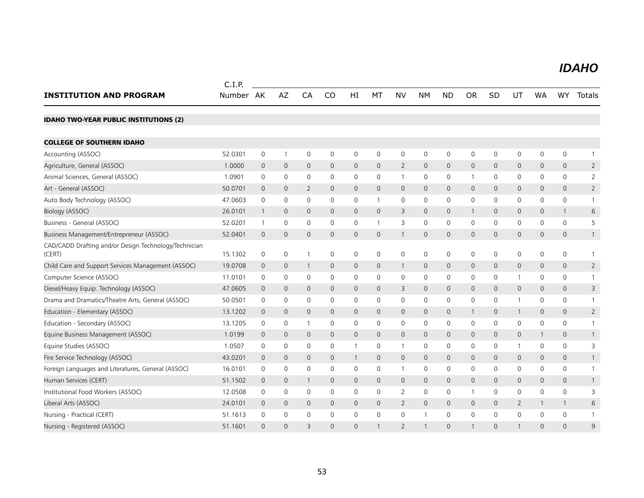#### *IDAHO IDAHO*

|                                                                 | C.I.P.    |                |              |                |              |                |                |                |                     |                     |                |                |                |              |              |                |
|-----------------------------------------------------------------|-----------|----------------|--------------|----------------|--------------|----------------|----------------|----------------|---------------------|---------------------|----------------|----------------|----------------|--------------|--------------|----------------|
| <b>INSTITUTION AND PROGRAM</b>                                  | Number AK |                | AZ           | CA             | CO           | HI             | MT             | NV             | <b>NM</b>           | <b>ND</b>           | <b>OR</b>      | SD             | UT             | <b>WA</b>    | WY.          | Totals         |
| <b>IDAHO TWO-YEAR PUBLIC INSTITUTIONS (2)</b>                   |           |                |              |                |              |                |                |                |                     |                     |                |                |                |              |              |                |
| <b>COLLEGE OF SOUTHERN IDAHO</b>                                |           |                |              |                |              |                |                |                |                     |                     |                |                |                |              |              |                |
| Accounting (ASSOC)                                              | 52.0301   | 0              | $\mathbf{1}$ | $\mathbf 0$    | 0            | 0              | 0              | 0              | $\mathsf{O}\xspace$ | 0                   | $\mathbf 0$    | $\mathbf 0$    | $\mathsf{O}$   | 0            | $\mathsf{O}$ | $\mathbf{1}$   |
| Agriculture, General (ASSOC)                                    | 1.0000    | 0              | $\mathbf 0$  | $\mathbf 0$    | $\mathbf 0$  | 0              | 0              | $\overline{2}$ | $\mathbf 0$         | $\mathsf{O}\xspace$ | $\overline{0}$ | $\overline{0}$ | $\mathsf{O}$   | 0            | 0            | $\overline{2}$ |
| Animal Sciences, General (ASSOC)                                | 1.0901    | 0              | 0            | $\mathbf 0$    | 0            | 0              | 0              | $\mathbf{1}$   | 0                   | 0                   | $\overline{1}$ | 0              | 0              | 0            | 0            | 2              |
| Art - General (ASSOC)                                           | 50.0701   | $\mathbf 0$    | 0            | 2              | $\mathbf 0$  | $\mathbf 0$    | 0              | $\mathbf{0}$   | $\mathbf{0}$        | $\overline{0}$      | $\mathbf 0$    | $\mathbf 0$    | 0              | $\mathbf{0}$ | 0            | $\overline{2}$ |
| Auto Body Technology (ASSOC)                                    | 47.0603   | 0              | $\mathbf 0$  | $\mathbf 0$    | 0            | $\mathbf 0$    | 1              | 0              | $\mathsf{O}$        | 0                   | $\mathbf 0$    | $\mathbf 0$    | $\mathsf{O}$   | $\mathbf{0}$ | $\mathbf 0$  | $\mathbf{1}$   |
| Biology (ASSOC)                                                 | 26.0101   | $\mathbf{1}$   | 0            | $\overline{0}$ | $\mathbf{0}$ | $\mathbf{0}$   | 0              | 3              | $\mathbf{0}$        | $\mathsf{O}$        | $\mathbf{1}$   | $\overline{0}$ | $\mathbf{0}$   | $\mathbf 0$  | $\mathbf{1}$ | 6              |
| Business - General (ASSOC)                                      | 52.0201   | $\mathbf{1}$   | $\mathbf 0$  | $\mathbf 0$    | $\mathbf 0$  | $\mathbf 0$    | 1              | 3              | $\mathbf 0$         | $\mathsf{O}$        | $\mathbf 0$    | $\mathbf 0$    | $\mathsf{O}$   | $\mathbf 0$  | $\mathbf 0$  | 5              |
| Business Management/Entrepreneur (ASSOC)                        | 52.0401   | $\overline{0}$ | $\mathbf{0}$ | $\overline{0}$ | $\mathbf{0}$ | $\mathbf{0}$   | 0              | $\mathbf{1}$   | $\mathbf{0}$        | $\mathbf{O}$        | $\overline{0}$ | $\overline{0}$ | $\overline{0}$ | $\mathbf{0}$ | $\mathbf{0}$ | $\mathbf{1}$   |
| CAD/CADD Drafting and/or Design Technology/Technician<br>(CERT) | 15.1302   | 0              | $\mathbf 0$  | $\mathbf{1}$   | $\mathbf 0$  | $\mathbf 0$    | 0              | 0              | $\mathbf 0$         | $\mathsf{O}$        | $\mathbf 0$    | $\mathbf 0$    | $\mathsf{O}$   | 0            | 0            | $\mathbf{1}$   |
| Child Care and Support Services Management (ASSOC)              | 19.0708   | $\mathsf{O}$   | $\mathbf 0$  | $\mathbf{1}$   | $\mathbf{0}$ | $\mathbf{0}$   | 0              | $\mathbf{1}$   | $\mathbf{0}$        | $\overline{0}$      | $\mathbf 0$    | $\mathbf{0}$   | $\overline{0}$ | $\mathbf{0}$ | $\mathsf{O}$ | 2              |
| Computer Science (ASSOC)                                        | 11.0101   | 0              | 0            | 0              | 0            | 0              | 0              | 0              | 0                   | 0                   | 0              | $\mathbf 0$    | $\mathbf{1}$   | 0            | 0            | 1              |
| Diesel/Heavy Equip. Technology (ASSOC)                          | 47.0605   | $\mathbf 0$    | 0            | 0              | 0            | $\mathbf 0$    | 0              | 3              | $\mathbf{0}$        | $\mathsf{O}$        | $\mathbf 0$    | $\mathbf 0$    | $\mathsf{O}$   | $\mathbf 0$  | 0            | 3              |
| Drama and Dramatics/Theatre Arts, General (ASSOC)               | 50.0501   | 0              | 0            | $\mathbf 0$    | 0            | 0              | 0              | 0              | 0                   | $\mathsf{O}$        | 0              | $\mathbf 0$    | -1             | $\mathbf 0$  | 0            | 1              |
| Education - Elementary (ASSOC)                                  | 13.1202   | 0              | 0            | $\mathbf{0}$   | $\mathbf{0}$ | $\mathbf{0}$   | 0              | $\mathbf{0}$   | $\mathbf{0}$        | $\mathsf{O}$        | $\overline{1}$ | $\mathbf 0$    | $\mathbf{1}$   | $\mathbf{0}$ | 0            | $\overline{2}$ |
| Education - Secondary (ASSOC)                                   | 13.1205   | 0              | 0            | $\mathbf{1}$   | 0            | $\mathbf 0$    | 0              | 0              | 0                   | $\mathsf{O}$        | $\mathbf 0$    | $\mathbf 0$    | $\mathbf 0$    | $\mathbf 0$  | 0            | 1              |
| Equine Business Management (ASSOC)                              | 1.0199    | $\mathbf{0}$   | $\mathbf 0$  | $\mathbf{0}$   | $\mathbf{0}$ | $\overline{0}$ | $\overline{0}$ | $\mathbf{0}$   | $\mathbf{0}$        | $\overline{0}$      | $\overline{0}$ | $\mathbf{0}$   | $\overline{0}$ | $\mathbf{1}$ | $\mathbf{0}$ | $\mathbf{1}$   |
| Equine Studies (ASSOC)                                          | 1.0507    | 0              | 0            | $\mathbf 0$    | 0            | $\mathbf{1}$   | 0              | $\mathbf{1}$   | $\mathsf{O}\xspace$ | 0                   | $\mathbf 0$    | $\mathbf 0$    | $\mathbf{1}$   | $\mathbf 0$  | 0            | 3              |
| Fire Service Technology (ASSOC)                                 | 43.0201   | 0              | $\mathbf 0$  | $\mathbf{0}$   | $\mathbf{0}$ | $\mathbf{1}$   | 0              | 0              | $\mathsf{O}$        | $\mathsf{O}$        | $\overline{0}$ | $\mathbf 0$    | $\mathsf{O}$   | $\mathbf 0$  | 0            | $\mathbf{1}$   |
| Foreign Languages and Literatures, General (ASSOC)              | 16.0101   | 0              | 0            | $\mathbf 0$    | 0            | 0              | 0              | $\mathbf{1}$   | 0                   | 0                   | $\mathbf 0$    | $\mathbf 0$    | 0              | 0            | 0            | 1              |
| Human Services (CERT)                                           | 51.1502   | 0              | 0            | $\mathbf{1}$   | $\mathbf{0}$ | $\mathbf 0$    | 0              | 0              | $\mathbf{0}$        | $\mathsf{O}$        | $\mathbf 0$    | $\mathbf 0$    | $\mathsf{O}$   | $\mathbf{0}$ | 0            | $\mathbf{1}$   |
| Institutional Food Workers (ASSOC)                              | 12.0508   | 0              | 0            | $\mathbf 0$    | $\mathbf 0$  | $\mathbf 0$    | 0              | $\overline{2}$ | 0                   | 0                   | $\overline{1}$ | $\mathbf 0$    | $\mathbf 0$    | $\mathbf{0}$ | 0            | 3              |
| Liberal Arts (ASSOC)                                            | 24.0101   | 0              | $\mathbf{0}$ | $\overline{0}$ | $\mathbf{0}$ | $\mathbf{0}$   | 0              | $\overline{2}$ | $\mathbf{0}$        | $\overline{0}$      | $\overline{0}$ | $\overline{0}$ | $\overline{2}$ | $\mathbf{1}$ | $\mathbf{1}$ | 6              |
| Nursing - Practical (CERT)                                      | 51.1613   | 0              | 0            | $\mathbf 0$    | $\mathbf 0$  | 0              | 0              | 0              |                     | $\mathbf 0$         | $\mathbf 0$    | $\mathbf 0$    | $\mathbf 0$    | $\mathbf 0$  | $\mathbf 0$  | $\mathbf{1}$   |
| Nursing - Registered (ASSOC)                                    | 51.1601   | $\Omega$       | $\Omega$     | $\overline{3}$ | $\Omega$     | 0              |                | $\overline{2}$ |                     | $\Omega$            |                | $\mathbf{0}$   |                | $\Omega$     | $\Omega$     | $\mathsf{Q}$   |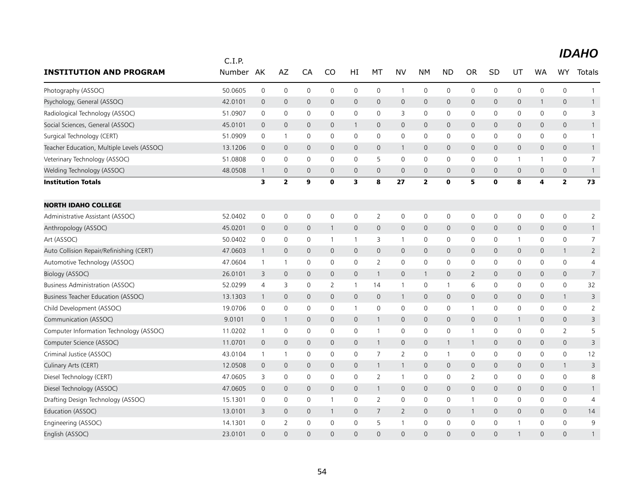|                                            | C.I.P.  |              |                         |                     |                |              |                |                     |                         |                     |                |              |              |                |                         |                |
|--------------------------------------------|---------|--------------|-------------------------|---------------------|----------------|--------------|----------------|---------------------|-------------------------|---------------------|----------------|--------------|--------------|----------------|-------------------------|----------------|
| <b>INSTITUTION AND PROGRAM</b>             | Number  | AK           | AZ                      | CA                  | CO             | HI           | МT             | <b>NV</b>           | NΜ                      | <b>ND</b>           | <b>OR</b>      | SD           | UT           | <b>WA</b>      | <b>WY</b>               | Totals         |
| Photography (ASSOC)                        | 50.0605 | 0            | $\mathbf 0$             | $\mathbf 0$         | 0              | 0            | 0              | $\mathbf{1}$        | $\mathsf{O}$            | $\mathbf 0$         | $\mathbf 0$    | 0            | 0            | 0              | 0                       | $\mathbf{1}$   |
| Psychology, General (ASSOC)                | 42.0101 | $\mathbf 0$  | $\mathbf 0$             | $\mathbf 0$         | $\mathbf{0}$   | 0            | $\mathbf{0}$   | $\mathsf{O}$        | $\mathbf{0}$            | $\mathbf 0$         | $\mathbf 0$    | 0            | $\mathbf 0$  | 1              | 0                       | 1              |
| Radiological Technology (ASSOC)            | 51.0907 | 0            | $\mathbf 0$             | $\mathbf 0$         | $\Omega$       | 0            | $\mathbf{0}$   | 3                   | $\Omega$                | $\mathbf 0$         | $\mathbf 0$    | 0            | $\mathbf 0$  | 0              | 0                       | 3              |
| Social Sciences, General (ASSOC)           | 45.0101 | $\mathbf 0$  | $\mathbf 0$             | $\mathbf 0$         | $\mathbf{0}$   | $\mathbf{1}$ | $\mathbf{0}$   | $\mathbf{0}$        | $\mathbf{0}$            | $\mathbf 0$         | $\mathbf 0$    | 0            | $\mathsf{O}$ | 0              | 0                       | $\mathbf{1}$   |
| Surgical Technology (CERT)                 | 51.0909 | $\mathsf 0$  | $\mathbf{1}$            | $\mathsf 0$         | $\mathbf 0$    | 0            | $\mathbf 0$    | 0                   | $\mathsf{O}$            | $\mathsf{O}$        | $\mathbf 0$    | 0            | $\mathbf 0$  | 0              | 0                       | $\mathbf{1}$   |
| Teacher Education, Multiple Levels (ASSOC) | 13.1206 | $\mathbf 0$  | $\mathsf{O}\xspace$     | $\mathbf{0}$        | $\mathbf{0}$   | $\mathbf 0$  | $\mathbf 0$    | $\mathbf{1}$        | $\mathbf{0}$            | $\mathbf 0$         | $\mathbf{0}$   | 0            | $\mathsf{O}$ | $\mathsf{O}$   | $\mathbf{0}$            | $\mathbf{1}$   |
| Veterinary Technology (ASSOC)              | 51.0808 | $\mathbf 0$  | $\mathbf 0$             | $\mathbf 0$         | 0              | 0            | 5              | 0                   | $\mathbf 0$             | $\mathsf{O}$        | 0              | 0            | $\mathbf{1}$ | 1              | 0                       | 7              |
| Welding Technology (ASSOC)                 | 48.0508 | 1            | $\mathbf 0$             | $\mathbf 0$         | $\mathbf 0$    | $\mathsf{O}$ | $\mathbf 0$    | $\mathbf{0}$        | $\mathbf{0}$            | $\mathbf 0$         | $\mathbf{0}$   | $\mathbf 0$  | $\mathbf{0}$ | $\mathbf{0}$   | $\mathbf{0}$            | $\mathbf{1}$   |
| <b>Institution Totals</b>                  |         | 3            | $\overline{\mathbf{2}}$ | 9                   | $\mathbf 0$    | 3            | 8              | 27                  | $\overline{\mathbf{2}}$ | $\mathbf 0$         | 5              | $\mathbf 0$  | 8            | 4              | $\overline{\mathbf{2}}$ | 73             |
| <b>NORTH IDAHO COLLEGE</b>                 |         |              |                         |                     |                |              |                |                     |                         |                     |                |              |              |                |                         |                |
| Administrative Assistant (ASSOC)           | 52.0402 | 0            | 0                       | 0                   | 0              | 0            | 2              | 0                   | 0                       | 0                   | 0              | 0            | 0            | 0              | 0                       | $\overline{2}$ |
| Anthropology (ASSOC)                       | 45.0201 | $\mathbf 0$  | $\mathsf{O}\xspace$     | $\mathsf{O}\xspace$ | $\mathbf{1}$   | 0            | $\mathbf{0}$   | $\mathbf 0$         | $\mathsf{O}$            | $\mathbf 0$         | $\mathbf 0$    | 0            | $\mathsf{O}$ | $\mathbf{0}$   | $\mathsf{O}\xspace$     | $\mathbf{1}$   |
| Art (ASSOC)                                | 50.0402 | 0            | 0                       | 0                   | -1             | $\mathbf{1}$ | 3              | $\mathbf{1}$        | 0                       | $\mathsf{O}$        | 0              | 0            | $\mathbf{1}$ | 0              | 0                       | $\overline{7}$ |
| Auto Collision Repair/Refinishing (CERT)   | 47.0603 | $\mathbf{1}$ | $\mathsf{O}\xspace$     | $\mathbf{0}$        | $\mathbf{0}$   | $\mathbf 0$  | $\mathbf{0}$   | $\mathbf{0}$        | $\mathbf{0}$            | $\mathbf{0}$        | $\mathbf{0}$   | $\mathbf{0}$ | $\mathbf{0}$ | $\mathbf{0}$   | $\mathbf{1}$            | $\overline{2}$ |
| Automotive Technology (ASSOC)              | 47.0604 | $\mathbf{1}$ | $\mathbf{1}$            | $\mathbf 0$         | 0              | 0            | 2              | 0                   | $\mathbf 0$             | $\mathsf{O}$        | 0              | 0            | 0            | 0              | 0                       | 4              |
| Biology (ASSOC)                            | 26.0101 | 3            | $\mathbf 0$             | $\mathbf{0}$        | $\mathbf 0$    | 0            | $\mathbf{1}$   | $\mathbf 0$         | $\mathbf{1}$            | $\mathbf 0$         | 2              | 0            | $\mathbf{0}$ | $\mathbf{0}$   | $\mathbf{0}$            | $\overline{7}$ |
| <b>Business Administration (ASSOC)</b>     | 52.0299 | 4            | 3                       | $\mathsf{O}\xspace$ | $\overline{2}$ | $\mathbf{1}$ | 14             | $\mathbf{1}$        | $\mathsf{O}\xspace$     | $\mathbf{1}$        | 6              | 0            | $\mathsf{O}$ | 0              | 0                       | 32             |
| Business Teacher Education (ASSOC)         | 13.1303 | $\mathbf{1}$ | $\mathbf{0}$            | $\mathbf{0}$        | $\mathbf{0}$   | $\mathbf 0$  | $\mathbf{0}$   | $\mathbf{1}$        | $\mathbf{0}$            | $\mathbf{0}$        | $\mathbf 0$    | $\mathbf{0}$ | $\mathbf{0}$ | $\mathbf{0}$   | $\mathbf{1}$            | 3              |
| Child Development (ASSOC)                  | 19.0706 | 0            | $\mathbf 0$             | $\mathbf 0$         | 0              | $\mathbf{1}$ | 0              | $\mathbf 0$         | $\mathsf{O}$            | $\mathsf{O}$        | $\overline{1}$ | 0            | $\mathbf 0$  | 0              | 0                       | $\overline{2}$ |
| Communication (ASSOC)                      | 9.0101  | $\mathbf 0$  | $\mathbf{1}$            | $\mathbf 0$         | 0              | 0            | $\mathbf{1}$   | $\mathsf{O}$        | $\mathsf{O}$            | $\mathbf 0$         | $\mathbf 0$    | 0            | $\mathbf{1}$ | 0              | 0                       | 3              |
| Computer Information Technology (ASSOC)    | 11.0202 | 1            | $\mathbf 0$             | $\mathbf 0$         | 0              | 0            | 1              | $\mathsf{O}\xspace$ | $\mathbf 0$             | $\mathsf{O}\xspace$ | $\overline{1}$ | 0            | $\mathbf 0$  | 0              | $\overline{2}$          | 5              |
| Computer Science (ASSOC)                   | 11.0701 | $\mathbf 0$  | $\mathsf{O}\xspace$     | $\mathbf 0$         | $\mathbf 0$    | 0            | $\mathbf{1}$   | $\mathbf 0$         | $\mathsf{O}$            | $\mathbf{1}$        | $\overline{1}$ | $\mathbf 0$  | $\mathsf{O}$ | 0              | $\mathsf{O}\xspace$     | 3              |
| Criminal Justice (ASSOC)                   | 43.0104 | $\mathbf{1}$ | $\mathbf{1}$            | $\mathbf 0$         | 0              | 0            | 7              | $\overline{2}$      | 0                       | $\mathbf{1}$        | $\mathbf 0$    | 0            | 0            | 0              | 0                       | 12             |
| Culinary Arts (CERT)                       | 12.0508 | $\mathbf 0$  | $\mathbf 0$             | $\mathbf 0$         | 0              | 0            | $\mathbf{1}$   | $\mathbf{1}$        | $\mathsf{O}$            | $\mathbf 0$         | $\mathbf 0$    | 0            | $\mathsf{O}$ | 0              | $\mathbf{1}$            | 3              |
| Diesel Technology (CERT)                   | 47.0605 | 3            | 0                       | $\mathbf 0$         | 0              | 0            | 2              | $\mathbf{1}$        | 0                       | $\mathsf{O}$        | $\overline{2}$ | 0            | 0            | 0              | 0                       | 8              |
| Diesel Technology (ASSOC)                  | 47.0605 | $\mathbf 0$  | $\mathbf 0$             | $\mathbf{0}$        | $\mathbf{0}$   | $\mathbf 0$  | $\mathbf{1}$   | $\mathbf{0}$        | $\mathbf{0}$            | $\mathbf{0}$        | $\mathbf 0$    | 0            | $\mathbf{0}$ | 0              | $\mathsf{O}\xspace$     |                |
| Drafting Design Technology (ASSOC)         | 15.1301 | 0            | $\mathbf 0$             | $\mathbf 0$         | -1             | 0            | 2              | 0                   | 0                       | $\mathbf 0$         | $\overline{1}$ | $\mathbf{0}$ | 0            | 0              | 0                       | 4              |
| Education (ASSOC)                          | 13.0101 | 3            | $\mathsf{O}\xspace$     | $\mathbf 0$         | $\mathbf{1}$   | 0            | $\overline{7}$ | $\overline{2}$      | $\mathsf{O}$            | $\mathbf 0$         | $\overline{1}$ | $\mathbf 0$  | $\mathbf 0$  | $\mathbf{0}$   | $\mathsf{O}\xspace$     | 14             |
| Engineering (ASSOC)                        | 14.1301 | 0            | $\overline{2}$          | $\mathbf 0$         | 0              | 0            | 5              | $\mathbf{1}$        | $\mathsf{O}\xspace$     | $\mathsf{O}$        | $\mathbf 0$    | 0            | $\mathbf{1}$ | 0              | 0                       | 9              |
| English (ASSOC)                            | 23.0101 | $\Omega$     | $\Omega$                | $\Omega$            | $\Omega$       | $\Omega$     | $\Omega$       | $\overline{0}$      | $\Omega$                | $\Omega$            | $\Omega$       | $\Omega$     |              | $\overline{0}$ | $\Omega$                |                |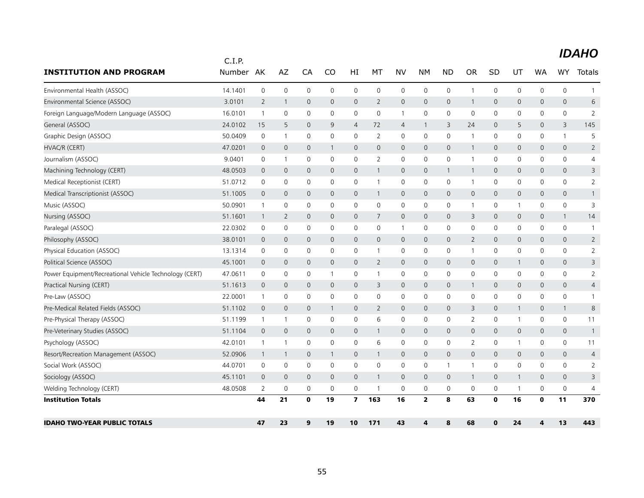| <b>INSTITUTION AND PROGRAM</b>                         | C.I.P.<br>Number | AK             | AZ             | CA             | CO             | HI                      | MT             | <b>NV</b>      | NМ             | <b>ND</b>    | <b>OR</b>      | <b>SD</b>    | UT           | <b>WA</b>    | <b>WY</b>           | <b>Totals</b>  |
|--------------------------------------------------------|------------------|----------------|----------------|----------------|----------------|-------------------------|----------------|----------------|----------------|--------------|----------------|--------------|--------------|--------------|---------------------|----------------|
| Environmental Health (ASSOC)                           | 14.1401          | $\mathbf 0$    | 0              | $\mathbf 0$    | 0              | 0                       | $\mathbf 0$    | $\mathbf 0$    | $\mathbf 0$    | 0            | $\mathbf{1}$   | 0            | 0            | 0            | 0                   |                |
| Environmental Science (ASSOC)                          | 3.0101           | $\overline{2}$ | $\overline{1}$ | $\overline{0}$ | $\mathbf 0$    | $\mathsf{O}$            | $\overline{2}$ | $\mathbf 0$    | $\mathbf{0}$   | $\mathbf 0$  | 1              | 0            | $\mathbf 0$  | $\mathbf 0$  | $\mathsf{O}\xspace$ | 6              |
| Foreign Language/Modern Language (ASSOC)               | 16.0101          | $\overline{1}$ | $\mathbf 0$    | $\mathbf 0$    | $\mathbf 0$    | 0                       | 0              | 1              | $\mathbf 0$    | $\mathbf 0$  | $\mathbf 0$    | $\Omega$     | 0            | 0            | 0                   | 2              |
| General (ASSOC)                                        | 24.0102          | 15             | 5              | $\mathbf{0}$   | 9              | $\overline{4}$          | 72             | $\overline{4}$ | $\mathbf{1}$   | 3            | 24             | $\mathbf{0}$ | 5            | $\mathbf{0}$ | 3                   | 145            |
| Graphic Design (ASSOC)                                 | 50.0409          | 0              | $\overline{1}$ | $\mathbf 0$    | 0              | 0                       | $\overline{2}$ | 0              | $\mathbf 0$    | 0            | -1             | 0            | 0            | 0            | $\mathbf{1}$        | 5              |
| HVAC/R (CERT)                                          | 47.0201          | $\mathbf 0$    | $\mathbf 0$    | $\overline{0}$ | $\mathbf{1}$   | 0                       | $\mathbf 0$    | 0              | $\mathbf 0$    | $\mathbf 0$  | 1              | $\mathbf 0$  | 0            | 0            | 0                   | $\overline{2}$ |
| Journalism (ASSOC)                                     | 9.0401           | 0              | $\overline{1}$ | $\mathbf 0$    | $\mathbf 0$    | $\mathsf{O}$            | $\overline{2}$ | $\mathbf 0$    | $\mathbf 0$    | $\mathbf 0$  | $\overline{1}$ | 0            | $\mathbf 0$  | 0            | 0                   | 4              |
| Machining Technology (CERT)                            | 48.0503          | 0              | $\mathbf 0$    | $\overline{0}$ | 0              | 0                       | $\mathbf{1}$   | $\mathbf 0$    | $\mathbf 0$    | $\mathbf{1}$ | $\mathbf{1}$   | $\mathbf{0}$ | $\mathbf 0$  | 0            | 0                   | 3              |
| Medical Receptionist (CERT)                            | 51.0712          | 0              | $\mathbf 0$    | 0              | $\Omega$       | 0                       | -1             | 0              | $\mathbf 0$    | 0            | -1             | 0            | 0            | 0            | 0                   | 2              |
| Medical Transcriptionist (ASSOC)                       | 51.1005          | $\mathbf 0$    | $\mathbf 0$    | $\mathbf 0$    | 0              | 0                       | -1             | 0              | $\mathbf 0$    | $\mathbf 0$  | $\mathbf 0$    | 0            | 0            | 0            | 0                   |                |
| Music (ASSOC)                                          | 50.0901          | $\mathbf{1}$   | $\mathbf 0$    | $\mathbf 0$    | $\mathbf 0$    | 0                       | 0              | 0              | $\mathbf 0$    | 0            | $\mathbf{1}$   | 0            | $\mathbf{1}$ | 0            | 0                   | 3              |
| Nursing (ASSOC)                                        | 51.1601          | $\mathbf{1}$   | 2              | $\mathbf 0$    | 0              | 0                       | $\overline{7}$ | 0              | $\mathbf 0$    | $\mathbf 0$  | 3              | 0            | 0            | 0            | $\mathbf{1}$        | 14             |
| Paralegal (ASSOC)                                      | 22.0302          | $\mathbf 0$    | $\mathbf 0$    | $\mathbf 0$    | 0              | $\mathsf{O}$            | 0              | $\mathbf{1}$   | $\mathbf 0$    | $\mathbf 0$  | $\mathbf 0$    | 0            | 0            | 0            | 0                   | $\mathbf{1}$   |
| Philosophy (ASSOC)                                     | 38.0101          | 0              | $\mathbf 0$    | $\mathbf 0$    | 0              | $\mathsf{O}$            | 0              | $\mathbf 0$    | $\mathsf{O}$   | $\mathbf 0$  | $\overline{2}$ | $\mathbf 0$  | $\mathsf{O}$ | 0            | 0                   | $\overline{2}$ |
| Physical Education (ASSOC)                             | 13.1314          | 0              | $\mathbf 0$    | 0              | $\Omega$       | 0                       | -1             | $\mathbf 0$    | $\mathbf 0$    | 0            | -1             | 0            | 0            | $\mathbf{0}$ | 0                   | $\overline{2}$ |
| Political Science (ASSOC)                              | 45.1001          | $\mathbf 0$    | $\mathbf 0$    | $\mathbf{0}$   | $\mathbf{0}$   | $\mathbf{0}$            | $\overline{2}$ | 0              | $\mathsf{O}$   | $\mathbf 0$  | $\overline{0}$ | $\mathbf{0}$ | $\mathbf{1}$ | $\mathbf 0$  | $\mathbf{0}$        | 3              |
| Power Equipment/Recreational Vehicle Technology (CERT) | 47.0611          | 0              | 0              | $\mathbf 0$    | -1             | 0                       | -1             | 0              | 0              | $\mathsf{O}$ | 0              | 0            | $\mathbf 0$  | 0            | 0                   | $\overline{2}$ |
| Practical Nursing (CERT)                               | 51.1613          | $\mathbf 0$    | $\mathbf 0$    | $\mathbf 0$    | $\mathbf 0$    | $\mathsf{O}$            | 3              | 0              | $\mathbf 0$    | $\mathbf 0$  | $\mathbf{1}$   | $\mathbf 0$  | $\mathsf{O}$ | 0            | 0                   | $\overline{4}$ |
| Pre-Law (ASSOC)                                        | 22.0001          | $\mathbf{1}$   | $\mathbf 0$    | 0              | 0              | 0                       | 0              | 0              | 0              | 0            | 0              | 0            | 0            | 0            | 0                   | $\mathbf{1}$   |
| Pre-Medical Related Fields (ASSOC)                     | 51.1102          | $\mathbf 0$    | $\mathbf 0$    | $\mathbf 0$    | $\mathbf{1}$   | $\mathsf{O}$            | 2              | $\overline{0}$ | $\mathsf{O}$   | $\mathbf 0$  | 3              | $\mathbf{0}$ | $\mathbf{1}$ | 0            | $\mathbf{1}$        | 8              |
| Pre-Physical Therapy (ASSOC)                           | 51.1199          | 1              | $\mathbf{1}$   | $\mathbf 0$    | $\mathbf 0$    | 0                       | 6              | $\mathbf 0$    | $\mathbf 0$    | $\mathbf 0$  | $\overline{2}$ | 0            | $\mathbf{1}$ | $\mathbf 0$  | 0                   | 11             |
| Pre-Veterinary Studies (ASSOC)                         | 51.1104          | $\mathbf 0$    | $\overline{0}$ | $\mathbf{0}$   | $\mathbf 0$    | $\mathbf{0}$            |                | 0              | $\mathbf 0$    | $\mathbf 0$  | $\mathbf{0}$   | $\mathbf 0$  | $\mathbf{0}$ | 0            | $\mathbf{0}$        | $\mathbf{1}$   |
| Psychology (ASSOC)                                     | 42.0101          | $\mathbf{1}$   | $\overline{1}$ | $\mathbf 0$    | $\mathbf 0$    | 0                       | 6              | $\mathbf 0$    | $\mathbf 0$    | $\mathbf 0$  | $\overline{2}$ | 0            | 1            | 0            | 0                   | 11             |
| Resort/Recreation Management (ASSOC)                   | 52.0906          | $\overline{1}$ | $\overline{1}$ | $\overline{0}$ | $\mathbf{1}$   | $\mathbf{0}$            | $\mathbf{1}$   | $\mathbf{0}$   | $\mathbf{0}$   | $\mathbf 0$  | $\mathbf{0}$   | $\mathbf{0}$ | $\mathbf{0}$ | $\mathbf{0}$ | $\mathbf{0}$        | $\overline{4}$ |
| Social Work (ASSOC)                                    | 44.0701          | 0              | 0              | $\mathbf 0$    | 0              | 0                       | 0              | $\mathbf 0$    | $\mathbf 0$    | $\mathbf{1}$ | -1             | 0            | $\mathsf{O}$ | 0            | 0                   | $\overline{2}$ |
| Sociology (ASSOC)                                      | 45.1101          | $\overline{0}$ | $\mathbf{0}$   | $\mathbf{0}$   | $\overline{0}$ | $\mathsf{O}$            | $\mathbf{1}$   | $\mathbf 0$    | $\mathbf{0}$   | $\mathbf 0$  | $\mathbf{1}$   | $\mathbf{0}$ | $\mathbf{1}$ | $\mathbf{0}$ | $\mathbf{0}$        | 3              |
| Welding Technology (CERT)                              | 48.0508          | 2              | 0              | 0              | $\mathbf 0$    | 0                       | -1             | 0              | $\mathbf 0$    | 0            | 0              | 0            | $\mathbf{1}$ | 0            | 0                   | $\overline{4}$ |
| <b>Institution Totals</b>                              |                  | 44             | 21             | $\mathbf 0$    | 19             | $\overline{\mathbf{z}}$ | 163            | 16             | $\overline{2}$ | 8            | 63             | $\mathbf 0$  | 16           | $\mathbf{0}$ | 11                  | 370            |
| <b>IDAHO TWO-YEAR PUBLIC TOTALS</b>                    |                  | 47             | 23             | 9              | 19             | 10                      | 171            | 43             | 4              | 8            | 68             | $\bf{0}$     | 24           | 4            | 13                  | 443            |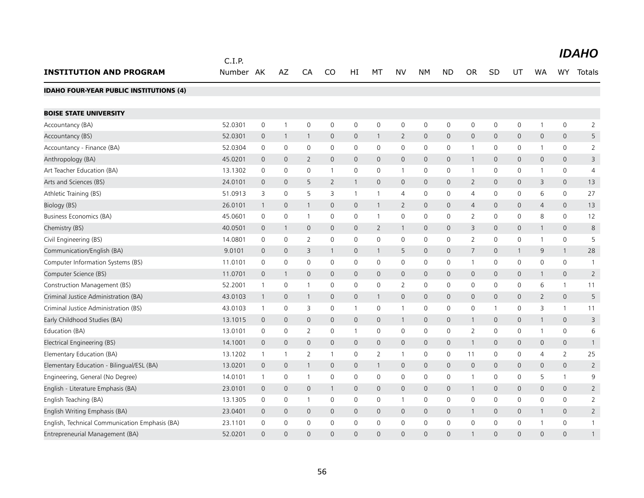|                                                | C.I.P.    |                |                     |                |                |              |              |                |                     |                     |                |                |              |                |                     | <b>IDAHO</b>   |
|------------------------------------------------|-----------|----------------|---------------------|----------------|----------------|--------------|--------------|----------------|---------------------|---------------------|----------------|----------------|--------------|----------------|---------------------|----------------|
| <b>INSTITUTION AND PROGRAM</b>                 | Number AK |                | AZ                  | CA             | CO             | HI           | МT           | <b>NV</b>      | <b>NM</b>           | <b>ND</b>           | <b>OR</b>      | <b>SD</b>      | UT           | WA             | WY.                 | Totals         |
| <b>IDAHO FOUR-YEAR PUBLIC INSTITUTIONS (4)</b> |           |                |                     |                |                |              |              |                |                     |                     |                |                |              |                |                     |                |
| <b>BOISE STATE UNIVERSITY</b>                  |           |                |                     |                |                |              |              |                |                     |                     |                |                |              |                |                     |                |
| Accountancy (BA)                               | 52.0301   | $\mathsf 0$    | $\mathbf{1}$        | $\mathbf 0$    | $\mathbf 0$    | 0            | $\mathbf 0$  | $\mathbf 0$    | $\mathsf{O}$        | $\mathbf 0$         | $\mathbf 0$    | $\mathbf 0$    | $\mathbf 0$  | $\mathbf{1}$   | 0                   | $\overline{2}$ |
| Accountancy (BS)                               | 52.0301   | $\mathbf 0$    | $\mathbf{1}$        | $\overline{1}$ | $\mathbf 0$    | 0            | $\mathbf{1}$ | $\overline{2}$ | $\mathsf{O}$        | $\mathbf 0$         | $\mathbf 0$    | 0              | $\mathsf{O}$ | 0              | $\mathsf{O}\xspace$ | 5              |
| Accountancy - Finance (BA)                     | 52.0304   | $\mathbf 0$    | $\mathbf 0$         | $\mathbf 0$    | $\mathbf 0$    | 0            | $\Omega$     | $\mathbf 0$    | $\mathsf{O}$        | $\mathbf 0$         | $\overline{1}$ | $\mathbf 0$    | $\mathbf 0$  | 1              | 0                   | $\overline{2}$ |
| Anthropology (BA)                              | 45.0201   | $\mathbf 0$    | $\mathbf 0$         | 2              | $\mathbf{0}$   | 0            | $\mathbf 0$  | $\mathbf{0}$   | $\mathbf{0}$        | $\mathbf 0$         | $\overline{1}$ | $\mathbf 0$    | $\mathsf{O}$ | 0              | $\mathsf{O}\xspace$ | 3              |
| Art Teacher Education (BA)                     | 13.1302   | $\mathbf 0$    | $\mathbf 0$         | $\mathbf 0$    | $\mathbf{1}$   | 0            | $\mathbf 0$  | $\mathbf{1}$   | $\mathsf{O}$        | $\mathsf{O}$        | $\overline{1}$ | $\mathbf 0$    | $\mathbf 0$  | 1              | 0                   | $\overline{4}$ |
| Arts and Sciences (BS)                         | 24.0101   | $\mathbf 0$    | $\mathbf 0$         | 5              | $\overline{2}$ | $\mathbf{1}$ | $\mathbf 0$  | $\mathbf 0$    | $\mathbf{0}$        | $\mathbf 0$         | 2              | $\mathbf 0$    | $\mathsf{O}$ | 3              | 0                   | 13             |
| Athletic Training (BS)                         | 51.0913   | 3              | $\mathbf 0$         | 5              | 3              | $\mathbf{1}$ | $\mathbf{1}$ | $\overline{4}$ | $\mathsf{O}\xspace$ | $\mathsf{O}$        | $\overline{4}$ | 0              | 0            | 6              | 0                   | 27             |
| Biology (BS)                                   | 26.0101   | $\mathbf 1$    | $\mathbf 0$         | $\mathbf{1}$   | $\mathbf 0$    | 0            | $\mathbf{1}$ | $\overline{2}$ | $\mathbf{0}$        | $\mathbf 0$         | $\overline{4}$ | 0              | $\mathsf{O}$ | $\overline{4}$ | $\mathsf{O}\xspace$ | 13             |
| Business Economics (BA)                        | 45.0601   | $\mathsf 0$    | $\mathsf{O}\xspace$ | $\mathbf{1}$   | 0              | 0            | $\mathbf{1}$ | 0              | $\mathsf{O}\xspace$ | $\mathsf{O}$        | $\overline{2}$ | 0              | $\mathsf{O}$ | 8              | 0                   | 12             |
| Chemistry (BS)                                 | 40.0501   | $\mathbf 0$    | $\mathbf{1}$        | $\overline{0}$ | $\mathbf{0}$   | 0            | 2            | $\mathbf{1}$   | $\mathsf{O}$        | $\mathbf{0}$        | 3              | $\mathbf{0}$   | $\mathsf{O}$ | 1              | 0                   | 8              |
| Civil Engineering (BS)                         | 14.0801   | 0              | $\mathsf{O}\xspace$ | $\overline{2}$ | 0              | 0            | 0            | 0              | $\mathsf{O}\xspace$ | $\mathsf{O}$        | $\overline{2}$ | 0              | $\mathsf{O}$ | 1              | 0                   | 5              |
| Communication/English (BA)                     | 9.0101    | $\mathbf 0$    | $\mathbf 0$         | 3              | $\mathbf{1}$   | 0            | $\mathbf{1}$ | 5              | $\mathbf{0}$        | $\mathbf 0$         | $\overline{7}$ | $\mathbf{0}$   | $\mathbf{1}$ | 9              | $\mathbf{1}$        | 28             |
| Computer Information Systems (BS)              | 11.0101   | $\mathbf 0$    | $\mathsf{O}\xspace$ | $\mathsf 0$    | $\mathbf 0$    | 0            | $\mathbf 0$  | 0              | 0                   | $\mathsf{O}$        | $\overline{1}$ | $\mathbf 0$    | $\mathsf{O}$ | $\mathbf 0$    | 0                   | $\mathbf{1}$   |
| Computer Science (BS)                          | 11.0701   | $\mathbf 0$    | $\mathbf{1}$        | $\mathbf{0}$   | $\mathbf 0$    | $\mathsf{O}$ | $\mathbf{0}$ | $\mathbf{0}$   | $\mathbf{0}$        | $\mathbf{0}$        | $\mathbf 0$    | $\mathbf{0}$   | $\mathbf 0$  | $\mathbf{1}$   | $\mathbf{0}$        | $\overline{2}$ |
| Construction Management (BS)                   | 52.2001   | 1              | $\mathbf 0$         | $\mathbf{1}$   | 0              | 0            | 0            | $\overline{2}$ | $\mathsf{O}\xspace$ | $\mathsf{O}$        | 0              | 0              | $\mathsf{O}$ | 6              | $\mathbf{1}$        | 11             |
| Criminal Justice Administration (BA)           | 43.0103   | $\overline{1}$ | $\mathbf 0$         | $\overline{1}$ | $\mathbf 0$    | 0            | $\mathbf{1}$ | $\mathbf 0$    | $\mathbf{0}$        | $\mathbf 0$         | $\mathbf 0$    | $\mathbf{0}$   | $\mathbf{0}$ | $\overline{2}$ | $\mathsf{O}\xspace$ | 5              |
| Criminal Justice Administration (BS)           | 43.0103   | $\mathbf{1}$   | $\mathsf{O}\xspace$ | 3              | 0              | 1            | 0            | $\mathbf{1}$   | 0                   | $\mathsf{O}$        | $\mathbf 0$    | $\overline{1}$ | 0            | 3              | $\mathbf{1}$        | 11             |
| Early Childhood Studies (BA)                   | 13.1015   | $\mathbf 0$    | $\overline{0}$      | $\mathbf{0}$   | $\mathbf 0$    | 0            | $\mathbf{0}$ | $\mathbf{1}$   | $\mathsf{O}$        | $\mathbf 0$         | $\mathbf{1}$   | $\mathbf 0$    | $\mathsf{O}$ | $\mathbf{1}$   | $\mathbf{0}$        | 3              |
| Education (BA)                                 | 13.0101   | 0              | 0                   | $\overline{2}$ | 0              | $\mathbf{1}$ | 0            | 0              | $\mathsf{O}\xspace$ | $\mathsf{O}\xspace$ | $\overline{2}$ | 0              | 0            | 1              | 0                   | 6              |
| Electrical Engineering (BS)                    | 14.1001   | $\mathbf 0$    | $\mathsf{O}\xspace$ | $\mathbf 0$    | $\mathbf{0}$   | 0            | $\mathbf 0$  | $\mathbf 0$    | $\mathsf{O}$        | $\mathbf 0$         | $\overline{1}$ | $\mathbf{0}$   | $\mathsf{O}$ | 0              | $\mathsf{O}\xspace$ | $\mathbf{1}$   |
| Elementary Education (BA)                      | 13.1202   | $\mathbf{1}$   | $\mathbf{1}$        | $\overline{2}$ |                | 0            | 2            | 1              | 0                   | $\mathsf{O}$        | 11             | 0              | 0            | 4              | $\overline{2}$      | 25             |
| Elementary Education - Bilingual/ESL (BA)      | 13.0201   | $\mathbf 0$    | $\mathbf 0$         | $\overline{1}$ | $\mathbf{0}$   | 0            | $\mathbf{1}$ | $\mathbf{0}$   | $\mathbf{0}$        | $\mathbf{0}$        | $\mathbf{0}$   | $\mathbf{0}$   | $\mathsf{O}$ | $\mathbf{0}$   | $\mathsf{O}\xspace$ | $\overline{2}$ |
| Engineering, General (No Degree)               | 14.0101   | $\mathbf{1}$   | 0                   | $\mathbf{1}$   | 0              | 0            | 0            | 0              | 0                   | 0                   | $\overline{1}$ | 0              | 0            | 5              | $\mathbf{1}$        | 9              |
| English - Literature Emphasis (BA)             | 23.0101   | $\mathbf 0$    | $\mathbf{0}$        | $\mathbf{0}$   | $\mathbf{1}$   | $\mathsf{O}$ | $\mathbf{0}$ | $\mathbf{0}$   | $\mathbf{0}$        | $\mathbf{0}$        | $\overline{1}$ | $\mathbf{0}$   | $\mathbf{0}$ | $\mathbf 0$    | $\mathbf{0}$        | $\overline{2}$ |
| English Teaching (BA)                          | 13.1305   | 0              | 0                   | $\mathbf{1}$   | 0              | 0            | 0            | 1              | 0                   | $\mathsf{O}$        | $\mathbf 0$    | 0              | $\mathsf{O}$ | 0              | 0                   | $\overline{2}$ |
| English Writing Emphasis (BA)                  | 23.0401   | $\mathbf 0$    | $\overline{0}$      | $\overline{0}$ | $\mathbf{0}$   | $\mathbf 0$  | $\mathbf{0}$ | $\mathbf{0}$   | $\mathbf{0}$        | $\mathbf 0$         | $\mathbf 1$    | $\mathbf{0}$   | $\mathbf{0}$ | $\mathbf{1}$   | $\mathbf{0}$        | $\overline{2}$ |
| English, Technical Communication Emphasis (BA) | 23.1101   | 0              | 0                   | $\mathbf 0$    | 0              | 0            | 0            | 0              | 0                   | 0                   | 0              | 0              | 0            |                | 0                   | -1             |
| Entrepreneurial Management (BA)                | 52.0201   | $\Omega$       | $\Omega$            | $\Omega$       | $\Omega$       | $\Omega$     | $\Omega$     | $\Omega$       | $\Omega$            | $\Omega$            |                | $\Omega$       | $\Omega$     | $\Omega$       | $\Omega$            |                |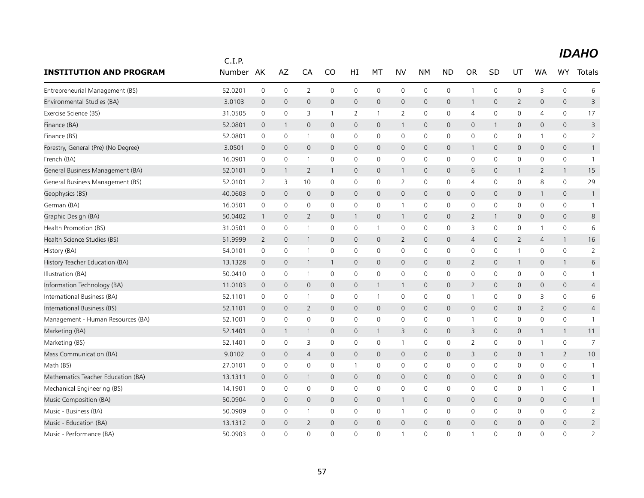|                                     | C.I.P.  |                |              |                |                     |                |              |                         |              |                |                |                |                |              |                |                |
|-------------------------------------|---------|----------------|--------------|----------------|---------------------|----------------|--------------|-------------------------|--------------|----------------|----------------|----------------|----------------|--------------|----------------|----------------|
| <b>INSTITUTION AND PROGRAM</b>      | Number  | AK             | AZ           | CA             | CO                  | HI             | MT           | <b>NV</b>               | <b>NM</b>    | <b>ND</b>      | <b>OR</b>      | SD             | UT             | <b>WA</b>    | <b>WY</b>      | Totals         |
| Entrepreneurial Management (BS)     | 52.0201 | 0              | $\mathbf 0$  | 2              | $\mathbf 0$         | 0              | $\mathbf{0}$ | 0                       | $\mathbf 0$  | $\mathbf 0$    | $\mathbf{1}$   | 0              | 0              | 3            | $\mathbf 0$    | 6              |
| Environmental Studies (BA)          | 3.0103  | $\overline{0}$ | $\mathbf 0$  | $\overline{0}$ | $\mathsf{O}\xspace$ | $\mathbf 0$    | $\mathbf 0$  | $\mathbf 0$             | $\mathbf 0$  | $\mathbf 0$    | $\mathbf{1}$   | $\mathbf{0}$   | $\overline{2}$ | $\mathbf 0$  | $\mathsf{O}$   | 3              |
| Exercise Science (BS)               | 31.0505 | 0              | $\mathbf 0$  | 3              | 1                   | $\overline{2}$ | $\mathbf{1}$ | 2                       | $\mathbf 0$  | 0              | 4              | $\Omega$       | 0              | 4            | $\Omega$       | 17             |
| Finance (BA)                        | 52.0801 | $\overline{0}$ | 1            | $\mathbf{0}$   | $\mathsf{O}$        | 0              | $\mathbf 0$  | $\overline{1}$          | $\mathbf 0$  | 0              | $\mathsf{O}$   |                | 0              | $\mathbf{0}$ | $\mathbf 0$    | 3              |
| Finance (BS)                        | 52.0801 | $\mathbf 0$    | 0            | $\mathbf{1}$   | $\mathbf 0$         | 0              | $\mathbf 0$  | 0                       | $\mathbf 0$  | $\mathsf 0$    | 0              | $\mathbf 0$    | 0              | $\mathbf{1}$ | $\mathbf 0$    | $\overline{2}$ |
| Forestry, General (Pre) (No Degree) | 3.0501  | $\mathbf 0$    | $\mathbf{0}$ | $\mathbf{0}$   | $\mathsf{O}$        | $\mathbf{0}$   | $\mathbf{0}$ | $\mathbf{0}$            | $\mathbf{0}$ | $\overline{0}$ | 1              | $\mathbf{0}$   | 0              | $\mathbf{0}$ | $\mathbf{0}$   | $\mathbf{1}$   |
| French (BA)                         | 16.0901 | $\mathbf 0$    | 0            | $\mathbf 1$    | $\mathbf 0$         | 0              | $\mathbf 0$  | 0                       | $\mathbf 0$  | 0              | 0              | 0              | 0              | 0            | 0              | $\mathbf{1}$   |
| General Business Management (BA)    | 52.0101 | $\mathbf 0$    | -1           | $\overline{2}$ | 1                   | 0              | 0            | $\mathbf{1}$            | $\mathbf 0$  | $\mathbf 0$    | 6              | $\mathbf{0}$   | $\mathbf{1}$   | 2            | $\mathbf{1}$   | 15             |
| General Business Management (BS)    | 52.0101 | $\overline{2}$ | 3            | 10             | $\mathbf 0$         | 0              | $\mathbf 0$  | $\overline{2}$          | $\mathbf 0$  | $\mathsf 0$    | $\overline{4}$ | $\mathbf 0$    | 0              | 8            | $\mathbf 0$    | 29             |
| Geophysics (BS)                     | 40.0603 | $\mathbf 0$    | $\mathbf{0}$ | $\overline{0}$ | $\mathbf{0}$        | $\mathbf 0$    | $\mathbf{0}$ | $\mathbf 0$             | $\mathbf 0$  | $\mathbf 0$    | $\mathbf{0}$   | $\mathbf{0}$   | 0              | $\mathbf{1}$ | $\mathbf{0}$   | $\mathbf{1}$   |
| German (BA)                         | 16.0501 | $\mathbf 0$    | $\mathbf 0$  | 0              | $\mathbf 0$         | 0              | $\mathbf 0$  | $\mathbf{1}$            | $\mathbf 0$  | 0              | $\mathbf 0$    | 0              | 0              | $\mathbf 0$  | $\mathbf 0$    | $\mathbf{1}$   |
| Graphic Design (BA)                 | 50.0402 | $\overline{1}$ | $\mathbf 0$  | $\overline{2}$ | 0                   | 1              | $\mathbf 0$  | $\overline{\mathbf{1}}$ | $\mathbf 0$  | 0              | $\overline{2}$ |                | 0              | 0            | $\mathbf 0$    | 8              |
| Health Promotion (BS)               | 31.0501 | $\mathbf 0$    | $\mathbf 0$  | $\mathbf{1}$   | $\mathbf{0}$        | $\mathbf 0$    | $\mathbf{1}$ | $\mathsf{O}$            | $\mathbf 0$  | $\mathbf 0$    | 3              | $\mathbf 0$    | 0              | $\mathbf{1}$ | $\mathbf 0$    | 6              |
| Health Science Studies (BS)         | 51.9999 | $\overline{2}$ | $\mathbf 0$  | $\mathbf{1}$   | 0                   | 0              | $\mathbf 0$  | $\overline{2}$          | $\mathbf 0$  | 0              | 4              | 0              | $\overline{2}$ | 4            | $\mathbf{1}$   | 16             |
| History (BA)                        | 54.0101 | $\mathbf 0$    | $\mathbf 0$  | $\mathbf{1}$   | $\mathbf 0$         | 0              | $\mathbf 0$  | $\mathbf 0$             | $\mathbf 0$  | 0              | $\mathbf 0$    | 0              | $\mathbf{1}$   | $\mathbf 0$  | $\mathbf 0$    | $\overline{2}$ |
| History Teacher Education (BA)      | 13.1328 | $\overline{0}$ | $\mathbf 0$  | $\mathbf{1}$   | 1                   | 0              | $\mathbf 0$  | $\mathsf{O}$            | $\mathbf 0$  | $\mathbf 0$    | $\overline{2}$ | 0              | $\mathbf{1}$   | $\mathbf 0$  | $\mathbf{1}$   | 6              |
| Illustration (BA)                   | 50.0410 | 0              | $\mathbf 0$  | $\mathbf{1}$   | $\mathbf 0$         | 0              | $\mathbf 0$  | $\mathbf 0$             | $\mathbf 0$  | $\mathbf 0$    | 0              | 0              | $\mathbf 0$    | 0            | $\mathbf 0$    | $\mathbf{1}$   |
| Information Technology (BA)         | 11.0103 | $\mathbf 0$    | $\mathbf 0$  | 0              | 0                   | $\mathbf 0$    | $\mathbf{1}$ | $\overline{1}$          | $\mathbf 0$  | 0              | $\overline{2}$ | $\mathbf{0}$   | 0              | $\mathbf 0$  | $\mathsf{O}$   | $\overline{4}$ |
| International Business (BA)         | 52.1101 | 0              | $\mathbf 0$  | $\overline{1}$ | $\mathbf{0}$        | 0              | $\mathbf{1}$ | $\mathbf 0$             | $\mathbf 0$  | 0              | $\mathbf{1}$   | 0              | 0              | 3            | 0              | 6              |
| International Business (BS)         | 52.1101 | $\overline{0}$ | $\mathbf{0}$ | $\overline{2}$ | $\mathbf{0}$        | 0              | $\mathbf{0}$ | $\mathbf 0$             | $\mathbf 0$  | 0              | $\mathsf{O}$   | $\mathbf{0}$   | 0              | 2            | $\mathbf 0$    | $\overline{4}$ |
| Management - Human Resources (BA)   | 52.1001 | 0              | $\mathbf 0$  | 0              | $\mathbf 0$         | 0              | $\mathbf 0$  | 0                       | $\mathbf 0$  | $\mathsf 0$    | $\mathbf{1}$   | 0              | 0              | $\mathbf 0$  | $\mathbf 0$    | $\mathbf{1}$   |
| Marketing (BA)                      | 52.1401 | $\overline{0}$ | -1           | 1              | $\mathbf{0}$        | 0              | $\mathbf{1}$ | 3                       | $\mathbf 0$  | 0              | 3              | $\mathbf{0}$   | 0              | 1            | $\mathbf{1}$   | 11             |
| Marketing (BS)                      | 52.1401 | 0              | $\mathbf 0$  | 3              | $\mathbf 0$         | 0              | $\mathbf 0$  | $\mathbf{1}$            | $\mathbf 0$  | 0              | $\overline{2}$ | 0              | 0              | 1            | $\mathbf 0$    | $\overline{7}$ |
| Mass Communication (BA)             | 9.0102  | $\mathbf 0$    | $\mathbf 0$  | 4              | 0                   | 0              | $\mathbf 0$  | $\mathbf 0$             | $\mathbf 0$  | $\mathbf 0$    | 3              | $\mathbf{0}$   | 0              | $\mathbf{1}$ | $\overline{2}$ | 10             |
| Math (BS)                           | 27.0101 | $\mathbf 0$    | $\mathbf 0$  | 0              | $\mathbf 0$         | $\mathbf{1}$   | $\mathbf 0$  | 0                       | $\mathbf 0$  | $\mathsf 0$    | 0              | $\mathbf 0$    | 0              | $\mathbf 0$  | $\mathbf 0$    | $\mathbf{1}$   |
| Mathematics Teacher Education (BA)  | 13.1311 | $\mathbf 0$    | $\mathbf 0$  | 1              | $\mathbf{0}$        | 0              | $\mathbf{0}$ | $\mathbf 0$             | $\mathbf 0$  | $\mathbf 0$    | $\mathbf{0}$   | $\mathbf{0}$   | 0              | $\mathbf 0$  | $\mathsf{O}$   | $\mathbf{1}$   |
| Mechanical Engineering (BS)         | 14.1901 | $\mathbf 0$    | 0            | 0              | $\mathbf 0$         | 0              | $\mathbf 0$  | $\mathbf 0$             | $\mathbf 0$  | 0              | $\mathbf 0$    | 0              | 0              | 1            | 0              | $\mathbf{1}$   |
| Music Composition (BA)              | 50.0904 | $\mathbf 0$    | $\mathbf{0}$ | $\overline{0}$ | $\mathbf{0}$        | 0              | $\mathbf{0}$ | $\overline{1}$          | $\mathbf{0}$ | $\mathbf 0$    | $\mathbf{0}$   | $\mathbf{0}$   | $\mathbf 0$    | $\mathbf 0$  | $\mathbf{0}$   | $\mathbf{1}$   |
| Music - Business (BA)               | 50.0909 | $\mathbf 0$    | $\mathbf 0$  | $\mathbf{1}$   | $\mathbf 0$         | 0              | $\mathbf 0$  | $\mathbf{1}$            | $\mathbf 0$  | $\mathbf 0$    | $\mathbf 0$    | 0              | 0              | $\mathbf 0$  | 0              | $\overline{2}$ |
| Music - Education (BA)              | 13.1312 | $\overline{0}$ | $\mathbf 0$  | $\overline{2}$ | 0                   | 0              | $\mathbf 0$  | $\mathbf 0$             | $\mathbf 0$  | 0              | $\mathbf 0$    | $\overline{0}$ | 0              | $\mathbf 0$  | 0              | $\overline{2}$ |
| Music - Performance (BA)            | 50.0903 | $\Omega$       | $\mathbf{0}$ | $\Omega$       | $\Omega$            | $\overline{0}$ | $\Omega$     | $\overline{1}$          | $\Omega$     | $\overline{0}$ | -1             | $\Omega$       | $\overline{0}$ | $\Omega$     | $\overline{0}$ | $\overline{2}$ |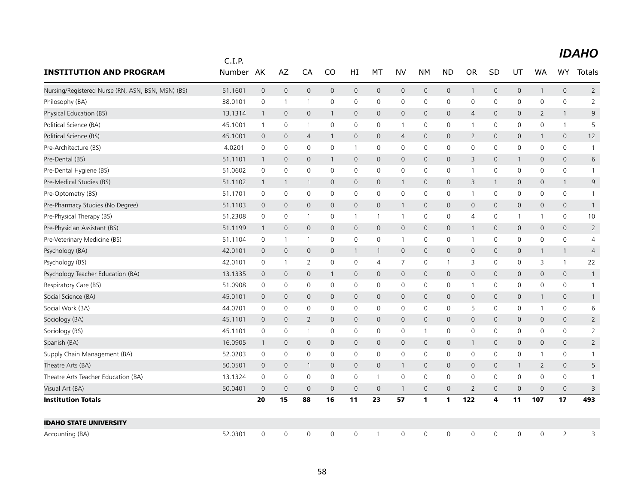|                                                   | C.I.P.  |                |                |                |              |                     |                |                |              |                |                     |                |                |                |                     |                |
|---------------------------------------------------|---------|----------------|----------------|----------------|--------------|---------------------|----------------|----------------|--------------|----------------|---------------------|----------------|----------------|----------------|---------------------|----------------|
| <b>INSTITUTION AND PROGRAM</b>                    | Number  | AK             | AZ             | CA             | CO           | HI                  | MT             | <b>NV</b>      | <b>NM</b>    | <b>ND</b>      | <b>OR</b>           | SD             | UT             | <b>WA</b>      | <b>WY</b>           | Totals         |
| Nursing/Registered Nurse (RN, ASN, BSN, MSN) (BS) | 51.1601 | $\mathbf 0$    | $\mathbf 0$    | $\mathbf{0}$   | $\mathbf{0}$ | $\mathbf 0$         | $\mathbf{0}$   | $\mathbf 0$    | $\mathbf 0$  | $\mathbf 0$    | $\mathbf{1}$        | $\mathbf{0}$   | $\mathbf{0}$   | $\mathbf{1}$   | $\mathbf{0}$        | $\overline{2}$ |
| Philosophy (BA)                                   | 38.0101 | $\mathbf 0$    | $\overline{1}$ | $\mathbf{1}$   | 0            | 0                   | $\mathbf 0$    | 0              | $\mathsf{O}$ | $\mathbf 0$    | 0                   | $\mathbf 0$    | 0              | $\mathbf 0$    | 0                   | $\overline{2}$ |
| Physical Education (BS)                           | 13.1314 | $\overline{1}$ | $\mathbf 0$    | 0              | $\mathbf{1}$ | $\mathbf 0$         | $\mathbf{0}$   | $\mathsf{O}$   | $\mathbf 0$  | $\mathbf 0$    | $\overline{4}$      | $\mathbf 0$    | $\mathsf{O}$   | $\overline{2}$ | $\mathbf{1}$        | 9              |
| Political Science (BA)                            | 45.1001 | $\overline{1}$ | $\mathbf 0$    | $\overline{1}$ | $\mathbf 0$  | $\mathsf 0$         | $\mathbf 0$    | $\mathbf{1}$   | $\mathsf{O}$ | $\mathbf 0$    | $\mathbf 1$         | 0              | $\mathsf{O}$   | $\mathbf 0$    | $\mathbf{1}$        | 5              |
| Political Science (BS)                            | 45.1001 | $\mathbf 0$    | $\mathbf 0$    | $\overline{4}$ | 1            | $\mathsf{O}\xspace$ | $\mathbf 0$    | $\overline{4}$ | $\mathbf 0$  | $\mathbf 0$    | $\overline{2}$      | $\mathbf{0}$   | $\mathsf{O}$   | $\mathbf{1}$   | 0                   | 12             |
| Pre-Architecture (BS)                             | 4.0201  | 0              | 0              | 0              | 0            | $\mathbf{1}$        | 0              | 0              | 0            | 0              | $\mathbf 0$         | 0              | 0              | 0              | 0                   | 1              |
| Pre-Dental (BS)                                   | 51.1101 | $\overline{1}$ | $\mathbf 0$    | 0              | $\mathbf{1}$ | $\mathsf{O}\xspace$ | $\mathbf{0}$   | $\mathsf{O}$   | $\mathbf 0$  | $\mathbf 0$    | 3                   | $\mathbf 0$    | 1              | 0              | $\mathsf{O}\xspace$ | 6              |
| Pre-Dental Hygiene (BS)                           | 51.0602 | 0              | 0              | 0              | 0            | 0                   | 0              | 0              | 0            | 0              | $\mathbf{1}$        | 0              | 0              | 0              | 0                   | 1              |
| Pre-Medical Studies (BS)                          | 51.1102 | $\overline{1}$ | $\mathbf{1}$   | 1              | $\mathbf 0$  | $\mathsf{O}\xspace$ | $\mathbf 0$    | $\mathbf{1}$   | $\mathbf 0$  | $\mathbf 0$    | 3                   | 1              | $\mathbf 0$    | $\mathsf{O}$   | $\mathbf{1}$        | 9              |
| Pre-Optometry (BS)                                | 51.1701 | $\mathbf 0$    | $\mathbf 0$    | 0              | 0            | 0                   | 0              | 0              | $\mathsf{O}$ | $\mathbf 0$    | $\mathbf{1}$        | 0              | 0              | 0              | 0                   | 1              |
| Pre-Pharmacy Studies (No Degree)                  | 51.1103 | $\mathbf{0}$   | $\mathbf{0}$   | $\mathbf{0}$   | $\mathbf{0}$ | $\mathbf 0$         | $\mathbf{0}$   | $\mathbf{1}$   | $\mathbf{0}$ | $\overline{0}$ | $\mathbf{0}$        | $\mathbf 0$    | $\mathbf 0$    | 0              | $\mathbf{0}$        | $\mathbf{1}$   |
| Pre-Physical Therapy (BS)                         | 51.2308 | $\mathbf 0$    | 0              | $\mathbf{1}$   | 0            | $\mathbf{1}$        | $\mathbf{1}$   | $\mathbf{1}$   | $\mathsf{O}$ | $\mathbf 0$    | 4                   | 0              | $\mathbf{1}$   | 1              | 0                   | 10             |
| Pre-Physician Assistant (BS)                      | 51.1199 | $\overline{1}$ | $\mathbf{0}$   | $\mathbf{0}$   | $\mathbf{0}$ | $\mathbf 0$         | $\mathbf{0}$   | $\mathsf{O}$   | $\mathbf{0}$ | $\overline{0}$ | $\mathbf{1}$        | $\mathbf{0}$   | $\mathbf{0}$   | 0              | $\mathbf{0}$        | $\overline{2}$ |
| Pre-Veterinary Medicine (BS)                      | 51.1104 | $\mathbf 0$    | $\mathbf{1}$   | $\mathbf{1}$   | $\mathbf 0$  | $\mathsf 0$         | $\mathbf 0$    | $\mathbf{1}$   | $\mathbf 0$  | $\mathbf 0$    | $\mathbf{1}$        | $\mathbf 0$    | 0              | 0              | 0                   | $\overline{4}$ |
| Psychology (BA)                                   | 42.0101 | $\mathbf 0$    | $\mathbf 0$    | 0              | 0            | $\mathbf{1}$        | $\mathbf{1}$   | $\mathsf{O}$   | $\mathbf 0$  | $\mathbf 0$    | $\mathbf 0$         | $\mathbf 0$    | $\mathsf{O}$   | $\mathbf{1}$   | $\mathbf{1}$        | $\overline{4}$ |
| Psychology (BS)                                   | 42.0101 | 0              | -1             | 2              | 0            | 0                   | 4              | 7              | 0            | $\overline{1}$ | 3                   | 0              | 0              | 3              | $\mathbf{1}$        | 22             |
| Psychology Teacher Education (BA)                 | 13.1335 | $\mathbf 0$    | $\mathbf 0$    | 0              | 1            | $\mathbf 0$         | $\mathbf 0$    | $\mathsf{O}$   | $\mathbf 0$  | $\mathbf 0$    | $\mathsf{O}\xspace$ | $\mathbf 0$    | $\mathsf{O}$   | 0              | $\mathsf{O}\xspace$ | $\mathbf{1}$   |
| Respiratory Care (BS)                             | 51.0908 | 0              | 0              | 0              | $\mathbf 0$  | 0                   | 0              | 0              | $\mathbf 0$  | 0              | $\mathbf 1$         | 0              | $\mathsf{O}$   | 0              | 0                   | $\mathbf{1}$   |
| Social Science (BA)                               | 45.0101 | $\mathbf 0$    | $\mathbf{0}$   | $\mathbf{0}$   | $\mathbf 0$  | $\mathbf{0}$        | $\mathbf{0}$   | $\mathsf{O}$   | $\mathbf{0}$ | $\mathbf{0}$   | $\mathbf{0}$        | $\mathbf{0}$   | $\overline{0}$ | $\mathbf{1}$   | $\mathsf{O}\xspace$ |                |
| Social Work (BA)                                  | 44.0701 | 0              | 0              | 0              | $\mathbf 0$  | 0                   | 0              | 0              | $\mathbf 0$  | 0              | 5                   | 0              | 0              | 1              | 0                   | 6              |
| Sociology (BA)                                    | 45.1101 | $\mathbf 0$    | $\mathbf{0}$   | $\overline{2}$ | $\mathbf{0}$ | $\mathbf{0}$        | $\mathbf{0}$   | $\mathsf{O}$   | $\mathbf{0}$ | $\mathbf 0$    | $\overline{0}$      | $\mathbf 0$    | $\mathsf{O}$   | 0              | $\mathbf{0}$        | $\overline{2}$ |
| Sociology (BS)                                    | 45.1101 | $\mathbf 0$    | 0              | $\mathbf{1}$   | 0            | 0                   | 0              | 0              | $\mathbf{1}$ | $\mathbf 0$    | 0                   | 0              | 0              | 0              | 0                   | $\overline{2}$ |
| Spanish (BA)                                      | 16.0905 | $\overline{1}$ | $\mathbf 0$    | $\mathbf{0}$   | $\mathbf{0}$ | $\mathbf 0$         | $\mathbf{0}$   | $\mathsf{O}$   | $\mathbf{0}$ | $\mathbf 0$    | $\mathbf{1}$        | $\mathbf{0}$   | $\mathbf{0}$   | 0              | $\mathbf{0}$        | 2              |
| Supply Chain Management (BA)                      | 52.0203 | 0              | $\mathbf 0$    | 0              | 0            | 0                   | 0              | 0              | $\mathsf{O}$ | $\mathbf 0$    | $\mathbf 0$         | 0              | $\mathsf{O}$   | 1              | 0                   | $\mathbf{1}$   |
| Theatre Arts (BA)                                 | 50.0501 | $\mathbf 0$    | $\mathbf 0$    | 1              | $\mathbf 0$  | $\mathbf 0$         | $\mathbf 0$    | $\mathbf{1}$   | $\mathbf 0$  | $\mathbf 0$    | $\mathbf 0$         | $\mathbf 0$    | $\mathbf{1}$   | $\overline{2}$ | 0                   | 5              |
| Theatre Arts Teacher Education (BA)               | 13.1324 | $\mathbf 0$    | $\mathbf 0$    | 0              | $\mathbf 0$  | 0                   | $\mathbf{1}$   | 0              | $\mathsf{O}$ | $\mathbf 0$    | $\mathbf 0$         | $\mathbf 0$    | $\mathsf{O}$   | $\mathbf 0$    | 0                   | -1             |
| Visual Art (BA)                                   | 50.0401 | $\overline{0}$ | $\overline{0}$ | $\overline{0}$ | $\mathbf{0}$ | $\mathsf{O}\xspace$ | $\overline{0}$ | $\mathbf{1}$   | $\mathbf{0}$ | $\mathbf 0$    | $\overline{2}$      | $\overline{0}$ | $\overline{0}$ | 0              | $\mathsf{O}\xspace$ | 3              |
| <b>Institution Totals</b>                         |         | 20             | 15             | 88             | 16           | 11                  | 23             | 57             | $\mathbf{1}$ | $\mathbf{1}$   | 122                 | 4              | 11             | 107            | 17                  | 493            |
| <b>IDAHO STATE UNIVERSITY</b>                     |         |                |                |                |              |                     |                |                |              |                |                     |                |                |                |                     |                |
| Accounting (BA)                                   | 52.0301 | $\mathbf 0$    | $\mathbf 0$    | 0              | $\mathbf 0$  | 0                   | $\mathbf{1}$   | $\mathbf 0$    | $\mathbf 0$  | $\mathbf 0$    | $\mathbf 0$         | $\mathbf 0$    | $\mathsf{O}$   | $\mathbf 0$    | $\overline{2}$      | 3              |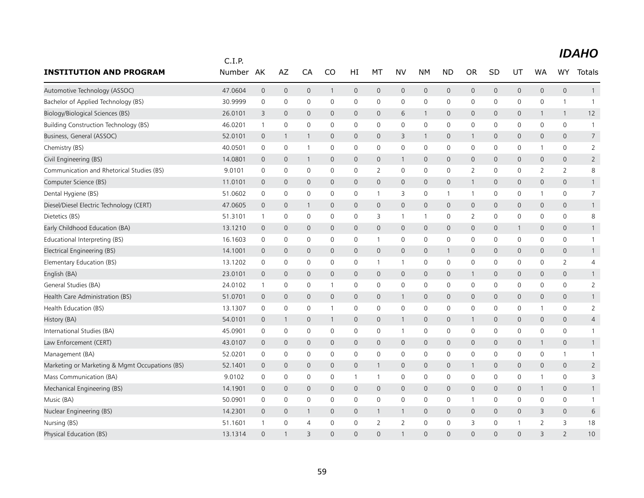|                                                | C.I.P.    |                |              |                |              |                |                     |                |                     |                     |                     |              |              |                |                     |                |
|------------------------------------------------|-----------|----------------|--------------|----------------|--------------|----------------|---------------------|----------------|---------------------|---------------------|---------------------|--------------|--------------|----------------|---------------------|----------------|
| <b>INSTITUTION AND PROGRAM</b>                 | Number AK |                | AZ           | CA             | CO           | HI             | МT                  | <b>NV</b>      | <b>NM</b>           | <b>ND</b>           | <b>OR</b>           | SD           | UT           | <b>WA</b>      | <b>WY</b>           | Totals         |
| Automotive Technology (ASSOC)                  | 47.0604   | $\mathbf{0}$   | $\mathbf 0$  | $\mathsf{O}$   | 1            | $\mathbf{0}$   | $\mathbf{0}$        | $\mathsf{O}$   | $\mathbf 0$         | $\mathbf 0$         | $\mathbf{0}$        | $\mathbf{0}$ | $\mathsf{O}$ | 0              | $\mathbf{0}$        | $\mathbf{1}$   |
| Bachelor of Applied Technology (BS)            | 30.9999   | $\mathbf 0$    | $\mathbf 0$  | 0              | $\mathbf 0$  | 0              | $\mathbf 0$         | 0              | $\mathsf{O}$        | $\mathsf 0$         | 0                   | 0            | 0            | 0              | $\mathbf{1}$        | $\mathbf{1}$   |
| Biology/Biological Sciences (BS)               | 26.0101   | 3              | $\mathbf{0}$ | $\mathbf{0}$   | $\Omega$     | $\Omega$       | $\Omega$            | 6              | $\mathbf{1}$        | $\mathbf 0$         | $\mathbf 0$         | $\Omega$     | $\mathsf{O}$ | 1              | $\mathbf{1}$        | 12             |
| <b>Building Construction Technology (BS)</b>   | 46.0201   | $\mathbf{1}$   | 0            | 0              | $\mathbf{0}$ | 0              | 0                   | $\mathbf 0$    | $\mathbf 0$         | $\mathbf 0$         | $\mathbf 0$         | 0            | 0            | 0              | $\mathbf 0$         | $\overline{1}$ |
| Business, General (ASSOC)                      | 52.0101   | $\overline{0}$ | 1            | 1              | $\mathbf 0$  | $\mathbf 0$    | $\mathbf 0$         | 3              | $\mathbf{1}$        | $\mathbf 0$         | $\mathbf{1}$        | 0            | 0            | 0              | $\mathbf 0$         | $\overline{7}$ |
| Chemistry (BS)                                 | 40.0501   | $\mathbf 0$    | $\mathbf 0$  | $\mathbf{1}$   | $\mathbf 0$  | 0              | $\mathbf 0$         | 0              | $\mathbf 0$         | $\mathsf 0$         | 0                   | 0            | 0            | 1              | $\mathbf 0$         | $\overline{2}$ |
| Civil Engineering (BS)                         | 14.0801   | $\mathbf 0$    | $\mathbf 0$  | $\overline{1}$ | $\mathbf 0$  | $\mathbf 0$    | $\mathbf 0$         | $\mathbf{1}$   | $\mathbf 0$         | $\mathbf 0$         | 0                   | $\mathbf 0$  | 0            | 0              | $\mathbf 0$         | $\overline{2}$ |
| Communication and Rhetorical Studies (BS)      | 9.0101    | 0              | 0            | 0              | 0            | 0              | 2                   | 0              | 0                   | 0                   | 2                   | 0            | 0            | 2              | 2                   | 8              |
| Computer Science (BS)                          | 11.0101   | $\overline{0}$ | $\mathbf 0$  | $\mathbf 0$    | $\mathsf{O}$ | $\mathbf 0$    | $\mathsf{O}\xspace$ | $\mathsf{O}$   | $\mathbf 0$         | $\mathsf{O}\xspace$ | 1                   | $\mathbf 0$  | 0            | 0              | $\mathbf{0}$        | $\mathbf{1}$   |
| Dental Hygiene (BS)                            | 51.0602   | 0              | 0            | 0              | 0            | 0              | $\mathbf{1}$        | 3              | 0                   | $\mathbf{1}$        | $\mathbf 1$         | 0            | 0            | 1              | 0                   | $\overline{7}$ |
| Diesel/Diesel Electric Technology (CERT)       | 47.0605   | $\overline{0}$ | $\mathbf 0$  | $\mathbf{1}$   | $\mathbf 0$  | $\mathbf{0}$   | $\mathbf{0}$        | $\overline{0}$ | $\mathbf{0}$        | $\mathbf{0}$        | $\mathsf{O}\xspace$ | $\mathbf{0}$ | 0            | 0              | $\mathbf{0}$        | $\mathbf{1}$   |
| Dietetics (BS)                                 | 51.3101   | $\overline{1}$ | 0            | 0              | 0            | 0              | 3                   | $\mathbf{1}$   | $\mathbf{1}$        | 0                   | 2                   | 0            | 0            | 0              | 0                   | 8              |
| Early Childhood Education (BA)                 | 13.1210   | $\overline{0}$ | $\mathbf 0$  | $\mathbf{0}$   | $\mathbf{0}$ | $\overline{0}$ | $\mathsf{O}$        | $\mathsf{O}$   | $\mathbf 0$         | $\mathsf{O}\xspace$ | 0                   | $\mathbf{0}$ | $\mathbf{1}$ | 0              | $\mathbf{0}$        | $\mathbf{1}$   |
| Educational Interpreting (BS)                  | 16.1603   | 0              | 0            | 0              | 0            | 0              | $\mathbf{1}$        | 0              | 0                   | $\mathsf{O}\xspace$ | 0                   | 0            | 0            | 0              | $\mathsf{O}\xspace$ | $\mathbf{1}$   |
| Electrical Engineering (BS)                    | 14.1001   | $\mathbf{0}$   | $\mathbf 0$  | $\mathbf{0}$   | $\mathbf{0}$ | $\overline{0}$ | $\mathsf{O}$        | $\mathsf{O}$   | $\mathbf{0}$        | $\mathbf{1}$        | $\mathbf{0}$        | $\mathbf{0}$ | 0            | $\overline{0}$ | $\mathbf{0}$        | $\mathbf{1}$   |
| Elementary Education (BS)                      | 13.1202   | 0              | 0            | 0              | 0            | 0              | 1                   | $\mathbf{1}$   | 0                   | $\mathsf{O}$        | 0                   | 0            | 0            | 0              | 2                   | 4              |
| English (BA)                                   | 23.0101   | $\overline{0}$ | $\mathbf 0$  | 0              | $\mathbf{0}$ | $\mathbf{0}$   | $\mathbf{0}$        | $\mathsf{O}$   | $\mathbf 0$         | $\mathbf 0$         | $\mathbf 1$         | $\mathbf 0$  | 0            | 0              | $\mathbf{0}$        | $\mathbf{1}$   |
| General Studies (BA)                           | 24.0102   | $\mathbf{1}$   | 0            | 0              | $\mathbf{1}$ | 0              | 0                   | 0              | $\mathsf{O}$        | $\mathbf 0$         | 0                   | 0            | 0            | 0              | $\mathsf{O}\xspace$ | $\overline{2}$ |
| Health Care Administration (BS)                | 51.0701   | $\overline{0}$ | $\mathbf{0}$ | $\mathbf{0}$   | $\mathbf{0}$ | $\mathbf{0}$   | $\mathbf{0}$        | $\mathbf{1}$   | $\mathbf{0}$        | $\mathbf 0$         | $\mathbf{0}$        | $\mathbf 0$  | $\mathsf{O}$ | 0              | $\mathbf{0}$        | $\mathbf{1}$   |
| Health Education (BS)                          | 13.1307   | 0              | 0            | 0              | $\mathbf{1}$ | 0              | 0                   | 0              | $\mathsf{O}$        | $\mathbf 0$         | 0                   | 0            | 0            | 1              | 0                   | $\overline{2}$ |
| History (BA)                                   | 54.0101   | $\overline{0}$ | 1            | $\mathbf 0$    | $\mathbf{1}$ | $\mathbf 0$    | 0                   | $\mathbf{1}$   | $\mathbf 0$         | $\mathbf 0$         | 1                   | 0            | 0            | 0              | $\mathbf 0$         | 4              |
| International Studies (BA)                     | 45.0901   | 0              | $\mathbf 0$  | 0              | $\mathbf 0$  | 0              | $\mathbf 0$         | $\mathbf{1}$   | $\mathsf 0$         | $\mathsf 0$         | 0                   | 0            | 0            | 0              | $\mathsf{O}\xspace$ | $\mathbf{1}$   |
| Law Enforcement (CERT)                         | 43.0107   | $\overline{0}$ | $\mathbf 0$  | $\mathbf 0$    | $\mathsf{O}$ | $\mathbf 0$    | 0                   | $\mathsf{O}$   | $\mathbf 0$         | $\mathbf 0$         | 0                   | $\mathbf 0$  | 0            | $\mathbf{1}$   | $\mathsf{O}\xspace$ | $\mathbf{1}$   |
| Management (BA)                                | 52.0201   | 0              | 0            | 0              | 0            | 0              | 0                   | 0              | 0                   | 0                   | 0                   | 0            | 0            | 0              | $\mathbf{1}$        | -1             |
| Marketing or Marketing & Mgmt Occupations (BS) | 52.1401   | $\overline{0}$ | $\mathbf 0$  | 0              | $\mathsf{O}$ | $\mathbf 0$    | $\mathbf{1}$        | $\mathsf{O}$   | $\mathbf 0$         | $\mathbf 0$         | 1                   | $\mathbf 0$  | 0            | 0              | $\mathbf 0$         | $\overline{2}$ |
| Mass Communication (BA)                        | 9.0102    | 0              | 0            | 0              | 0            | $\mathbf{1}$   | $\mathbf{1}$        | 0              | 0                   | $\mathsf 0$         | 0                   | 0            | 0            | 1              | 0                   | 3              |
| Mechanical Engineering (BS)                    | 14.1901   | $\mathbf 0$    | $\mathbf 0$  | $\mathbf{0}$   | $\mathbf{0}$ | $\overline{0}$ | $\mathbf{0}$        | $\mathsf{O}$   | $\mathbf{0}$        | $\mathbf 0$         | 0                   | $\mathbf{0}$ | 0            | $\mathbf{1}$   | $\mathsf{O}\xspace$ | $\mathbf{1}$   |
| Music (BA)                                     | 50.0901   | 0              | 0            | 0              | 0            | 0              | 0                   | $\mathbf 0$    | $\mathbf 0$         | $\mathbf 0$         | $\mathbf{1}$        | 0            | 0            | 0              | $\mathbf 0$         | $\overline{1}$ |
| Nuclear Engineering (BS)                       | 14.2301   | $\mathbf 0$    | $\mathbf 0$  | $\mathbf{1}$   | $\mathbf{0}$ | $\mathbf 0$    | $\mathbf{1}$        | $\mathbf{1}$   | $\mathbf{0}$        | $\mathsf{O}\xspace$ | 0                   | $\mathbf{0}$ | 0            | 3              | $\mathbf{0}$        | 6              |
| Nursing (BS)                                   | 51.1601   | $\overline{1}$ | $\mathbf 0$  | $\overline{4}$ | 0            | 0              | $\overline{2}$      | $\overline{2}$ | $\mathsf{O}\xspace$ | $\mathsf 0$         | 3                   | 0            | 1            | $\overline{2}$ | 3                   | 18             |
| Physical Education (BS)                        | 13.1314   | $\Omega$       | 1            | 3              | $\Omega$     | $\Omega$       | $\Omega$            | $\mathbf{1}$   | $\Omega$            | $\overline{0}$      | $\Omega$            | $\Omega$     | $\Omega$     | 3              | $\overline{2}$      | 10             |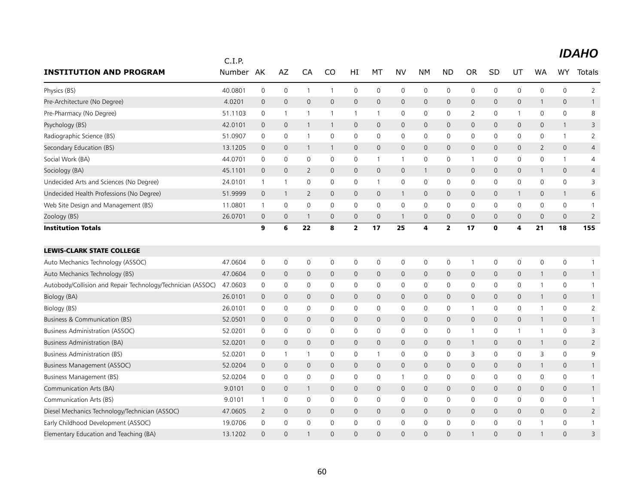|                                                             | C.I.P.  |              |                     |                |              |                         |              |                     |              |                     |                |              |              |              |              |                |
|-------------------------------------------------------------|---------|--------------|---------------------|----------------|--------------|-------------------------|--------------|---------------------|--------------|---------------------|----------------|--------------|--------------|--------------|--------------|----------------|
| <b>INSTITUTION AND PROGRAM</b>                              | Number  | AK           | AZ                  | CA             | CO           | HI                      | МT           | <b>NV</b>           | NΜ           | <b>ND</b>           | <b>OR</b>      | SD           | UT           | <b>WA</b>    | <b>WY</b>    | Totals         |
| Physics (BS)                                                | 40.0801 | $\mathbf 0$  | $\mathbf 0$         | $\mathbf{1}$   | $\mathbf{1}$ | 0                       | $\mathbf 0$  | $\mathsf{O}\xspace$ | $\mathsf{O}$ | $\mathsf{O}\xspace$ | $\mathbf 0$    | 0            | $\mathbf 0$  | 0            | 0            | $\overline{2}$ |
| Pre-Architecture (No Degree)                                | 4.0201  | $\mathbf 0$  | $\mathsf{O}\xspace$ | $\mathbf 0$    | 0            | 0                       | $\mathbf 0$  | $\mathbf 0$         | $\mathsf{O}$ | $\mathbf 0$         | $\mathbf 0$    | 0            | $\mathsf{O}$ | 1            | 0            | 1              |
| Pre-Pharmacy (No Degree)                                    | 51.1103 | $\mathbf 0$  | $\mathbf{1}$        | $\overline{1}$ |              | 1                       | $\mathbf{1}$ | 0                   | $\mathsf{O}$ | $\mathbf 0$         | $\overline{2}$ | 0            | $\mathbf{1}$ | 0            | 0            | 8              |
| Psychology (BS)                                             | 42.0101 | $\mathbf 0$  | $\mathbf 0$         | $\overline{1}$ | $\mathbf 1$  | 0                       | 0            | $\mathbf{0}$        | $\mathbf{0}$ | $\mathbf{0}$        | $\mathbf{0}$   | $\Omega$     | $\mathbf{0}$ | 0            | $\mathbf{1}$ | 3              |
| Radiographic Science (BS)                                   | 51.0907 | $\mathbf 0$  | $\mathbf 0$         | $\overline{1}$ | 0            | 0                       | $\mathbf 0$  | $\mathbf 0$         | $\mathsf{O}$ | $\mathbf 0$         | $\mathbf 0$    | 0            | $\mathbf 0$  | 0            | $\mathbf{1}$ | $\overline{2}$ |
| Secondary Education (BS)                                    | 13.1205 | $\mathbf 0$  | $\mathbf 0$         | $\overline{1}$ | $\mathbf{1}$ | 0                       | $\mathbf 0$  | $\mathbf{0}$        | $\mathbf{0}$ | $\mathbf 0$         | $\mathbf{0}$   | 0            | $\mathbf{0}$ | 2            | 0            | $\overline{4}$ |
| Social Work (BA)                                            | 44.0701 | 0            | $\mathbf 0$         | $\mathbf 0$    | 0            | 0                       | 1            | 1                   | $\mathbf 0$  | $\mathsf{O}$        | -1             | 0            | $\mathbf 0$  | 0            | $\mathbf{1}$ | 4              |
| Sociology (BA)                                              | 45.1101 | $\mathbf{0}$ | $\mathbf 0$         | $\overline{2}$ | $\mathbf{0}$ | 0                       | $\mathbf 0$  | $\mathbf 0$         | $\mathbf{1}$ | $\mathbf 0$         | $\mathbf 0$    | 0            | $\mathsf{O}$ | 1            | 0            | 4              |
| Undecided Arts and Sciences (No Degree)                     | 24.0101 | $\mathbf{1}$ | $\mathbf{1}$        | $\mathbf 0$    | $\mathbf 0$  | 0                       | $\mathbf{1}$ | $\mathsf{O}\xspace$ | $\mathsf{O}$ | $\mathbf 0$         | $\mathbf 0$    | $\mathbf 0$  | $\mathbf 0$  | 0            | 0            | 3              |
| Undecided Health Professions (No Degree)                    | 51.9999 | $\mathbf 0$  | $\mathbf{1}$        | 2              | $\mathbf 0$  | $\mathsf{O}$            | $\mathbf 0$  | $\mathbf{1}$        | $\mathbf{0}$ | $\mathbf{0}$        | $\mathbf{0}$   | $\mathbf 0$  | 1            | 0            | $\mathbf{1}$ | 6              |
| Web Site Design and Management (BS)                         | 11.0801 | $\mathbf{1}$ | $\mathbf 0$         | $\mathbf 0$    | 0            | 0                       | $\mathbf 0$  | $\mathbf 0$         | $\mathbf 0$  | $\mathbf 0$         | $\mathbf 0$    | 0            | $\mathbf 0$  | 0            | 0            |                |
| Zoology (BS)                                                | 26.0701 | $\mathbf 0$  | $\mathbf 0$         | -1             | $\mathbf 0$  | 0                       | $\mathbf 0$  | $\mathbf{1}$        | $\mathbf 0$  | $\mathbf{0}$        | $\mathbf{0}$   | 0            | 0            | 0            | $\mathbf{0}$ | $\overline{2}$ |
| <b>Institution Totals</b>                                   |         | 9            | 6                   | 22             | 8            | $\overline{\mathbf{2}}$ | 17           | 25                  | 4            | $\mathbf{2}$        | 17             | $\mathbf 0$  | 4            | 21           | 18           | 155            |
| <b>LEWIS-CLARK STATE COLLEGE</b>                            |         |              |                     |                |              |                         |              |                     |              |                     |                |              |              |              |              |                |
| Auto Mechanics Technology (ASSOC)                           | 47.0604 | 0            | $\mathbf 0$         | $\mathbf 0$    | 0            | 0                       | 0            | 0                   | 0            | 0                   | $\overline{1}$ | 0            | 0            | 0            | 0            | -1             |
| Auto Mechanics Technology (BS)                              | 47.0604 | $\mathbf 0$  | $\mathbf 0$         | $\mathbf 0$    | 0            | 0                       | $\mathbf 0$  | $\mathbf 0$         | $\mathsf{O}$ | $\mathbf 0$         | $\mathbf 0$    | 0            | $\mathsf{O}$ | $\mathbf{1}$ | 0            |                |
| Autobody/Collision and Repair Technology/Technician (ASSOC) | 47.0603 | 0            | $\mathbf 0$         | $\mathbf 0$    | 0            | 0                       | $\mathbf 0$  | 0                   | $\mathbf 0$  | $\mathsf{O}$        | $\mathbf 0$    | 0            | $\mathsf{O}$ | 1            | 0            | $\mathbf{1}$   |
| Biology (BA)                                                | 26.0101 | $\mathbf 0$  | $\mathbf 0$         | $\mathbf 0$    | $\mathbf{0}$ | 0                       | 0            | $\mathbf 0$         | $\mathsf{O}$ | $\mathbf 0$         | $\mathbf 0$    | 0            | $\mathsf{O}$ | 1            | 0            | $\mathbf{1}$   |
| Biology (BS)                                                | 26.0101 | 0            | $\mathbf 0$         | $\mathbf 0$    | 0            | 0                       | 0            | $\mathbf 0$         | $\mathsf{O}$ | $\mathbf 0$         | $\overline{1}$ | 0            | $\mathbf 0$  | 1            | 0            | $\overline{2}$ |
| Business & Communication (BS)                               | 52.0501 | 0            | $\mathbf 0$         | $\mathbf 0$    | $\mathbf{0}$ | 0                       | $\mathbf 0$  | $\mathbf 0$         | $\mathsf{O}$ | $\mathbf 0$         | $\mathbf 0$    | 0            | $\mathsf{O}$ | $\mathbf{1}$ | 0            | $\mathbf{1}$   |
| <b>Business Administration (ASSOC)</b>                      | 52.0201 | $\mathbf 0$  | $\mathbf 0$         | $\mathbf 0$    | 0            | 0                       | $\mathbf 0$  | $\mathbf 0$         | $\mathsf{O}$ | $\mathbf 0$         | $\overline{1}$ | 0            | 1            | 1            | 0            | 3              |
| Business Administration (BA)                                | 52.0201 | $\mathbf 0$  | $\mathbf 0$         | $\mathbf{0}$   | $\mathbf{0}$ | $\mathsf{O}$            | 0            | $\mathbf{0}$        | $\mathbf{0}$ | $\mathbf 0$         | $\overline{1}$ | $\mathbf{0}$ | $\mathsf{O}$ | 1            | $\mathbf{0}$ | $\overline{2}$ |
| <b>Business Administration (BS)</b>                         | 52.0201 | $\mathbf 0$  | $\mathbf{1}$        | $\overline{1}$ | 0            | 0                       | $\mathbf{1}$ | 0                   | $\mathsf{O}$ | $\mathbf 0$         | 3              | $\mathbf 0$  | $\mathbf 0$  | 3            | 0            | 9              |
| Business Management (ASSOC)                                 | 52.0204 | $\mathbf 0$  | $\mathbf{0}$        | $\mathbf{0}$   | $\mathbf{0}$ | $\mathsf{O}$            | $\mathbf{0}$ | $\mathbf{0}$        | $\mathbf{0}$ | $\mathbf{0}$        | $\mathbf{0}$   | 0            | $\mathbf{0}$ | $\mathbf{1}$ | $\mathbf{0}$ | $\mathbf{1}$   |
| Business Management (BS)                                    | 52.0204 | $\mathbf 0$  | $\mathbf 0$         | $\mathbf 0$    | 0            | 0                       | $\mathbf 0$  | $\mathbf{1}$        | $\mathsf{O}$ | $\mathbf 0$         | $\mathbf 0$    | 0            | $\mathbf 0$  | 0            | 0            | $\mathbf{1}$   |
| Communication Arts (BA)                                     | 9.0101  | $\mathbf 0$  | $\mathbf{0}$        | $\overline{1}$ | $\mathbf 0$  | $\mathsf{O}$            | $\Omega$     | $\mathbf{0}$        | $\mathbf{0}$ | $\mathbf{0}$        | $\mathbf 0$    | 0            | $\mathbf{0}$ | 0            | $\mathbf{0}$ | $\mathbf{1}$   |
| Communication Arts (BS)                                     | 9.0101  | $\mathbf{1}$ | $\mathbf 0$         | $\mathbf 0$    | 0            | 0                       | $\mathbf 0$  | $\mathbf 0$         | $\mathsf{O}$ | $\mathbf 0$         | $\mathbf 0$    | 0            | $\mathbf 0$  | 0            | 0            | $\mathbf{1}$   |
| Diesel Mechanics Technology/Technician (ASSOC)              | 47.0605 | 2            | $\mathbf 0$         | $\mathbf{0}$   | $\mathbf{0}$ | $\mathsf{O}$            | $\mathbf{0}$ | $\mathbf{0}$        | $\mathbf{0}$ | $\mathbf{0}$        | $\mathbf{0}$   | 0            | $\mathbf{0}$ | 0            | $\mathbf{0}$ | $\overline{2}$ |
| Early Childhood Development (ASSOC)                         | 19.0706 | 0            | $\mathbf 0$         | $\mathbf 0$    | 0            | 0                       | $\mathbf 0$  | $\mathbf 0$         | $\mathbf 0$  | $\mathbf 0$         | $\mathbf 0$    | 0            | $\mathbf 0$  |              | 0            | $\mathbf{1}$   |
| Elementary Education and Teaching (BA)                      | 13.1202 | $\Omega$     | $\Omega$            |                | $\Omega$     | $\Omega$                | $\Omega$     | $\Omega$            | $\Omega$     | $\Omega$            |                | $\Omega$     | $\Omega$     |              | $\Omega$     | 3              |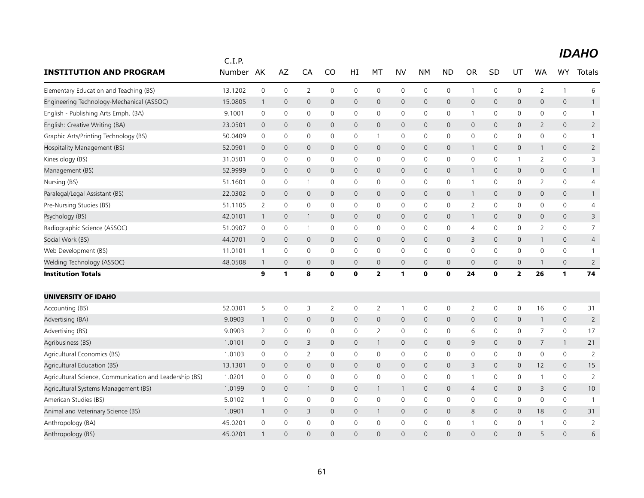|                                                         | C.I.P.  |                |                |                |              |              |                |                     |              |                |                |             |                |                |                     |                |
|---------------------------------------------------------|---------|----------------|----------------|----------------|--------------|--------------|----------------|---------------------|--------------|----------------|----------------|-------------|----------------|----------------|---------------------|----------------|
| <b>INSTITUTION AND PROGRAM</b>                          | Number  | AK             | AZ             | CA             | CO           | HI           | МT             | <b>NV</b>           | <b>NM</b>    | <b>ND</b>      | <b>OR</b>      | <b>SD</b>   | UT             | WA             | <b>WY</b>           | <b>Totals</b>  |
| Elementary Education and Teaching (BS)                  | 13.1202 | $\mathbf 0$    | $\mathbf 0$    | $\overline{2}$ | $\mathbf 0$  | $\mathbf 0$  | $\mathbf 0$    | $\mathbf 0$         | $\mathbf 0$  | $\mathsf{O}$   | $\mathbf 1$    | $\mathbf 0$ | 0              | $\overline{2}$ | $\mathbf{1}$        | 6              |
| Engineering Technology-Mechanical (ASSOC)               | 15.0805 | $\overline{1}$ | $\mathbf 0$    | $\mathbf 0$    | $\mathsf{O}$ | $\mathbf 0$  | $\mathbf 0$    | $\mathsf{O}$        | $\mathbf 0$  | $\mathbf 0$    | $\mathbf 0$    | $\mathbf 0$ | 0              | 0              | $\mathsf{O}$        | $\mathbf{1}$   |
| English - Publishing Arts Emph. (BA)                    | 9.1001  | $\mathbf 0$    | $\mathbf 0$    | $\mathbf 0$    | $\mathbf 0$  | $\mathbf 0$  | 0              | $\mathbf 0$         | $\mathbf 0$  | $\mathbf 0$    | $\mathbf{1}$   | $\mathbf 0$ | 0              | 0              | $\mathbf 0$         | $\mathbf{1}$   |
| English: Creative Writing (BA)                          | 23.0501 | $\mathbf 0$    | $\mathbf 0$    | $\mathbf 0$    | $\mathbf 0$  | $\mathbf 0$  | $\mathbf 0$    | $\mathbf 0$         | $\mathbf 0$  | $\mathbf 0$    | $\mathbf 0$    | $\mathbf 0$ | 0              | 2              | $\mathbf 0$         | $\overline{2}$ |
| Graphic Arts/Printing Technology (BS)                   | 50.0409 | $\mathbf 0$    | $\mathbf 0$    | $\mathbf 0$    | 0            | 0            | 1              | $\mathbf 0$         | $\mathbf 0$  | $\mathbf 0$    | 0              | 0           | $\mathbf 0$    | 0              | $\mathbf 0$         | $\mathbf{1}$   |
| Hospitality Management (BS)                             | 52.0901 | $\mathbf 0$    | $\mathbf 0$    | $\mathbf 0$    | $\mathbf 0$  | $\mathbf 0$  | $\mathbf 0$    | $\mathsf{O}$        | $\mathbf 0$  | $\mathbf 0$    | $\mathbf{1}$   | 0           | 0              | $\mathbf{1}$   | $\mathbf 0$         | $\overline{2}$ |
| Kinesiology (BS)                                        | 31.0501 | $\mathbf 0$    | $\mathbf 0$    | 0              | $\mathbf 0$  | 0            | 0              | 0                   | 0            | 0              | 0              | 0           | 1              | 2              | $\mathbf 0$         | 3              |
| Management (BS)                                         | 52.9999 | $\mathbf 0$    | $\mathbf 0$    | $\mathbf 0$    | $\mathbf 0$  | $\pmb{0}$    | $\mathbf 0$    | $\mathsf{O}\xspace$ | $\mathbf 0$  | $\mathbf 0$    | $\mathbf{1}$   | 0           | $\mathsf{O}$   | 0              | $\mathbf 0$         | $\mathbf{1}$   |
| Nursing (BS)                                            | 51.1601 | 0              | 0              | $\mathbf{1}$   | 0            | $\mathbf 0$  | 0              | $\mathbf 0$         | $\mathbf 0$  | $\mathbf 0$    | $\mathbf{1}$   | 0           | 0              | $\overline{2}$ | $\mathsf{O}$        | 4              |
| Paralegal/Legal Assistant (BS)                          | 22.0302 | $\mathbf 0$    | $\mathbf 0$    | $\mathbf 0$    | $\mathbf 0$  | $\mathbf 0$  | $\mathbf 0$    | $\mathbf 0$         | $\mathbf 0$  | $\mathbf 0$    | $\mathbf{1}$   | $\mathbf 0$ | 0              | 0              | $\mathbf 0$         | $\mathbf{1}$   |
| Pre-Nursing Studies (BS)                                | 51.1105 | $\overline{2}$ | $\mathbf 0$    | $\mathbf 0$    | $\mathbf 0$  | 0            | 0              | $\mathbf 0$         | $\mathbf 0$  | $\mathbf 0$    | $\overline{2}$ | 0           | 0              | 0              | $\mathbf 0$         | 4              |
| Psychology (BS)                                         | 42.0101 | $\mathbf{1}$   | $\overline{0}$ | $\mathbf{1}$   | $\mathbf 0$  | $\mathbf 0$  | $\mathbf 0$    | $\mathbf 0$         | $\mathbf 0$  | $\mathbf 0$    | $\mathbf{1}$   | $\mathbf 0$ | 0              | 0              | $\mathbf 0$         | 3              |
| Radiographic Science (ASSOC)                            | 51.0907 | $\mathbf 0$    | $\mathbf 0$    | $\mathbf{1}$   | 0            | $\mathbf 0$  | 0              | $\mathbf 0$         | $\mathbf 0$  | $\mathbf 0$    | 4              | 0           | $\mathbf 0$    | $\overline{2}$ | $\mathbf 0$         | $\overline{7}$ |
| Social Work (BS)                                        | 44.0701 | $\mathbf 0$    | $\mathbf 0$    | $\mathbf 0$    | $\mathbf 0$  | $\mathbf 0$  | $\mathbf 0$    | $\mathbf 0$         | $\mathbf 0$  | $\mathbf 0$    | 3              | $\mathbf 0$ | 0              | $\mathbf{1}$   | $\mathbf 0$         | 4              |
| Web Development (BS)                                    | 11.0101 | $\mathbf{1}$   | $\mathbf 0$    | 0              | $\mathbf 0$  | 0            | 0              | $\mathbf 0$         | $\mathbf 0$  | $\mathbf 0$    | 0              | 0           | 0              | 0              | $\mathbf 0$         | -1             |
| Welding Technology (ASSOC)                              | 48.0508 | $\mathbf{1}$   | $\mathbf 0$    | $\mathbf 0$    | $\mathbf 0$  | $\mathbf 0$  | $\mathbf 0$    | $\mathbf 0$         | $\mathbf 0$  | $\mathbf 0$    | 0              | 0           | 0              | $\mathbf{1}$   | $\mathbf 0$         | $\overline{2}$ |
| <b>Institution Totals</b>                               |         | 9              | 1              | 8              | 0            | 0            | $\overline{2}$ | $\mathbf{1}$        | 0            | $\mathbf 0$    | 24             | 0           | $\mathbf{2}$   | 26             | 1                   | 74             |
| UNIVERSITY OF IDAHO                                     |         |                |                |                |              |              |                |                     |              |                |                |             |                |                |                     |                |
| Accounting (BS)                                         | 52.0301 | 5              | 0              | 3              | 2            | 0            | 2              | $\mathbf{1}$        | 0            | 0              | 2              | 0           | 0              | 16             | 0                   | 31             |
| Advertising (BA)                                        | 9.0903  | $\mathbf{1}$   | $\mathbf 0$    | $\mathbf{0}$   | $\mathbf{0}$ | $\mathbf{0}$ | $\mathbf 0$    | $\mathbf 0$         | $\mathbf{0}$ | $\overline{0}$ | $\mathbf{0}$   | $\mathbf 0$ | 0              | $\mathbf{1}$   | $\mathbf{0}$        | $\overline{2}$ |
| Advertising (BS)                                        | 9.0903  | 2              | 0              | 0              | 0            | 0            | $\overline{2}$ | 0                   | 0            | 0              | 6              | 0           | 0              | 7              | $\mathsf{O}\xspace$ | 17             |
| Agribusiness (BS)                                       | 1.0101  | $\mathbf 0$    | $\mathbf 0$    | 3              | $\mathbf{0}$ | 0            | $\mathbf{1}$   | $\mathbf 0$         | $\mathbf{0}$ | $\mathbf 0$    | 9              | $\mathbf 0$ | 0              | $\overline{7}$ | $\mathbf{1}$        | 21             |
| Agricultural Economics (BS)                             | 1.0103  | 0              | 0              | $\overline{2}$ | 0            | 0            | 0              | $\mathbf 0$         | 0            | 0              | 0              | 0           | 0              | 0              | $\mathsf{O}\xspace$ | $\overline{2}$ |
| Agricultural Education (BS)                             | 13.1301 | $\mathbf 0$    | $\mathbf 0$    | $\mathbf{0}$   | $\mathbf{0}$ | $\mathbf{0}$ | $\mathbf 0$    | $\mathbf{0}$        | $\mathbf{0}$ | $\overline{0}$ | 3              | $\mathbf 0$ | 0              | 12             | $\mathbf{0}$        | 15             |
| Agricultural Science, Communication and Leadership (BS) | 1.0201  | 0              | 0              | 0              | 0            | 0            | 0              | 0                   | 0            | 0              | $\mathbf{1}$   | 0           | 0              | 1              | $\mathsf{O}\xspace$ | $\overline{2}$ |
| Agricultural Systems Management (BS)                    | 1.0199  | $\mathbf 0$    | $\mathbf 0$    | 1              | $\mathbf{0}$ | 0            | $\mathbf{1}$   | $\mathbf{1}$        | $\mathbf{0}$ | $\mathbf{0}$   | $\overline{4}$ | $\mathbf 0$ | $\mathsf{O}$   | 3              | $\mathbf{0}$        | 10             |
| American Studies (BS)                                   | 5.0102  | $\mathbf{1}$   | 0              | 0              | 0            | 0            | $\mathbf 0$    | $\mathbf 0$         | 0            | 0              | $\mathbf 0$    | 0           | 0              | 0              | $\mathsf{O}\xspace$ | $\overline{1}$ |
| Animal and Veterinary Science (BS)                      | 1.0901  | $\mathbf{1}$   | $\mathbf 0$    | 3              | $\mathbf{0}$ | $\mathbf{0}$ | $\mathbf{1}$   | $\overline{0}$      | $\mathbf{0}$ | $\overline{0}$ | 8              | $\mathbf 0$ | $\overline{0}$ | 18             | $\mathbf{0}$        | 31             |
| Anthropology (BA)                                       | 45.0201 | 0              | $\mathbf 0$    | $\mathbf 0$    | $\mathbf 0$  | 0            | 0              | 0                   | $\mathbf 0$  | 0              | $\mathbf 1$    | 0           | 0              | 1              | $\mathsf{O}\xspace$ | $\overline{2}$ |
| Anthropology (BS)                                       | 45.0201 | $\mathbf{1}$   | $\Omega$       | $\Omega$       | $\Omega$     | $\Omega$     | $\Omega$       | $\Omega$            | $\Omega$     | $\Omega$       | $\Omega$       | $\Omega$    | $\Omega$       | 5              | $\Omega$            | 6              |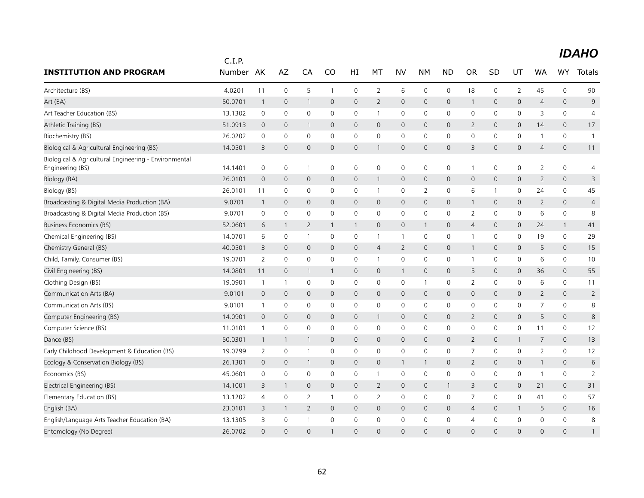|                                                                           | C.I.P.  |                |              |                |              |                |                     |                     |                |                     |                |              |              |                |                     |                |
|---------------------------------------------------------------------------|---------|----------------|--------------|----------------|--------------|----------------|---------------------|---------------------|----------------|---------------------|----------------|--------------|--------------|----------------|---------------------|----------------|
| <b>INSTITUTION AND PROGRAM</b>                                            | Number  | AK             | AZ           | CA             | CO           | HI             | МT                  | <b>NV</b>           | NΜ             | <b>ND</b>           | <b>OR</b>      | <b>SD</b>    | UT           | WA             | <b>WY</b>           | Totals         |
| Architecture (BS)                                                         | 4.0201  | 11             | $\mathbf 0$  | 5              | 1            | 0              | $\overline{2}$      | 6                   | $\mathbf 0$    | $\mathbf 0$         | 18             | 0            | 2            | 45             | $\mathbf 0$         | 90             |
| Art (BA)                                                                  | 50.0701 | $\mathbf{1}$   | $\mathbf 0$  | $\mathbf{1}$   | $\mathbf 0$  | $\overline{0}$ | 2                   | $\mathbf 0$         | $\mathbf 0$    | $\mathbf 0$         | $\mathbf{1}$   | $\mathbf 0$  | 0            | 4              | $\mathbf 0$         | 9              |
| Art Teacher Education (BS)                                                | 13.1302 | $\mathbf 0$    | 0            | 0              | $\mathbf 0$  | 0              | $\mathbf{1}$        | $\mathbf 0$         | $\mathbf 0$    | $\mathsf 0$         | 0              | 0            | 0            | 3              | 0                   | $\overline{4}$ |
| Athletic Training (BS)                                                    | 51.0913 | $\mathbf 0$    | $\mathbf 0$  | 1              | $\mathbf 0$  | 0              | $\mathbf 0$         | $\mathbf 0$         | $\mathbf 0$    | $\mathbf 0$         | 2              | 0            | 0            | 14             | $\mathbf{0}$        | 17             |
| Biochemistry (BS)                                                         | 26.0202 | 0              | 0            | 0              | $\mathbf{0}$ | 0              | 0                   | $\mathbf 0$         | $\mathbf 0$    | 0                   | $\mathbf 0$    | $\Omega$     | 0            | 1              | $\mathbf 0$         | $\mathbf{1}$   |
| Biological & Agricultural Engineering (BS)                                | 14.0501 | 3              | 0            | 0              | 0            | 0              | $\mathbf{1}$        | $\mathbf 0$         | 0              | 0                   | 3              | $\mathbf 0$  | 0            | $\overline{4}$ | 0                   | 11             |
| Biological & Agricultural Engineering - Environmental<br>Engineering (BS) | 14.1401 | $\mathbf 0$    | 0            | $\overline{1}$ | 0            | 0              | $\mathsf{O}\xspace$ | 0                   | 0              | 0                   | $\mathbf{1}$   | 0            | 0            | $\overline{2}$ | $\mathbf 0$         | $\overline{4}$ |
| Biology (BA)                                                              | 26.0101 | $\mathbf 0$    | $\mathbf 0$  | 0              | 0            | 0              | $\mathbf{1}$        | $\mathbf 0$         | $\mathbf 0$    | 0                   | $\mathsf{O}$   | $\mathbf 0$  | 0            | $\overline{2}$ | 0                   | 3              |
| Biology (BS)                                                              | 26.0101 | 11             | $\mathbf 0$  | 0              | $\mathbf 0$  | 0              | $\mathbf{1}$        | 0                   | $\overline{2}$ | 0                   | 6              | -1           | 0            | 24             | 0                   | 45             |
| Broadcasting & Digital Media Production (BA)                              | 9.0701  | $\overline{1}$ | $\mathbf{0}$ | $\mathbf{0}$   | $\mathbf{0}$ | $\mathbf{0}$   | $\mathbf{0}$        | $\mathbf{0}$        | $\mathbf{0}$   | $\mathbf 0$         | $\mathbf{1}$   | $\mathbf{0}$ | 0            | $\overline{2}$ | $\mathbf{0}$        | $\overline{4}$ |
| Broadcasting & Digital Media Production (BS)                              | 9.0701  | $\mathbf 0$    | 0            | 0              | $\mathbf 0$  | 0              | 0                   | 0                   | $\mathbf 0$    | $\mathsf 0$         | $\overline{2}$ | 0            | 0            | 6              | $\mathbf 0$         | 8              |
| Business Economics (BS)                                                   | 52.0601 | 6              | 1            | $\overline{2}$ | 1            | $\mathbf{1}$   | $\mathbf 0$         | $\mathbf 0$         | $\mathbf{1}$   | $\mathbf 0$         | $\overline{4}$ | $\mathbf{0}$ | 0            | 24             | $\mathbf{1}$        | 41             |
| Chemical Engineering (BS)                                                 | 14.0701 | 6              | $\mathbf 0$  | $\mathbf{1}$   | $\mathbf 0$  | $\mathbf 0$    | $\mathbf{1}$        | $\overline{1}$      | $\mathbf 0$    | 0                   | $\mathbf{1}$   | 0            | 0            | 19             | $\mathbf 0$         | 29             |
| Chemistry General (BS)                                                    | 40.0501 | 3              | $\mathbf 0$  | $\mathbf{0}$   | $\mathbf{0}$ | 0              | 4                   | $\overline{2}$      | $\mathbf 0$    | $\mathbf 0$         | $\mathbf{1}$   | $\mathbf{0}$ | 0            | 5              | $\overline{0}$      | 15             |
| Child, Family, Consumer (BS)                                              | 19.0701 | $\overline{2}$ | $\mathbf 0$  | 0              | 0            | 0              | $\mathbf{1}$        | $\mathsf{O}\xspace$ | $\mathbf 0$    | 0                   | 1              | 0            | 0            | 6              | 0                   | 10             |
| Civil Engineering (BS)                                                    | 14.0801 | 11             | $\mathbf 0$  | $\mathbf{1}$   | 1            | 0              | $\mathbf 0$         | $\mathbf{1}$        | $\mathbf 0$    | $\mathbf 0$         | 5              | 0            | 0            | 36             | $\mathsf{O}\xspace$ | 55             |
| Clothing Design (BS)                                                      | 19.0901 | $\overline{1}$ | $\mathbf{1}$ | 0              | $\mathbf 0$  | 0              | 0                   | 0                   | $\overline{1}$ | 0                   | $\overline{2}$ | $\mathbf 0$  | 0            | 6              | 0                   | 11             |
| Communication Arts (BA)                                                   | 9.0101  | $\mathbf 0$    | $\mathbf 0$  | $\mathbf{0}$   | $\mathbf{0}$ | $\mathbf{0}$   | $\mathbf{0}$        | $\mathbf{0}$        | $\mathbf{0}$   | $\mathbf 0$         | $\mathbf{0}$   | 0            | $\mathbf{0}$ | $\overline{2}$ | $\mathbf{0}$        | $\overline{2}$ |
| Communication Arts (BS)                                                   | 9.0101  | $\mathbf{1}$   | 0            | 0              | 0            | 0              | 0                   | 0                   | 0              | 0                   | 0              | 0            | 0            | 7              | 0                   | 8              |
| Computer Engineering (BS)                                                 | 14.0901 | $\overline{0}$ | $\mathbf{0}$ | $\mathbf{0}$   | $\mathbf{0}$ | $\mathbf 0$    | $\mathbf{1}$        | $\mathbf 0$         | $\mathbf 0$    | $\mathbf 0$         | 2              | 0            | 0            | 5              | $\mathbf 0$         | 8              |
| Computer Science (BS)                                                     | 11.0101 | $\mathbf{1}$   | 0            | 0              | 0            | 0              | 0                   | 0                   | $\mathbf 0$    | 0                   | 0              | 0            | 0            | 11             | $\mathbf 0$         | 12             |
| Dance (BS)                                                                | 50.0301 | $\mathbf{1}$   | $\mathbf 1$  | $\mathbf{1}$   | $\mathbf{0}$ | $\overline{0}$ | $\mathbf{0}$        | $\mathbf{0}$        | $\mathbf{0}$   | $\mathbf 0$         | $\overline{2}$ | $\mathbf{0}$ | $\mathbf{1}$ | 7              | $\mathbf{0}$        | 13             |
| Early Childhood Development & Education (BS)                              | 19.0799 | $\overline{2}$ | 0            | $\overline{1}$ | 0            | 0              | 0                   | 0                   | 0              | 0                   | 7              | 0            | 0            | 2              | 0                   | 12             |
| Ecology & Conservation Biology (BS)                                       | 26.1301 | $\overline{0}$ | $\mathbf 0$  | $\mathbf{1}$   | $\mathbf 0$  | $\mathbf 0$    | $\mathbf 0$         | $\mathbf{1}$        | 1              | $\mathsf{O}\xspace$ | $\overline{2}$ | 0            | 0            | $\mathbf{1}$   | $\mathsf{O}$        | 6              |
| Economics (BS)                                                            | 45.0601 | 0              | $\mathbf 0$  | 0              | $\mathbf 0$  | 0              | $\mathbf{1}$        | 0                   | $\mathbf 0$    | 0                   | 0              | 0            | 0            | 1              | $\mathbf 0$         | $\overline{2}$ |
| Electrical Engineering (BS)                                               | 14.1001 | 3              | $\mathbf 1$  | $\mathbf{0}$   | $\mathbf{0}$ | $\mathsf{O}$   | $\overline{2}$      | $\mathbf{0}$        | $\mathbf{0}$   | $\mathbf{1}$        | 3              | $\mathbf{0}$ | $\mathbf{0}$ | 21             | $\mathbf{0}$        | 31             |
| Elementary Education (BS)                                                 | 13.1202 | 4              | $\mathbf 0$  | 2              | $\mathbf{1}$ | 0              | 2                   | 0                   | 0              | 0                   | 7              | 0            | 0            | 41             | 0                   | 57             |
| English (BA)                                                              | 23.0101 | 3              | 1            | $\overline{2}$ | $\mathbf 0$  | 0              | $\mathbf 0$         | $\mathbf 0$         | $\mathbf 0$    | $\mathbf 0$         | 4              | $\mathbf 0$  | $\mathbf{1}$ | 5              | $\mathsf{O}\xspace$ | 16             |
| English/Language Arts Teacher Education (BA)                              | 13.1305 | 3              | 0            | $\mathbf 1$    | $\mathbf 0$  | 0              | $\mathbf 0$         | $\mathbf 0$         | 0              | 0                   | 4              | 0            | 0            | $\mathbf 0$    | $\mathbf 0$         | 8              |
| Entomology (No Degree)                                                    | 26.0702 | $\Omega$       | $\Omega$     | $\Omega$       |              | $\Omega$       | $\Omega$            | $\Omega$            | $\Omega$       | $\Omega$            | $\Omega$       | $\Omega$     | $\Omega$     | $\Omega$       | $\Omega$            | $\mathbf{1}$   |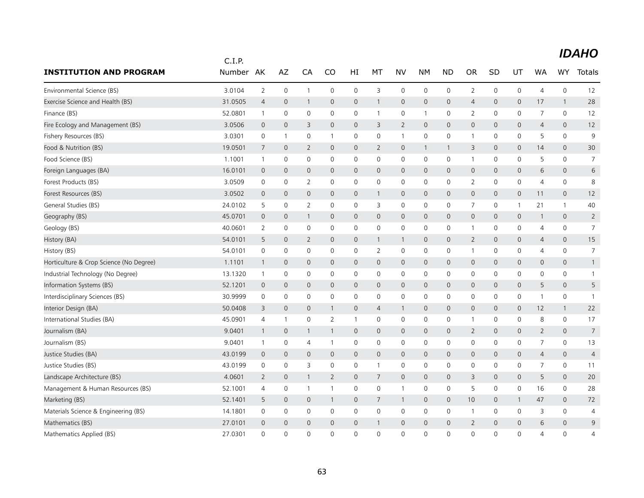|                                         | C.I.P.  |                |                     |                     |                |                |                |                     |                     |                     |                     |              |              |                |                |                |
|-----------------------------------------|---------|----------------|---------------------|---------------------|----------------|----------------|----------------|---------------------|---------------------|---------------------|---------------------|--------------|--------------|----------------|----------------|----------------|
| <b>INSTITUTION AND PROGRAM</b>          | Number  | AK             | AZ                  | CA                  | CO             | HI             | МT             | <b>NV</b>           | <b>NM</b>           | <b>ND</b>           | <b>OR</b>           | SD           | UT           | <b>WA</b>      | <b>WY</b>      | Totals         |
| Environmental Science (BS)              | 3.0104  | 2              | 0                   | $\mathbf{1}$        | 0              | $\mathsf{O}$   | 3              | $\mathbf 0$         | $\mathbf 0$         | $\mathsf{O}$        | $\overline{2}$      | 0            | 0            | $\overline{4}$ | $\mathbf 0$    | 12             |
| Exercise Science and Health (BS)        | 31.0505 | $\overline{4}$ | $\mathbf{0}$        | $\mathbf{1}$        | 0              | $\mathsf{O}$   | $\mathbf{1}$   | $\mathbf 0$         | $\mathsf{O}\xspace$ | $\mathsf{O}\xspace$ | $\overline{4}$      | $\mathbf 0$  | 0            | 17             | $\mathbf{1}$   | 28             |
| Finance (BS)                            | 52.0801 | $\overline{1}$ | 0                   | 0                   | 0              | $\mathsf{O}$   | $\mathbf{1}$   | $\mathbf 0$         | $\mathbf{1}$        | 0                   | $\overline{2}$      | 0            | 0            | $\overline{7}$ | $\mathbf 0$    | 12             |
| Fire Ecology and Management (BS)        | 3.0506  | $\mathbf 0$    | $\overline{0}$      | 3                   | 0              | $\overline{0}$ | 3              | $\overline{2}$      | $\mathbf{0}$        | $\mathbf{O}$        | $\overline{0}$      | $\mathbf{0}$ | 0            | $\overline{4}$ | 0              | 12             |
| Fishery Resources (BS)                  | 3.0301  | $\mathbf 0$    | $\mathbf{1}$        | $\mathbf 0$         | 1              | $\mathsf{O}$   | 0              | $\mathbf{1}$        | $\mathbf 0$         | $\mathsf{O}$        | $\mathbf{1}$        | $\mathbf 0$  | 0            | 5              | $\mathbf 0$    | 9              |
| Food & Nutrition (BS)                   | 19.0501 | 7              | $\mathbf{0}$        | $\overline{2}$      | 0              | $\overline{0}$ | $\overline{2}$ | $\mathbf{0}$        | $\mathbf{1}$        | $\mathbf{1}$        | 3                   | $\mathbf 0$  | $\mathsf{O}$ | 14             | $\mathbf{0}$   | 30             |
| Food Science (BS)                       | 1.1001  | $\overline{1}$ | 0                   | 0                   | 0              | $\mathsf{O}$   | $\mathbf 0$    | $\mathbf 0$         | $\mathbf 0$         | $\mathsf{O}\xspace$ | $\mathbf{1}$        | 0            | 0            | 5              | 0              | $\overline{7}$ |
| Foreign Languages (BA)                  | 16.0101 | $\mathbf 0$    | 0                   | $\mathbf 0$         | 0              | 0              | $\mathbf 0$    | $\mathbf 0$         | $\mathsf{O}$        | 0                   | $\mathbf 0$         | 0            | 0            | 6              | 0              | 6              |
| Forest Products (BS)                    | 3.0509  | $\mathbf 0$    | $\mathbf 0$         | 2                   | $\mathbf 0$    | $\mathsf{O}$   | $\mathbf 0$    | $\mathsf{O}\xspace$ | $\mathbf 0$         | $\mathbf 0$         | $\overline{2}$      | $\mathbf 0$  | 0            | $\overline{4}$ | $\mathbf 0$    | 8              |
| Forest Resources (BS)                   | 3.0502  | $\mathbf 0$    | 0                   | $\mathbf 0$         | 0              | $\mathsf{O}$   | $\mathbf{1}$   | $\mathbf 0$         | $\mathbf 0$         | $\mathsf{O}$        | $\mathsf{O}\xspace$ | 0            | 0            | 11             | $\mathbf 0$    | 12             |
| General Studies (BS)                    | 24.0102 | 5              | 0                   | 2                   | 0              | $\mathsf{O}$   | 3              | $\mathbf 0$         | $\mathbf 0$         | $\mathbf 0$         | 7                   | $\mathbf 0$  | 1            | 21             | $\mathbf{1}$   | 40             |
| Geography (BS)                          | 45.0701 | $\mathbf 0$    | 0                   | $\mathbf{1}$        | 0              | $\mathsf{O}$   | $\mathbf 0$    | $\mathbf 0$         | $\mathbf 0$         | $\mathsf{O}$        | $\mathsf{O}\xspace$ | $\mathbf{0}$ | 0            | $\mathbf{1}$   | $\mathbf 0$    | $\overline{2}$ |
| Geology (BS)                            | 40.0601 | 2              | 0                   | $\mathbf 0$         | 0              | $\mathsf{O}$   | $\mathbf{0}$   | $\mathbf 0$         | $\Omega$            | $\mathsf{O}$        | $\mathbf{1}$        | $\mathbf{0}$ | 0            | $\overline{4}$ | $\mathbf{0}$   | $\overline{7}$ |
| History (BA)                            | 54.0101 | 5              | 0                   | $\overline{2}$      | 0              | $\mathsf{O}$   | $\overline{1}$ | $\overline{1}$      | $\mathbf 0$         | $\mathbf{0}$        | $\overline{2}$      | $\mathbf 0$  | 0            | $\overline{4}$ | $\mathbf{0}$   | 15             |
| History (BS)                            | 54.0101 | 0              | 0                   | $\mathbf 0$         | 0              | 0              | 2              | $\mathbf 0$         | $\mathbf 0$         | 0                   | $\mathbf{1}$        | 0            | 0            | 4              | 0              | $\overline{7}$ |
| Horticulture & Crop Science (No Degree) | 1.1101  | $\mathbf 1$    | $\mathbf{0}$        | $\mathbf{0}$        | 0              | $\mathsf{O}$   | $\mathbf 0$    | $\mathbf 0$         | $\mathbf 0$         | $\mathbf 0$         | $\mathbf{0}$        | $\mathbf{0}$ | 0            | $\mathbf 0$    | $\mathbf 0$    | $\mathbf{1}$   |
| Industrial Technology (No Degree)       | 13.1320 | $\overline{1}$ | $\mathsf{O}\xspace$ | $\mathsf{O}\xspace$ | 0              | 0              | 0              | $\mathbf 0$         | $\mathbf 0$         | 0                   | 0                   | $\mathbf 0$  | 0            | $\mathbf 0$    | $\mathsf{O}$   | $\mathbf{1}$   |
| Information Systems (BS)                | 52.1201 | $\mathbf 0$    | 0                   | $\mathbf{0}$        | 0              | $\overline{0}$ | $\mathbf{0}$   | $\mathbf{0}$        | $\mathbf{0}$        | $\mathbf{0}$        | $\mathbf{0}$        | $\mathbf{0}$ | 0            | 5              | $\mathbf{0}$   | 5              |
| Interdisciplinary Sciences (BS)         | 30.9999 | $\mathbf 0$    | 0                   | $\mathbf 0$         | 0              | $\mathsf{O}$   | $\mathbf 0$    | $\mathbf 0$         | $\mathbf 0$         | $\mathbf 0$         | 0                   | 0            | 0            | 1              | $\mathbf 0$    | $\mathbf{1}$   |
| Interior Design (BA)                    | 50.0408 | 3              | 0                   | $\mathbf 0$         | 1              | 0              | $\overline{4}$ | $\overline{1}$      | $\mathbf 0$         | $\mathsf{O}$        | $\mathbf 0$         | $\mathbf{0}$ | 0            | 12             | $\mathbf{1}$   | 22             |
| International Studies (BA)              | 45.0901 | $\overline{4}$ | 1                   | $\mathbf 0$         | $\overline{2}$ | $\mathbf{1}$   | $\mathbf 0$    | $\mathbf 0$         | $\mathbf 0$         | $\mathbf 0$         | 1                   | $\mathbf 0$  | 0            | 8              | $\mathbf 0$    | 17             |
| Journalism (BA)                         | 9.0401  | $\mathbf{1}$   | $\mathbf 0$         | $\mathbf{1}$        | $\mathbf{1}$   | $\mathsf{O}$   | $\mathbf 0$    | $\mathbf 0$         | $\mathbf 0$         | $\mathsf{O}$        | $\overline{2}$      | 0            | 0            | $\overline{2}$ | $\mathsf{O}$   | $\overline{7}$ |
| Journalism (BS)                         | 9.0401  | -1             | 0                   | 4                   | 1              | 0              | 0              | 0                   | $\mathbf 0$         | $\mathbf 0$         | 0                   | 0            | 0            | $\overline{7}$ | $\mathbf 0$    | 13             |
| Justice Studies (BA)                    | 43.0199 | $\mathbf 0$    | $\mathbf 0$         | $\mathsf{O}\xspace$ | 0              | $\mathsf{O}$   | $\mathbf 0$    | $\mathsf{O}$        | $\mathbf 0$         | $\mathsf{O}$        | $\mathbf 0$         | 0            | 0            | $\overline{4}$ | 0              | $\overline{4}$ |
| Justice Studies (BS)                    | 43.0199 | 0              | 0                   | 3                   | 0              | 0              | $\mathbf{1}$   | $\mathbf 0$         | $\mathbf 0$         | 0                   | 0                   | $\mathbf 0$  | 0            | 7              | $\mathsf{O}$   | 11             |
| Landscape Architecture (BS)             | 4.0601  | $\overline{2}$ | $\mathbf 0$         | 1                   | $\overline{2}$ | $\mathsf{O}$   | $\overline{7}$ | $\mathbf 0$         | $\mathbf 0$         | $\mathbf{O}$        | 3                   | $\mathbf 0$  | 0            | 5              | $\mathbf{0}$   | 20             |
| Management & Human Resources (BS)       | 52.1001 | $\overline{4}$ | 0                   | $\mathbf{1}$        | 1              | 0              | $\mathbf 0$    | $\mathbf{1}$        | $\mathbf 0$         | $\mathsf 0$         | 5                   | $\mathbf 0$  | 0            | 16             | 0              | 28             |
| Marketing (BS)                          | 52.1401 | 5              | 0                   | $\mathbf{0}$        | $\mathbf{1}$   | $\mathsf{O}$   | 7              | $\overline{1}$      | $\mathbf 0$         | $\mathbf{0}$        | 10                  | $\mathbf{0}$ | $\mathbf{1}$ | 47             | $\mathbf{0}$   | 72             |
| Materials Science & Engineering (BS)    | 14.1801 | $\mathbf 0$    | 0                   | $\mathbf 0$         | $\mathbf 0$    | $\mathsf{O}$   | $\mathbf 0$    | $\mathbf 0$         | $\mathbf 0$         | $\mathbf 0$         | $\mathbf{1}$        | $\mathbf 0$  | 0            | 3              | $\mathbf 0$    | $\overline{4}$ |
| Mathematics (BS)                        | 27.0101 | $\mathbf 0$    | $\Omega$            | $\Omega$            | 0              | $\mathsf{O}$   | $\mathbf{1}$   | $\mathbf 0$         | $\mathbf 0$         | $\mathsf{O}$        | $\overline{2}$      | $\Omega$     | 0            | 6              | 0              | 9              |
| Mathematics Applied (BS)                | 27.0301 | $\mathbf{0}$   | 0                   | $\Omega$            | 0              | $\Omega$       | $\Omega$       | $\mathbf{0}$        | $\Omega$            | $\mathbf{0}$        | $\Omega$            | $\Omega$     | $\mathbf 0$  | $\overline{4}$ | $\overline{0}$ | $\overline{4}$ |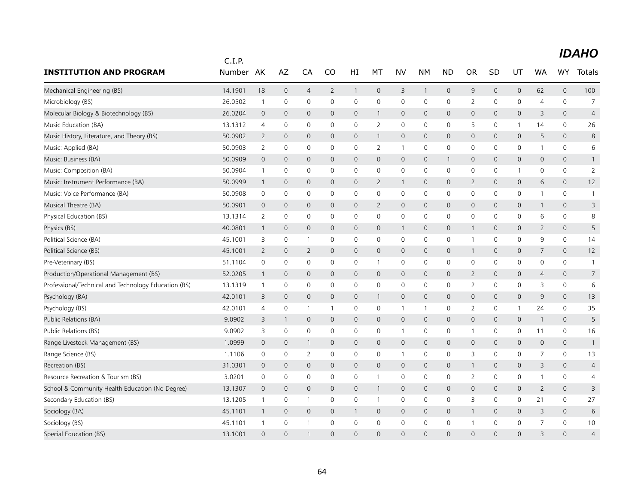|                                                      | C.I.P.  |                |                     |                |                |                |                |                |              |                     |                |                |                |                |                |                |
|------------------------------------------------------|---------|----------------|---------------------|----------------|----------------|----------------|----------------|----------------|--------------|---------------------|----------------|----------------|----------------|----------------|----------------|----------------|
| <b>INSTITUTION AND PROGRAM</b>                       | Number  | AK             | AZ                  | CA             | CO             | HI             | МT             | <b>NV</b>      | NΜ           | <b>ND</b>           | <b>OR</b>      | SD             | UT             | <b>WA</b>      | <b>WY</b>      | Totals         |
| Mechanical Engineering (BS)                          | 14.1901 | 18             | $\mathbf{0}$        | 4              | $\overline{2}$ | $\mathbf{1}$   | $\mathbf{0}$   | 3              | $\mathbf{1}$ | $\mathbf 0$         | 9              | $\Omega$       | $\mathbf{0}$   | 62             | $\mathbf{0}$   | 100            |
| Microbiology (BS)                                    | 26.0502 | $\mathbf{1}$   | 0                   | 0              | 0              | 0              | $\mathbf 0$    | $\mathbf 0$    | $\mathbf 0$  | 0                   | $\overline{2}$ | 0              | 0              | $\overline{4}$ | $\mathbf 0$    | $\overline{7}$ |
| Molecular Biology & Biotechnology (BS)               | 26.0204 | $\mathbf 0$    | $\mathbf 0$         | $\mathbf{0}$   | $\Omega$       | $\Omega$       | $\mathbf{1}$   | $\mathbf{0}$   | $\Omega$     | $\Omega$            | $\mathbf{0}$   | $\Omega$       | $\mathbf{0}$   | 3              | $\Omega$       | $\overline{4}$ |
| Music Education (BA)                                 | 13.1312 | $\overline{4}$ | $\mathbf 0$         | 0              | $\mathbf 0$    | 0              | $\overline{2}$ | 0              | $\mathbf 0$  | 0                   | 5              | 0              | $\mathbf{1}$   | 14             | 0              | 26             |
| Music History, Literature, and Theory (BS)           | 50.0902 | $\overline{2}$ | $\mathbf 0$         | 0              | 0              | 0              | $\mathbf{1}$   | $\mathbf 0$    | $\mathbf 0$  | $\mathbf 0$         | $\mathsf{O}$   | $\mathbf{0}$   | 0              | 5              | $\overline{0}$ | 8              |
| Music: Applied (BA)                                  | 50.0903 | $\overline{2}$ | $\mathsf{O}\xspace$ | 0              | $\mathbf 0$    | 0              | 2              | $\mathbf{1}$   | $\mathbf 0$  | 0                   | $\mathbf 0$    | 0              | 0              | 1              | $\mathbf 0$    | 6              |
| Music: Business (BA)                                 | 50.0909 | $\mathbf 0$    | $\mathbf 0$         | 0              | 0              | 0              | $\mathbf{0}$   | $\mathbf 0$    | $\mathbf 0$  | $\mathbf{1}$        | 0              | 0              | 0              | $\mathbf{0}$   | $\mathsf{O}$   | $\mathbf{1}$   |
| Music: Composition (BA)                              | 50.0904 | $\mathbf{1}$   | 0                   | 0              | $\mathbf 0$    | 0              | 0              | 0              | 0            | 0                   | 0              | 0              | 1              | 0              | $\mathbf 0$    | $\overline{2}$ |
| Music: Instrument Performance (BA)                   | 50.0999 | $\mathbf{1}$   | $\mathbf 0$         | 0              | 0              | 0              | $\overline{2}$ | $\overline{1}$ | $\mathbf 0$  | $\mathsf{O}\xspace$ | $\overline{2}$ | $\mathbf{0}$   | 0              | 6              | $\mathsf{O}$   | 12             |
| Music: Voice Performance (BA)                        | 50.0908 | 0              | 0                   | 0              | $\mathbf 0$    | 0              | 0              | 0              | $\mathbf 0$  | 0                   | $\mathbf 0$    | 0              | 0              | 1              | $\mathbf 0$    | $\mathbf{1}$   |
| Musical Theatre (BA)                                 | 50.0901 | $\mathbf{0}$   | $\mathbf 0$         | 0              | $\mathbf{0}$   | $\mathsf{O}$   | $\overline{2}$ | $\mathbf{0}$   | $\mathbf{0}$ | $\mathbf{0}$        | $\mathbf{0}$   | $\mathbf{0}$   | 0              | $\mathbf{1}$   | $\mathbf{0}$   | 3              |
| Physical Education (BS)                              | 13.1314 | $\overline{2}$ | 0                   | $\Omega$       | 0              | 0              | 0              | 0              | 0            | 0                   | 0              | 0              | 0              | 6              | $\mathbf 0$    | 8              |
| Physics (BS)                                         | 40.0801 | $\mathbf{1}$   | $\mathbf{0}$        | $\mathbf{0}$   | $\mathbf{0}$   | $\mathbf 0$    | $\mathbf{0}$   | $\overline{1}$ | $\mathbf 0$  | $\mathbf{0}$        | $\mathbf{1}$   | $\mathbf{0}$   | 0              | $\overline{2}$ | $\mathbf{0}$   | 5              |
| Political Science (BA)                               | 45.1001 | 3              | 0                   | $\mathbf{1}$   | 0              | 0              | 0              | $\mathbf 0$    | $\mathbf 0$  | 0                   | $\mathbf{1}$   | 0              | 0              | 9              | 0              | 14             |
| Political Science (BS)                               | 45.1001 | $\overline{2}$ | $\mathbf 0$         | $\overline{2}$ | $\mathsf{O}$   | $\mathbf 0$    | $\mathbf{0}$   | $\mathbf{0}$   | $\mathbf{0}$ | $\mathsf{O}\xspace$ | 1              | $\mathbf{0}$   | $\overline{0}$ | 7              | $\overline{0}$ | 12             |
| Pre-Veterinary (BS)                                  | 51.1104 | 0              | 0                   | 0              | 0              | 0              | $\mathbf{1}$   | 0              | 0            | $\mathsf 0$         | 0              | 0              | 0              | 0              | $\mathbf 0$    | $\overline{1}$ |
| Production/Operational Management (BS)               | 52.0205 | $\mathbf{1}$   | $\mathbf 0$         | $\mathbf{0}$   | $\mathbf{0}$   | 0              | $\mathbf{0}$   | $\mathbf 0$    | $\mathbf 0$  | $\mathbf 0$         | 2              | $\mathbf{0}$   | 0              | $\overline{4}$ | $\overline{0}$ | $\overline{7}$ |
| Professional/Technical and Technology Education (BS) | 13.1319 | $\mathbf{1}$   | 0                   | 0              | 0              | 0              | 0              | 0              | $\mathbf 0$  | 0                   | $\overline{2}$ | 0              | 0              | 3              | $\mathbf 0$    | 6              |
| Psychology (BA)                                      | 42.0101 | 3              | $\mathbf{0}$        | $\mathbf{0}$   | $\mathbf{0}$   | $\mathsf{O}$   | $\mathbf{1}$   | $\mathbf{0}$   | $\mathbf{0}$ | $\mathbf 0$         | $\mathbf{0}$   | $\mathbf{0}$   | $\mathbf 0$    | 9              | $\Omega$       | 13             |
| Psychology (BS)                                      | 42.0101 | $\overline{4}$ | 0                   | $\overline{1}$ | $\mathbf{1}$   | 0              | 0              | $\mathbf{1}$   | $\mathbf{1}$ | 0                   | $\overline{2}$ | 0              | $\mathbf{1}$   | 24             | $\mathbf 0$    | 35             |
| Public Relations (BA)                                | 9.0902  | 3              | 1                   | 0              | 0              | 0              | $\mathbf 0$    | $\mathbf 0$    | $\mathbf 0$  | $\mathbf 0$         | $\mathsf{O}$   | 0              | 0              | $\mathbf{1}$   | $\mathsf{O}$   | 5              |
| Public Relations (BS)                                | 9.0902  | 3              | $\mathsf{O}\xspace$ | 0              | 0              | 0              | $\mathbf 0$    | $\overline{1}$ | $\mathbf 0$  | 0                   | 1              | 0              | 0              | 11             | 0              | 16             |
| Range Livestock Management (BS)                      | 1.0999  | $\overline{0}$ | $\mathbf 0$         | $\mathbf{1}$   | 0              | 0              | $\mathbf 0$    | $\mathbf 0$    | $\mathbf 0$  | $\mathbf 0$         | $\mathsf{O}$   | 0              | 0              | $\mathbf 0$    | $\mathsf{O}$   | $\overline{1}$ |
| Range Science (BS)                                   | 1.1106  | 0              | $\mathbf 0$         | 2              | $\mathbf 0$    | 0              | 0              | $\mathbf{1}$   | 0            | 0                   | 3              | 0              | 0              | 7              | 0              | 13             |
| Recreation (BS)                                      | 31.0301 | $\overline{0}$ | $\mathbf 0$         | 0              | 0              | 0              | $\mathbf 0$    | $\mathbf 0$    | $\mathbf 0$  | $\mathbf 0$         | 1              | 0              | 0              | 3              | $\mathsf{O}$   | $\overline{4}$ |
| Resource Recreation & Tourism (BS)                   | 3.0201  | $\mathbf 0$    | 0                   | 0              | $\mathbf 0$    | 0              | $\mathbf{1}$   | 0              | $\mathbf 0$  | 0                   | 2              | 0              | 0              | 1              | $\mathbf 0$    | 4              |
| School & Community Health Education (No Degree)      | 13.1307 | $\mathbf 0$    | $\mathbf{0}$        | $\overline{0}$ | $\mathbf{0}$   | $\overline{0}$ | $\mathbf{1}$   | $\mathbf 0$    | $\mathbf 0$  | $\mathbf 0$         | $\mathsf{O}$   | $\overline{0}$ | $\overline{0}$ | $\overline{2}$ | $\mathbf{0}$   | 3              |
| Secondary Education (BS)                             | 13.1205 | $\mathbf{1}$   | $\mathbf 0$         | $\overline{1}$ | $\mathbf 0$    | 0              | $\mathbf{1}$   | 0              | $\mathbf 0$  | 0                   | 3              | $\Omega$       | 0              | 21             | 0              | 27             |
| Sociology (BA)                                       | 45.1101 | $\mathbf{1}$   | $\mathbf 0$         | $\mathbf{0}$   | 0              | $\mathbf{1}$   | $\mathbf 0$    | $\mathbf 0$    | $\mathbf 0$  | $\mathbf 0$         | $\mathbf{1}$   | $\mathbf{0}$   | 0              | 3              | $\overline{0}$ | 6              |
| Sociology (BS)                                       | 45.1101 | $\overline{1}$ | 0                   | $\mathbf{1}$   | 0              | 0              | $\mathbf 0$    | $\mathbf 0$    | $\mathbf 0$  | 0                   | 1              | 0              | 0              | $\overline{7}$ | $\mathbf 0$    | 10             |
| Special Education (BS)                               | 13.1001 | $\Omega$       | $\Omega$            | 1              | $\Omega$       | $\Omega$       | $\Omega$       | $\Omega$       | $\Omega$     | $\overline{0}$      | $\Omega$       | $\Omega$       | $\Omega$       | 3              | $\Omega$       | $\overline{4}$ |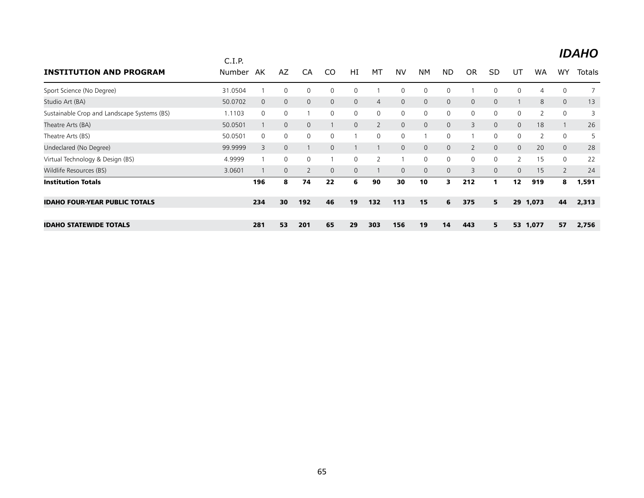|                                             | C.I.P.  |              |              |                |              |              |                |              |                |              |                |           |                |                |                | <b>IDAHO</b>  |
|---------------------------------------------|---------|--------------|--------------|----------------|--------------|--------------|----------------|--------------|----------------|--------------|----------------|-----------|----------------|----------------|----------------|---------------|
| <b>INSTITUTION AND PROGRAM</b>              | Number  | AK           | AZ           | CA             | CO           | HI           | MT             | <b>NV</b>    | <b>NM</b>      | <b>ND</b>    | <b>OR</b>      | <b>SD</b> | UT             | <b>WA</b>      | WY             | <b>Totals</b> |
| Sport Science (No Degree)                   | 31.0504 |              | 0            | 0              | 0            | 0            |                | 0            | 0              | 0            |                | $\Omega$  | 0              | 4              | $\mathbf 0$    |               |
| Studio Art (BA)                             | 50.0702 | $\mathbf{0}$ | $\mathbf{0}$ | $\mathbf{0}$   | $\mathbf{0}$ | $\mathbf{0}$ | $\overline{4}$ | $\mathbf 0$  | $\mathbf{0}$   | $\mathbf{0}$ | $\mathbf{0}$   | $\Omega$  |                | 8              | $\mathbf{0}$   | 13            |
| Sustainable Crop and Landscape Systems (BS) | 1.1103  | 0            | $\mathbf 0$  |                | 0            | 0            | $\mathbf{0}$   | $\mathbf 0$  | $\mathbf 0$    | 0            | 0              | 0         | 0              |                | $\mathbf 0$    | 3             |
| Theatre Arts (BA)                           | 50.0501 |              | $\mathbf 0$  | $\overline{0}$ |              | $\mathbf{0}$ | $\overline{2}$ | $\mathbf 0$  | $\overline{0}$ | $\mathbf{0}$ | 3              | $\Omega$  | $\mathbf{0}$   | 18             |                | 26            |
| Theatre Arts (BS)                           | 50.0501 | $\mathbf{0}$ | 0            | 0              | 0            |              | $\mathbf{0}$   | 0            |                | 0            |                | $\Omega$  | 0              | $\overline{2}$ | $\mathbf 0$    | 5             |
| Undeclared (No Degree)                      | 99.9999 | 3            | $\mathbf{0}$ |                | $\mathbf 0$  |              |                | $\mathbf{0}$ | $\mathbf{0}$   | $\mathbf{0}$ | $\overline{2}$ | $\Omega$  | $\mathbf{0}$   | 20             | $\overline{0}$ | 28            |
| Virtual Technology & Design (BS)            | 4.9999  |              | $\Omega$     | $\mathbf{0}$   |              | $\Omega$     | $\overline{2}$ |              | $\mathbf 0$    | 0            | $\mathbf{0}$   | $\Omega$  | $\overline{2}$ | 15             | $\mathbf{0}$   | 22            |
| Wildlife Resources (BS)                     | 3.0601  |              | $\mathbf 0$  | 2              | $\Omega$     | $\mathsf{O}$ |                | $\mathbf{0}$ | $\mathbf{0}$   | $\mathsf{O}$ | 3              | $\Omega$  | $\Omega$       | 15             | $\overline{2}$ | 24            |
| <b>Institution Totals</b>                   |         | 196          | 8            | 74             | 22           | 6            | 90             | 30           | 10             | 3            | 212            |           | 12             | 919            | 8              | 1,591         |
| <b>IDAHO FOUR-YEAR PUBLIC TOTALS</b>        |         | 234          | 30           | 192            | 46           | 19           | 132            | 113          | 15             | 6            | 375            | 5         | 29             | 1,073          | 44             | 2,313         |
|                                             |         |              |              |                |              |              |                |              |                |              |                |           |                |                |                |               |
| <b>IDAHO STATEWIDE TOTALS</b>               |         | 281          | 53           | 201            | 65           | 29           | 303            | 156          | 19             | 14           | 443            | 5         | 53             | 1,077          | 57             | 2,756         |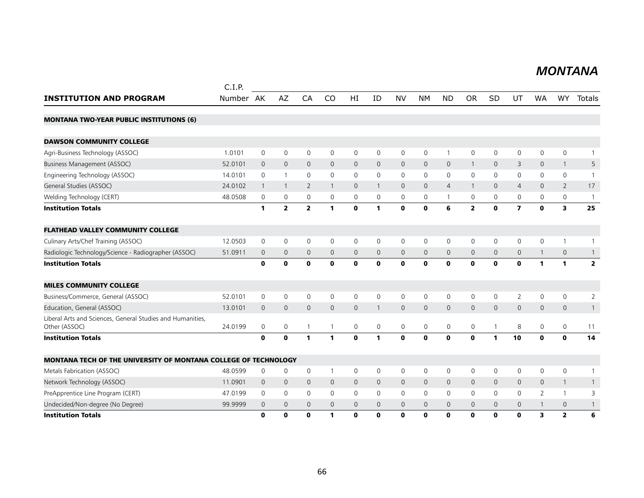#### *MONTANA MONTANA*

|                                                                             | C.I.P.    |              |                |                |              |              |              |              |              |                |                |                |                         |              |                         |                         |
|-----------------------------------------------------------------------------|-----------|--------------|----------------|----------------|--------------|--------------|--------------|--------------|--------------|----------------|----------------|----------------|-------------------------|--------------|-------------------------|-------------------------|
| <b>INSTITUTION AND PROGRAM</b>                                              | Number AK |              | AZ             | CA             | <b>CO</b>    | HI           | ID           | <b>NV</b>    | <b>NM</b>    | <b>ND</b>      | <b>OR</b>      | <b>SD</b>      | UT                      | WA           | WY                      | Totals                  |
| <b>MONTANA TWO-YEAR PUBLIC INSTITUTIONS (6)</b>                             |           |              |                |                |              |              |              |              |              |                |                |                |                         |              |                         |                         |
| <b>DAWSON COMMUNITY COLLEGE</b>                                             |           |              |                |                |              |              |              |              |              |                |                |                |                         |              |                         |                         |
| Agri-Business Technology (ASSOC)                                            | 1.0101    | $\mathbf 0$  | $\mathbf 0$    | $\mathbf 0$    | 0            | 0            | 0            | 0            | 0            | $\mathbf{1}$   | 0              | $\mathbf 0$    | 0                       | $\mathbf{0}$ | $\mathbf 0$             | 1                       |
| Business Management (ASSOC)                                                 | 52.0101   | $\mathbf 0$  | $\mathbf{0}$   | $\mathbf 0$    | $\mathbf{0}$ | 0            | $\mathbf{0}$ | $\mathbf 0$  | $\mathbf{0}$ | $\mathsf{O}$   | $\overline{1}$ | $\mathbf{0}$   | 3                       | $\mathbf{0}$ | $\mathbf{1}$            | 5                       |
| Engineering Technology (ASSOC)                                              | 14.0101   | $\mathbf{0}$ | $\mathbf{1}$   | $\mathbf 0$    | 0            | 0            | $\mathbf{0}$ | $\mathbf 0$  | $\mathbf 0$  | 0              | 0              | $\mathbf 0$    | 0                       | $\mathbf{0}$ | $\mathbf 0$             | $\mathbf{1}$            |
| General Studies (ASSOC)                                                     | 24.0102   | $\mathbf{1}$ | $\overline{1}$ | 2              | $\mathbf{1}$ | $\mathbf{0}$ | $\mathbf{1}$ | $\mathbf{0}$ | $\mathbf{0}$ | $\overline{4}$ | $\overline{1}$ | $\mathbf{0}$   | $\overline{4}$          | $\mathbf{0}$ | $\overline{2}$          | 17                      |
| Welding Technology (CERT)                                                   | 48.0508   | 0            | $\mathbf 0$    | 0              | 0            | 0            | 0            | 0            | 0            | $\mathbf{1}$   | 0              | 0              | 0                       | 0            | 0                       | $\mathbf{1}$            |
| <b>Institution Totals</b>                                                   |           | 1            | $\overline{2}$ | $\overline{2}$ | 1            | $\mathbf{0}$ | 1            | $\mathbf 0$  | $\mathbf 0$  | 6              | $\overline{2}$ | $\mathbf{0}$   | $\overline{\mathbf{z}}$ | $\mathbf 0$  | $\overline{\mathbf{3}}$ | 25                      |
| <b>FLATHEAD VALLEY COMMUNITY COLLEGE</b>                                    |           |              |                |                |              |              |              |              |              |                |                |                |                         |              |                         |                         |
| Culinary Arts/Chef Training (ASSOC)                                         | 12.0503   | 0            | $\mathbf 0$    | $\mathbf 0$    | 0            | 0            | 0            | 0            | $\mathbf 0$  | 0              | 0              | $\mathbf 0$    | 0                       | $\mathbf 0$  | $\mathbf{1}$            | 1                       |
| Radiologic Technology/Science - Radiographer (ASSOC)                        | 51.0911   | 0            | $\mathbf 0$    | $\mathbf 0$    | $\mathbf{0}$ | $\mathbf{0}$ | $\mathbf{0}$ | $\mathbf 0$  | $\mathbf{0}$ | $\mathbf 0$    | $\mathbf 0$    | $\overline{0}$ | $\mathbf{0}$            | $\mathbf{1}$ | $\mathbf 0$             | $\mathbf{1}$            |
| <b>Institution Totals</b>                                                   |           | $\mathbf 0$  | $\mathbf 0$    | $\mathbf 0$    | $\mathbf 0$  | $\mathbf 0$  | $\mathbf 0$  | $\mathbf{o}$ | $\mathbf 0$  | $\pmb{0}$      | $\mathbf 0$    | $\mathbf 0$    | $\mathbf{0}$            | $\mathbf{1}$ | $\mathbf{1}$            | $\overline{\mathbf{2}}$ |
| <b>MILES COMMUNITY COLLEGE</b>                                              |           |              |                |                |              |              |              |              |              |                |                |                |                         |              |                         |                         |
| Business/Commerce, General (ASSOC)                                          | 52.0101   | $\mathbf 0$  | $\mathbf 0$    | $\mathbf 0$    | $\mathbf 0$  | $\mathbf 0$  | $\mathbf 0$  | $\mathbf 0$  | $\mathbf 0$  | $\mathsf{O}$   | $\mathsf 0$    | $\mathbf 0$    | $\overline{2}$          | $\mathbf 0$  | $\mathbf 0$             | $\overline{2}$          |
| Education, General (ASSOC)                                                  | 13.0101   | $\mathbf 0$  | $\mathbf{0}$   | $\mathbf{0}$   | $\mathbf{0}$ | $\mathbf{0}$ | $\mathbf{1}$ | $\mathsf{O}$ | $\mathbf{0}$ | $\mathbf 0$    | $\mathbf{0}$   | $\mathbf{0}$   | $\overline{0}$          | $\mathbf{0}$ | $\mathbf{0}$            | $\mathbf{1}$            |
| Liberal Arts and Sciences, General Studies and Humanities,<br>Other (ASSOC) | 24.0199   | 0            | 0              | $\overline{1}$ |              | 0            | 0            | $\mathbf 0$  | 0            | $\mathbf 0$    | 0              | $\overline{1}$ | 8                       | 0            | 0                       | 11                      |
| <b>Institution Totals</b>                                                   |           | $\bf{0}$     | $\mathbf 0$    | $\mathbf{1}$   | 1            | $\mathbf{0}$ | 1            | $\mathbf 0$  | $\mathbf{0}$ | $\mathbf{0}$   | $\mathbf{0}$   | $\mathbf{1}$   | 10                      | $\mathbf{0}$ | $\mathbf 0$             | 14                      |
| MONTANA TECH OF THE UNIVERSITY OF MONTANA COLLEGE OF TECHNOLOGY             |           |              |                |                |              |              |              |              |              |                |                |                |                         |              |                         |                         |
| Metals Fabrication (ASSOC)                                                  | 48.0599   | 0            | $\mathbf 0$    | $\mathbf 0$    | -1           | 0            | 0            | $\mathbf 0$  | $\mathbf 0$  | 0              | 0              | $\mathbf 0$    | 0                       | $\mathbf 0$  | $\mathbf 0$             | 1                       |
| Network Technology (ASSOC)                                                  | 11.0901   | $\mathbf{0}$ | $\mathbf 0$    | $\mathbf 0$    | $\mathbf 0$  | $\mathsf{O}$ | $\mathbf{0}$ | $\mathbf 0$  | $\mathbf 0$  | $\mathbf 0$    | $\mathbf 0$    | $\mathbf 0$    | $\mathsf{O}$            | $\mathbf 0$  | $\mathbf{1}$            | $\mathbf{1}$            |
| PreApprentice Line Program (CERT)                                           | 47.0199   | 0            | 0              | $\mathbf 0$    | 0            | 0            | 0            | 0            | $\mathbf 0$  | 0              | 0              | 0              | 0                       | 2            | $\mathbf{1}$            | 3                       |
| Undecided/Non-degree (No Degree)                                            | 99.9999   | $\mathbf 0$  | $\mathbf 0$    | $\mathbf 0$    | $\mathbf{0}$ | 0            | $\mathbf 0$  | $\mathbf{0}$ | $\mathbf{0}$ | $\mathbf{0}$   | $\mathbf 0$    | $\mathbf 0$    | $\overline{0}$          | $\mathbf{1}$ | 0                       | $\mathbf{1}$            |
| <b>Institution Totals</b>                                                   |           | O            | $\mathbf o$    | $\mathbf o$    | 1            | $\mathbf 0$  | $\mathbf{0}$ | $\mathbf 0$  | $\mathbf o$  | $\mathbf 0$    | $\mathbf o$    | $\mathbf 0$    | 0                       | 3            | $\overline{2}$          | 6                       |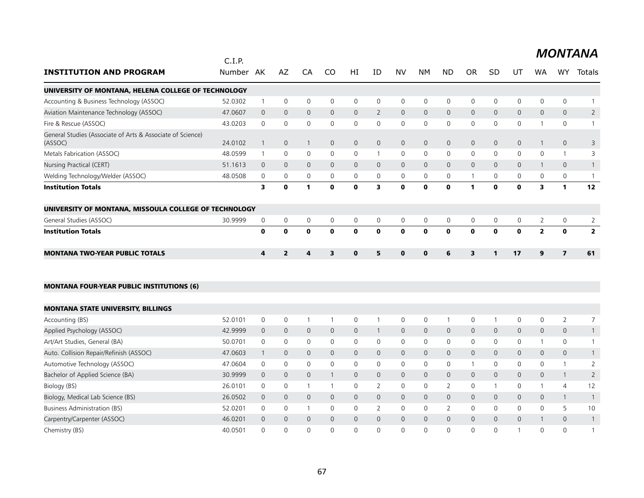|                                                                       | C.I.P.    |                |                     |                |                         |                |                |                |              |                |                         |                |                     |                |                |                |
|-----------------------------------------------------------------------|-----------|----------------|---------------------|----------------|-------------------------|----------------|----------------|----------------|--------------|----------------|-------------------------|----------------|---------------------|----------------|----------------|----------------|
| <b>INSTITUTION AND PROGRAM</b>                                        | Number AK |                | AZ                  | CA             | CO                      | HI             | ID             | <b>NV</b>      | NM.          | <b>ND</b>      | <b>OR</b>               | <b>SD</b>      | UT                  | WA             | <b>WY</b>      | Totals         |
| UNIVERSITY OF MONTANA, HELENA COLLEGE OF TECHNOLOGY                   |           |                |                     |                |                         |                |                |                |              |                |                         |                |                     |                |                |                |
| Accounting & Business Technology (ASSOC)                              | 52.0302   | $\mathbf{1}$   | $\mathsf{O}\xspace$ | $\mathbf 0$    | 0                       | 0              | $\mathbf 0$    | 0              | $\mathsf{O}$ | $\mathbf 0$    | 0                       | 0              | 0                   | 0              | $\mathbf 0$    | $\mathbf{1}$   |
| Aviation Maintenance Technology (ASSOC)                               | 47.0607   | $\mathbf{0}$   | $\mathbf{0}$        | $\mathbf{0}$   | $\mathbf{0}$            | $\overline{0}$ | $\overline{2}$ | $\overline{0}$ | $\mathbf{0}$ | $\mathbf{0}$   | $\overline{0}$          | $\Omega$       | 0                   | $\mathbf{0}$   | $\mathbf{0}$   | $\overline{2}$ |
| Fire & Rescue (ASSOC)                                                 | 43.0203   | $\mathbf 0$    | $\mathbf 0$         | $\mathbf 0$    | 0                       | 0              | $\mathbf 0$    | 0              | $\mathbf 0$  | $\mathbf 0$    | 0                       | 0              | 0                   | 1              | 0              | $\overline{1}$ |
| General Studies (Associate of Arts & Associate of Science)<br>(ASSOC) | 24.0102   | $\mathbf{1}$   | $\mathbf 0$         | $\mathbf{1}$   | $\mathbf 0$             | $\overline{0}$ | $\mathbf{0}$   | $\mathsf{O}$   | $\mathbf 0$  | $\mathbf 0$    | 0                       | $\mathbf 0$    | $\mathsf{O}\xspace$ | $\mathbf{1}$   | $\mathbf 0$    | 3              |
| Metals Fabrication (ASSOC)                                            | 48.0599   | $\overline{1}$ | 0                   | $\mathbf 0$    | 0                       | 0              | 1              | $\mathsf{O}$   | $\mathbf 0$  | $\mathbf 0$    | 0                       | 0              | 0                   | 0              | $\mathbf{1}$   | 3              |
| Nursing Practical (CERT)                                              | 51.1613   | $\overline{0}$ | $\mathbf{0}$        | $\mathbf{0}$   | $\mathbf{0}$            | $\mathbf{0}$   | $\mathbf{0}$   | $\mathsf{O}$   | $\mathbf{0}$ | $\mathbf{0}$   | $\mathsf{O}$            | $\mathbf 0$    | $\mathsf{O}$        | $\mathbf{1}$   | $\mathbf 0$    | $\mathbf{1}$   |
| Welding Technology/Welder (ASSOC)                                     | 48.0508   | 0              | 0                   | $\mathbf 0$    | 0                       | 0              | 0              | 0              | $\mathbf 0$  | 0              | $\overline{1}$          | 0              | 0                   | 0              | 0              | $\mathbf{1}$   |
| <b>Institution Totals</b>                                             |           | 3              | $\mathbf 0$         | $\mathbf{1}$   | $\mathbf 0$             | $\mathbf 0$    | 3              | $\mathbf 0$    | $\mathbf{0}$ | $\mathbf 0$    | $\mathbf{1}$            | $\mathbf o$    | $\mathbf 0$         | 3              | $\mathbf{1}$   | 12             |
| UNIVERSITY OF MONTANA, MISSOULA COLLEGE OF TECHNOLOGY                 |           |                |                     |                |                         |                |                |                |              |                |                         |                |                     |                |                |                |
| General Studies (ASSOC)                                               | 30.9999   | $\mathbf 0$    | $\mathbf 0$         | 0              | 0                       | 0              | $\mathbf 0$    | $\mathbf 0$    | $\mathsf{O}$ | $\mathbf 0$    | 0                       | 0              | $\mathsf{O}$        | $\overline{2}$ | 0              | $\overline{2}$ |
| <b>Institution Totals</b>                                             |           | $\mathbf 0$    | $\mathbf 0$         | $\mathbf 0$    | $\mathbf{0}$            | $\mathbf 0$    | $\mathbf{0}$   | $\mathbf 0$    | $\mathbf 0$  | $\mathbf 0$    | $\mathbf 0$             | $\mathbf{0}$   | $\mathbf 0$         | $\overline{2}$ | $\mathbf 0$    | $\overline{2}$ |
| <b>MONTANA TWO-YEAR PUBLIC TOTALS</b>                                 |           | 4              | $\overline{2}$      | 4              | $\overline{\mathbf{3}}$ | $\mathbf{0}$   | 5              | $\mathbf{0}$   | $\mathbf{0}$ | 6              | $\overline{\mathbf{3}}$ | 1              | 17                  | $\mathbf{9}$   | $\overline{ }$ | 61             |
| <b>MONTANA FOUR-YEAR PUBLIC INSTITUTIONS (6)</b>                      |           |                |                     |                |                         |                |                |                |              |                |                         |                |                     |                |                |                |
| <b>MONTANA STATE UNIVERSITY, BILLINGS</b>                             |           |                |                     |                |                         |                |                |                |              |                |                         |                |                     |                |                |                |
| Accounting (BS)                                                       | 52.0101   | 0              | 0                   | $\mathbf{1}$   | -1                      | 0              | $\mathbf{1}$   | 0              | 0            | $\overline{1}$ | 0                       | $\overline{1}$ | 0                   | 0              | 2              | 7              |
| Applied Psychology (ASSOC)                                            | 42.9999   | $\mathbf 0$    | $\mathbf 0$         | $\mathbf{0}$   | $\mathbf{0}$            | $\mathbf{0}$   | $\mathbf{1}$   | $\mathsf{O}$   | $\mathbf{0}$ | $\mathbf 0$    | $\mathsf{O}$            | $\mathbf 0$    | 0                   | $\mathbf{0}$   | $\mathbf{0}$   | $\mathbf{1}$   |
| Art/Art Studies, General (BA)                                         | 50.0701   | $\mathbf 0$    | $\mathbf 0$         | $\mathbf 0$    | $\mathbf{0}$            | 0              | $\mathbf 0$    | 0              | $\mathbf 0$  | $\mathbf 0$    | 0                       | 0              | 0                   | $\mathbf{1}$   | 0              | $\mathbf{1}$   |
| Auto. Collision Repair/Refinish (ASSOC)                               | 47.0603   | $\mathbf{1}$   | $\mathbf{0}$        | $\mathbf{0}$   | $\mathbf{0}$            | $\mathbf{0}$   | $\mathbf 0$    | $\mathbf{0}$   | $\mathbf{0}$ | $\mathbf{0}$   | $\mathsf{O}$            | $\mathbf 0$    | 0                   | $\mathbf 0$    | $\mathbf{0}$   | $\mathbf{1}$   |
| Automotive Technology (ASSOC)                                         | 47.0604   | $\mathbf 0$    | 0                   | $\mathbf 0$    | $\Omega$                | $\mathbf{0}$   | $\mathbf{0}$   | $\mathbf 0$    | $\mathbf 0$  | $\mathbf 0$    | $\overline{1}$          | $\mathbf{0}$   | 0                   | $\mathbf{0}$   | $\mathbf{1}$   | 2              |
| Bachelor of Applied Science (BA)                                      | 30.9999   | $\mathbf 0$    | $\mathbf{0}$        | $\mathbf{0}$   | $\mathbf{1}$            | $\mathbf 0$    | $\mathbf{0}$   | $\mathbf{0}$   | $\mathbf{0}$ | $\mathbf{0}$   | $\mathbf{0}$            | $\Omega$       | 0                   | $\mathbf 0$    | $\mathbf{1}$   | $\overline{2}$ |
| Biology (BS)                                                          | 26.0101   | $\mathbf 0$    | $\mathbf 0$         | $\overline{1}$ | $\mathbf{1}$            | $\Omega$       | $\overline{2}$ | $\mathsf{O}$   | $\mathbf{0}$ | 2              | 0                       | 1              | $\mathbf 0$         | $\mathbf{1}$   | $\overline{4}$ | 12             |
| Biology, Medical Lab Science (BS)                                     | 26.0502   | $\mathbf{0}$   | $\mathbf{0}$        | $\mathbf{0}$   | $\mathbf{0}$            | $\mathbf{0}$   | $\mathbf{0}$   | $\mathbf{0}$   | $\mathbf{0}$ | $\mathbf{0}$   | $\mathsf{O}$            | $\mathbf 0$    | 0                   | $\mathbf{0}$   | $\mathbf{1}$   | $\mathbf{1}$   |
| Business Administration (BS)                                          | 52.0201   | $\mathbf 0$    | 0                   | $\mathbf{1}$   | 0                       | 0              | 2              | $\mathbf 0$    | $\mathbf 0$  | 2              | 0                       | 0              | 0                   | 0              | 5              | 10             |
| Carpentry/Carpenter (ASSOC)                                           | 46.0201   | $\Omega$       | $\Omega$            | $\Omega$       | $\Omega$                | $\mathbf{0}$   | $\Omega$       | $\mathbf{0}$   | $\Omega$     | $\mathbf{0}$   | 0                       | $\Omega$       | 0                   | $\mathbf{1}$   | $\mathbf{0}$   | $\mathbf{1}$   |
| Chemistry (BS)                                                        | 40.0501   | $\Omega$       | $\Omega$            | $\Omega$       | $\Omega$                | $\Omega$       | $\Omega$       | $\Omega$       | $\Omega$     | $\Omega$       | $\Omega$                | $\Omega$       | 1                   | $\Omega$       | $\Omega$       | $\mathbf{1}$   |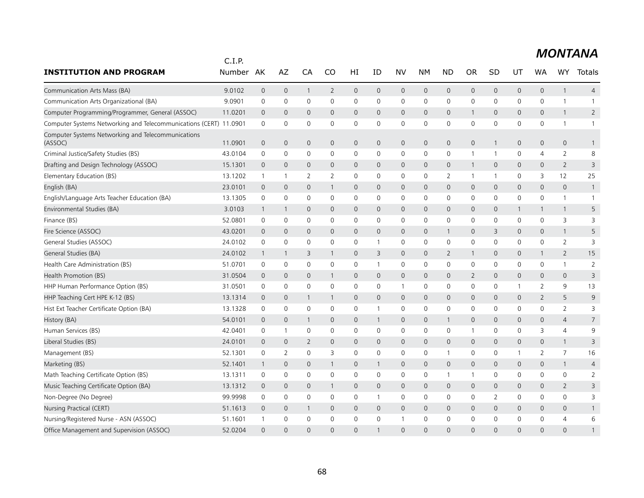|                                                                   | C.I.P.  |                     |                     |              |                |                |              |              |                     |                     |                |              |              |                     |                |                |
|-------------------------------------------------------------------|---------|---------------------|---------------------|--------------|----------------|----------------|--------------|--------------|---------------------|---------------------|----------------|--------------|--------------|---------------------|----------------|----------------|
| <b>INSTITUTION AND PROGRAM</b>                                    | Number  | AK                  | AZ                  | CA           | <b>CO</b>      | HI             | ID           | <b>NV</b>    | <b>NM</b>           | <b>ND</b>           | <b>OR</b>      | <b>SD</b>    | UT           | <b>WA</b>           | WY             | Totals         |
| Communication Arts Mass (BA)                                      | 9.0102  | $\overline{0}$      | $\mathbf 0$         | $\mathbf{1}$ | $\overline{2}$ | $\mathbf{0}$   | $\mathbf{0}$ | $\mathsf{O}$ | $\mathbf 0$         | $\mathsf{O}\xspace$ | $\mathsf{O}$   | $\mathbf{0}$ | 0            | $\mathbf{0}$        | $\mathbf{1}$   | $\overline{4}$ |
| Communication Arts Organizational (BA)                            | 9.0901  | 0                   | 0                   | 0            | $\mathbf{0}$   | 0              | 0            | 0            | 0                   | 0                   | 0              | $\mathbf{0}$ | 0            | 0                   | $\mathbf{1}$   | $\mathbf{1}$   |
| Computer Programming/Programmer, General (ASSOC)                  | 11.0201 | $\overline{0}$      | $\mathbf{0}$        | $\mathbf{0}$ | $\mathbf{0}$   | $\mathbf{0}$   | $\mathbf{0}$ | $\mathbf{0}$ | $\mathbf{0}$        | $\mathbf{0}$        | $\mathbf{1}$   | $\mathbf 0$  | 0            | $\mathbf{0}$        | $\mathbf{1}$   | $\overline{2}$ |
| Computer Systems Networking and Telecommunications (CERT) 11.0901 |         | $\mathbf 0$         | 0                   | $\mathbf 0$  | $\mathbf 0$    | 0              | 0            | 0            | $\mathbf 0$         | $\mathbf 0$         | 0              | 0            | 0            | 0                   | $\mathbf{1}$   | $\mathbf{1}$   |
| Computer Systems Networking and Telecommunications<br>(ASSOC)     | 11.0901 | $\mathbf 0$         | $\mathsf{O}\xspace$ | $\mathbf{0}$ | $\mathbf{0}$   | $\overline{0}$ | $\mathbf{0}$ | $\mathsf{O}$ | $\mathbf{0}$        | $\overline{0}$      | $\mathbf 0$    | -1           | 0            | $\mathbf{0}$        | $\mathbf{0}$   | $\mathbf{1}$   |
| Criminal Justice/Safety Studies (BS)                              | 43.0104 | 0                   | 0                   | 0            | 0              | 0              | 0            | 0            | $\mathbf 0$         | $\mathbf 0$         | -1             | -1           | 0            | 4                   | $\overline{2}$ | 8              |
| Drafting and Design Technology (ASSOC)                            | 15.1301 | $\mathbf 0$         | $\mathbf{0}$        | $\mathbf{0}$ | $\mathbf{0}$   | 0              | $\mathbf 0$  | $\mathbf{0}$ | $\mathbf 0$         | $\mathbf 0$         | $\mathbf{1}$   | $\mathbf 0$  | 0            | $\mathbf{0}$        | $\overline{2}$ | 3              |
| Elementary Education (BS)                                         | 13.1202 | $\overline{1}$      | $\overline{1}$      | 2            | 2              | $\mathbf 0$    | $\mathbf 0$  | 0            | $\mathbf 0$         | $\overline{2}$      | $\overline{1}$ | -1           | $\mathbf 0$  | 3                   | 12             | 25             |
| English (BA)                                                      | 23.0101 | $\overline{0}$      | $\mathbf 0$         | $\mathbf{0}$ | $\mathbf{1}$   | $\mathbf{0}$   | $\mathbf{0}$ | $\mathbf{0}$ | $\mathbf{0}$        | $\mathbf 0$         | $\mathsf{O}$   | $\mathbf 0$  | 0            | $\mathbf{0}$        | $\mathbf{0}$   | $\mathbf{1}$   |
| English/Language Arts Teacher Education (BA)                      | 13.1305 | $\mathbf 0$         | $\mathbf 0$         | $\mathbf 0$  | $\mathbf 0$    | $\mathbf 0$    | 0            | 0            | $\mathbf 0$         | $\mathbf 0$         | 0              | 0            | 0            | $\mathbf 0$         | $\mathbf{1}$   | $\mathbf{1}$   |
| Environmental Studies (BA)                                        | 3.0103  | $\mathbf{1}$        | $\overline{1}$      | $\mathbf{0}$ | $\mathbf{0}$   | $\mathbf{0}$   | $\mathbf 0$  | $\mathbf{0}$ | $\mathbf{0}$        | $\mathbf 0$         | 0              | $\mathbf 0$  | $\mathbf{1}$ | $\mathbf{1}$        | 1              | 5              |
| Finance (BS)                                                      | 52.0801 | $\mathbf 0$         | 0                   | $\mathbf 0$  | 0              | 0              | 0            | $\mathbf 0$  | $\mathbf 0$         | $\mathbf 0$         | 0              | 0            | $\mathbf 0$  | 0                   | 3              | 3              |
| Fire Science (ASSOC)                                              | 43.0201 | $\mathbf 0$         | $\mathbf 0$         | $\mathbf 0$  | $\mathbf 0$    | $\mathbf 0$    | $\mathbf 0$  | $\mathsf{O}$ | $\mathbf 0$         | $\mathbf{1}$        | 0              | 3            | 0            | $\mathbf{0}$        | $\mathbf{1}$   | 5              |
| General Studies (ASSOC)                                           | 24.0102 | $\mathbf 0$         | 0                   | $\mathbf 0$  | $\mathbf 0$    | 0              | $\mathbf{1}$ | 0            | $\mathbf 0$         | $\mathbf 0$         | 0              | 0            | 0            | $\mathbf 0$         | $\overline{2}$ | 3              |
| General Studies (BA)                                              | 24.0102 | $\mathbf{1}$        | $\overline{1}$      | 3            | 1              | $\mathbf{0}$   | 3            | $\mathbf 0$  | $\mathbf{0}$        | $\overline{2}$      | 1              | $\mathbf{0}$ | 0            | $\mathbf{1}$        | $\overline{2}$ | 15             |
| Health Care Administration (BS)                                   | 51.0701 | $\mathbf 0$         | 0                   | $\mathbf 0$  | $\mathbf 0$    | 0              | 1            | 0            | $\mathbf 0$         | $\mathbf 0$         | 0              | 0            | 0            | 0                   | $\mathbf{1}$   | $\overline{2}$ |
| Health Promotion (BS)                                             | 31.0504 | $\mathbf 0$         | $\mathbf 0$         | $\mathbf{0}$ | $\mathbf{1}$   | $\mathbf{0}$   | $\mathbf{0}$ | $\mathbf{0}$ | $\mathbf{0}$        | $\mathbf{0}$        | $\overline{2}$ | $\Omega$     | 0            | $\mathbf{0}$        | $\mathbf{0}$   | 3              |
| HHP Human Performance Option (BS)                                 | 31.0501 | 0                   | 0                   | $\mathbf 0$  | 0              | 0              | 0            | $\mathbf{1}$ | 0                   | $\mathbf 0$         | 0              | 0            | 1            | $\overline{2}$      | 9              | 13             |
| HHP Teaching Cert HPE K-12 (BS)                                   | 13.1314 | $\overline{0}$      | $\mathbf 0$         | 1            | $\mathbf{1}$   | $\mathbf{0}$   | $\mathbf{0}$ | $\mathbf 0$  | $\mathbf{0}$        | $\mathbf{0}$        | $\mathsf{O}$   | $\mathbf{0}$ | 0            | $\overline{2}$      | 5              | 9              |
| Hist Ext Teacher Certificate Option (BA)                          | 13.1328 | $\mathsf{O}\xspace$ | $\mathbf 0$         | $\mathbf 0$  | $\mathbf 0$    | 0              | $\mathbf{1}$ | 0            | $\mathsf{O}$        | 0                   | 0              | 0            | 0            | 0                   | $\overline{2}$ | 3              |
| History (BA)                                                      | 54.0101 | $\overline{0}$      | $\mathbf 0$         | 1            | $\mathbf{0}$   | $\mathbf{0}$   | $\mathbf{1}$ | $\mathsf{O}$ | $\mathbf{0}$        | $\mathbf{1}$        | $\mathbf{0}$   | $\mathbf 0$  | 0            | $\mathbf{0}$        | $\overline{4}$ | $\overline{7}$ |
| Human Services (BS)                                               | 42.0401 | 0                   | $\overline{1}$      | 0            | 0              | 0              | 0            | 0            | $\mathbf 0$         | $\mathbf 0$         | $\mathbf 1$    | 0            | 0            | 3                   | $\overline{4}$ | 9              |
| Liberal Studies (BS)                                              | 24.0101 | $\mathbf 0$         | $\mathbf 0$         | 2            | $\mathbf 0$    | $\mathbf 0$    | $\mathbf 0$  | $\mathbf 0$  | $\mathbf 0$         | $\mathbf 0$         | 0              | $\mathbf{0}$ | 0            | $\mathbf 0$         | $\mathbf{1}$   | 3              |
| Management (BS)                                                   | 52.1301 | $\mathbf 0$         | 2                   | $\mathbf 0$  | 3              | $\mathbf 0$    | 0            | 0            | $\mathsf{O}\xspace$ | $\mathbf{1}$        | 0              | 0            | $\mathbf{1}$ | $\overline{2}$      | $\overline{7}$ | 16             |
| Marketing (BS)                                                    | 52.1401 | $\mathbf{1}$        | $\mathbf 0$         | $\mathbf 0$  | $\mathbf{1}$   | $\mathbf 0$    | $\mathbf{1}$ | $\mathsf{O}$ | $\mathbf 0$         | $\mathsf{O}\xspace$ | 0              | $\mathbf{0}$ | 0            | $\mathsf{O}\xspace$ | $\mathbf{1}$   | $\overline{4}$ |
| Math Teaching Certificate Option (BS)                             | 13.1311 | $\mathbf 0$         | 0                   | $\mathbf 0$  | 0              | 0              | 0            | 0            | $\mathbf 0$         | 1                   | $\mathbf 1$    | 0            | 0            | 0                   | 0              | $\overline{2}$ |
| Music Teaching Certificate Option (BA)                            | 13.1312 | $\mathbf 0$         | $\mathbf 0$         | $\mathbf{0}$ | $\mathbf{1}$   | $\mathbf{0}$   | $\mathbf 0$  | $\mathbf 0$  | $\mathbf{0}$        | $\mathbf{0}$        | $\mathsf{O}$   | 0            | 0            | 0                   | 2              | 3              |
| Non-Degree (No Degree)                                            | 99.9998 | 0                   | 0                   | 0            | 0              | 0              | 1            | 0            | 0                   | $\mathbf 0$         | 0              | 2            | 0            | 0                   | 0              | 3              |
| Nursing Practical (CERT)                                          | 51.1613 | $\overline{0}$      | $\mathbf 0$         | 1            | $\mathbf 0$    | $\mathbf 0$    | $\mathbf 0$  | $\mathbf 0$  | $\mathbf 0$         | $\mathsf{O}\xspace$ | 0              | 0            | 0            | $\mathbf{0}$        | 0              | $\mathbf{1}$   |
| Nursing/Registered Nurse - ASN (ASSOC)                            | 51.1601 | $\mathbf{1}$        | $\mathbf 0$         | $\mathbf 0$  | 0              | $\mathbf 0$    | 0            | $\mathbf{1}$ | $\mathbf 0$         | $\mathbf 0$         | 0              | 0            | 0            | 0                   | $\overline{4}$ | 6              |
| Office Management and Supervision (ASSOC)                         | 52.0204 | $\Omega$            | $\Omega$            | $\Omega$     | $\Omega$       | $\Omega$       | $\mathbf{1}$ | $\Omega$     | $\Omega$            | $\Omega$            | $\Omega$       | $\Omega$     | $\Omega$     | $\Omega$            | $\Omega$       | 1              |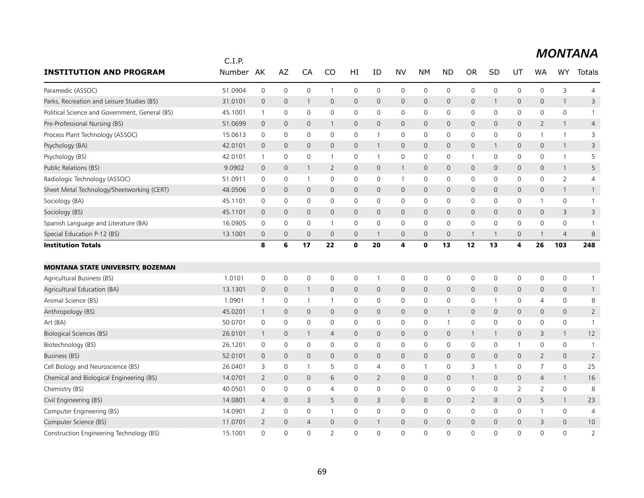|                                                | C.I.P.  |                |                |                     |                |                     |                |              |                     |                     |                |                     |                |                |                |                |
|------------------------------------------------|---------|----------------|----------------|---------------------|----------------|---------------------|----------------|--------------|---------------------|---------------------|----------------|---------------------|----------------|----------------|----------------|----------------|
| <b>INSTITUTION AND PROGRAM</b>                 | Number  | AK             | AZ             | CA                  | CO             | HI                  | ID             | <b>NV</b>    | NΜ                  | <b>ND</b>           | <b>OR</b>      | SD                  | UT             | WA             | <b>WY</b>      | Totals         |
| Paramedic (ASSOC)                              | 51.0904 | $\mathsf 0$    | $\mathbf 0$    | $\mathsf{O}\xspace$ | $\mathbf{1}$   | $\mathsf 0$         | $\mathbf 0$    | 0            | $\mathbf 0$         | $\mathsf 0$         | 0              | $\mathsf{O}\xspace$ | 0              | $\mathbf 0$    | 3              | $\overline{4}$ |
| Parks, Recreation and Leisure Studies (BS)     | 31.0101 | $\mathbf 0$    | $\mathbf 0$    | $\mathbf{1}$        | $\mathsf{O}$   | $\mathbf 0$         | $\mathbf{0}$   | $\mathsf{O}$ | $\mathbf{0}$        | $\mathsf{O}\xspace$ | $\mathsf{O}$   | -1                  | 0              | $\mathbf{0}$   | $\mathbf{1}$   | 3              |
| Political Science and Government, General (BS) | 45.1001 | $\mathbf{1}$   | $\mathbf 0$    | 0                   | 0              | 0                   | 0              | 0            | 0                   | 0                   | 0              | $\mathbf 0$         | 0              | 0              | $\mathbf 0$    | $\mathbf{1}$   |
| Pre-Professional Nursing (BS)                  | 51.0699 | $\mathbf 0$    | $\mathbf{0}$   | $\mathbf 0$         | 1              | $\mathbf 0$         | $\mathbf 0$    | $\mathbf{0}$ | $\mathbf{0}$        | $\mathbf{0}$        | 0              | 0                   | $\mathbf 0$    | $\overline{2}$ | $\mathbf{1}$   | $\overline{4}$ |
| Process Plant Technology (ASSOC)               | 15.0613 | $\mathsf 0$    | $\mathbf 0$    | $\mathbf 0$         | $\mathbf 0$    | 0                   | $\mathbf{1}$   | 0            | $\mathbf 0$         | $\mathbf 0$         | 0              | $\mathbf 0$         | 0              | 1              | $\mathbf{1}$   | 3              |
| Psychology (BA)                                | 42.0101 | $\mathbf{0}$   | $\mathbf 0$    | $\mathbf{0}$        | $\overline{0}$ | $\mathbf{0}$        | $\mathbf{1}$   | $\mathsf{O}$ | $\mathbf 0$         | $\mathsf{O}\xspace$ | 0              |                     | 0              | $\mathbf{0}$   | $\mathbf{1}$   | 3              |
| Psychology (BS)                                | 42.0101 | $\mathbf{1}$   | $\mathbf 0$    | 0                   | $\mathbf{1}$   | 0                   | $\mathbf{1}$   | 0            | 0                   | 0                   | $\mathbf 1$    | $\mathbf 0$         | 0              | 0              | $\mathbf{1}$   | 5              |
| Public Relations (BS)                          | 9.0902  | $\mathbf 0$    | $\overline{0}$ | $\mathbf{1}$        | 2              | $\mathbf 0$         | $\mathbf 0$    | $\mathbf{1}$ | $\mathbf 0$         | $\mathbf 0$         | 0              | $\mathbf 0$         | 0              | 0              | $\mathbf{1}$   | 5              |
| Radiologic Technology (ASSOC)                  | 51.0911 | $\mathbf 0$    | 0              | $\overline{1}$      | $\mathbf 0$    | 0                   | $\mathbf 0$    | $\mathbf{1}$ | $\mathbf 0$         | 0                   | 0              | 0                   | 0              | $\mathbf 0$    | $\overline{2}$ | 4              |
| Sheet Metal Technology/Sheetworking (CERT)     | 48.0506 | $\mathbf 0$    | $\mathbf 0$    | $\mathbf 0$         | $\mathbf 0$    | 0                   | $\mathbf{0}$   | $\mathsf{O}$ | $\mathbf 0$         | $\mathbf 0$         | 0              | 0                   | 0              | $\mathbf 0$    | $\mathbf{1}$   | $\mathbf{1}$   |
| Sociology (BA)                                 | 45.1101 | $\mathbf 0$    | $\mathbf 0$    | 0                   | 0              | $\mathbf 0$         | 0              | $\mathbf 0$  | 0                   | $\mathbf 0$         | 0              | $\mathbf 0$         | 0              | $\mathbf{1}$   | $\mathbf 0$    | $\mathbf{1}$   |
| Sociology (BS)                                 | 45.1101 | $\mathbf 0$    | $\mathbf 0$    | $\mathbf 0$         | $\mathsf{O}$   | $\mathsf{O}\xspace$ | $\mathbf 0$    | $\mathsf{O}$ | $\mathsf{O}$        | $\mathbf 0$         | 0              | $\mathbf 0$         | 0              | $\mathbf 0$    | 3              | 3              |
| Spanish Language and Literature (BA)           | 16.0905 | $\mathsf 0$    | $\mathbf 0$    | $\mathbf 0$         | $\mathbf{1}$   | $\mathsf 0$         | $\mathbf 0$    | 0            | $\mathbf 0$         | 0                   | 0              | 0                   | 0              | $\mathbf 0$    | $\mathbf 0$    | $\mathbf{1}$   |
| Special Education P-12 (BS)                    | 13.1001 | $\mathbf 0$    | $\overline{0}$ | $\mathbf{0}$        | $\mathbf 0$    | $\mathbf 0$         | $\mathbf{1}$   | $\mathbf{0}$ | $\mathbf{0}$        | $\mathbf{0}$        | $\mathbf{1}$   |                     | 0              | 1              | $\overline{4}$ | 8              |
| <b>Institution Totals</b>                      |         | 8              | 6              | 17                  | 22             | $\mathbf 0$         | 20             | 4            | $\mathbf 0$         | 13                  | 12             | 13                  | 4              | 26             | 103            | 248            |
| <b>MONTANA STATE UNIVERSITY, BOZEMAN</b>       |         |                |                |                     |                |                     |                |              |                     |                     |                |                     |                |                |                |                |
| Agricultural Business (BS)                     | 1.0101  | $\mathsf 0$    | $\mathbf 0$    | $\mathbf 0$         | $\mathbf 0$    | 0                   | $\mathbf{1}$   | $\mathbf 0$  | $\mathbf 0$         | 0                   | 0              | $\mathbf 0$         | 0              | $\mathbf 0$    | $\mathbf 0$    | $\mathbf{1}$   |
| Agricultural Education (BA)                    | 13.1301 | $\mathbf 0$    | $\mathbf 0$    | $\mathbf{1}$        | $\mathbf 0$    | $\mathbf 0$         | $\mathbf 0$    | $\mathsf{O}$ | $\mathsf{O}$        | 0                   | 0              | $\mathbf 0$         | 0              | $\mathbf 0$    | $\mathbf 0$    | $\mathbf{1}$   |
| Animal Science (BS)                            | 1.0901  | $\overline{1}$ | $\mathbf 0$    | $\overline{1}$      | 1              | 0                   | $\mathbf 0$    | 0            | $\mathbf 0$         | 0                   | 0              |                     | 0              | 4              | 0              | 8              |
| Anthropology (BS)                              | 45.0201 | $\overline{1}$ | $\mathbf 0$    | $\mathbf{0}$        | $\overline{0}$ | 0                   | $\mathbf 0$    | $\mathsf{O}$ | $\mathbf 0$         | $\mathbf{1}$        | $\mathbf 0$    | $\mathbf{0}$        | 0              | 0              | 0              | $\overline{2}$ |
| Art (BA)                                       | 50.0701 | $\mathsf 0$    | $\mathbf 0$    | $\mathbf 0$         | 0              | $\mathsf 0$         | $\mathbf 0$    | 0            | $\mathbf 0$         | $\mathbf{1}$        | 0              | $\mathbf 0$         | 0              | $\mathbf 0$    | $\mathbf 0$    | $\mathbf{1}$   |
| <b>Biological Sciences (BS)</b>                | 26.0101 | $\mathbf{1}$   | $\mathbf 0$    | $\mathbf{1}$        | $\overline{4}$ | $\mathbf 0$         | $\mathbf{0}$   | $\mathsf{O}$ | $\mathsf{O}$        | $\mathbf 0$         | $\mathbf{1}$   |                     | 0              | 3              | $\mathbf{1}$   | 12             |
| Biotechnology (BS)                             | 26.1201 | 0              | 0              | 0                   | 0              | $\mathsf 0$         | 0              | $\mathsf{O}$ | $\mathsf{O}\xspace$ | $\mathsf 0$         | 0              | 0                   | $\mathbf{1}$   | 0              | 0              | $\mathbf{1}$   |
| Business (BS)                                  | 52.0101 | $\mathbf 0$    | $\mathbf{0}$   | $\mathbf{0}$        | $\mathbf{0}$   | $\mathbf 0$         | $\mathbf 0$    | $\mathbf{0}$ | $\mathbf{0}$        | $\mathbf{0}$        | $\mathsf{O}$   | 0                   | $\overline{0}$ | $\overline{2}$ | $\mathbf{0}$   | $\overline{2}$ |
| Cell Biology and Neuroscience (BS)             | 26.0401 | 3              | 0              | $\overline{1}$      | 5              | 0                   | $\overline{4}$ | 0            | $\overline{1}$      | 0                   | 3              | $\mathbf 1$         | 0              | $\overline{7}$ | $\mathbf 0$    | 25             |
| Chemical and Biological Engineering (BS)       | 14.0701 | 2              | $\mathbf{0}$   | $\mathbf{0}$        | 6              | $\mathbf 0$         | 2              | $\mathsf{O}$ | $\mathbf 0$         | $\mathbf 0$         | $\mathbf{1}$   | $\mathbf{0}$        | 0              | $\overline{4}$ | $\mathbf{1}$   | 16             |
| Chemistry (BS)                                 | 40.0501 | $\mathbf 0$    | $\mathbf 0$    | 0                   | 4              | $\mathbf 0$         | $\mathbf 0$    | 0            | $\mathbf 0$         | $\mathbf 0$         | 0              | 0                   | $\overline{2}$ | $\overline{2}$ | 0              | 8              |
| Civil Engineering (BS)                         | 14.0801 | $\overline{4}$ | $\mathbf 0$    | 3                   | 5              | $\mathbf 0$         | 3              | $\mathsf{O}$ | $\mathbf 0$         | $\mathbf 0$         | $\overline{2}$ | $\mathbf 0$         | 0              | 5              | $\mathbf{1}$   | 23             |
| Computer Engineering (BS)                      | 14.0901 | $\overline{2}$ | $\mathbf 0$    | 0                   | 1              | $\mathsf 0$         | $\mathbf 0$    | 0            | $\mathbf 0$         | 0                   | 0              | 0                   | 0              | 1              | 0              | 4              |
| Computer Science (BS)                          | 11.0701 | 2              | $\mathbf 0$    | 4                   | $\mathbf{0}$   | $\overline{0}$      | $\mathbf{1}$   | $\mathbf{0}$ | $\mathbf{0}$        | $\mathbf{0}$        | $\mathbf 0$    | 0                   | $\overline{0}$ | 3              | $\mathbf 0$    | 10             |
| Construction Engineering Technology (BS)       | 15.1001 | $\Omega$       | $\Omega$       | $\Omega$            | $\overline{2}$ | $\Omega$            | $\Omega$       | $\Omega$     | $\Omega$            | $\Omega$            | $\Omega$       | $\Omega$            | $\Omega$       | $\Omega$       | $\Omega$       | $\overline{2}$ |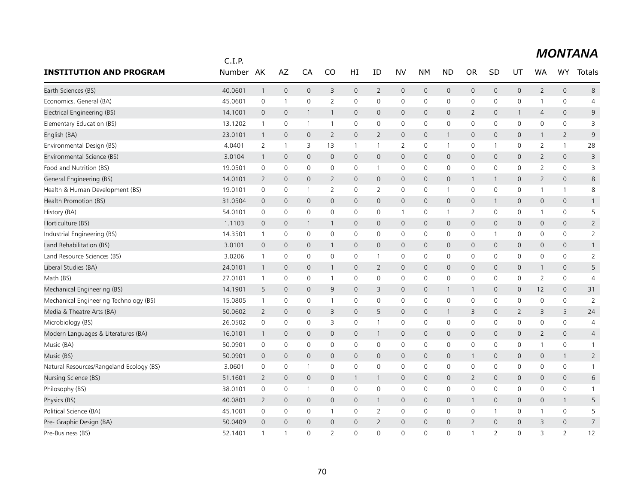|                                          | C.I.P.    |                |                |                     |                |                     |                |                |                     |                     |                |                |                |                |                     |                |
|------------------------------------------|-----------|----------------|----------------|---------------------|----------------|---------------------|----------------|----------------|---------------------|---------------------|----------------|----------------|----------------|----------------|---------------------|----------------|
| <b>INSTITUTION AND PROGRAM</b>           | Number AK |                | AZ             | CA                  | CO             | HI                  | ID             | <b>NV</b>      | NΜ                  | <b>ND</b>           | <b>OR</b>      | SD             | UT             | WA             | <b>WY</b>           | Totals         |
| Earth Sciences (BS)                      | 40.0601   | $\overline{1}$ | $\mathbf 0$    | $\mathsf{O}\xspace$ | 3              | $\mathsf{O}\xspace$ | $\overline{2}$ | $\mathsf{O}$   | $\mathbf 0$         | $\mathsf{O}$        | 0              | $\mathbf 0$    | 0              | $\overline{2}$ | $\mathbf 0$         | 8              |
| Economics, General (BA)                  | 45.0601   | 0              | $\overline{1}$ | 0                   | 2              | $\mathsf 0$         | $\mathbf 0$    | 0              | $\mathbf 0$         | 0                   | 0              | $\mathbf 0$    | 0              | 1              | $\mathbf 0$         | 4              |
| Electrical Engineering (BS)              | 14.1001   | $\mathbf 0$    | $\mathbf{0}$   | $\mathbf{1}$        | 1              | $\mathbf 0$         | $\mathbf{0}$   | $\mathbf{0}$   | $\mathbf{0}$        | $\mathbf{0}$        | $\overline{2}$ | $\mathbf 0$    | $\mathbf{1}$   | $\overline{4}$ | $\mathbf{0}$        | 9              |
| Elementary Education (BS)                | 13.1202   | $\overline{1}$ | 0              | -1                  | 1              | 0                   | 0              | 0              | $\mathbf 0$         | 0                   | 0              | 0              | 0              | 0              | 0                   | 3              |
| English (BA)                             | 23.0101   | $\overline{1}$ | $\mathbf 0$    | $\mathbf 0$         | $\overline{2}$ | $\mathsf{O}\xspace$ | $\overline{2}$ | $\mathsf{O}$   | $\mathbf 0$         | $\mathbf{1}$        | 0              | 0              | 0              | $\mathbf{1}$   | $\overline{2}$      | 9              |
| Environmental Design (BS)                | 4.0401    | $\overline{2}$ | $\overline{1}$ | 3                   | 13             | $\mathbf{1}$        | $\mathbf{1}$   | $\overline{2}$ | $\mathbf 0$         | $\overline{1}$      | 0              | 1              | $\mathbf 0$    | $\overline{2}$ | $\mathbf{1}$        | 28             |
| Environmental Science (BS)               | 3.0104    | $\overline{1}$ | $\mathbf{0}$   | 0                   | $\mathbf{0}$   | $\mathbf{0}$        | $\mathbf{0}$   | $\mathbf{0}$   | $\mathbf{0}$        | $\mathbf{0}$        | $\mathsf{O}$   | $\mathbf 0$    | $\mathbf{0}$   | $\overline{2}$ | $\overline{0}$      | 3              |
| Food and Nutrition (BS)                  | 19.0501   | 0              | $\mathbf 0$    | 0                   | 0              | 0                   | $\mathbf{1}$   | 0              | $\mathbf 0$         | 0                   | 0              | 0              | 0              | $\overline{2}$ | $\mathsf 0$         | 3              |
| General Engineering (BS)                 | 14.0101   | $\overline{2}$ | $\mathbf 0$    | $\mathbf 0$         | $\overline{2}$ | $\mathbf 0$         | $\mathbf{0}$   | $\mathsf{O}$   | $\mathbf 0$         | $\mathsf{O}\xspace$ | $\mathbf{1}$   |                | 0              | $\overline{2}$ | $\mathbf 0$         | 8              |
| Health & Human Development (BS)          | 19.0101   | 0              | 0              | $\overline{1}$      | 2              | 0                   | 2              | 0              | $\mathbf 0$         | $\overline{1}$      | 0              | $\mathbf 0$    | 0              | 1              | $\mathbf{1}$        | 8              |
| Health Promotion (BS)                    | 31.0504   | $\mathbf 0$    | $\mathbf{0}$   | $\mathbf{0}$        | $\mathbf{0}$   | $\mathbf 0$         | $\mathbf{0}$   | $\mathbf{0}$   | $\mathbf{0}$        | $\mathbf{0}$        | $\mathsf{O}$   |                | $\mathbf{0}$   | $\mathbf{0}$   | $\mathbf{0}$        | $\mathbf{1}$   |
| History (BA)                             | 54.0101   | 0              | 0              | $\mathbf 0$         | $\mathbf 0$    | $\mathbf 0$         | $\mathbf 0$    | $\mathbf{1}$   | $\mathbf 0$         | $\mathbf{1}$        | $\overline{2}$ | $\mathbf 0$    | 0              | 1              | 0                   | 5              |
| Horticulture (BS)                        | 1.1103    | $\mathbf 0$    | $\mathbf 0$    | $\mathbf{1}$        | $\mathbf{1}$   | $\mathbf 0$         | $\mathbf{0}$   | $\mathsf{O}$   | $\mathbf 0$         | $\mathbf 0$         | 0              | $\mathbf{0}$   | 0              | $\mathbf 0$    | $\mathsf{O}$        | $\overline{2}$ |
| Industrial Engineering (BS)              | 14.3501   | $\mathbf{1}$   | $\mathbf 0$    | 0                   | 0              | 0                   | $\mathbf{0}$   | 0              | $\mathbf 0$         | 0                   | 0              | 1              | 0              | 0              | $\mathbf 0$         | 2              |
| Land Rehabilitation (BS)                 | 3.0101    | $\mathbf 0$    | $\mathbf 0$    | 0                   | 1              | 0                   | $\mathbf 0$    | $\mathsf{O}$   | $\mathbf 0$         | $\mathbf 0$         | 0              | $\mathbf 0$    | 0              | 0              | 0                   | $\mathbf{1}$   |
| Land Resource Sciences (BS)              | 3.0206    | $\mathbf{1}$   | $\mathbf 0$    | $\mathbf 0$         | $\mathbf 0$    | 0                   | $\mathbf{1}$   | 0              | $\mathbf 0$         | $\mathbf 0$         | 0              | $\mathbf 0$    | 0              | 0              | $\mathbf 0$         | $\overline{2}$ |
| Liberal Studies (BA)                     | 24.0101   | $\overline{1}$ | $\mathbf 0$    | $\mathbf{0}$        | 1              | $\mathbf 0$         | 2              | $\mathsf{O}$   | $\mathbf 0$         | $\mathbf{0}$        | 0              | 0              | 0              | $\mathbf{1}$   | $\mathbf{0}$        | 5              |
| Math (BS)                                | 27.0101   | $\mathbf{1}$   | $\mathbf 0$    | 0                   | $\mathbf{1}$   | 0                   | 0              | 0              | $\mathbf 0$         | 0                   | 0              | 0              | 0              | 2              | $\mathbf 0$         | 4              |
| Mechanical Engineering (BS)              | 14.1901   | 5              | $\overline{0}$ | $\mathbf{0}$        | 9              | $\mathbf 0$         | 3              | $\mathsf{O}$   | $\mathbf 0$         | $\mathbf{1}$        | $\mathbf{1}$   | $\mathbf 0$    | 0              | 12             | $\mathbf 0$         | 31             |
| Mechanical Engineering Technology (BS)   | 15.0805   | $\overline{1}$ | $\mathbf 0$    | 0                   | 1              | 0                   | $\mathbf 0$    | 0              | $\mathbf 0$         | $\mathsf 0$         | 0              | 0              | 0              | 0              | 0                   | $\overline{2}$ |
| Media & Theatre Arts (BA)                | 50.0602   | 2              | $\mathbf 0$    | 0                   | 3              | $\mathbf 0$         | 5              | $\mathsf{O}$   | $\mathbf 0$         | $\mathbf{1}$        | 3              | 0              | $\mathbf{2}$   | 3              | 5                   | 24             |
| Microbiology (BS)                        | 26.0502   | $\mathsf 0$    | 0              | 0                   | 3              | $\mathsf 0$         | $\mathbf{1}$   | 0              | 0                   | $\mathbf 0$         | 0              | $\mathbf 0$    | 0              | 0              | $\mathbf 0$         | $\overline{4}$ |
| Modern Languages & Literatures (BA)      | 16.0101   | $\overline{1}$ | $\mathbf 0$    | $\mathbf 0$         | $\mathsf{O}$   | $\mathbf 0$         | $\mathbf{1}$   | $\mathsf{O}$   | $\mathbf 0$         | $\mathbf 0$         | 0              | $\mathbf{0}$   | 0              | $\overline{2}$ | $\mathsf{O}$        | $\overline{4}$ |
| Music (BA)                               | 50.0901   | 0              | 0              | 0                   | 0              | 0                   | 0              | $\mathsf{O}$   | $\mathsf{O}\xspace$ | 0                   | 0              | 0              | 0              | 1              | $\mathsf{O}\xspace$ | $\mathbf{1}$   |
| Music (BS)                               | 50.0901   | $\mathbf 0$    | $\mathbf{0}$   | $\mathbf{0}$        | $\mathbf 0$    | $\mathbf 0$         | $\mathbf 0$    | $\mathbf{0}$   | $\mathbf{0}$        | $\mathbf{0}$        | 1              | 0              | $\mathbf 0$    | $\mathbf 0$    | $\mathbf{1}$        | $\overline{2}$ |
| Natural Resources/Rangeland Ecology (BS) | 3.0601    | 0              | 0              | $\overline{1}$      | 0              | 0                   | 0              | 0              | 0                   | 0                   | 0              | $\mathbf 0$    | 0              | 0              | 0                   | $\overline{1}$ |
| Nursing Science (BS)                     | 51.1601   | 2              | $\mathbf{0}$   | $\mathbf{0}$        | $\mathsf{O}$   | $\mathbf{1}$        | $\mathbf{1}$   | $\mathsf{O}$   | $\mathbf 0$         | $\mathbf 0$         | $\overline{2}$ | 0              | 0              | $\mathbf{0}$   | $\mathbf 0$         | 6              |
| Philosophy (BS)                          | 38.0101   | 0              | $\mathbf 0$    | $\mathbf 1$         | $\mathbf{0}$   | 0                   | $\mathbf 0$    | 0              | $\mathbf 0$         | $\mathbf 0$         | 0              | $\mathbf 0$    | 0              | $\mathbf{0}$   | $\mathbf 0$         | 1              |
| Physics (BS)                             | 40.0801   | 2              | $\mathbf 0$    | $\mathbf 0$         | $\mathsf{O}$   | $\mathbf 0$         | $\mathbf{1}$   | $\mathsf{O}$   | $\mathbf 0$         | $\mathbf 0$         | $\mathbf{1}$   | $\mathbf 0$    | 0              | $\mathbf 0$    | $\mathbf{1}$        | 5              |
| Political Science (BA)                   | 45.1001   | 0              | $\mathbf 0$    | 0                   | $\mathbf{1}$   | 0                   | 2              | 0              | 0                   | 0                   | 0              | 1              | 0              | 1              | 0                   | 5              |
| Pre- Graphic Design (BA)                 | 50.0409   | $\mathbf 0$    | $\mathbf 0$    | $\mathbf 0$         | $\mathbf{0}$   | $\mathbf{0}$        | 2              | $\mathbf{0}$   | $\mathbf{0}$        | $\mathbf{0}$        | 2              | $\mathbf 0$    | $\overline{0}$ | 3              | $\mathbf 0$         | $\overline{7}$ |
| Pre-Business (BS)                        | 52.1401   | $\overline{1}$ | $\overline{1}$ | $\Omega$            | $\mathcal{P}$  | $\Omega$            | $\Omega$       | $\Omega$       | $\Omega$            | $\Omega$            | $\mathbf{1}$   | $\overline{2}$ | $\overline{0}$ | 3              | $\overline{2}$      | 12             |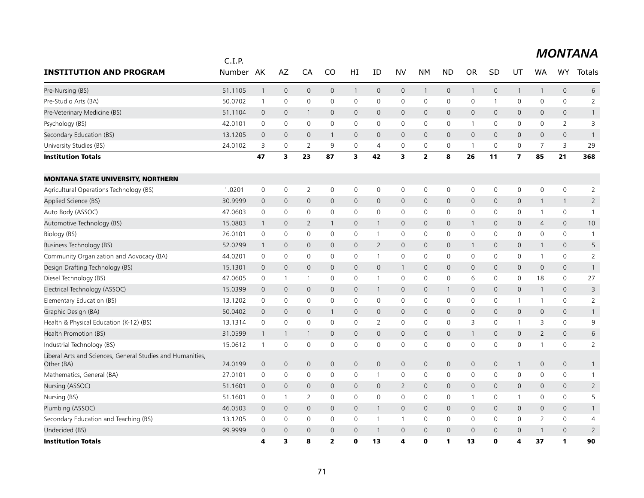|                                                                          | C.I.P.  |                |                         |                |                |                         |                |                         |                         |                |                |              |                         |                |                |                |
|--------------------------------------------------------------------------|---------|----------------|-------------------------|----------------|----------------|-------------------------|----------------|-------------------------|-------------------------|----------------|----------------|--------------|-------------------------|----------------|----------------|----------------|
| <b>INSTITUTION AND PROGRAM</b>                                           | Number  | AK             | AZ                      | CA             | CO             | HI                      | ID             | <b>NV</b>               | <b>NM</b>               | <b>ND</b>      | <b>OR</b>      | SD           | UT                      | WA             | <b>WY</b>      | Totals         |
| Pre-Nursing (BS)                                                         | 51.1105 | $\mathbf{1}$   | $\mathbf{0}$            | $\mathbf{0}$   | 0              | $\mathbf{1}$            | $\mathbf 0$    | $\mathbf 0$             | $\mathbf{1}$            | $\mathbf{0}$   |                | $\mathsf{O}$ | $\mathbf{1}$            | $\mathbf{1}$   | $\mathbf 0$    | 6              |
| Pre-Studio Arts (BA)                                                     | 50.0702 | $\mathbf{1}$   | $\mathbf 0$             | 0              | $\mathbf 0$    | $\mathbf 0$             | $\mathbf 0$    | $\mathbf 0$             | $\mathbf 0$             | $\mathbf 0$    | 0              | $\mathbf{1}$ | $\mathbf 0$             | $\mathbf 0$    | $\mathbf 0$    | $\overline{2}$ |
| Pre-Veterinary Medicine (BS)                                             | 51.1104 | $\mathbf 0$    | $\mathbf{0}$            | $\mathbf{1}$   | 0              | $\mathbf{0}$            | $\mathbf{0}$   | $\mathbf{0}$            | $\mathbf 0$             | $\mathbf{0}$   | $\mathsf{O}$   | $\mathbf{0}$ | $\mathbf{0}$            | $\mathbf{0}$   | $\mathbf{0}$   | $\mathbf{1}$   |
| Psychology (BS)                                                          | 42.0101 | $\mathbf 0$    | $\mathbf 0$             | 0              | 0              | $\mathsf{O}$            | $\mathbf 0$    | $\mathbf 0$             | 0                       | $\mathbf 0$    | $\mathbf 1$    | 0            | $\mathbf 0$             | $\mathbf 0$    | $\overline{2}$ | 3              |
| Secondary Education (BS)                                                 | 13.1205 | $\mathbf 0$    | $\mathbf{0}$            | $\mathbf{0}$   | 1              | $\mathbf{0}$            | $\mathbf{0}$   | $\mathbf{0}$            | $\mathbf 0$             | $\overline{0}$ | $\mathbf 0$    | $\mathbf{0}$ | $\mathbf{0}$            | $\mathbf{0}$   | $\mathbf{0}$   | $\overline{1}$ |
| University Studies (BS)                                                  | 24.0102 | 3              | $\mathbf 0$             | 2              | 9              | 0                       | $\overline{4}$ | $\mathbf 0$             | 0                       | 0              |                | $\mathbf 0$  | 0                       | 7              | 3              | 29             |
| <b>Institution Totals</b>                                                |         | 47             | $\overline{\mathbf{3}}$ | 23             | 87             | $\overline{\mathbf{3}}$ | 42             | $\overline{\mathbf{3}}$ | $\overline{\mathbf{2}}$ | 8              | 26             | 11           | $\overline{\mathbf{z}}$ | 85             | 21             | 368            |
| <b>MONTANA STATE UNIVERSITY, NORTHERN</b>                                |         |                |                         |                |                |                         |                |                         |                         |                |                |              |                         |                |                |                |
| Agricultural Operations Technology (BS)                                  | 1.0201  | 0              | 0                       | 2              | 0              | 0                       | 0              | 0                       | 0                       | 0              | 0              | 0            | 0                       | 0              | $\mathsf{O}$   | 2              |
| Applied Science (BS)                                                     | 30.9999 | $\overline{0}$ | $\mathbf 0$             | 0              | 0              | $\mathbf 0$             | $\mathbf 0$    | $\mathbf 0$             | 0                       | $\mathbf 0$    | 0              | $\mathbf 0$  | $\mathbf 0$             | $\mathbf{1}$   | $\mathbf{1}$   | $\overline{2}$ |
| Auto Body (ASSOC)                                                        | 47.0603 | 0              | 0                       | 0              | 0              | 0                       | 0              | 0                       | 0                       | 0              | 0              | 0            | 0                       | $\mathbf{1}$   | $\mathbf 0$    | $\mathbf{1}$   |
| Automotive Technology (BS)                                               | 15.0803 | $\overline{1}$ | $\mathbf 0$             | $\overline{2}$ | 1              | $\mathsf{O}$            | $\mathbf{1}$   | $\mathbf 0$             | 0                       | $\mathbf 0$    |                | $\mathbf{0}$ | $\mathbf 0$             | $\overline{4}$ | $\mathbf 0$    | 10             |
| Biology (BS)                                                             | 26.0101 | 0              | 0                       | 0              | 0              | 0                       | $\overline{1}$ | 0                       | 0                       | 0              | 0              | 0            | 0                       | 0              | 0              | $\overline{1}$ |
| Business Technology (BS)                                                 | 52.0299 | $\overline{1}$ | $\overline{0}$          | 0              | 0              | $\mathbf 0$             | 2              | $\mathbf 0$             | 0                       | $\mathbf 0$    |                | 0            | $\mathbf 0$             | $\mathbf{1}$   | $\mathbf 0$    | 5              |
| Community Organization and Advocacy (BA)                                 | 44.0201 | 0              | $\mathbf 0$             | 0              | 0              | 0                       | $\mathbf{1}$   | $\mathbf 0$             | $\mathbf 0$             | $\mathbf 0$    | 0              | 0            | 0                       | $\mathbf{1}$   | $\mathsf{O}$   | $\overline{2}$ |
| Design Drafting Technology (BS)                                          | 15.1301 | $\mathbf 0$    | $\mathbf 0$             | 0              | 0              | $\mathsf{O}$            | $\mathbf 0$    | $\mathbf{1}$            | 0                       | $\mathbf 0$    | 0              | $\mathbf{0}$ | $\mathbf 0$             | $\mathbf 0$    | $\mathbf 0$    | $\mathbf{1}$   |
| Diesel Technology (BS)                                                   | 47.0605 | 0              | $\mathbf{1}$            | $\mathbf{1}$   | 0              | 0                       | $\mathbf{1}$   | $\mathbf 0$             | 0                       | 0              | 6              | $\mathbf{0}$ | 0                       | 18             | $\mathsf{O}$   | 27             |
| Electrical Technology (ASSOC)                                            | 15.0399 | $\mathbf 0$    | $\mathbf{0}$            | $\mathbf{0}$   | 0              | $\mathsf{O}$            | $\mathbf{1}$   | $\mathbf{0}$            | 0                       | $\mathbf{1}$   | $\mathbf{0}$   | $\mathbf{0}$ | $\mathbf 0$             | $\mathbf{1}$   | $\mathbf 0$    | 3              |
| Elementary Education (BS)                                                | 13.1202 | $\mathbf 0$    | $\mathbf 0$             | 0              | 0              | $\mathbf 0$             | $\mathbf 0$    | $\mathbf 0$             | 0                       | $\mathbf 0$    | 0              | $\mathbf 0$  | $\mathbf{1}$            | -1             | $\mathsf{O}$   | $\overline{2}$ |
| Graphic Design (BA)                                                      | 50.0402 | $\mathbf 0$    | $\mathbf 0$             | $\mathbf{0}$   | 1              | $\mathbf{0}$            | $\mathbf 0$    | $\mathbf{0}$            | $\overline{0}$          | $\mathbf{0}$   | $\mathsf{O}$   | $\mathbf{0}$ | $\mathbf{0}$            | $\mathbf{0}$   | $\mathbf{0}$   | $\mathbf{1}$   |
| Health & Physical Education (K-12) (BS)                                  | 13.1314 | $\mathbf 0$    | $\mathbf 0$             | 0              | 0              | $\mathbf 0$             | 2              | $\mathbf 0$             | $\mathbf 0$             | $\mathbf 0$    | 3              | 0            | $\mathbf{1}$            | 3              | $\mathsf{O}$   | 9              |
| Health Promotion (BS)                                                    | 31.0599 | $\mathbf{1}$   | $\mathbf{1}$            | $\mathbf{1}$   | 0              | $\overline{0}$          | $\mathbf{0}$   | $\mathbf{0}$            | $\mathbf 0$             | $\mathbf{0}$   |                | $\mathbf{0}$ | $\overline{0}$          | $\overline{2}$ | $\mathbf{0}$   | 6              |
| Industrial Technology (BS)                                               | 15.0612 | $\mathbf{1}$   | $\mathbf 0$             | 0              | 0              | $\mathbf 0$             | $\mathbf 0$    | $\mathbf 0$             | 0                       | $\mathbf 0$    | 0              | $\mathbf{0}$ | $\mathbf 0$             | 1              | $\mathbf 0$    | 2              |
| Liberal Arts and Sciences, General Studies and Humanities,<br>Other (BA) | 24.0199 | $\theta$       | $\overline{0}$          | 0              | 0              | $\mathsf{O}\xspace$     | $\mathbf 0$    | $\mathbf 0$             | 0                       | $\mathbf 0$    | 0              | $\mathbf 0$  | $\mathbf{1}$            | $\mathbf 0$    | $\mathbf 0$    | $\mathbf{1}$   |
| Mathematics, General (BA)                                                | 27.0101 | 0              | $\mathbf 0$             | 0              | 0              | $\mathbf 0$             | $\mathbf{1}$   | $\mathbf 0$             | $\mathbf 0$             | $\mathbf 0$    | 0              | 0            | $\mathbf 0$             | $\mathbf 0$    | $\mathbf 0$    | $\mathbf{1}$   |
| Nursing (ASSOC)                                                          | 51.1601 | $\mathbf 0$    | $\mathbf 0$             | $\mathbf{0}$   | 0              | $\mathsf{O}$            | $\mathbf 0$    | 2                       | $\overline{0}$          | $\mathbf{0}$   | 0              | $\mathbf{0}$ | $\mathbf 0$             | $\mathbf{0}$   | $\mathbf 0$    | $\overline{2}$ |
| Nursing (BS)                                                             | 51.1601 | 0              | $\mathbf{1}$            | $\overline{2}$ | 0              | $\mathsf{O}$            | $\mathbf 0$    | $\mathbf 0$             | 0                       | 0              | 1              | 0            | $\mathbf{1}$            | 0              | $\mathbf 0$    | 5              |
| Plumbing (ASSOC)                                                         | 46.0503 | $\overline{0}$ | $\mathbf 0$             | 0              | 0              | $\mathsf{O}$            | $\mathbf{1}$   | $\mathbf 0$             | 0                       | $\mathbf 0$    | $\overline{0}$ | $\mathbf 0$  | $\mathbf 0$             | $\mathbf 0$    | $\mathbf 0$    | $\mathbf{1}$   |
| Secondary Education and Teaching (BS)                                    | 13.1205 | 0              | $\mathbf 0$             | 0              | $\mathbf 0$    | $\mathbf 0$             | 1              | $\mathbf{1}$            | 0                       | $\mathbf 0$    | 0              | $\mathbf 0$  | $\mathbf 0$             | $\overline{2}$ | $\mathsf{O}$   | 4              |
| Undecided (BS)                                                           | 99.9999 | $\mathbf 0$    | $\mathbf{0}$            | $\overline{0}$ | 0              | $\overline{0}$          | $\mathbf{1}$   | $\mathbf{0}$            | $\mathbf{0}$            | $\overline{0}$ | $\mathbf{0}$   | $\mathbf{0}$ | $\mathbf 0$             | $\mathbf{1}$   | $\mathbf{0}$   | $\overline{2}$ |
| <b>Institution Totals</b>                                                |         | 4              | 3                       | 8              | $\overline{2}$ | $\mathbf 0$             | 13             | 4                       | $\mathbf{0}$            | 1              | 13             | $\bf{0}$     | 4                       | 37             | $\mathbf{1}$   | 90             |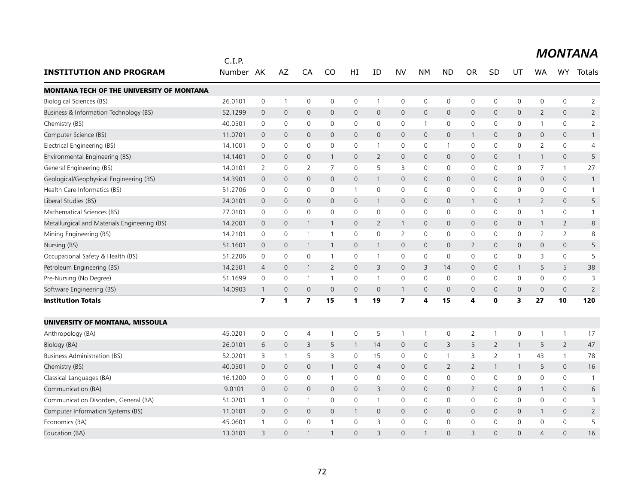|                                                  | C.I.P.    |                         |                     |                         |                |                     |                |                         |                |                     |                |                |                     |                |                     | <b>MONTANA</b> |
|--------------------------------------------------|-----------|-------------------------|---------------------|-------------------------|----------------|---------------------|----------------|-------------------------|----------------|---------------------|----------------|----------------|---------------------|----------------|---------------------|----------------|
| <b>INSTITUTION AND PROGRAM</b>                   | Number AK |                         | AZ                  | CA                      | <b>CO</b>      | HI                  | ID             | <b>NV</b>               | <b>NM</b>      | <b>ND</b>           | <b>OR</b>      | <b>SD</b>      | UT                  | WA             | WY                  | Totals         |
| <b>MONTANA TECH OF THE UNIVERSITY OF MONTANA</b> |           |                         |                     |                         |                |                     |                |                         |                |                     |                |                |                     |                |                     |                |
| <b>Biological Sciences (BS)</b>                  | 26.0101   | $\mathbf 0$             | $\mathbf{1}$        | $\mathbf 0$             | $\mathbf 0$    | $\mathbf 0$         | $\mathbf{1}$   | $\mathbf 0$             | $\mathbf 0$    | 0                   | $\mathbf 0$    | $\mathbf 0$    | $\mathbf 0$         | 0              | $\mathbf 0$         | $\overline{2}$ |
| Business & Information Technology (BS)           | 52.1299   | $\overline{0}$          | $\mathsf{O}\xspace$ | $\mathbf 0$             | $\mathsf{O}$   | $\mathbf 0$         | $\mathbf 0$    | $\mathsf{O}$            | $\mathbf 0$    | 0                   | $\mathbf 0$    | $\mathbf{0}$   | $\mathbf 0$         | $\overline{2}$ | $\mathbf 0$         | $\overline{2}$ |
| Chemistry (BS)                                   | 40.0501   | $\mathbf 0$             | $\mathsf{O}\xspace$ | $\mathbf 0$             | 0              | $\mathbf 0$         | $\mathbf 0$    | 0                       | $\overline{1}$ | 0                   | 0              | $\mathbf 0$    | 0                   | $\mathbf{1}$   | $\mathsf{O}\xspace$ | $\overline{2}$ |
| Computer Science (BS)                            | 11.0701   | $\mathbf 0$             | $\overline{0}$      | $\mathbf{0}$            | $\Omega$       | $\Omega$            | $\Omega$       | $\mathbf{0}$            | $\mathbf{0}$   | $\overline{0}$      | $\mathbf{1}$   | $\Omega$       | $\mathbf{0}$        | $\Omega$       | $\mathbf{0}$        | $\mathbf{1}$   |
| Electrical Engineering (BS)                      | 14.1001   | 0                       | 0                   | $\mathbf 0$             | 0              | 0                   | $\mathbf{1}$   | 0                       | 0              | $\mathbf{1}$        | 0              | 0              | 0                   | 2              | 0                   | 4              |
| Environmental Engineering (BS)                   | 14.1401   | $\mathbf 0$             | $\mathbf 0$         | $\mathbf 0$             | $\mathbf{1}$   | $\mathbf 0$         | 2              | $\mathsf{O}$            | $\mathbf 0$    | $\overline{0}$      | $\mathbf 0$    | $\mathbf{0}$   | $\mathbf{1}$        | $\mathbf{1}$   | $\mathbf 0$         | 5              |
| General Engineering (BS)                         | 14.0101   | $\overline{2}$          | $\mathsf{O}\xspace$ | $\overline{2}$          | $\overline{7}$ | $\mathbf 0$         | 5              | 3                       | $\mathbf 0$    | $\mathbf 0$         | $\mathbf 0$    | 0              | $\mathbf 0$         | $\overline{7}$ | $\mathbf{1}$        | 27             |
| Geological/Geophysical Engineering (BS)          | 14.3901   | $\Omega$                | $\mathsf{O}\xspace$ | $\mathbf 0$             | $\mathsf{O}$   | $\mathsf{O}\xspace$ | $\mathbf{1}$   | $\mathsf{O}$            | $\mathbf 0$    | 0                   | $\Omega$       | $\Omega$       | $\mathsf{O}\xspace$ | $\Omega$       | $\mathbf 0$         | $\mathbf{1}$   |
| Health Care Informatics (BS)                     | 51.2706   | 0                       | 0                   | $\mathbf 0$             | 0              | $\mathbf{1}$        | 0              | 0                       | $\mathbf 0$    | 0                   | 0              | $\mathbf{0}$   | 0                   | 0              | 0                   | $\mathbf{1}$   |
| Liberal Studies (BS)                             | 24.0101   | $\overline{0}$          | $\mathbf 0$         | $\mathbf{0}$            | $\mathbf{0}$   | $\mathbf{0}$        | $\mathbf{1}$   | $\mathbf{0}$            | $\mathbf{0}$   | $\mathsf{O}$        | $\mathbf{1}$   | $\mathbf{0}$   | $\mathbf{1}$        | $\overline{2}$ | $\mathbf 0$         | 5              |
| Mathematical Sciences (BS)                       | 27.0101   | $\mathbf 0$             | $\mathbf 0$         | $\mathbf 0$             | $\mathbf 0$    | $\mathbf 0$         | $\mathbf 0$    | $\mathbf 0$             | $\mathbf 0$    | $\mathbf 0$         | $\mathbf 0$    | $\mathbf 0$    | $\mathbf 0$         | $\mathbf{1}$   | $\mathsf{O}$        | $\mathbf{1}$   |
| Metallurgical and Materials Engineering (BS)     | 14.2001   | $\mathbf 0$             | $\mathbf 0$         | 1                       | $\mathbf{1}$   | $\mathbf{0}$        | 2              | $\mathbf{1}$            | $\mathbf{0}$   | $\mathbf 0$         | $\mathbf{0}$   | $\mathbf{0}$   | $\mathbf 0$         | $\mathbf{1}$   | $\overline{2}$      | 8              |
| Mining Engineering (BS)                          | 14.2101   | 0                       | 0                   | $\mathbf{1}$            | -1             | 0                   | 0              | 2                       | $\mathbf 0$    | 0                   | 0              | $\mathbf 0$    | 0                   | 2              | 2                   | 8              |
| Nursing (BS)                                     | 51.1601   | $\overline{0}$          | $\mathbf 0$         | $\overline{1}$          | $\mathbf{1}$   | $\mathsf{O}\xspace$ | $\mathbf{1}$   | $\mathsf{O}$            | $\mathbf{0}$   | $\mathbf{0}$        | $\overline{2}$ | $\mathbf{0}$   | $\mathbf{0}$        | $\mathbf 0$    | $\mathbf 0$         | 5              |
| Occupational Safety & Health (BS)                | 51.2206   | $\mathbf 0$             | $\mathsf{O}\xspace$ | $\mathbf 0$             | $\mathbf{1}$   | 0                   | $\mathbf{1}$   | $\mathsf{O}$            | $\mathbf 0$    | $\mathsf{O}\xspace$ | 0              | 0              | $\mathsf 0$         | 3              | $\mathsf{O}$        | 5              |
| Petroleum Engineering (BS)                       | 14.2501   | $\overline{4}$          | $\mathbf 0$         | $\mathbf{1}$            | $\overline{2}$ | $\overline{0}$      | 3              | $\mathsf{O}$            | 3              | 14                  | $\mathbf{0}$   | $\mathbf{0}$   | $\mathbf{1}$        | 5              | 5                   | 38             |
| Pre-Nursing (No Degree)                          | 51.1699   | 0                       | 0                   | $\mathbf{1}$            | $\mathbf{1}$   | $\mathbf 0$         | $\mathbf{1}$   | $\mathbf 0$             | 0              | 0                   | 0              | $\mathbf{0}$   | $\mathbf 0$         | 0              | $\mathbf 0$         | 3              |
| Software Engineering (BS)                        | 14.0903   | $\mathbf{1}$            | $\mathsf{O}\xspace$ | $\mathbf{0}$            | $\mathbf{0}$   | $\overline{0}$      | $\mathbf{0}$   | $\mathbf{1}$            | $\mathbf{0}$   | $\overline{0}$      | $\overline{0}$ | $\mathbf{0}$   | $\overline{0}$      | $\mathbf{0}$   | $\mathbf{0}$        | $\overline{2}$ |
| <b>Institution Totals</b>                        |           | $\overline{\mathbf{z}}$ | 1                   | $\overline{\mathbf{z}}$ | 15             | 1                   | 19             | $\overline{\mathbf{z}}$ | 4              | 15                  | 4              | $\mathbf 0$    | 3                   | 27             | 10                  | 120            |
| UNIVERSITY OF MONTANA, MISSOULA                  |           |                         |                     |                         |                |                     |                |                         |                |                     |                |                |                     |                |                     |                |
| Anthropology (BA)                                | 45.0201   | 0                       | 0                   | 4                       | $\overline{1}$ | 0                   | 5              | $\mathbf{1}$            | $\overline{1}$ | 0                   | $\overline{2}$ | $\overline{1}$ | 0                   | $\mathbf{1}$   | $\mathbf{1}$        | 17             |
| Biology (BA)                                     | 26.0101   | 6                       | $\mathbf 0$         | 3                       | 5              | $\mathbf{1}$        | 14             | $\mathsf{O}$            | $\mathbf 0$    | 3                   | 5              | $\overline{2}$ | $\mathbf{1}$        | 5              | $\overline{2}$      | 47             |
| <b>Business Administration (BS)</b>              | 52.0201   | 3                       | $\mathbf{1}$        | 5                       | 3              | $\mathbf 0$         | 15             | $\mathbf 0$             | $\mathbf 0$    | $\mathbf{1}$        | 3              | $\overline{2}$ | $\mathbf{1}$        | 43             | $\mathbf{1}$        | 78             |
| Chemistry (BS)                                   | 40.0501   | $\overline{0}$          | 0                   | $\mathbf 0$             | $\mathbf{1}$   | 0                   | 4              | $\mathsf{O}$            | $\mathbf 0$    | $\overline{2}$      | $\overline{2}$ | 1              | $\mathbf{1}$        | 5              | $\mathbf 0$         | 16             |
| Classical Languages (BA)                         | 16.1200   | 0                       | 0                   | $\mathbf 0$             | $\mathbf{1}$   | 0                   | 0              | 0                       | $\mathbf 0$    | 0                   | 0              | 0              | 0                   | $\mathbf 0$    | $\mathsf{O}$        | $\mathbf{1}$   |
| Communication (BA)                               | 9.0101    | $\overline{0}$          | $\mathbf 0$         | $\mathbf 0$             | $\mathbf 0$    | $\mathbf 0$         | 3              | $\mathsf{O}$            | $\mathbf 0$    | 0                   | $\overline{2}$ | $\mathbf 0$    | $\mathbf 0$         | $\mathbf{1}$   | $\mathbf 0$         | 6              |
| Communication Disorders, General (BA)            | 51.0201   | $\mathbf{1}$            | $\mathsf{O}\xspace$ | $\mathbf{1}$            | $\mathbf 0$    | $\mathbf 0$         | $\mathbf{1}$   | $\mathbf 0$             | $\mathbf 0$    | $\mathbf 0$         | $\mathbf 0$    | $\mathbf 0$    | $\mathbf 0$         | $\Omega$       | $\mathbf 0$         | 3              |
| Computer Information Systems (BS)                | 11.0101   | $\overline{0}$          | $\mathbf 0$         | $\mathbf 0$             | $\mathbf 0$    | 1                   | 0              | $\mathsf{O}$            | $\mathbf 0$    | 0                   | $\mathbf 0$    | $\mathbf 0$    | $\mathbf 0$         | $\mathbf{1}$   | $\mathbf 0$         | 2              |
| Economics (BA)                                   | 45.0601   | $\mathbf{1}$            | $\mathbf 0$         | $\mathbf 0$             | $\overline{1}$ | 0                   | 3              | $\mathbf 0$             | $\mathbf 0$    | $\mathbf 0$         | 0              | $\mathbf{0}$   | $\mathbf 0$         | 0              | $\mathbf 0$         | 5              |
| Education (BA)                                   | 13.0101   | 3                       | $\overline{0}$      |                         |                | $\Omega$            | $\overline{3}$ | $\Omega$                |                | $\Omega$            | $\mathcal{R}$  | $\Omega$       | $\Omega$            | $\Delta$       | $\Omega$            | 16             |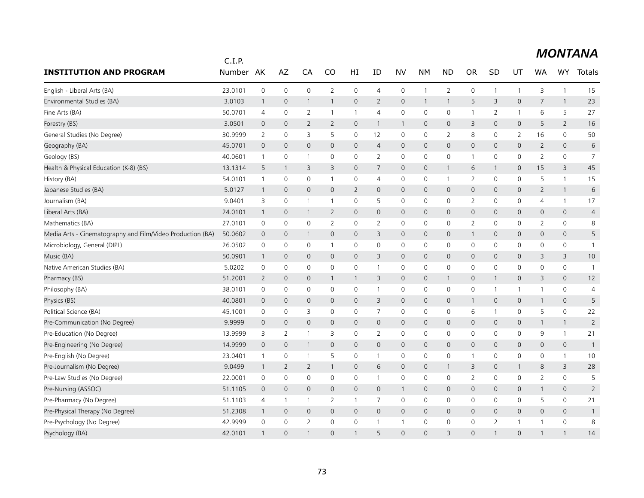|                                                            | C.I.P.    |                |                     |                     |                |                |                |                     |              |                     |                |                |                |                |                |                |
|------------------------------------------------------------|-----------|----------------|---------------------|---------------------|----------------|----------------|----------------|---------------------|--------------|---------------------|----------------|----------------|----------------|----------------|----------------|----------------|
| <b>INSTITUTION AND PROGRAM</b>                             | Number AK |                | AZ                  | CA                  | CO             | HI             | ID             | <b>NV</b>           | NΜ           | <b>ND</b>           | <b>OR</b>      | SD             | UT             | <b>WA</b>      | WY             | <b>Totals</b>  |
| English - Liberal Arts (BA)                                | 23.0101   | $\mathbf 0$    | $\mathsf{O}\xspace$ | $\mathsf{O}\xspace$ | $\overline{2}$ | $\mathbf 0$    | $\overline{4}$ | $\mathsf{O}\xspace$ | $\mathbf{1}$ | $\overline{2}$      | 0              | $\mathbf{1}$   | $\mathbf{1}$   | 3              | $\mathbf{1}$   | 15             |
| Environmental Studies (BA)                                 | 3.0103    | $\overline{1}$ | $\mathbf{0}$        | $\mathbf{1}$        | 1              | $\mathbf 0$    | $\overline{2}$ | $\mathbf{0}$        | $\mathbf{1}$ | $\mathbf{1}$        | 5              | 3              | 0              | 7              | $\mathbf{1}$   | 23             |
| Fine Arts (BA)                                             | 50.0701   | $\overline{4}$ | $\mathbf 0$         | 2                   | 1              | $\mathbf{1}$   | $\overline{4}$ | 0                   | $\mathbf 0$  | 0                   | $\mathbf{1}$   | $\overline{2}$ | $\mathbf{1}$   | 6              | 5              | 27             |
| Forestry (BS)                                              | 3.0501    | $\mathbf 0$    | $\mathbf 0$         | 2                   | 2              | $\mathbf 0$    | $\mathbf{1}$   | $\mathbf{1}$        | $\mathbf{0}$ | $\mathbf{0}$        | 3              | 0              | $\overline{0}$ | 5              | $\overline{2}$ | 16             |
| General Studies (No Degree)                                | 30.9999   | 2              | $\mathbf 0$         | 3                   | 5              | $\mathsf 0$    | 12             | 0                   | $\mathbf 0$  | 2                   | 8              | $\mathbf 0$    | $\overline{2}$ | 16             | 0              | 50             |
| Geography (BA)                                             | 45.0701   | $\overline{0}$ | $\mathbf{0}$        | $\mathbf{0}$        | $\mathbf 0$    | $\mathbf 0$    | $\overline{4}$ | $\mathbf 0$         | $\mathbf{0}$ | $\mathbf 0$         | 0              | $\Omega$       | $\mathbf{0}$   | $\overline{2}$ | $\mathbf{0}$   | 6              |
| Geology (BS)                                               | 40.0601   | $\mathbf{1}$   | 0                   | 1                   | 0              | 0              | 2              | 0                   | $\mathbf 0$  | 0                   | $\mathbf 1$    | $\mathbf 0$    | 0              | $\overline{2}$ | 0              | $\overline{7}$ |
| Health & Physical Education (K-8) (BS)                     | 13.1314   | 5              | $\mathbf{1}$        | 3                   | 3              | $\mathbf 0$    | $\overline{7}$ | $\mathsf{O}$        | $\mathbf 0$  | $\mathbf{1}$        | 6              | 1              | 0              | 15             | 3              | 45             |
| History (BA)                                               | 54.0101   | $\overline{1}$ | $\mathbf 0$         | 0                   | 1              | 0              | $\overline{4}$ | 0                   | $\mathbf 0$  | $\overline{1}$      | $\overline{2}$ | $\mathbf 0$    | 0              | 5              | $\mathbf{1}$   | 15             |
| Japanese Studies (BA)                                      | 5.0127    | $\overline{1}$ | $\mathbf 0$         | $\mathbf{0}$        | $\mathbf 0$    | $\overline{2}$ | $\mathbf{0}$   | $\mathsf{O}$        | $\mathbf 0$  | $\mathbf 0$         | 0              | 0              | 0              | $\overline{2}$ | $\mathbf{1}$   | 6              |
| Journalism (BA)                                            | 9.0401    | 3              | $\mathbf 0$         | $\overline{1}$      | $\mathbf{1}$   | 0              | 5              | 0                   | 0            | 0                   | 2              | $\mathbf 0$    | 0              | 4              | $\mathbf{1}$   | 17             |
| Liberal Arts (BA)                                          | 24.0101   | $\mathbf{1}$   | $\mathbf 0$         | $\mathbf{1}$        | $\overline{2}$ | $\mathbf 0$    | $\mathbf 0$    | $\mathsf{O}$        | $\mathbf 0$  | $\mathsf{O}\xspace$ | 0              | $\mathbf{0}$   | 0              | $\mathbf 0$    | $\mathbf 0$    | $\overline{4}$ |
| Mathematics (BA)                                           | 27.0101   | $\mathsf 0$    | $\mathbf 0$         | $\mathbf 0$         | 2              | $\mathbf 0$    | 2              | 0                   | $\mathbf 0$  | 0                   | $\overline{2}$ | $\mathbf 0$    | 0              | $\overline{2}$ | $\mathbf 0$    | 8              |
| Media Arts - Cinematography and Film/Video Production (BA) | 50.0602   | $\mathbf 0$    | $\mathbf 0$         | $\mathbf{1}$        | $\mathsf{O}$   | $\mathbf 0$    | 3              | $\mathsf{O}$        | $\mathbf 0$  | $\mathbf 0$         | $\mathbf{1}$   | $\mathbf 0$    | 0              | $\mathbf 0$    | $\mathbf 0$    | 5              |
| Microbiology, General (DIPL)                               | 26.0502   | $\mathsf 0$    | 0                   | $\mathsf{O}\xspace$ | $\mathbf{1}$   | $\mathbf 0$    | $\mathbf 0$    | 0                   | $\mathbf 0$  | 0                   | 0              | 0              | 0              | $\mathbf 0$    | 0              | $\mathbf{1}$   |
| Music (BA)                                                 | 50.0901   | $\mathbf{1}$   | $\mathbf 0$         | $\mathbf 0$         | $\mathbf{0}$   | $\mathbf 0$    | 3              | $\mathbf{0}$        | $\mathbf{0}$ | $\mathbf{0}$        | 0              | 0              | $\mathbf{0}$   | 3              | 3              | 10             |
| Native American Studies (BA)                               | 5.0202    | $\mathsf 0$    | $\mathbf 0$         | $\mathsf{O}\xspace$ | 0              | $\mathsf 0$    | $\mathbf{1}$   | 0                   | $\mathbf 0$  | $\mathbf 0$         | 0              | $\mathbf 0$    | 0              | 0              | $\mathbf 0$    | $\mathbf{1}$   |
| Pharmacy (BS)                                              | 51.2001   | 2              | $\mathbf 0$         | $\mathbf 0$         | $\mathbf{1}$   | 1              | 3              | $\mathsf{O}$        | $\mathbf{0}$ | $\mathbf{1}$        | 0              |                | 0              | 3              | $\mathbf{0}$   | 12             |
| Philosophy (BA)                                            | 38.0101   | 0              | 0                   | 0                   | 0              | 0              | $\mathbf{1}$   | 0                   | 0            | 0                   | 0              | 1              | $\mathbf{1}$   | 1              | 0              | $\overline{4}$ |
| Physics (BS)                                               | 40.0801   | $\mathbf 0$    | $\overline{0}$      | $\mathbf{0}$        | $\mathbf{0}$   | $\mathbf 0$    | 3              | $\mathsf{O}$        | $\mathbf{0}$ | $\mathbf 0$         | $\mathbf{1}$   | $\mathbf{0}$   | 0              | $\mathbf{1}$   | $\mathbf 0$    | 5              |
| Political Science (BA)                                     | 45.1001   | 0              | 0                   | 3                   | 0              | 0              | 7              | 0                   | 0            | 0                   | 6              |                | 0              | 5              | 0              | 22             |
| Pre-Communication (No Degree)                              | 9.9999    | $\mathbf 0$    | $\mathsf{O}$        | $\mathsf{O}\xspace$ | $\mathsf{O}$   | $\mathbf 0$    | $\mathbf 0$    | $\mathsf{O}$        | $\mathbf 0$  | $\mathsf{O}$        | 0              | $\mathbf 0$    | 0              | $\mathbf{1}$   | $\mathbf{1}$   | $\overline{2}$ |
| Pre-Education (No Degree)                                  | 13.9999   | 3              | 2                   | $\overline{1}$      | 3              | 0              | $\overline{2}$ | $\mathbf 0$         | $\mathbf 0$  | $\mathbf 0$         | 0              | $\mathbf 0$    | 0              | 9              | $\mathbf{1}$   | 21             |
| Pre-Engineering (No Degree)                                | 14.9999   | $\mathbf 0$    | $\mathbf 0$         | $\mathbf{1}$        | $\mathsf{O}$   | $\mathbf 0$    | $\mathbf 0$    | $\mathsf{O}$        | $\mathsf{O}$ | $\mathbf 0$         | 0              | $\mathbf 0$    | 0              | $\mathbf 0$    | $\mathsf{O}$   | $\mathbf{1}$   |
| Pre-English (No Degree)                                    | 23.0401   | $\overline{1}$ | 0                   | $\overline{1}$      | 5              | $\mathbf 0$    | $\mathbf{1}$   | 0                   | $\mathbf 0$  | 0                   | $\mathbf{1}$   | 0              | 0              | 0              | $\mathbf{1}$   | 10             |
| Pre-Journalism (No Degree)                                 | 9.0499    | $\mathbf{1}$   | $\overline{2}$      | $\overline{2}$      | 1              | $\mathbf 0$    | 6              | $\mathsf{O}$        | $\mathbf 0$  | $\mathbf{1}$        | 3              | $\mathbf{0}$   | $\mathbf{1}$   | 8              | 3              | 28             |
| Pre-Law Studies (No Degree)                                | 22.0001   | 0              | $\mathbf 0$         | 0                   | $\mathbf 0$    | 0              | $\mathbf{1}$   | $\mathsf{O}\xspace$ | $\mathbf 0$  | $\mathbf 0$         | $\overline{2}$ | $\mathbf 0$    | 0              | $\overline{2}$ | $\mathbf 0$    | 5              |
| Pre-Nursing (ASSOC)                                        | 51.1105   | $\mathbf 0$    | $\mathbf{0}$        | $\mathbf{0}$        | $\mathbf{0}$   | $\mathbf 0$    | $\mathbf 0$    | $\mathbf{1}$        | $\mathsf{O}$ | $\mathbf{0}$        | $\mathsf{O}$   | 0              | 0              | $\mathbf{1}$   | 0              | $\overline{2}$ |
| Pre-Pharmacy (No Degree)                                   | 51.1103   | $\overline{4}$ | $\overline{1}$      | $\overline{1}$      | 2              | $\mathbf{1}$   | $\overline{7}$ | 0                   | $\mathbf 0$  | $\mathbf 0$         | 0              | $\mathbf 0$    | $\mathbf 0$    | 5              | $\mathbf 0$    | 21             |
| Pre-Physical Therapy (No Degree)                           | 51.2308   | $\overline{1}$ | $\mathbf{0}$        | $\mathbf{0}$        | $\mathbf{0}$   | $\mathbf{0}$   | $\mathbf{0}$   | $\mathsf{O}$        | $\mathbf{0}$ | $\mathbf 0$         | $\mathsf{O}$   | $\mathbf{0}$   | $\mathbf{0}$   | $\mathbf{0}$   | $\mathbf{0}$   | $\mathbf{1}$   |
| Pre-Psychology (No Degree)                                 | 42.9999   | $\mathbf 0$    | $\mathbf 0$         | 2                   | $\mathbf 0$    | $\mathsf 0$    | $\mathbf{1}$   | $\mathbf{1}$        | 0            | 0                   | 0              | $\overline{2}$ | $\mathbf{1}$   | 1              | $\mathsf 0$    | 8              |
| Psychology (BA)                                            | 42.0101   | $\overline{1}$ | $\Omega$            | 1                   | $\Omega$       | -1             | 5              | $\Omega$            | $\Omega$     | 3                   | $\Omega$       |                | $\Omega$       | 1              | $\mathbf{1}$   | 14             |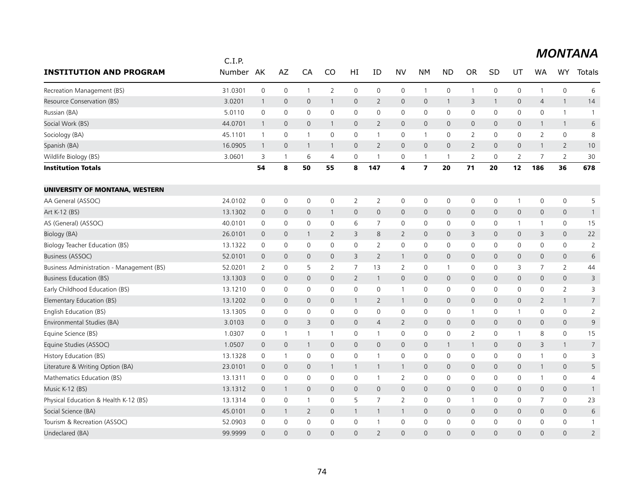|                                           | C.I.P.  |                |              |                |                |                |                |                |                         |                |                |              |                     |                     |                     |                |
|-------------------------------------------|---------|----------------|--------------|----------------|----------------|----------------|----------------|----------------|-------------------------|----------------|----------------|--------------|---------------------|---------------------|---------------------|----------------|
| <b>INSTITUTION AND PROGRAM</b>            | Number  | AK             | AZ           | CA             | CO             | HI             | ID             | <b>NV</b>      | NΜ                      | <b>ND</b>      | <b>OR</b>      | SD           | UT                  | WA                  | <b>WY</b>           | Totals         |
| Recreation Management (BS)                | 31.0301 | 0              | 0            | $\mathbf 1$    | 2              | 0              | 0              | $\mathbf 0$    | $\mathbf{1}$            | $\mathbf 0$    | $\mathbf{1}$   | 0            | $\mathsf 0$         | $\mathbf{1}$        | $\mathsf{O}\xspace$ | 6              |
| Resource Conservation (BS)                | 3.0201  | $\mathbf{1}$   | $\mathbf{0}$ | $\mathbf{0}$   | $\mathbf{1}$   | $\mathsf{O}$   | $\overline{2}$ | $\mathbf 0$    | $\mathbf{0}$            | $\mathbf{1}$   | 3              | $\mathbf{1}$ | $\mathbf 0$         | $\overline{4}$      | $\mathbf{1}$        | 14             |
| Russian (BA)                              | 5.0110  | $\mathbf 0$    | 0            | 0              | 0              | $\mathbf 0$    | 0              | $\mathbf 0$    | 0                       | 0              | 0              | 0            | 0                   | $\mathbf 0$         | $\mathbf{1}$        | $\overline{1}$ |
| Social Work (BS)                          | 44.0701 | $\overline{1}$ | 0            | $\mathbf 0$    | 1              | $\mathbf 0$    | $\overline{2}$ | $\mathbf 0$    | 0                       | $\overline{0}$ | $\mathsf{O}$   | $\mathbf 0$  | 0                   | $\mathbf{1}$        | $\overline{1}$      | 6              |
| Sociology (BA)                            | 45.1101 | $\overline{1}$ | 0            | $\mathbf{1}$   | 0              | $\mathsf{O}$   | $\mathbf{1}$   | $\mathbf 0$    | $\mathbf{1}$            | $\mathbf 0$    | $\overline{2}$ | $\mathbf 0$  | $\mathbf 0$         | 2                   | $\mathsf{O}\xspace$ | 8              |
| Spanish (BA)                              | 16.0905 | $\overline{1}$ | $\mathbf{0}$ | -1             | $\mathbf{1}$   | $\mathbf{0}$   | 2              | $\mathbf{0}$   | $\mathbf{0}$            | $\Omega$       | $\overline{2}$ | $\Omega$     | $\mathbf 0$         | $\mathbf{1}$        | $\overline{2}$      | 10             |
| Wildlife Biology (BS)                     | 3.0601  | 3              | $\mathbf 1$  | 6              | 4              | 0              | -1             | 0              | $\mathbf{1}$            | -1             | 2              | 0            | 2                   | 7                   | 2                   | 30             |
| <b>Institution Totals</b>                 |         | 54             | 8            | 50             | 55             | 8              | 147            | $\overline{4}$ | $\overline{\mathbf{z}}$ | 20             | 71             | 20           | 12                  | 186                 | 36                  | 678            |
| UNIVERSITY OF MONTANA, WESTERN            |         |                |              |                |                |                |                |                |                         |                |                |              |                     |                     |                     |                |
| AA General (ASSOC)                        | 24.0102 | 0              | 0            | 0              | 0              | 2              | 2              | 0              | 0                       | 0              | 0              | 0            | $\mathbf{1}$        | 0                   | $\mathsf{O}$        | 5              |
| Art K-12 (BS)                             | 13.1302 | $\mathbf 0$    | 0            | $\mathsf{O}$   | $\mathbf{1}$   | $\mathsf{O}$   | $\mathbf 0$    | $\mathbf 0$    | 0                       | $\overline{0}$ | $\overline{0}$ | $\mathbf{0}$ | $\mathbf 0$         | $\mathsf{O}\xspace$ | $\mathbf 0$         | $\mathbf{1}$   |
| AS (General) (ASSOC)                      | 40.0101 | $\mathbf 0$    | 0            | 0              | 0              | 6              | $\overline{7}$ | 0              | 0                       | 0              | 0              | 0            | $\mathbf{1}$        | $\mathbf{1}$        | $\mathsf{O}$        | 15             |
| <b>Biology (BA)</b>                       | 26.0101 | $\overline{0}$ | $\mathbf{0}$ | -1             | $\overline{2}$ | 3              | 8              | 2              | $\mathbf{0}$            | $\mathbf 0$    | 3              | $\mathbf{0}$ | $\mathbf 0$         | 3                   | $\mathbf{0}$        | 22             |
| <b>Biology Teacher Education (BS)</b>     | 13.1322 | $\mathbf 0$    | 0            | 0              | 0              | 0              | $\overline{2}$ | $\mathbf 0$    | 0                       | 0              | $\mathbf 0$    | 0            | 0                   | 0                   | $\mathbf 0$         | 2              |
| Business (ASSOC)                          | 52.0101 | $\mathbf{0}$   | $\mathbf 0$  | $\mathbf{0}$   | 0              | 3              | $\overline{2}$ | $\mathbf{1}$   | 0                       | $\mathbf 0$    | $\mathbf{0}$   | $\mathbf{0}$ | $\mathbf 0$         | $\mathbf 0$         | $\mathbf 0$         | 6              |
| Business Administration - Management (BS) | 52.0201 | $\overline{2}$ | 0            | 5              | $\overline{2}$ | $\overline{7}$ | 13             | 2              | $\mathbf 0$             | $\mathbf{1}$   | 0              | 0            | 3                   | $\overline{7}$      | 2                   | 44             |
| Business Education (BS)                   | 13.1303 | $\mathbf{0}$   | $\mathbf{0}$ | $\mathbf{0}$   | 0              | $\overline{2}$ | $\mathbf{1}$   | $\mathbf 0$    | $\mathbf{0}$            | $\mathbf 0$    | $\overline{0}$ | $\mathbf{0}$ | $\mathbf 0$         | $\mathbf{0}$        | $\mathbf 0$         | 3              |
| Early Childhood Education (BS)            | 13.1210 | 0              | 0            | 0              | 0              | $\mathsf{O}$   | 0              | $\mathbf{1}$   | 0                       | 0              | $\mathbf 0$    | 0            | 0                   | 0                   | $\overline{2}$      | 3              |
| Elementary Education (BS)                 | 13.1202 | $\mathbf 0$    | 0            | $\mathsf{O}$   | 0              | $\mathbf{1}$   | $\overline{2}$ | $\overline{1}$ | 0                       | $\overline{0}$ | $\mathsf{O}$   | $\mathsf{O}$ | $\mathsf{O}\xspace$ | $\overline{2}$      | $\mathbf{1}$        | $\overline{7}$ |
| English Education (BS)                    | 13.1305 | 0              | 0            | 0              | 0              | 0              | 0              | $\mathbf 0$    | 0                       | $\mathbf 0$    | $\mathbf{1}$   | 0            | $\mathbf{1}$        | 0                   | $\mathsf{O}$        | $\overline{2}$ |
| Environmental Studies (BA)                | 3.0103  | $\mathbf{0}$   | $\mathbf{0}$ | 3              | 0              | $\mathsf{O}$   | $\overline{4}$ | 2              | $\mathbf{0}$            | $\mathbf 0$    | $\mathbf{0}$   | $\mathbf{0}$ | $\mathbf 0$         | $\mathbf{0}$        | $\mathbf{0}$        | 9              |
| Equine Science (BS)                       | 1.0307  | 0              | 1            | $\mathbf 1$    | 1              | 0              | $\mathbf{1}$   | 0              | 0                       | $\mathbf 0$    | $\overline{2}$ | 0            | $\mathbf{1}$        | 8                   | $\mathsf{O}$        | 15             |
| Equine Studies (ASSOC)                    | 1.0507  | $\mathbf 0$    | 0            | 1              | 0              | $\mathsf{O}$   | $\mathbf 0$    | $\mathbf 0$    | $\mathsf{O}\xspace$     | $\mathbf{1}$   | $\mathbf{1}$   | $\mathsf{O}$ | $\mathbf 0$         | 3                   | $\mathbf{1}$        | $\overline{7}$ |
| History Education (BS)                    | 13.1328 | 0              | 1            | 0              | 0              | $\mathbf 0$    | $\mathbf{1}$   | 0              | 0                       | 0              | 0              | 0            | 0                   | $\mathbf{1}$        | $\mathsf{O}$        | 3              |
| Literature & Writing Option (BA)          | 23.0101 | $\mathbf{0}$   | $\mathbf{0}$ | $\mathbf{0}$   | $\mathbf{1}$   | $\mathbf{1}$   | $\mathbf{1}$   | $\overline{1}$ | $\mathbf{0}$            | $\mathbf 0$    | $\mathbf{0}$   | $\mathbf 0$  | $\mathbf 0$         | $\mathbf{1}$        | $\mathbf{0}$        | 5              |
| Mathematics Education (BS)                | 13.1311 | 0              | 0            | $\mathsf{O}$   | 0              | $\mathsf{O}$   | $\mathbf{1}$   | 2              | 0                       | $\mathbf 0$    | 0              | 0            | $\mathsf 0$         | $\mathbf{1}$        | $\mathsf{O}$        | 4              |
| Music K-12 (BS)                           | 13.1312 | $\overline{0}$ | 1            | $\mathbf{0}$   | $\overline{0}$ | $\mathbf{0}$   | $\mathbf{0}$   | $\mathbf 0$    | $\mathbf{0}$            | $\overline{0}$ | $\overline{0}$ | $\mathbf{0}$ | $\mathbf{0}$        | $\mathbf{0}$        | $\mathbf 0$         | $\mathbf{1}$   |
| Physical Education & Health K-12 (BS)     | 13.1314 | $\mathbf 0$    | 0            | $\mathbf{1}$   | 0              | 5              | $\overline{7}$ | $\overline{2}$ | 0                       | 0              | 1              | $\mathbf{0}$ | 0                   | 7                   | $\mathbf 0$         | 23             |
| Social Science (BA)                       | 45.0101 | $\overline{0}$ | $\mathbf{1}$ | $\overline{2}$ | 0              | $\mathbf{1}$   | $\mathbf{1}$   | $\mathbf{1}$   | 0                       | $\overline{0}$ | $\mathsf{O}$   | $\mathsf{O}$ | $\mathbf 0$         | $\mathbf 0$         | $\mathbf 0$         | 6              |
| Tourism & Recreation (ASSOC)              | 52.0903 | $\mathbf 0$    | 0            | 0              | 0              | 0              | $\mathbf{1}$   | $\mathbf 0$    | 0                       | $\mathbf 0$    | $\mathbf 0$    | $\mathbf 0$  | 0                   | $\mathbf 0$         | $\mathbf 0$         | $\mathbf{1}$   |
| Undeclared (BA)                           | 99.9999 | $\Omega$       | $\Omega$     | $\Omega$       | $\Omega$       | $\Omega$       | $\overline{2}$ | $\Omega$       | $\Omega$                | $\Omega$       | $\Omega$       | $\Omega$     | $\Omega$            | $\Omega$            | $\Omega$            | $\overline{2}$ |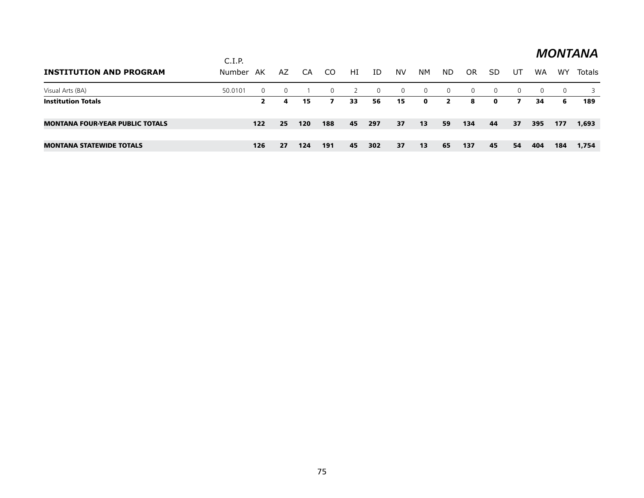|                                        | C.I.P.  |          |          |     |          |    |          |                |             |                |     |              |          |          |          | <b>MONTANA</b> |
|----------------------------------------|---------|----------|----------|-----|----------|----|----------|----------------|-------------|----------------|-----|--------------|----------|----------|----------|----------------|
| <b>INSTITUTION AND PROGRAM</b>         | Number  | AK       | AZ       | CA  | CO.      | HI | ID       | NV             | NM.         | ND.            | OR  | SD           | UT       | WA       | WY       | Totals         |
| Visual Arts (BA)                       | 50.0101 | $\Omega$ | $\Omega$ |     | $\Omega$ |    | $\Omega$ | $\overline{0}$ | $\Omega$    | $\overline{0}$ | 0   | $\Omega$     | $\Omega$ | $\Omega$ | $\Omega$ | 3              |
| <b>Institution Totals</b>              |         | 2        | 4        | 15  | 7        | 33 | 56       | 15             | $\mathbf 0$ | $\mathbf{2}$   | 8   | $\mathbf{o}$ | 7        | 34       | 6        | 189            |
| <b>MONTANA FOUR-YEAR PUBLIC TOTALS</b> |         | $122$    | 25       | 120 | 188      | 45 | 297      | 37             | 13          | 59             | 134 | 44           | 37       | 395      | 177      | 1,693          |
|                                        |         |          |          |     |          |    |          |                |             |                |     |              |          |          |          |                |
| <b>MONTANA STATEWIDE TOTALS</b>        |         | 126      | 27       | 124 | 191      | 45 | 302      | 37             | 13          | 65             | 137 | 45           | 54       | 404      | 184      | 1,754          |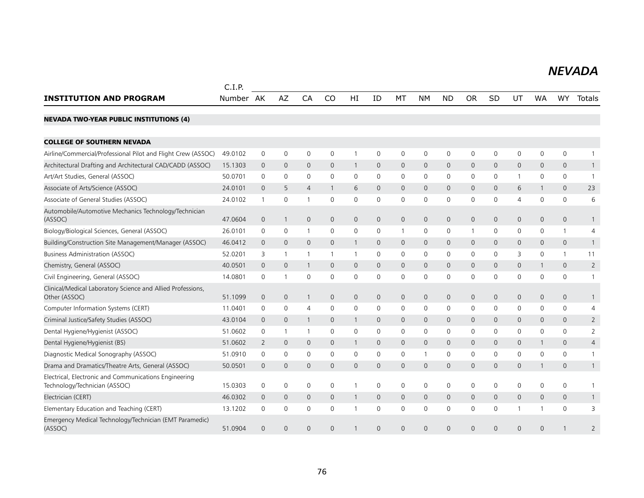#### *NEVADA NEVADA*

|                                                                                        | C.I.P.    |                |              |                |              |                |                |              |              |              |              |              |                |              |                     |                |
|----------------------------------------------------------------------------------------|-----------|----------------|--------------|----------------|--------------|----------------|----------------|--------------|--------------|--------------|--------------|--------------|----------------|--------------|---------------------|----------------|
| <b>INSTITUTION AND PROGRAM</b>                                                         | Number AK |                | <b>AZ</b>    | CA             | CO           | HI             | ID             | MT           | NΜ           | <b>ND</b>    | <b>OR</b>    | SD           | UT             | <b>WA</b>    | <b>WY</b>           | <b>Totals</b>  |
| <b>NEVADA TWO-YEAR PUBLIC INSTITUTIONS (4)</b>                                         |           |                |              |                |              |                |                |              |              |              |              |              |                |              |                     |                |
| <b>COLLEGE OF SOUTHERN NEVADA</b>                                                      |           |                |              |                |              |                |                |              |              |              |              |              |                |              |                     |                |
| Airline/Commercial/Professional Pilot and Flight Crew (ASSOC)                          | 49.0102   | 0              | 0            | 0              | $\mathbf 0$  |                | 0              | $\mathbf 0$  | $\mathbf 0$  | 0            | $\mathbf 0$  | 0            | 0              | $\mathbf 0$  | $\mathbf 0$         | 1              |
| Architectural Drafting and Architectural CAD/CADD (ASSOC)                              | 15.1303   | $\mathbf{0}$   | $\mathbf{0}$ | $\mathbf{0}$   | $\mathbf{0}$ | 1              | $\mathbf{0}$   | $\mathbf 0$  | $\mathbf{0}$ | $\mathbf{0}$ | $\mathbf{0}$ | $\mathbf{0}$ | $\mathbf{0}$   | $\mathbf{0}$ | $\mathbf{0}$        | $\mathbf{1}$   |
| Art/Art Studies, General (ASSOC)                                                       | 50.0701   | 0              | 0            | 0              | $\mathbf 0$  | 0              | 0              | 0            | 0            | 0            | 0            | 0            | 1              | 0            | 0                   | $\mathbf{1}$   |
| Associate of Arts/Science (ASSOC)                                                      | 24.0101   | $\mathbf 0$    | 5            | $\overline{4}$ | $\mathbf{1}$ | 6              | $\mathbf 0$    | $\mathbf 0$  | $\mathbf 0$  | $\mathbf 0$  | $\mathbf{0}$ | $\mathbf{0}$ | 6              | $\mathbf{1}$ | $\mathbf 0$         | 23             |
| Associate of General Studies (ASSOC)                                                   | 24.0102   | $\mathbf{1}$   | 0            | $\overline{1}$ | $\mathbf{0}$ | 0              | $\mathbf{0}$   | $\mathbf 0$  | $\mathbf 0$  | 0            | $\mathbf 0$  | 0            | $\overline{4}$ | $\mathbf{0}$ | $\mathbf 0$         | 6              |
| Automobile/Automotive Mechanics Technology/Technician<br>(ASSOC)                       | 47.0604   | $\mathbf 0$    | -1           | $\mathbf{0}$   | 0            | 0              | $\mathbf 0$    | $\mathbf 0$  | $\mathbf 0$  | $\mathbf 0$  | $\mathsf{O}$ | $\mathbf{0}$ | 0              | $\mathbf 0$  | $\overline{0}$      | 1              |
| Biology/Biological Sciences, General (ASSOC)                                           | 26.0101   | 0              | 0            | $\overline{1}$ | $\mathbf 0$  | 0              | 0              | $\mathbf{1}$ | $\mathbf 0$  | 0            | $\mathbf{1}$ | 0            | 0              | 0            | $\mathbf{1}$        | 4              |
| Building/Construction Site Management/Manager (ASSOC)                                  | 46.0412   | $\mathbf 0$    | $\mathbf 0$  | $\mathbf 0$    | 0            | 1              | $\mathbf 0$    | $\mathbf 0$  | $\mathbf 0$  | 0            | $\mathsf{O}$ | 0            | 0              | $\mathbf 0$  | 0                   | $\mathbf{1}$   |
| <b>Business Administration (ASSOC)</b>                                                 | 52.0201   | 3              | $\mathbf{1}$ | $\overline{1}$ | $\mathbf{1}$ | $\mathbf{1}$   | 0              | 0            | 0            | 0            | 0            | 0            | 3              | 0            | $\mathbf{1}$        | 11             |
| Chemistry, General (ASSOC)                                                             | 40.0501   | $\mathbf 0$    | $\mathbf 0$  | -1             | $\mathbf{0}$ | $\overline{0}$ | $\mathbf{0}$   | $\mathbf 0$  | $\mathbf{0}$ | $\mathbf 0$  | $\mathbf{0}$ | $\mathbf 0$  | 0              | $\mathbf{1}$ | 0                   | $\overline{2}$ |
| Civil Engineering, General (ASSOC)                                                     | 14.0801   | 0              |              | 0              | $\mathbf 0$  | 0              | $\mathbf 0$    | $\mathbf 0$  | $\mathbf 0$  | 0            | 0            | 0            | 0              | $\mathbf 0$  | 0                   | $\mathbf{1}$   |
| Clinical/Medical Laboratory Science and Allied Professions,<br>Other (ASSOC)           | 51.1099   | $\mathbf 0$    | $\mathbf 0$  | $\mathbf{1}$   | $\mathbf{0}$ | $\mathsf{O}$   | $\mathbf{0}$   | $\mathbf 0$  | $\mathbf 0$  | $\mathbf 0$  | $\mathbf{O}$ | $\mathbf{0}$ | $\mathbf{0}$   | $\mathbf{0}$ | $\mathbf 0$         | $\mathbf{1}$   |
| Computer Information Systems (CERT)                                                    | 11.0401   | 0              | $\mathbf 0$  | 4              | $\mathbf 0$  | 0              | $\mathbf 0$    | 0            | $\mathbf 0$  | 0            | $\mathbf 0$  | 0            | 0              | 0            | 0                   | 4              |
| Criminal Justice/Safety Studies (ASSOC)                                                | 43.0104   | $\mathbf 0$    | $\mathbf 0$  | $\mathbf{1}$   | 0            | $\mathbf{1}$   | $\mathbf 0$    | $\mathbf 0$  | $\mathbf 0$  | $\mathbf 0$  | $\mathsf{O}$ | 0            | 0              | $\mathbf 0$  | $\mathsf{O}$        | $\overline{2}$ |
| Dental Hygiene/Hygienist (ASSOC)                                                       | 51.0602   | 0              | -1           | -1             | 0            | 0              | 0              | 0            | 0            | 0            | 0            | 0            | 0              | 0            | 0                   | 2              |
| Dental Hygiene/Hygienist (BS)                                                          | 51.0602   | 2              | $\mathbf 0$  | $\mathbf{0}$   | 0            | 1              | $\mathbf{0}$   | $\mathbf 0$  | $\mathbf{0}$ | $\mathbf 0$  | $\mathbf{0}$ | $\mathbf{0}$ | 0              | $\mathbf{1}$ | 0                   | 4              |
| Diagnostic Medical Sonography (ASSOC)                                                  | 51.0910   | 0              | 0            | 0              | $\mathbf 0$  | 0              | 0              | 0            | -1           | 0            | $\mathbf 0$  | 0            | 0              | 0            | 0                   | $\mathbf{1}$   |
| Drama and Dramatics/Theatre Arts, General (ASSOC)                                      | 50.0501   | $\mathbf 0$    | $\mathbf{0}$ | $\mathbf{0}$   | $\mathbf{0}$ | $\overline{0}$ | $\mathbf{0}$   | $\mathbf{0}$ | $\mathbf{0}$ | $\mathbf 0$  | $\mathbf{0}$ | $\mathbf{0}$ | $\mathbf{0}$   | $\mathbf{1}$ | $\mathbf{0}$        | $\mathbf{1}$   |
| Electrical, Electronic and Communications Engineering<br>Technology/Technician (ASSOC) | 15.0303   | 0              | $\mathbf 0$  | 0              | $\mathbf{0}$ | $\mathbf{1}$   | $\Omega$       | $\mathbf 0$  | $\mathbf 0$  | $\mathbf 0$  | 0            | $\Omega$     | 0              | $\mathbf{0}$ | $\mathbf 0$         | $\mathbf{1}$   |
| Electrician (CERT)                                                                     | 46.0302   | $\mathbf 0$    | 0            | $\mathbf{0}$   | $\mathbf{0}$ | $\mathbf{1}$   | $\mathbf 0$    | $\mathbf 0$  | $\mathbf 0$  | $\mathbf 0$  | $\mathbf{0}$ | $\mathbf 0$  | 0              | $\mathbf{0}$ | $\mathsf{O}\xspace$ | $\mathbf{1}$   |
| Elementary Education and Teaching (CERT)                                               | 13.1202   | 0              | $\mathbf 0$  | 0              | 0            |                | 0              | $\mathbf 0$  | $\mathbf 0$  | 0            | $\mathbf 0$  | 0            | 1              | 1            | $\mathbf 0$         | 3              |
| Emergency Medical Technology/Technician (EMT Paramedic)<br>(ASSOC)                     | 51.0904   | $\overline{0}$ | $\mathbf 0$  | $\Omega$       | 0            |                | $\overline{0}$ | $\mathbf{0}$ | 0            | $\mathbf 0$  | $\Omega$     | $\Omega$     | $\mathbf 0$    | $\Omega$     |                     | $\overline{2}$ |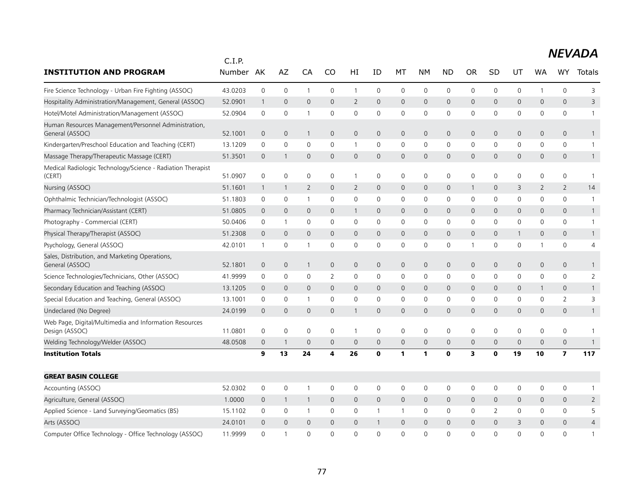|                                                                          | C.I.P.  |                     |                |                |              |                |                |                |              |                     |              |              |              |              |                         |                |
|--------------------------------------------------------------------------|---------|---------------------|----------------|----------------|--------------|----------------|----------------|----------------|--------------|---------------------|--------------|--------------|--------------|--------------|-------------------------|----------------|
| <b>INSTITUTION AND PROGRAM</b>                                           | Number  | AK                  | AZ             | CA             | CO           | HI             | ID             | МT             | NΜ           | <b>ND</b>           | <b>OR</b>    | <b>SD</b>    | UT           | WA           | WY                      | Totals         |
| Fire Science Technology - Urban Fire Fighting (ASSOC)                    | 43.0203 | $\mathsf{O}\xspace$ | $\mathbf 0$    | $\mathbf{1}$   | 0            | $\mathbf{1}$   | 0              | 0              | $\mathsf{O}$ | $\mathbf 0$         | 0            | 0            | 0            | $\mathbf{1}$ | 0                       | 3              |
| Hospitality Administration/Management, General (ASSOC)                   | 52.0901 | $\mathbf{1}$        | $\mathbf{0}$   | $\mathbf{0}$   | $\Omega$     | $\overline{2}$ | $\mathbf{0}$   | $\mathbf{0}$   | $\mathbf{0}$ | $\mathbf{0}$        | $\Omega$     | $\Omega$     | 0            | $\mathbf{0}$ | $\mathbf{0}$            | 3              |
| Hotel/Motel Administration/Management (ASSOC)                            | 52.0904 | $\mathbf 0$         | $\mathbf 0$    | 1              | $\mathbf 0$  | $\mathbf 0$    | 0              | 0              | $\mathbf 0$  | 0                   | 0            | 0            | 0            | 0            | 0                       | $\mathbf{1}$   |
| Human Resources Management/Personnel Administration,<br>General (ASSOC)  | 52.1001 | $\mathbf 0$         | $\mathbf 0$    | $\mathbf 1$    | 0            | $\mathbf 0$    | $\mathbf 0$    | $\mathbf 0$    | $\mathbf 0$  | $\mathbf 0$         | 0            | $\mathbf{0}$ | 0            | $\mathbf 0$  | $\mathbf 0$             | $\mathbf{1}$   |
| Kindergarten/Preschool Education and Teaching (CERT)                     | 13.1209 | 0                   | 0              | 0              | $\Omega$     | 1              | 0              | 0              | $\mathbf 0$  | 0                   | 0            | $\mathbf{0}$ | 0            | 0            | 0                       | 1              |
| Massage Therapy/Therapeutic Massage (CERT)                               | 51.3501 | $\overline{0}$      | $\mathbf{1}$   | $\mathbf{0}$   | $\mathbf{0}$ | $\mathbf 0$    | $\overline{0}$ | $\mathbf 0$    | $\mathbf{0}$ | $\mathbf{0}$        | $\mathbf 0$  | 0            | 0            | $\mathbf{0}$ | 0                       | $\mathbf{1}$   |
| Medical Radiologic Technology/Science - Radiation Therapist<br>(CERT)    | 51.0907 | 0                   | $\mathbf 0$    | $\mathbf 0$    | 0            | $\mathbf{1}$   | 0              | $\mathbf 0$    | $\mathbf 0$  | $\mathbf 0$         | 0            | 0            | 0            | 0            | 0                       | $\overline{1}$ |
| Nursing (ASSOC)                                                          | 51.1601 | $\mathbf{1}$        | 1              | $\overline{2}$ | $\mathbf 0$  | 2              | $\mathbf 0$    | $\mathbf 0$    | $\mathbf 0$  | $\mathbf 0$         | 1            | 0            | 3            | 2            | $\overline{2}$          | 14             |
| Ophthalmic Technician/Technologist (ASSOC)                               | 51.1803 | $\mathbf 0$         | $\mathbf 0$    | $\mathbf{1}$   | $\mathbf 0$  | $\mathbf 0$    | 0              | $\mathbf 0$    | $\mathbf 0$  | $\mathbf 0$         | 0            | 0            | 0            | 0            | 0                       | 1              |
| Pharmacy Technician/Assistant (CERT)                                     | 51.0805 | $\overline{0}$      | $\mathbf 0$    | $\mathbf 0$    | $\mathbf 0$  | $\mathbf{1}$   | $\mathbf{0}$   | $\mathbf 0$    | $\mathbf 0$  | $\mathbf 0$         | 0            | $\mathbf 0$  | 0            | $\mathbf{0}$ | $\mathsf{O}\xspace$     | $\mathbf{1}$   |
| Photography - Commercial (CERT)                                          | 50.0406 | 0                   | $\mathbf{1}$   | $\mathbf 0$    | 0            | 0              | 0              | 0              | 0            | 0                   | 0            | 0            | 0            | 0            | 0                       | $\mathbf{1}$   |
| Physical Therapy/Therapist (ASSOC)                                       | 51.2308 | $\mathbf 0$         | $\mathbf{0}$   | $\mathbf{0}$   | $\mathbf{0}$ | $\overline{0}$ | $\mathbf 0$    | $\mathbf 0$    | $\mathbf{0}$ | $\mathsf{O}\xspace$ | $\mathsf{O}$ | $\mathbf 0$  | $\mathbf{1}$ | $\mathbf{0}$ | $\mathbf{0}$            | $\mathbf{1}$   |
| Psychology, General (ASSOC)                                              | 42.0101 | $\mathbf{1}$        | 0              | 1              | $\mathbf 0$  | 0              | $\mathbf 0$    | 0              | $\mathsf 0$  | 0                   | $\mathbf 1$  | 0            | 0            | 1            | 0                       | 4              |
| Sales, Distribution, and Marketing Operations,<br>General (ASSOC)        | 52.1801 | $\mathbf 0$         | $\mathbf 0$    | $\mathbf{1}$   | $\mathsf{O}$ | $\mathbf 0$    | $\mathbf 0$    | $\mathbf 0$    | $\mathbf 0$  | $\mathsf{O}\xspace$ | $\mathbf 0$  | $\mathbf 0$  | 0            | $\mathbf 0$  | 0                       | $\mathbf{1}$   |
| Science Technologies/Technicians, Other (ASSOC)                          | 41.9999 | $\mathbf 0$         | 0              | $\mathbf 0$    | 2            | 0              | 0              | 0              | $\mathbf 0$  | $\mathbf 0$         | 0            | 0            | 0            | 0            | 0                       | 2              |
| Secondary Education and Teaching (ASSOC)                                 | 13.1205 | $\mathbf 0$         | $\mathbf{0}$   | $\mathbf{0}$   | $\mathbf{0}$ | $\mathbf{0}$   | $\mathbf{0}$   | $\overline{0}$ | $\mathbf{0}$ | $\mathbf{0}$        | $\mathsf{O}$ | $\mathbf 0$  | 0            | $\mathbf{1}$ | 0                       | $\mathbf{1}$   |
| Special Education and Teaching, General (ASSOC)                          | 13.1001 | $\mathbf 0$         | 0              | $\mathbf{1}$   | 0            | 0              | 0              | 0              | $\mathbf 0$  | $\mathbf 0$         | 0            | 0            | 0            | 0            | $\overline{2}$          | 3              |
| Undeclared (No Degree)                                                   | 24.0199 | $\mathbf 0$         | $\mathbf 0$    | $\mathbf{0}$   | $\mathbf{0}$ | 1              | $\mathbf{0}$   | $\mathbf{0}$   | $\mathbf{0}$ | $\mathbf 0$         | $\mathbf{0}$ | 0            | 0            | $\mathbf{0}$ | $\overline{0}$          | $\mathbf{1}$   |
| Web Page, Digital/Multimedia and Information Resources<br>Design (ASSOC) | 11.0801 | $\mathbf 0$         | $\mathbf 0$    | $\mathbf 0$    | $\mathbf 0$  | $\mathbf{1}$   | 0              | $\mathbf 0$    | $\mathbf 0$  | $\mathbf 0$         | 0            | $\mathbf 0$  | $\mathbf 0$  | $\mathbf 0$  | 0                       | 1              |
| Welding Technology/Welder (ASSOC)                                        | 48.0508 | $\mathbf 0$         | -1             | $\mathbf 0$    | $\mathbf 0$  | $\mathbf 0$    | $\mathbf 0$    | $\mathbf 0$    | $\mathsf{O}$ | $\mathbf 0$         | 0            | $\mathbf 0$  | 0            | $\mathbf 0$  | $\mathsf{O}\xspace$     | $\mathbf{1}$   |
| <b>Institution Totals</b>                                                |         | 9                   | 13             | 24             | 4            | 26             | 0              | 1              | $\mathbf{1}$ | $\mathbf 0$         | 3            | 0            | 19           | 10           | $\overline{\mathbf{z}}$ | 117            |
| <b>GREAT BASIN COLLEGE</b>                                               |         |                     |                |                |              |                |                |                |              |                     |              |              |              |              |                         |                |
| Accounting (ASSOC)                                                       | 52.0302 | $\mathbf 0$         | $\mathbf 0$    | 1              | $\mathbf 0$  | 0              | 0              | $\mathbf 0$    | $\mathbf 0$  | $\mathbf 0$         | 0            | 0            | 0            | 0            | 0                       | 1              |
| Agriculture, General (ASSOC)                                             | 1.0000  | $\overline{0}$      | $\overline{1}$ | $\mathbf{1}$   | $\mathbf{0}$ | $\overline{0}$ | $\overline{0}$ | $\mathbf{0}$   | $\mathbf 0$  | $\overline{0}$      | 0            | 0            | 0            | $\Omega$     | $\mathbf 0$             | 2              |
| Applied Science - Land Surveying/Geomatics (BS)                          | 15.1102 | 0                   | 0              | $\overline{1}$ | 0            | 0              | 1              | $\mathbf{1}$   | 0            | 0                   | 0            | 2            | 0            | 0            | 0                       | 5              |
| Arts (ASSOC)                                                             | 24.0101 | $\overline{0}$      | $\Omega$       | $\mathbf{0}$   | $\mathbf{0}$ | $\mathbf{0}$   | $\mathbf{1}$   | $\mathbf 0$    | $\mathbf{0}$ | $\mathbf{0}$        | 0            | $\Omega$     | 3            | $\Omega$     | $\mathbf{0}$            | $\overline{4}$ |
| Computer Office Technology - Office Technology (ASSOC)                   | 11.9999 | $\mathbf 0$         | $\mathbf{1}$   | $\mathbf 0$    | $\mathbf{0}$ | $\mathbf 0$    | $\overline{0}$ | $\Omega$       | $\mathbf 0$  | 0                   | 0            | 0            | 0            | $\mathbf 0$  | 0                       | $\mathbf{1}$   |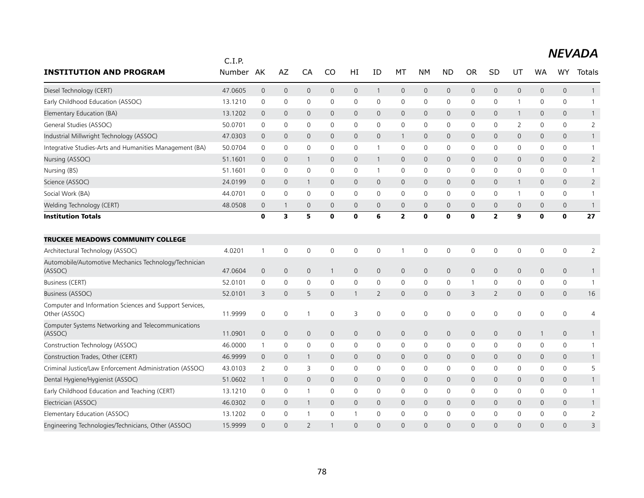|                                                                          | C.I.P.  |                |                     |                     |              |              |                |                     |              |              |                |                         |              |              |                     |                |
|--------------------------------------------------------------------------|---------|----------------|---------------------|---------------------|--------------|--------------|----------------|---------------------|--------------|--------------|----------------|-------------------------|--------------|--------------|---------------------|----------------|
| <b>INSTITUTION AND PROGRAM</b>                                           | Number  | AK             | AZ                  | CA                  | CO           | HI           | ΙD             | МT                  | NΜ           | <b>ND</b>    | <b>OR</b>      | <b>SD</b>               | UT           | <b>WA</b>    | <b>WY</b>           | Totals         |
| Diesel Technology (CERT)                                                 | 47.0605 | $\mathbf{0}$   | $\mathsf{O}\xspace$ | $\mathbf{0}$        | $\mathbf{0}$ | $\mathbf 0$  | $\mathbf{1}$   | $\mathbf{0}$        | $\mathsf{O}$ | $\mathbf 0$  | $\mathbf 0$    | 0                       | $\mathbf{0}$ | $\mathsf{O}$ | $\mathbf{0}$        | $\mathbf{1}$   |
| Early Childhood Education (ASSOC)                                        | 13.1210 | 0              | $\mathbf 0$         | $\mathbf 0$         | 0            | 0            | 0              | 0                   | 0            | 0            | 0              | 0                       | 1            | $\mathbf{0}$ | 0                   |                |
| Elementary Education (BA)                                                | 13.1202 | $\overline{0}$ | $\mathbf 0$         | $\overline{0}$      | $\mathbf{0}$ | 0            | 0              | $\mathbf 0$         | $\mathbf 0$  | $\mathbf 0$  | $\overline{0}$ | 0                       | $\mathbf{1}$ | $\mathbf 0$  | 0                   | 1              |
| General Studies (ASSOC)                                                  | 50.0701 | 0              | $\mathbf 0$         | $\mathbf 0$         | $\Omega$     | 0            | 0              | $\mathbf 0$         | $\mathbf 0$  | $\mathbf 0$  | 0              | 0                       | 2            | $\mathbf{0}$ | 0                   | $\overline{2}$ |
| Industrial Millwright Technology (ASSOC)                                 | 47.0303 | $\mathbf 0$    | $\mathbf 0$         | $\mathbf{0}$        | $\mathbf 0$  | $\mathsf{O}$ | 0              | $\mathbf{1}$        | $\mathbf{0}$ | $\mathbf 0$  | $\mathbf 0$    | 0                       | $\mathbf{0}$ | 0            | $\mathbf{0}$        | $\mathbf{1}$   |
| Integrative Studies-Arts and Humanities Management (BA)                  | 50.0704 | 0              | 0                   | 0                   | 0            | 0            | 1              | 0                   | 0            | 0            | 0              | 0                       | 0            | 0            | 0                   | -1             |
| Nursing (ASSOC)                                                          | 51.1601 | $\overline{0}$ | $\mathbf 0$         | -1                  | $\mathbf{0}$ | 0            | 1              | $\mathbf 0$         | $\mathbf 0$  | $\mathbf 0$  | $\mathbf 0$    | 0                       | $\mathsf{O}$ | $\mathbf{0}$ | $\mathbf{0}$        | $\overline{2}$ |
| Nursing (BS)                                                             | 51.1601 | $\mathbf 0$    | $\mathsf{O}\xspace$ | $\mathsf{O}\xspace$ | $\mathbf 0$  | 0            | 1              | 0                   | 0            | $\mathbf 0$  | $\mathbf 0$    | 0                       | $\mathsf{O}$ | 0            | 0                   | $\mathbf{1}$   |
| Science (ASSOC)                                                          | 24.0199 | $\mathbf 0$    | $\mathbf 0$         | -1                  | $\mathbf{0}$ | $\mathsf{O}$ | $\Omega$       | $\mathbf{0}$        | $\mathbf{0}$ | $\mathbf 0$  | $\mathbf{0}$   | 0                       | 1            | 0            | $\mathbf{0}$        | $\overline{2}$ |
| Social Work (BA)                                                         | 44.0701 | $\mathbf 0$    | $\mathbf 0$         | $\mathbf 0$         | 0            | 0            | $\mathbf 0$    | 0                   | 0            | 0            | 0              | 0                       | $\mathbf{1}$ | 0            | 0                   |                |
| Welding Technology (CERT)                                                | 48.0508 | $\overline{0}$ | $\overline{1}$      | $\overline{0}$      | 0            | 0            | $\mathbf 0$    | $\mathbf 0$         | $\mathbf 0$  | $\mathbf 0$  | $\overline{0}$ | 0                       | $\mathsf{O}$ | $\mathbf 0$  | 0                   | $\mathbf{1}$   |
| <b>Institution Totals</b>                                                |         | $\mathbf 0$    | 3                   | 5                   | $\bf{0}$     | 0            | 6              | $\overline{2}$      | $\bf{0}$     | $\mathbf{0}$ | $\mathbf 0$    | $\overline{\mathbf{2}}$ | 9            | $\mathbf 0$  | 0                   | 27             |
| <b>TRUCKEE MEADOWS COMMUNITY COLLEGE</b>                                 |         |                |                     |                     |              |              |                |                     |              |              |                |                         |              |              |                     |                |
| Architectural Technology (ASSOC)                                         | 4.0201  | $\mathbf{1}$   | $\mathbf 0$         | 0                   | 0            | 0            | $\mathbf 0$    | $\mathbf{1}$        | $\mathbf 0$  | $\mathbf 0$  | 0              | 0                       | $\mathbf 0$  | $\mathbf 0$  | 0                   | 2              |
| Automobile/Automotive Mechanics Technology/Technician<br>(ASSOC)         | 47.0604 | $\mathbf 0$    | $\mathsf{O}\xspace$ | $\mathbf 0$         | $\mathbf{1}$ | 0            | 0              | $\mathsf{O}\xspace$ | $\mathbf 0$  | $\mathbf 0$  | $\mathbf 0$    | 0                       | $\mathsf{O}$ | $\mathbf 0$  | $\mathsf{O}\xspace$ |                |
| <b>Business (CERT)</b>                                                   | 52.0101 | 0              | 0                   | 0                   | 0            | 0            | $\mathbf 0$    | 0                   | 0            | 0            | $\mathbf 1$    | 0                       | 0            | 0            | 0                   | $\mathbf{1}$   |
| Business (ASSOC)                                                         | 52.0101 | 3              | $\mathbf{0}$        | 5                   | $\mathbf{0}$ | $\mathbf{1}$ | $\overline{2}$ | $\mathbf{0}$        | $\mathbf{0}$ | $\mathbf 0$  | 3              | $\overline{2}$          | $\mathbf{0}$ | 0            | $\mathbf{0}$        | 16             |
| Computer and Information Sciences and Support Services,<br>Other (ASSOC) | 11.9999 | $\mathbf 0$    | 0                   |                     | 0            | 3            | 0              | $\mathbf 0$         | $\mathbf 0$  | 0            | $\mathbf 0$    | 0                       | $\mathsf 0$  | 0            | 0                   | 4              |
| Computer Systems Networking and Telecommunications<br>(ASSOC)            | 11.0901 | $\theta$       | $\mathsf{O}\xspace$ | $\mathbf 0$         | 0            | 0            | $\mathbf{0}$   | $\mathsf{O}$        | $\mathsf{O}$ | $\mathsf{O}$ | $\mathsf{O}$   | 0                       | $\mathsf{O}$ | $\mathbf{1}$ | 0                   | $\mathbf{1}$   |
| Construction Technology (ASSOC)                                          | 46.0000 | 1              | 0                   | 0                   | 0            | 0            | 0              | 0                   | 0            | $\mathbf 0$  | 0              | 0                       | 0            | 0            | 0                   |                |
| Construction Trades, Other (CERT)                                        | 46.9999 | $\overline{0}$ | $\mathbf 0$         | 1                   | $\mathbf 0$  | 0            | 0              | $\mathbf 0$         | $\mathbf 0$  | $\mathbf 0$  | $\mathbf 0$    | 0                       | $\mathsf{O}$ | 0            | 0                   |                |
| Criminal Justice/Law Enforcement Administration (ASSOC)                  | 43.0103 | 2              | $\mathbf 0$         | 3                   | $\mathbf{0}$ | 0            | $\mathbf 0$    | $\mathbf 0$         | $\mathbf 0$  | $\mathbf 0$  | 0              | 0                       | $\mathbf 0$  | 0            | 0                   | 5              |
| Dental Hygiene/Hygienist (ASSOC)                                         | 51.0602 | $\mathbf{1}$   | $\mathbf{0}$        | $\overline{0}$      | $\mathbf{0}$ | $\mathsf{O}$ | 0              | $\mathbf{0}$        | $\mathbf{0}$ | $\mathbf 0$  | $\mathbf 0$    | 0                       | $\mathbf{0}$ | $\mathbf{0}$ | $\mathbf{0}$        |                |
| Early Childhood Education and Teaching (CERT)                            | 13.1210 | 0              | 0                   | $\overline{1}$      | 0            | 0            | 0              | 0                   | 0            | $\mathbf 0$  | 0              | 0                       | 0            | 0            | 0                   | -1             |
| Electrician (ASSOC)                                                      | 46.0302 | $\mathbf 0$    | $\mathbf{0}$        | -1                  | $\mathbf{0}$ | $\mathsf{O}$ | 0              | $\mathbf{0}$        | $\mathbf{0}$ | $\mathbf 0$  | $\mathbf{0}$   | 0                       | $\mathbf{0}$ | $\mathbf 0$  | $\mathbf{0}$        |                |
| Elementary Education (ASSOC)                                             | 13.1202 | 0              | 0                   |                     | 0            | 1            | 0              | 0                   | 0            | 0            | 0              | 0                       | 0            | 0            | 0                   | $\overline{2}$ |
| Engineering Technologies/Technicians, Other (ASSOC)                      | 15.9999 | $\Omega$       | $\Omega$            | $\overline{2}$      |              | $\Omega$     | $\Omega$       | $\Omega$            | $\Omega$     | $\Omega$     | $\Omega$       | $\Omega$                | $\Omega$     | $\Omega$     | $\Omega$            | 3              |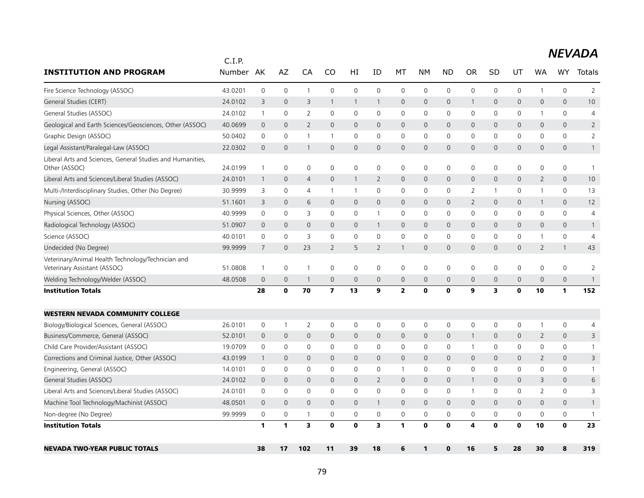|                                                                                    | C.I.P.  |                |                     |                         |                         |                |                |              |                     |              |                         |                |                     |                |                     |                |
|------------------------------------------------------------------------------------|---------|----------------|---------------------|-------------------------|-------------------------|----------------|----------------|--------------|---------------------|--------------|-------------------------|----------------|---------------------|----------------|---------------------|----------------|
| <b>INSTITUTION AND PROGRAM</b>                                                     | Number  | AK             | AZ                  | CA                      | CO                      | HI             | ID             | МT           | NΜ                  | <b>ND</b>    | <b>OR</b>               | SD             | UT                  | <b>WA</b>      | <b>WY</b>           | Totals         |
| Fire Science Technology (ASSOC)                                                    | 43.0201 | $\mathbf 0$    | 0                   | $\overline{1}$          | $\mathbf 0$             | $\mathbf 0$    | $\mathbf 0$    | $\mathbf 0$  | $\mathbf 0$         | $\mathbf 0$  | $\mathbf 0$             | $\mathbf 0$    | $\mathbf 0$         | $\mathbf{1}$   | $\mathbf 0$         | $\overline{2}$ |
| General Studies (CERT)                                                             | 24.0102 | 3              | $\mathbf{0}$        | 3                       | 1                       | $\mathbf{1}$   | -1             | $\mathbf 0$  | $\mathbf{0}$        | $\mathbf 0$  | 1                       | $\mathbf{0}$   | $\mathsf{O}$        | 0              | $\mathbf{0}$        | 10             |
| General Studies (ASSOC)                                                            | 24.0102 | $\mathbf{1}$   | $\mathsf{O}\xspace$ | $\overline{2}$          | $\mathbf 0$             | $\mathbf 0$    | 0              | $\mathbf 0$  | $\mathsf{O}\xspace$ | 0            | 0                       | 0              | 0                   | 1              | $\mathbf 0$         | 4              |
| Geological and Earth Sciences/Geosciences, Other (ASSOC)                           | 40.0699 | $\overline{0}$ | $\overline{0}$      | $\overline{2}$          | $\mathbf{0}$            | $\mathbf{0}$   | $\overline{0}$ | $\mathsf{O}$ | $\mathbf{0}$        | $\mathbf 0$  | $\mathbf{0}$            | $\mathbf{0}$   | $\mathbf 0$         | 0              | $\mathbf{0}$        | $\overline{2}$ |
| Graphic Design (ASSOC)                                                             | 50.0402 | $\mathbf 0$    | $\mathbf 0$         | -1                      | $\mathbf{1}$            | $\mathbf 0$    | $\Omega$       | $\mathbf 0$  | $\mathbf 0$         | $\mathbf 0$  | $\mathbf 0$             | $\Omega$       | $\mathbf 0$         | 0              | $\mathbf 0$         | $\overline{2}$ |
| Legal Assistant/Paralegal-Law (ASSOC)                                              | 22.0302 | $\mathbf 0$    | $\mathbf 0$         | -1                      | $\mathbf{0}$            | 0              | $\overline{0}$ | $\mathbf{0}$ | $\mathbf{0}$        | $\mathsf{O}$ | $\mathbf{0}$            | 0              | $\mathsf{O}$        | 0              | 0                   | $\mathbf{1}$   |
| Liberal Arts and Sciences, General Studies and Humanities,<br>Other (ASSOC)        | 24.0199 | $\mathbf{1}$   | 0                   | 0                       | 0                       | 0              | 0              | 0            | $\mathbf 0$         | 0            | 0                       | 0              | 0                   | 0              | 0                   | $\overline{1}$ |
| Liberal Arts and Sciences/Liberal Studies (ASSOC)                                  | 24.0101 | -1             | $\mathbf 0$         | 4                       | $\mathbf 0$             | $\mathbf{1}$   | $\overline{2}$ | 0            | $\mathbf 0$         | $\mathbf 0$  | $\mathbf 0$             | $\mathbf 0$    | 0                   | 2              | $\mathbf 0$         | 10             |
| Multi-/Interdisciplinary Studies, Other (No Degree)                                | 30.9999 | 3              | 0                   | $\overline{4}$          | 1                       | $\mathbf{1}$   | 0              | $\mathbf 0$  | $\mathbf 0$         | $\mathbf 0$  | 2                       | 1              | $\mathsf{O}\xspace$ | 1              | $\mathbf 0$         | 13             |
| Nursing (ASSOC)                                                                    | 51.1601 | 3              | $\mathbf{0}$        | 6                       | $\Omega$                | $\mathbf{0}$   | $\overline{0}$ | $\mathbf{0}$ | $\mathbf{0}$        | $\mathbf{0}$ | $\overline{2}$          | $\Omega$       | $\mathbf{0}$        | $\mathbf{1}$   | $\Omega$            | 12             |
| Physical Sciences, Other (ASSOC)                                                   | 40.9999 | 0              | 0                   | 3                       | $\Omega$                | 0              | -1             | $\mathbf 0$  | $\mathbf 0$         | 0            | 0                       | 0              | 0                   | 0              | 0                   | 4              |
| Radiological Technology (ASSOC)                                                    | 51.0907 | $\overline{0}$ | $\mathbf 0$         | $\mathbf 0$             | 0                       | 0              | $\mathbf{1}$   | 0            | $\mathbf 0$         | $\mathbf 0$  | $\mathbf 0$             | $\mathbf 0$    | 0                   | 0              | $\mathbf 0$         | $\mathbf{1}$   |
| Science (ASSOC)                                                                    | 40.0101 | 0              | 0                   | 3                       | $\mathbf 0$             | 0              | 0              | 0            | $\mathbf 0$         | $\mathbf 0$  | 0                       | 0              | 0                   | 1              | 0                   | 4              |
| Undecided (No Degree)                                                              | 99.9999 | 7              | $\mathbf 0$         | 23                      | 2                       | 5              | $\overline{2}$ | $\mathbf{1}$ | $\mathbf{0}$        | $\mathbf{0}$ | $\mathbf{0}$            | $\overline{0}$ | $\mathsf{O}$        | $\overline{2}$ | $\mathbf{1}$        | 43             |
| Veterinary/Animal Health Technology/Technician and<br>Veterinary Assistant (ASSOC) | 51.0808 | $\mathbf{1}$   | 0                   | $\overline{1}$          | 0                       | 0              | 0              | $\mathbf 0$  | $\mathbf 0$         | 0            | 0                       | 0              | 0                   | 0              | $\mathbf 0$         | 2              |
| Welding Technology/Welder (ASSOC)                                                  | 48.0508 | $\mathbf 0$    | $\mathbf 0$         | -1                      | $\mathbf{0}$            | $\overline{0}$ | 0              | $\mathbf 0$  | $\mathbf{0}$        | $\mathbf{0}$ | $\mathbf 0$             | 0              | $\mathsf{O}$        | 0              | $\mathbf{0}$        | $\mathbf{1}$   |
| <b>Institution Totals</b>                                                          |         | 28             | 0                   | 70                      | $\overline{\mathbf{z}}$ | 13             | 9              | $\mathbf{2}$ | 0                   | $\mathbf 0$  | 9                       | 3              | 0                   | 10             | 1                   | 152            |
| <b>WESTERN NEVADA COMMUNITY COLLEGE</b>                                            |         |                |                     |                         |                         |                |                |              |                     |              |                         |                |                     |                |                     |                |
| Biology/Biological Sciences, General (ASSOC)                                       | 26.0101 | 0              | $\mathbf{1}$        | $\overline{2}$          | 0                       | 0              | 0              | $\mathbf 0$  | $\mathbf 0$         | $\mathbf 0$  | $\mathsf 0$             | 0              | 0                   | $\mathbf{1}$   | 0                   | 4              |
| Business/Commerce, General (ASSOC)                                                 | 52.0101 | $\mathbf 0$    | $\mathsf{O}\xspace$ | $\mathbf 0$             | 0                       | 0              | $\mathbf 0$    | $\mathbf 0$  | $\mathbf 0$         | $\mathbf 0$  | 1                       | $\mathbf 0$    | $\mathbf 0$         | 2              | $\mathsf{O}\xspace$ | 3              |
| Child Care Provider/Assistant (ASSOC)                                              | 19.0709 | $\Omega$       | $\mathbf 0$         | $\mathbf 0$             | $\Omega$                | $\mathbf 0$    | $\Omega$       | $\mathbf 0$  | $\mathbf 0$         | $\mathbf 0$  | $\mathbf{1}$            | 0              | $\mathbf{0}$        | 0              | $\Omega$            | $\mathbf{1}$   |
| Corrections and Criminal Justice, Other (ASSOC)                                    | 43.0199 | $\overline{1}$ | $\mathbf 0$         | $\mathbf 0$             | $\mathbf{0}$            | $\mathbf{0}$   | 0              | $\mathbf{0}$ | $\mathbf{0}$        | $\mathbf{0}$ | $\mathbf 0$             | 0              | $\mathsf{O}$        | 2              | $\mathbf{0}$        | 3              |
| Engineering, General (ASSOC)                                                       | 14.0101 | 0              | 0                   | 0                       | 0                       | 0              | 0              | 1            | 0                   | 0            | 0                       | 0              | 0                   | 0              | 0                   | $\mathbf{1}$   |
| General Studies (ASSOC)                                                            | 24.0102 | $\overline{0}$ | $\mathbf{0}$        | $\mathbf{0}$            | $\mathbf{0}$            | $\mathbf{0}$   | $\overline{2}$ | $\mathbf 0$  | $\mathbf{0}$        | $\mathbf 0$  | $\mathbf{1}$            | $\Omega$       | $\mathbf{0}$        | 3              | $\mathbf{0}$        | 6              |
| Liberal Arts and Sciences/Liberal Studies (ASSOC)                                  | 24.0101 | 0              | $\mathbf 0$         | $\mathbf 0$             | 0                       | $\mathsf{O}$   | 0              | $\mathbf 0$  | $\mathbf 0$         | 0            | $\overline{1}$          | 0              | 0                   | $\overline{2}$ | $\mathbf 0$         | 3              |
| Machine Tool Technology/Machinist (ASSOC)                                          | 48.0501 | $\overline{0}$ | $\mathbf{0}$        | $\mathbf{0}$            | $\mathbf{0}$            | $\mathbf{0}$   | $\mathbf{1}$   | 0            | $\mathbf{0}$        | $\mathbf{0}$ | $\mathbf{0}$            | $\mathbf 0$    | 0                   | 0              | $\mathbf{0}$        | $\mathbf{1}$   |
| Non-degree (No Degree)                                                             | 99.9999 | 0              | 0                   | -1                      | 0                       | 0              | 0              | 0            | 0                   | 0            | 0                       | 0              | 0                   | 0              | 0                   | $\mathbf{1}$   |
| <b>Institution Totals</b>                                                          |         | 1              | 1                   | $\overline{\mathbf{3}}$ | O                       | $\mathbf{0}$   | 3              | $\mathbf{1}$ | $\mathbf 0$         | $\mathbf{0}$ | $\overline{\mathbf{4}}$ | $\mathbf 0$    | $\mathbf 0$         | 10             | $\mathbf{o}$        | 23             |
| <b>NEVADA TWO-YEAR PUBLIC TOTALS</b>                                               |         | 38             | 17                  | 102                     | 11                      | 39             | 18             | 6            | $\mathbf{1}$        | $\mathbf{0}$ | 16                      | 5              | 28                  | 30             | 8                   | 319            |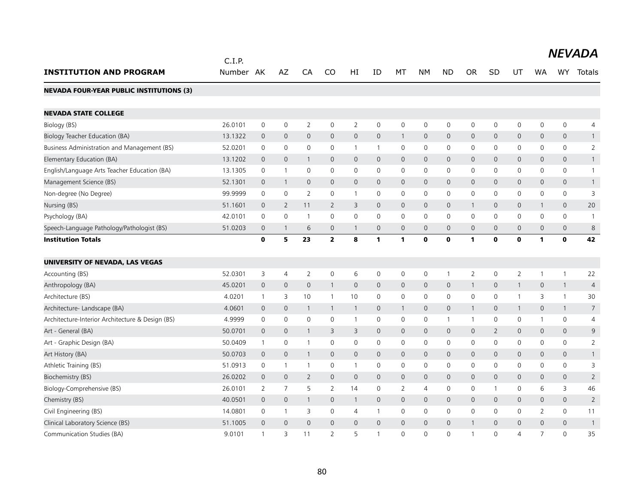|                                                  | C.I.P.    |                     |                |                     |                |                     |              |              |                     |                     |                |                |                |                     |              | <b>NEVADA</b>  |
|--------------------------------------------------|-----------|---------------------|----------------|---------------------|----------------|---------------------|--------------|--------------|---------------------|---------------------|----------------|----------------|----------------|---------------------|--------------|----------------|
| <b>INSTITUTION AND PROGRAM</b>                   | Number AK |                     | AZ             | CA                  | CO             | HI                  | ID           | MT           | NΜ                  | <b>ND</b>           | <b>OR</b>      | <b>SD</b>      | UT             | <b>WA</b>           | WY .         | Totals         |
| <b>NEVADA FOUR-YEAR PUBLIC INSTITUTIONS (3)</b>  |           |                     |                |                     |                |                     |              |              |                     |                     |                |                |                |                     |              |                |
| <b>NEVADA STATE COLLEGE</b>                      |           |                     |                |                     |                |                     |              |              |                     |                     |                |                |                |                     |              |                |
| Biology (BS)                                     | 26.0101   | $\mathsf 0$         | $\mathbf 0$    | $\overline{2}$      | $\mathbf 0$    | $\overline{2}$      | $\mathbf 0$  | $\mathbf 0$  | $\mathsf{O}$        | $\mathbf 0$         | 0              | $\mathbf 0$    | $\mathbf 0$    | 0                   | $\mathsf{O}$ | 4              |
| Biology Teacher Education (BA)                   | 13.1322   | $\overline{0}$      | $\mathbf{0}$   | $\mathbf{0}$        | 0              | $\mathsf{O}\xspace$ | $\mathbf 0$  | $\mathbf{1}$ | $\mathsf{O}$        | $\mathbf 0$         | 0              | $\mathbf 0$    | $\mathbf 0$    | $\mathbf 0$         | $\mathbf 0$  | $\mathbf{1}$   |
| Business Administration and Management (BS)      | 52.0201   | $\mathbf 0$         | $\mathbf 0$    | 0                   | $\mathbf{0}$   | $\mathbf{1}$        | $\mathbf{1}$ | $\mathbf 0$  | $\mathbf 0$         | $\mathbf 0$         | $\mathbf 0$    | $\mathbf{0}$   | $\mathbf 0$    | $\mathbf{0}$        | $\mathbf 0$  | $\overline{2}$ |
| Elementary Education (BA)                        | 13.1202   | $\mathbf 0$         | $\mathbf 0$    | $\mathbf{1}$        | 0              | $\mathsf{O}$        | $\mathbf{0}$ | $\mathbf 0$  | $\overline{0}$      | $\mathbf{0}$        | $\mathbf{0}$   | $\mathbf{0}$   | $\mathbf 0$    | $\mathbf{0}$        | $\mathbf 0$  | $\mathbf{1}$   |
| English/Language Arts Teacher Education (BA)     | 13.1305   | $\mathbf 0$         | $\mathbf{1}$   | 0                   | 0              | $\mathsf{O}$        | $\mathbf 0$  | $\mathbf 0$  | 0                   | $\mathbf 0$         | 0              | 0              | $\mathbf 0$    | $\mathbf{0}$        | $\mathbf 0$  | $\mathbf{1}$   |
| Management Science (BS)                          | 52.1301   | $\mathbf 0$         | $\overline{1}$ | $\mathbf{0}$        | 0              | $\mathsf{O}$        | $\mathbf{0}$ | $\mathbf 0$  | 0                   | $\mathbf 0$         | $\mathsf{O}$   | $\mathbf{0}$   | $\mathbf{0}$   | $\mathbf{0}$        | $\mathbf 0$  | $\mathbf{1}$   |
| Non-degree (No Degree)                           | 99.9999   | $\mathbf 0$         | $\mathbf 0$    | $\overline{2}$      | 0              | $\mathbf{1}$        | $\mathbf 0$  | $\mathbf 0$  | 0                   | $\mathbf 0$         | 0              | 0              | 0              | $\mathbf 0$         | $\mathsf{O}$ | 3              |
| Nursing (BS)                                     | 51.1601   | $\mathbf 0$         | 2              | 11                  | $\overline{2}$ | 3                   | $\mathbf{0}$ | $\mathbf 0$  | $\mathbf{0}$        | $\overline{0}$      | $\mathbf{1}$   | $\mathbf{0}$   | $\overline{0}$ | $\mathbf{1}$        | $\mathbf 0$  | 20             |
| Psychology (BA)                                  | 42.0101   | $\mathsf 0$         | $\mathbf 0$    | $\mathbf{1}$        | 0              | 0                   | 0            | $\mathbf 0$  | $\Omega$            | 0                   | 0              | $\mathbf{0}$   | 0              | 0                   | $\mathsf{O}$ | $\mathbf{1}$   |
| Speech-Language Pathology/Pathologist (BS)       | 51.0203   | $\overline{0}$      | $\mathbf{1}$   | 6                   | 0              | $\mathbf{1}$        | $\mathbf{0}$ | $\mathbf{0}$ | $\overline{0}$      | $\mathbf{0}$        | $\overline{0}$ | $\mathbf{0}$   | $\mathbf{0}$   | $\overline{0}$      | $\mathbf 0$  | $\,8\,$        |
| <b>Institution Totals</b>                        |           | $\mathbf{0}$        | 5              | 23                  | $\overline{2}$ | 8                   | $\mathbf{1}$ | $\mathbf{1}$ | $\mathbf{0}$        | $\mathbf{o}$        | 1              | $\bf{0}$       | $\mathbf o$    | $\mathbf{1}$        | $\mathbf{0}$ | 42             |
| UNIVERSITY OF NEVADA, LAS VEGAS                  |           |                     |                |                     |                |                     |              |              |                     |                     |                |                |                |                     |              |                |
| Accounting (BS)                                  | 52.0301   | 3                   | $\overline{4}$ | $\overline{2}$      | $\mathbf 0$    | 6                   | $\mathbf 0$  | $\mathbf 0$  | 0                   | $\mathbf{1}$        | $\overline{2}$ | $\mathbf 0$    | 2              | $\mathbf{1}$        | $\mathbf{1}$ | 22             |
| Anthropology (BA)                                | 45.0201   | $\mathbf 0$         | $\overline{0}$ | $\mathsf{O}\xspace$ | $\mathbf{1}$   | $\mathsf{O}\xspace$ | $\mathbf 0$  | $\mathbf 0$  | $\mathsf{O}\xspace$ | $\mathsf{O}\xspace$ |                | 0              | $\mathbf{1}$   | $\mathsf{O}\xspace$ | $\mathbf{1}$ | 4              |
| Architecture (BS)                                | 4.0201    | $\mathbf{1}$        | 3              | 10                  | 1              | 10                  | $\mathbf 0$  | $\mathbf 0$  | $\mathsf{O}\xspace$ | $\mathbf 0$         | 0              | $\mathbf 0$    | 1              | 3                   | $\mathbf{1}$ | 30             |
| Architecture- Landscape (BA)                     | 4.0601    | $\mathsf{O}\xspace$ | $\mathbf 0$    | $\mathbf{1}$        | 1              | $\mathbf{1}$        | $\mathbf 0$  | $\mathbf{1}$ | $\mathsf{O}\xspace$ | $\mathsf{O}\xspace$ |                | $\mathsf{O}$   | 1              | $\mathsf{O}\xspace$ | $\mathbf{1}$ | $\overline{7}$ |
| Architecture-Interior Architecture & Design (BS) | 4.9999    | $\mathbf 0$         | $\mathbf 0$    | 0                   | $\mathbf 0$    | $\mathbf{1}$        | $\mathbf 0$  | $\mathbf 0$  | $\mathbf 0$         | $\mathbf{1}$        | $\mathbf{1}$   | $\mathbf 0$    | $\mathbf 0$    | $\mathbf{1}$        | $\mathbf 0$  | $\overline{4}$ |
| Art - General (BA)                               | 50.0701   | $\mathbf 0$         | $\mathbf 0$    | $\mathbf{1}$        | 3              | 3                   | $\mathbf 0$  | $\mathbf 0$  | 0                   | $\mathbf 0$         | $\mathsf{O}$   | $\overline{2}$ | $\mathsf{O}$   | 0                   | $\mathbf 0$  | 9              |
| Art - Graphic Design (BA)                        | 50.0409   | $\mathbf{1}$        | $\mathbf 0$    | $\mathbf{1}$        | 0              | 0                   | $\mathbf 0$  | $\mathbf 0$  | 0                   | 0                   | 0              | $\mathbf 0$    | 0              | $\mathbf 0$         | $\mathsf{O}$ | $\overline{2}$ |
| Art History (BA)                                 | 50.0703   | $\mathbf 0$         | $\mathbf 0$    | $\mathbf{1}$        | $\mathbf{0}$   | $\mathsf{O}$        | $\mathbf 0$  | $\mathbf 0$  | $\mathbf 0$         | $\mathbf{0}$        | 0              | $\mathbf{0}$   | $\mathbf{0}$   | $\mathbf{0}$        | $\mathbf 0$  | $\mathbf{1}$   |
| Athletic Training (BS)                           | 51.0913   | 0                   | $\overline{1}$ | $\mathbf{1}$        | 0              | $\mathbf{1}$        | $\mathbf 0$  | $\mathbf 0$  | 0                   | $\mathbf 0$         | 0              | 0              | 0              | 0                   | $\mathbf 0$  | 3              |
| Biochemistry (BS)                                | 26.0202   | $\mathbf 0$         | $\mathbf{0}$   | $\overline{2}$      | 0              | $\mathbf 0$         | $\mathbf{0}$ | $\mathbf 0$  | 0                   | $\mathbf 0$         | 0              | $\mathbf{0}$   | $\mathbf 0$    | $\mathbf 0$         | $\mathbf 0$  | $\overline{2}$ |
| Biology-Comprehensive (BS)                       | 26.0101   | 2                   | $\overline{7}$ | 5                   | $\overline{2}$ | 14                  | $\mathbf 0$  | 2            | $\overline{4}$      | $\mathbf 0$         | $\mathbf 0$    | $\mathbf{1}$   | $\mathbf 0$    | 6                   | 3            | 46             |
| Chemistry (BS)                                   | 40.0501   | $\mathbf 0$         | $\mathbf 0$    | $\mathbf{1}$        | 0              | $\mathbf{1}$        | $\mathbf 0$  | $\mathbf 0$  | 0                   | $\mathbf 0$         | 0              | $\mathsf{O}$   | $\mathbf 0$    | 0                   | $\mathbf 0$  | $\overline{2}$ |
| Civil Engineering (BS)                           | 14.0801   | $\mathbf 0$         | $\overline{1}$ | 3                   | 0              | 4                   | $\mathbf{1}$ | $\mathbf 0$  | 0                   | $\mathbf 0$         | $\mathbf 0$    | $\mathbf{0}$   | $\mathbf 0$    | $\overline{2}$      | $\mathbf 0$  | 11             |
| Clinical Laboratory Science (BS)                 | 51.1005   | $\mathbf 0$         | $\mathbf{0}$   | $\overline{0}$      | 0              | $\mathsf{O}$        | $\mathbf{0}$ | $\mathbf 0$  | 0                   | $\mathbf 0$         |                | $\mathbf{0}$   | $\mathbf 0$    | $\mathbf{0}$        | $\mathbf 0$  | $\mathbf{1}$   |
| Communication Studies (BA)                       | 9.0101    | $\mathbf{1}$        | 3              | 11                  | $\overline{2}$ | 5                   | $\mathbf{1}$ | $\Omega$     | $\Omega$            | $\Omega$            |                | $\Omega$       | $\overline{4}$ | $\overline{7}$      | $\Omega$     | 35             |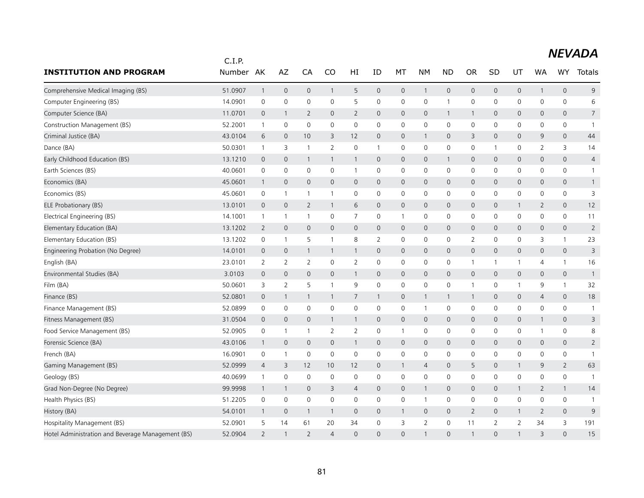|                                                   | C.I.P.    |                     |                     |                          |                 |                |              |                     |                |                     |                |                |              |                |                     |                |
|---------------------------------------------------|-----------|---------------------|---------------------|--------------------------|-----------------|----------------|--------------|---------------------|----------------|---------------------|----------------|----------------|--------------|----------------|---------------------|----------------|
| <b>INSTITUTION AND PROGRAM</b>                    | Number AK |                     | AZ                  | CA                       | CO              | HI             | ID           | МT                  | <b>NM</b>      | <b>ND</b>           | <b>OR</b>      | SD             | UT           | WA             | <b>WY</b>           | Totals         |
| Comprehensive Medical Imaging (BS)                | 51.0907   | $\overline{1}$      | $\mathbf 0$         | $\mathsf{O}$             | $\mathbf{1}$    | 5              | $\mathbf 0$  | $\mathsf{O}$        | $\mathbf{1}$   | $\mathsf{O}\xspace$ | $\overline{0}$ | $\mathbf{0}$   | $\mathsf{O}$ | $\mathbf{1}$   | $\mathbf{0}$        | 9              |
| Computer Engineering (BS)                         | 14.0901   | $\mathsf{O}\xspace$ | $\mathsf{O}\xspace$ | $\mathsf{O}\xspace$      | 0               | 5              | 0            | 0                   | $\mathsf{O}$   | $\mathbf{1}$        | 0              | 0              | 0            | 0              | $\mathsf{O}\xspace$ | 6              |
| Computer Science (BA)                             | 11.0701   | $\mathbf 0$         | $\mathbf{1}$        | $\overline{2}$           | $\mathbf{0}$    | $\overline{2}$ | $\mathsf{O}$ | $\overline{0}$      | $\mathbf{0}$   | $\mathbf{1}$        | $\mathbf{1}$   | $\mathbf{0}$   | 0            | 0              | $\mathbf{0}$        | $\overline{7}$ |
| Construction Management (BS)                      | 52.2001   | $\mathbf{1}$        | 0                   | $\mathbf 0$              | 0               | 0              | 0            | $\mathbf 0$         | $\mathbf 0$    | $\mathbf 0$         | 0              | $\mathbf{0}$   | 0            | 0              | 0                   | $\overline{1}$ |
| Criminal Justice (BA)                             | 43.0104   | 6                   | $\mathbf 0$         | 10                       | 3               | 12             | $\mathbf{0}$ | $\mathbf 0$         | $\mathbf{1}$   | $\mathsf{O}\xspace$ | 3              | $\mathbf{0}$   | 0            | 9              | $\mathsf{O}\xspace$ | 44             |
| Dance (BA)                                        | 50.0301   | $\mathbf{1}$        | 3                   | $\overline{1}$           | 2               | 0              | $\mathbf{1}$ | 0                   | $\mathbf 0$    | $\mathsf 0$         | 0              | 1              | 0            | 2              | 3                   | 14             |
| Early Childhood Education (BS)                    | 13.1210   | $\overline{0}$      | $\mathbf 0$         | $\overline{1}$           | $\mathbf{1}$    | $\mathbf{1}$   | $\mathbf 0$  | $\mathsf{O}$        | $\mathbf 0$    | $\mathbf{1}$        | $\mathbf 0$    | $\mathbf 0$    | 0            | 0              | $\mathsf{O}\xspace$ | $\overline{4}$ |
| Earth Sciences (BS)                               | 40.0601   | 0                   | 0                   | 0                        | 0               | $\mathbf{1}$   | 0            | 0                   | $\mathsf{O}$   | $\mathbf 0$         | 0              | 0              | 0            | 0              | 0                   | $\mathbf{1}$   |
| Economics (BA)                                    | 45.0601   | $\mathbf{1}$        | $\mathbf 0$         | $\mathbf 0$              | $\mathsf{O}$    | $\mathbf 0$    | 0            | $\mathsf{O}$        | $\mathbf 0$    | $\mathsf{O}\xspace$ | 0              | $\mathbf 0$    | 0            | 0              | $\mathsf{O}$        | $\mathbf{1}$   |
| Economics (BS)                                    | 45.0601   | 0                   | $\overline{1}$      | $\overline{1}$           | $\mathbf{1}$    | 0              | 0            | 0                   | 0              | $\mathbf 0$         | 0              | 0              | 0            | 0              | $\mathbf 0$         | 3              |
| ELE Probationary (BS)                             | 13.0101   | $\overline{0}$      | $\mathbf 0$         | 2                        | $\mathbf{1}$    | 6              | $\mathbf 0$  | $\mathsf{O}$        | $\mathbf 0$    | $\mathbf 0$         | $\mathbf 0$    | 0              | $\mathbf{1}$ | $\overline{2}$ | $\mathbf 0$         | 12             |
| Electrical Engineering (BS)                       | 14.1001   | $\mathbf{1}$        | $\overline{1}$      | $\overline{1}$           | 0               | 7              | 0            | $\mathbf{1}$        | $\mathbf 0$    | $\mathbf 0$         | 0              | 0              | 0            | 0              | $\mathbf 0$         | 11             |
| Elementary Education (BA)                         | 13.1202   | $\overline{2}$      | $\mathbf 0$         | $\mathbf 0$              | $\mathsf{O}$    | $\mathbf 0$    | 0            | $\mathbf 0$         | $\mathbf 0$    | $\mathbf 0$         | 0              | $\mathbf 0$    | 0            | 0              | $\mathsf{O}\xspace$ | $\overline{2}$ |
| Elementary Education (BS)                         | 13.1202   | 0                   | $\overline{1}$      | 5                        | 1               | 8              | 2            | 0                   | 0              | 0                   | 2              | 0              | 0            | 3              | $\mathbf{1}$        | 23             |
| Engineering Probation (No Degree)                 | 14.0101   | $\overline{0}$      | $\mathbf 0$         | $\mathbf{1}$             | 1               | $\mathbf{1}$   | $\mathbf 0$  | $\mathsf{O}$        | $\mathbf 0$    | $\mathbf 0$         | 0              | $\mathbf 0$    | 0            | 0              | $\mathsf{O}\xspace$ | 3              |
| English (BA)                                      | 23.0101   | 2                   | 2                   | 2                        | 0               | $\overline{2}$ | 0            | 0                   | 0              | 0                   | $\mathbf 1$    | $\mathbf{1}$   | $\mathbf{1}$ | 4              | $\mathbf{1}$        | 16             |
| Environmental Studies (BA)                        | 3.0103    | $\overline{0}$      | $\mathbf 0$         | $\mathsf{O}$             | $\mathsf{O}$    | $\mathbf{1}$   | 0            | $\mathsf{O}$        | $\mathbf 0$    | $\mathbf 0$         | $\mathsf{O}$   | $\mathbf 0$    | 0            | 0              | $\mathsf{O}$        | $\overline{1}$ |
| Film (BA)                                         | 50.0601   | 3                   | $\overline{2}$      | 5                        | $\mathbf{1}$    | 9              | $\mathbf 0$  | 0                   | $\mathsf{O}$   | $\mathbf 0$         | $\mathbf{1}$   | 0              | $\mathbf{1}$ | 9              | $\mathbf{1}$        | 32             |
| Finance (BS)                                      | 52.0801   | 0                   | $\mathbf{1}$        | $\mathbf{1}$             | 1               | 7              | $\mathbf{1}$ | $\overline{0}$      | $\mathbf{1}$   | $\mathbf{1}$        | $\mathbf{1}$   | 0              | 0            | 4              | $\mathbf 0$         | 18             |
| Finance Management (BS)                           | 52.0899   | 0                   | 0                   | $\mathbf 0$              | $\mathbf 0$     | 0              | 0            | 0                   | $\mathbf{1}$   | $\mathbf 0$         | $\mathbf 0$    | 0              | 0            | 0              | $\mathbf 0$         | $\mathbf{1}$   |
| Fitness Management (BS)                           | 31.0504   | $\mathbf 0$         | $\mathbf 0$         | $\mathbf 0$              | $\mathbf{1}$    | $\mathbf{1}$   | 0            | $\mathsf{O}$        | $\mathbf 0$    | $\mathbf 0$         | 0              | $\mathbf 0$    | 0            | $\mathbf{1}$   | $\mathsf{O}$        | 3              |
| Food Service Management (BS)                      | 52.0905   | $\mathbf 0$         | $\overline{1}$      | $\overline{1}$           | 2               | $\overline{2}$ | $\mathbf 0$  | $\mathbf{1}$        | $\mathsf{O}$   | $\mathbf 0$         | 0              | 0              | 0            | $\mathbf{1}$   | $\mathbf 0$         | 8              |
| Forensic Science (BA)                             | 43.0106   | $\overline{1}$      | $\mathbf 0$         | $\mathbf{0}$             | $\mathsf{O}$    | 1              | $\mathbf{0}$ | $\overline{0}$      | $\mathbf{0}$   | $\mathbf 0$         | $\mathbf 0$    | $\mathbf 0$    | 0            | 0              | $\mathsf{O}\xspace$ | $\overline{2}$ |
| French (BA)                                       | 16.0901   | $\mathbf 0$         | $\mathbf{1}$        | $\mathbf 0$              | $\mathbf 0$     | 0              | $\mathbf 0$  | $\mathsf{O}\xspace$ | $\mathbf 0$    | $\mathbf 0$         | 0              | $\mathbf 0$    | 0            | 0              | $\mathbf 0$         | $\mathbf{1}$   |
| Gaming Management (BS)                            | 52.0999   | $\overline{4}$      | 3                   | 12                       | 10 <sup>°</sup> | 12             | $\mathbf{0}$ | $\mathbf{1}$        | $\overline{4}$ | $\mathbf 0$         | 5              | $\mathbf 0$    | $\mathbf{1}$ | 9              | $\overline{2}$      | 63             |
| Geology (BS)                                      | 40.0699   | $\mathbf{1}$        | $\mathbf 0$         | $\mathbf 0$              | $\mathbf 0$     | $\mathbf 0$    | $\mathbf 0$  | 0                   | $\mathbf 0$    | $\mathbf 0$         | 0              | $\mathbf 0$    | 0            | 0              | $\mathbf 0$         | $\overline{1}$ |
| Grad Non-Degree (No Degree)                       | 99.9998   | $\overline{1}$      | $\mathbf{1}$        | $\mathbf{0}$             | 3               | 4              | $\mathbf{0}$ | $\mathbf{0}$        | $\mathbf{1}$   | $\mathbf 0$         | $\mathbf{0}$   | $\mathbf 0$    | 1            | 2              | $\mathbf{1}$        | 14             |
| Health Physics (BS)                               | 51.2205   | $\mathbf 0$         | $\mathbf 0$         | $\mathbf 0$              | $\mathbf 0$     | $\mathbf 0$    | $\mathbf 0$  | 0                   | $\mathbf{1}$   | $\mathbf 0$         | $\mathbf 0$    | $\mathbf 0$    | $\mathbf 0$  | 0              | $\mathbf 0$         | $\overline{1}$ |
| History (BA)                                      | 54.0101   | $\overline{1}$      | $\mathbf 0$         | $\overline{1}$           | $\mathbf{1}$    | $\mathbf{0}$   | $\mathbf{0}$ | $\mathbf{1}$        | $\mathbf{0}$   | $\mathbf 0$         | $\overline{2}$ | $\mathbf{0}$   | $\mathbf{1}$ | $\overline{2}$ | $\mathbf{0}$        | 9              |
| Hospitality Management (BS)                       | 52.0901   | 5                   | 14                  | 61                       | 20              | 34             | $\mathbf 0$  | 3                   | $\overline{2}$ | $\mathbf 0$         | 11             | $\overline{2}$ | 2            | 34             | 3                   | 191            |
| Hotel Administration and Beverage Management (BS) | 52.0904   | 2                   | -1                  | $\overline{\phantom{0}}$ | $\Delta$        | $\Omega$       | $\Omega$     | $\Omega$            | $\mathbf{1}$   | $\Omega$            | $\overline{1}$ | $\Omega$       |              | 3              | $\Omega$            | 15             |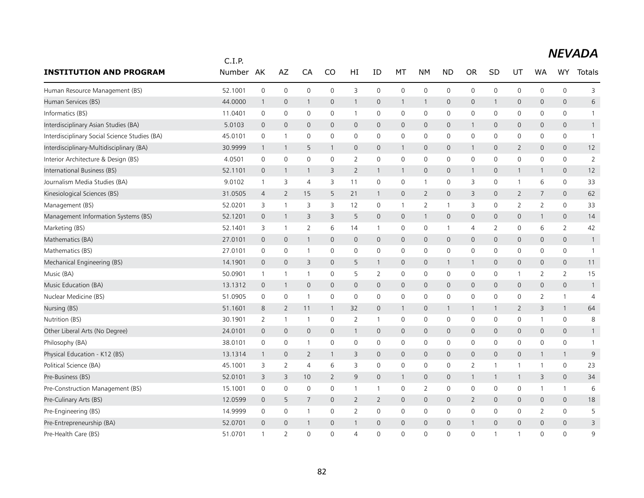|                                               | C.I.P.  |                |                     |                |                |                |              |              |                |                |                |              |                |                |                |                |
|-----------------------------------------------|---------|----------------|---------------------|----------------|----------------|----------------|--------------|--------------|----------------|----------------|----------------|--------------|----------------|----------------|----------------|----------------|
| <b>INSTITUTION AND PROGRAM</b>                | Number  | AK             | AZ                  | CA             | CO             | HI             | ID           | МT           | NΜ             | <b>ND</b>      | <b>OR</b>      | SD           | UT             | <b>WA</b>      | WY             | Totals         |
| Human Resource Management (BS)                | 52.1001 | $\mathbf 0$    | $\mathsf{O}\xspace$ | $\mathbf 0$    | $\mathbf 0$    | 3              | $\mathbf 0$  | $\mathbf 0$  | $\mathbf 0$    | $\mathbf 0$    | 0              | $\mathbf 0$  | 0              | 0              | $\mathbf 0$    | 3              |
| Human Services (BS)                           | 44.0000 | $\mathbf{1}$   | $\mathbf 0$         | $\mathbf{1}$   | $\mathsf{O}$   | 1              | $\mathbf 0$  | $\mathbf{1}$ | $\mathbf{1}$   | $\mathbf 0$    | 0              | -1           | 0              | $\mathbf 0$    | $\mathbf 0$    | 6              |
| Informatics (BS)                              | 11.0401 | $\mathsf 0$    | $\mathbf 0$         | $\mathbf 0$    | $\mathbf 0$    | $\mathbf{1}$   | $\mathbf 0$  | 0            | $\mathbf 0$    | $\mathbf 0$    | 0              | 0            | 0              | $\mathbf 0$    | 0              | $\mathbf{1}$   |
| Interdisciplinary Asian Studies (BA)          | 5.0103  | $\mathbf 0$    | $\mathbf 0$         | $\mathbf 0$    | $\mathbf 0$    | $\mathbf 0$    | $\mathbf 0$  | $\mathbf 0$  | $\mathbf 0$    | $\mathbf 0$    | 1              | 0            | 0              | 0              | 0              | $\mathbf{1}$   |
| Interdisciplinary Social Science Studies (BA) | 45.0101 | $\mathbf 0$    | $\overline{1}$      | 0              | $\mathbf{0}$   | $\mathbf 0$    | $\Omega$     | $\mathbf 0$  | $\mathbf 0$    | $\mathbf 0$    | 0              | $\Omega$     | 0              | $\mathbf{0}$   | 0              | $\mathbf{1}$   |
| Interdisciplinary-Multidisciplinary (BA)      | 30.9999 | $\mathbf{1}$   | $\overline{1}$      | 5              | 1              | $\mathbf 0$    | $\mathbf 0$  | $\mathbf{1}$ | $\mathbf 0$    | $\mathbf 0$    | $\mathbf{1}$   | 0            | $\overline{2}$ | $\mathbf 0$    | $\mathbf 0$    | 12             |
| Interior Architecture & Design (BS)           | 4.0501  | 0              | $\mathbf 0$         | 0              | 0              | 2              | $\mathbf 0$  | 0            | $\mathbf 0$    | $\mathbf 0$    | 0              | 0            | 0              | 0              | 0              | $\overline{2}$ |
| International Business (BS)                   | 52.1101 | $\mathbf 0$    | -1                  | $\mathbf{1}$   | 3              | 2              | $\mathbf{1}$ | $\mathbf{1}$ | $\mathsf{O}$   | $\pmb{0}$      | $\mathbf{1}$   | 0            | $\mathbf{1}$   | $\mathbf{1}$   | 0              | 12             |
| Journalism Media Studies (BA)                 | 9.0102  | $\mathbf{1}$   | 3                   | $\overline{4}$ | 3              | 11             | $\mathbf 0$  | $\mathsf{O}$ | $\mathbf{1}$   | $\mathbf 0$    | 3              | $\mathbf 0$  | $\mathbf{1}$   | 6              | 0              | 33             |
| Kinesiological Sciences (BS)                  | 31.0505 | 4              | 2                   | 15             | 5              | 21             | $\mathbf{1}$ | $\mathsf{O}$ | $\overline{2}$ | $\mathbf 0$    | 3              | $\mathbf 0$  | $\overline{2}$ | $\overline{7}$ | $\mathbf 0$    | 62             |
| Management (BS)                               | 52.0201 | 3              | $\overline{1}$      | 3              | 3              | 12             | 0            | $\mathbf{1}$ | $\overline{2}$ | $\overline{1}$ | 3              | 0            | $\overline{2}$ | $\overline{2}$ | 0              | 33             |
| Management Information Systems (BS)           | 52.1201 | $\mathbf 0$    | $\mathbf{1}$        | 3              | 3              | 5              | $\mathbf 0$  | $\mathbf 0$  | $\mathbf{1}$   | $\mathbf 0$    | 0              | 0            | 0              | $\mathbf{1}$   | 0              | 14             |
| Marketing (BS)                                | 52.1401 | 3              | $\overline{1}$      | $\overline{2}$ | 6              | 14             | 1            | 0            | $\mathbf 0$    | $\overline{1}$ | 4              | 2            | 0              | 6              | $\overline{2}$ | 42             |
| Mathematics (BA)                              | 27.0101 | $\mathbf 0$    | $\mathbf 0$         | $\mathbf{1}$   | $\mathsf{O}$   | $\mathbf 0$    | $\mathbf 0$  | $\mathsf{O}$ | $\mathbf 0$    | $\mathbf 0$    | 0              | $\mathbf 0$  | 0              | $\mathbf 0$    | $\mathbf 0$    | $\mathbf{1}$   |
| Mathematics (BS)                              | 27.0101 | 0              | 0                   | -1             | 0              | 0              | 0            | 0            | 0              | 0              | 0              | 0            | 0              | 0              | 0              | $\overline{1}$ |
| Mechanical Engineering (BS)                   | 14.1901 | $\mathbf 0$    | $\mathbf 0$         | 3              | $\mathsf{O}$   | 5              | $\mathbf{1}$ | $\mathsf{O}$ | $\mathbf 0$    | $\mathbf{1}$   | $\mathbf{1}$   | 0            | 0              | $\mathbf 0$    | $\mathbf 0$    | 11             |
| Music (BA)                                    | 50.0901 | $\mathbf{1}$   | $\overline{1}$      | $\overline{1}$ | $\mathbf 0$    | 5              | 2            | $\mathbf 0$  | $\mathbf 0$    | $\mathbf 0$    | 0              | $\mathbf 0$  | $\mathbf{1}$   | $\overline{2}$ | $\overline{2}$ | 15             |
| Music Education (BA)                          | 13.1312 | $\mathbf 0$    | $\mathbf{1}$        | $\mathbf 0$    | $\mathsf{O}$   | $\mathbf 0$    | $\mathbf 0$  | $\mathsf{O}$ | $\mathbf 0$    | $\mathbf 0$    | 0              | $\mathbf 0$  | 0              | $\mathbf 0$    | $\mathbf 0$    | $\mathbf{1}$   |
| Nuclear Medicine (BS)                         | 51.0905 | 0              | 0                   | $\overline{1}$ | 0              | 0              | 0            | $\mathbf 0$  | $\mathbf 0$    | 0              | 0              | 0            | 0              | 2              | $\mathbf{1}$   | $\overline{4}$ |
| Nursing (BS)                                  | 51.1601 | 8              | 2                   | 11             | 1              | 32             | $\mathbf 0$  | $\mathbf{1}$ | $\mathsf{O}$   | $\mathbf{1}$   | 1              |              | $\overline{2}$ | 3              | $\mathbf{1}$   | 64             |
| Nutrition (BS)                                | 30.1901 | 2              | $\overline{1}$      | $\overline{1}$ | 0              | $\overline{2}$ | $\mathbf{1}$ | 0            | $\mathbf 0$    | 0              | 0              | 0            | 0              | 1              | $\mathbf 0$    | 8              |
| Other Liberal Arts (No Degree)                | 24.0101 | $\mathbf 0$    | $\mathbf 0$         | $\mathbf 0$    | $\mathsf{O}$   | $\mathbf{1}$   | $\mathbf 0$  | $\mathsf{O}$ | $\mathbf 0$    | $\mathbf 0$    | 0              | $\mathbf{0}$ | 0              | $\mathbf 0$    | $\mathbf 0$    | $\mathbf{1}$   |
| Philosophy (BA)                               | 38.0101 | 0              | 0                   | -1             | 0              | 0              | 0            | 0            | 0              | 0              | 0              | 0            | 0              | 0              | 0              | $\mathbf{1}$   |
| Physical Education - K12 (BS)                 | 13.1314 | $\overline{1}$ | $\mathbf 0$         | $\overline{2}$ | 1              | 3              | $\mathbf 0$  | $\mathsf{O}$ | $\mathbf 0$    | $\mathbf 0$    | 0              | $\mathbf{0}$ | 0              | $\mathbf{1}$   | $\mathbf{1}$   | 9              |
| Political Science (BA)                        | 45.1001 | 3              | 2                   | 4              | 6              | 3              | 0            | 0            | $\mathbf 0$    | 0              | $\overline{2}$ |              | $\mathbf{1}$   | 1              | $\mathbf 0$    | 23             |
| Pre-Business (BS)                             | 52.0101 | 3              | 3                   | 10             | $\overline{2}$ | 9              | $\mathbf 0$  | $\mathbf{1}$ | $\mathsf{O}$   | 0              | $\mathbf{1}$   | $\mathbf 1$  | $\mathbf{1}$   | 3              | $\mathbf 0$    | 34             |
| Pre-Construction Management (BS)              | 15.1001 | 0              | $\mathbf 0$         | 0              | 0              | 1              | 1            | 0            | 2              | 0              | 0              | 0            | 0              | 1              | $\mathbf{1}$   | 6              |
| Pre-Culinary Arts (BS)                        | 12.0599 | $\mathbf 0$    | 5                   | $\overline{7}$ | $\mathbf 0$    | $\overline{2}$ | 2            | $\mathsf{O}$ | $\mathsf{O}$   | $\mathbf 0$    | $\overline{2}$ | 0            | 0              | $\mathbf 0$    | $\mathbf 0$    | 18             |
| Pre-Engineering (BS)                          | 14.9999 | 0              | $\mathbf 0$         | $\overline{1}$ | 0              | 2              | 0            | 0            | 0              | 0              | 0              | 0            | 0              | 2              | $\mathbf 0$    | 5              |
| Pre-Entrepreneurship (BA)                     | 52.0701 | $\mathbf 0$    | $\overline{0}$      | $\mathbf{1}$   | $\mathbf 0$    | $\mathbf{1}$   | $\mathbf 0$  | $\mathbf 0$  | $\mathbf{0}$   | 0              | $\mathbf{1}$   | 0            | 0              | $\mathbf{0}$   | 0              | 3              |
| Pre-Health Care (BS)                          | 51.0701 | $\overline{1}$ | 2                   | $\Omega$       | $\Omega$       | 4              | $\Omega$     | $\mathbf{0}$ | 0              | $\Omega$       | 0              |              | -1             | $\Omega$       | $\Omega$       | 9              |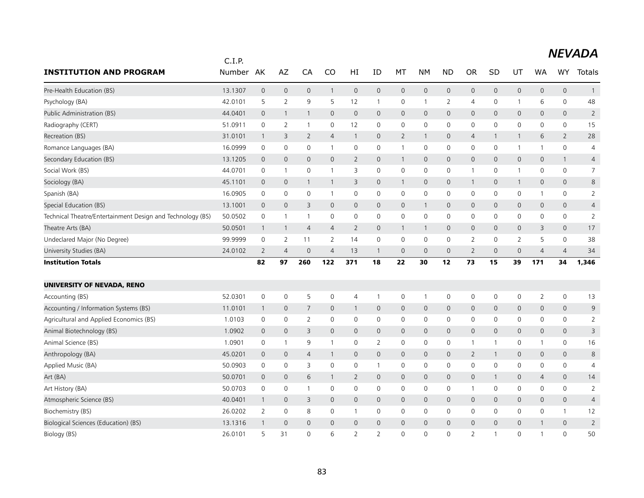|                                                            | C.I.P.  |                |                     |                |                |                |                |                |                     |                     |                |                |                |                |                |                |
|------------------------------------------------------------|---------|----------------|---------------------|----------------|----------------|----------------|----------------|----------------|---------------------|---------------------|----------------|----------------|----------------|----------------|----------------|----------------|
| <b>INSTITUTION AND PROGRAM</b>                             | Number  | AK             | AZ                  | CA             | CO             | HI             | ID             | МT             | NΜ                  | <b>ND</b>           | <b>OR</b>      | SD             | UT             | <b>WA</b>      | <b>WY</b>      | <b>Totals</b>  |
| Pre-Health Education (BS)                                  | 13.1307 | $\mathbf{0}$   | $\mathbf 0$         | $\mathbf{0}$   | $\mathbf{1}$   | $\mathbf{0}$   | $\mathbf{0}$   | $\mathbf 0$    | $\mathbf 0$         | $\mathsf{O}\xspace$ | $\mathbf{0}$   | $\mathbf{0}$   | $\mathbf{0}$   | $\mathbf{0}$   | $\mathbf{0}$   | $\mathbf{1}$   |
| Psychology (BA)                                            | 42.0101 | 5              | $\overline{2}$      | 9              | 5              | 12             | $\mathbf{1}$   | 0              | $\mathbf{1}$        | $\overline{2}$      | 4              | 0              | $\mathbf{1}$   | 6              | $\mathbf 0$    | 48             |
| Public Administration (BS)                                 | 44.0401 | $\mathbf{0}$   | 1                   | $\mathbf{1}$   | $\Omega$       | $\mathbf{0}$   | $\Omega$       | $\mathbf{0}$   | $\mathbf{0}$        | $\mathbf 0$         | $\mathbf{0}$   | $\Omega$       | $\mathbf{0}$   | $\Omega$       | $\mathbf{0}$   | $\overline{2}$ |
| Radiography (CERT)                                         | 51.0911 | 0              | $\overline{2}$      | $\overline{1}$ | 0              | 12             | 0              | 0              | $\mathbf 0$         | $\mathsf 0$         | 0              | 0              | 0              | 0              | $\mathbf 0$    | 15             |
| Recreation (BS)                                            | 31.0101 | $\mathbf{1}$   | 3                   | $\overline{2}$ | $\overline{4}$ | 1              | $\mathbf{0}$   | $\overline{2}$ | 1                   | $\mathbf 0$         | $\overline{4}$ |                | $\mathbf{1}$   | 6              | $\overline{2}$ | 28             |
| Romance Languages (BA)                                     | 16.0999 | $\mathbf 0$    | $\mathsf{O}\xspace$ | 0              | $\mathbf{1}$   | 0              | $\mathbf 0$    | $\mathbf{1}$   | $\mathbf 0$         | 0                   | $\mathbf 0$    | 0              | $\mathbf{1}$   | 1              | $\mathbf 0$    | 4              |
| Secondary Education (BS)                                   | 13.1205 | $\mathbf{0}$   | $\mathbf{0}$        | $\overline{0}$ | $\mathbf{0}$   | $\overline{2}$ | $\mathbf{0}$   | $\mathbf{1}$   | $\mathbf{0}$        | $\mathbf 0$         | $\mathbf{0}$   | $\mathbf{0}$   | $\mathbf 0$    | $\mathbf{0}$   | $\mathbf{1}$   | $\overline{4}$ |
| Social Work (BS)                                           | 44.0701 | 0              | $\mathbf{1}$        | 0              | $\mathbf{1}$   | 3              | 0              | 0              | $\mathbf 0$         | $\mathsf 0$         | $\mathbf{1}$   | 0              | $\mathbf{1}$   | 0              | $\mathbf 0$    | $\overline{7}$ |
| Sociology (BA)                                             | 45.1101 | $\mathbf 0$    | $\mathbf 0$         | $\mathbf{1}$   | $\mathbf{1}$   | 3              | $\mathbf 0$    | $\overline{1}$ | $\mathbf 0$         | $\mathsf{O}\xspace$ | $\mathbf{1}$   | 0              | $\mathbf{1}$   | $\mathbf 0$    | $\mathsf{O}$   | 8              |
| Spanish (BA)                                               | 16.0905 | $\mathbf 0$    | 0                   | 0              | $\mathbf{1}$   | 0              | $\mathbf 0$    | 0              | $\mathsf{O}\xspace$ | 0                   | 0              | 0              | 0              | 1              | $\mathbf 0$    | $\overline{2}$ |
| Special Education (BS)                                     | 13.1001 | $\overline{0}$ | $\mathbf 0$         | 3              | 0              | 0              | $\mathbf 0$    | $\mathbf 0$    | $\mathbf{1}$        | $\mathbf 0$         | $\mathsf{O}$   | $\mathbf{0}$   | 0              | $\mathbf 0$    | $\mathsf{O}$   | $\overline{4}$ |
| Technical Theatre/Entertainment Design and Technology (BS) | 50.0502 | 0              | $\mathbf{1}$        | $\overline{1}$ | 0              | 0              | $\mathbf 0$    | 0              | $\mathbf 0$         | $\mathbf 0$         | $\mathbf 0$    | 0              | 0              | 0              | $\mathbf 0$    | $\overline{2}$ |
| Theatre Arts (BA)                                          | 50.0501 | $\mathbf{1}$   | 1                   | 4              | $\overline{4}$ | $\overline{2}$ | $\mathbf 0$    | $\mathbf{1}$   | $\mathbf{1}$        | $\mathsf{O}\xspace$ | $\mathsf{O}$   | $\mathbf 0$    | 0              | 3              | $\mathsf{O}$   | 17             |
| Undeclared Major (No Degree)                               | 99.9999 | $\mathbf 0$    | $\overline{2}$      | 11             | $\overline{2}$ | 14             | $\mathbf 0$    | 0              | $\mathbf 0$         | 0                   | $\overline{2}$ | 0              | $\overline{2}$ | 5              | 0              | 38             |
| University Studies (BA)                                    | 24.0102 | $\overline{2}$ | $\overline{4}$      | $\overline{0}$ | $\overline{4}$ | 13             | $\mathbf{1}$   | $\mathbf 0$    | $\mathbf{0}$        | 0                   | $\overline{2}$ | $\overline{0}$ | 0              | $\overline{4}$ | $\overline{4}$ | 34             |
| <b>Institution Totals</b>                                  |         | 82             | 97                  | 260            | 122            | 371            | 18             | 22             | 30                  | 12                  | 73             | 15             | 39             | 171            | 34             | 1,346          |
|                                                            |         |                |                     |                |                |                |                |                |                     |                     |                |                |                |                |                |                |
| UNIVERSITY OF NEVADA, RENO                                 |         |                |                     |                |                |                |                |                |                     |                     |                |                |                |                |                |                |
| Accounting (BS)                                            | 52.0301 | $\mathbf 0$    | $\mathbf 0$         | 5              | $\mathbf 0$    | 4              | $\mathbf{1}$   | 0              | $\overline{1}$      | 0                   | $\mathsf 0$    | 0              | 0              | $\overline{2}$ | $\mathbf 0$    | 13             |
| Accounting / Information Systems (BS)                      | 11.0101 | $\mathbf{1}$   | 0                   | $\overline{7}$ | 0              | $\mathbf{1}$   | $\mathbf 0$    | $\mathbf 0$    | $\mathbf 0$         | $\mathbf 0$         | $\mathbf{0}$   | $\mathbf{0}$   | $\mathbf{0}$   | $\mathbf 0$    | $\mathbf{0}$   | 9              |
| Agricultural and Applied Economics (BS)                    | 1.0103  | 0              | $\mathbf 0$         | $\overline{2}$ | $\mathsf{O}$   | 0              | $\mathbf 0$    | 0              | $\mathbf 0$         | $\mathsf 0$         | 0              | 0              | 0              | $\mathbf 0$    | 0              | $\overline{2}$ |
| Animal Biotechnology (BS)                                  | 1.0902  | $\mathbf 0$    | $\mathbf 0$         | 3              | $\mathbf{0}$   | $\overline{0}$ | $\mathbf{0}$   | $\mathbf{0}$   | $\mathbf{0}$        | $\mathbf 0$         | $\mathbf{0}$   | $\mathbf 0$    | $\mathbf{0}$   | $\mathbf{0}$   | $\mathbf{0}$   | 3              |
| Animal Science (BS)                                        | 1.0901  | $\mathbf 0$    | -1                  | 9              | 1              | 0              | 2              | 0              | $\mathbf 0$         | 0                   | 1              |                | 0              | 1              | 0              | 16             |
| Anthropology (BA)                                          | 45.0201 | $\mathbf 0$    | $\mathbf 0$         | $\overline{4}$ | $\mathbf{1}$   | 0              | $\mathbf{0}$   | $\mathsf{O}$   | $\mathbf{0}$        | $\mathbf{0}$        | $\overline{2}$ |                | 0              | $\mathbf 0$    | $\mathbf{0}$   | 8              |
| Applied Music (BA)                                         | 50.0903 | 0              | $\mathbf 0$         | 3              | $\mathbf 0$    | $\mathbf 0$    | $\mathbf{1}$   | $\mathsf{O}$   | $\mathbf 0$         | $\mathbf 0$         | $\mathbf 0$    | $\mathbf 0$    | 0              | $\mathbf 0$    | 0              | $\overline{4}$ |
| Art (BA)                                                   | 50.0701 | $\mathbf 0$    | $\mathbf 0$         | 6              | 1              | $\overline{2}$ | $\mathbf 0$    | $\mathbf 0$    | $\mathbf 0$         | $\mathbf 0$         | $\mathsf{O}$   | -1             | 0              | 4              | $\mathbf 0$    | 14             |
| Art History (BA)                                           | 50.0703 | $\mathbf 0$    | $\mathbf 0$         | $\overline{1}$ | $\mathbf 0$    | 0              | 0              | 0              | $\mathbf 0$         | 0                   | $\mathbf{1}$   | 0              | 0              | 0              | $\mathbf 0$    | $\overline{2}$ |
| Atmospheric Science (BS)                                   | 40.0401 | $\mathbf{1}$   | $\mathbf 0$         | 3              | 0              | 0              | $\mathbf 0$    | $\mathbf 0$    | $\mathbf 0$         | $\mathbf 0$         | $\mathsf{O}$   | $\mathbf 0$    | 0              | $\mathbf 0$    | 0              | $\overline{4}$ |
| Biochemistry (BS)                                          | 26.0202 | 2              | $\mathbf 0$         | 8              | $\mathbf 0$    | $\mathbf{1}$   | $\mathbf 0$    | $\mathbf 0$    | $\mathbf 0$         | $\mathbf 0$         | $\mathbf 0$    | 0              | 0              | $\mathbf 0$    | $\mathbf{1}$   | 12             |
| Biological Sciences (Education) (BS)                       | 13.1316 | $\mathbf{1}$   | $\mathbf 0$         | 0              | 0              | 0              | $\mathbf 0$    | $\mathbf 0$    | 0                   | 0                   | $\mathsf{O}$   | $\overline{0}$ | 0              | $\mathbf{1}$   | $\mathbf 0$    | $\overline{2}$ |
| Biology (BS)                                               | 26.0101 | 5              | 31                  | 0              | 6              | 2              | $\overline{2}$ | $\Omega$       | $\Omega$            | $\overline{0}$      | $\overline{2}$ |                | $\Omega$       | -1             | $\overline{0}$ | 50             |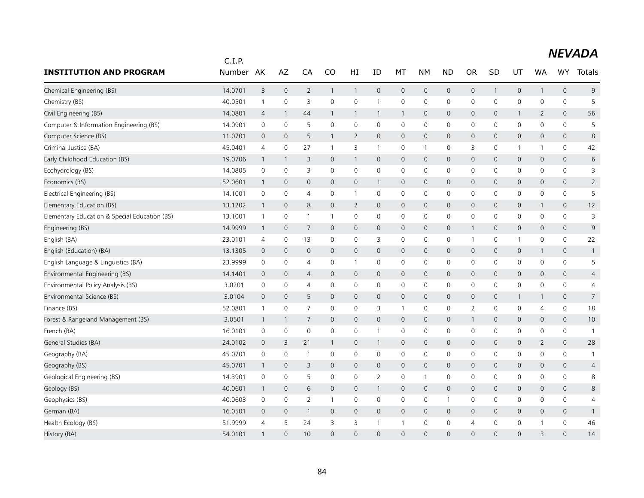|                                               | C.I.P.  |                |              |                |              |                |              |              |                |                |                     |              |              |                         |                |                 |
|-----------------------------------------------|---------|----------------|--------------|----------------|--------------|----------------|--------------|--------------|----------------|----------------|---------------------|--------------|--------------|-------------------------|----------------|-----------------|
| <b>INSTITUTION AND PROGRAM</b>                | Number  | AK             | AZ           | CA             | CO           | HI             | ID           | МT           | <b>NM</b>      | <b>ND</b>      | <b>OR</b>           | SD           | UT           | <b>WA</b>               | <b>WY</b>      | Totals          |
| Chemical Engineering (BS)                     | 14.0701 | 3              | $\mathbf 0$  | $\overline{2}$ | $\mathbf{1}$ | $\mathbf{1}$   | $\mathbf 0$  | $\mathbf 0$  | $\mathbf 0$    | $\mathbf 0$    | $\mathsf{O}\xspace$ | $\mathbf{1}$ | 0            | $\mathbf{1}$            | $\mathbf{0}$   | 9               |
| Chemistry (BS)                                | 40.0501 | $\mathbf{1}$   | 0            | 3              | $\mathbf 0$  | 0              | $\mathbf{1}$ | 0            | $\mathbf 0$    | 0              | 0                   | 0            | 0            | 0                       | $\mathbf 0$    | 5               |
| Civil Engineering (BS)                        | 14.0801 | $\overline{4}$ | -1           | 44             | 1            | 1              | $\mathbf{1}$ | $\mathbf{1}$ | $\mathbf{0}$   | $\mathbf{0}$   | $\mathbf{O}$        | $\mathbf{0}$ | $\mathbf{1}$ | $\overline{2}$          | $\mathbf{0}$   | 56              |
| Computer & Information Engineering (BS)       | 14.0901 | 0              | 0            | 5              | $\mathbf 0$  | 0              | $\mathbf 0$  | 0            | 0              | $\mathsf 0$    | 0                   | 0            | 0            | 0                       | $\mathbf 0$    | 5               |
| Computer Science (BS)                         | 11.0701 | $\overline{0}$ | $\mathbf{0}$ | 5              | 1            | $\overline{2}$ | $\mathbf{0}$ | $\mathbf 0$  | $\mathbf 0$    | $\mathbf 0$    | $\mathbf{0}$        | $\mathbf{0}$ | 0            | $\mathbf{0}$            | $\overline{0}$ | 8               |
| Criminal Justice (BA)                         | 45.0401 | $\overline{4}$ | 0            | 27             | 1            | 3              | $\mathbf{1}$ | 0            | $\mathbf{1}$   | 0              | 3                   | 0            | $\mathbf{1}$ | 1                       | $\mathbf 0$    | 42              |
| Early Childhood Education (BS)                | 19.0706 | $\overline{1}$ | -1           | 3              | $\mathbf{0}$ | 1              | 0            | $\mathbf 0$  | $\mathbf 0$    | $\mathbf 0$    | 0                   | $\mathbf{0}$ | 0            | $\mathbf{0}$            | 0              | 6               |
| Ecohydrology (BS)                             | 14.0805 | 0              | 0            | 3              | $\mathbf 0$  | 0              | 0            | 0            | $\mathbf 0$    | $\mathsf 0$    | 0                   | 0            | 0            | 0                       | $\mathbf 0$    | 3               |
| Economics (BS)                                | 52.0601 | $\mathbf{1}$   | $\mathbf 0$  | 0              | $\mathbf{0}$ | 0              | $\mathbf{1}$ | $\mathbf 0$  | $\mathbf 0$    | $\mathbf 0$    | 0                   | $\mathbf{0}$ | 0            | $\mathbf 0$             | 0              | $\overline{2}$  |
| Electrical Engineering (BS)                   | 14.1001 | $\mathbf 0$    | 0            | 4              | 0            | $\mathbf{1}$   | 0            | 0            | $\mathbf 0$    | 0              | 0                   | 0            | 0            | 0                       | $\mathbf 0$    | 5               |
| Elementary Education (BS)                     | 13.1202 | $\mathbf{1}$   | $\mathbf 0$  | 8              | $\mathbf{0}$ | $\overline{2}$ | $\mathbf{0}$ | $\mathbf{0}$ | $\mathbf{0}$   | $\mathbf 0$    | 0                   | $\mathbf 0$  | 0            | $\mathbf{1}$            | $\mathbf{0}$   | 12              |
| Elementary Education & Special Education (BS) | 13.1001 | $\mathbf{1}$   | 0            | $\overline{1}$ | $\mathbf{1}$ | 0              | 0            | 0            | 0              | 0              | 0                   | 0            | 0            | 0                       | $\mathbf 0$    | 3               |
| Engineering (BS)                              | 14.9999 | $\overline{1}$ | $\mathbf 0$  | $\overline{7}$ | $\mathbf{0}$ | 0              | $\mathbf 0$  | $\mathbf 0$  | $\mathbf 0$    | $\mathbf 0$    | 1                   | $\mathbf{0}$ | 0            | $\mathbf 0$             | $\mathbf{0}$   | 9               |
| English (BA)                                  | 23.0101 | 4              | $\mathbf 0$  | 13             | 0            | 0              | 3            | 0            | 0              | 0              | $\mathbf{1}$        | 0            | $\mathbf{1}$ | 0                       | 0              | 22              |
| English (Education) (BA)                      | 13.1305 | $\overline{0}$ | $\mathbf 0$  | $\mathbf 0$    | $\mathbf{0}$ | 0              | $\mathbf{0}$ | $\mathbf 0$  | $\mathbf 0$    | $\mathbf 0$    | $\mathsf{O}$        | 0            | 0            | $\mathbf{1}$            | 0              | $\mathbf{1}$    |
| English Language & Linguistics (BA)           | 23.9999 | 0              | 0            | 4              | 0            | $\mathbf{1}$   | 0            | 0            | 0              | 0              | 0                   | 0            | 0            | 0                       | $\mathbf 0$    | 5               |
| Environmental Engineering (BS)                | 14.1401 | $\mathbf 0$    | $\mathbf 0$  | $\overline{4}$ | $\mathbf{0}$ | 0              | $\mathbf{0}$ | $\mathbf 0$  | $\mathbf{0}$   | $\mathbf{0}$   | $\mathbf{0}$        | $\mathbf{0}$ | 0            | $\mathbf{0}$            | $\mathbf{0}$   | $\overline{4}$  |
| Environmental Policy Analysis (BS)            | 3.0201  | 0              | 0            | 4              | 0            | 0              | 0            | 0            | $\mathbf 0$    | 0              | 0                   | 0            | 0            | 0                       | $\mathbf 0$    | 4               |
| Environmental Science (BS)                    | 3.0104  | $\mathbf{0}$   | $\mathbf 0$  | 5              | $\mathbf{0}$ | 0              | $\mathbf{0}$ | $\mathbf{0}$ | $\mathbf{0}$   | $\mathbf{0}$   | $\mathbf{0}$        | $\mathbf 0$  | $\mathbf{1}$ | 1                       | $\overline{0}$ | $7\overline{ }$ |
| Finance (BS)                                  | 52.0801 | $\mathbf{1}$   | 0            | $\overline{7}$ | 0            | 0              | 3            | $\mathbf{1}$ | 0              | 0              | 2                   | 0            | 0            | 4                       | $\mathbf 0$    | 18              |
| Forest & Rangeland Management (BS)            | 3.0501  | $\overline{1}$ | 1            | $\overline{7}$ | $\mathbf{0}$ | 0              | $\mathbf{0}$ | $\mathbf 0$  | $\mathbf{0}$   | $\mathbf{0}$   | 1                   | $\mathbf{0}$ | 0            | $\mathbf{0}$            | $\overline{0}$ | 10              |
| French (BA)                                   | 16.0101 | 0              | 0            | 0              | 0            | 0              | $\mathbf{1}$ | 0            | 0              | 0              | 0                   | 0            | 0            | 0                       | $\mathbf 0$    | $\mathbf{1}$    |
| General Studies (BA)                          | 24.0102 | $\mathbf 0$    | 3            | 21             | 1            | 0              | $\mathbf{1}$ | $\mathbf 0$  | $\mathbf{0}$   | $\mathbf 0$    | $\mathbf{0}$        | $\mathbf{0}$ | 0            | $\overline{2}$          | $\overline{0}$ | 28              |
| Geography (BA)                                | 45.0701 | 0              | 0            | $\overline{1}$ | 0            | 0              | 0            | 0            | 0              | 0              | 0                   | 0            | 0            | 0                       | $\mathbf 0$    | $\overline{1}$  |
| Geography (BS)                                | 45.0701 | $\overline{1}$ | $\mathbf 0$  | 3              | $\mathbf{0}$ | $\mathbf 0$    | $\mathbf{0}$ | $\mathbf 0$  | $\mathbf{0}$   | $\mathbf{0}$   | $\mathbf{0}$        | $\mathbf{0}$ | 0            | $\mathbf 0$             | $\mathbf{0}$   | 4               |
| Geological Engineering (BS)                   | 14.3901 | $\mathbf 0$    | 0            | 5              | 0            | 0              | 2            | 0            | $\overline{1}$ | 0              | 0                   | 0            | 0            | 0                       | 0              | 8               |
| Geology (BS)                                  | 40.0601 | $\overline{1}$ | $\mathbf 0$  | 6              | $\mathbf{0}$ | 0              | $\mathbf{1}$ | $\mathbf 0$  | $\mathbf{0}$   | $\mathbf 0$    | $\mathbf{0}$        | $\mathbf{0}$ | 0            | $\mathbf 0$             | $\overline{0}$ | 8               |
| Geophysics (BS)                               | 40.0603 | 0              | 0            | $\overline{2}$ | $\mathbf{1}$ | 0              | 0            | 0            | 0              | $\overline{1}$ | 0                   | 0            | 0            | 0                       | 0              | $\overline{4}$  |
| German (BA)                                   | 16.0501 | $\mathbf 0$    | $\mathbf 0$  | $\mathbf{1}$   | $\mathbf{0}$ | $\mathbf 0$    | $\mathbf{0}$ | $\mathbf 0$  | $\mathbf{0}$   | $\mathsf{O}$   | $\mathbf{0}$        | $\mathbf{0}$ | 0            | $\mathbf 0$             | $\mathbf{0}$   | $\mathbf{1}$    |
| Health Ecology (BS)                           | 51.9999 | $\overline{4}$ | 5            | 24             | 3            | 3              | 1            | $\mathbf{1}$ | 0              | 0              | $\overline{4}$      | 0            | 0            | 1                       | $\mathbf 0$    | 46              |
| History (BA)                                  | 54.0101 | $\mathbf{1}$   | $\Omega$     | 10             | $\Omega$     | $\Omega$       | $\Omega$     | $\Omega$     | $\Omega$       | $\Omega$       | $\Omega$            | $\Omega$     | $\Omega$     | $\overline{\mathsf{B}}$ | $\Omega$       | 14              |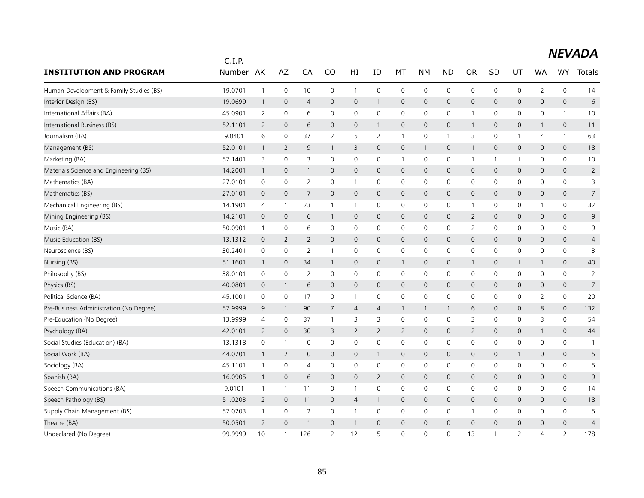|                                         | C.I.P.  |                |                |                |                |                |                |                          |              |                |                |                |              |                |              |                |
|-----------------------------------------|---------|----------------|----------------|----------------|----------------|----------------|----------------|--------------------------|--------------|----------------|----------------|----------------|--------------|----------------|--------------|----------------|
| <b>INSTITUTION AND PROGRAM</b>          | Number  | AK             | AZ             | CA             | CO             | HI             | ΙD             | МT                       | NΜ           | <b>ND</b>      | <b>OR</b>      | SD             | UT           | <b>WA</b>      | WY           | Totals         |
| Human Development & Family Studies (BS) | 19.0701 | $\mathbf{1}$   | $\mathbf 0$    | 10             | $\mathbf 0$    | $\mathbf{1}$   | $\mathbf 0$    | $\mathsf{O}$             | $\mathbf 0$  | 0              | $\mathsf{O}$   | $\mathbf 0$    | 0            | $\overline{2}$ | $\mathbf 0$  | 14             |
| Interior Design (BS)                    | 19.0699 | $\mathbf{1}$   | $\mathbf 0$    | 4              | 0              | $\mathbf 0$    | $\mathbf{1}$   | $\mathbf 0$              | $\mathbf 0$  | $\mathbf 0$    | $\mathsf{O}$   | $\mathbf{0}$   | 0            | $\mathbf 0$    | $\mathsf{O}$ | 6              |
| International Affairs (BA)              | 45.0901 | $\overline{2}$ | $\mathbf 0$    | 6              | $\mathbf{0}$   | 0              | $\mathbf 0$    | $\mathbf 0$              | $\mathbf 0$  | 0              | 1              | 0              | 0            | $\mathbf 0$    | $\mathbf{1}$ | 10             |
| International Business (BS)             | 52.1101 | $\overline{2}$ | $\mathbf 0$    | 6              | 0              | 0              | $\mathbf{1}$   | $\mathbf 0$              | $\mathbf 0$  | 0              | $\mathbf{1}$   | 0              | 0            | $\mathbf{1}$   | $\mathbf 0$  | 11             |
| Journalism (BA)                         | 9.0401  | 6              | $\mathbf 0$    | 37             | $\overline{2}$ | 5              | $\overline{2}$ | $\mathbf{1}$             | $\mathbf 0$  | $\overline{1}$ | 3              | 0              | $\mathbf{1}$ | 4              | $\mathbf{1}$ | 63             |
| Management (BS)                         | 52.0101 | $\overline{1}$ | $\overline{2}$ | 9              | 1              | 3              | $\mathbf 0$    | $\mathsf{O}$             | $\mathbf{1}$ | $\mathbf 0$    | $\mathbf{1}$   | $\mathbf 0$    | 0            | 0              | $\mathsf{O}$ | 18             |
| Marketing (BA)                          | 52.1401 | 3              | 0              | 3              | $\mathbf 0$    | 0              | 0              | $\mathbf{1}$             | 0            | 0              | -1             |                | 1            | 0              | 0            | 10             |
| Materials Science and Engineering (BS)  | 14.2001 | $\overline{1}$ | $\mathbf 0$    | $\mathbf{1}$   | 0              | $\theta$       | $\mathbf 0$    | $\mathsf{O}$             | $\mathsf{O}$ | $\mathbf 0$    | $\mathsf{O}$   | $\mathbf 0$    | 0            | $\mathbf 0$    | $\mathsf{O}$ | $\overline{2}$ |
| Mathematics (BA)                        | 27.0101 | 0              | 0              | $\overline{2}$ | $\mathbf 0$    | $\mathbf{1}$   | 0              | $\mathsf{O}$             | $\mathbf 0$  | $\mathbf 0$    | 0              | $\mathbf 0$    | 0            | 0              | $\mathbf 0$  | 3              |
| Mathematics (BS)                        | 27.0101 | $\overline{0}$ | $\mathbf 0$    | $\overline{7}$ | 0              | $\mathbf 0$    | $\mathbf 0$    | $\mathbf 0$              | $\mathbf 0$  | $\mathbf 0$    | $\mathsf{O}$   | $\mathbf 0$    | 0            | $\mathbf 0$    | $\mathbf 0$  | $\overline{7}$ |
| Mechanical Engineering (BS)             | 14.1901 | 4              | -1             | 23             | 1              | -1             | $\mathbf 0$    | 0                        | 0            | 0              | 1              | 0              | 0            | 1              | 0            | 32             |
| Mining Engineering (BS)                 | 14.2101 | $\overline{0}$ | $\overline{0}$ | 6              | 1              | 0              | $\mathbf 0$    | $\mathbf 0$              | $\mathbf 0$  | $\mathbf 0$    | $\overline{2}$ | $\mathbf 0$    | 0            | 0              | $\mathbf 0$  | 9              |
| Music (BA)                              | 50.0901 | $\mathbf{1}$   | $\mathbf 0$    | 6              | $\mathbf{0}$   | $\mathbf 0$    | 0              | 0                        | $\mathbf 0$  | $\mathbf 0$    | $\overline{2}$ | 0              | 0            | $\mathbf{0}$   | $\mathbf 0$  | 9              |
| Music Education (BS)                    | 13.1312 | $\mathbf 0$    | $\overline{2}$ | $\overline{2}$ | 0              | $\overline{0}$ | $\mathbf 0$    | $\mathbf 0$              | $\mathbf 0$  | 0              | $\mathsf{O}$   | $\mathbf 0$    | 0            | 0              | $\mathbf 0$  | $\overline{4}$ |
| Neuroscience (BS)                       | 30.2401 | 0              | 0              | 2              | 1              | 0              | $\mathbf 0$    | 0                        | 0            | 0              | 0              | 0              | 0            | 0              | 0            | 3              |
| Nursing (BS)                            | 51.1601 | $\mathbf{1}$   | $\mathbf 0$    | 34             | 1              | $\theta$       | $\mathbf 0$    | $\overline{\phantom{a}}$ | $\mathbf 0$  | $\mathbf 0$    | $\mathbf{1}$   | $\mathbf 0$    | $\mathbf{1}$ | 1              | $\mathbf 0$  | 40             |
| Philosophy (BS)                         | 38.0101 | 0              | $\mathbf 0$    | 2              | $\mathbf 0$    | 0              | 0              | 0                        | $\mathbf 0$  | 0              | 0              | 0              | 0            | 0              | 0            | $\overline{2}$ |
| Physics (BS)                            | 40.0801 | $\mathbf 0$    | $\overline{1}$ | 6              | 0              | $\mathbf 0$    | $\mathbf 0$    | $\mathbf 0$              | $\mathbf 0$  | $\mathbf 0$    | $\mathsf{O}$   | $\mathbf 0$    | 0            | $\mathbf 0$    | $\mathbf 0$  | $\overline{7}$ |
| Political Science (BA)                  | 45.1001 | 0              | 0              | 17             | 0              | 1              | 0              | 0                        | $\mathbf 0$  | 0              | 0              | 0              | 0            | 2              | 0            | 20             |
| Pre-Business Administration (No Degree) | 52.9999 | 9              | $\mathbf{1}$   | 90             | 7              | 4              | $\overline{4}$ | $\mathbf{1}$             | $\mathbf{1}$ | $\mathbf{1}$   | 6              | $\mathbf 0$    | 0            | 8              | 0            | 132            |
| Pre-Education (No Degree)               | 13.9999 | $\overline{4}$ | 0              | 37             | 1              | 3              | 3              | 0                        | $\mathbf 0$  | 0              | 3              | 0              | 0            | 3              | $\mathbf 0$  | 54             |
| Psychology (BA)                         | 42.0101 | $\overline{2}$ | $\overline{0}$ | 30             | 3              | $\overline{2}$ | $\overline{2}$ | $\overline{2}$           | $\mathbf 0$  | 0              | $\overline{2}$ | $\mathbf 0$    | 0            | $\mathbf{1}$   | $\mathbf 0$  | 44             |
| Social Studies (Education) (BA)         | 13.1318 | 0              | -1             | 0              | 0              | 0              | 0              | 0                        | 0            | 0              | 0              | 0              | 0            | 0              | 0            | $\overline{1}$ |
| Social Work (BA)                        | 44.0701 | $\mathbf{1}$   | 2              | 0              | 0              | $\overline{0}$ | $\mathbf{1}$   | $\mathbf 0$              | $\mathbf 0$  | $\mathbf 0$    | $\mathsf{O}$   | 0              | $\mathbf{1}$ | $\mathbf 0$    | $\mathbf 0$  | 5              |
| Sociology (BA)                          | 45.1101 | $\mathbf{1}$   | 0              | 4              | $\mathbf 0$    | 0              | 0              | 0                        | $\mathbf 0$  | 0              | 0              | 0              | 0            | 0              | $\mathbf 0$  | 5              |
| Spanish (BA)                            | 16.0905 | $\overline{1}$ | $\mathbf 0$    | 6              | 0              | $\mathbf 0$    | $\overline{2}$ | $\mathbf 0$              | $\mathbf 0$  | 0              | $\mathsf{O}$   | $\mathbf 0$    | 0            | $\mathbf 0$    | $\mathsf{O}$ | 9              |
| Speech Communications (BA)              | 9.0101  | $\mathbf{1}$   | $\overline{1}$ | 11             | 0              | 1              | 0              | 0                        | $\mathbf 0$  | 0              | 0              | 0              | 0            | 0              | $\mathbf 0$  | 14             |
| Speech Pathology (BS)                   | 51.0203 | $\overline{2}$ | $\mathbf 0$    | 11             | 0              | $\overline{4}$ | $\mathbf{1}$   | $\mathbf 0$              | $\mathbf 0$  | 0              | $\mathsf{O}$   | $\mathbf 0$    | 0            | $\mathbf 0$    | $\mathbf 0$  | 18             |
| Supply Chain Management (BS)            | 52.0203 | $\mathbf{1}$   | 0              | 2              | 0              | $\mathbf{1}$   | 0              | 0                        | $\mathbf 0$  | 0              | $\mathbf{1}$   | 0              | 0            | 0              | $\mathbf 0$  | 5              |
| Theatre (BA)                            | 50.0501 | $\overline{2}$ | $\mathbf 0$    | $\mathbf{1}$   | $\mathbf 0$    | 1              | $\mathbf 0$    | $\mathbf 0$              | 0            | 0              | $\mathbf 0$    | $\overline{0}$ | 0            | $\mathbf{0}$   | $\mathbf 0$  | $\overline{4}$ |
| Undeclared (No Degree)                  | 99.9999 | 10             |                | 126            | 2              | 12             | 5              | $\Omega$                 | 0            | $\Omega$       | 13             |                | 2            | 4              | 2            | 178            |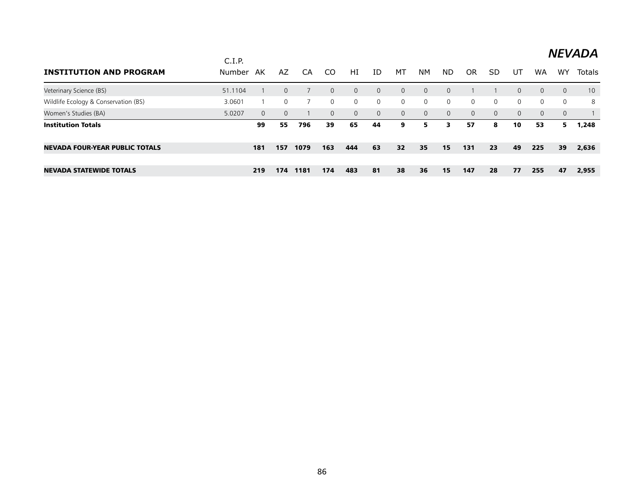| <b>INSTITUTION AND PROGRAM</b>        | C.I.P.<br>Number | AK       | AZ           | CA   | CO.            | HI             | ID           | МT             | <b>NM</b> | ND.      | OR       | SD             | UT       | <b>WA</b> | W٢             | Totals |
|---------------------------------------|------------------|----------|--------------|------|----------------|----------------|--------------|----------------|-----------|----------|----------|----------------|----------|-----------|----------------|--------|
| Veterinary Science (BS)               | 51.1104          |          | $\mathbf{0}$ |      | $\Omega$       | $\overline{0}$ | $\Omega$     | $\overline{0}$ | $\Omega$  | $\Omega$ |          |                | $\Omega$ | $\Omega$  | $\mathbf{0}$   | 10     |
| Wildlife Ecology & Conservation (BS)  | 3.0601           |          | 0            |      | $\overline{0}$ | $\overline{0}$ | $\mathbf{0}$ | $\overline{0}$ | $\Omega$  | $\Omega$ | $\Omega$ | $\Omega$       | $\Omega$ | $\Omega$  | $\overline{0}$ | 8      |
| Women's Studies (BA)                  | 5.0207           | $\Omega$ | $\Omega$     |      | $\Omega$       | $\Omega$       | 0            | $\Omega$       | $\Omega$  | $\Omega$ | $\Omega$ | $\overline{0}$ | $\Omega$ | $\Omega$  | $\Omega$       |        |
| <b>Institution Totals</b>             |                  | 99       | 55           | 796  | 39             | 65             | 44           | 9              | 5.        | 3        | 57       | 8              | 10       | 53        | 5.             | 1,248  |
| <b>NEVADA FOUR-YEAR PUBLIC TOTALS</b> |                  | 181      | 157          | 1079 | 163            | 444            | 63           | 32             | 35        | 15       | 131      | 23             | 49       | 225       | 39             | 2,636  |
|                                       |                  |          |              |      |                |                |              |                |           |          |          |                |          |           |                |        |
| <b>NEVADA STATEWIDE TOTALS</b>        |                  | 219      | 174          | 1181 | 174            | 483            | 81           | 38             | 36        | 15       | 147      | 28             | 77       | 255       | 47             | 2,955  |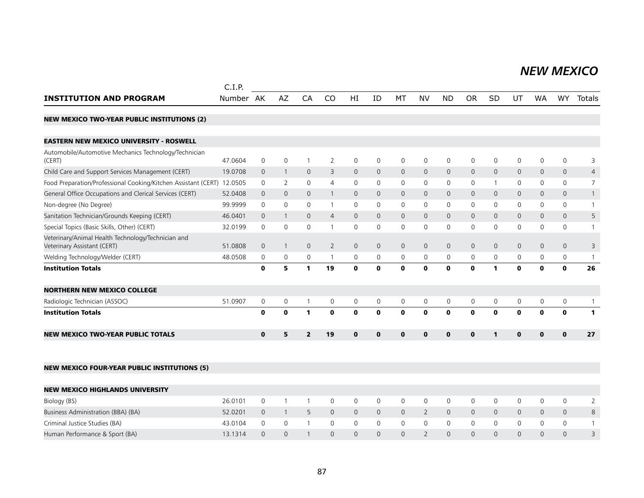#### *NEW MEXICO NEW MEXICO*

|                                                                                   | C.I.P.    |              |                |                |                |              |                     |              |                |              |              |                |              |              |              |                |
|-----------------------------------------------------------------------------------|-----------|--------------|----------------|----------------|----------------|--------------|---------------------|--------------|----------------|--------------|--------------|----------------|--------------|--------------|--------------|----------------|
| <b>INSTITUTION AND PROGRAM</b>                                                    | Number AK |              | AZ             | CA             | CO             | HI           | ID                  | MT           | <b>NV</b>      | <b>ND</b>    | <b>OR</b>    | <b>SD</b>      | UT           | <b>WA</b>    | WY.          | Totals         |
| <b>NEW MEXICO TWO-YEAR PUBLIC INSTITUTIONS (2)</b>                                |           |              |                |                |                |              |                     |              |                |              |              |                |              |              |              |                |
| <b>EASTERN NEW MEXICO UNIVERSITY - ROSWELL</b>                                    |           |              |                |                |                |              |                     |              |                |              |              |                |              |              |              |                |
| Automobile/Automotive Mechanics Technology/Technician<br>(CERT)                   | 47.0604   | $\mathbf 0$  | $\mathbf 0$    | $\overline{1}$ | $\overline{2}$ | 0            | 0                   | $\mathbf 0$  | $\mathsf{O}$   | $\mathsf{O}$ | $\mathbf 0$  | $\mathbf 0$    | $\mathbf 0$  | 0            | 0            | 3              |
| Child Care and Support Services Management (CERT)                                 | 19.0708   | $\mathbf{0}$ | $\overline{1}$ | $\mathbf 0$    | 3              | $\mathsf{O}$ | $\mathbf 0$         | $\mathsf{O}$ | $\mathsf{O}$   | $\mathbf 0$  | $\mathbf 0$  | $\mathbf 0$    | $\mathsf{O}$ | $\mathsf{O}$ | 0            | $\overline{4}$ |
| Food Preparation/Professional Cooking/Kitchen Assistant (CERT)                    | 12.0505   | $\mathbf 0$  | 2              | $\mathbf 0$    | 4              | 0            | 0                   | 0            | 0              | $\mathsf{O}$ | $\mathbf 0$  | $\overline{1}$ | $\mathsf{O}$ | 0            | 0            | 7              |
| General Office Occupations and Clerical Services (CERT)                           | 52.0408   | $\mathbf 0$  | $\mathbf{0}$   | $\overline{0}$ |                | $\mathbf{0}$ | $\mathbf{0}$        | $\mathbf{0}$ | $\mathbf{0}$   | $\mathbf{0}$ | $\mathbf 0$  | $\mathbf 0$    | $\mathbf{0}$ | $\mathbf{0}$ | 0            |                |
| Non-degree (No Degree)                                                            | 99.9999   | $\Omega$     | 0              | $\mathbf 0$    |                | $\Omega$     | $\mathbf{0}$        | 0            | 0              | 0            | $\mathbf 0$  | $\mathbf{0}$   | 0            | $\mathbf{0}$ | 0            |                |
| Sanitation Technician/Grounds Keeping (CERT)                                      | 46.0401   | $\mathbf 0$  | $\mathbf{1}$   | $\mathbf{0}$   | 4              | $\mathbf{0}$ | $\mathbf{0}$        | $\mathbf{0}$ | $\mathbf{0}$   | $\mathbf{0}$ | $\mathbf{0}$ | $\Omega$       | $\mathbf{0}$ | $\mathbf{0}$ | $\mathbf{0}$ | 5              |
| Special Topics (Basic Skills, Other) (CERT)                                       | 32.0199   | 0            | 0              | $\mathbf 0$    |                | 0            | 0                   | $\mathbf 0$  | $\Omega$       | $\mathbf 0$  | $\mathbf 0$  | 0              | 0            | 0            | 0            |                |
| Veterinary/Animal Health Technology/Technician and<br>Veterinary Assistant (CERT) | 51.0808   | $\mathbf 0$  | $\overline{1}$ | $\mathbf 0$    | $\overline{2}$ | 0            | $\mathsf{O}\xspace$ | $\mathbf 0$  | $\mathsf{O}$   | $\mathsf{O}$ | $\mathbf 0$  | $\mathbf 0$    | $\mathbf 0$  | 0            | 0            | 3              |
| Welding Technology/Welder (CERT)                                                  | 48.0508   | 0            | 0              | 0              | $\mathbf{1}$   | 0            | 0                   | $\mathbf 0$  | 0              | 0            | 0            | $\mathbf 0$    | 0            | 0            | 0            | $\overline{1}$ |
| <b>Institution Totals</b>                                                         |           | $\mathbf 0$  | 5              | $\mathbf{1}$   | 19             | $\mathbf 0$  | $\mathbf 0$         | $\mathbf 0$  | $\mathbf{0}$   | $\mathbf 0$  | $\mathbf{0}$ | $\mathbf{1}$   | $\mathbf 0$  | $\mathbf 0$  | $\mathbf 0$  | 26             |
| <b>NORTHERN NEW MEXICO COLLEGE</b>                                                |           |              |                |                |                |              |                     |              |                |              |              |                |              |              |              |                |
| Radiologic Technician (ASSOC)                                                     | 51.0907   | $\mathbf 0$  | $\mathbf 0$    | $\mathbf{1}$   | $\mathbf 0$    | 0            | $\mathbf 0$         | $\mathbf 0$  | $\mathbf 0$    | $\mathsf{O}$ | $\mathbf 0$  | $\mathbf 0$    | $\mathsf{O}$ | 0            | 0            |                |
| <b>Institution Totals</b>                                                         |           | $\mathbf 0$  | $\mathbf 0$    | $\mathbf{1}$   | $\mathbf 0$    | $\mathbf 0$  | $\mathbf 0$         | $\mathbf 0$  | $\mathbf 0$    | $\mathbf 0$  | $\mathbf 0$  | $\mathbf 0$    | $\mathbf 0$  | $\mathbf 0$  | $\mathbf 0$  | $\mathbf{1}$   |
| <b>NEW MEXICO TWO-YEAR PUBLIC TOTALS</b>                                          |           | $\mathbf 0$  | 5              | $\overline{2}$ | 19             | $\mathbf{0}$ | $\mathbf{0}$        | $\mathbf 0$  | $\mathbf{0}$   | $\mathbf 0$  | $\mathbf 0$  | $\mathbf{1}$   | $\mathbf{0}$ | $\mathbf 0$  | $\mathbf 0$  | 27             |
| <b>NEW MEXICO FOUR-YEAR PUBLIC INSTITUTIONS (5)</b>                               |           |              |                |                |                |              |                     |              |                |              |              |                |              |              |              |                |
| <b>NEW MEXICO HIGHLANDS UNIVERSITY</b>                                            |           |              |                |                |                |              |                     |              |                |              |              |                |              |              |              |                |
| Biology (BS)                                                                      | 26.0101   | $\mathbf 0$  | $\mathbf{1}$   | $\overline{1}$ | 0              | 0            | 0                   | 0            | $\mathbf 0$    | 0            | 0            | 0              | 0            | 0            | 0            | $\overline{2}$ |
| Business Administration (BBA) (BA)                                                | 52.0201   | $\mathbf{0}$ | $\overline{1}$ | 5              | $\mathbf{0}$   | $\mathsf{O}$ | $\mathbf{0}$        | $\mathsf{O}$ | $\overline{2}$ | $\mathsf{O}$ | $\mathbf 0$  | $\mathbf 0$    | $\mathsf{O}$ | $\mathbf 0$  | 0            | 8              |
| Criminal Justice Studies (BA)                                                     | 43.0104   | 0            | $\mathbf 0$    | $\mathbf{1}$   | 0              | 0            | 0                   | 0            | $\mathsf{O}$   | $\mathsf{O}$ | 0            | 0              | 0            | 0            | 0            | $\mathbf{1}$   |
| Human Performance & Sport (BA)                                                    | 13.1314   | $\mathbf{0}$ | $\overline{0}$ | $\mathbf{1}$   | $\Omega$       | $\mathbf{0}$ | $\mathbf{0}$        | $\mathbf 0$  | 2              | $\mathbf{0}$ | $\mathbf{0}$ | $\mathbf 0$    | $\mathbf{0}$ | 0            | $\mathbf{0}$ | 3              |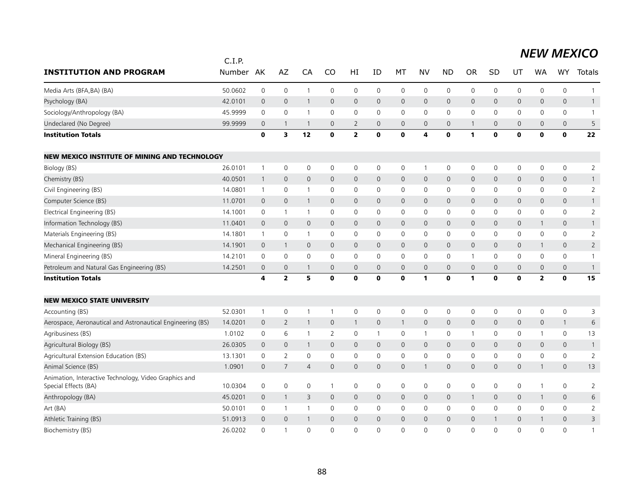|                                                                               | C.I.P.        |                |                     |                |                |                         |                     |              |                     |                     |                     |              |                     |                         |                     |                |
|-------------------------------------------------------------------------------|---------------|----------------|---------------------|----------------|----------------|-------------------------|---------------------|--------------|---------------------|---------------------|---------------------|--------------|---------------------|-------------------------|---------------------|----------------|
| <b>INSTITUTION AND PROGRAM</b>                                                | <b>Number</b> | AK             | AZ                  | CA             | CO             | HI                      | ID                  | MT           | <b>NV</b>           | <b>ND</b>           | <b>OR</b>           | SD           | UT                  | <b>WA</b>               | <b>WY</b>           | Totals         |
| Media Arts (BFA, BA) (BA)                                                     | 50.0602       | $\mathbf 0$    | $\mathsf 0$         | $\overline{1}$ | 0              | 0                       | $\mathsf 0$         | 0            | $\mathbf 0$         | 0                   | 0                   | $\mathbf 0$  | $\mathsf 0$         | $\mathsf 0$             | $\mathsf{O}\xspace$ | 1              |
| Psychology (BA)                                                               | 42.0101       | $\overline{0}$ | $\mathsf{O}\xspace$ | $\mathbf{1}$   | $\mathbf 0$    | $\mathsf{O}\xspace$     | $\mathbf 0$         | $\mathsf{O}$ | $\mathbf 0$         | 0                   | $\mathsf{O}\xspace$ | $\mathbf 0$  | $\mathsf{O}\xspace$ | $\mathsf{O}\xspace$     | $\mathbf 0$         | $\mathbf{1}$   |
| Sociology/Anthropology (BA)                                                   | 45.9999       | $\mathbf 0$    | $\mathsf{O}\xspace$ | -1             | $\mathbf 0$    | 0                       | $\mathbf 0$         | 0            | $\mathbf 0$         | 0                   | 0                   | $\mathbf 0$  | 0                   | 0                       | $\mathsf{O}\xspace$ | $\mathbf{1}$   |
| Undeclared (No Degree)                                                        | 99.9999       | $\mathbf 0$    | $\mathbf{1}$        | $\overline{1}$ | $\mathbf 0$    | 2                       | $\mathbf 0$         | $\mathbf 0$  | $\mathbf{0}$        | 0                   | -1                  | $\mathbf 0$  | $\mathbf 0$         | $\mathbf 0$             | $\mathbf 0$         | 5              |
| <b>Institution Totals</b>                                                     |               | $\mathbf 0$    | 3                   | 12             | $\mathbf 0$    | $\overline{\mathbf{2}}$ | $\mathbf 0$         | $\mathbf 0$  | 4                   | $\mathbf 0$         | 1                   | $\mathbf 0$  | $\mathbf 0$         | $\mathbf 0$             | $\mathbf{o}$        | 22             |
| <b>NEW MEXICO INSTITUTE OF MINING AND TECHNOLOGY</b>                          |               |                |                     |                |                |                         |                     |              |                     |                     |                     |              |                     |                         |                     |                |
| Biology (BS)                                                                  | 26.0101       | $\mathbf{1}$   | $\mathsf{O}\xspace$ | $\mathsf 0$    | 0              | 0                       | 0                   | 0            | $\mathbf{1}$        | 0                   | 0                   | 0            | 0                   | 0                       | $\mathsf{O}\xspace$ | $\overline{2}$ |
| Chemistry (BS)                                                                | 40.0501       | $\mathbf{1}$   | $\mathbf 0$         | $\mathbf 0$    | $\mathbf 0$    | $\mathbf 0$             | $\mathbf 0$         | $\mathsf{O}$ | $\mathbf 0$         | 0                   | $\mathbf 0$         | $\mathbf 0$  | $\pmb{0}$           | $\mathbf 0$             | $\mathbf 0$         | $\mathbf{1}$   |
| Civil Engineering (BS)                                                        | 14.0801       | $\mathbf{1}$   | $\mathsf 0$         | $\overline{1}$ | 0              | 0                       | $\mathbf 0$         | 0            | $\mathbf 0$         | 0                   | $\mathbf 0$         | $\mathbf 0$  | 0                   | $\mathbf 0$             | $\mathsf{O}$        | $\overline{2}$ |
| Computer Science (BS)                                                         | 11.0701       | $\mathbf 0$    | $\mathbf 0$         | $\mathbf{1}$   | $\mathsf{O}$   | $\mathsf{O}$            | $\mathbf 0$         | $\mathsf{O}$ | $\mathbf 0$         | 0                   | $\mathbf 0$         | $\mathbf{0}$ | $\mathbf 0$         | $\mathbf 0$             | $\mathbf 0$         | $\mathbf{1}$   |
| Electrical Engineering (BS)                                                   | 14.1001       | $\mathbf 0$    | $\mathbf{1}$        | $\overline{1}$ | 0              | 0                       | $\mathbf 0$         | 0            | $\mathbf 0$         | 0                   | 0                   | $\mathbf 0$  | $\mathsf 0$         | 0                       | $\mathsf{O}$        | $\overline{2}$ |
| Information Technology (BS)                                                   | 11.0401       | $\overline{0}$ | $\mathsf{O}\xspace$ | $\mathbf 0$    | $\mathbf{0}$   | $\mathsf{O}\xspace$     | $\mathbf{0}$        | $\mathsf{O}$ | $\mathbf 0$         | $\mathbf 0$         | $\mathbf 0$         | $\mathbf{0}$ | $\mathsf{O}\xspace$ | $\mathbf{1}$            | $\mathbf 0$         | $\mathbf{1}$   |
| Materials Engineering (BS)                                                    | 14.1801       | $\mathbf{1}$   | $\mathsf{O}\xspace$ | $\overline{1}$ | 0              | 0                       | $\mathbf 0$         | 0            | $\mathbf 0$         | 0                   | 0                   | $\mathbf 0$  | 0                   | 0                       | $\mathsf{O}$        | $\overline{2}$ |
| Mechanical Engineering (BS)                                                   | 14.1901       | $\overline{0}$ | $\mathbf{1}$        | $\mathbf 0$    | $\mathbf 0$    | $\mathsf{O}\xspace$     | $\mathbf{0}$        | $\mathsf{O}$ | $\mathbf 0$         | 0                   | $\mathsf{O}\xspace$ | $\mathbf{0}$ | $\mathsf{O}\xspace$ | $\mathbf{1}$            | $\mathbf 0$         | $\overline{2}$ |
| Mineral Engineering (BS)                                                      | 14.2101       | 0              | 0                   | 0              | $\mathbf 0$    | 0                       | $\mathbf 0$         | 0            | $\mathbf 0$         | 0                   | $\mathbf 1$         | 0            | 0                   | 0                       | $\mathsf{O}$        | $\mathbf{1}$   |
| Petroleum and Natural Gas Engineering (BS)                                    | 14.2501       | $\mathbf 0$    | $\mathbf 0$         | $\mathbf{1}$   | $\mathbf 0$    | $\mathsf{O}\xspace$     | $\mathsf{O}\xspace$ | $\mathsf{O}$ | $\mathsf{O}\xspace$ | $\mathsf{O}\xspace$ | $\mathbf 0$         | $\mathbf 0$  | $\mathbf 0$         | $\mathsf{O}\xspace$     | $\mathbf 0$         | $\mathbf{1}$   |
| <b>Institution Totals</b>                                                     |               | 4              | $\mathbf{2}$        | 5              | $\mathbf o$    | 0                       | $\mathbf 0$         | $\mathbf 0$  | 1                   | $\mathbf 0$         | 1                   | $\mathbf o$  | $\mathbf 0$         | $\overline{\mathbf{2}}$ | $\mathbf 0$         | 15             |
| <b>NEW MEXICO STATE UNIVERSITY</b>                                            |               |                |                     |                |                |                         |                     |              |                     |                     |                     |              |                     |                         |                     |                |
| Accounting (BS)                                                               | 52.0301       | $\mathbf{1}$   | $\mathsf{O}\xspace$ | $\overline{1}$ | $\mathbf{1}$   | 0                       | $\mathbf 0$         | 0            | $\mathbf 0$         | 0                   | 0                   | 0            | 0                   | $\mathbf 0$             | $\mathsf{O}\xspace$ | 3              |
| Aerospace, Aeronautical and Astronautical Engineering (BS)                    | 14.0201       | $\overline{0}$ | $\overline{2}$      | $\mathbf{1}$   | $\mathbf 0$    | $\mathbf{1}$            | $\mathbf 0$         | $\mathbf{1}$ | $\mathbf 0$         | 0                   | $\mathbf 0$         | $\mathbf 0$  | $\mathbf 0$         | $\mathbf 0$             | $\mathbf{1}$        | 6              |
| Agribusiness (BS)                                                             | 1.0102        | $\mathbf 0$    | 6                   | -1             | 2              | 0                       | $\mathbf{1}$        | 0            | $\mathbf{1}$        | 0                   | $\mathbf 1$         | $\mathbf 0$  | 0                   | 1                       | $\mathsf{O}$        | 13             |
| Agricultural Biology (BS)                                                     | 26.0305       | $\overline{0}$ | $\mathbf 0$         | $\overline{1}$ | $\mathbf 0$    | $\mathsf{O}\xspace$     | $\mathbf 0$         | $\mathsf{O}$ | $\mathbf 0$         | 0                   | $\mathbf 0$         | $\mathbf{0}$ | $\mathbf 0$         | $\mathbf 0$             | $\mathbf 0$         | $\mathbf{1}$   |
| Agricultural Extension Education (BS)                                         | 13.1301       | $\mathbf 0$    | $\overline{2}$      | $\mathbf 0$    | $\mathbf 0$    | $\mathbf 0$             | $\mathbf 0$         | $\mathsf{O}$ | $\mathsf{O}\xspace$ | 0                   | $\mathbf 0$         | $\mathbf 0$  | $\mathbf 0$         | 0                       | $\mathsf{O}$        | $\sqrt{2}$     |
| Animal Science (BS)                                                           | 1.0901        | $\mathbf 0$    | $\overline{7}$      | $\overline{4}$ | $\mathsf{O}$   | $\mathsf{O}\xspace$     | $\mathbf 0$         | $\mathsf{O}$ | $\mathbf{1}$        | 0                   | $\mathsf{O}\xspace$ | $\mathbf 0$  | $\mathsf{O}\xspace$ | $\mathbf{1}$            | $\mathbf 0$         | 13             |
| Animation, Interactive Technology, Video Graphics and<br>Special Effects (BA) | 10.0304       | $\mathbf 0$    | $\mathbf 0$         | $\mathbf 0$    | $\overline{1}$ | $\mathbf 0$             | $\mathbf 0$         | 0            | $\mathbf 0$         | 0                   | $\mathbf 0$         | $\mathbf 0$  | $\mathbf 0$         | $\mathbf{1}$            | $\mathbf 0$         | 2              |
| Anthropology (BA)                                                             | 45.0201       | $\overline{0}$ | $\overline{1}$      | 3              | $\mathbf{0}$   | $\mathbf{0}$            | $\mathbf{0}$        | $\mathbf{0}$ | $\mathbf{0}$        | $\mathsf{O}$        | $\mathbf{1}$        | $\mathbf{0}$ | $\mathbf 0$         | $\mathbf{1}$            | $\mathbf 0$         | 6              |
| Art (BA)                                                                      | 50.0101       | $\mathbf 0$    | $\mathbf{1}$        | $\mathbf{1}$   | 0              | $\mathbf 0$             | $\mathbf 0$         | 0            | $\mathbf 0$         | 0                   | 0                   | 0            | $\mathbf 0$         | 0                       | $\mathsf{O}\xspace$ | 2              |
| Athletic Training (BS)                                                        | 51.0913       | $\overline{0}$ | $\mathbf{0}$        | $\mathbf 1$    | $\mathbf{0}$   | $\mathbf 0$             | $\Omega$            | $\mathbf{0}$ | $\mathbf{0}$        | $\overline{0}$      | $\mathbf{0}$        | $\mathbf{1}$ | $\mathbf{0}$        | $\mathbf{1}$            | $\mathbf{0}$        | 3              |
| Biochemistry (BS)                                                             | 26.0202       | $\Omega$       | $\mathbf{1}$        | $\Omega$       | $\Omega$       | $\Omega$                | $\Omega$            | $\Omega$     | $\Omega$            | $\Omega$            | $\Omega$            | $\Omega$     | $\Omega$            | $\Omega$                | $\Omega$            | $\mathbf{1}$   |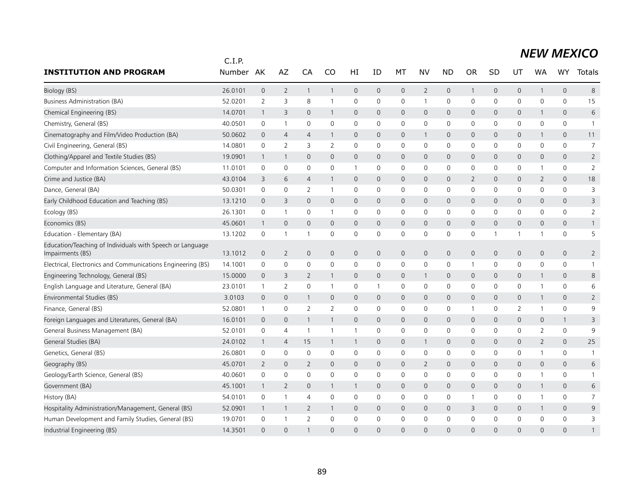|                                                                               | C.I.P.  |                     |                |                |                |                     |                     |                     |                |                |              |              |                     |                |                     |                |
|-------------------------------------------------------------------------------|---------|---------------------|----------------|----------------|----------------|---------------------|---------------------|---------------------|----------------|----------------|--------------|--------------|---------------------|----------------|---------------------|----------------|
| <b>INSTITUTION AND PROGRAM</b>                                                | Number  | AK                  | AZ             | CA             | CO             | HI                  | ID                  | МT                  | <b>NV</b>      | <b>ND</b>      | <b>OR</b>    | SD           | UT                  | <b>WA</b>      | <b>WY</b>           | Totals         |
| Biology (BS)                                                                  | 26.0101 | $\mathsf{O}\xspace$ | $\overline{2}$ | $\mathbf{1}$   | $\mathbf{1}$   | $\mathsf{O}\xspace$ | $\mathsf{O}\xspace$ | $\mathsf{O}\xspace$ | $\overline{2}$ | $\mathbf 0$    | $\mathbf{1}$ | $\mathbf 0$  | $\mathsf{O}$        | $\mathbf{1}$   | $\mathsf{O}\xspace$ | 8              |
| <b>Business Administration (BA)</b>                                           | 52.0201 | $\overline{2}$      | 3              | 8              | $\mathbf{1}$   | 0                   | 0                   | 0                   | $\mathbf{1}$   | $\mathbf 0$    | 0            | 0            | 0                   | 0              | 0                   | 15             |
| Chemical Engineering (BS)                                                     | 14.0701 | $\mathbf 1$         | 3              | $\mathbf{0}$   | $\mathbf{1}$   | $\mathbf{0}$        | $\overline{0}$      | $\mathbf{0}$        | $\mathbf{0}$   | $\mathbf{0}$   | 0            | $\mathbf{0}$ | $\mathsf{O}$        | 1              | 0                   | 6              |
| Chemistry, General (BS)                                                       | 40.0501 | 0                   | $\mathbf{1}$   | $\mathbf 0$    | $\Omega$       | 0                   | 0                   | 0                   | $\mathbf 0$    | $\mathbf 0$    | 0            | 0            | 0                   | 0              | 0                   | $\overline{1}$ |
| Cinematography and Film/Video Production (BA)                                 | 50.0602 | 0                   | $\overline{4}$ | $\overline{4}$ | $\mathbf{1}$   | $\mathsf{O}$        | $\mathbf 0$         | 0                   | $\mathbf{1}$   | $\mathbf 0$    | $\mathbf 0$  | 0            | 0                   | 1              | 0                   | 11             |
| Civil Engineering, General (BS)                                               | 14.0801 | 0                   | 2              | 3              | 2              | $\mathbf 0$         | 0                   | 0                   | $\mathbf 0$    | 0              | 0            | 0            | 0                   | 0              | 0                   | $\overline{7}$ |
| Clothing/Apparel and Textile Studies (BS)                                     | 19.0901 | 1                   | $\mathbf{1}$   | $\overline{0}$ | $\mathbf{0}$   | $\mathsf{O}$        | $\mathbf 0$         | 0                   | $\mathbf 0$    | $\mathbf 0$    | 0            | $\mathbf 0$  | 0                   | $\mathbf 0$    | $\mathsf{O}\xspace$ | $\overline{2}$ |
| Computer and Information Sciences, General (BS)                               | 11.0101 | 0                   | 0              | 0              | 0              | $\mathbf{1}$        | 0                   | 0                   | $\mathbf 0$    | $\mathbf 0$    | 0            | 0            | 0                   | 1              | 0                   | $\overline{2}$ |
| Crime and Justice (BA)                                                        | 43.0104 | 3                   | 6              | $\overline{4}$ | $\mathbf{1}$   | $\mathsf{O}$        | $\mathbf 0$         | 0                   | $\mathbf 0$    | $\mathbf 0$    | 2            | $\mathbf{0}$ | 0                   | 2              | 0                   | 18             |
| Dance, General (BA)                                                           | 50.0301 | 0                   | $\mathbf 0$    | $\overline{2}$ | $\mathbf{1}$   | 0                   | 0                   | 0                   | $\mathbf 0$    | $\mathbf 0$    | 0            | $\mathbf 0$  | $\mathsf{O}$        | $\mathbf 0$    | 0                   | 3              |
| Early Childhood Education and Teaching (BS)                                   | 13.1210 | $\overline{0}$      | 3              | $\mathbf{0}$   | $\mathbf{0}$   | $\mathsf{O}$        | $\mathbf{0}$        | 0                   | $\mathbf{0}$   | $\mathbf 0$    | $\mathsf{O}$ | $\mathbf 0$  | 0                   | $\mathbf{0}$   | $\overline{0}$      | 3              |
| Ecology (BS)                                                                  | 26.1301 | 0                   | $\mathbf{1}$   | $\mathbf 0$    | 1              | 0                   | 0                   | 0                   | $\mathbf 0$    | $\mathbf 0$    | 0            | 0            | 0                   | 0              | 0                   | $\overline{2}$ |
| Economics (BS)                                                                | 45.0601 | $\mathbf 1$         | $\overline{0}$ | $\overline{0}$ | $\mathbf{0}$   | $\mathsf{O}$        | $\overline{0}$      | $\mathbf{0}$        | $\mathbf{0}$   | $\mathbf{0}$   | $\mathbf 0$  | $\mathbf 0$  | $\mathsf{O}\xspace$ | $\mathbf{0}$   | $\mathbf{0}$        | $\mathbf{1}$   |
| Education - Elementary (BA)                                                   | 13.1202 | 0                   | $\mathbf{1}$   | -1             | $\Omega$       | 0                   | 0                   | 0                   | $\mathbf 0$    | $\mathbf 0$    | 0            | $\mathbf 1$  | 1                   | 1              | 0                   | 5              |
| Education/Teaching of Individuals with Speech or Language<br>Impairments (BS) | 13.1012 | $\overline{0}$      | 2              | $\overline{0}$ | $\mathbf{0}$   | $\mathbf{0}$        | $\overline{0}$      | $\mathbf{0}$        | $\mathbf{0}$   | $\mathbf{0}$   | $\mathbf 0$  | $\mathbf 0$  | 0                   | $\mathbf{0}$   | $\mathbf{0}$        | $\overline{2}$ |
| Electrical, Electronics and Communications Engineering (BS)                   | 14.1001 | 0                   | $\mathbf 0$    | $\mathbf 0$    | $\mathbf{0}$   | 0                   | 0                   | 0                   | $\mathbf 0$    | $\mathbf 0$    | $\mathbf 1$  | $\mathbf{0}$ | 0                   | 0              | $\mathbf 0$         | $\mathbf{1}$   |
| Engineering Technology, General (BS)                                          | 15.0000 | $\Omega$            | 3              | 2              | $\mathbf{1}$   | $\mathbf{0}$        | $\overline{0}$      | $\mathbf{0}$        | $\mathbf{1}$   | $\mathbf 0$    | $\mathbf 0$  | $\Omega$     | $\mathbf{0}$        | 1              | $\mathbf{0}$        | 8              |
| English Language and Literature, General (BA)                                 | 23.0101 | 1                   | 2              | $\mathbf 0$    | $\mathbf{1}$   | 0                   | 1                   | 0                   | $\mathbf 0$    | 0              | $\Omega$     | $\mathbf{0}$ | 0                   | 1              | 0                   | 6              |
| Environmental Studies (BS)                                                    | 3.0103  | $\overline{0}$      | $\overline{0}$ | -1             | $\mathbf 0$    | $\mathbf{0}$        | $\overline{0}$      | $\mathbf{0}$        | $\mathbf{0}$   | $\mathbf 0$    | $\mathbf 0$  | $\mathbf 0$  | 0                   | 1              | $\overline{0}$      | $\overline{2}$ |
| Finance, General (BS)                                                         | 52.0801 | 1                   | $\mathbf 0$    | $\overline{2}$ | $\overline{2}$ | 0                   | $\Omega$            | 0                   | $\mathbf 0$    | 0              | -1           | 0            | 2                   | 1              | 0                   | 9              |
| Foreign Languages and Literatures, General (BA)                               | 16.0101 | $\mathbf 0$         | $\mathbf 0$    | -1             | -1             | $\mathsf{O}$        | $\overline{0}$      | 0                   | $\mathbf 0$    | $\overline{0}$ | $\mathbf 0$  | $\mathbf 0$  | 0                   | $\mathbf 0$    | $\mathbf{1}$        | 3              |
| General Business Management (BA)                                              | 52.0101 | 0                   | $\overline{4}$ | $\overline{1}$ | $\mathbf{1}$   | $\mathbf{1}$        | $\Omega$            | 0                   | $\mathbf{0}$   | $\Omega$       | $\Omega$     | $\mathbf{0}$ | $\mathbf 0$         | $\overline{2}$ | $\Omega$            | 9              |
| General Studies (BA)                                                          | 24.0102 | $\mathbf{1}$        | $\overline{4}$ | 15             | $\mathbf{1}$   | $\mathbf{1}$        | $\overline{0}$      | $\overline{0}$      | $\mathbf{1}$   | $\mathbf 0$    | $\mathbf 0$  | $\Omega$     | 0                   | 2              | $\mathbf{0}$        | 25             |
| Genetics, General (BS)                                                        | 26.0801 | 0                   | $\mathbf 0$    | $\mathbf 0$    | $\mathbf{0}$   | $\mathbf 0$         | 0                   | 0                   | $\mathbf 0$    | $\mathbf 0$    | 0            | 0            | 0                   | 1              | 0                   | $\overline{1}$ |
| Geography (BS)                                                                | 45.0701 | 2                   | $\mathbf{0}$   | 2              | $\Omega$       | $\mathbf{0}$        | $\mathbf 0$         | $\mathbf{0}$        | 2              | $\mathbf 0$    | $\mathbf{0}$ | $\mathbf 0$  | 0                   | $\mathbf{0}$   | $\mathbf{0}$        | 6              |
| Geology/Earth Science, General (BS)                                           | 40.0601 | 0                   | $\mathbf 0$    | $\mathbf 0$    | $\mathbf{0}$   | 0                   | 0                   | 0                   | $\mathbf 0$    | $\mathbf 0$    | 0            | $\mathbf{0}$ | 0                   | 1              | 0                   | 1              |
| Government (BA)                                                               | 45.1001 | -1                  | $\overline{2}$ | $\mathbf{0}$   | 1              | $\mathbf{1}$        | $\overline{0}$      | $\mathbf{0}$        | $\mathbf{0}$   | $\mathbf 0$    | $\mathbf 0$  | $\mathbf{0}$ | $\mathbf{0}$        | 1              | $\mathbf{0}$        | 6              |
| History (BA)                                                                  | 54.0101 | 0                   | $\mathbf{1}$   | $\overline{4}$ | $\mathbf{0}$   | 0                   | $\Omega$            | 0                   | $\mathbf 0$    | 0              | $\mathbf 1$  | $\mathbf{0}$ | 0                   | 1              | 0                   | $\overline{7}$ |
| Hospitality Administration/Management, General (BS)                           | 52.0901 | $\mathbf{1}$        | $\overline{1}$ | 2              | 1              | $\mathbf{0}$        | 0                   | $\mathbf{0}$        | $\mathbf{0}$   | $\mathbf 0$    | 3            | $\mathbf{0}$ | 0                   | 1              | $\mathbf{0}$        | 9              |
| Human Development and Family Studies, General (BS)                            | 19.0701 | 0                   |                | $\overline{2}$ | $\Omega$       | 0                   | $\Omega$            | 0                   | $\mathbf{0}$   | $\mathbf{0}$   | 0            | $\Omega$     | 0                   | 0              | 0                   | 3              |
| Industrial Engineering (BS)                                                   | 14.3501 | $\Omega$            | $\Omega$       |                | $\Omega$       | $\Omega$            | $\Omega$            | $\Omega$            | $\Omega$       | $\Omega$       | U            | $\Omega$     | $\Omega$            | $\Omega$       | $\Omega$            |                |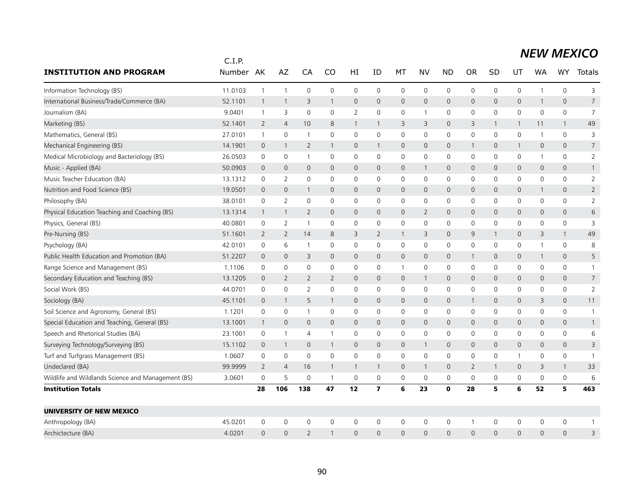|                                                    | C.I.P.  |                |                |                |                |                     |                         |              |                |                |                |              |              |              |                     |                |
|----------------------------------------------------|---------|----------------|----------------|----------------|----------------|---------------------|-------------------------|--------------|----------------|----------------|----------------|--------------|--------------|--------------|---------------------|----------------|
| <b>INSTITUTION AND PROGRAM</b>                     | Number  | AK             | AZ             | CA             | CO             | HI                  | ID                      | МT           | NV             | <b>ND</b>      | <b>OR</b>      | SD           | UT           | WA           | <b>WY</b>           | <b>Totals</b>  |
| Information Technology (BS)                        | 11.0103 | $\mathbf{1}$   | $\overline{1}$ | $\mathbf 0$    | 0              | 0                   | 0                       | 0            | $\mathbf 0$    | $\mathbf 0$    | 0              | 0            | 0            | $\mathbf{1}$ | $\mathsf{O}\xspace$ | 3              |
| International Business/Trade/Commerce (BA)         | 52.1101 | $\mathbf{1}$   | $\overline{1}$ | $\overline{3}$ | $\mathbf{1}$   | $\mathbf 0$         | $\mathbf{0}$            | $\mathsf{O}$ | $\mathbf 0$    | $\mathbf 0$    | $\mathbf 0$    | $\mathbf{0}$ | 0            | $\mathbf{1}$ | $\mathsf{O}\xspace$ | $\overline{7}$ |
| Journalism (BA)                                    | 9.0401  | 1              | 3              | $\mathbf 0$    | $\mathbf 0$    | 2                   | 0                       | 0            | $\overline{1}$ | $\mathbf 0$    | 0              | 0            | 0            | 0            | $\mathbf 0$         | $\overline{7}$ |
| Marketing (BS)                                     | 52.1401 | 2              | $\overline{4}$ | 10             | 8              | $\mathbf{1}$        | $\mathbf{1}$            | 3            | 3              | $\mathbf{0}$   | 3              | 1            | 1            | 11           | $\mathbf{1}$        | 49             |
| Mathematics, General (BS)                          | 27.0101 | $\overline{1}$ | $\mathbf 0$    | $\overline{1}$ | $\mathbf{0}$   | $\mathbf 0$         | 0                       | $\mathbf 0$  | $\mathbf 0$    | $\mathbf 0$    | $\mathbf 0$    | $\mathbf 0$  | 0            | $\mathbf{1}$ | $\mathbf 0$         | 3              |
| Mechanical Engineering (BS)                        | 14.1901 | $\overline{0}$ | 1              | 2              | $\mathbf{1}$   | $\mathbf{0}$        | $\mathbf{1}$            | $\mathbf 0$  | $\mathbf{0}$   | $\mathbf 0$    | -1             | $\mathbf{0}$ | $\mathbf{1}$ | 0            | $\mathbf{0}$        | $\overline{7}$ |
| Medical Microbiology and Bacteriology (BS)         | 26.0503 | $\mathbf 0$    | $\mathbf 0$    | $\mathbf{1}$   | $\Omega$       | 0                   | $\mathbf{0}$            | 0            | $\mathbf 0$    | 0              | 0              | 0            | 0            | 1            | 0                   | $\overline{2}$ |
| Music - Applied (BA)                               | 50.0903 | $\overline{0}$ | $\overline{0}$ | $\overline{0}$ | $\mathbf 0$    | $\mathbf 0$         | $\mathbf 0$             | $\mathbf 0$  | $\mathbf{1}$   | $\mathbf 0$    | 0              | $\mathbf 0$  | 0            | 0            | $\mathbf 0$         | $\mathbf{1}$   |
| Music Teacher Education (BA)                       | 13.1312 | $\mathbf 0$    | $\overline{2}$ | $\mathbf 0$    | $\mathbf 0$    | $\mathbf 0$         | 0                       | 0            | $\mathbf 0$    | $\mathbf 0$    | 0              | 0            | 0            | 0            | $\mathbf 0$         | $\overline{2}$ |
| Nutrition and Food Science (BS)                    | 19.0501 | $\mathbf 0$    | $\mathbf 0$    | 1              | $\mathbf{0}$   | 0                   | $\mathbf 0$             | $\mathbf 0$  | $\mathbf 0$    | $\mathbf 0$    | $\mathbf 0$    | $\mathbf 0$  | 0            | 1            | $\mathbf{0}$        | 2              |
| Philosophy (BA)                                    | 38.0101 | $\mathbf 0$    | 2              | $\mathbf 0$    | $\mathbf 0$    | $\mathbf 0$         | 0                       | $\mathbf 0$  | $\mathbf 0$    | $\mathbf 0$    | $\mathbf 0$    | 0            | $\mathbf 0$  | 0            | $\mathbf 0$         | $\overline{2}$ |
| Physical Education Teaching and Coaching (BS)      | 13.1314 | $\mathbf{1}$   | $\mathbf{1}$   | $\overline{2}$ | $\mathsf{O}$   | $\mathsf{O}\xspace$ | $\mathbf{0}$            | $\mathbf 0$  | $\overline{2}$ | $\mathbf 0$    | 0              | $\mathbf 0$  | 0            | 0            | $\mathsf{O}\xspace$ | 6              |
| Physics, General (BS)                              | 40.0801 | 0              | 2              | $\mathbf{1}$   | $\mathbf 0$    | 0                   | $\mathbf 0$             | 0            | $\mathbf 0$    | $\mathbf 0$    | $\mathbf 0$    | $\mathbf 0$  | 0            | 0            | 0                   | 3              |
| Pre-Nursing (BS)                                   | 51.1601 | $\overline{2}$ | 2              | 14             | 8              | 3                   | 2                       | $\mathbf{1}$ | 3              | $\Omega$       | 9              | 1            | $\mathsf{O}$ | 3            | $\mathbf{1}$        | 49             |
| Psychology (BA)                                    | 42.0101 | 0              | 6              | -1             | $\mathbf 0$    | 0                   | 0                       | 0            | 0              | 0              | 0              | 0            | 0            | $\mathbf 1$  | 0                   | 8              |
| Public Health Education and Promotion (BA)         | 51.2207 | $\mathbf 0$    | $\overline{0}$ | 3              | $\mathbf{0}$   | $\mathbf 0$         | $\mathbf 0$             | $\mathbf 0$  | $\mathbf 0$    | $\mathbf 0$    | $\mathbf{1}$   | 0            | 0            | $\mathbf{1}$ | $\mathbf 0$         | 5              |
| Range Science and Management (BS)                  | 1.1106  | 0              | $\mathbf 0$    | $\mathbf 0$    | $\mathbf{0}$   | 0                   | $\mathbf{0}$            | $\mathbf{1}$ | $\mathbf 0$    | $\mathbf 0$    | $\mathbf 0$    | 0            | 0            | 0            | 0                   | $\mathbf{1}$   |
| Secondary Education and Teaching (BS)              | 13.1205 | $\mathbf{0}$   | 2              | $\overline{2}$ | $\overline{2}$ | $\mathbf{0}$        | $\Omega$                | $\mathbf{0}$ | $\overline{1}$ | $\overline{0}$ | $\mathbf{0}$   | $\Omega$     | $\mathsf{O}$ | $\Omega$     | $\mathbf{0}$        | $\overline{7}$ |
| Social Work (BS)                                   | 44.0701 | 0              | $\mathbf 0$    | $\overline{2}$ | $\mathbf 0$    | 0                   | 0                       | 0            | $\mathbf 0$    | 0              | 0              | 0            | 0            | 0            | $\mathsf{O}\xspace$ | $\overline{2}$ |
| Sociology (BA)                                     | 45.1101 | $\mathbf 0$    | $\overline{1}$ | 5              | $\mathbf{1}$   | 0                   | $\mathbf{0}$            | $\mathbf{0}$ | $\mathbf{0}$   | $\mathbf 0$    | $\mathbf{1}$   | $\mathbf{0}$ | 0            | 3            | $\mathbf{0}$        | 11             |
| Soil Science and Agronomy, General (BS)            | 1.1201  | $\mathbf 0$    | $\mathbf 0$    | $\mathbf{1}$   | $\mathbf 0$    | 0                   | 0                       | 0            | $\mathbf 0$    | 0              | 0              | 0            | 0            | 0            | 0                   | $\overline{1}$ |
| Special Education and Teaching, General (BS)       | 13.1001 | $\mathbf{1}$   | $\mathbf 0$    | $\mathbf 0$    | $\mathsf{O}$   | $\mathbf 0$         | $\mathbf 0$             | $\mathsf{O}$ | $\mathbf 0$    | $\mathbf 0$    | 0              | $\mathbf{0}$ | 0            | 0            | $\mathbf 0$         | $\mathbf{1}$   |
| Speech and Rhetorical Studies (BA)                 | 23.1001 | 0              | $\overline{1}$ | $\overline{4}$ | 1              | $\mathbf 0$         | 0                       | $\mathbf 0$  | $\mathbf 0$    | $\mathbf 0$    | 0              | 0            | 0            | 0            | $\mathbf 0$         | 6              |
| Surveying Technology/Surveying (BS)                | 15.1102 | $\mathbf 0$    | $\mathbf{1}$   | $\mathbf 0$    | 1              | 0                   | $\overline{0}$          | $\mathbf{0}$ | $\mathbf{1}$   | $\mathbf 0$    | $\mathbf{0}$   | $\mathbf 0$  | 0            | 0            | $\mathbf 0$         | 3              |
| Turf and Turfgrass Management (BS)                 | 1.0607  | $\mathbf 0$    | $\mathbf 0$    | $\mathbf 0$    | $\Omega$       | $\Omega$            | $\Omega$                | $\mathbf 0$  | $\mathbf 0$    | $\mathbf 0$    | $\mathbf 0$    | 0            | 1            | 0            | $\mathbf 0$         | $\overline{1}$ |
| Undeclared (BA)                                    | 99.9999 | $\overline{2}$ | $\overline{4}$ | 16             | $\mathbf{1}$   | $\mathbf{1}$        | $\mathbf{1}$            | $\mathbf 0$  | $\overline{1}$ | $\mathbf 0$    | $\overline{2}$ | $\mathbf{1}$ | 0            | 3            | $\mathbf{1}$        | 33             |
| Wildlife and Wildlands Science and Management (BS) | 3.0601  | $\mathbf 0$    | 5              | $\mathbf 0$    | $\mathbf{1}$   | $\mathbf 0$         | $\mathbf 0$             | 0            | $\mathbf 0$    | $\mathbf 0$    | $\mathbf 0$    | $\mathbf 0$  | 0            | 0            | $\mathsf{O}\xspace$ | 6              |
| <b>Institution Totals</b>                          |         | 28             | 106            | 138            | 47             | 12                  | $\overline{\mathbf{z}}$ | 6            | 23             | $\mathbf 0$    | 28             | 5            | 6            | 52           | 5.                  | 463            |
| <b>UNIVERSITY OF NEW MEXICO</b>                    |         |                |                |                |                |                     |                         |              |                |                |                |              |              |              |                     |                |
| Anthropology (BA)                                  | 45.0201 | $\mathbf 0$    | $\mathbf 0$    | $\mathbf 0$    | $\mathbf 0$    | $\mathbf 0$         | 0                       | $\mathbf 0$  | $\mathbf 0$    | $\mathbf 0$    | -1             | 0            | 0            | 0            | $\mathbf 0$         | -1             |
| Archictecture (BA)                                 | 4.0201  | $\Omega$       | $\Omega$       | $\overline{2}$ |                | $\Omega$            | $\Omega$                | $\Omega$     | $\Omega$       | $\Omega$       | $\Omega$       | $\Omega$     | $\Omega$     | $\Omega$     | $\Omega$            | 3              |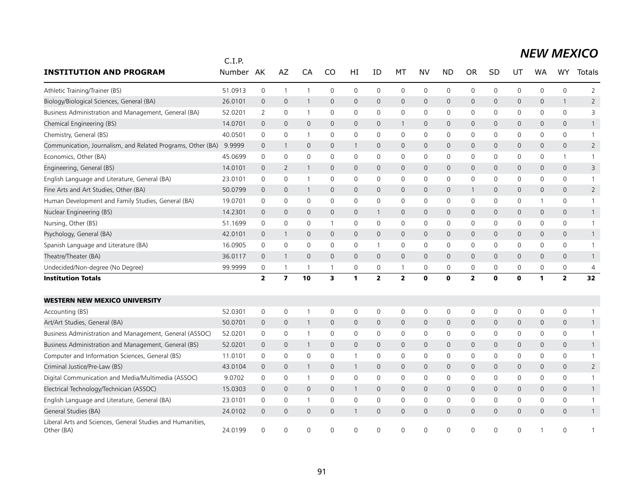|                                                                          | C.I.P.  |                         |                         |                          |                |              |              |              |              |                |              |              |             |              |                     |                |
|--------------------------------------------------------------------------|---------|-------------------------|-------------------------|--------------------------|----------------|--------------|--------------|--------------|--------------|----------------|--------------|--------------|-------------|--------------|---------------------|----------------|
| <b>INSTITUTION AND PROGRAM</b>                                           | Number  | AK                      | AZ                      | CA                       | CO             | HI           | ID           | MT           | NV           | <b>ND</b>      | <b>OR</b>    | SD           | UT          | <b>WA</b>    | <b>WY</b>           | <b>Totals</b>  |
| Athletic Training/Trainer (BS)                                           | 51.0913 | $\mathsf{O}\xspace$     | $\overline{1}$          | $\mathbf{1}$             | $\mathbf 0$    | $\mathbf 0$  | 0            | 0            | $\mathsf{O}$ | $\mathsf 0$    | 0            | $\mathbf 0$  | 0           | $\mathbf 0$  | 0                   | $\overline{2}$ |
| Biology/Biological Sciences, General (BA)                                | 26.0101 | $\mathbf 0$             | $\mathbf 0$             | 1                        | $\mathbf 0$    | $\mathbf 0$  | $\mathbf 0$  | $\mathsf{O}$ | $\mathbf 0$  | $\mathbf 0$    | 0            | $\mathbf{0}$ | 0           | $\mathbf 0$  | $\mathbf{1}$        | $\overline{2}$ |
| Business Administration and Management, General (BA)                     | 52.0201 | $\overline{2}$          | $\mathbf 0$             | $\mathbf{1}$             | 0              | $\mathbf 0$  | $\mathbf 0$  | $\mathbf 0$  | $\mathbf 0$  | $\mathbf 0$    | 0            | 0            | $\mathbf 0$ | $\mathbf 0$  | 0                   | 3              |
| Chemical Engineering (BS)                                                | 14.0701 | $\mathbf 0$             | $\mathbf 0$             | $\mathbf{0}$             | $\mathbf{0}$   | $\mathbf 0$  | $\mathbf 0$  | $\mathbf{1}$ | $\mathbf 0$  | $\mathbf 0$    | $\mathbf 0$  | 0            | 0           | 0            | 0                   | $\mathbf{1}$   |
| Chemistry, General (BS)                                                  | 40.0501 | $\mathbf 0$             | $\mathbf 0$             | $\mathbf{1}$             | 0              | $\mathbf 0$  | $\mathbf 0$  | $\mathbf 0$  | $\mathbf 0$  | $\mathbf 0$    | 0            | 0            | $\mathbf 0$ | $\mathbf 0$  | 0                   | $\mathbf{1}$   |
| Communication, Journalism, and Related Programs, Other (BA)              | 9.9999  | $\mathbf 0$             | $\mathbf{1}$            | $\mathbf{0}$             | $\mathbf{0}$   | $\mathbf{1}$ | $\mathbf{0}$ | $\mathbf 0$  | $\mathbf{0}$ | $\mathbf{0}$   | $\mathsf{O}$ | 0            | 0           | $\mathbf{0}$ | 0                   | $\overline{2}$ |
| Economics, Other (BA)                                                    | 45.0699 | $\mathbf 0$             | $\mathbf 0$             | $\mathbf 0$              | $\mathbf 0$    | $\mathbf 0$  | $\mathbf 0$  | 0            | $\mathsf{O}$ | $\mathbf 0$    | 0            | 0            | 0           | 0            | $\mathbf{1}$        | $\mathbf{1}$   |
| Engineering, General (BS)                                                | 14.0101 | $\overline{0}$          | $\overline{2}$          | 1                        | $\mathbf{0}$   | $\mathbf 0$  | $\mathbf{0}$ | $\mathbf 0$  | $\mathbf 0$  | $\mathbf 0$    | 0            | $\mathbf{0}$ | 0           | $\mathbf{0}$ | $\mathsf{O}\xspace$ | 3              |
| English Language and Literature, General (BA)                            | 23.0101 | 0                       | 0                       | $\mathbf{1}$             | 0              | 0            | 0            | 0            | $\mathbf 0$  | $\mathbf 0$    | 0            | 0            | 0           | 0            | 0                   | $\overline{1}$ |
| Fine Arts and Art Studies, Other (BA)                                    | 50.0799 | $\overline{0}$          | $\mathbf 0$             | $\mathbf{1}$             | $\mathbf 0$    | $\mathbf 0$  | $\mathbf{0}$ | $\mathsf{O}$ | $\mathbf 0$  | $\mathbf 0$    | $\mathbf{1}$ | $\mathbf{0}$ | 0           | $\mathbf{0}$ | $\mathbf{0}$        | $\overline{2}$ |
| Human Development and Family Studies, General (BA)                       | 19.0701 | $\mathbf 0$             | 0                       | $\mathbf 0$              | $\mathbf 0$    | $\mathbf 0$  | $\mathbf 0$  | $\mathbf 0$  | $\mathbf 0$  | $\mathbf 0$    | 0            | 0            | 0           | 1            | 0                   | $\mathbf{1}$   |
| Nuclear Engineering (BS)                                                 | 14.2301 | $\mathbf 0$             | $\mathbf 0$             | $\mathbf 0$              | $\mathbf 0$    | $\mathbf 0$  | $\mathbf{1}$ | $\mathbf 0$  | $\mathbf 0$  | $\mathbf 0$    | 0            | $\mathbf 0$  | 0           | 0            | $\mathsf{O}\xspace$ | $\mathbf{1}$   |
| Nursing, Other (BS)                                                      | 51.1699 | $\mathbf 0$             | $\mathbf 0$             | $\mathbf 0$              |                | $\mathbf 0$  | 0            | $\mathbf 0$  | $\mathbf 0$  | $\mathbf 0$    | 0            | 0            | 0           | 0            | 0                   | $\mathbf{1}$   |
| Psychology, General (BA)                                                 | 42.0101 | $\mathbf 0$             | $\overline{1}$          | $\mathbf 0$              | $\mathbf 0$    | $\mathbf 0$  | $\mathbf 0$  | $\mathbf 0$  | $\mathbf 0$  | $\mathbf 0$    | 0            | 0            | 0           | 0            | 0                   | $\mathbf{1}$   |
| Spanish Language and Literature (BA)                                     | 16.0905 | $\mathbf 0$             | $\mathbf 0$             | $\mathbf 0$              | $\mathbf 0$    | $\mathbf 0$  | $\mathbf{1}$ | $\mathbf 0$  | $\mathbf 0$  | $\mathbf 0$    | 0            | 0            | $\mathbf 0$ | $\mathbf 0$  | 0                   | $\mathbf{1}$   |
| Theatre/Theater (BA)                                                     | 36.0117 | $\mathbf{0}$            | $\mathbf{1}$            | $\mathbf{0}$             | $\mathbf{0}$   | $\mathbf 0$  | $\mathbf 0$  | $\mathbf 0$  | $\mathbf{0}$ | $\mathbf{0}$   | $\mathsf{O}$ | $\mathbf{0}$ | 0           | $\mathbf{0}$ | 0                   | $\mathbf{1}$   |
| Undecided/Non-degree (No Degree)                                         | 99.9999 | 0                       | 1                       | $\overline{\phantom{0}}$ | $\overline{1}$ | 0            | $\mathbf 0$  | $\mathbf{1}$ | $\mathbf 0$  | $\mathbf 0$    | 0            | 0            | 0           | $\mathbf 0$  | 0                   | 4              |
| <b>Institution Totals</b>                                                |         | $\overline{\mathbf{2}}$ | $\overline{\mathbf{z}}$ | 10                       | 3              | 1            | $\mathbf{z}$ | $\mathbf{2}$ | $\mathbf 0$  | $\mathbf 0$    | $\mathbf{2}$ | $\mathbf 0$  | $\mathbf 0$ | 1            | $\mathbf{2}$        | 32             |
| <b>WESTERN NEW MEXICO UNIVERSITY</b>                                     |         |                         |                         |                          |                |              |              |              |              |                |              |              |             |              |                     |                |
| Accounting (BS)                                                          | 52.0301 | $\mathbf 0$             | $\mathsf{O}\xspace$     | $\overline{1}$           | $\mathbf 0$    | 0            | 0            | 0            | $\mathsf{O}$ | $\mathbf 0$    | 0            | 0            | 0           | 0            | 0                   | $\mathbf{1}$   |
| Art/Art Studies, General (BA)                                            | 50.0701 | $\mathbf 0$             | $\mathbf 0$             | $\mathbf{1}$             | $\mathbf 0$    | $\mathbf 0$  | $\mathbf 0$  | $\mathbf 0$  | $\mathbf 0$  | $\mathbf 0$    | 0            | $\mathbf{0}$ | 0           | $\mathbf 0$  | 0                   | $\mathbf{1}$   |
| Business Administration and Management, General (ASSOC)                  | 52.0201 | 0                       | 0                       | -1                       | $\mathbf 0$    | 0            | 0            | 0            | 0            | $\mathbf 0$    | 0            | 0            | 0           | 0            | 0                   | $\mathbf{1}$   |
| Business Administration and Management, General (BS)                     | 52.0201 | $\mathbf 0$             | $\mathbf 0$             | $\mathbf{1}$             | $\mathbf 0$    | $\mathbf 0$  | $\mathbf 0$  | $\mathbf 0$  | $\mathbf 0$  | $\mathbf 0$    | 0            | 0            | 0           | 0            | 0                   | $\mathbf{1}$   |
| Computer and Information Sciences, General (BS)                          | 11.0101 | $\mathbf 0$             | $\mathbf 0$             | $\mathbf 0$              | $\mathbf 0$    | $\mathbf{1}$ | $\mathbf 0$  | 0            | $\mathbf 0$  | $\mathbf 0$    | 0            | 0            | $\mathbf 0$ | $\mathbf 0$  | 0                   | $\mathbf{1}$   |
| Criminal Justice/Pre-Law (BS)                                            | 43.0104 | $\mathbf 0$             | $\mathbf 0$             | $\mathbf{1}$             | $\mathbf{0}$   | $\mathbf{1}$ | $\mathbf{0}$ | $\mathbf{0}$ | $\mathbf{0}$ | $\mathbf{0}$   | $\mathsf{O}$ | $\mathbf{0}$ | 0           | $\mathbf{0}$ | $\overline{0}$      | $\overline{2}$ |
| Digital Communication and Media/Multimedia (ASSOC)                       | 9.0702  | 0                       | 0                       | $\mathbf{1}$             | $\mathbf 0$    | 0            | 0            | 0            | 0            | 0              | 0            | 0            | 0           | 0            | 0                   | $\mathbf{1}$   |
| Electrical Technology/Technician (ASSOC)                                 | 15.0303 | $\mathbf 0$             | $\mathbf 0$             | $\mathbf 0$              | $\mathbf 0$    | $\mathbf{1}$ | $\mathbf{0}$ | $\mathsf{O}$ | $\mathbf 0$  | $\mathbf 0$    | 0            | $\mathbf 0$  | 0           | 0            | $\mathsf{O}\xspace$ | $\mathbf{1}$   |
| English Language and Literature, General (BA)                            | 23.0101 | 0                       | 0                       | $\overline{1}$           | 0              | 0            | 0            | 0            | $\mathsf{O}$ | $\mathbf 0$    | 0            | 0            | 0           | 0            | 0                   | $\mathbf{1}$   |
| General Studies (BA)                                                     | 24.0102 | $\mathbf 0$             | $\mathbf 0$             | $\mathbf{0}$             | $\mathbf{0}$   | $\mathbf{1}$ | $\mathbf{0}$ | $\mathbf 0$  | $\mathbf{0}$ | $\overline{0}$ | $\mathbf 0$  | 0            | 0           | $\mathbf{0}$ | $\mathsf{O}\xspace$ | $\mathbf{1}$   |
| Liberal Arts and Sciences, General Studies and Humanities,<br>Other (BA) | 24.0199 | $\Omega$                | $\Omega$                | $\Omega$                 | 0              | $\Omega$     | $\Omega$     | $\Omega$     | $\Omega$     | $\Omega$       | $\Omega$     | ∩            | 0           |              | 0                   |                |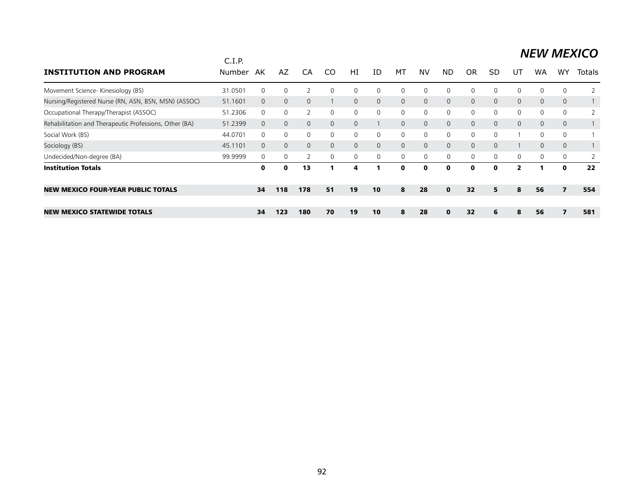| <b>INSTITUTION AND PROGRAM</b>                         | C.I.P.<br>Number | AK       | AZ.          | CA            | .CO          | HI             | ID           | МT             | NV       | <b>ND</b>    | 0R             | <b>SD</b>    | UT             | WA           | WY             | Totals |
|--------------------------------------------------------|------------------|----------|--------------|---------------|--------------|----------------|--------------|----------------|----------|--------------|----------------|--------------|----------------|--------------|----------------|--------|
| Movement Science- Kinesiology (BS)                     | 31.0501          | $\Omega$ | 0            |               |              | 0              | $\Omega$     | $\Omega$       |          | $\Omega$     | $\Omega$       |              | 0              | 0            | 0              |        |
| Nursing/Registered Nurse (RN, ASN, BSN, MSN) (ASSOC)   | 51.1601          | $\Omega$ | $\mathbf{0}$ | $\mathbf{0}$  |              | $\overline{0}$ | $\Omega$     | $\overline{0}$ | $\Omega$ | $\mathbf{0}$ | $\overline{0}$ | $\mathbf{0}$ | $\overline{0}$ | $\mathbf{0}$ | $\overline{0}$ |        |
| Occupational Therapy/Therapist (ASSOC)                 | 51.2306          | $\Omega$ | $\Omega$     | $\mathcal{P}$ | $\Omega$     | 0              | $\Omega$     | $\mathbf{0}$   | $\Omega$ | $\Omega$     | $\mathbf{0}$   |              | $\Omega$       | 0            | $\Omega$       | 2      |
| Rehabilitation and Therapeutic Professions, Other (BA) | 51.2399          | $\Omega$ | $\Omega$     | $\Omega$      | $\Omega$     | 0              |              | $\Omega$       | $\Omega$ | $\mathbf{0}$ | $\Omega$       | $\mathbf{0}$ | $\Omega$       | $\Omega$     | $\mathbf{0}$   |        |
| Social Work (BS)                                       | 44.0701          | $\Omega$ | $\mathbf{0}$ | $\Omega$      | $\Omega$     | 0              | $\Omega$     | $\mathbf{0}$   | $\Omega$ | $\mathbf 0$  | $\mathbf{0}$   | $\Omega$     |                | 0            | 0              |        |
| Sociology (BS)                                         | 45.1101          | $\Omega$ | $\mathbf{0}$ | $\Omega$      | $\Omega$     | $\overline{0}$ | $\Omega$     | $\mathbf{0}$   | $\Omega$ | $\mathbf{0}$ | $\mathbf 0$    | $\Omega$     |                | 0            | $\mathbf{0}$   |        |
| Undecided/Non-degree (BA)                              | 99.9999          | 0        | 0            |               | $\mathbf{0}$ | 0              | $\mathbf{0}$ | 0              | 0        | $\mathbf 0$  | 0              | $\Omega$     | 0              | 0            | 0              |        |
| <b>Institution Totals</b>                              |                  | 0        | 0            | 13            |              | 4              |              | $\mathbf{0}$   | ŋ        | 0            | $\mathbf{o}$   | $\mathbf{o}$ | $\overline{2}$ |              | 0              | 22     |
| <b>NEW MEXICO FOUR-YEAR PUBLIC TOTALS</b>              |                  | 34       | 118          | 178           | 51           | 19             | 10           | 8              | 28       | $\mathbf{0}$ | 32             | 5.           | 8              | 56           | 7              | 554    |
| <b>NEW MEXICO STATEWIDE TOTALS</b>                     |                  | 34       | 123          | 180           | 70           | 19             | 10           | 8              | 28       | $\bf{0}$     | 32             | 6            | 8              | 56           | 7              | 581    |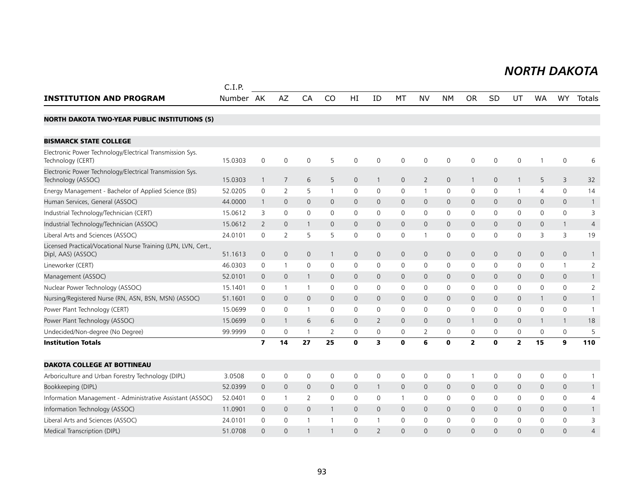#### *NORTH DAKOTA NORTH DAKOTA*

|                                                                                      | C.I.P.    |                         |                     |                     |              |              |                |                     |                |              |                |              |              |              |                     |                |
|--------------------------------------------------------------------------------------|-----------|-------------------------|---------------------|---------------------|--------------|--------------|----------------|---------------------|----------------|--------------|----------------|--------------|--------------|--------------|---------------------|----------------|
| <b>INSTITUTION AND PROGRAM</b>                                                       | Number AK |                         | AZ                  | CA                  | CO           | HI           | ID             | MT                  | <b>NV</b>      | <b>NM</b>    | <b>OR</b>      | <b>SD</b>    | UT           | <b>WA</b>    | <b>WY</b>           | Totals         |
| <b>NORTH DAKOTA TWO-YEAR PUBLIC INSTITUTIONS (5)</b>                                 |           |                         |                     |                     |              |              |                |                     |                |              |                |              |              |              |                     |                |
| <b>BISMARCK STATE COLLEGE</b>                                                        |           |                         |                     |                     |              |              |                |                     |                |              |                |              |              |              |                     |                |
| Electronic Power Technology/Electrical Transmission Sys.<br>Technology (CERT)        | 15.0303   | $\mathbf 0$             | $\mathbf 0$         | $\mathbf 0$         | 5            | 0            | $\mathbf 0$    | 0                   | $\mathbf 0$    | $\mathbf 0$  | $\mathbf 0$    | $\mathbf 0$  | $\mathsf{O}$ |              | $\mathbf 0$         | 6              |
| Electronic Power Technology/Electrical Transmission Sys.<br>Technology (ASSOC)       | 15.0303   | 1                       | $\overline{7}$      | 6                   | 5            | 0            | $\mathbf{1}$   | $\mathsf{O}\xspace$ | $\overline{2}$ | $\mathsf{O}$ | $\mathbf{1}$   | $\mathbf 0$  | $\mathbf{1}$ | 5            | 3                   | 32             |
| Energy Management - Bachelor of Applied Science (BS)                                 | 52.0205   | $\mathbf{0}$            | 2                   | 5                   | $\mathbf{1}$ | 0            | $\mathbf{0}$   | 0                   | $\mathbf{1}$   | 0            | $\mathbf 0$    | 0            | $\mathbf{1}$ | 4            | $\mathbf 0$         | 14             |
| Human Services, General (ASSOC)                                                      | 44.0000   | 1                       | $\mathbf 0$         | $\mathbf 0$         | 0            | 0            | 0              | 0                   | $\mathbf 0$    | $\mathbf 0$  | $\mathbf 0$    | $\mathbf{0}$ | $\mathsf{O}$ | 0            | $\mathbf 0$         | $\mathbf{1}$   |
| Industrial Technology/Technician (CERT)                                              | 15.0612   | 3                       | $\mathbf 0$         | $\mathbf 0$         | $\Omega$     | 0            | 0              | 0                   | $\mathbf 0$    | $\mathbf 0$  | 0              | 0            | 0            | 0            | $\mathbf 0$         | 3              |
| Industrial Technology/Technician (ASSOC)                                             | 15.0612   | 2                       | $\mathbf 0$         | $\overline{1}$      | $\mathbf 0$  | 0            | 0              | 0                   | $\mathbf{0}$   | $\mathbf 0$  | $\mathbf 0$    | $\mathbf{0}$ | $\mathsf{O}$ | 0            | $\mathbf{1}$        | $\overline{4}$ |
| Liberal Arts and Sciences (ASSOC)                                                    | 24.0101   | 0                       | 2                   | 5                   | 5            | 0            | 0              | 0                   | $\mathbf{1}$   | 0            | 0              | 0            | 0            | 3            | 3                   | 19             |
| Licensed Practical/Vocational Nurse Training (LPN, LVN, Cert.,<br>Dipl, AAS) (ASSOC) | 51.1613   | $\mathbf 0$             | $\mathbf 0$         | $\mathbf 0$         | $\mathbf{1}$ | 0            | $\mathbf{0}$   | $\mathbf 0$         | $\mathbf 0$    | $\mathbf 0$  | $\mathbf 0$    | 0            | $\mathsf{O}$ | 0            | $\mathsf{O}\xspace$ | $\mathbf{1}$   |
| Lineworker (CERT)                                                                    | 46.0303   | 0                       | $\mathbf{1}$        | $\mathbf 0$         | 0            | 0            | 0              | 0                   | 0              | 0            | 0              | 0            | 0            | 0            | $\mathbf{1}$        | 2              |
| Management (ASSOC)                                                                   | 52.0101   | $\mathbf 0$             | $\mathbf 0$         | $\overline{1}$      | $\mathbf{0}$ | $\mathsf{O}$ | $\Omega$       | $\mathbf{0}$        | $\mathbf{0}$   | $\mathbf 0$  | $\mathbf 0$    | $\Omega$     | $\mathbf{0}$ | 0            | $\mathbf{0}$        | $\mathbf{1}$   |
| Nuclear Power Technology (ASSOC)                                                     | 15.1401   | 0                       | $\mathbf{1}$        | $\overline{1}$      | 0            | 0            | 0              | 0                   | $\mathbf 0$    | $\mathbf 0$  | 0              | 0            | $\mathbf 0$  | 0            | $\mathbf 0$         | $\overline{2}$ |
| Nursing/Registered Nurse (RN, ASN, BSN, MSN) (ASSOC)                                 | 51.1601   | $\mathbf 0$             | $\mathbf 0$         | $\mathbf{0}$        | $\mathbf{0}$ | $\mathsf{O}$ | $\Omega$       | $\mathbf{0}$        | $\mathbf{0}$   | $\mathbf 0$  | $\mathbf{0}$   | $\Omega$     | $\mathbf{0}$ | $\mathbf{1}$ | $\mathbf{0}$        | $\mathbf{1}$   |
| Power Plant Technology (CERT)                                                        | 15.0699   | 0                       | 0                   | $\overline{1}$      | 0            | 0            | 0              | 0                   | 0              | $\mathbf 0$  | $\mathbf 0$    | 0            | 0            | 0            | 0                   | $\overline{1}$ |
| Power Plant Technology (ASSOC)                                                       | 15.0699   | $\mathbf 0$             | $\mathbf{1}$        | 6                   | 6            | 0            | 2              | $\mathbf{0}$        | $\mathbf{0}$   | $\mathbf 0$  | 1              | $\mathbf{0}$ | 0            | $\mathbf{1}$ | $\mathbf{1}$        | 18             |
| Undecided/Non-degree (No Degree)                                                     | 99.9999   | 0                       | 0                   | -1                  | 2            | 0            | 0              | 0                   | 2              | $\mathbf 0$  | 0              | 0            | $\mathbf 0$  | 0            | 0                   | 5              |
| <b>Institution Totals</b>                                                            |           | $\overline{\mathbf{z}}$ | 14                  | 27                  | 25           | 0            | 3              | $\mathbf{0}$        | 6              | $\mathbf 0$  | $\overline{2}$ | $\mathbf 0$  | $\mathbf{2}$ | 15           | 9                   | 110            |
| <b>DAKOTA COLLEGE AT BOTTINEAU</b>                                                   |           |                         |                     |                     |              |              |                |                     |                |              |                |              |              |              |                     |                |
| Arboriculture and Urban Forestry Technology (DIPL)                                   | 3.0508    | 0                       | 0                   | 0                   | $\mathbf 0$  | 0            | 0              | 0                   | 0              | $\mathbf 0$  | $\mathbf{1}$   | 0            | 0            | 0            | $\mathbf 0$         | $\overline{1}$ |
| Bookkeeping (DIPL)                                                                   | 52.0399   | $\mathbf 0$             | $\mathbf{0}$        | $\mathbf{0}$        | $\mathbf{0}$ | 0            | $\mathbf{1}$   | $\mathsf{O}$        | $\mathsf{O}$   | $\mathbf 0$  | $\mathbf{0}$   | $\mathbf{0}$ | 0            | 0            | $\mathbf 0$         | $\mathbf{1}$   |
| Information Management - Administrative Assistant (ASSOC)                            | 52.0401   | 0                       | $\mathbf{1}$        | 2                   | 0            | 0            | $\mathbf{0}$   | $\mathbf{1}$        | $\mathbf{0}$   | 0            | 0              | 0            | $\Omega$     | 0            | $\mathbf{0}$        | 4              |
| Information Technology (ASSOC)                                                       | 11.0901   | $\mathbf 0$             | $\mathsf{O}\xspace$ | $\mathsf{O}\xspace$ |              | 0            | $\mathbf{0}$   | $\mathsf{O}$        | $\mathbf 0$    | $\mathbf 0$  | $\mathbf{0}$   | $\mathbf{0}$ | $\mathsf{O}$ | 0            | $\mathsf{O}$        | $\mathbf{1}$   |
| Liberal Arts and Sciences (ASSOC)                                                    | 24.0101   | $\Omega$                | $\Omega$            |                     |              | 0            |                | 0                   | $\mathbf{0}$   | $\mathbf{0}$ | $\Omega$       | $\Omega$     | $\Omega$     | 0            | $\Omega$            | 3              |
| Medical Transcription (DIPL)                                                         | 51.0708   | $\Omega$                | $\Omega$            |                     |              | $\Omega$     | $\overline{2}$ | $\Omega$            | $\Omega$       | $\Omega$     | $\Omega$       | $\Omega$     | 0            | $\Omega$     | $\Omega$            | 4              |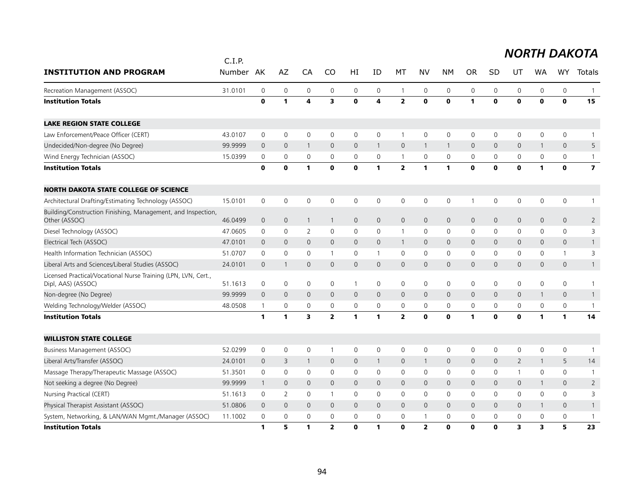|                                                                                      | C.I.P.  |              |                     |                     |                |              |              |                     |                     |                |              |              |                |              |                     |                         |
|--------------------------------------------------------------------------------------|---------|--------------|---------------------|---------------------|----------------|--------------|--------------|---------------------|---------------------|----------------|--------------|--------------|----------------|--------------|---------------------|-------------------------|
| <b>INSTITUTION AND PROGRAM</b>                                                       | Number  | AK           | AZ                  | CA                  | CO             | HI           | ID           | МT                  | NV                  | NΜ             | <b>OR</b>    | SD           | UT             | WA           | WY                  | <b>Totals</b>           |
| Recreation Management (ASSOC)                                                        | 31.0101 | $\mathbf 0$  | $\mathsf{O}\xspace$ | $\mathsf{O}\xspace$ | 0              | 0            | 0            | $\mathbf{1}$        | $\mathsf{O}\xspace$ | $\mathsf{O}$   | $\mathbf 0$  | 0            | $\mathsf{O}$   | 0            | 0                   |                         |
| <b>Institution Totals</b>                                                            |         | $\mathbf 0$  | $\mathbf{1}$        | 4                   | 3              | $\mathbf{o}$ | 4            | $\mathbf{2}$        | $\mathbf{0}$        | $\mathbf{0}$   | $\mathbf{1}$ | $\mathbf{0}$ | $\mathbf{0}$   | $\mathbf{0}$ | $\mathbf o$         | 15                      |
| <b>LAKE REGION STATE COLLEGE</b>                                                     |         |              |                     |                     |                |              |              |                     |                     |                |              |              |                |              |                     |                         |
| Law Enforcement/Peace Officer (CERT)                                                 | 43.0107 | $\mathsf 0$  | $\mathbf 0$         | $\mathsf 0$         | 0              | 0            | $\mathbf 0$  | $\mathbf{1}$        | $\mathbf 0$         | $\mathsf{O}$   | $\mathbf 0$  | 0            | $\mathsf{O}$   | 0            | 0                   |                         |
| Undecided/Non-degree (No Degree)                                                     | 99.9999 | $\mathbf 0$  | $\mathbf{0}$        | $\overline{1}$      | $\mathbf{0}$   | 0            | $\mathbf{1}$ | $\mathbf{0}$        | $\mathbf{1}$        | $\overline{1}$ | $\mathbf{0}$ | $\mathbf 0$  | $\mathbf{0}$   | 1            | $\mathsf{O}\xspace$ | 5                       |
| Wind Energy Technician (ASSOC)                                                       | 15.0399 | 0            | $\mathbf 0$         | 0                   | 0              | 0            | 0            | $\mathbf{1}$        | $\mathbf 0$         | 0              | 0            | 0            | 0              | 0            | 0                   |                         |
| <b>Institution Totals</b>                                                            |         | $\mathbf 0$  | $\mathbf 0$         | 1                   | $\mathbf o$    | $\mathbf 0$  | 1            | $\overline{2}$      | $\mathbf{1}$        | $\mathbf{1}$   | $\mathbf 0$  | $\mathbf 0$  | $\mathbf 0$    | 1            | $\mathbf 0$         | $\overline{\mathbf{z}}$ |
| <b>NORTH DAKOTA STATE COLLEGE OF SCIENCE</b>                                         |         |              |                     |                     |                |              |              |                     |                     |                |              |              |                |              |                     |                         |
| Architectural Drafting/Estimating Technology (ASSOC)                                 | 15.0101 | 0            | $\mathbf 0$         | 0                   | 0              | 0            | 0            | $\mathsf{O}\xspace$ | $\mathbf 0$         | $\mathsf{O}$   |              | 0            | $\mathsf{O}$   | 0            | 0                   |                         |
| Building/Construction Finishing, Management, and Inspection,<br>Other (ASSOC)        | 46.0499 | $\mathbf 0$  | $\mathbf 0$         | $\overline{1}$      | $\mathbf{1}$   | 0            | $\mathbf 0$  | $\mathbf 0$         | $\mathsf{O}$        | $\mathbf 0$    | $\mathbf 0$  | $\mathbf 0$  | $\mathsf{O}$   | 0            | 0                   | $\overline{2}$          |
| Diesel Technology (ASSOC)                                                            | 47.0605 | 0            | $\mathbf 0$         | $\overline{2}$      | 0              | 0            | 0            | $\mathbf{1}$        | 0                   | $\mathbf 0$    | $\mathbf 0$  | 0            | 0              | 0            | 0                   | 3                       |
| Electrical Tech (ASSOC)                                                              | 47.0101 | $\mathbf 0$  | $\mathbf 0$         | $\mathbf 0$         | $\mathbf 0$    | 0            | $\mathbf 0$  | $\mathbf{1}$        | $\mathsf{O}$        | $\mathbf 0$    | $\mathbf 0$  | 0            | $\mathsf{O}$   | 0            | $\mathsf{O}\xspace$ |                         |
| Health Information Technician (ASSOC)                                                | 51.0707 | 0            | $\mathbf 0$         | $\mathbf 0$         | $\mathbf{1}$   | 0            | $\mathbf{1}$ | 0                   | $\mathsf{O}$        | 0              | $\mathbf 0$  | $\mathbf{0}$ | 0              | 0            | $\mathbf{1}$        | 3                       |
| Liberal Arts and Sciences/Liberal Studies (ASSOC)                                    | 24.0101 | $\mathbf{0}$ | $\mathbf{1}$        | $\mathbf{0}$        | $\mathbf{0}$   | 0            | $\mathbf{0}$ | $\mathbf{0}$        | $\mathbf{0}$        | $\mathbf{0}$   | $\mathbf{0}$ | 0            | $\mathsf{O}$   | $\mathbf 0$  | 0                   |                         |
| Licensed Practical/Vocational Nurse Training (LPN, LVN, Cert.,<br>Dipl, AAS) (ASSOC) | 51.1613 | 0            | $\mathbf 0$         | $\mathbf 0$         | 0              | $\mathbf{1}$ | 0            | $\mathbf 0$         | 0                   | $\mathsf{O}$   | $\mathbf 0$  | $\mathbf 0$  | $\mathbf 0$    | 0            | 0                   |                         |
| Non-degree (No Degree)                                                               | 99.9999 | $\mathbf{0}$ | $\mathbf{0}$        | $\mathbf{0}$        | $\mathbf 0$    | $\mathsf{O}$ | $\mathbf{0}$ | $\mathbf{0}$        | $\mathbf{0}$        | $\mathbf{0}$   | $\mathbf 0$  | $\mathbf{0}$ | $\mathsf{O}$   | $\mathbf{1}$ | 0                   | $\mathbf{1}$            |
| Welding Technology/Welder (ASSOC)                                                    | 48.0508 | $\mathbf{1}$ | 0                   | $\mathbf 0$         | 0              | 0            | 0            | 0                   | 0                   | 0              | 0            | 0            | $\mathsf{O}$   | 0            | 0                   |                         |
| <b>Institution Totals</b>                                                            |         | 1            | $\mathbf{1}$        | 3                   | $\overline{2}$ | $\mathbf{1}$ | 1            | $\overline{2}$      | $\mathbf 0$         | $\mathbf 0$    | 1            | $\mathbf 0$  | $\mathbf 0$    | 1            | $\mathbf{1}$        | 14                      |
| <b>WILLISTON STATE COLLEGE</b>                                                       |         |              |                     |                     |                |              |              |                     |                     |                |              |              |                |              |                     |                         |
| Business Management (ASSOC)                                                          | 52.0299 | $\mathsf 0$  | $\mathsf{O}\xspace$ | $\mathbf 0$         | $\mathbf{1}$   | 0            | $\mathbf 0$  | 0                   | $\mathbf 0$         | $\mathsf{O}$   | $\mathbf 0$  | $\mathbf 0$  | $\mathsf{O}$   | 0            | 0                   |                         |
| Liberal Arts/Transfer (ASSOC)                                                        | 24.0101 | $\mathbf 0$  | 3                   | $\overline{1}$      | $\mathbf{0}$   | $\mathsf{O}$ | $\mathbf{1}$ | $\mathbf 0$         | 1                   | $\mathbf 0$    | $\mathbf 0$  | $\mathbf{0}$ | $\overline{2}$ | 1            | 5                   | 14                      |
| Massage Therapy/Therapeutic Massage (ASSOC)                                          | 51.3501 | 0            | $\mathbf 0$         | $\mathbf 0$         | 0              | 0            | 0            | 0                   | 0                   | 0              | $\mathbf 0$  | 0            | $\mathbf{1}$   | 0            | 0                   | -1                      |
| Not seeking a degree (No Degree)                                                     | 99.9999 | 1            | $\mathbf 0$         | $\mathbf{0}$        | $\mathbf{0}$   | 0            | $\mathbf{0}$ | $\mathbf 0$         | $\mathsf{O}$        | $\mathbf 0$    | $\mathbf 0$  | $\mathbf{0}$ | $\mathsf{O}$   | $\mathbf{1}$ | 0                   | $\overline{2}$          |
| Nursing Practical (CERT)                                                             | 51.1613 | 0            | 2                   | $\mathbf 0$         | $\mathbf{1}$   | 0            | $\mathbf{0}$ | 0                   | $\mathbf 0$         | 0              | 0            | 0            | $\mathbf 0$    | 0            | 0                   | 3                       |
| Physical Therapist Assistant (ASSOC)                                                 | 51.0806 | $\mathbf 0$  | $\overline{0}$      | $\mathbf{0}$        | $\mathbf{0}$   | $\mathsf{O}$ | $\mathbf{0}$ | $\mathbf{0}$        | $\mathbf{0}$        | $\mathbf{0}$   | $\mathbf{0}$ | $\mathbf{0}$ | $\mathbf{0}$   | 1            | $\mathbf{0}$        |                         |
| System, Networking, & LAN/WAN Mgmt./Manager (ASSOC)                                  | 11.1002 | 0            | 0                   | $\mathbf 0$         | 0              | 0            | 0            | 0                   |                     | $\mathbf 0$    | 0            | 0            | 0              | 0            | 0                   |                         |
| <b>Institution Totals</b>                                                            |         | 1            | 5                   | 1                   | $\overline{2}$ | $\mathbf{0}$ | 1            | $\Omega$            | $\overline{2}$      | $\Omega$       | $\Omega$     | $\Omega$     | 3              | 3            | 5                   | 23                      |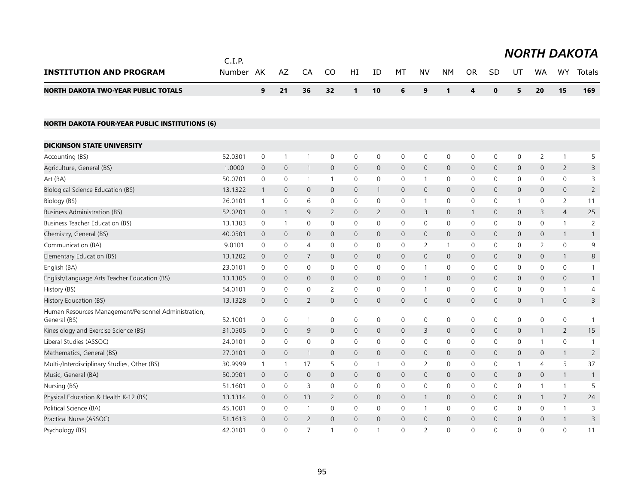|                                                                      | C.I.P.  |                |              |                |                |                |                |                     |                     |                |                |                |                |                |                     | <b>NORTH DAKOTA</b> |
|----------------------------------------------------------------------|---------|----------------|--------------|----------------|----------------|----------------|----------------|---------------------|---------------------|----------------|----------------|----------------|----------------|----------------|---------------------|---------------------|
| <b>INSTITUTION AND PROGRAM</b>                                       | Number  | AK             | AZ           | CA             | <b>CO</b>      | HI             | ID             | MT                  | <b>NV</b>           | <b>NM</b>      | <b>OR</b>      | <b>SD</b>      | UT             | <b>WA</b>      | WY                  | Totals              |
| <b>NORTH DAKOTA TWO-YEAR PUBLIC TOTALS</b>                           |         | 9              | 21           | 36             | 32             | $\mathbf{1}$   | 10             | 6                   | 9                   | $\mathbf{1}$   | 4              | $\mathbf 0$    | 5              | 20             | 15                  | 169                 |
| <b>NORTH DAKOTA FOUR-YEAR PUBLIC INSTITUTIONS (6)</b>                |         |                |              |                |                |                |                |                     |                     |                |                |                |                |                |                     |                     |
| <b>DICKINSON STATE UNIVERSITY</b>                                    |         |                |              |                |                |                |                |                     |                     |                |                |                |                |                |                     |                     |
| Accounting (BS)                                                      | 52.0301 | 0              | $\mathbf{1}$ | $\mathbf{1}$   | 0              | $\mathbf 0$    | 0              | 0                   | $\mathsf{O}\xspace$ | $\mathbf 0$    | 0              | 0              | $\mathbf 0$    | $\overline{2}$ | $\mathbf{1}$        | 5                   |
| Agriculture, General (BS)                                            | 1.0000  | $\mathsf{O}$   | $\mathbf 0$  | $\mathbf{1}$   | $\mathbf{0}$   | $\mathsf{O}$   | 0              | 0                   | $\mathbf{0}$        | $\mathsf{O}$   | $\overline{0}$ | $\mathbf{0}$   | $\mathbf{0}$   | $\mathbf{0}$   | $\overline{2}$      | 3                   |
| Art (BA)                                                             | 50.0701 | 0              | 0            | $\mathbf{1}$   | $\mathbf{1}$   | 0              | 0              | 0                   | $\mathbf{1}$        | 0              | 0              | 0              | $\mathbf 0$    | 0              | 0                   | 3                   |
| Biological Science Education (BS)                                    | 13.1322 | $\mathbf{1}$   | $\mathbf 0$  | $\overline{0}$ | $\mathbf{0}$   | $\mathbf{0}$   | $\mathbf{1}$   | $\mathbf{0}$        | $\mathbf{0}$        | $\overline{0}$ | $\overline{0}$ | $\overline{0}$ | $\mathbf{0}$   | $\overline{0}$ | $\mathbf{0}$        | 2                   |
| Biology (BS)                                                         | 26.0101 | $\overline{1}$ | 0            | 6              | 0              | 0              | 0              | 0                   | $\mathbf 1$         | 0              | $\mathbf 0$    | $\mathbf 0$    | $\mathbf{1}$   | $\mathbf 0$    | $\overline{2}$      | 11                  |
| Business Administration (BS)                                         | 52.0201 | $\mathsf{O}$   | $\mathbf{1}$ | 9              | $\overline{2}$ | $\mathsf{O}$   | $\overline{2}$ | $\mathbf{0}$        | 3                   | $\overline{0}$ | $\overline{1}$ | $\overline{0}$ | $\overline{0}$ | 3              | $\overline{4}$      | 25                  |
| Business Teacher Education (BS)                                      | 13.1303 | 0              | $\mathbf{1}$ | $\mathbf 0$    | $\mathbf 0$    | $\mathbf 0$    | 0              | 0                   | $\mathbf 0$         | 0              | $\mathbf 0$    | $\mathbf 0$    | $\mathbf 0$    | $\mathbf 0$    | $\mathbf{1}$        | $\overline{2}$      |
| Chemistry, General (BS)                                              | 40.0501 | $\mathbf{0}$   | $\mathbf{0}$ | $\Omega$       | $\Omega$       | $\mathbf{0}$   | $\overline{0}$ | $\mathbf{0}$        | $\Omega$            | $\overline{0}$ | $\overline{0}$ | $\mathbf{0}$   | $\overline{0}$ | $\mathbf{0}$   | $\mathbf{1}$        | $\mathbf{1}$        |
| Communication (BA)                                                   | 9.0101  | 0              | 0            | 4              | 0              | 0              | 0              | 0                   | $\overline{2}$      | 1              | 0              | $\Omega$       | $\mathbf{0}$   | 2              | $\mathsf{O}\xspace$ | 9                   |
| Elementary Education (BS)                                            | 13.1202 | 0              | $\mathbf 0$  | 7              | $\mathbf 0$    | $\mathbf 0$    | 0              | $\mathbf 0$         | $\mathbf{0}$        | $\mathsf{O}$   | $\overline{0}$ | $\mathbf{0}$   | $\mathsf{O}$   | $\mathbf 0$    | $\mathbf{1}$        | 8                   |
| English (BA)                                                         | 23.0101 | 0              | 0            | $\mathbf 0$    | 0              | 0              | 0              | 0                   | $\mathbf{1}$        | 0              | $\mathbf 0$    | $\mathbf 0$    | 0              | $\mathbf 0$    | 0                   | $\mathbf{1}$        |
| English/Language Arts Teacher Education (BS)                         | 13.1305 | $\mathbf 0$    | $\mathbf 0$  | $\overline{0}$ | $\mathbf{0}$   | $\mathsf{O}$   | 0              | 0                   | $\mathbf 1$         | $\mathsf{O}$   | $\mathbf 0$    | $\overline{0}$ | $\mathbf{0}$   | $\mathbf{0}$   | $\mathsf{O}\xspace$ | $\mathbf{1}$        |
| History (BS)                                                         | 54.0101 | 0              | 0            | $\mathbf 0$    | 2              | 0              | 0              | 0                   | $\mathbf{1}$        | 0              | 0              | $\mathbf 0$    | $\mathbf 0$    | $\mathbf 0$    | 1                   | 4                   |
| History Education (BS)                                               | 13.1328 | $\mathbf 0$    | $\mathbf 0$  | $\overline{2}$ | $\mathbf{0}$   | $\mathbf 0$    | 0              | $\mathsf{O}\xspace$ | $\mathbf{0}$        | $\mathbf{O}$   | $\mathbf 0$    | $\mathbf{0}$   | $\overline{0}$ | $\mathbf{1}$   | $\mathsf{O}$        | 3                   |
| Human Resources Management/Personnel Administration,<br>General (BS) | 52.1001 | 0              | 0            | $\mathbf{1}$   | 0              | 0              | 0              | 0                   | 0                   | 0              | 0              | $\mathbf 0$    | 0              | 0              | 0                   | $\mathbf{1}$        |
| Kinesiology and Exercise Science (BS)                                | 31.0505 | 0              | 0            | 9              | 0              | 0              | 0              | 0                   | 3                   | $\mathsf{O}$   | $\mathbf 0$    | $\overline{0}$ | $\mathsf{O}$   | 1              | $\overline{2}$      | 15                  |
| Liberal Studies (ASSOC)                                              | 24.0101 | 0              | 0            | $\mathbf 0$    | 0              | 0              | 0              | 0                   | 0                   | 0              | 0              | $\mathbf 0$    | 0              | $\mathbf{1}$   | 0                   | $\overline{1}$      |
| Mathematics, General (BS)                                            | 27.0101 | 0              | $\mathbf 0$  | $\mathbf{1}$   | $\mathbf 0$    | $\mathbf 0$    | 0              | 0                   | $\mathbf 0$         | $\mathsf{O}$   | $\overline{0}$ | $\mathbf 0$    | $\mathsf{O}$   | $\mathbf 0$    | $\mathbf{1}$        | $\overline{2}$      |
| Multi-/Interdisciplinary Studies, Other (BS)                         | 30.9999 | $\mathbf{1}$   | $\mathbf{1}$ | 17             | 5              | 0              | $\mathbf{1}$   | 0                   | $\overline{2}$      | 0              | 0              | $\mathbf 0$    | 1              | $\overline{4}$ | 5                   | 37                  |
| Music, General (BA)                                                  | 50.0901 | $\mathsf{O}$   | $\mathbf 0$  | $\overline{0}$ | $\mathbf{0}$   | $\overline{0}$ | 0              | $\mathbf{0}$        | $\mathbf{0}$        | $\overline{0}$ | $\mathbf{0}$   | $\mathbf{0}$   | $\overline{0}$ | $\mathbf{0}$   | $\mathbf{1}$        | $\overline{1}$      |
| Nursing (BS)                                                         | 51.1601 | 0              | 0            | 3              | 0              | 0              | 0              | 0                   | 0                   | 0              | $\mathbf 0$    | $\mathbf 0$    | $\mathbf 0$    | 1              | $\mathbf{1}$        | 5                   |
| Physical Education & Health K-12 (BS)                                | 13.1314 | $\mathsf{O}$   | $\mathbf 0$  | 13             | $\overline{2}$ | $\mathsf{O}$   | 0              | $\mathbf{0}$        | $\mathbf{1}$        | $\overline{0}$ | $\overline{0}$ | $\overline{0}$ | $\mathbf{0}$   | $\mathbf{1}$   | $\overline{7}$      | 24                  |
| Political Science (BA)                                               | 45.1001 | 0              | 0            | $\overline{1}$ | 0              | 0              | 0              | 0                   | -1                  | 0              | 0              | $\mathbf 0$    | 0              | $\mathbf 0$    | 1                   | 3                   |
| Practical Nurse (ASSOC)                                              | 51.1613 | $\mathbf 0$    | $\Omega$     | $\overline{2}$ | $\Omega$       | $\mathbf 0$    | $\Omega$       | $\mathbf{0}$        | $\Omega$            | $\Omega$       | $\overline{0}$ | $\Omega$       | $\overline{0}$ | $\Omega$       | $\mathbf{1}$        | 3                   |
| Psychology (BS)                                                      | 42.0101 | $\Omega$       | $\Omega$     | $\overline{7}$ | 1              | $\Omega$       | $\mathbf{1}$   | $\Omega$            | $\overline{2}$      | $\Omega$       | $\Omega$       | $\Omega$       | $\Omega$       | $\Omega$       | $\Omega$            | 11                  |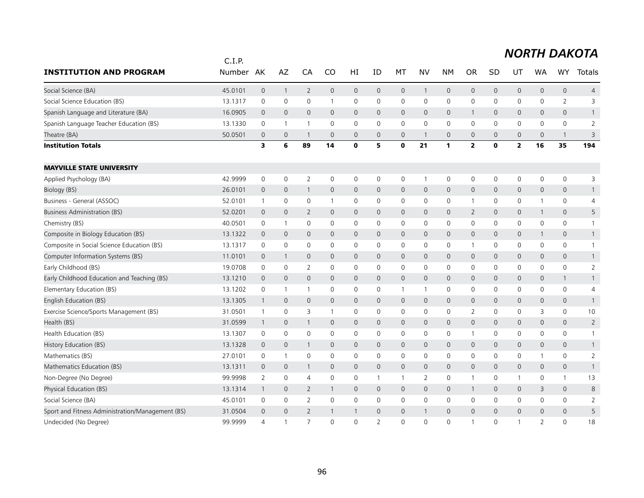|                                                  | C.I.P.  |                     |                |                |              |              |                          |              |                |                     |                |                     |                         |                          |                     |                |
|--------------------------------------------------|---------|---------------------|----------------|----------------|--------------|--------------|--------------------------|--------------|----------------|---------------------|----------------|---------------------|-------------------------|--------------------------|---------------------|----------------|
| <b>INSTITUTION AND PROGRAM</b>                   | Number  | AK                  | AZ             | CA             | CO           | HI           | ID                       | MT           | <b>NV</b>      | <b>NM</b>           | <b>OR</b>      | SD                  | UT                      | <b>WA</b>                | <b>WY</b>           | <b>Totals</b>  |
| Social Science (BA)                              | 45.0101 | $\mathbf{0}$        | $\overline{1}$ | $\overline{2}$ | $\mathsf{O}$ | $\mathbf{0}$ | $\mathbf{0}$             | $\mathbf{0}$ | $\overline{1}$ | $\mathbf{O}$        | $\mathbf 0$    | $\mathbf{0}$        | 0                       | $\mathbf{0}$             | $\mathbf{0}$        | $\overline{4}$ |
| Social Science Education (BS)                    | 13.1317 | 0                   | 0              | 0              | 1            | 0            | 0                        | 0            | 0              | 0                   | 0              | 0                   | 0                       | 0                        | $\overline{2}$      | 3              |
| Spanish Language and Literature (BA)             | 16.0905 | $\mathbf 0$         | $\mathbf{0}$   | $\mathbf{0}$   | $\mathbf{0}$ | 0            | $\mathbf 0$              | $\mathbf{0}$ | $\mathsf{O}$   | $\mathbf 0$         | $\mathbf{1}$   | 0                   | 0                       | $\mathbf{0}$             | 0                   | $\mathbf{1}$   |
| Spanish Language Teacher Education (BS)          | 13.1330 | $\mathbf 0$         | $\overline{1}$ | $\overline{1}$ | $\Omega$     | $\mathbf 0$  | $\mathbf{0}$             | $\mathbf 0$  | $\mathbf{0}$   | $\mathbf 0$         | 0              | $\Omega$            | 0                       | $\Omega$                 | $\mathbf 0$         | $\overline{2}$ |
| Theatre (BA)                                     | 50.0501 | $\mathbf 0$         | $\mathbf{0}$   | $\overline{1}$ | $\mathbf{0}$ | $\mathbf 0$  | $\mathbf{0}$             | $\mathbf{0}$ | -1             | $\mathbf 0$         | $\overline{0}$ | $\Omega$            | 0                       | $\mathbf{0}$             | $\mathbf{1}$        | 3              |
| <b>Institution Totals</b>                        |         | 3                   | 6              | 89             | 14           | $\mathbf 0$  | 5                        | $\mathbf 0$  | 21             | $\mathbf{1}$        | 2              | 0                   | $\overline{\mathbf{2}}$ | 16                       | 35                  | 194            |
| <b>MAYVILLE STATE UNIVERSITY</b>                 |         |                     |                |                |              |              |                          |              |                |                     |                |                     |                         |                          |                     |                |
| Applied Psychology (BA)                          | 42.9999 | $\mathsf 0$         | $\mathbf 0$    | $\overline{2}$ | 0            | $\mathsf 0$  | 0                        | 0            | $\mathbf{1}$   | 0                   | 0              | $\mathsf{O}\xspace$ | 0                       | 0                        | $\mathsf{O}\xspace$ | 3              |
| Biology (BS)                                     | 26.0101 | $\mathbf 0$         | $\mathbf 0$    | $\mathbf{1}$   | $\mathbf{0}$ | $\mathbf 0$  | $\mathbf{0}$             | $\mathbf{0}$ | $\mathbf 0$    | $\mathbf 0$         | 0              | $\mathbf 0$         | $\mathbf 0$             | $\mathbf{0}$             | $\mathbf 0$         | $\mathbf{1}$   |
| Business - General (ASSOC)                       | 52.0101 | $\overline{1}$      | $\mathbf 0$    | 0              | $\mathbf{1}$ | 0            | 0                        | 0            | 0              | 0                   | $\mathbf 1$    | 0                   | 0                       | 1                        | 0                   | 4              |
| <b>Business Administration (BS)</b>              | 52.0201 | $\mathbf 0$         | $\mathbf{0}$   | $\overline{2}$ | $\mathbf{0}$ | $\mathbf 0$  | $\mathbf{0}$             | $\mathbf{0}$ | $\mathbf{0}$   | $\overline{0}$      | $\overline{2}$ | $\Omega$            | $\mathbf{0}$            | $\mathbf{1}$             | $\mathbf{0}$        | 5              |
| Chemistry (BS)                                   | 40.0501 | 0                   | $\overline{1}$ | 0              | 0            | 0            | $\mathbf 0$              | 0            | $\mathsf{O}$   | 0                   | 0              | 0                   | 0                       | $\mathbf 0$              | 0                   | $\mathbf{1}$   |
| Composite in Biology Education (BS)              | 13.1322 | $\mathbf 0$         | $\mathbf 0$    | $\mathbf{0}$   | $\mathbf{0}$ | $\mathbf 0$  | $\mathbf{0}$             | $\mathbf{0}$ | $\mathbf{0}$   | $\mathbf{0}$        | $\mathsf{O}$   | $\mathbf 0$         | $\mathbf 0$             | $\mathbf{1}$             | $\mathbf 0$         | $\mathbf{1}$   |
| Composite in Social Science Education (BS)       | 13.1317 | 0                   | 0              | 0              | 0            | 0            | 0                        | 0            | 0              | 0                   | $\mathbf 1$    | 0                   | 0                       | 0                        | 0                   | $\mathbf{1}$   |
| Computer Information Systems (BS)                | 11.0101 | $\mathbf 0$         | $\mathbf{1}$   | $\mathbf{0}$   | $\mathbf{0}$ | $\mathbf 0$  | $\mathbf{0}$             | $\mathbf{0}$ | $\mathbf{0}$   | $\overline{0}$      | $\mathsf{O}$   | $\Omega$            | $\mathbf{0}$            | $\mathbf{0}$             | $\mathbf{0}$        | $\mathbf{1}$   |
| Early Childhood (BS)                             | 19.0708 | 0                   | 0              | 2              | 0            | 0            | 0                        | 0            | 0              | 0                   | 0              | 0                   | 0                       | 0                        | 0                   | $\overline{2}$ |
| Early Childhood Education and Teaching (BS)      | 13.1210 | $\mathbf 0$         | $\mathbf{0}$   | $\mathbf{0}$   | $\mathbf{0}$ | $\mathbf 0$  | $\mathbf{0}$             | $\mathbf{0}$ | $\mathbf{0}$   | $\mathbf{0}$        | $\mathsf{O}$   | $\mathbf 0$         | $\mathbf{0}$            | $\mathbf{0}$             | $\mathbf{1}$        | $\mathbf{1}$   |
| Elementary Education (BS)                        | 13.1202 | 0                   | $\overline{1}$ | $\overline{1}$ | $\mathbf{0}$ | 0            | 0                        | $\mathbf{1}$ | $\overline{1}$ | 0                   | 0              | 0                   | 0                       | 0                        | $\mathbf 0$         | 4              |
| English Education (BS)                           | 13.1305 | $\mathbf{1}$        | $\mathbf{0}$   | $\mathbf{0}$   | $\mathbf 0$  | $\mathbf{0}$ | $\Omega$                 | $\mathbf{0}$ | $\mathbf{0}$   | $\overline{0}$      | $\mathsf{O}$   | $\Omega$            | $\mathsf{O}$            | $\Omega$                 | $\mathbf{0}$        | $\mathbf{1}$   |
| Exercise Science/Sports Management (BS)          | 31.0501 | $\mathbf{1}$        | 0              | 3              | $\mathbf{1}$ | 0            | 0                        | 0            | 0              | 0                   | $\overline{2}$ | 0                   | 0                       | 3                        | $\mathbf 0$         | 10             |
| Health (BS)                                      | 31.0599 | $\overline{1}$      | $\mathbf 0$    | $\mathbf{1}$   | $\mathbf{0}$ | $\mathbf 0$  | $\mathbf{0}$             | $\mathbf{0}$ | $\mathbf{0}$   | $\mathbf{0}$        | $\mathsf{O}$   | $\mathbf{0}$        | $\mathbf 0$             | $\mathbf{0}$             | $\mathbf{0}$        | $\overline{2}$ |
| Health Education (BS)                            | 13.1307 | 0                   | 0              | 0              | 0            | 0            | 0                        | $\mathbf 0$  | 0              | $\mathbf 0$         | $\mathbf 1$    | 0                   | 0                       | 0                        | 0                   | $\mathbf{1}$   |
| History Education (BS)                           | 13.1328 | $\mathsf{O}\xspace$ | $\mathbf 0$    | $\mathbf{1}$   | $\mathsf{O}$ | $\mathbf 0$  | $\mathbf 0$              | $\mathsf{O}$ | $\mathbf 0$    | $\mathsf{O}\xspace$ | 0              | $\mathbf{0}$        | 0                       | $\mathsf{O}\xspace$      | $\mathsf{O}$        | $\mathbf{1}$   |
| Mathematics (BS)                                 | 27.0101 | 0                   | $\overline{1}$ | 0              | 0            | 0            | 0                        | 0            | 0              | 0                   | 0              | 0                   | 0                       | 1                        | 0                   | $\overline{2}$ |
| Mathematics Education (BS)                       | 13.1311 | $\mathbf 0$         | $\mathbf 0$    | $\mathbf{1}$   | $\mathbf 0$  | $\mathbf 0$  | $\Omega$                 | $\mathbf{0}$ | $\mathbf{0}$   | $\mathbf{0}$        | $\mathsf{O}$   | $\Omega$            | $\mathbf{0}$            | $\mathbf{0}$             | $\mathbf{0}$        | $\overline{1}$ |
| Non-Degree (No Degree)                           | 99.9998 | 2                   | $\mathbf{0}$   | $\overline{4}$ | $\mathbf{0}$ | 0            | $\mathbf{1}$             | $\mathbf{1}$ | 2              | $\mathbf 0$         | $\overline{1}$ | 0                   | 1                       | 0                        | $\mathbf{1}$        | 13             |
| Physical Education (BS)                          | 13.1314 | $\overline{1}$      | $\mathbf 0$    | $\overline{2}$ | 1            | $\mathbf 0$  | $\mathbf{0}$             | $\mathsf{O}$ | $\mathsf{O}$   | $\mathbf 0$         | $\mathbf{1}$   | $\mathbf{0}$        | 0                       | 3                        | $\mathbf{0}$        | 8              |
| Social Science (BA)                              | 45.0101 | 0                   | 0              | 2              | 0            | 0            | 0                        | 0            | 0              | 0                   | 0              | 0                   | 0                       | 0                        | 0                   | 2              |
| Sport and Fitness Administration/Management (BS) | 31.0504 | $\mathbf 0$         | $\overline{0}$ | $\overline{2}$ | 1            | $\mathbf{1}$ | $\Omega$                 | $\mathbf{0}$ | $\mathbf{1}$   | $\Omega$            | $\mathsf{O}$   | $\Omega$            | $\mathbf 0$             | $\Omega$                 | $\overline{0}$      | 5              |
| Undecided (No Degree)                            | 99.9999 | $\overline{4}$      | $\overline{1}$ | $\overline{7}$ | $\Omega$     | $\Omega$     | $\overline{\phantom{0}}$ | $\Omega$     | $\Omega$       | $\Omega$            | $\mathbf 1$    | $\Omega$            | 1                       | $\overline{\phantom{0}}$ | $\Omega$            | 18             |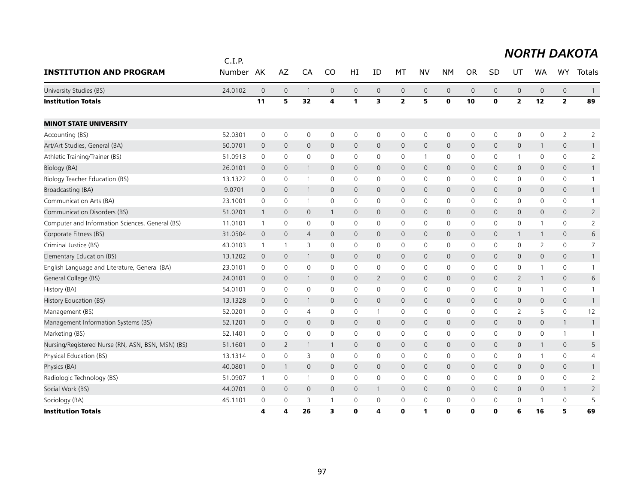|                                                   | C.I.P.  |                |                |                |                     |    |                     |                     |              |              |              |                     |                     |                     |                     | <b>NORTH DAKOTA</b> |
|---------------------------------------------------|---------|----------------|----------------|----------------|---------------------|----|---------------------|---------------------|--------------|--------------|--------------|---------------------|---------------------|---------------------|---------------------|---------------------|
| <b>INSTITUTION AND PROGRAM</b>                    | Number  | AK             | AZ             | CA             | CO                  | HI | ID                  | MT                  | <b>NV</b>    | <b>NM</b>    | <b>OR</b>    | <b>SD</b>           | UT                  | <b>WA</b>           | <b>WY</b>           | <b>Totals</b>       |
| University Studies (BS)                           | 24.0102 | $\overline{0}$ | $\mathbf 0$    | $\overline{1}$ | $\mathbf 0$         | 0  | $\mathsf{O}\xspace$ | $\mathbf 0$         | $\mathsf{O}$ | $\mathbf 0$  | $\mathbf 0$  | $\mathsf{O}\xspace$ | $\mathsf{O}\xspace$ | $\mathsf{O}\xspace$ | $\mathsf{O}\xspace$ | $\mathbf{1}$        |
| <b>Institution Totals</b>                         |         | 11             | 5              | 32             | 4                   | 1  | 3                   | $\overline{2}$      | 5            | $\mathbf 0$  | 10           | $\mathbf 0$         | $\overline{2}$      | 12                  | $\overline{2}$      | 89                  |
| <b>MINOT STATE UNIVERSITY</b>                     |         |                |                |                |                     |    |                     |                     |              |              |              |                     |                     |                     |                     |                     |
| Accounting (BS)                                   | 52.0301 | $\mathbf 0$    | $\mathbf 0$    | $\mathbf 0$    | $\mathbf 0$         | 0  | 0                   | 0                   | $\mathbf 0$  | $\mathbf 0$  | $\mathbf 0$  | $\mathbf 0$         | $\mathbf 0$         | $\mathbf 0$         | $\overline{2}$      | $\overline{2}$      |
| Art/Art Studies, General (BA)                     | 50.0701 | 0              | $\overline{0}$ | $\overline{0}$ | $\mathbf 0$         | 0  | 0                   | $\mathbf 0$         | $\mathbf 0$  | $\mathbf 0$  | 0            | 0                   | 0                   | 1                   | $\mathbf 0$         | $\mathbf{1}$        |
| Athletic Training/Trainer (BS)                    | 51.0913 | 0              | $\mathbf 0$    | $\mathbf 0$    | $\mathbf 0$         | 0  | $\mathbf 0$         | $\mathbf 0$         | $\mathbf{1}$ | $\mathbf 0$  | $\mathbf 0$  | 0                   | $\mathbf{1}$        | $\mathbf 0$         | 0                   | $\overline{2}$      |
| Biology (BA)                                      | 26.0101 | $\mathbf 0$    | $\mathbf 0$    | $\overline{1}$ | $\mathbf{0}$        | 0  | $\mathbf{0}$        | $\mathbf{0}$        | $\mathbf{0}$ | $\mathbf 0$  | $\mathbf{0}$ | $\mathbf{0}$        | $\mathsf{O}$        | $\mathbf{0}$        | $\mathsf{O}$        | $\mathbf{1}$        |
| <b>Biology Teacher Education (BS)</b>             | 13.1322 | $\mathbf 0$    | $\mathbf 0$    | $\overline{1}$ | 0                   | 0  | 0                   | $\mathbf 0$         | $\mathbf 0$  | $\mathbf 0$  | $\mathbf 0$  | $\mathbf{0}$        | $\mathsf{O}$        | $\Omega$            | 0                   | $\mathbf{1}$        |
| Broadcasting (BA)                                 | 9.0701  | 0              | $\mathbf 0$    | $\overline{1}$ | $\mathbf 0$         | 0  | 0                   | 0                   | $\mathsf{O}$ | $\mathbf 0$  | 0            | $\mathbf 0$         | 0                   | 0                   | 0                   | $\mathbf{1}$        |
| Communication Arts (BA)                           | 23.1001 | $\mathbf 0$    | $\mathbf 0$    | $\mathbf{1}$   | $\mathbf 0$         | 0  | 0                   | $\mathbf 0$         | $\mathbf 0$  | $\mathbf 0$  | $\mathbf 0$  | 0                   | $\mathsf{O}$        | $\mathbf 0$         | 0                   | $\mathbf{1}$        |
| Communication Disorders (BS)                      | 51.0201 | 1              | $\mathbf 0$    | $\mathbf 0$    | $\mathbf{1}$        | 0  | 0                   | $\mathbf 0$         | $\mathbf{0}$ | $\mathbf 0$  | $\mathbf{0}$ | $\mathbf{0}$        | 0                   | $\mathbf{0}$        | $\mathsf{O}$        | $\overline{2}$      |
| Computer and Information Sciences, General (BS)   | 11.0101 | $\mathbf{1}$   | $\mathbf 0$    | $\mathbf 0$    | 0                   | 0  | 0                   | $\mathbf 0$         | $\mathbf 0$  | $\mathbf 0$  | $\mathbf 0$  | 0                   | $\mathsf{O}$        | 1                   | 0                   | $\overline{2}$      |
| Corporate Fitness (BS)                            | 31.0504 | 0              | $\mathbf 0$    | $\overline{4}$ | 0                   | 0  | 0                   | 0                   | $\mathsf{O}$ | $\mathbf 0$  | 0            | 0                   | $\mathbf{1}$        | $\mathbf{1}$        | $\mathbf 0$         | 6                   |
| Criminal Justice (BS)                             | 43.0103 | $\mathbf{1}$   | $\mathbf{1}$   | 3              | $\mathbf 0$         | 0  | $\mathbf 0$         | $\mathbf 0$         | $\mathbf 0$  | $\mathbf 0$  | 0            | 0                   | 0                   | $\overline{2}$      | 0                   | $\overline{7}$      |
| Elementary Education (BS)                         | 13.1202 | $\mathbf{0}$   | $\mathbf 0$    | $\overline{1}$ | $\mathbf{0}$        | 0  | $\mathbf{0}$        | $\mathbf 0$         | $\mathsf{O}$ | $\mathbf 0$  | $\mathbf{0}$ | $\mathbf{0}$        | $\mathsf{O}\xspace$ | $\mathbf 0$         | $\mathsf{O}$        | $\mathbf{1}$        |
| English Language and Literature, General (BA)     | 23.0101 | 0              | $\mathbf 0$    | $\mathbf 0$    | 0                   | 0  | 0                   | $\mathbf 0$         | $\mathbf 0$  | $\mathbf 0$  | $\mathbf 0$  | $\mathbf{0}$        | $\mathsf{O}$        | 1                   | 0                   | $\mathbf{1}$        |
| General College (BS)                              | 24.0101 | $\mathbf 0$    | $\mathbf 0$    | $\overline{1}$ | $\mathbf{0}$        | 0  | 2                   | $\mathsf{O}\xspace$ | $\mathsf{O}$ | $\mathbf 0$  | 0            | 0                   | $\overline{2}$      | 1                   | $\mathsf{O}\xspace$ | 6                   |
| History (BA)                                      | 54.0101 | 0              | $\mathbf 0$    | $\mathbf 0$    | $\mathbf 0$         | 0  | $\mathbf 0$         | $\mathbf 0$         | $\mathbf 0$  | $\mathbf 0$  | 0            | 0                   | $\mathbf 0$         | 1                   | 0                   | $\mathbf{1}$        |
| History Education (BS)                            | 13.1328 | $\mathbf 0$    | $\mathbf 0$    | $\overline{1}$ | $\mathbf{0}$        | 0  | $\mathbf 0$         | $\mathbf 0$         | $\mathsf{O}$ | $\mathbf 0$  | $\mathbf{0}$ | $\mathbf{0}$        | 0                   | $\mathbf 0$         | $\mathsf{O}$        | $\mathbf{1}$        |
| Management (BS)                                   | 52.0201 | 0              | $\mathbf 0$    | $\overline{4}$ | 0                   | 0  | 1                   | $\mathbf 0$         | $\mathbf 0$  | $\mathbf 0$  | 0            | 0                   | 2                   | 5                   | 0                   | 12                  |
| Management Information Systems (BS)               | 52.1201 | $\mathbf 0$    | $\mathbf 0$    | $\mathbf 0$    | $\mathsf{O}\xspace$ | 0  | 0                   | $\mathsf{O}\xspace$ | $\mathsf{O}$ | $\mathbf 0$  | 0            | $\mathbf 0$         | 0                   | $\mathbf 0$         | $\mathbf{1}$        | $\mathbf{1}$        |
| Marketing (BS)                                    | 52.1401 | 0              | $\mathbf 0$    | $\mathbf 0$    | $\mathbf 0$         | 0  | $\mathbf 0$         | $\mathbf 0$         | $\mathbf 0$  | $\mathbf 0$  | 0            | 0                   | 0                   | 0                   | $\mathbf{1}$        | $\mathbf{1}$        |
| Nursing/Registered Nurse (RN, ASN, BSN, MSN) (BS) | 51.1601 | $\mathbf 0$    | 2              | $\overline{1}$ | $\mathbf{1}$        | 0  | $\mathbf{0}$        | $\mathbf 0$         | $\mathsf{O}$ | $\mathbf 0$  | $\mathbf 0$  | $\mathbf 0$         | $\mathsf{O}$        | 1                   | $\mathbf 0$         | 5                   |
| Physical Education (BS)                           | 13.1314 | 0              | $\mathbf 0$    | 3              | 0                   | 0  | 0                   | $\mathbf 0$         | $\mathbf 0$  | $\mathbf 0$  | 0            | 0                   | $\mathbf 0$         | 1                   | 0                   | 4                   |
| Physics (BA)                                      | 40.0801 | $\mathbf 0$    | $\mathbf{1}$   | $\mathbf 0$    | $\mathbf 0$         | 0  | 0                   | $\mathsf{O}\xspace$ | $\mathsf{O}$ | $\mathbf 0$  | 0            | $\mathbf 0$         | 0                   | $\mathbf 0$         | $\mathsf{O}\xspace$ | $\mathbf{1}$        |
| Radiologic Technology (BS)                        | 51.0907 | $\mathbf{1}$   | 0              | $\mathbf{1}$   | $\mathbf 0$         | 0  | $\mathbf 0$         | $\mathbf 0$         | $\mathbf 0$  | $\mathbf 0$  | 0            | 0                   | $\mathbf 0$         | 0                   | $\mathbf 0$         | $\overline{2}$      |
| Social Work (BS)                                  | 44.0701 | $\mathbf 0$    | $\mathbf 0$    | $\overline{0}$ | $\mathbf{0}$        | 0  | 1                   | $\mathbf 0$         | $\mathbf{0}$ | $\mathbf 0$  | $\mathbf 0$  | $\mathbf 0$         | 0                   | $\mathbf 0$         | $\mathbf{1}$        | $\overline{2}$      |
| Sociology (BA)                                    | 45.1101 | 0              | $\mathbf 0$    | 3              |                     | 0  | 0                   | 0                   | $\mathbf 0$  | $\mathbf 0$  | 0            | 0                   | 0                   | 1                   | 0                   | 5                   |
| <b>Institution Totals</b>                         |         | 4              | 4              | 26             | 3                   | O  | 4                   | $\mathbf 0$         | 1            | $\mathbf{0}$ | $\Omega$     | O                   | 6                   | 16                  | 5                   | 69                  |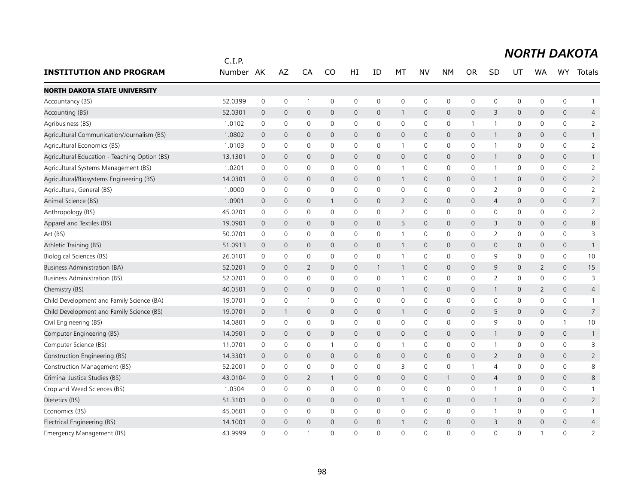|                                               | C.I.P.    |                |                     |                |                     |                     |                |                     |              |                     |                |                |                     |                |                     | <b>NORTH DAKOTA</b> |
|-----------------------------------------------|-----------|----------------|---------------------|----------------|---------------------|---------------------|----------------|---------------------|--------------|---------------------|----------------|----------------|---------------------|----------------|---------------------|---------------------|
| <b>INSTITUTION AND PROGRAM</b>                | Number AK |                | AZ                  | CA             | <b>CO</b>           | HI                  | ID             | MT                  | <b>NV</b>    | <b>NM</b>           | <b>OR</b>      | <b>SD</b>      | UT                  | WA             | WY                  | Totals              |
| <b>NORTH DAKOTA STATE UNIVERSITY</b>          |           |                |                     |                |                     |                     |                |                     |              |                     |                |                |                     |                |                     |                     |
| Accountancy (BS)                              | 52.0399   | $\mathbf 0$    | $\mathbf 0$         | -1             | $\mathbf 0$         | $\mathbf 0$         | 0              | 0                   | $\mathbf 0$  | $\mathbf 0$         | 0              | $\mathbf 0$    | $\mathbf 0$         | $\mathbf 0$    | 0                   | $\mathbf{1}$        |
| Accounting (BS)                               | 52.0301   | $\overline{0}$ | $\mathsf{O}\xspace$ | $\mathbf 0$    | $\mathsf{O}\xspace$ | $\mathsf{O}$        | $\mathbf 0$    | $\mathbf{1}$        | $\mathbf 0$  | $\mathsf{O}\xspace$ | 0              | 3              | 0                   | $\mathbf 0$    | $\mathbf 0$         | $\overline{4}$      |
| Agribusiness (BS)                             | 1.0102    | 0              | $\mathsf{O}\xspace$ | $\mathbf 0$    | 0                   | 0                   | 0              | $\mathbf 0$         | $\mathsf{O}$ | $\mathbf 0$         | $\mathbf{1}$   | $\mathbf{1}$   | 0                   | 0              | $\mathbf 0$         | $\overline{2}$      |
| Agricultural Communication/Journalism (BS)    | 1.0802    | $\overline{0}$ | $\overline{0}$      | $\mathbf{0}$   | $\mathbf{0}$        | $\mathbf{0}$        | $\Omega$       | $\overline{0}$      | $\mathbf{0}$ | $\overline{0}$      | $\overline{0}$ | 1              | $\mathbf{0}$        | $\Omega$       | $\mathbf{0}$        | $\mathbf{1}$        |
| Agricultural Economics (BS)                   | 1.0103    | 0              | 0                   | 0              | 0                   | 0                   | 0              | 1                   | 0            | 0                   | 0              | $\overline{1}$ | 0                   | 0              | 0                   | $\overline{2}$      |
| Agricultural Education - Teaching Option (BS) | 13.1301   | 0              | $\mathbf 0$         | $\mathbf 0$    | $\mathbf{0}$        | $\mathsf{O}$        | $\mathbf 0$    | $\mathsf{O}\xspace$ | $\mathbf 0$  | $\overline{0}$      | $\mathbf 0$    | 1              | 0                   | $\mathbf 0$    | 0                   | $\mathbf{1}$        |
| Agricultural Systems Management (BS)          | 1.0201    | 0              | $\mathbf 0$         | $\mathbf 0$    | 0                   | $\mathbf 0$         | 0              | $\mathbf{1}$        | $\mathbf 0$  | $\mathbf 0$         | $\mathbf 0$    | $\mathbf{1}$   | $\mathbf 0$         | 0              | $\mathbf 0$         | $\overline{2}$      |
| Agricultural/Biosystems Engineering (BS)      | 14.0301   | 0              | $\mathsf{O}\xspace$ | $\mathbf 0$    | $\mathsf{O}\xspace$ | $\mathsf{O}\xspace$ | $\mathbf 0$    | $\mathbf{1}$        | $\mathbf 0$  | $\mathsf{O}\xspace$ | 0              | $\mathbf{1}$   | $\mathsf{O}\xspace$ | $\mathbf 0$    | $\mathsf{O}\xspace$ | $\overline{2}$      |
| Agriculture, General (BS)                     | 1.0000    | 0              | 0                   | $\mathbf 0$    | 0                   | 0                   | 0              | 0                   | $\mathbf 0$  | 0                   | 0              | 2              | 0                   | 0              | 0                   | $\overline{2}$      |
| Animal Science (BS)                           | 1.0901    | $\overline{0}$ | $\mathbf{0}$        | $\mathbf{0}$   | $\mathbf{1}$        | $\mathbf{0}$        | $\overline{0}$ | $\overline{2}$      | $\mathbf{0}$ | $\mathbf 0$         | $\mathbf 0$    | 4              | 0                   | $\mathbf{0}$   | $\mathbf{0}$        | $\overline{7}$      |
| Anthropology (BS)                             | 45.0201   | $\mathbf 0$    | $\mathsf{O}\xspace$ | $\mathbf 0$    | 0                   | $\mathbf 0$         | 0              | $\overline{2}$      | $\mathbf 0$  | $\mathbf 0$         | 0              | 0              | $\mathbf 0$         | $\mathbf 0$    | 0                   | $\overline{2}$      |
| Apparel and Textiles (BS)                     | 19.0901   | $\mathbf 0$    | $\mathbf 0$         | $\mathbf 0$    | 0                   | $\mathsf{O}$        | 0              | 5                   | $\mathbf 0$  | $\overline{0}$      | 0              | 3              | $\mathsf{O}$        | $\mathbf{0}$   | $\mathbf{0}$        | 8                   |
| Art (BS)                                      | 50.0701   | 0              | 0                   | $\mathbf 0$    | 0                   | 0                   | 0              | $\mathbf{1}$        | 0            | 0                   | 0              | 2              | 0                   | 0              | 0                   | 3                   |
| Athletic Training (BS)                        | 51.0913   | 0              | $\mathbf 0$         | $\mathbf{0}$   | $\mathsf{O}$        | $\mathbf{0}$        | $\overline{0}$ | $\mathbf{1}$        | $\mathbf{0}$ | $\mathbf 0$         | $\mathbf 0$    | $\mathbf{0}$   | 0                   | $\mathbf{0}$   | $\mathsf{O}\xspace$ | $\mathbf{1}$        |
| <b>Biological Sciences (BS)</b>               | 26.0101   | $\mathbf 0$    | $\mathsf{O}\xspace$ | $\mathbf 0$    | 0                   | 0                   | 0              | $\mathbf{1}$        | $\mathbf 0$  | $\mathbf 0$         | 0              | 9              | 0                   | 0              | $\mathsf{O}\xspace$ | 10                  |
| <b>Business Administration (BA)</b>           | 52.0201   | $\overline{0}$ | $\mathbf 0$         | 2              | $\mathbf{0}$        | $\mathsf{O}$        | $\mathbf{1}$   | $\mathbf{1}$        | $\mathbf 0$  | $\overline{0}$      | $\mathbf 0$    | 9              | 0                   | $\overline{2}$ | $\mathbf{0}$        | 15                  |
| <b>Business Administration (BS)</b>           | 52.0201   | 0              | $\mathbf 0$         | 0              | $\mathbf{0}$        | $\mathbf 0$         | 0              | $\mathbf{1}$        | $\mathbf 0$  | $\mathbf 0$         | 0              | $\overline{2}$ | 0                   | 0              | 0                   | 3                   |
| Chemistry (BS)                                | 40.0501   | $\overline{0}$ | $\overline{0}$      | $\mathbf{0}$   | $\Omega$            | $\mathbf{O}$        | $\mathbf{0}$   | $\mathbf{1}$        | $\mathbf{0}$ | $\mathbf{0}$        | $\mathbf 0$    | -1             | 0                   | $\overline{2}$ | $\mathbf{0}$        | $\overline{4}$      |
| Child Development and Family Science (BA)     | 19.0701   | 0              | $\mathsf{O}\xspace$ | $\mathbf{1}$   | 0                   | 0                   | 0              | 0                   | $\mathbf 0$  | $\mathbf 0$         | 0              | 0              | 0                   | 0              | 0                   | $\mathbf{1}$        |
| Child Development and Family Science (BS)     | 19.0701   | $\overline{0}$ | $\mathbf{1}$        | $\mathbf 0$    | $\mathbf{0}$        | $\mathbf{0}$        | $\overline{0}$ | $\mathbf{1}$        | $\mathbf{0}$ | $\overline{0}$      | $\mathbf 0$    | 5              | $\mathbf{O}$        | $\mathbf{0}$   | $\mathbf{0}$        | $\overline{7}$      |
| Civil Engineering (BS)                        | 14.0801   | 0              | $\mathbf 0$         | $\mathbf 0$    | 0                   | 0                   | 0              | 0                   | $\mathbf 0$  | $\mathbf 0$         | 0              | 9              | 0                   | 0              | $\mathbf{1}$        | 10                  |
| Computer Engineering (BS)                     | 14.0901   | 0              | $\mathbf 0$         | $\overline{0}$ | $\mathbf{0}$        | $\mathsf{O}$        | $\mathbf 0$    | 0                   | $\mathbf 0$  | $\overline{0}$      | $\mathbf 0$    | $\mathbf{1}$   | $\mathsf{O}$        | $\mathbf 0$    | 0                   | $\mathbf{1}$        |
| Computer Science (BS)                         | 11.0701   | 0              | 0                   | $\mathbf 0$    | 1                   | 0                   | 0              | $\mathbf{1}$        | $\mathsf{O}$ | $\mathbf 0$         | 0              | $\mathbf{1}$   | 0                   | 0              | 0                   | 3                   |
| Construction Engineering (BS)                 | 14.3301   | $\overline{0}$ | $\mathbf{0}$        | $\mathbf{0}$   | $\mathbf{0}$        | $\mathbf{0}$        | $\overline{0}$ | $\mathsf{O}\xspace$ | $\mathbf{0}$ | $\mathbf{0}$        | $\mathbf 0$    | $\overline{2}$ | $\mathbf{0}$        | $\mathbf{0}$   | $\mathbf{0}$        | $\overline{2}$      |
| Construction Management (BS)                  | 52.2001   | 0              | 0                   | 0              | $\Omega$            | 0                   | 0              | 3                   | $\mathbf 0$  | $\mathsf 0$         | -1             | 4              | 0                   | 0              | 0                   | 8                   |
| Criminal Justice Studies (BS)                 | 43.0104   | $\overline{0}$ | $\mathbf 0$         | 2              | $\mathbf{1}$        | $\mathbf{0}$        | $\mathbf{0}$   | 0                   | $\mathbf{0}$ | $\mathbf{1}$        | $\mathbf{0}$   | $\overline{4}$ | 0                   | $\mathbf{0}$   | $\mathbf{0}$        | 8                   |
| Crop and Weed Sciences (BS)                   | 1.0304    | 0              | $\mathsf{O}\xspace$ | $\mathbf 0$    | $\mathbf 0$         | 0                   | 0              | 0                   | $\mathbf 0$  | $\mathbf 0$         | 0              | 1              | 0                   | 0              | 0                   | $\mathbf{1}$        |
| Dietetics (BS)                                | 51.3101   | $\mathbf 0$    | $\overline{0}$      | $\overline{0}$ | $\mathsf{O}$        | $\mathbf{O}$        | $\mathbf{0}$   | $\mathbf{1}$        | $\mathbf{0}$ | $\overline{0}$      | $\overline{0}$ | $\mathbf{1}$   | $\mathbf{O}$        | $\Omega$       | $\mathbf{0}$        | $\overline{2}$      |
| Economics (BS)                                | 45.0601   | 0              | 0                   | 0              | 0                   | 0                   | 0              | 0                   | 0            | 0                   | 0              | -1             | 0                   | 0              | 0                   | $\mathbf{1}$        |
| Electrical Engineering (BS)                   | 14.1001   | $\overline{0}$ | $\overline{0}$      | $\overline{0}$ | $\mathbf{0}$        | $\mathbf{0}$        | $\overline{0}$ | $\mathbf{1}$        | $\mathbf{0}$ | $\mathbf{0}$        | $\mathbf 0$    | 3              | 0                   | $\mathbf{0}$   | $\overline{0}$      | $\overline{4}$      |
| Emergency Management (BS)                     | 43.9999   | $\Omega$       | $\Omega$            | $\overline{1}$ | $\Omega$            | $\Omega$            | $\Omega$       | $\Omega$            | $\Omega$     | $\Omega$            | $\Omega$       | $\Omega$       | $\Omega$            | 1              | $\overline{0}$      | 2                   |

#### 98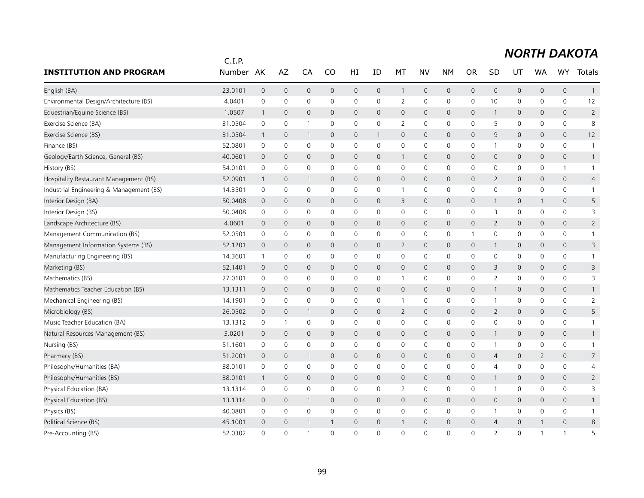|                                          | C.I.P.  |                     |                     |                |                     |              |                     |                |                     |              |                |                |                     |                     |                     |                |
|------------------------------------------|---------|---------------------|---------------------|----------------|---------------------|--------------|---------------------|----------------|---------------------|--------------|----------------|----------------|---------------------|---------------------|---------------------|----------------|
| <b>INSTITUTION AND PROGRAM</b>           | Number  | AK                  | AZ                  | CA             | CO                  | HI           | ID                  | МT             | NV                  | <b>NM</b>    | <b>OR</b>      | SD             | UT                  | <b>WA</b>           | <b>WY</b>           | Totals         |
| English (BA)                             | 23.0101 | $\mathsf{O}\xspace$ | $\mathsf{O}\xspace$ | $\mathbf 0$    | $\mathsf{O}\xspace$ | 0            | $\mathsf{O}\xspace$ | $\mathbf{1}$   | $\mathsf{O}$        | $\mathbf 0$  | $\mathbf 0$    | 0              | $\mathbf 0$         | $\mathsf{O}\xspace$ | $\mathsf{O}\xspace$ | $\mathbf{1}$   |
| Environmental Design/Architecture (BS)   | 4.0401  | 0                   | 0                   | 0              | 0                   | 0            | 0                   | $\overline{2}$ | 0                   | $\mathbf 0$  | 0              | 10             | $\mathsf{O}$        | 0                   | 0                   | 12             |
| Equestrian/Equine Science (BS)           | 1.0507  | $\mathbf{1}$        | $\mathbf 0$         | $\mathbf{0}$   | $\mathbf 0$         | $\mathsf{O}$ | 0                   | $\mathbf{0}$   | $\mathbf{0}$        | $\mathbf 0$  | $\mathbf 0$    | $\mathbf{1}$   | $\mathbf{0}$        | 0                   | $\mathbf{0}$        | $\overline{2}$ |
| Exercise Science (BA)                    | 31.0504 | 0                   | 0                   | -1             | 0                   | 0            | 0                   | $\overline{2}$ | $\mathbf 0$         | $\mathbf 0$  | 0              | 5              | 0                   | 0                   | 0                   | 8              |
| Exercise Science (BS)                    | 31.0504 | $\mathbf{1}$        | $\mathbf 0$         | -1             | $\mathbf 0$         | 0            | 1                   | $\mathbf 0$    | $\mathbf 0$         | $\mathbf 0$  | $\overline{0}$ | 9              | $\mathsf{O}$        | $\mathbf 0$         | 0                   | 12             |
| Finance (BS)                             | 52.0801 | $\mathbf 0$         | $\mathbf 0$         | $\mathbf 0$    | $\mathbf 0$         | 0            | $\mathbf 0$         | $\mathbf 0$    | $\mathbf 0$         | $\mathbf 0$  | $\mathbf 0$    | $\mathbf{1}$   | $\mathbf 0$         | $\mathbf 0$         | 0                   | $\mathbf{1}$   |
| Geology/Earth Science, General (BS)      | 40.0601 | $\mathbf 0$         | $\mathbf 0$         | $\mathbf{0}$   | $\Omega$            | $\mathsf{O}$ | 0                   | $\mathbf{1}$   | $\mathbf{0}$        | $\mathbf 0$  | $\mathbf{0}$   | 0              | $\mathbf{0}$        | 0                   | $\mathbf{0}$        | $\mathbf{1}$   |
| History (BS)                             | 54.0101 | 0                   | $\mathbf 0$         | $\mathbf 0$    | 0                   | 0            | 0                   | 0              | 0                   | $\mathbf 0$  | $\mathbf 0$    | 0              | $\mathsf{O}$        | 0                   | $\mathbf{1}$        | $\mathbf{1}$   |
| Hospitality Restaurant Management (BS)   | 52.0901 | $\mathbf{1}$        | $\mathbf 0$         | -1             | $\mathbf{0}$        | 0            | 0                   | 0              | $\mathbf 0$         | $\mathbf 0$  | $\mathbf 0$    | $\overline{2}$ | $\mathsf{O}$        | $\mathbf 0$         | $\mathsf{O}\xspace$ | $\overline{4}$ |
| Industrial Engineering & Management (BS) | 14.3501 | 0                   | 0                   | 0              | 0                   | 0            | 0                   | 1              | 0                   | 0            | 0              | 0              | 0                   | 0                   | 0                   | 1              |
| Interior Design (BA)                     | 50.0408 | $\overline{0}$      | $\mathbf{0}$        | $\mathbf{0}$   | $\mathbf{0}$        | $\mathsf{O}$ | $\mathbf{0}$        | 3              | $\mathbf{0}$        | $\mathbf 0$  | $\mathbf{0}$   | $\mathbf{1}$   | $\mathsf{O}$        | $\mathbf{1}$        | $\mathbf{0}$        | 5              |
| Interior Design (BS)                     | 50.0408 | 0                   | 0                   | 0              | $\mathbf 0$         | 0            | 0                   | 0              | 0                   | $\mathbf 0$  | 0              | 3              | $\mathsf{O}$        | 0                   | 0                   | 3              |
| Landscape Architecture (BS)              | 4.0601  | $\mathbf 0$         | $\mathbf 0$         | $\overline{0}$ | $\mathbf{0}$        | 0            | $\mathbf{0}$        | $\mathsf{O}$   | $\mathbf{0}$        | $\mathbf 0$  | $\mathbf 0$    | $\overline{2}$ | $\mathsf{O}$        | 0                   | $\mathsf{O}\xspace$ | $\overline{2}$ |
| Management Communication (BS)            | 52.0501 | $\mathbf 0$         | $\mathbf 0$         | $\mathbf 0$    | $\mathbf{0}$        | 0            | 0                   | 0              | 0                   | 0            | -1             | 0              | 0                   | $\mathbf{0}$        | 0                   | $\mathbf{1}$   |
| Management Information Systems (BS)      | 52.1201 | $\overline{0}$      | $\mathbf 0$         | $\overline{0}$ | $\mathbf{0}$        | 0            | 0                   | $\overline{2}$ | $\mathbf 0$         | $\mathbf 0$  | $\mathbf 0$    | $\mathbf{1}$   | $\mathsf{O}$        | 0                   | 0                   | 3              |
| Manufacturing Engineering (BS)           | 14.3601 | $\mathbf{1}$        | $\mathsf{O}\xspace$ | $\mathbf 0$    | 0                   | 0            | 0                   | 0              | 0                   | $\mathbf 0$  | 0              | $\mathbf 0$    | $\mathsf{O}$        | 0                   | 0                   | $\mathbf{1}$   |
| Marketing (BS)                           | 52.1401 | $\overline{0}$      | $\mathbf{0}$        | $\mathbf{0}$   | $\mathbf{0}$        | $\mathsf{O}$ | 0                   | $\mathbf{0}$   | $\mathbf{0}$        | $\mathbf 0$  | $\mathbf 0$    | 3              | $\mathbf{0}$        | $\mathbf 0$         | $\mathbf{0}$        | 3              |
| Mathematics (BS)                         | 27.0101 | 0                   | $\mathbf 0$         | $\mathbf 0$    | $\mathbf{0}$        | 0            | 0                   | $\mathbf{1}$   | 0                   | 0            | 0              | 2              | 0                   | 0                   | 0                   | 3              |
| Mathematics Teacher Education (BS)       | 13.1311 | $\overline{0}$      | $\mathbf 0$         | $\overline{0}$ | $\mathbf 0$         | 0            | 0                   | $\mathsf{O}$   | $\mathsf{O}$        | $\mathbf 0$  | $\mathbf 0$    | $\mathbf{1}$   | $\mathsf{O}$        | 0                   | 0                   | $\mathbf{1}$   |
| Mechanical Engineering (BS)              | 14.1901 | 0                   | 0                   | 0              | 0                   | 0            | 0                   | 1              | $\mathsf{O}\xspace$ | $\mathbf 0$  | 0              | $\mathbf 1$    | $\mathsf 0$         | 0                   | 0                   | $\overline{2}$ |
| Microbiology (BS)                        | 26.0502 | $\mathbf 0$         | $\mathbf 0$         | -1             | $\mathbf{0}$        | 0            | 0                   | $\overline{2}$ | $\mathbf 0$         | $\mathbf 0$  | $\mathbf 0$    | $\overline{2}$ | $\mathsf{O}$        | 0                   | 0                   | 5              |
| Music Teacher Education (BA)             | 13.1312 | $\mathbf 0$         | $\mathbf{1}$        | $\mathbf 0$    | 0                   | 0            | $\mathbf 0$         | 0              | $\mathbf 0$         | $\mathbf 0$  | $\mathbf 0$    | 0              | $\mathsf{O}$        | $\mathbf 0$         | 0                   | $\mathbf{1}$   |
| Natural Resources Management (BS)        | 3.0201  | $\overline{0}$      | $\mathbf 0$         | $\mathbf{0}$   | $\mathbf{0}$        | 0            | 0                   | $\mathbf 0$    | $\mathbf 0$         | $\mathbf 0$  | $\mathbf 0$    | $\mathbf{1}$   | $\mathsf{O}$        | 0                   | 0                   | $\mathbf{1}$   |
| Nursing (BS)                             | 51.1601 | 0                   | 0                   | 0              | 0                   | 0            | 0                   | 0              | 0                   | $\mathsf{O}$ | 0              | 1              | $\mathsf{O}$        | 0                   | 0                   | 1              |
| Pharmacy (BS)                            | 51.2001 | $\overline{0}$      | $\mathbf 0$         | -1             | $\mathbf{0}$        | $\mathsf{O}$ | 0                   | $\mathbf{0}$   | $\mathbf{0}$        | $\mathbf 0$  | $\mathbf 0$    | 4              | $\mathbf{0}$        | $\overline{2}$      | $\mathbf{0}$        | $\overline{7}$ |
| Philosophy/Humanities (BA)               | 38.0101 | 0                   | 0                   | $\mathbf 0$    | 0                   | 0            | 0                   | 0              | 0                   | 0            | 0              | 4              | 0                   | 0                   | 0                   | 4              |
| Philosophy/Humanities (BS)               | 38.0101 | $\mathbf{1}$        | $\mathbf 0$         | $\mathbf{0}$   | $\mathbf{0}$        | 0            | 0                   | $\mathbf 0$    | $\mathbf 0$         | $\mathbf 0$  | $\mathbf{0}$   | $\mathbf{1}$   | $\mathsf{O}$        | 0                   | 0                   | $\overline{2}$ |
| Physical Education (BA)                  | 13.1314 | 0                   | $\mathbf 0$         | $\mathbf 0$    | $\mathbf{0}$        | 0            | 0                   | $\overline{2}$ | 0                   | $\mathbf 0$  | 0              | $\mathbf{1}$   | 0                   | $\mathbf{0}$        | 0                   | 3              |
| Physical Education (BS)                  | 13.1314 | $\overline{0}$      | $\mathbf 0$         | -1             | 0                   | 0            | 0                   | $\mathbf 0$    | $\mathbf 0$         | $\mathbf 0$  | $\mathbf 0$    | 0              | $\mathsf{O}$        | 0                   | 0                   | $\mathbf{1}$   |
| Physics (BS)                             | 40.0801 | 0                   | 0                   | 0              | 0                   | 0            | 0                   | 0              | 0                   | $\mathbf 0$  | 0              | 1              | 0                   | 0                   | 0                   | $\mathbf{1}$   |
| Political Science (BS)                   | 45.1001 | $\mathbf 0$         | $\mathbf 0$         |                |                     | 0            | 0                   | $\mathbf{1}$   | $\mathbf{0}$        | $\mathbf 0$  | $\mathbf 0$    | $\overline{4}$ | $\mathsf{O}\xspace$ |                     | $\mathbf{0}$        | 8              |
| Pre-Accounting (BS)                      | 52.0302 | $\Omega$            | $\Omega$            | -1             | $\Omega$            | $\Omega$     | $\Omega$            | $\Omega$       | $\Omega$            | $\Omega$     | $\Omega$       | $\overline{2}$ | $\Omega$            | 1                   | $\mathbf{1}$        | 5              |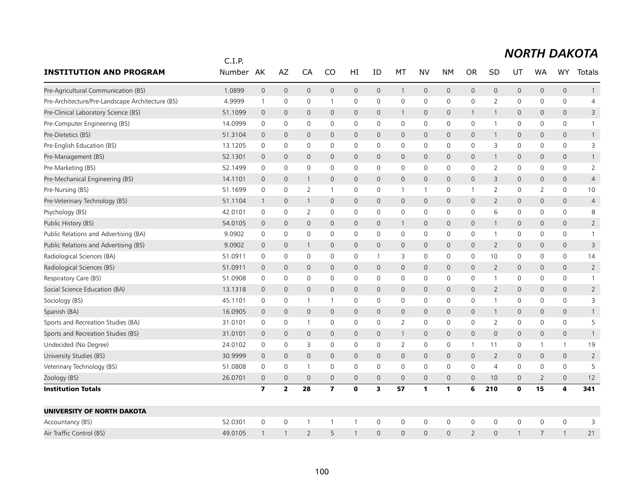|                                                  | C.I.P.  |                         |                         |                |                         |              |                     |                     |              |              |                |                |              |                     |                     |                |
|--------------------------------------------------|---------|-------------------------|-------------------------|----------------|-------------------------|--------------|---------------------|---------------------|--------------|--------------|----------------|----------------|--------------|---------------------|---------------------|----------------|
| <b>INSTITUTION AND PROGRAM</b>                   | Number  | AK                      | AZ                      | CA             | CO                      | HI           | ID                  | МT                  | NV           | <b>NM</b>    | <b>OR</b>      | SD             | UT           | <b>WA</b>           | <b>WY</b>           | Totals         |
| Pre-Agricultural Communication (BS)              | 1.0899  | $\mathsf{O}\xspace$     | $\mathsf{O}\xspace$     | $\mathbf 0$    | $\mathsf{O}$            | 0            | $\mathsf{O}\xspace$ | $\mathbf{1}$        | $\mathsf{O}$ | $\mathbf 0$  | $\mathbf 0$    | 0              | $\mathsf{O}$ | $\mathsf{O}\xspace$ | $\mathsf{O}\xspace$ | $\mathbf{1}$   |
| Pre-Architecture/Pre-Landscape Architecture (BS) | 4.9999  | $\mathbf{1}$            | $\mathsf{O}\xspace$     | $\mathbf 0$    | -1                      | 0            | 0                   | 0                   | $\mathbf 0$  | $\mathbf 0$  | $\mathbf 0$    | $\overline{2}$ | $\mathbf 0$  | 0                   | 0                   | $\overline{4}$ |
| Pre-Clinical Laboratory Science (BS)             | 51.1099 | $\mathbf 0$             | $\mathbf{0}$            | $\mathbf{0}$   | $\mathbf{0}$            | $\mathsf{O}$ | 0                   | $\mathbf{1}$        | $\mathbf{0}$ | $\mathbf 0$  | 1              | $\mathbf{1}$   | $\mathbf{0}$ | 0                   | $\mathbf{0}$        | 3              |
| Pre-Computer Engineering (BS)                    | 14.0999 | $\mathbf 0$             | $\mathbf 0$             | 0              | 0                       | 0            | 0                   | 0                   | $\mathbf 0$  | $\mathbf 0$  | $\mathbf 0$    | $\mathbf{1}$   | $\mathbf 0$  | 0                   | 0                   |                |
| Pre-Dietetics (BS)                               | 51.3104 | $\overline{0}$          | $\mathbf 0$             | $\mathbf{0}$   | $\mathbf 0$             | 0            | 0                   | $\mathbf{0}$        | $\mathbf{0}$ | $\mathbf 0$  | $\mathbf 0$    | $\mathbf{1}$   | $\mathsf{O}$ | 0                   | 0                   | $\mathbf{1}$   |
| Pre-English Education (BS)                       | 13.1205 | $\Omega$                | 0                       | $\Omega$       | $\mathbf{0}$            | 0            | $\Omega$            | 0                   | $\Omega$     | $\mathbf{0}$ | $\mathbf{0}$   | 3              | $\mathbf{0}$ | $\mathbf{0}$        | $\Omega$            | 3              |
| Pre-Management (BS)                              | 52.1301 | $\overline{0}$          | $\mathbf 0$             | $\mathbf{0}$   | $\mathbf{0}$            | 0            | 0                   | $\mathbf 0$         | $\mathbf{0}$ | $\mathbf 0$  | $\mathbf{0}$   | $\mathbf{1}$   | $\mathsf{O}$ | 0                   | 0                   | $\mathbf{1}$   |
| Pre-Marketing (BS)                               | 52.1499 | $\mathbf 0$             | 0                       | 0              | $\mathbf{0}$            | 0            | 0                   | 0                   | 0            | $\mathsf{O}$ | 0              | $\overline{2}$ | $\mathbf 0$  | 0                   | 0                   | $\overline{2}$ |
| Pre-Mechanical Engineering (BS)                  | 14.1101 | $\overline{0}$          | $\mathbf{0}$            | -1             | $\mathbf{0}$            | $\mathsf{O}$ | $\Omega$            | $\mathbf{0}$        | $\mathbf{0}$ | $\mathbf 0$  | $\mathbf 0$    | 3              | $\mathbf{0}$ | $\mathbf{0}$        | $\mathbf{0}$        | $\overline{4}$ |
| Pre-Nursing (BS)                                 | 51.1699 | 0                       | 0                       | $\overline{2}$ | 1                       | 0            | 0                   | 1                   | $\mathbf{1}$ | 0            | -1             | 2              | 0            | 2                   | 0                   | 10             |
| Pre-Veterinary Technology (BS)                   | 51.1104 | $\mathbf{1}$            | $\mathbf 0$             | 1              | $\mathbf 0$             | 0            | 0                   | $\mathbf 0$         | $\mathbf 0$  | $\mathbf 0$  | $\mathbf 0$    | 2              | $\mathsf{O}$ | 0                   | $\mathbf{0}$        | 4              |
| Psychology (BS)                                  | 42.0101 | $\mathbf 0$             | 0                       | 2              | 0                       | 0            | $\mathsf{O}\xspace$ | 0                   | 0            | $\mathbf 0$  | 0              | 6              | $\mathsf{O}$ | 0                   | 0                   | 8              |
| Public History (BS)                              | 54.0105 | $\mathbf 0$             | $\mathbf 0$             | $\mathbf 0$    | $\mathbf{0}$            | 0            | $\mathbf{0}$        | $\mathbf{1}$        | $\mathbf{0}$ | $\mathbf 0$  | $\mathbf 0$    | $\mathbf{1}$   | $\mathsf{O}$ | 0                   | $\mathsf{O}\xspace$ | $\overline{2}$ |
| Public Relations and Advertising (BA)            | 9.0902  | $\mathbf 0$             | $\mathbf 0$             | 0              | 0                       | 0            | 0                   | 0                   | 0            | 0            | $\mathbf 0$    | $\overline{1}$ | 0            | 0                   | 0                   | $\mathbf{1}$   |
| Public Relations and Advertising (BS)            | 9.0902  | $\mathbf 0$             | $\mathbf 0$             | -1             | 0                       | 0            | 0                   | 0                   | $\mathbf 0$  | $\mathbf 0$  | $\mathbf 0$    | $\overline{2}$ | $\mathsf{O}$ | 0                   | $\mathsf{O}\xspace$ | 3              |
| Radiological Sciences (BA)                       | 51.0911 | $\mathbf 0$             | $\mathsf{O}\xspace$     | $\mathbf 0$    | $\mathbf 0$             | 0            | 1                   | 3                   | $\mathbf 0$  | $\mathbf 0$  | $\mathbf 0$    | 10             | $\mathsf{O}$ | 0                   | 0                   | 14             |
| Radiological Sciences (BS)                       | 51.0911 | $\mathbf 0$             | $\mathbf 0$             | $\mathbf{0}$   | $\mathbf{0}$            | $\mathsf{O}$ | 0                   | $\mathbf{0}$        | $\mathbf{0}$ | $\mathbf 0$  | $\mathbf{0}$   | $\overline{2}$ | $\mathbf{0}$ | 0                   | $\mathbf{0}$        | $\overline{2}$ |
| Respiratory Care (BS)                            | 51.0908 | 0                       | 0                       | 0              | 0                       | 0            | 0                   | 0                   | 0            | 0            | 0              | $\mathbf{1}$   | 0            | 0                   | 0                   | -1             |
| Social Science Education (BA)                    | 13.1318 | $\mathbf 0$             | $\mathbf 0$             | $\overline{0}$ | $\mathbf 0$             | 0            | 0                   | $\mathbf 0$         | $\mathbf 0$  | $\mathbf 0$  | $\overline{0}$ | 2              | $\mathsf{O}$ | 0                   | 0                   | $\overline{2}$ |
| Sociology (BS)                                   | 45.1101 | $\mathbf 0$             | 0                       | -1             | -1                      | 0            | 0                   | 0                   | 0            | 0            | $\mathbf 0$    | 1              | 0            | 0                   | 0                   | 3              |
| Spanish (BA)                                     | 16.0905 | $\mathbf 0$             | $\mathbf 0$             | $\overline{0}$ | 0                       | 0            | 0                   | 0                   | $\mathbf 0$  | $\mathsf{O}$ | $\mathbf 0$    | $\mathbf{1}$   | 0            | 0                   | 0                   | $\mathbf{1}$   |
| Sports and Recreation Studies (BA)               | 31.0101 | $\mathbf 0$             | 0                       | $\mathbf{1}$   | 0                       | 0            | $\mathbf 0$         | $\overline{2}$      | 0            | $\mathbf 0$  | $\mathbf 0$    | $\overline{2}$ | $\mathsf{O}$ | 0                   | 0                   | 5              |
| Sports and Recreation Studies (BS)               | 31.0101 | $\overline{0}$          | $\mathbf 0$             | $\mathbf 0$    | $\mathbf{0}$            | 0            | 0                   | $\mathbf{1}$        | $\mathbf{0}$ | $\mathbf 0$  | $\mathbf{0}$   | 0              | $\mathsf{O}$ | $\mathbf{0}$        | 0                   |                |
| Undecided (No Degree)                            | 24.0102 | 0                       | 0                       | 3              | 0                       | 0            | 0                   | $\overline{2}$      | 0            | 0            | $\mathbf 1$    | 11             | 0            | 1                   | $\mathbf{1}$        | 19             |
| University Studies (BS)                          | 30.9999 | $\overline{0}$          | $\overline{0}$          | $\overline{0}$ | $\mathbf{0}$            | $\mathsf{O}$ | 0                   | $\mathbf{0}$        | $\mathbf{0}$ | $\mathbf{0}$ | $\mathbf 0$    | $\overline{2}$ | $\mathbf{0}$ | 0                   | $\mathbf{0}$        | $\overline{2}$ |
| Veterinary Technology (BS)                       | 51.0808 | 0                       | $\mathbf 0$             | -1             | 0                       | 0            | 0                   | 0                   | 0            | 0            | 0              | 4              | 0            | 0                   | 0                   | 5              |
| Zoology (BS)                                     | 26.0701 | $\mathbf 0$             | $\mathbf 0$             | $\overline{0}$ | $\mathbf{0}$            | 0            | 0                   | $\mathsf{O}\xspace$ | $\mathbf{0}$ | $\mathbf 0$  | $\mathbf 0$    | 10             | $\mathsf{O}$ | 2                   | 0                   | 12             |
| <b>Institution Totals</b>                        |         | $\overline{\mathbf{z}}$ | $\overline{\mathbf{z}}$ | 28             | $\overline{\mathbf{z}}$ | $\mathbf 0$  | 3                   | 57                  | 1            | $\mathbf{1}$ | 6              | 210            | $\mathbf 0$  | 15                  | 4                   | 341            |
| UNIVERSITY OF NORTH DAKOTA                       |         |                         |                         |                |                         |              |                     |                     |              |              |                |                |              |                     |                     |                |
| Accountancy (BS)                                 | 52.0301 | $\mathbf 0$             | $\mathbf 0$             |                |                         |              | 0                   | $\mathsf{O}\xspace$ | $\mathbf 0$  | $\mathbf 0$  | $\mathbf 0$    | 0              | $\mathbf 0$  | $\mathbf 0$         | 0                   | 3              |
| Air Traffic Control (BS)                         | 49.0105 | $\mathbf{1}$            | $\mathbf{1}$            | $\overline{2}$ | 5                       |              | $\Omega$            | $\Omega$            | $\Omega$     | $\Omega$     | $\overline{2}$ | $\Omega$       |              | 7                   | $\mathbf{1}$        | 21             |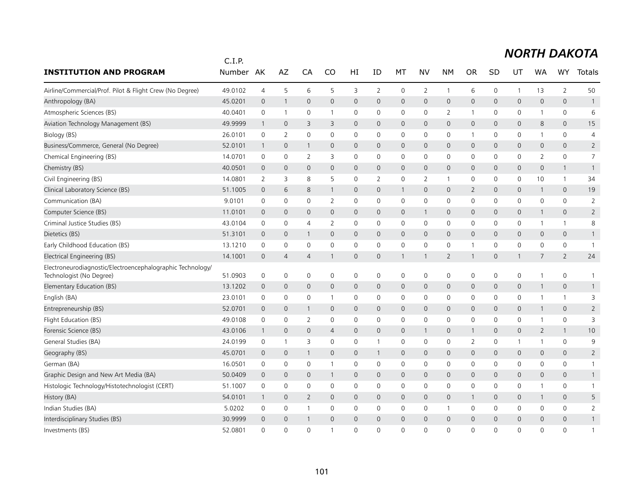|                                                                                        | C.I.P.  |                |                |                |                |                     |              |              |                |                     |                |              |              |                     |                     |                |
|----------------------------------------------------------------------------------------|---------|----------------|----------------|----------------|----------------|---------------------|--------------|--------------|----------------|---------------------|----------------|--------------|--------------|---------------------|---------------------|----------------|
| <b>INSTITUTION AND PROGRAM</b>                                                         | Number  | AK             | AZ             | CA             | CO             | HI                  | ID           | MT           | NV             | <b>NM</b>           | <b>OR</b>      | SD           | UT           | WA                  | <b>WY</b>           | Totals         |
| Airline/Commercial/Prof. Pilot & Flight Crew (No Degree)                               | 49.0102 | $\overline{4}$ | 5              | 6              | 5              | 3                   | 2            | 0            | $\overline{2}$ | $\mathbf{1}$        | 6              | $\mathbf 0$  | 1            | 13                  | $\overline{2}$      | 50             |
| Anthropology (BA)                                                                      | 45.0201 | $\mathbf 0$    | $\mathbf{1}$   | $\mathbf 0$    | $\mathsf{O}$   | $\mathsf{O}\xspace$ | $\mathbf 0$  | $\mathsf{O}$ | $\mathbf 0$    | $\mathsf{O}\xspace$ | 0              | $\mathbf{0}$ | 0            | $\mathsf{O}\xspace$ | $\mathbf 0$         | $\mathbf{1}$   |
| Atmospheric Sciences (BS)                                                              | 40.0401 | 0              | $\overline{1}$ | 0              | -1             | 0                   | 0            | 0            | $\mathbf 0$    | $\overline{2}$      | $\mathbf 1$    | 0            | 0            | 1                   | 0                   | 6              |
| Aviation Technology Management (BS)                                                    | 49.9999 | $\mathbf{1}$   | $\mathbf 0$    | 3              | 3              | $\mathbf{0}$        | $\mathbf 0$  | $\mathbf 0$  | $\mathbf{0}$   | $\mathbf 0$         | 0              | 0            | 0            | 8                   | $\mathbf{0}$        | 15             |
| Biology (BS)                                                                           | 26.0101 | 0              | 2              | $\mathbf 0$    | 0              | 0                   | 0            | 0            | $\mathbf 0$    | $\mathbf 0$         | $\mathbf{1}$   | 0            | 0            | 1                   | $\mathbf 0$         | 4              |
| Business/Commerce, General (No Degree)                                                 | 52.0101 | $\overline{1}$ | $\mathbf{0}$   | 1              | $\mathbf{0}$   | $\mathbf 0$         | $\mathbf{0}$ | $\mathbf{0}$ | $\mathbf{0}$   | $\mathbf 0$         | $\mathsf{O}$   | 0            | $\mathbf{0}$ | $\mathbf 0$         | $\mathbf{0}$        | $\overline{2}$ |
| Chemical Engineering (BS)                                                              | 14.0701 | 0              | $\mathbf 0$    | 2              | 3              | $\mathbf 0$         | 0            | 0            | $\mathbf 0$    | $\mathbf 0$         | 0              | 0            | 0            | $\overline{2}$      | $\mathbf 0$         | $\overline{7}$ |
| Chemistry (BS)                                                                         | 40.0501 | $\overline{0}$ | $\mathbf 0$    | $\mathbf{0}$   | $\mathbf 0$    | $\mathbf 0$         | $\mathbf{0}$ | $\mathbf{0}$ | $\mathbf{0}$   | $\mathbf{0}$        | $\mathsf{O}$   | $\mathbf 0$  | $\mathbf 0$  | $\mathbf{0}$        | $\mathbf{1}$        | $\overline{1}$ |
| Civil Engineering (BS)                                                                 | 14.0801 | 2              | 3              | 8              | 5              | 0                   | 2            | 0            | 2              | $\overline{1}$      | 0              | 0            | 0            | 10                  | $\mathbf{1}$        | 34             |
| Clinical Laboratory Science (BS)                                                       | 51.1005 | $\overline{0}$ | 6              | 8              | 1              | $\mathbf 0$         | $\mathbf 0$  | $\mathbf{1}$ | $\mathbf{0}$   | $\mathbf{0}$        | $\overline{2}$ | $\mathbf 0$  | $\mathbf{0}$ | $\mathbf{1}$        | $\mathbf{0}$        | 19             |
| Communication (BA)                                                                     | 9.0101  | 0              | $\mathbf 0$    | 0              | 2              | $\mathbf 0$         | $\mathbf 0$  | $\mathbf 0$  | $\mathbf 0$    | $\mathbf 0$         | 0              | $\mathbf 0$  | 0            | $\mathbf 0$         | 0                   | $\overline{2}$ |
| Computer Science (BS)                                                                  | 11.0101 | $\mathbf 0$    | $\mathbf 0$    | $\mathbf 0$    | $\mathbf 0$    | $\mathbf 0$         | $\mathbf 0$  | $\mathsf{O}$ | $\mathbf{1}$   | $\mathbf 0$         | 0              | $\mathbf 0$  | 0            | $\mathbf{1}$        | $\mathsf{O}\xspace$ | $\overline{2}$ |
| Criminal Justice Studies (BS)                                                          | 43.0104 | 0              | $\mathbf 0$    | 4              | 2              | $\mathbf 0$         | $\mathbf 0$  | 0            | $\mathbf 0$    | 0                   | 0              | 0            | 0            | 1                   | $\mathbf{1}$        | 8              |
| Dietetics (BS)                                                                         | 51.3101 | $\mathbf 0$    | $\mathbf 0$    | $\mathbf{1}$   | $\mathbf{0}$   | 0                   | $\mathbf 0$  | $\mathsf{O}$ | $\mathbf 0$    | $\mathbf 0$         | 0              | 0            | 0            | $\mathbf{0}$        | 0                   | $\mathbf{1}$   |
| Early Childhood Education (BS)                                                         | 13.1210 | 0              | 0              | $\mathbf 0$    | 0              | $\mathsf 0$         | $\mathbf 0$  | 0            | $\mathbf 0$    | $\mathbf 0$         | $\overline{1}$ | $\mathbf 0$  | 0            | 0                   | $\mathbf 0$         | $\mathbf{1}$   |
| Electrical Engineering (BS)                                                            | 14.1001 | $\mathbf 0$    | $\overline{4}$ | $\overline{4}$ | 1              | 0                   | $\mathbf 0$  | $\mathbf{1}$ | 1              | $\overline{2}$      | $\mathbf 1$    | 0            | $\mathbf{1}$ | 7                   | $\overline{2}$      | 24             |
| Electroneurodiagnostic/Electroencephalographic Technology/<br>Technologist (No Degree) | 51.0903 | 0              | 0              | 0              | 0              | 0                   | 0            | 0            | 0              | 0                   | 0              | 0            | 0            | 1                   | 0                   | $\mathbf{1}$   |
| Elementary Education (BS)                                                              | 13.1202 | $\mathbf 0$    | $\mathbf 0$    | $\mathbf 0$    | $\mathsf{O}$   | $\mathbf 0$         | $\mathbf 0$  | $\mathbf 0$  | $\mathsf{O}$   | $\mathbf 0$         | 0              | $\mathbf 0$  | 0            | $\mathbf{1}$        | $\mathsf{O}\xspace$ | $\mathbf{1}$   |
| English (BA)                                                                           | 23.0101 | 0              | $\mathbf 0$    | 0              |                | 0                   | $\mathbf 0$  | 0            | $\mathbf 0$    | 0                   | 0              | 0            | 0            | 1                   | $\mathbf{1}$        | 3              |
| Entrepreneurship (BS)                                                                  | 52.0701 | $\mathbf 0$    | $\mathbf 0$    | $\mathbf{1}$   | $\mathbf 0$    | $\mathsf{O}\xspace$ | $\mathbf{0}$ | $\mathsf{O}$ | $\mathbf 0$    | $\mathsf{O}\xspace$ | 0              | $\mathbf 0$  | 0            | $\mathbf{1}$        | $\mathbf 0$         | $\overline{2}$ |
| Flight Education (BS)                                                                  | 49.0108 | 0              | 0              | $\overline{2}$ | 0              | 0                   | 0            | 0            | 0              | 0                   | 0              | 0            | 0            | 1                   | $\mathsf 0$         | 3              |
| Forensic Science (BS)                                                                  | 43.0106 | $\overline{1}$ | $\mathbf 0$    | $\mathbf{0}$   | $\overline{4}$ | $\mathbf 0$         | $\mathbf 0$  | $\mathsf{O}$ | $\mathbf{1}$   | $\mathbf 0$         | $\mathbf{1}$   | $\mathbf{0}$ | 0            | $\overline{2}$      | $\mathbf{1}$        | 10             |
| General Studies (BA)                                                                   | 24.0199 | $\mathsf 0$    | $\overline{1}$ | 3              | $\mathbf 0$    | $\mathbf 0$         | $\mathbf{1}$ | $\mathbf 0$  | $\mathbf 0$    | $\mathbf 0$         | $\overline{2}$ | $\mathbf 0$  | $\mathbf{1}$ | $\mathbf{1}$        | $\mathbf 0$         | 9              |
| Geography (BS)                                                                         | 45.0701 | $\mathbf 0$    | $\mathbf 0$    | 1              | $\mathsf{O}$   | $\mathsf{O}\xspace$ | $\mathbf{1}$ | $\mathsf{O}$ | $\mathsf{O}$   | $\mathsf{O}\xspace$ | 0              | $\mathbf{0}$ | 0            | $\mathbf 0$         | $\mathbf 0$         | $\overline{2}$ |
| German (BA)                                                                            | 16.0501 | 0              | 0              | 0              | -1             | 0                   | 0            | 0            | $\mathbf 0$    | 0                   | 0              | 0            | 0            | 0                   | 0                   | $\mathbf{1}$   |
| Graphic Design and New Art Media (BA)                                                  | 50.0409 | $\mathbf 0$    | $\mathbf 0$    | $\mathbf 0$    | 1              | 0                   | $\mathbf 0$  | $\mathsf{O}$ | $\mathbf 0$    | $\mathbf 0$         | 0              | 0            | 0            | $\mathbf 0$         | 0                   | $\mathbf{1}$   |
| Histologic Technology/Histotechnologist (CERT)                                         | 51.1007 | 0              | $\mathbf 0$    | 0              | 0              | $\mathbf 0$         | 0            | $\mathbf 0$  | $\mathbf 0$    | $\mathbf 0$         | 0              | $\Omega$     | 0            | 1                   | $\mathbf 0$         | $\mathbf{1}$   |
| History (BA)                                                                           | 54.0101 | $\overline{1}$ | $\mathbf{0}$   | 2              | $\mathbf{0}$   | $\mathbf 0$         | $\mathbf{0}$ | $\mathbf{0}$ | $\mathbf{0}$   | $\mathbf 0$         | 1              | $\mathbf 0$  | 0            | $\mathbf{1}$        | $\mathbf{0}$        | 5              |
| Indian Studies (BA)                                                                    | 5.0202  | 0              | $\mathbf 0$    | $\mathbf{1}$   | 0              | $\mathbf 0$         | 0            | 0            | 0              | $\mathbf{1}$        | 0              | 0            | 0            | 0                   | 0                   | $\overline{2}$ |
| Interdisciplinary Studies (BS)                                                         | 30.9999 | $\overline{0}$ | $\overline{0}$ | 1              | $\mathbf{0}$   | $\mathbf 0$         | $\Omega$     | $\mathbf{0}$ | $\mathbf{0}$   | $\mathbf 0$         | $\mathbf 0$    | 0            | $\mathbf 0$  | $\Omega$            | $\mathbf{0}$        | $\mathbf{1}$   |
| Investments (BS)                                                                       | 52.0801 | $\Omega$       | $\Omega$       | $\Omega$       | $\mathbf{1}$   | $\Omega$            | $\Omega$     | $\Omega$     | $\Omega$       | $\Omega$            | $\Omega$       | $\Omega$     | $\Omega$     | $\Omega$            | $\Omega$            | $\mathbf{1}$   |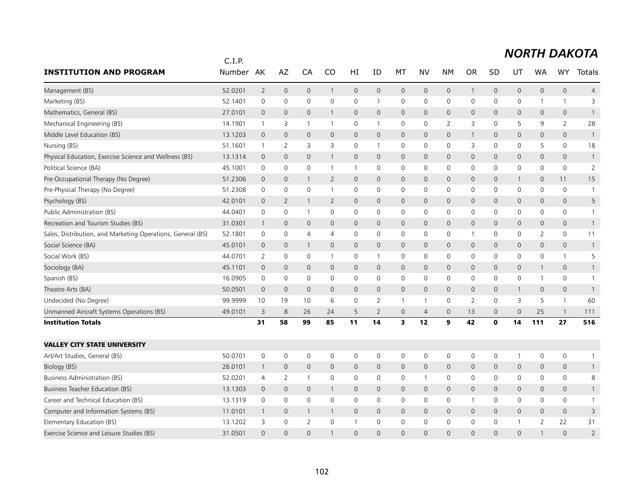# *NORTH DAKOTA*

|                                                             | C.I.P.  |                     |                     |                |                |                     |                     |                |                |                     |                |              |              |                     |                |                |
|-------------------------------------------------------------|---------|---------------------|---------------------|----------------|----------------|---------------------|---------------------|----------------|----------------|---------------------|----------------|--------------|--------------|---------------------|----------------|----------------|
| <b>INSTITUTION AND PROGRAM</b>                              | Number  | AK                  | AZ                  | CA             | CO             | HI                  | ID                  | МT             | NV             | <b>NM</b>           | <b>OR</b>      | <b>SD</b>    | UT           | WA                  | <b>WY</b>      | <b>Totals</b>  |
| Management (BS)                                             | 52.0201 | $\overline{2}$      | $\mathbf 0$         | $\mathbf 0$    | $\mathbf{1}$   | $\mathsf{O}\xspace$ | $\mathsf{O}\xspace$ | $\mathsf{O}$   | $\mathbf 0$    | $\mathbf 0$         | $\mathbf{1}$   | $\mathbf 0$  | 0            | $\mathsf{O}\xspace$ | $\mathbf 0$    | $\overline{4}$ |
| Marketing (BS)                                              | 52.1401 | $\mathsf{O}\xspace$ | $\mathbf 0$         | $\mathbf 0$    | $\mathbf 0$    | $\mathbf 0$         | $\mathbf{1}$        | 0              | $\mathbf 0$    | 0                   | 0              | 0            | 0            | 1                   | $\mathbf{1}$   | 3              |
| Mathematics, General (BS)                                   | 27.0101 | $\mathbf 0$         | $\mathbf{0}$        | $\mathbf{0}$   | $\mathbf{1}$   | $\mathbf{0}$        | $\mathbf{0}$        | $\overline{0}$ | $\mathbf{0}$   | $\mathbf{0}$        | $\mathbf 0$    | $\mathbf 0$  | 0            | $\mathbf{0}$        | $\mathbf{0}$   | $\mathbf{1}$   |
| Mechanical Engineering (BS)                                 | 14.1901 | $\overline{1}$      | 3                   | -1             |                | 0                   | 1                   | $\mathbf 0$    | $\mathbf 0$    | 2                   | 3              | 0            | 5            | 9                   | $\overline{2}$ | 28             |
| Middle Level Education (BS)                                 | 13.1203 | $\mathbf 0$         | $\mathsf{O}\xspace$ | $\mathbf 0$    | $\mathbf 0$    | $\mathbf 0$         | $\mathbf 0$         | $\mathbf 0$    | $\mathbf 0$    | $\mathsf{O}\xspace$ | $\mathbf{1}$   | 0            | 0            | $\mathbf 0$         | 0              | $\overline{1}$ |
| Nursing (BS)                                                | 51.1601 | $\overline{1}$      | 2                   | 3              | 3              | $\mathbf 0$         | $\mathbf{1}$        | $\mathbf 0$    | $\mathbf 0$    | $\mathbf 0$         | 3              | $\mathbf 0$  | $\mathbf 0$  | 5                   | $\mathsf{O}$   | 18             |
| Physical Education, Exercise Science and Wellness (BS)      | 13.1314 | $\mathbf 0$         | $\mathbf{0}$        | $\mathbf{0}$   | $\mathbf{1}$   | $\mathbf{0}$        | $\mathbf{0}$        | $\overline{0}$ | $\mathbf{0}$   | $\mathbf{0}$        | $\mathsf{O}$   | $\Omega$     | 0            | $\mathbf{0}$        | $\overline{0}$ | $\mathbf{1}$   |
| Political Science (BA)                                      | 45.1001 | 0                   | $\mathbf 0$         | 0              | $\overline{1}$ | $\mathbf{1}$        | 0                   | 0              | $\mathsf{O}$   | 0                   | 0              | 0            | 0            | 0                   | 0              | $\overline{2}$ |
| Pre-Occupational Therapy (No Degree)                        | 51.2306 | $\overline{0}$      | $\mathbf 0$         | $\mathbf{1}$   | $\overline{2}$ | $\overline{0}$      | $\mathbf{0}$        | $\overline{0}$ | $\mathbf{0}$   | $\mathbf{0}$        | 0              | $\mathbf 0$  | $\mathbf{1}$ | $\mathbf{0}$        | 11             | 15             |
| Pre-Physical Therapy (No Degree)                            | 51.2308 | 0                   | 0                   | $\mathbf 0$    | -1             | 0                   | 0                   | 0              | $\mathbf 0$    | $\mathbf 0$         | 0              | 0            | 0            | 0                   | 0              | $\overline{1}$ |
| Psychology (BS)                                             | 42.0101 | $\overline{0}$      | 2                   | $\mathbf{1}$   | $\overline{2}$ | $\mathbf{0}$        | $\mathbf{0}$        | $\overline{0}$ | $\mathbf{0}$   | $\mathbf{0}$        | $\mathsf{O}$   | $\Omega$     | 0            | $\mathbf{0}$        | $\mathbf{0}$   | 5              |
| Public Administration (BS)                                  | 44.0401 | $\mathsf 0$         | $\mathbf 0$         | $\mathbf{1}$   | $\mathbf 0$    | $\mathbf 0$         | 0                   | 0              | $\mathbf 0$    | $\mathbf 0$         | 0              | 0            | 0            | $\mathbf 0$         | 0              | $\mathbf{1}$   |
| Recreation and Tourism Studies (BS)                         | 31.0301 | $\mathbf{1}$        | $\mathbf 0$         | $\mathbf 0$    | $\mathbf{0}$   | $\mathsf{O}$        | $\mathbf{0}$        | $\overline{0}$ | $\mathbf 0$    | $\mathbf 0$         | $\mathsf{O}$   | $\mathbf 0$  | 0            | $\mathbf{0}$        | $\mathbf{0}$   | $\mathbf{1}$   |
| Sales, Distribution, and Marketing Operations, General (BS) | 52.1801 | $\mathbf 0$         | 0                   | 4              | 4              | 0                   | $\mathbf{0}$        | $\mathbf 0$    | $\mathbf 0$    | $\mathbf 0$         | $\mathbf 1$    | 0            | 0            | $\overline{2}$      | 0              | 11             |
| Social Science (BA)                                         | 45.0101 | 0                   | $\mathbf 0$         | $\mathbf{1}$   | $\mathbf 0$    | $\mathbf 0$         | $\mathbf 0$         | $\mathsf{O}$   | $\mathbf 0$    | $\mathbf 0$         | 0              | 0            | 0            | 0                   | 0              | $\mathbf{1}$   |
| Social Work (BS)                                            | 44.0701 | $\overline{2}$      | $\mathbf 0$         | $\mathbf 0$    | $\overline{1}$ | 0                   | 1                   | 0              | $\mathbf 0$    | $\mathbf 0$         | 0              | 0            | 0            | $\mathbf 0$         | $\mathbf{1}$   | 5              |
| Sociology (BA)                                              | 45.1101 | $\overline{0}$      | $\mathbf 0$         | $\mathbf{0}$   | $\mathbf{0}$   | $\mathbf{0}$        | $\mathbf{0}$        | $\overline{0}$ | $\mathbf{0}$   | $\mathbf{0}$        | $\mathsf{O}$   | $\mathbf{0}$ | 0            | $\mathbf{1}$        | $\mathbf{0}$   | $\mathbf{1}$   |
| Spanish (BS)                                                | 16.0905 | $\mathbf 0$         | 0                   | $\mathbf{0}$   | $\mathbf{0}$   | 0                   | $\mathbf{0}$        | 0              | $\mathbf{0}$   | $\mathbf 0$         | 0              | $\mathbf{0}$ | 0            | 1                   | 0              | $\mathbf{1}$   |
| Theatre Arts (BA)                                           | 50.0501 | $\mathbf 0$         | $\mathbf 0$         | $\mathbf{0}$   | $\mathbf 0$    | $\mathbf 0$         | $\mathbf 0$         | $\mathbf 0$    | $\mathbf{0}$   | $\mathbf 0$         | $\mathbf 0$    | $\mathbf 0$  | $\mathbf{1}$ | $\mathbf 0$         | $\mathbf 0$    | $\mathbf{1}$   |
| Undecided (No Degree)                                       | 99.9999 | 10                  | 19                  | 10             | 6              | $\mathbf 0$         | $\overline{2}$      | $\mathbf{1}$   | $\mathbf{1}$   | $\mathbf 0$         | $\overline{2}$ | 0            | 3            | 5                   | $\mathbf{1}$   | 60             |
| Unmanned Aircraft Systems Operations (BS)                   | 49.0101 | 3                   | 8                   | 26             | 24             | 5                   | $\overline{2}$      | $\mathbf 0$    | $\overline{4}$ | $\mathbf{0}$        | 13             | $\mathbf 0$  | 0            | 25                  | $\mathbf{1}$   | 111            |
| <b>Institution Totals</b>                                   |         | 31                  | 58                  | 99             | 85             | 11                  | 14                  | 3              | 12             | 9                   | 42             | $\mathbf{0}$ | 14           | 111                 | 27             | 516            |
| <b>VALLEY CITY STATE UNIVERSITY</b>                         |         |                     |                     |                |                |                     |                     |                |                |                     |                |              |              |                     |                |                |
| Art/Art Studies, General (BS)                               | 50.0701 | $\mathbf 0$         | $\mathbf 0$         | $\mathbf 0$    | 0              | $\mathbf 0$         | $\mathbf 0$         | $\mathbf 0$    | $\mathsf{O}$   | $\mathbf 0$         | 0              | 0            | 1            | $\mathbf 0$         | 0              | 1              |
| Biology (BS)                                                | 26.0101 | $\mathbf{1}$        | $\mathbf 0$         | $\mathbf 0$    | $\mathbf{0}$   | $\mathbf 0$         | $\mathbf 0$         | $\mathsf{O}$   | $\mathbf 0$    | $\mathbf 0$         | 0              | $\mathbf 0$  | 0            | $\mathbf 0$         | 0              | $\mathbf{1}$   |
| <b>Business Administration (BS)</b>                         | 52.0201 | $\overline{4}$      | 2                   | $\overline{1}$ | $\mathbf 0$    | $\mathbf 0$         | $\mathbf 0$         | $\mathbf 0$    | $\mathbf{1}$   | $\mathbf 0$         | 0              | 0            | $\mathbf 0$  | $\mathbf 0$         | $\mathbf 0$    | 8              |
| Business Teacher Education (BS)                             | 13.1303 | $\overline{0}$      | $\mathbf{0}$        | $\mathbf{0}$   | $\mathbf{1}$   | $\mathbf{0}$        | $\mathbf{0}$        | $\overline{0}$ | $\mathbf{0}$   | $\mathbf{0}$        | $\mathsf{O}$   | 0            | 0            | $\mathbf{0}$        | $\overline{0}$ | $\mathbf{1}$   |
| Career and Technical Education (BS)                         | 13.1319 | $\mathsf 0$         | $\mathbf 0$         | $\mathbf 0$    | $\mathbf 0$    | 0                   | $\mathbf 0$         | 0              | $\mathsf{O}$   | $\mathbf 0$         | $\mathbf{1}$   | 0            | 0            | 0                   | $\mathbf 0$    | $\mathbf{1}$   |
| Computer and Information Systems (BS)                       | 11.0101 | $\mathbf{1}$        | $\mathbf 0$         | $\mathbf{1}$   | $\mathbf{1}$   | $\mathbf 0$         | $\mathbf{0}$        | $\mathsf{O}$   | $\mathbf{0}$   | $\mathbf{0}$        | $\mathbf 0$    | $\mathbf 0$  | 0            | $\mathbf{0}$        | $\mathbf{0}$   | 3              |
| Elementary Education (BS)                                   | 13.1202 | 3                   | $\mathbf 0$         | $\overline{2}$ | $\Omega$       | 1                   | 0                   | $\mathbf 0$    | $\mathbf 0$    | $\mathbf 0$         | 0              | 0            | 1            | $\overline{2}$      | 22             | 31             |
| Exercise Science and Leisure Studies (BS)                   | 31.0501 | $\Omega$            | $\Omega$            | $\Omega$       |                | $\Omega$            | $\Omega$            | $\Omega$       | $\Omega$       | $\Omega$            | $\Omega$       | $\Omega$     | $\Omega$     |                     | $\Omega$       | $\overline{2}$ |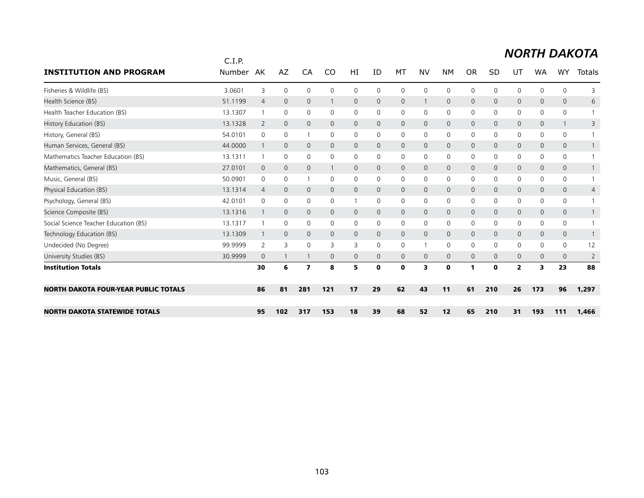# *NORTH DAKOTA*

|                                             | C.I.P.  |                |              |                |              |              |              |              |              |              |              |              |                |              |              |                |
|---------------------------------------------|---------|----------------|--------------|----------------|--------------|--------------|--------------|--------------|--------------|--------------|--------------|--------------|----------------|--------------|--------------|----------------|
| <b>INSTITUTION AND PROGRAM</b>              | Number  | AK             | AZ           | CA             | CO           | HI           | ID           | MT           | <b>NV</b>    | <b>NM</b>    | <b>OR</b>    | <b>SD</b>    | UT             | <b>WA</b>    | <b>WY</b>    | Totals         |
| Fisheries & Wildlife (BS)                   | 3.0601  | 3              | $\mathbf 0$  | $\mathbf 0$    | $\mathbf{0}$ | 0            | 0            | $\mathbf 0$  | $\Omega$     | $\mathbf 0$  | $\mathbf 0$  | 0            | 0              | 0            | 0            | 3              |
| Health Science (BS)                         | 51.1199 | $\overline{4}$ | $\mathbf{0}$ | $\mathbf{0}$   |              | 0            | $\mathbf 0$  | $\mathbf{0}$ |              | $\mathbf{0}$ | $\mathbf{0}$ | $\mathbf 0$  | $\mathbf{0}$   | 0            | $\mathbf{0}$ | 6              |
| Health Teacher Education (BS)               | 13.1307 |                | 0            | $\mathbf 0$    | 0            | 0            | 0            | 0            | $\mathbf 0$  | 0            | $\mathbf 0$  | 0            | 0              | 0            | 0            |                |
| History Education (BS)                      | 13.1328 | $\overline{2}$ | $\mathbf{0}$ | $\mathbf{0}$   | $\mathbf{0}$ | 0            | 0            | $\mathsf{O}$ | $\mathbf{0}$ | $\mathbf 0$  | $\mathbf 0$  | $\Omega$     | $\mathsf{O}$   | 0            | 1            | 3              |
| History, General (BS)                       | 54.0101 | 0              | $\mathbf 0$  |                | 0            | 0            | 0            | 0            | 0            | 0            | $\mathbf 0$  | 0            | 0              | 0            | 0            |                |
| Human Services, General (BS)                | 44.0000 |                | $\mathbf{0}$ | $\mathbf{0}$   | $\mathbf 0$  | $\mathsf{O}$ | $\Omega$     | $\mathbf{0}$ | $\mathbf{0}$ | $\mathbf{0}$ | $\mathbf 0$  | $\Omega$     | $\mathbf{0}$   | $\mathbf{0}$ | $\mathsf{O}$ |                |
| Mathematics Teacher Education (BS)          | 13.1311 |                | $\mathbf 0$  | $\mathbf 0$    | 0            | 0            | $\mathbf{0}$ | 0            | 0            | 0            | 0            | 0            | 0              | 0            | 0            |                |
| Mathematics, General (BS)                   | 27.0101 | $\mathbf 0$    | $\mathbf 0$  | $\mathbf{0}$   |              | 0            | $\Omega$     | $\mathbf{0}$ | $\mathbf{0}$ | $\mathbf{0}$ | $\mathbf{0}$ | $\Omega$     | $\mathbf{0}$   | 0            | $\mathbf{0}$ |                |
| Music, General (BS)                         | 50.0901 | 0              | $\mathbf 0$  |                | 0            | 0            | 0            | 0            | 0            | 0            | 0            | 0            | 0              | 0            | 0            |                |
| Physical Education (BS)                     | 13.1314 | 4              | $\mathbf 0$  | $\mathbf{0}$   | $\mathbf{0}$ | 0            | $\mathbf 0$  | $\mathbf 0$  | $\mathbf{0}$ | $\mathbf 0$  | $\mathbf{0}$ | $\mathbf{0}$ | $\mathsf{O}$   | $\mathbf{0}$ | 0            | 4              |
| Psychology, General (BS)                    | 42.0101 | 0              | 0            | $\mathbf 0$    | $\mathbf{0}$ |              | 0            | 0            | 0            | 0            | 0            | 0            | 0              | 0            | 0            |                |
| Science Composite (BS)                      | 13.1316 |                | $\mathbf{0}$ | $\mathbf{0}$   | $\mathbf{0}$ | 0            | 0            | $\mathbf{0}$ | $\mathbf{0}$ | $\mathbf{0}$ | $\mathbf 0$  | $\mathbf{0}$ | $\mathbf{0}$   | 0            | $\mathbf{0}$ |                |
| Social Science Teacher Education (BS)       | 13.1317 |                | $\mathbf 0$  | $\mathbf 0$    | 0            | 0            | 0            | 0            | 0            | 0            | 0            | 0            | 0              | 0            | 0            |                |
| Technology Education (BS)                   | 13.1309 |                | $\mathbf{0}$ | $\mathbf{0}$   | $\mathbf{0}$ | $\mathsf{O}$ | 0            | $\mathbf{0}$ | $\mathbf{0}$ | $\mathbf{0}$ | $\mathbf{0}$ | $\mathbf 0$  | $\mathbf{0}$   | 0            | $\mathbf{0}$ |                |
| Undecided (No Degree)                       | 99.9999 | 2              | 3            | $\mathbf 0$    | 3            | 3            | $\mathbf{0}$ | 0            |              | 0            | $\mathbf 0$  | 0            | 0              | 0            | 0            | 12             |
| University Studies (BS)                     | 30.9999 | $\mathbf 0$    | $\mathbf{1}$ |                | $\Omega$     | $\mathsf{O}$ | $\Omega$     | $\mathbf{0}$ | $\mathbf{0}$ | $\mathbf{0}$ | $\mathbf 0$  | $\Omega$     | $\mathbf{0}$   | $\Omega$     | $\mathbf{0}$ | $\overline{2}$ |
| <b>Institution Totals</b>                   |         | 30             | 6            | $\overline{ }$ | 8            | 5            | 0            | $\mathbf 0$  | 3            | $\mathbf 0$  | 1            | $\bf{0}$     | $\overline{2}$ | 3.           | 23           | 88             |
| <b>NORTH DAKOTA FOUR-YEAR PUBLIC TOTALS</b> |         | 86             | 81           | 281            | 121          | 17           | 29           | 62           | 43           | 11           | 61           | 210          | 26             | 173          | 96           | 1,297          |
| <b>NORTH DAKOTA STATEWIDE TOTALS</b>        |         | 95             | 102          | 317            | 153          | 18           | 39           | 68           | 52           | 12           | 65           | 210          | 31             | 193          | 111          | 1,466          |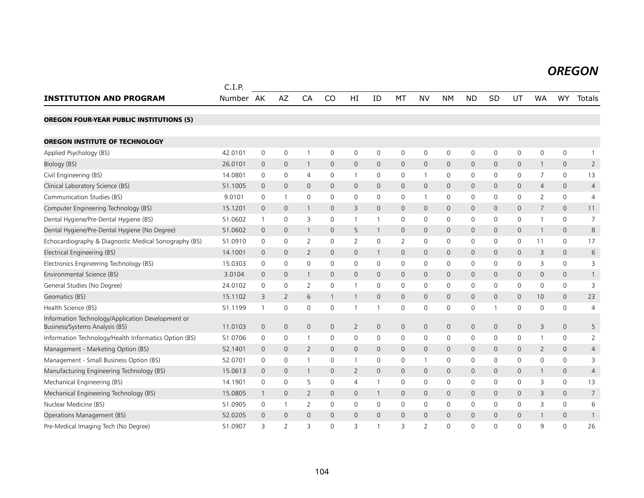#### *OREGON OREGON*

|                                                                                     | C.I.P.    |                |                     |                |              |              |                |                |                          |                |              |              |              |                |                |                |
|-------------------------------------------------------------------------------------|-----------|----------------|---------------------|----------------|--------------|--------------|----------------|----------------|--------------------------|----------------|--------------|--------------|--------------|----------------|----------------|----------------|
| <b>INSTITUTION AND PROGRAM</b>                                                      | Number AK |                | <b>AZ</b>           | CA             | CO           | HI           | ID             | MT             | <b>NV</b>                | <b>NM</b>      | <b>ND</b>    | SD           | UT           | <b>WA</b>      | WY             | Totals         |
| <b>OREGON FOUR-YEAR PUBLIC INSTITUTIONS (5)</b>                                     |           |                |                     |                |              |              |                |                |                          |                |              |              |              |                |                |                |
| <b>OREGON INSTITUTE OF TECHNOLOGY</b>                                               |           |                |                     |                |              |              |                |                |                          |                |              |              |              |                |                |                |
| Applied Psychology (BS)                                                             | 42.0101   | $\mathbf 0$    | $\mathsf{O}\xspace$ |                | $\mathbf 0$  | $\mathsf{O}$ | 0              | 0              | $\mathbf 0$              | $\mathbf 0$    | 0            | $\mathbf 0$  | $\mathsf{O}$ | $\mathbf 0$    | 0              | $\mathbf{1}$   |
| Biology (BS)                                                                        | 26.0101   | $\overline{0}$ | $\mathbf 0$         | $\mathbf{1}$   | $\mathbf{0}$ | $\mathsf{O}$ | $\mathbf{0}$   | 0              | $\mathbf 0$              | $\mathbf 0$    | $\mathbf 0$  | $\mathbf{0}$ | 0            | $\mathbf{1}$   | $\overline{0}$ | $\overline{2}$ |
| Civil Engineering (BS)                                                              | 14.0801   | 0              | 0                   | 4              | 0            | $\mathbf{1}$ | 0              | 0              | $\mathbf{1}$             | 0              | 0            | 0            | 0            | 7              | 0              | 13             |
| Clinical Laboratory Science (BS)                                                    | 51.1005   | 0              | $\mathbf 0$         | $\mathbf 0$    | 0            | $\mathsf{O}$ | $\mathbf 0$    | 0              | $\mathbf 0$              | $\mathbf 0$    | $\mathbf{0}$ | $\mathbf 0$  | 0            | $\overline{4}$ | 0              | $\overline{4}$ |
| Communication Studies (BS)                                                          | 9.0101    | 0              | $\mathbf{1}$        | $\mathbf 0$    | $\Omega$     | $\mathbf 0$  | 0              | 0              | $\mathbf{1}$             | $\mathbf 0$    | 0            | 0            | $\mathbf 0$  | $\overline{2}$ | 0              | 4              |
| Computer Engineering Technology (BS)                                                | 15.1201   | $\mathbf 0$    | $\mathbf 0$         | -1             | $\mathbf{0}$ | 3            | $\overline{0}$ | $\overline{0}$ | $\mathbf{0}$             | $\mathbf 0$    | $\mathbf 0$  | $\mathbf 0$  | $\mathsf{O}$ | 7              | $\mathbf{0}$   | 11             |
| Dental Hygiene/Pre-Dental Hygiene (BS)                                              | 51.0602   | 1              | $\mathbf 0$         | 3              | $\mathbf{0}$ | $\mathbf{1}$ | -1             | 0              | $\mathbf 0$              | $\mathbf 0$    | 0            | $\mathbf{0}$ | 0            | 1              | 0              | $\overline{7}$ |
| Dental Hygiene/Pre-Dental Hygiene (No Degree)                                       | 51.0602   | $\mathbf 0$    | $\mathbf 0$         | -1             | $\mathbf{0}$ | 5            | $\mathbf{1}$   | 0              | $\mathbf{0}$             | $\mathbf 0$    | $\mathbf 0$  | $\mathbf 0$  | 0            | 1              | 0              | 8              |
| Echocardiography & Diagnostic Medical Sonography (BS)                               | 51.0910   | 0              | 0                   | 2              | 0            | 2            | 0              | 2              | 0                        | 0              | 0            | 0            | 0            | 11             | 0              | 17             |
| Electrical Engineering (BS)                                                         | 14.1001   | 0              | $\mathbf 0$         | 2              | 0            | $\mathsf{O}$ | 1              | 0              | $\mathbf 0$              | $\overline{0}$ | 0            | $\mathbf 0$  | $\mathsf{O}$ | 3              | 0              | 6              |
| Electronics Engineering Technology (BS)                                             | 15.0303   | 0              | 0                   | $\mathbf 0$    | 0            | 0            | 0              | 0              | 0                        | 0              | 0            | 0            | 0            | 3              | 0              | 3              |
| Environmental Science (BS)                                                          | 3.0104    | $\mathbf 0$    | $\mathbf 0$         | $\mathbf{1}$   | $\mathbf{0}$ | $\mathbf{0}$ | 0              | 0              | $\mathbf 0$              | $\mathbf 0$    | $\mathbf{0}$ | $\mathbf 0$  | 0            | $\mathbf 0$    | $\mathbf{0}$   | $\mathbf{1}$   |
| General Studies (No Degree)                                                         | 24.0102   | 0              | 0                   | 2              | 0            | $\mathbf{1}$ | 0              | 0              | 0                        | 0              | 0            | 0            | 0            | 0              | 0              | 3              |
| Geomatics (BS)                                                                      | 15.1102   | 3              | $\overline{2}$      | 6              | 1            | $\mathbf{1}$ | $\mathbf 0$    | 0              | $\mathbf 0$              | $\mathbf 0$    | 0            | $\mathbf 0$  | 0            | 10             | 0              | 23             |
| Health Science (BS)                                                                 | 51.1199   | $\mathbf{1}$   | 0                   | $\mathbf 0$    | $\mathbf 0$  | $\mathbf{1}$ | -1             | 0              | $\mathbf 0$              | $\mathsf 0$    | 0            | $\mathbf 1$  | 0            | 0              | 0              | 4              |
| Information Technology/Application Development or<br>Business/Systems Analysis (BS) | 11.0103   | $\overline{0}$ | $\mathbf 0$         | $\mathbf 0$    | 0            | 2            | $\mathbf 0$    | $\mathbf 0$    | $\mathbf 0$              | $\overline{0}$ | $\mathbf 0$  | $\mathbf 0$  | $\mathsf{O}$ | 3              | $\mathsf{O}$   | 5              |
| Information Technology/Health Informatics Option (BS)                               | 51.0706   | 0              | 0                   | -1             | 0            | 0            | 0              | 0              | $\mathbf 0$              | $\mathbf 0$    | 0            | 0            | 0            | 1              | 0              | $\overline{2}$ |
| Management - Marketing Option (BS)                                                  | 52.1401   | 0              | $\mathbf 0$         | 2              | $\mathbf{0}$ | $\mathsf{O}$ | $\mathbf{0}$   | $\mathsf{O}$   | $\mathbf 0$              | $\overline{0}$ | $\mathbf{0}$ | $\mathbf 0$  | $\mathsf{O}$ | $\overline{2}$ | $\mathbf{0}$   | 4              |
| Management - Small Business Option (BS)                                             | 52.0701   | 0              | 0                   | $\overline{1}$ | 0            | $\mathbf{1}$ | 0              | 0              | $\mathbf{1}$             | 0              | 0            | 0            | 0            | 0              | 0              | 3              |
| Manufacturing Engineering Technology (BS)                                           | 15.0613   | 0              | $\mathbf 0$         | -1             | 0            | 2            | $\mathbf 0$    | 0              | $\mathbf 0$              | $\mathbf 0$    | $\mathbf 0$  | $\mathbf 0$  | 0            | 1              | 0              | 4              |
| Mechanical Engineering (BS)                                                         | 14.1901   | 0              | 0                   | 5              | 0            | 4            | -1             | 0              | $\mathbf 0$              | 0              | 0            | 0            | 0            | 3              | 0              | 13             |
| Mechanical Engineering Technology (BS)                                              | 15.0805   | 1              | $\mathbf 0$         | 2              | $\mathbf{0}$ | $\mathsf{O}$ | -1             | 0              | $\mathbf{0}$             | $\mathbf 0$    | $\mathbf 0$  | $\mathbf 0$  | 0            | 3              | $\mathbf{0}$   | 7              |
| Nuclear Medicine (BS)                                                               | 51.0905   | 0              | $\mathbf{1}$        | $\overline{2}$ | 0            | $\mathsf{O}$ | 0              | 0              | $\mathbf 0$              | $\mathbf 0$    | 0            | $\mathbf{0}$ | 0            | 3              | 0              | 6              |
| Operations Management (BS)                                                          | 52.0205   | $\mathbf 0$    | $\mathbf 0$         | $\mathbf{0}$   | $\mathbf{0}$ | $\mathbf{0}$ | 0              | $\mathbf{0}$   | $\mathbf{0}$             | $\mathbf 0$    | $\mathbf{0}$ | $\Omega$     | 0            |                | $\mathbf{0}$   | $\mathbf{1}$   |
| Pre-Medical Imaging Tech (No Degree)                                                | 51.0907   | 3              | 2                   | 3              | $\Omega$     | 3            |                | $\overline{3}$ | $\overline{\phantom{0}}$ | $\mathbf{0}$   | 0            | 0            | 0            | q              | $\Omega$       | 26             |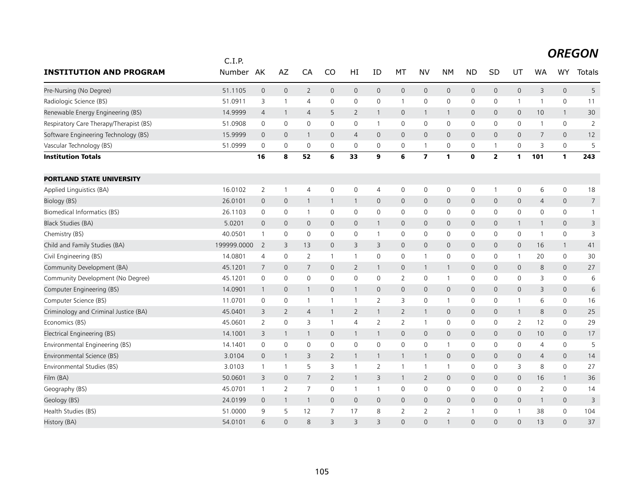|                                         | C.I.P.      |                |                     |                |                |                     |                     |                |                         |                |                     |                |              |                |                     |                |
|-----------------------------------------|-------------|----------------|---------------------|----------------|----------------|---------------------|---------------------|----------------|-------------------------|----------------|---------------------|----------------|--------------|----------------|---------------------|----------------|
| <b>INSTITUTION AND PROGRAM</b>          | Number      | AK             | AZ                  | CA             | CO             | HI                  | ID                  | MT             | <b>NV</b>               | <b>NM</b>      | <b>ND</b>           | <b>SD</b>      | UT           | <b>WA</b>      | <b>WY</b>           | Totals         |
| Pre-Nursing (No Degree)                 | 51.1105     | $\mathbf 0$    | $\mathbf 0$         | $\overline{2}$ | $\mathsf{O}$   | $\mathsf{O}\xspace$ | $\mathsf{O}\xspace$ | $\mathbf 0$    | $\mathbf 0$             | $\mathbf 0$    | $\mathsf{O}\xspace$ | $\mathbf 0$    | 0            | 3              | $\mathsf{O}$        | 5              |
| Radiologic Science (BS)                 | 51.0911     | 3              | $\mathbf{1}$        | 4              | 0              | 0                   | 0                   | $\mathbf{1}$   | $\mathbf 0$             | $\mathbf 0$    | 0                   | 0              | 1            | 1              | 0                   | 11             |
| Renewable Energy Engineering (BS)       | 14.9999     | 4              | $\mathbf{1}$        | $\overline{4}$ | 5              | 2                   | $\mathbf{1}$        | 0              | $\overline{1}$          | $\mathbf{1}$   | $\mathbf{0}$        | $\mathbf{0}$   | $\mathsf{O}$ | 10             | $\mathbf{1}$        | 30             |
| Respiratory Care Therapy/Therapist (BS) | 51.0908     | $\mathbf 0$    | $\mathsf{O}\xspace$ | $\mathbf 0$    | $\mathbf 0$    | 0                   | $\mathbf{1}$        | $\mathbf 0$    | $\mathsf{O}$            | $\mathbf 0$    | $\mathbf 0$         | $\mathbf 0$    | 0            | 1              | $\mathbf 0$         | $\overline{2}$ |
| Software Engineering Technology (BS)    | 15.9999     | $\mathbf 0$    | 0                   | -1             | $\mathbf{0}$   | $\overline{4}$      | $\mathbf{0}$        | $\mathbf{0}$   | $\mathbf{0}$            | $\mathbf 0$    | $\mathbf 0$         | $\mathbf{0}$   | 0            | $\overline{7}$ | 0                   | 12             |
| Vascular Technology (BS)                | 51.0999     | $\mathbf 0$    | $\mathbf 0$         | $\mathbf 0$    | 0              | $\mathbf 0$         | 0                   | 0              | $\mathbf{1}$            | 0              | 0                   | 1              | 0            | 3              | 0                   | 5              |
| <b>Institution Totals</b>               |             | 16             | 8                   | 52             | 6              | 33                  | 9                   | 6              | $\overline{\mathbf{z}}$ | $\mathbf{1}$   | $\mathbf 0$         | $\overline{2}$ | 1            | 101            | 1                   | 243            |
| <b>PORTLAND STATE UNIVERSITY</b>        |             |                |                     |                |                |                     |                     |                |                         |                |                     |                |              |                |                     |                |
| Applied Linguistics (BA)                | 16.0102     | $\mathbf{2}$   | $\mathbf{1}$        | $\overline{4}$ | 0              | 0                   | 4                   | $\mathbf 0$    | $\mathsf{O}\xspace$     | $\mathbf 0$    | 0                   | 1              | 0            | 6              | $\mathsf{O}\xspace$ | 18             |
| Biology (BS)                            | 26.0101     | 0              | $\mathbf 0$         | -1             | 1              | 1                   | 0                   | $\mathsf{O}$   | $\mathbf 0$             | $\mathbf 0$    | 0                   | $\mathbf 0$    | 0            | $\overline{4}$ | $\mathbf 0$         | $\overline{7}$ |
| Biomedical Informatics (BS)             | 26.1103     | 0              | 0                   | $\overline{1}$ | 0              | $\mathbf 0$         | 0                   | $\mathbf 0$    | $\mathbf 0$             | $\mathbf 0$    | 0                   | 0              | $\mathbf 0$  | $\mathbf 0$    | $\mathbf 0$         | $\mathbf{1}$   |
| <b>Black Studies (BA)</b>               | 5.0201      | 0              | $\mathbf 0$         | $\mathbf 0$    | $\Omega$       | $\mathsf{O}$        | $\mathbf{1}$        | 0              | $\mathbf 0$             | $\mathbf 0$    | 0                   | $\mathbf 0$    | $\mathbf{1}$ | 1              | $\mathbf 0$         | 3              |
| Chemistry (BS)                          | 40.0501     | 1              | 0                   | $\mathbf 0$    | 0              | 0                   | $\mathbf{1}$        | 0              | 0                       | 0              | 0                   | 0              | 0            | 1              | 0                   | 3              |
| Child and Family Studies (BA)           | 199999.0000 | 2              | 3                   | 13             | $\mathbf{0}$   | 3                   | 3                   | $\mathsf{O}$   | $\mathbf{0}$            | $\mathbf 0$    | $\mathbf{0}$        | $\mathbf{0}$   | $\mathsf{O}$ | 16             | $\mathbf{1}$        | 41             |
| Civil Engineering (BS)                  | 14.0801     | $\overline{4}$ | $\mathbf 0$         | $\overline{2}$ | $\mathbf{1}$   | $\mathbf{1}$        | 0                   | $\mathbf 0$    | $\mathbf{1}$            | $\mathbf 0$    | $\mathbf 0$         | $\mathbf 0$    | $\mathbf{1}$ | 20             | 0                   | 30             |
| Community Development (BA)              | 45.1201     | 7              | $\mathbf 0$         | $\overline{7}$ | $\mathbf{0}$   | $\overline{2}$      | $\mathbf{1}$        | $\mathsf{O}$   | $\mathbf{1}$            | $\mathbf{1}$   | 0                   | $\mathbf 0$    | $\mathsf{O}$ | 8              | 0                   | 27             |
| Community Development (No Degree)       | 45.1201     | $\mathbf 0$    | $\mathsf{O}\xspace$ | $\mathbf 0$    | 0              | $\mathbf 0$         | 0                   | $\overline{2}$ | $\mathsf{O}$            | $\mathbf{1}$   | 0                   | 0              | $\mathbf 0$  | 3              | $\mathbf 0$         | $\,$ 6 $\,$    |
| Computer Engineering (BS)               | 14.0901     | $\overline{1}$ | $\mathbf 0$         | $\mathbf{1}$   | $\mathbf{0}$   | $\mathbf{1}$        | $\overline{0}$      | $\mathbf{0}$   | $\mathbf{0}$            | $\mathbf 0$    | $\mathbf{0}$        | $\mathbf{0}$   | 0            | 3              | $\mathbf{0}$        | 6              |
| Computer Science (BS)                   | 11.0701     | 0              | 0                   | $\overline{1}$ | $\mathbf{1}$   | $\mathbf{1}$        | $\overline{2}$      | 3              | $\mathsf{O}$            | $\overline{1}$ | 0                   | 0              | 1            | 6              | $\mathbf 0$         | 16             |
| Criminology and Criminal Justice (BA)   | 45.0401     | 3              | 2                   | $\overline{4}$ | $\mathbf{1}$   | 2                   | $\mathbf{1}$        | $\overline{2}$ | $\mathbf{1}$            | $\overline{0}$ | $\mathbf 0$         | $\mathbf{0}$   | $\mathbf{1}$ | 8              | $\overline{0}$      | 25             |
| Economics (BS)                          | 45.0601     | $\overline{2}$ | $\mathsf{O}\xspace$ | 3              | 1              | $\overline{4}$      | $\overline{2}$      | $\overline{2}$ | $\overline{1}$          | $\mathbf 0$    | 0                   | 0              | 2            | 12             | 0                   | 29             |
| Electrical Engineering (BS)             | 14.1001     | 3              | $\mathbf{1}$        | -1             | 0              | $\mathbf{1}$        | -1                  | 0              | $\mathbf 0$             | $\mathbf 0$    | 0                   | 0              | $\mathsf{O}$ | 10             | 0                   | 17             |
| Environmental Engineering (BS)          | 14.1401     | $\mathbf 0$    | 0                   | $\mathbf 0$    | $\mathbf 0$    | 0                   | 0                   | $\mathbf 0$    | $\mathbf 0$             | $\overline{1}$ | 0                   | 0              | $\mathbf 0$  | $\overline{4}$ | 0                   | 5              |
| Environmental Science (BS)              | 3.0104      | $\overline{0}$ | $\mathbf{1}$        | 3              | $\overline{2}$ | $\mathbf{1}$        | $\mathbf{1}$        | $\mathbf{1}$   | $\mathbf{1}$            | $\overline{0}$ | $\mathsf{O}$        | $\mathbf{0}$   | $\mathsf{O}$ | $\overline{4}$ | $\overline{0}$      | 14             |
| Environmental Studies (BS)              | 3.0103      | 1              | $\mathbf{1}$        | 5              | 3              | $\mathbf{1}$        | $\overline{2}$      | $\mathbf{1}$   | $\mathbf{1}$            | $\mathbf{1}$   | 0                   | 0              | 3            | 8              | $\mathbf 0$         | 27             |
| Film (BA)                               | 50.0601     | 3              | $\mathbf 0$         | 7              | $\overline{2}$ | $\mathbf{1}$        | 3                   | $\mathbf{1}$   | $\overline{2}$          | $\mathbf 0$    | $\mathbf{0}$        | $\mathbf 0$    | $\mathbf{0}$ | 16             | $\mathbf{1}$        | 36             |
| Geography (BS)                          | 45.0701     | $\mathbf{1}$   | $\overline{2}$      | $\overline{7}$ | $\mathbf 0$    | $\mathbf{1}$        | $\mathbf{1}$        | $\mathbf 0$    | $\mathbf 0$             | $\mathbf 0$    | $\mathbf 0$         | $\mathbf{0}$   | $\mathbf 0$  | $\overline{2}$ | 0                   | 14             |
| Geology (BS)                            | 24.0199     | 0              | $\mathbf{1}$        | -1             | $\mathbf{0}$   | $\mathsf{O}$        | 0                   | 0              | $\mathbf 0$             | $\overline{0}$ | 0                   | $\mathbf{0}$   | $\mathsf{O}$ | 1              | 0                   | 3              |
| Health Studies (BS)                     | 51.0000     | 9              | 5                   | 12             | $\overline{7}$ | 17                  | 8                   | $\overline{2}$ | $\overline{2}$          | $\overline{2}$ | $\overline{1}$      | 0              | 1            | 38             | 0                   | 104            |
| History (BA)                            | 54.0101     | 6              | $\Omega$            | 8              | 3              | 3                   | 3                   | $\Omega$       | $\Omega$                | $\mathbf{1}$   | $\Omega$            | $\Omega$       | $\Omega$     | 13             | $\Omega$            | 37             |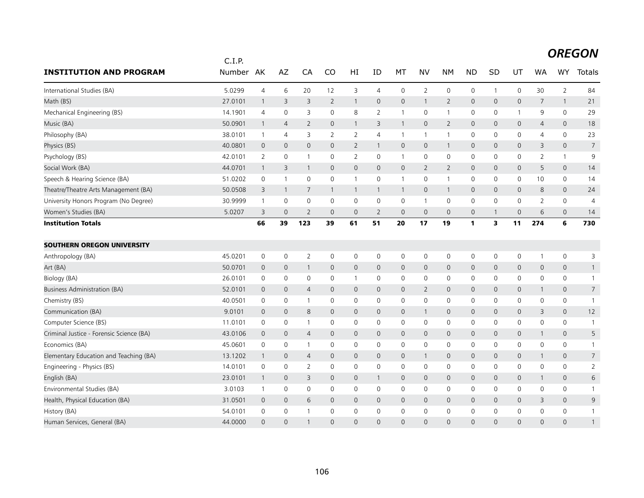|                                          | C.I.P.        |                |                     |                |                     |                |                |                     |                     |                |                |                |                     |                |                     |                 |
|------------------------------------------|---------------|----------------|---------------------|----------------|---------------------|----------------|----------------|---------------------|---------------------|----------------|----------------|----------------|---------------------|----------------|---------------------|-----------------|
| <b>INSTITUTION AND PROGRAM</b>           | <b>Number</b> | AK             | AZ                  | CA             | CO                  | HI             | ID             | MT                  | <b>NV</b>           | <b>NM</b>      | <b>ND</b>      | SD             | UT                  | <b>WA</b>      | <b>WY</b>           | <b>Totals</b>   |
| International Studies (BA)               | 5.0299        | $\overline{4}$ | 6                   | 20             | 12                  | 3              | $\overline{4}$ | $\mathbf 0$         | $\overline{2}$      | $\mathbf 0$    | $\mathbf 0$    | $\overline{1}$ | $\mathbf 0$         | 30             | $\overline{2}$      | 84              |
| Math (BS)                                | 27.0101       | $\mathbf{1}$   | 3                   | 3              | $\overline{2}$      | $\mathbf{1}$   | $\mathbf{0}$   | $\mathsf{O}$        | $\mathbf{1}$        | $\overline{2}$ | $\mathbf 0$    | 0              | $\mathsf{O}$        | 7              | $\mathbf{1}$        | 21              |
| Mechanical Engineering (BS)              | 14.1901       | $\overline{4}$ | 0                   | 3              | 0                   | 8              | 2              | 1                   | 0                   | $\mathbf{1}$   | 0              | 0              | $\mathbf{1}$        | 9              | 0                   | 29              |
| Music (BA)                               | 50.0901       | $\mathbf{1}$   | $\overline{4}$      | $\overline{2}$ | $\mathbf{0}$        | $\mathbf{1}$   | 3              | $\mathbf{1}$        | $\mathbf{0}$        | $\overline{2}$ | $\overline{0}$ | 0              | $\mathsf{O}$        | $\overline{4}$ | 0                   | 18              |
| Philosophy (BA)                          | 38.0101       | $\mathbf{1}$   | $\overline{4}$      | 3              | $\overline{2}$      | $\overline{2}$ | 4              | $\mathbf{1}$        | $\mathbf{1}$        | $\mathbf{1}$   | 0              | 0              | $\mathsf{O}$        | 4              | 0                   | 23              |
| Physics (BS)                             | 40.0801       | $\overline{0}$ | $\mathbf{0}$        | $\mathbf{0}$   | $\mathbf{0}$        | $\overline{2}$ | $\mathbf{1}$   | $\mathbf{0}$        | $\mathbf{0}$        | $\overline{1}$ | $\mathbf 0$    | 0              | $\mathbf{0}$        | 3              | $\mathbf{0}$        | $7\overline{ }$ |
| Psychology (BS)                          | 42.0101       | 2              | 0                   | -1             | 0                   | 2              | 0              | $\mathbf{1}$        | 0                   | 0              | 0              | 0              | 0                   | 2              | $\mathbf{1}$        | 9               |
| Social Work (BA)                         | 44.0701       | $\mathbf{1}$   | 3                   | 1              | 0                   | 0              | $\mathbf{0}$   | $\mathsf{O}$        | $\overline{2}$      | $\overline{2}$ | $\mathbf 0$    | 0              | $\mathsf{O}$        | 5              | 0                   | 14              |
| Speech & Hearing Science (BA)            | 51.0202       | 0              | $\mathbf{1}$        | $\mathbf 0$    | 0                   | $\mathbf{1}$   | 0              | $\mathbf{1}$        | $\mathbf 0$         | $\mathbf{1}$   | 0              | 0              | 0                   | 10             | 0                   | 14              |
| Theatre/Theatre Arts Management (BA)     | 50.0508       | 3              | $\mathbf{1}$        | 7              | $\mathbf{1}$        | $\mathbf{1}$   | $\mathbf{1}$   | $\mathbf{1}$        | $\mathbf{0}$        | $\overline{1}$ | $\mathbf 0$    | 0              | $\mathbf{0}$        | 8              | $\mathbf{0}$        | 24              |
| University Honors Program (No Degree)    | 30.9999       | $\mathbf{1}$   | 0                   | 0              | 0                   | 0              | 0              | 0                   | $\mathbf{1}$        | 0              | 0              | 0              | 0                   | 2              | 0                   | 4               |
| Women's Studies (BA)                     | 5.0207        | 3              | $\overline{0}$      | $\overline{2}$ | $\mathbf{0}$        | 0              | 2              | $\mathbf 0$         | $\mathbf{0}$        | $\mathbf 0$    | $\mathbf 0$    | $\mathbf{1}$   | $\mathbf 0$         | 6              | 0                   | 14              |
| <b>Institution Totals</b>                |               | 66             | 39                  | 123            | 39                  | 61             | 51             | 20                  | 17                  | 19             | $\mathbf{1}$   | 3              | 11                  | 274            | 6                   | 730             |
| <b>SOUTHERN OREGON UNIVERSITY</b>        |               |                |                     |                |                     |                |                |                     |                     |                |                |                |                     |                |                     |                 |
| Anthropology (BA)                        | 45.0201       | 0              | 0                   | $\overline{2}$ | 0                   | 0              | 0              | 0                   | 0                   | $\mathbf 0$    | 0              | 0              | 0                   | 1              | 0                   | 3               |
| Art (BA)                                 | 50.0701       | $\mathbf 0$    | $\mathbf 0$         | 1              | 0                   | 0              | $\mathbf{0}$   | $\mathsf{O}$        | $\mathsf{O}$        | $\mathbf 0$    | $\mathbf 0$    | 0              | $\mathsf{O}$        | $\mathbf 0$    | 0                   | 1               |
| Biology (BA)                             | 26.0101       | $\mathbf 0$    | $\mathsf{O}\xspace$ | 0              | $\mathbf 0$         | $\mathbf{1}$   | 0              | 0                   | $\mathbf 0$         | $\mathbf 0$    | 0              | 0              | $\mathbf 0$         | 0              | 0                   |                 |
| <b>Business Administration (BA)</b>      | 52.0101       | $\mathbf 0$    | $\mathbf 0$         | 4              | 0                   | 0              | 0              | $\mathbf 0$         | $\overline{2}$      | $\mathsf{O}$   | $\overline{0}$ | 0              | $\mathsf{O}\xspace$ | 1              | $\mathsf{O}\xspace$ | $\overline{7}$  |
| Chemistry (BS)                           | 40.0501       | 0              | 0                   | -1             | 0                   | 0              | $\mathbf 0$    | 0                   | $\mathbf 0$         | $\mathbf 0$    | 0              | 0              | 0                   | 0              | 0                   | $\mathbf{1}$    |
| Communication (BA)                       | 9.0101        | $\overline{0}$ | $\mathbf 0$         | 8              | 0                   | 0              | $\mathbf 0$    | $\mathsf{O}$        | $\mathbf{1}$        | $\mathbf 0$    | $\mathbf 0$    | 0              | $\mathsf{O}$        | 3              | 0                   | 12              |
| Computer Science (BS)                    | 11.0101       | 0              | 0                   |                | 0                   | 0              | 0              | 0                   | 0                   | $\mathbf 0$    | 0              | 0              | $\mathbf 0$         | $\mathbf 0$    | 0                   |                 |
| Criminal Justice - Forensic Science (BA) | 43.0106       | $\theta$       | $\mathbf 0$         | $\overline{4}$ | $\mathsf{O}\xspace$ | 0              | $\mathbf 0$    | $\mathsf{O}\xspace$ | $\mathsf{O}\xspace$ | $\mathsf{O}$   | $\mathsf{O}$   | $\mathbf 0$    | $\mathsf{O}$        | $\mathbf{1}$   | $\mathsf{O}\xspace$ | 5               |
| Economics (BA)                           | 45.0601       | $\mathbf 0$    | 0                   | -1             | $\mathbf 0$         | 0              | $\mathbf 0$    | 0                   | 0                   | 0              | 0              | $\mathbf 0$    | 0                   | 0              | 0                   | $\mathbf{1}$    |
| Elementary Education and Teaching (BA)   | 13.1202       | $\mathbf{1}$   | $\mathbf 0$         | $\overline{4}$ | 0                   | 0              | $\mathbf{0}$   | $\mathsf{O}$        | $\mathbf{1}$        | $\mathbf 0$    | $\mathbf 0$    | 0              | $\mathsf{O}$        | 1              | 0                   | $\overline{7}$  |
| Engineering - Physics (BS)               | 14.0101       | $\mathbf 0$    | $\mathbf 0$         | 2              | $\Omega$            | 0              | 0              | $\mathbf 0$         | $\mathbf 0$         | $\mathbf 0$    | 0              | 0              | $\mathbf 0$         | $\mathbf 0$    | 0                   | $\overline{2}$  |
| English (BA)                             | 23.0101       | $\mathbf{1}$   | $\mathbf 0$         | 3              | $\mathbf 0$         | 0              | $\mathbf{1}$   | $\mathsf{O}$        | $\mathbf 0$         | $\mathbf 0$    | $\mathbf 0$    | 0              | 0                   | 1              | 0                   | 6               |
| Environmental Studies (BA)               | 3.0103        | $\mathbf{1}$   | 0                   | $\mathbf 0$    | 0                   | 0              | $\mathbf 0$    | 0                   | 0                   | 0              | 0              | 0              | $\mathbf 0$         | 0              | 0                   | $\mathbf{1}$    |
| Health, Physical Education (BA)          | 31.0501       | $\mathbf 0$    | $\mathbf 0$         | 6              | 0                   | 0              | $\mathbf 0$    | $\mathsf{O}$        | $\mathbf 0$         | $\mathbf 0$    | $\mathbf 0$    | 0              | $\mathsf{O}$        | 3              | 0                   | 9               |
| History (BA)                             | 54.0101       | $\mathbf 0$    | $\mathbf 0$         |                | $\mathbf{0}$        | 0              | 0              | 0                   | $\mathbf 0$         | $\mathbf 0$    | 0              | 0              | $\mathbf 0$         | $\Omega$       | 0                   |                 |
| Human Services, General (BA)             | 44.0000       | $\Omega$       | $\overline{0}$      |                | $\Omega$            | $\Omega$       | $\Omega$       | $\Omega$            | $\Omega$            | $\Omega$       | $\Omega$       | $\Omega$       | $\Omega$            | $\Omega$       | $\Omega$            |                 |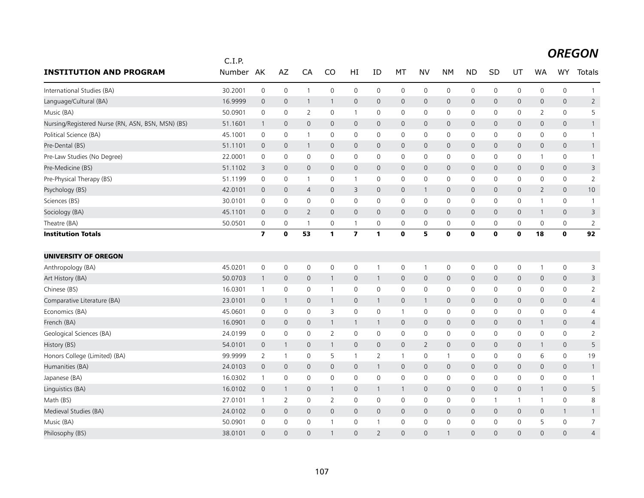|                                                   | C.I.P.    |                         |                |                |                |                         |                |                     |                |                |              |              |              |                |                     |                |
|---------------------------------------------------|-----------|-------------------------|----------------|----------------|----------------|-------------------------|----------------|---------------------|----------------|----------------|--------------|--------------|--------------|----------------|---------------------|----------------|
| <b>INSTITUTION AND PROGRAM</b>                    | Number AK |                         | AZ             | CA             | CO             | HI                      | ID             | МT                  | <b>NV</b>      | <b>NM</b>      | <b>ND</b>    | SD           | UT           | <b>WA</b>      | <b>WY</b>           | Totals         |
| International Studies (BA)                        | 30.2001   | $\mathbf 0$             | $\mathbf 0$    | $\overline{1}$ | 0              | 0                       | $\mathbf 0$    | $\mathbf 0$         | $\mathbf 0$    | $\mathbf 0$    | $\mathbf 0$  | 0            | $\mathbf 0$  | 0              | 0                   | $\mathbf{1}$   |
| Language/Cultural (BA)                            | 16.9999   | $\mathbf 0$             | $\mathbf 0$    | $\mathbf{1}$   | $\mathbf{1}$   | $\mathsf{O}\xspace$     | $\mathbf{0}$   | $\mathsf{O}$        | $\mathbf 0$    | $\mathbf 0$    | $\mathsf{O}$ | $\mathbf{0}$ | $\mathsf{O}$ | 0              | $\mathsf{O}\xspace$ | $\overline{2}$ |
| Music (BA)                                        | 50.0901   | 0                       | $\mathbf 0$    | 2              | 0              | $\mathbf{1}$            | $\mathbf 0$    | 0                   | $\mathbf 0$    | $\mathbf 0$    | 0            | 0            | 0            | $\overline{2}$ | 0                   | 5              |
| Nursing/Registered Nurse (RN, ASN, BSN, MSN) (BS) | 51.1601   | $\mathbf{1}$            | $\mathbf 0$    | $\mathbf 0$    | $\mathsf{O}$   | $\mathbf 0$             | $\mathbf 0$    | $\mathbf 0$         | $\mathbf 0$    | $\mathbf 0$    | $\mathbf 0$  | $\mathbf 0$  | $\mathsf{O}$ | 0              | $\mathsf{O}\xspace$ |                |
| Political Science (BA)                            | 45.1001   | 0                       | $\mathbf 0$    | $\overline{1}$ | $\mathbf 0$    | 0                       | $\mathbf 0$    | $\mathbf 0$         | $\mathsf{O}$   | $\mathbf 0$    | $\mathbf 0$  | 0            | $\mathsf{O}$ | $\mathbf 0$    | 0                   | $\mathbf{1}$   |
| Pre-Dental (BS)                                   | 51.1101   | $\mathbf 0$             | $\mathbf{0}$   | $\mathbf{1}$   | $\mathbf{0}$   | $\mathbf{0}$            | $\mathbf{0}$   | $\mathsf{O}$        | $\mathbf{0}$   | $\overline{0}$ | $\mathbf{0}$ | $\mathbf{0}$ | $\mathbf{0}$ | $\mathbf{0}$   | $\mathbf{0}$        | $\mathbf{1}$   |
| Pre-Law Studies (No Degree)                       | 22.0001   | 0                       | 0              | 0              | 0              | 0                       | 0              | 0                   | 0              | 0              | 0            | 0            | 0            | 1              | 0                   | $\mathbf{1}$   |
| Pre-Medicine (BS)                                 | 51.1102   | 3                       | $\overline{0}$ | $\mathbf 0$    | $\mathsf{O}$   | $\mathbf 0$             | $\mathbf 0$    | $\mathbf 0$         | $\mathbf 0$    | $\mathbf 0$    | $\mathbf 0$  | 0            | $\mathsf{O}$ | 0              | $\mathsf{O}\xspace$ | $\mathsf 3$    |
| Pre-Physical Therapy (BS)                         | 51.1199   | 0                       | $\mathbf 0$    | -1             | 0              | $\mathbf{1}$            | 0              | 0                   | 0              | 0              | 0            | 0            | 0            | 0              | 0                   | $\overline{2}$ |
| Psychology (BS)                                   | 42.0101   | $\theta$                | $\mathbf 0$    | $\overline{4}$ | $\mathsf{O}$   | 3                       | $\mathbf 0$    | $\overline{0}$      | $\mathbf{1}$   | $\mathbf 0$    | $\mathsf{O}$ | 0            | 0            | 2              | 0                   | 10             |
| Sciences (BS)                                     | 30.0101   | $\mathbf 0$             | $\mathbf 0$    | $\mathbf 0$    | 0              | 0                       | $\mathbf 0$    | $\mathsf{O}\xspace$ | $\mathsf{O}$   | $\mathbf 0$    | $\mathbf 0$  | 0            | $\mathsf{O}$ | 1              | 0                   | $\overline{1}$ |
| Sociology (BA)                                    | 45.1101   | $\mathbf 0$             | $\mathbf 0$    | $\overline{2}$ | $\mathbf{0}$   | $\mathsf{O}$            | $\mathbf 0$    | $\mathsf{O}$        | $\mathbf{0}$   | $\mathbf 0$    | $\mathbf 0$  | $\mathbf{0}$ | $\mathsf{O}$ | $\mathbf{1}$   | 0                   | 3              |
| Theatre (BA)                                      | 50.0501   | 0                       | 0              | $\overline{1}$ | $\mathbf 0$    | $\mathbf{1}$            | $\mathbf 0$    | $\mathbf 0$         | $\mathsf{O}$   | 0              | 0            | 0            | $\mathsf{O}$ | $\mathbf 0$    | 0                   | $\overline{2}$ |
| <b>Institution Totals</b>                         |           | $\overline{\mathbf{z}}$ | $\mathbf 0$    | 53             | 1              | $\overline{\mathbf{z}}$ | $\mathbf{1}$   | $\mathbf 0$         | 5              | $\mathbf 0$    | $\mathbf 0$  | $\mathbf o$  | $\mathbf 0$  | 18             | $\mathbf 0$         | 92             |
| <b>UNIVERSITY OF OREGON</b>                       |           |                         |                |                |                |                         |                |                     |                |                |              |              |              |                |                     |                |
| Anthropology (BA)                                 | 45.0201   | $\mathbf 0$             | 0              | $\mathbf 0$    | 0              | 0                       | $\mathbf{1}$   | $\mathsf{O}$        | $\mathbf{1}$   | $\mathbf 0$    | 0            | 0            | $\mathsf{O}$ | 1              | 0                   | 3              |
| Art History (BA)                                  | 50.0703   | $\overline{1}$          | $\mathbf 0$    | $\mathbf{0}$   | $\mathbf{1}$   | $\overline{0}$          | $\mathbf{1}$   | $\mathsf{O}$        | $\mathbf 0$    | $\mathbf 0$    | $\mathbf{0}$ | $\mathbf{0}$ | $\mathsf{O}$ | $\mathbf{0}$   | $\mathsf{O}\xspace$ | 3              |
| Chinese (BS)                                      | 16.0301   | $\mathbf{1}$            | $\mathbf 0$    | 0              | $\mathbf{1}$   | 0                       | 0              | $\mathbf 0$         | $\mathbf 0$    | 0              | 0            | 0            | 0            | 0              | 0                   | $\overline{2}$ |
| Comparative Literature (BA)                       | 23.0101   | $\overline{0}$          | $\mathbf{1}$   | $\mathbf 0$    | $\mathbf{1}$   | $\mathbf 0$             | $\mathbf{1}$   | $\mathsf{O}$        | $\mathbf{1}$   | $\mathbf 0$    | $\mathbf 0$  | 0            | $\mathsf{O}$ | $\mathbf 0$    | $\mathsf{O}\xspace$ | $\overline{4}$ |
| Economics (BA)                                    | 45.0601   | $\mathbf 0$             | $\mathbf 0$    | $\mathbf 0$    | 3              | 0                       | $\mathbf 0$    | $\overline{1}$      | $\mathbf 0$    | $\mathbf 0$    | $\mathbf 0$  | 0            | $\mathsf{O}$ | $\mathbf 0$    | 0                   | 4              |
| French (BA)                                       | 16.0901   | $\overline{0}$          | $\mathbf 0$    | $\mathbf{0}$   | 1              | $\mathbf{1}$            | $\mathbf{1}$   | $\mathsf{O}$        | $\mathbf 0$    | $\mathbf 0$    | $\mathbf{0}$ | $\mathbf{0}$ | $\mathbf 0$  | $\mathbf{1}$   | $\mathbf{0}$        | $\overline{4}$ |
| Geological Sciences (BA)                          | 24.0199   | 0                       | $\mathbf 0$    | 0              | $\overline{2}$ | 0                       | $\mathbf 0$    | $\mathbf 0$         | $\mathbf 0$    | $\mathbf 0$    | 0            | 0            | $\mathbf 0$  | 0              | 0                   | $\overline{2}$ |
| History (BS)                                      | 54.0101   | $\mathbf 0$             | $\mathbf{1}$   | $\mathbf 0$    | $\mathbf{1}$   | $\mathsf{O}\xspace$     | $\mathbf 0$    | $\mathsf{O}$        | $\overline{2}$ | $\mathbf 0$    | $\mathbf 0$  | $\mathbf{0}$ | $\mathsf{O}$ | $\mathbf{1}$   | $\mathsf{O}\xspace$ | 5              |
| Honors College (Limited) (BA)                     | 99.9999   | 2                       | $\overline{1}$ | 0              | 5              | $\mathbf{1}$            | $\overline{2}$ | $\overline{1}$      | 0              | $\overline{1}$ | 0            | 0            | 0            | 6              | 0                   | 19             |
| Humanities (BA)                                   | 24.0103   | $\mathbf 0$             | $\mathbf{0}$   | $\mathbf{0}$   | $\mathbf{0}$   | $\mathbf{0}$            | $\mathbf{1}$   | $\mathbf{0}$        | $\mathbf{0}$   | $\overline{0}$ | $\mathbf{0}$ | $\mathbf{0}$ | $\mathbf{0}$ | 0              | $\mathbf{0}$        | -1             |
| Japanese (BA)                                     | 16.0302   | $\mathbf{1}$            | $\mathbf 0$    | $\mathbf 0$    | 0              | 0                       | $\mathbf 0$    | 0                   | $\mathsf{O}$   | $\mathbf 0$    | 0            | 0            | $\mathsf{O}$ | 0              | 0                   | $\mathbf{1}$   |
| Linguistics (BA)                                  | 16.0102   | $\mathbf{0}$            | 1              | $\mathbf{0}$   | $\mathbf{1}$   | $\overline{0}$          | $\mathbf{1}$   | $\mathbf{1}$        | $\mathbf{0}$   | $\mathbf 0$    | $\mathbf{0}$ | $\mathsf{O}$ | $\mathbf 0$  | $\mathbf{1}$   | $\mathsf{O}\xspace$ | 5              |
| Math (BS)                                         | 27.0101   | $\mathbf{1}$            | 2              | 0              | $\overline{2}$ | 0                       | 0              | 0                   | $\mathbf 0$    | $\mathbf 0$    | $\mathbf 0$  | $\mathbf{1}$ | $\mathbf{1}$ | 1              | 0                   | 8              |
| Medieval Studies (BA)                             | 24.0102   | $\overline{0}$          | $\mathbf 0$    | $\mathbf 0$    | $\mathsf{O}$   | $\mathbf 0$             | $\mathbf 0$    | $\mathbf 0$         | $\mathbf 0$    | $\mathbf 0$    | $\mathbf 0$  | 0            | $\mathbf 0$  | 0              | $\mathbf{1}$        | $\mathbf{1}$   |
| Music (BA)                                        | 50.0901   | $\mathbf 0$             | $\mathbf 0$    | 0              |                | 0                       | -1             | 0                   | $\mathbf 0$    | $\mathbf 0$    | 0            | 0            | 0            | 5              | 0                   | $\overline{7}$ |
| Philosophy (BS)                                   | 38.0101   | $\Omega$                | $\Omega$       | $\Omega$       | $\mathbf{1}$   | $\Omega$                | $\overline{2}$ | $\Omega$            | $\Omega$       | $\mathbf{1}$   | $\Omega$     | $\Omega$     | $\Omega$     | $\Omega$       | $\Omega$            | $\overline{4}$ |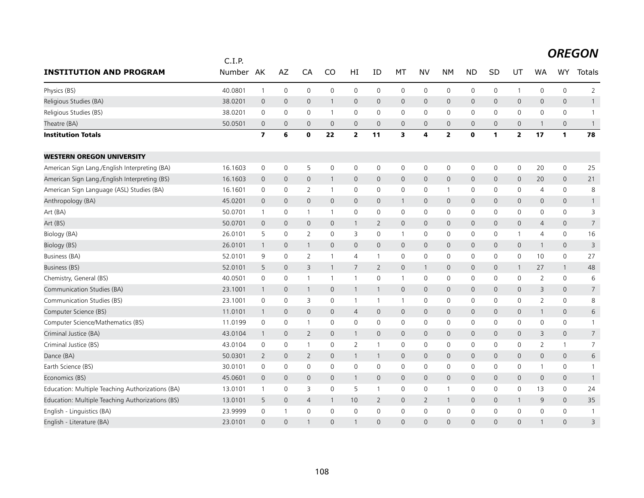|                                                  | C.I.P.  |                         |                     |                          |                     |                     |                |                         |                |                         |              |              |                |                |                     |                |
|--------------------------------------------------|---------|-------------------------|---------------------|--------------------------|---------------------|---------------------|----------------|-------------------------|----------------|-------------------------|--------------|--------------|----------------|----------------|---------------------|----------------|
| <b>INSTITUTION AND PROGRAM</b>                   | Number  | AK                      | AZ                  | CA                       | CO                  | HI                  | ID             | MT                      | <b>NV</b>      | <b>NM</b>               | <b>ND</b>    | <b>SD</b>    | UT             | <b>WA</b>      | <b>WY</b>           | Totals         |
| Physics (BS)                                     | 40.0801 | $\mathbf{1}$            | $\mathsf{O}\xspace$ | $\mathbf 0$              | 0                   | 0                   | $\mathbf 0$    | $\mathbf 0$             | $\mathbf 0$    | 0                       | $\mathbf 0$  | 0            | $\overline{1}$ | 0              | $\mathsf 0$         | $\overline{2}$ |
| Religious Studies (BA)                           | 38.0201 | $\mathbf 0$             | $\mathbf{0}$        | $\overline{0}$           | $\mathbf{1}$        | $\mathbf{0}$        | $\mathbf{0}$   | $\mathbf{0}$            | $\mathbf{0}$   | $\mathbf{0}$            | $\mathbf 0$  | $\mathbf{0}$ | $\mathbf{0}$   | 0              | $\mathbf{0}$        | $\mathbf{1}$   |
| Religious Studies (BS)                           | 38.0201 | $\mathbf 0$             | 0                   | $\mathbf 0$              | $\mathbf{1}$        | 0                   | $\Omega$       | $\mathbf 0$             | $\Omega$       | $\mathbf 0$             | $\mathbf{0}$ | $\mathbf{0}$ | 0              | 0              | $\mathsf{O}$        | $\overline{1}$ |
| Theatre (BA)                                     | 50.0501 | $\overline{0}$          | $\mathbf 0$         | $\mathbf 0$              | $\mathbf 0$         | $\mathsf{O}$        | $\mathbf 0$    | 0                       | $\mathbf 0$    | $\mathbf 0$             | $\mathbf 0$  | $\mathbf{0}$ | 0              | $\mathbf{1}$   | $\mathbf 0$         | $\overline{1}$ |
| <b>Institution Totals</b>                        |         | $\overline{\mathbf{z}}$ | 6                   | $\mathbf 0$              | 22                  | $\overline{2}$      | 11             | $\overline{\mathbf{3}}$ | 4              | $\overline{\mathbf{2}}$ | $\mathbf{0}$ | $\mathbf{1}$ | $\overline{2}$ | 17             | 1                   | 78             |
| <b>WESTERN OREGON UNIVERSITY</b>                 |         |                         |                     |                          |                     |                     |                |                         |                |                         |              |              |                |                |                     |                |
| American Sign Lang./English Interpreting (BA)    | 16.1603 | 0                       | 0                   | 5                        | $\mathbf 0$         | 0                   | 0              | 0                       | 0              | 0                       | 0            | 0            | $\mathbf 0$    | 20             | 0                   | 25             |
| American Sign Lang./English Interpreting (BS)    | 16.1603 | $\mathsf{O}$            | $\mathbf 0$         | $\mathbf 0$              | $\mathbf{1}$        | $\mathsf{O}\xspace$ | 0              | $\mathbf 0$             | $\mathsf{O}$   | $\mathbf 0$             | $\mathbf 0$  | $\mathbf 0$  | $\mathsf{O}$   | 20             | $\mathsf{O}$        | 21             |
| American Sign Language (ASL) Studies (BA)        | 16.1601 | 0                       | 0                   | $\overline{2}$           | 1                   | 0                   | 0              | 0                       | 0              | $\overline{1}$          | 0            | 0            | 0              | 4              | $\mathbf 0$         | 8              |
| Anthropology (BA)                                | 45.0201 | $\mathbf 0$             | $\mathbf{0}$        | $\mathbf{0}$             | $\mathbf{0}$        | $\mathbf{0}$        | 0              | $\mathbf{1}$            | $\mathbf{0}$   | $\mathbf 0$             | $\mathbf 0$  | $\mathbf 0$  | $\mathsf{O}$   | 0              | $\mathbf{0}$        | $\mathbf{1}$   |
| Art (BA)                                         | 50.0701 | $\mathbf{1}$            | 0                   | $\overline{1}$           | $\mathbf{1}$        | 0                   | 0              | $\mathbf 0$             | 0              | $\mathbf 0$             | $\mathbf 0$  | $\mathbf 0$  | 0              | 0              | $\mathsf 0$         | 3              |
| Art (BS)                                         | 50.0701 | $\overline{0}$          | $\mathbf 0$         | $\mathbf{0}$             | $\mathbf{0}$        | $\mathbf{1}$        | 2              | 0                       | $\mathbf{0}$   | $\mathbf 0$             | $\mathbf 0$  | $\mathbf 0$  | 0              | 4              | $\mathsf{O}$        | $\overline{7}$ |
| Biology (BA)                                     | 26.0101 | 5                       | $\mathbf 0$         | $\overline{2}$           | 0                   | 3                   | 0              | $\mathbf{1}$            | $\mathbf 0$    | $\mathbf 0$             | 0            | 0            | 1              | 4              | $\mathbf 0$         | 16             |
| Biology (BS)                                     | 26.0101 | $\mathbf{1}$            | 0                   | -1                       | 0                   | $\mathsf{O}$        | $\mathbf 0$    | 0                       | $\mathbf 0$    | $\mathbf 0$             | $\mathbf 0$  | 0            | $\mathbf 0$    | $\mathbf{1}$   | $\mathsf{O}$        | 3              |
| Business (BA)                                    | 52.0101 | 9                       | 0                   | 2                        | $\mathbf{1}$        | $\overline{4}$      | $\mathbf{1}$   | $\mathbf 0$             | $\mathbf 0$    | $\mathbf 0$             | 0            | $\mathbf 0$  | $\mathbf 0$    | 10             | $\mathbf 0$         | 27             |
| <b>Business (BS)</b>                             | 52.0101 | 5                       | $\mathbf 0$         | 3                        | $\mathbf{1}$        | $\overline{7}$      | $\overline{2}$ | $\mathbf 0$             | $\mathbf{1}$   | $\mathbf{0}$            | $\mathbf{0}$ | $\mathbf{0}$ | $\mathbf{1}$   | 27             | $\mathbf{1}$        | 48             |
| Chemistry, General (BS)                          | 40.0501 | 0                       | 0                   | $\mathbf{1}$             | $\mathbf{1}$        | $\mathbf{1}$        | 0              | $\mathbf{1}$            | 0              | 0                       | 0            | 0            | 0              | 2              | 0                   | 6              |
| Communication Studies (BA)                       | 23.1001 | $\overline{1}$          | $\mathbf 0$         | $\overline{1}$           | $\mathbf{0}$        | $\mathbf{1}$        | $\mathbf{1}$   | $\mathbf{0}$            | $\mathbf{0}$   | $\mathbf 0$             | $\mathbf 0$  | $\mathbf 0$  | $\mathsf{O}$   | 3              | $\mathbf{0}$        | $\overline{7}$ |
| Communication Studies (BS)                       | 23.1001 | $\mathbf 0$             | $\mathbf 0$         | 3                        | $\mathbf 0$         | $\mathbf{1}$        | $\mathbf{1}$   | $\mathbf{1}$            | $\mathbf 0$    | $\mathbf 0$             | $\mathbf 0$  | $\Omega$     | $\mathbf 0$    | $\overline{2}$ | $\mathsf{O}$        | 8              |
| Computer Science (BS)                            | 11.0101 | $\mathbf{1}$            | 0                   | $\mathbf{0}$             | $\mathbf{0}$        | $\overline{4}$      | 0              | $\mathbf 0$             | $\mathbf{0}$   | $\mathbf 0$             | $\mathbf 0$  | $\mathbf{0}$ | $\mathsf{O}$   | $\mathbf{1}$   | $\mathbf{0}$        | 6              |
| Computer Science/Mathematics (BS)                | 11.0199 | $\mathbf 0$             | $\mathsf{O}\xspace$ | $\overline{1}$           | 0                   | $\mathbf 0$         | 0              | $\mathbf 0$             | $\mathbf 0$    | $\mathbf 0$             | 0            | 0            | $\mathbf 0$    | 0              | $\mathbf 0$         | $\mathbf{1}$   |
| Criminal Justice (BA)                            | 43.0104 | $\overline{1}$          | $\mathsf{O}\xspace$ | $\overline{2}$           | $\mathsf{O}\xspace$ | $\mathbf{1}$        | $\mathbf 0$    | $\mathsf{O}$            | $\mathsf{O}$   | $\mathbf 0$             | $\mathbf 0$  | $\mathbf 0$  | 0              | 3              | $\mathsf{O}\xspace$ | $\overline{7}$ |
| Criminal Justice (BS)                            | 43.0104 | 0                       | 0                   | $\overline{\phantom{a}}$ | 0                   | 2                   | -1             | $\mathbf 0$             | 0              | $\mathbf 0$             | 0            | 0            | 0              | $\overline{2}$ | $\mathbf{1}$        | $\overline{7}$ |
| Dance (BA)                                       | 50.0301 | $\overline{2}$          | $\mathbf 0$         | 2                        | $\overline{0}$      | $\mathbf{1}$        | $\mathbf{1}$   | $\mathbf 0$             | $\mathbf{0}$   | $\mathbf{0}$            | $\mathbf{0}$ | $\mathbf{0}$ | $\mathsf{O}$   | 0              | $\mathbf{0}$        | 6              |
| Earth Science (BS)                               | 30.0101 | $\mathbf 0$             | $\mathsf{O}\xspace$ | $\mathbf 0$              | 0                   | 0                   | 0              | $\mathsf{O}\xspace$     | $\mathbf 0$    | $\mathbf 0$             | $\mathsf 0$  | 0            | 0              | $\mathbf{1}$   | 0                   | $\mathbf{1}$   |
| Economics (BS)                                   | 45.0601 | $\overline{0}$          | $\mathbf 0$         | $\mathbf 0$              | $\mathbf{0}$        | $\mathbf{1}$        | $\overline{0}$ | $\mathbf 0$             | $\mathbf{0}$   | $\mathbf 0$             | $\mathbf 0$  | $\mathbf{0}$ | $\mathbf{0}$   | 0              | $\mathsf{O}\xspace$ | $\overline{1}$ |
| Education: Multiple Teaching Authorizations (BA) | 13.0101 | $\mathbf{1}$            | 0                   | 3                        | $\mathbf 0$         | 5                   | -1             | 0                       | $\mathbf 0$    | $\mathbf{1}$            | 0            | 0            | $\mathsf{O}$   | 13             | $\mathsf{O}$        | 24             |
| Education: Multiple Teaching Authorizations (BS) | 13.0101 | 5                       | $\mathbf 0$         | $\overline{4}$           | 1                   | 10                  | 2              | 0                       | $\overline{2}$ | $\mathbf{1}$            | 0            | 0            | $\mathbf{1}$   | 9              | $\mathsf{O}$        | 35             |
| English - Linguistics (BA)                       | 23.9999 | $\mathsf 0$             | $\mathbf{1}$        | $\mathsf{O}\xspace$      | $\mathbf 0$         | 0                   | 0              | $\mathbf 0$             | $\mathbf 0$    | 0                       | $\mathbf 0$  | 0            | 0              | 0              | 0                   | $\mathbf{1}$   |
| English - Literature (BA)                        | 23.0101 | $\Omega$                | $\Omega$            |                          | $\Omega$            | $\mathbf{1}$        | $\Omega$       | $\Omega$                | $\Omega$       | $\Omega$                | $\Omega$     | $\Omega$     | $\Omega$       | $\mathbf{1}$   | $\Omega$            | 3              |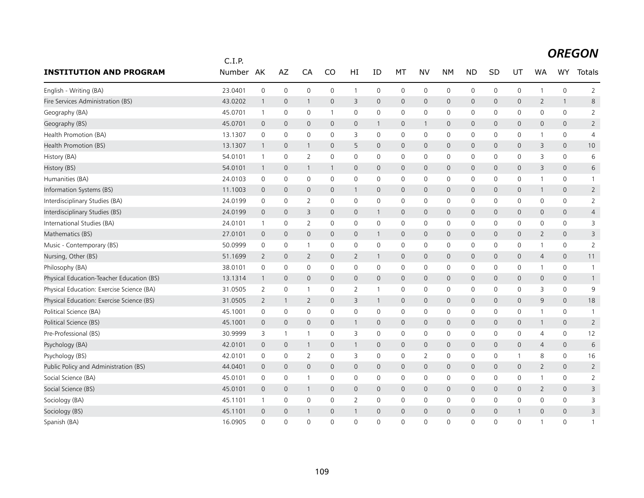|                                           | C.I.P.  |                |                |                |              |                |              |                |              |                |                |                |              |                |                     |                |
|-------------------------------------------|---------|----------------|----------------|----------------|--------------|----------------|--------------|----------------|--------------|----------------|----------------|----------------|--------------|----------------|---------------------|----------------|
| <b>INSTITUTION AND PROGRAM</b>            | Number  | AK             | AZ             | CA             | CO           | HI             | ID           | MT             | <b>NV</b>    | <b>NM</b>      | <b>ND</b>      | <b>SD</b>      | UT           | <b>WA</b>      | WY                  | Totals         |
| English - Writing (BA)                    | 23.0401 | $\mathbf 0$    | $\mathbf 0$    | $\mathbf 0$    | $\mathbf 0$  | $\mathbf{1}$   | $\mathbf 0$  | $\mathbf 0$    | $\mathbf 0$  | $\mathbf 0$    | $\mathbf 0$    | 0              | $\mathbf 0$  | 1              | 0                   | $\overline{2}$ |
| Fire Services Administration (BS)         | 43.0202 | $\overline{1}$ | $\mathbf 0$    | 1              | $\mathbf 0$  | 3              | $\mathbf{0}$ | $\mathbf 0$    | $\mathbf 0$  | $\mathbf{0}$   | $\mathbf{0}$   | $\mathbf{0}$   | $\mathsf{O}$ | 2              | $\mathbf{1}$        | 8              |
| Geography (BA)                            | 45.0701 | $\mathbf{1}$   | 0              | 0              | $\mathbf{1}$ | 0              | 0            | 0              | $\mathbf 0$  | 0              | $\mathbf 0$    | 0              | 0            | 0              | 0                   | $\overline{2}$ |
| Geography (BS)                            | 45.0701 | $\mathbf 0$    | $\overline{0}$ | 0              | $\mathbf{0}$ | $\mathbf{0}$   | $\mathbf{1}$ | $\mathbf 0$    | $\mathbf{1}$ | $\mathbf{0}$   | $\mathbf{0}$   | $\Omega$       | $\mathbf{0}$ | 0              | $\mathbf{0}$        | $\overline{2}$ |
| Health Promotion (BA)                     | 13.1307 | 0              | 0              | 0              | 0            | 3              | 0            | 0              | 0            | 0              | 0              | 0              | 0            | 1              | 0                   | 4              |
| Health Promotion (BS)                     | 13.1307 | $\overline{1}$ | $\overline{0}$ | $\mathbf{1}$   | $\mathbf{0}$ | 5              | $\mathbf{0}$ | $\overline{0}$ | $\mathbf 0$  | $\mathbf 0$    | $\overline{0}$ | $\mathbf{0}$   | $\mathbf{0}$ | 3              | $\mathbf{0}$        | 10             |
| History (BA)                              | 54.0101 | $\mathbf{1}$   | $\mathbf 0$    | $\overline{2}$ | 0            | 0              | 0            | 0              | $\mathbf 0$  | 0              | 0              | 0              | 0            | 3              | 0                   | 6              |
| History (BS)                              | 54.0101 | $\overline{1}$ | $\mathbf 0$    | $\mathbf{1}$   | $\mathbf{1}$ | $\mathbf 0$    | $\mathbf 0$  | $\overline{0}$ | $\mathbf 0$  | $\mathbf 0$    | $\mathbf 0$    | 0              | $\mathsf{O}$ | 3              | $\mathsf{O}\xspace$ | 6              |
| Humanities (BA)                           | 24.0103 | 0              | 0              | 0              | 0            | 0              | 0            | 0              | 0            | 0              | 0              | 0              | 0            | 1              | 0                   | -1             |
| Information Systems (BS)                  | 11.1003 | $\mathbf 0$    | $\overline{0}$ | $\mathbf{0}$   | $\mathbf{0}$ | $\mathbf{1}$   | $\mathbf{0}$ | $\overline{0}$ | $\mathbf{0}$ | $\mathbf{0}$   | $\mathbf{0}$   | $\mathbf{0}$   | $\mathbf{0}$ | $\mathbf{1}$   | $\mathbf{0}$        | $\overline{2}$ |
| Interdisciplinary Studies (BA)            | 24.0199 | 0              | $\mathbf 0$    | 2              | $\mathbf{0}$ | 0              | $\Omega$     | $\mathbf 0$    | $\mathbf 0$  | $\mathbf 0$    | 0              | 0              | $\mathbf 0$  | $\mathbf{0}$   | 0                   | $\overline{2}$ |
| Interdisciplinary Studies (BS)            | 24.0199 | $\mathbf 0$    | $\mathbf 0$    | 3              | $\mathbf{0}$ | $\mathbf 0$    | $\mathbf{1}$ | $\mathbf 0$    | $\mathbf 0$  | $\mathbf 0$    | $\mathbf 0$    | $\mathbf{0}$   | $\mathsf{O}$ | 0              | 0                   | 4              |
| International Studies (BA)                | 24.0101 | $\mathbf{1}$   | $\mathbf 0$    | 2              | 0            | 0              | 0            | 0              | $\mathbf 0$  | 0              | 0              | 0              | 0            | 0              | 0                   | 3              |
| Mathematics (BS)                          | 27.0101 | $\mathbf 0$    | $\mathbf{0}$   | $\mathbf{0}$   | $\mathbf{0}$ | $\mathbf{0}$   | $\mathbf{1}$ | $\mathbf{0}$   | $\mathbf{0}$ | $\mathbf{0}$   | $\mathbf{0}$   | $\mathbf{0}$   | $\mathbf{0}$ | $\overline{2}$ | $\mathbf{0}$        | 3              |
| Music - Contemporary (BS)                 | 50.0999 | 0              | 0              | -1             | 0            | 0              | 0            | 0              | 0            | 0              | 0              | 0              | 0            | 1              | 0                   | 2              |
| Nursing, Other (BS)                       | 51.1699 | $\overline{2}$ | $\mathbf 0$    | $\overline{2}$ | $\mathbf{0}$ | $\overline{2}$ | $\mathbf{1}$ | $\mathbf 0$    | $\mathbf 0$  | $\mathbf 0$    | $\mathbf{0}$   | $\mathbf{0}$   | $\mathsf{O}$ | $\overline{4}$ | $\mathbf{0}$        | 11             |
| Philosophy (BA)                           | 38.0101 | 0              | $\mathbf 0$    | 0              | 0            | 0              | 0            | $\mathbf 0$    | $\mathbf 0$  | 0              | 0              | 0              | 0            | 1              | 0                   | $\mathbf{1}$   |
| Physical Education-Teacher Education (BS) | 13.1314 | $\overline{1}$ | $\overline{0}$ | $\mathbf 0$    | $\mathbf{0}$ | $\overline{0}$ | $\mathbf{0}$ | $\mathsf{O}$   | $\mathbf 0$  | $\mathbf{0}$   | $\mathbf 0$    | $\mathbf{0}$   | $\mathsf{O}$ | 0              | $\mathsf{O}\xspace$ | $\mathbf{1}$   |
| Physical Education: Exercise Science (BA) | 31.0505 | $\overline{2}$ | $\mathbf 0$    | $\overline{1}$ | 0            | 2              | -1           | 0              | $\mathbf 0$  | $\mathbf 0$    | 0              | 0              | 0            | 3              | 0                   | 9              |
| Physical Education: Exercise Science (BS) | 31.0505 | $\overline{2}$ | $\mathbf{1}$   | 2              | $\mathbf{0}$ | 3              | $\mathbf{1}$ | $\mathbf 0$    | $\mathbf{0}$ | $\mathbf{0}$   | $\mathbf{0}$   | $\mathbf{0}$   | $\mathbf{0}$ | 9              | $\mathbf{0}$        | 18             |
| Political Science (BA)                    | 45.1001 | $\mathbf 0$    | $\mathbf 0$    | 0              | $\Omega$     | $\mathbf 0$    | $\Omega$     | $\mathbf 0$    | $\mathbf 0$  | $\mathbf 0$    | 0              | 0              | $\mathsf{O}$ | $\mathbf{1}$   | 0                   | $\mathbf{1}$   |
| Political Science (BS)                    | 45.1001 | $\mathbf 0$    | $\overline{0}$ | $\mathbf{0}$   | $\mathbf{0}$ | $\mathbf{1}$   | $\mathbf 0$  | $\mathsf{O}$   | $\mathbf 0$  | $\mathbf 0$    | $\mathbf 0$    | 0              | $\mathsf{O}$ | 1              | 0                   | $\overline{2}$ |
| Pre-Professional (BS)                     | 30.9999 | 3              | -1             | $\overline{1}$ | 0            | 3              | 0            | 0              | $\mathbf 0$  | $\mathbf 0$    | 0              | 0              | 0            | 4              | 0                   | 12             |
| Psychology (BA)                           | 42.0101 | $\mathbf 0$    | $\mathbf{0}$   | $\mathbf{1}$   | $\mathbf{0}$ | $\mathbf{1}$   | $\mathbf{0}$ | $\mathbf 0$    | $\mathbf{0}$ | $\overline{0}$ | $\mathbf{0}$   | $\mathbf{0}$   | $\mathsf{O}$ | $\overline{4}$ | $\mathbf{0}$        | 6              |
| Psychology (BS)                           | 42.0101 | 0              | 0              | 2              | 0            | 3              | 0            | 0              | 2            | 0              | 0              | 0              | 1            | 8              | 0                   | 16             |
| Public Policy and Administration (BS)     | 44.0401 | $\mathbf 0$    | $\overline{0}$ | $\mathbf{0}$   | $\mathbf{0}$ | $\mathbf{0}$   | $\mathbf 0$  | $\overline{0}$ | $\mathbf{0}$ | $\mathbf{0}$   | $\mathbf{0}$   | $\mathbf{0}$   | $\mathbf{0}$ | $\overline{2}$ | $\mathbf{0}$        | $\overline{2}$ |
| Social Science (BA)                       | 45.0101 | 0              | $\mathbf 0$    | $\overline{1}$ | 0            | 0              | 0            | 0              | $\mathbf 0$  | $\mathbf 0$    | 0              | 0              | 0            | 1              | 0                   | 2              |
| Social Science (BS)                       | 45.0101 | $\overline{0}$ | $\overline{0}$ | $\mathbf{1}$   | $\mathbf{0}$ | $\mathbf 0$    | $\mathbf 0$  | $\mathbf 0$    | $\mathbf 0$  | $\mathbf 0$    | $\mathbf 0$    | $\mathbf{0}$   | $\mathsf{O}$ | $\overline{2}$ | 0                   | 3              |
| Sociology (BA)                            | 45.1101 | $\mathbf{1}$   | 0              | 0              | 0            | 2              | 0            | 0              | 0            | 0              | 0              | 0              | 0            | 0              | 0                   | 3              |
| Sociology (BS)                            | 45.1101 | $\mathbf 0$    | $\overline{0}$ | $\mathbf{1}$   | $\mathbf{0}$ | $\mathbf{1}$   | $\mathbf{0}$ | $\mathbf{0}$   | $\mathbf{0}$ | $\mathsf{O}$   | $\mathbf{0}$   | $\overline{0}$ |              | 0              | $\mathbf{0}$        | 3              |
| Spanish (BA)                              | 16.0905 | $\Omega$       | $\Omega$       | $\Omega$       | $\Omega$     | $\mathbf{0}$   | $\Omega$     | $\Omega$       | $\Omega$     | $\Omega$       | $\Omega$       | O              | $\mathbf{0}$ | 1              | $\Omega$            |                |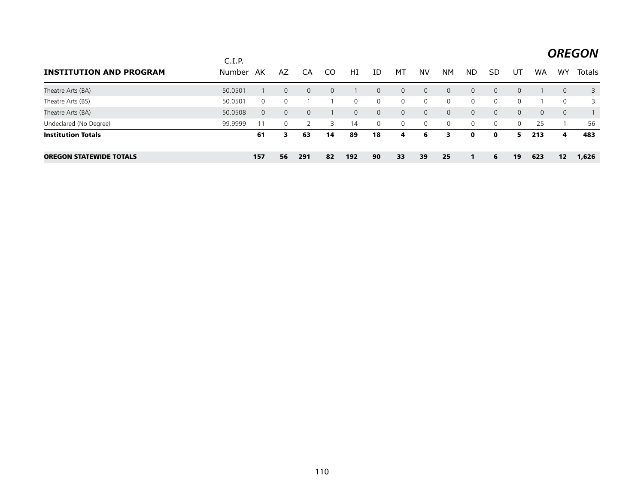|                                | C.I.P.  |          |              |              |          |          |          |              |                |             |              |                |          |           |              | <b>OREGON</b> |
|--------------------------------|---------|----------|--------------|--------------|----------|----------|----------|--------------|----------------|-------------|--------------|----------------|----------|-----------|--------------|---------------|
| <b>INSTITUTION AND PROGRAM</b> | Number  | AK       | AZ           | CA           | CO       | HI       | ID       | МT           | NV             | NΜ          | <b>ND</b>    | SD             | UT       | <b>WA</b> | <b>WY</b>    | <b>Totals</b> |
| Theatre Arts (BA)              | 50.0501 |          | $\mathbf{0}$ | $\mathbf{0}$ | $\Omega$ |          | $\Omega$ | $\mathbf{0}$ | $\Omega$       | $\Omega$    | $\Omega$     | $\Omega$       | $\Omega$ |           | $\Omega$     | 3             |
| Theatre Arts (BS)              | 50.0501 | $\Omega$ | $\mathbf 0$  |              |          | $\Omega$ | 0        | $\mathbf 0$  | $\overline{0}$ | $\mathbf 0$ | $\Omega$     | $\overline{0}$ | $\Omega$ |           | $\Omega$     | 3             |
| Theatre Arts (BA)              | 50.0508 | $\Omega$ | $\mathbf{0}$ | $\Omega$     |          | $\Omega$ | $\Omega$ | $\mathbf{0}$ | $\Omega$       | $\Omega$    | $\Omega$     | $\Omega$       | $\Omega$ | $\Omega$  | $\mathbf{0}$ |               |
| Undeclared (No Degree)         | 99.9999 |          | 0            |              | 3        | 14       | 0        | $\mathbf 0$  | $\overline{0}$ | 0           | $\mathbf{0}$ | $\overline{0}$ | $\Omega$ | 25        |              | 56            |
| Institution Totals             |         | 61       | 3            | 63           | 14       | 89       | 18       | 4            | 6              | 3           | $\mathbf{o}$ | $\mathbf{o}$   | 5.       | 213       | 4            | 483           |
| <b>OREGON STATEWIDE TOTALS</b> |         | 157      | 56           | 291          | 82       | 192      | 90       | 33           | 39             | 25          | 1            | 6              | 19       | 623       | 12           | 1,626         |

 $\sim$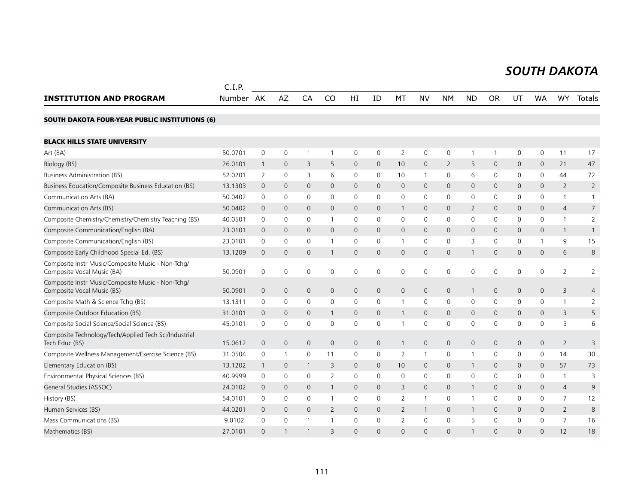#### *SOUTH DAKOTA SOUTH DAKOTA*

|                                                                                 | C.I.P.    |                |                     |                     |                         |              |              |                     |              |                |                |              |              |              |                |                |
|---------------------------------------------------------------------------------|-----------|----------------|---------------------|---------------------|-------------------------|--------------|--------------|---------------------|--------------|----------------|----------------|--------------|--------------|--------------|----------------|----------------|
| <b>INSTITUTION AND PROGRAM</b>                                                  | Number AK |                | AZ                  | CA                  | CO                      | HI           | ID           | MT                  | <b>NV</b>    | <b>NM</b>      | <b>ND</b>      | <b>OR</b>    | UT           | <b>WA</b>    | WY             | Totals         |
| <b>SOUTH DAKOTA FOUR-YEAR PUBLIC INSTITUTIONS (6)</b>                           |           |                |                     |                     |                         |              |              |                     |              |                |                |              |              |              |                |                |
| <b>BLACK HILLS STATE UNIVERSITY</b>                                             |           |                |                     |                     |                         |              |              |                     |              |                |                |              |              |              |                |                |
| Art (BA)                                                                        | 50.0701   | 0              | $\mathsf{O}\xspace$ | $\mathbf{1}$        | 1                       | 0            | 0            | $\overline{2}$      | $\mathbf 0$  | 0              | $\mathbf{1}$   | 1            | 0            | 0            | 11             | 17             |
| Biology (BS)                                                                    | 26.0101   | $\mathbf{1}$   | $\overline{0}$      | 3                   | 5                       | 0            | $\mathbf{0}$ | 10                  | $\mathbf{0}$ | $\overline{2}$ | 5              | $\mathbf{0}$ | 0            | $\mathbf{0}$ | 21             | 47             |
| <b>Business Administration (BS)</b>                                             | 52.0201   | 2              | $\mathbf 0$         | 3                   | 6                       | $\mathsf{O}$ | $\Omega$     | 10                  | $\mathbf{1}$ | $\mathbf 0$    | 6              | $\mathbf{0}$ | $\mathbf{0}$ | 0            | 44             | 72             |
| Business Education/Composite Business Education (BS)                            | 13.1303   | $\mathbf{0}$   | $\mathbf 0$         | $\overline{0}$      | $\mathbf 0$             | 0            | $\mathbf{0}$ | $\mathbf{0}$        | $\mathbf{0}$ | $\mathbf{0}$   | $\mathbf{0}$   | $\mathbf{0}$ | $\mathbf{0}$ | $\mathbf{0}$ | $\overline{2}$ | $\overline{2}$ |
| Communication Arts (BA)                                                         | 50.0402   | 0              | 0                   | 0                   | 0                       | 0            | 0            | 0                   | 0            | 0              | $\mathbf 0$    | 0            | 0            | 0            | $\mathbf{1}$   |                |
| Communication Arts (BS)                                                         | 50.0402   | $\mathbf 0$    | $\mathbf 0$         | $\mathbf 0$         | 0                       | $\mathsf{O}$ | 0            | $\mathbf{1}$        | 0            | $\mathbf 0$    | $\overline{2}$ | $\mathbf 0$  | $\mathbf 0$  | 0            | 4              | 7              |
| Composite Chemistry/Chemistry/Chemistry Teaching (BS)                           | 40.0501   | $\mathbf 0$    | $\mathbf 0$         | 0                   | $\mathbf{1}$            | 0            | 0            | $\mathbf 0$         | 0            | $\mathbf 0$    | $\mathbf 0$    | $\mathbf{0}$ | 0            | 0            | $\mathbf{1}$   | $\overline{2}$ |
| Composite Communication/English (BA)                                            | 23.0101   | $\mathbf{0}$   | $\mathbf 0$         | $\mathbf 0$         | $\mathbf 0$             | $\mathsf{O}$ | $\mathbf{0}$ | $\mathbf 0$         | 0            | $\mathbf 0$    | $\mathbf 0$    | $\mathbf{0}$ | $\mathbf 0$  | 0            | $\mathbf{1}$   | $\mathbf{1}$   |
| Composite Communication/English (BS)                                            | 23.0101   | 0              | 0                   | $\mathbf 0$         | $\mathbf{1}$            | $\mathsf{O}$ | $\Omega$     | $\mathbf{1}$        | 0            | $\mathbf 0$    | 3              | $\mathbf{0}$ | $\mathbf 0$  |              | 9              | 15             |
| Composite Early Childhood Special Ed. (BS)                                      | 13.1209   | $\overline{0}$ | $\overline{0}$      | $\overline{0}$      | $\mathbf{1}$            | 0            | $\mathsf{O}$ | $\mathbf{0}$        | $\mathbf{0}$ | $\mathsf{O}$   | $\overline{1}$ | $\mathbf{0}$ | $\mathbf{0}$ | 0            | 6              | 8              |
| Composite Instr Music/Composite Music - Non-Tchq/<br>Composite Vocal Music (BA) | 50.0901   | 0              | 0                   | $\mathbf 0$         | 0                       | 0            | 0            | 0                   | $\mathbf 0$  | 0              | $\mathbf 0$    | $\mathbf 0$  | 0            | 0            | $\overline{2}$ | 2              |
| Composite Instr Music/Composite Music - Non-Tchq/<br>Composite Vocal Music (BS) | 50.0901   | $\mathsf{O}$   | $\mathbf 0$         | $\mathbf 0$         | $\mathbf 0$             | 0            | 0            | $\mathsf{O}\xspace$ | 0            | $\mathsf{O}$   | $\mathbf{1}$   | $\mathbf 0$  | $\mathsf{O}$ | 0            | 3              | 4              |
| Composite Math & Science Tchg (BS)                                              | 13.1311   | $\mathsf{O}$   | $\mathbf 0$         | $\mathbf 0$         | $\mathbf 0$             | 0            | 0            | $\mathbf{1}$        | $\mathbf 0$  | $\mathbf 0$    | $\mathbf 0$    | $\mathbf 0$  | $\mathbf 0$  | 0            | $\mathbf{1}$   | $\overline{2}$ |
| Composite Outdoor Education (BS)                                                | 31.0101   | $\Omega$       | $\Omega$            | $\mathbf{0}$        | $\mathbf{1}$            | 0            | $\Omega$     | $\mathbf{1}$        | $\Omega$     | $\mathbf{0}$   | $\mathbf 0$    | $\Omega$     | $\mathbf{0}$ | 0            | 3              | 5              |
| Composite Social Science/Social Science (BS)                                    | 45.0101   | $\mathsf{O}$   | 0                   | $\mathbf 0$         | $\mathbf 0$             | $\mathsf{O}$ | 0            | $\mathbf{1}$        | $\mathbf 0$  | 0              | $\mathbf 0$    | $\mathbf 0$  | $\mathbf 0$  | 0            | 5              | 6              |
| Composite Technology/Tech/Applied Tech Sci/Industrial<br>Tech Educ (BS)         | 15.0612   | $\mathbf{0}$   | $\mathbf{0}$        | $\mathbf{0}$        | $\mathbf 0$             | 0            | $\mathbf{0}$ | $\mathbf{1}$        | $\mathbf 0$  | $\mathsf{O}$   | $\mathbf 0$    | $\mathbf{0}$ | $\mathsf{O}$ | 0            | $\overline{2}$ | 3              |
| Composite Wellness Management/Exercise Science (BS)                             | 31.0504   | $\mathbf 0$    | 1                   | 0                   | 11                      | 0            | 0            | $\overline{2}$      | $\mathbf{1}$ | 0              | $\mathbf 1$    | $\mathbf 0$  | 0            | 0            | 14             | 30             |
| Elementary Education (BS)                                                       | 13.1202   | $\mathbf{1}$   | $\mathbf 0$         | -1                  | 3                       | 0            | 0            | 10                  | $\mathbf{0}$ | $\mathsf{O}$   | $\overline{1}$ | 0            | $\mathsf{O}$ | 0            | 57             | 73             |
| Environmental Physical Sciences (BS)                                            | 40.9999   | 0              | $\mathbf 0$         | $\mathbf 0$         | $\overline{2}$          | $\mathsf{O}$ | $\Omega$     | $\mathbf 0$         | $\mathbf 0$  | $\mathbf 0$    | $\mathbf 0$    | $\mathbf{0}$ | $\mathbf 0$  | 0            | $\mathbf{1}$   | 3              |
| General Studies (ASSOC)                                                         | 24.0102   | $\mathbf{0}$   | $\mathbf{0}$        | $\mathbf{0}$        | $\mathbf{1}$            | 0            | $\mathbf{0}$ | 3                   | $\mathbf{0}$ | $\mathsf{O}$   | $\overline{1}$ | $\mathbf{0}$ | $\mathsf{O}$ | 0            | $\overline{4}$ | 9              |
| History (BS)                                                                    | 54.0101   | 0              | 0                   | 0                   | $\mathbf{1}$            | 0            | 0            | 2                   | $\mathbf{1}$ | 0              | $\overline{1}$ | 0            | $\mathbf{0}$ | 0            | $\overline{7}$ | 12             |
| Human Services (BS)                                                             | 44.0201   | $\mathbf{0}$   | $\mathbf 0$         | $\mathsf{O}\xspace$ | $\overline{2}$          | $\mathsf{O}$ | 0            | $\overline{2}$      | $\mathbf{1}$ | $\mathbf 0$    | $\overline{1}$ | $\mathbf{0}$ | $\mathbf 0$  | $\mathbf{0}$ | $\overline{2}$ | $\,8\,$        |
| Mass Communications (BS)                                                        | 9.0102    | $\mathbf 0$    | $\Omega$            |                     |                         | 0            | 0            | $\overline{2}$      | $\Omega$     | $\mathbf 0$    | 5              | $\Omega$     | 0            | 0            | $\overline{7}$ | 16             |
| Mathematics (BS)                                                                | 27.0101   | $\Omega$       |                     |                     | $\overline{\mathsf{B}}$ | $\Omega$     | $\Omega$     | $\Omega$            | $\Omega$     | $\Omega$       |                | $\Omega$     | $\Omega$     | $\Omega$     | 12             | 18             |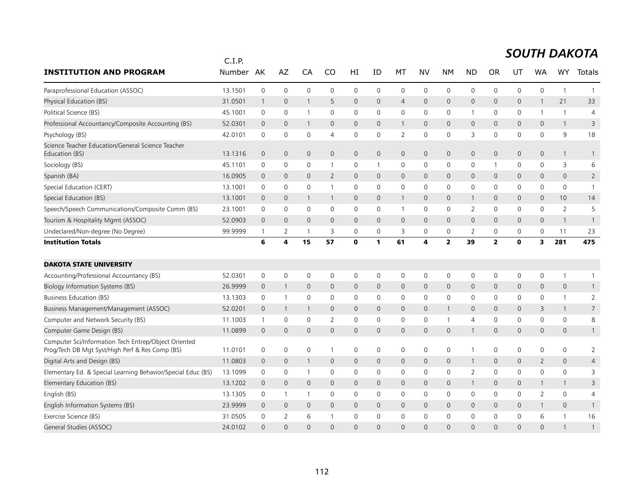|                                                                                                         | C.I.P.  |                     |                         |              |                     |                     |                     |                |                         |                |              |                |             |              |                     |                |
|---------------------------------------------------------------------------------------------------------|---------|---------------------|-------------------------|--------------|---------------------|---------------------|---------------------|----------------|-------------------------|----------------|--------------|----------------|-------------|--------------|---------------------|----------------|
| <b>INSTITUTION AND PROGRAM</b>                                                                          | Number  | AK                  | AZ                      | CA           | CO                  | HI                  | ID                  | МT             | NV                      | <b>NM</b>      | <b>ND</b>    | <b>OR</b>      | UT          | WA           | WY                  | Totals         |
| Paraprofessional Education (ASSOC)                                                                      | 13.1501 | $\mathbf 0$         | $\mathsf 0$             | $\mathbf 0$  | $\mathbf 0$         | $\mathbf 0$         | 0                   | $\mathbf 0$    | $\mathbf 0$             | 0              | 0            | $\mathbf 0$    | 0           | 0            | $\mathbf{1}$        | $\mathbf{1}$   |
| Physical Education (BS)                                                                                 | 31.0501 | $\mathbf{1}$        | $\mathbf 0$             | $\mathbf{1}$ | 5                   | $\mathbf{0}$        | $\overline{0}$      | $\overline{4}$ | $\mathbf{0}$            | $\mathbf{0}$   | $\mathbf 0$  | $\mathbf 0$    | 0           | $\mathbf{1}$ | 21                  | 33             |
| Political Science (BS)                                                                                  | 45.1001 | $\mathbf 0$         | 0                       | -1           | $\mathbf 0$         | 0                   | 0                   | $\mathbf 0$    | $\mathbf 0$             | $\mathbf 0$    | $\mathbf 1$  | 0              | 0           | 1            | $\mathbf{1}$        | $\overline{4}$ |
| Professional Accountancy/Composite Accounting (BS)                                                      | 52.0301 | $\overline{0}$      | $\mathbf 0$             | $\mathbf 1$  | 0                   | 0                   | $\mathbf 0$         | $\mathbf{1}$   | $\mathbf 0$             | $\mathbf 0$    | $\mathbf{0}$ | 0              | 0           | 0            | $\mathbf{1}$        | 3              |
| Psychology (BS)                                                                                         | 42.0101 | $\mathbf 0$         | $\mathbf 0$             | $\mathbf 0$  | $\overline{4}$      | 0                   | $\mathbf 0$         | $\overline{2}$ | $\mathbf 0$             | $\mathsf{O}$   | 3            | $\mathbf 0$    | 0           | $\mathbf 0$  | 9                   | 18             |
| Science Teacher Education/General Science Teacher<br>Education (BS)                                     | 13.1316 | $\overline{0}$      | $\mathbf 0$             | $\mathbf{0}$ | 0                   | $\mathbf 0$         | $\mathbf 0$         | $\mathbf 0$    | $\mathbf 0$             | $\mathbf 0$    | 0            | $\mathbf 0$    | 0           | 0            | $\mathbf{1}$        | $\mathbf{1}$   |
| Sociology (BS)                                                                                          | 45.1101 | 0                   | 0                       | 0            |                     | $\mathbf 0$         | 1                   | 0              | $\mathsf{O}\xspace$     | $\mathbf 0$    | 0            |                | 0           | $\mathbf 0$  | 3                   | 6              |
| Spanish (BA)                                                                                            | 16.0905 | $\mathbf 0$         | $\mathbf 0$             | $\mathbf{0}$ | 2                   | $\mathbf{0}$        | $\mathbf{0}$        | $\mathbf{0}$   | $\mathbf{0}$            | $\mathbf{0}$   | 0            | $\mathbf 0$    | 0           | $\mathbf 0$  | $\mathbf{0}$        | $\overline{2}$ |
| Special Education (CERT)                                                                                | 13.1001 | $\mathbf 0$         | 0                       | $\mathbf 0$  |                     | 0                   | 0                   | 0              | $\mathbf 0$             | 0              | 0            | 0              | 0           | 0            | 0                   | $\overline{1}$ |
| Special Education (BS)                                                                                  | 13.1001 | $\mathbf 0$         | $\mathbf 0$             | $\mathbf{1}$ | $\overline{1}$      | $\mathbf 0$         | $\mathbf 0$         | $\mathbf{1}$   | $\mathbf 0$             | $\mathsf{O}$   | $\mathbf{1}$ | $\mathbf 0$    | 0           | $\mathbf 0$  | 10                  | 14             |
| Speech/Speech Communications/Composite Comm (BS)                                                        | 23.1001 | $\mathbf 0$         | $\mathbf 0$             | $\mathbf 0$  | $\Omega$            | $\mathbf 0$         | $\Omega$            | $\mathbf{1}$   | $\mathbf 0$             | $\mathbf 0$    | 2            | $\Omega$       | $\mathbf 0$ | $\Omega$     | 2                   | 5              |
| Tourism & Hospitality Mgmt (ASSOC)                                                                      | 52.0903 | $\overline{0}$      | $\mathbf{0}$            | $\mathbf{0}$ | $\mathbf{0}$        | $\mathbf{0}$        | $\mathbf{0}$        | $\mathbf{0}$   | $\mathbf{0}$            | $\mathbf{0}$   | $\mathsf{O}$ | $\Omega$       | 0           | $\mathbf{0}$ | $\mathbf{1}$        | $\mathbf{1}$   |
| Undeclared/Non-degree (No Degree)                                                                       | 99.9999 | $\mathbf{1}$        | 2                       | -1           | 3                   | 0                   | 0                   | 3              | $\mathbf 0$             | 0              | 2            | 0              | 0           | 0            | 11                  | 23             |
| <b>Institution Totals</b>                                                                               |         | 6                   | $\overline{\mathbf{4}}$ | 15           | 57                  | O                   | 1                   | 61             | $\overline{\mathbf{4}}$ | $\overline{2}$ | 39           | $\overline{2}$ | $\mathbf 0$ | 3            | 281                 | 475            |
| <b>DAKOTA STATE UNIVERSITY</b>                                                                          |         |                     |                         |              |                     |                     |                     |                |                         |                |              |                |             |              |                     |                |
| Accounting/Professional Accountancy (BS)                                                                | 52.0301 | $\mathsf 0$         | $\mathbf 0$             | $\mathbf 0$  | $\mathsf{O}\xspace$ | 0                   | 0                   | 0              | $\mathsf{O}$            | 0              | 0            | 0              | 0           | 0            | $\mathbf{1}$        | $\mathbf{1}$   |
| Biology Information Systems (BS)                                                                        | 26.9999 | $\overline{0}$      | $\overline{1}$          | $\mathbf{0}$ | $\mathbf{0}$        | $\mathbf{0}$        | $\mathbf{0}$        | $\mathbf{0}$   | $\mathbf{0}$            | $\overline{0}$ | $\mathbf 0$  | $\mathbf{0}$   | 0           | $\mathbf{0}$ | $\mathbf 0$         | $\mathbf{1}$   |
| Business Education (BS)                                                                                 | 13.1303 | 0                   | $\overline{1}$          | $\mathbf 0$  | $\mathbf 0$         | 0                   | 0                   | 0              | 0                       | $\mathbf 0$    | 0            | 0              | 0           | 0            | $\mathbf{1}$        | $\overline{2}$ |
| Business Management/Management (ASSOC)                                                                  | 52.0201 | $\mathsf{O}\xspace$ | $\overline{1}$          | 1            | $\mathsf{O}$        | $\mathsf{O}\xspace$ | $\mathsf{O}\xspace$ | $\mathsf{O}$   | $\mathbf 0$             | $\mathbf{1}$   | 0            | $\mathbf 0$    | 0           | 3            | 1                   | $\overline{7}$ |
| Computer and Network Security (BS)                                                                      | 11.1003 | $\mathbf{1}$        | $\mathsf{O}\xspace$     | $\mathbf 0$  | 2                   | 0                   | $\mathbf 0$         | 0              | $\mathsf{O}$            | $\mathbf{1}$   | 4            | 0              | 0           | $\mathbf 0$  | 0                   | 8              |
| Computer Game Design (BS)                                                                               | 11.0899 | $\Omega$            | $\mathbf 0$             | $\Omega$     | $\mathbf{0}$        | $\mathbf{0}$        | $\Omega$            | $\mathbf{0}$   | $\Omega$                | $\mathbf 0$    | $\mathbf{1}$ | $\Omega$       | 0           | $\mathbf{0}$ | $\mathbf{0}$        | $\mathbf{1}$   |
| Computer Sci/Information Tech Entrep/Object Oriented<br>Prog/Tech DB Mgt Syst/High Perf & Res Comp (BS) | 11.0101 | $\mathsf 0$         | $\mathbf 0$             | $\mathbf 0$  | -1                  | 0                   | 0                   | $\mathbf 0$    | $\mathsf{O}$            | $\mathbf 0$    | $\mathbf{1}$ | 0              | 0           | $\mathbf 0$  | $\mathsf{O}\xspace$ | $\overline{2}$ |
| Digital Arts and Design (BS)                                                                            | 11.0803 | $\overline{0}$      | $\mathbf 0$             | 1            | $\mathbf{0}$        | $\mathbf{0}$        | $\mathbf{0}$        | $\mathbf{0}$   | $\mathbf{0}$            | $\mathbf{0}$   | $\mathbf{1}$ | $\mathbf 0$    | 0           | 2            | $\mathsf{O}\xspace$ | 4              |
| Elementary Ed. & Special Learning Behavior/Special Educ (BS)                                            | 13.1099 | $\mathbf 0$         | 0                       | $\mathbf{1}$ | $\mathbf 0$         | 0                   | 0                   | 0              | $\mathbf 0$             | $\mathbf 0$    | 2            | 0              | 0           | 0            | $\mathbf 0$         | 3              |
| Elementary Education (BS)                                                                               | 13.1202 | $\mathbf{0}$        | $\mathbf 0$             | $\mathbf 0$  | $\mathbf{0}$        | $\mathbf 0$         | $\mathbf{0}$        | $\mathsf{O}$   | $\mathbf 0$             | $\mathbf 0$    | $\mathbf{1}$ | $\mathbf{0}$   | 0           | $\mathbf{1}$ | $\mathbf{1}$        | 3              |
| English (BS)                                                                                            | 13.1305 | $\mathbf 0$         | $\overline{1}$          | $\mathbf{1}$ | $\Omega$            | 0                   | 0                   | 0              | $\mathbf 0$             | 0              | 0            | 0              | 0           | 2            | 0                   | 4              |
| English Information Systems (BS)                                                                        | 23.9999 | $\overline{0}$      | $\mathbf 0$             | $\mathbf{0}$ | $\mathbf{0}$        | $\mathbf{0}$        | $\mathbf{0}$        | $\mathbf{0}$   | $\mathbf{0}$            | $\mathbf{0}$   | $\mathbf{0}$ | $\mathbf 0$    | 0           | $\mathbf{1}$ | $\overline{0}$      | $\mathbf{1}$   |
| Exercise Science (BS)                                                                                   | 31.0505 | $\mathbf 0$         | 2                       | 6            |                     | 0                   | 0                   | $\mathbf 0$    | $\mathbf 0$             | $\mathbf 0$    | 0            | $\mathbf 0$    | 0           | 6            | $\mathbf{1}$        | 16             |
| General Studies (ASSOC)                                                                                 | 24.0102 | $\Omega$            | $\Omega$                | $\Omega$     | $\Omega$            | $\Omega$            | $\Omega$            | $\Omega$       | $\Omega$                | $\Omega$       | $\Omega$     | $\Omega$       | $\Omega$    | $\Omega$     |                     | $\mathbf{1}$   |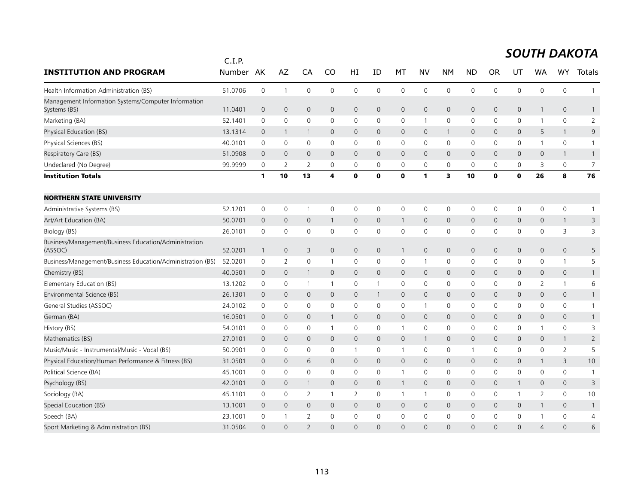|                                                                     | C.I.P.  |                |                |                          |                |                |                |                |                |                |                |              |              |                |                     |                |
|---------------------------------------------------------------------|---------|----------------|----------------|--------------------------|----------------|----------------|----------------|----------------|----------------|----------------|----------------|--------------|--------------|----------------|---------------------|----------------|
| <b>INSTITUTION AND PROGRAM</b>                                      | Number  | AK             | AZ             | CA                       | CO             | HI             | ID             | МT             | NV             | <b>NM</b>      | <b>ND</b>      | <b>OR</b>    | UT           | WA             | <b>WY</b>           | Totals         |
| Health Information Administration (BS)                              | 51.0706 | $\mathsf 0$    | $\mathbf{1}$   | $\mathbf 0$              | $\mathbf 0$    | $\mathbf 0$    | 0              | $\mathbf 0$    | $\mathbf 0$    | $\mathbf 0$    | $\mathbf 0$    | $\mathbf 0$  | 0            | 0              | $\mathbf 0$         | $\mathbf{1}$   |
| Management Information Systems/Computer Information<br>Systems (BS) | 11.0401 | $\overline{0}$ | $\overline{0}$ | $\mathbf 0$              | $\mathbf{0}$   | $\mathbf{0}$   | $\mathbf 0$    | $\mathbf 0$    | $\mathbf 0$    | $\mathbf 0$    | $\mathbf{0}$   | $\mathbf 0$  | 0            | $\mathbf{1}$   | $\mathbf{0}$        | $\mathbf{1}$   |
| Marketing (BA)                                                      | 52.1401 | $\mathbf 0$    | 0              | $\mathbf 0$              | $\Omega$       | 0              | 0              | 0              | $\overline{1}$ | 0              | 0              | 0            | 0            | $\mathbf{1}$   | 0                   | $\overline{2}$ |
| Physical Education (BS)                                             | 13.1314 | $\mathbf 0$    | $\overline{1}$ | 1                        | $\mathbf{0}$   | $\overline{0}$ | $\mathbf{0}$   | $\overline{0}$ | $\mathbf{0}$   | $\mathbf{1}$   | $\mathbf 0$    | $\mathbf{0}$ | $\mathbf 0$  | 5              | $\mathbf{1}$        | 9              |
| Physical Sciences (BS)                                              | 40.0101 | 0              | 0              | 0                        | $\mathbf 0$    | 0              | 0              | 0              | 0              | 0              | 0              | 0            | 0            | 1              | $\mathsf{O}\xspace$ | $\mathbf{1}$   |
| Respiratory Care (BS)                                               | 51.0908 | $\overline{0}$ | $\overline{0}$ | $\mathbf{0}$             | $\mathbf{0}$   | $\mathbf{0}$   | $\overline{0}$ | $\mathbf{0}$   | $\mathbf{0}$   | $\mathbf{0}$   | $\mathbf{0}$   | $\mathbf 0$  | $\mathsf{O}$ | 0              | $\mathbf{1}$        | $\overline{1}$ |
| Undeclared (No Degree)                                              | 99.9999 | $\mathbf 0$    | 2              | 2                        | 0              | 0              | 0              | 0              | $\mathbf 0$    | 0              | $\mathbf 0$    | 0            | 0            | 3              | $\mathbf 0$         | 7              |
| <b>Institution Totals</b>                                           |         | $\mathbf{1}$   | 10             | 13                       | 4              | $\mathbf 0$    | $\mathbf 0$    | $\mathbf 0$    | $\mathbf{1}$   | 3              | 10             | $\mathbf 0$  | $\mathbf 0$  | 26             | 8                   | 76             |
| <b>NORTHERN STATE UNIVERSITY</b>                                    |         |                |                |                          |                |                |                |                |                |                |                |              |              |                |                     |                |
| Administrative Systems (BS)                                         | 52.1201 | 0              | 0              | $\mathbf{1}$             | 0              | $\mathbf 0$    | $\mathbf 0$    | $\mathbf 0$    | $\mathsf{O}$   | $\mathbf 0$    | $\mathbf 0$    | 0            | 0            | 0              | $\mathsf{O}\xspace$ | $\mathbf{1}$   |
| Art/Art Education (BA)                                              | 50.0701 | $\mathbf{0}$   | $\mathbf{0}$   | $\mathbf{0}$             | $\mathbf{1}$   | $\mathbf{0}$   | $\mathbf{0}$   | $\mathbf{1}$   | $\mathbf{0}$   | $\mathbf{0}$   | $\mathbf 0$    | $\mathbf{0}$ | 0            | 0              | $\mathbf{1}$        | 3              |
| Biology (BS)                                                        | 26.0101 | $\mathbf 0$    | $\mathbf 0$    | $\mathbf 0$              | $\mathbf 0$    | $\mathsf 0$    | $\mathbf 0$    | $\mathsf 0$    | $\mathbf 0$    | 0              | 0              | 0            | 0            | 0              | 3                   | 3              |
| Business/Management/Business Education/Administration<br>(ASSOC)    | 52.0201 | $\overline{1}$ | $\mathbf 0$    | 3                        | $\mathbf 0$    | $\mathbf 0$    | $\mathbf 0$    | $\mathbf{1}$   | $\mathbf 0$    | $\mathbf 0$    | $\mathbf 0$    | $\mathbf 0$  | 0            | 0              | $\mathbf 0$         | 5              |
| Business/Management/Business Education/Administration (BS)          | 52.0201 | $\mathbf 0$    | $\overline{2}$ | $\mathbf 0$              | -1             | $\mathbf 0$    | 0              | 0              | $\mathbf{1}$   | $\mathbf 0$    | $\mathbf 0$    | 0            | 0            | 0              | $\mathbf{1}$        | 5              |
| Chemistry (BS)                                                      | 40.0501 | $\mathbf 0$    | $\overline{0}$ | $\mathbf{1}$             | $\mathbf{0}$   | $\mathbf 0$    | $\overline{0}$ | $\mathbf 0$    | $\mathbf 0$    | $\mathbf 0$    | $\mathbf 0$    | $\mathbf{0}$ | 0            | 0              | $\mathsf{O}\xspace$ | $\mathbf{1}$   |
| Elementary Education (BS)                                           | 13.1202 | $\mathbf 0$    | $\mathbf 0$    | $\mathbf{1}$             | $\overline{1}$ | $\mathbf 0$    | $\mathbf{1}$   | $\mathbf 0$    | $\mathbf 0$    | $\mathbf 0$    | $\Omega$       | $\mathbf{0}$ | 0            | 2              | $\mathbf{1}$        | 6              |
| Environmental Science (BS)                                          | 26.1301 | $\mathbf 0$    | $\mathbf{0}$   | $\mathbf{0}$             | $\mathbf{0}$   | $\mathbf{0}$   | $\mathbf{1}$   | $\mathbf{0}$   | $\mathbf{0}$   | $\mathbf{0}$   | $\mathbf 0$    | $\mathbf 0$  | $\mathsf{O}$ | 0              | $\mathbf{0}$        | $\mathbf{1}$   |
| General Studies (ASSOC)                                             | 24.0102 | 0              | $\mathbf 0$    | $\mathbf 0$              | 0              | 0              | 0              | 0              | $\overline{1}$ | $\mathbf 0$    | 0              | 0            | 0            | 0              | $\mathsf{O}\xspace$ | $\mathbf{1}$   |
| German (BA)                                                         | 16.0501 | $\mathbf 0$    | $\mathbf 0$    | $\mathbf 0$              | $\mathbf{1}$   | $\mathbf 0$    | $\mathbf{0}$   | $\mathbf 0$    | $\mathbf 0$    | $\mathbf 0$    | $\mathbf 0$    | $\mathbf 0$  | 0            | 0              | $\mathsf{O}\xspace$ | $\mathbf{1}$   |
| History (BS)                                                        | 54.0101 | $\mathbf 0$    | 0              | $\mathbf 0$              | $\overline{1}$ | 0              | 0              | $\mathbf{1}$   | $\mathbf 0$    | $\mathbf 0$    | 0              | 0            | 0            | 1              | $\mathbf 0$         | 3              |
| Mathematics (BS)                                                    | 27.0101 | $\overline{0}$ | $\mathbf 0$    | $\mathbf{0}$             | $\mathbf{0}$   | $\mathbf{0}$   | $\mathbf{0}$   | $\mathbf 0$    | $\mathbf{1}$   | $\overline{0}$ | $\mathbf{0}$   | $\mathbf{0}$ | 0            | 0              | $\mathbf{1}$        | $\overline{2}$ |
| Music/Music - Instrumental/Music - Vocal (BS)                       | 50.0901 | $\mathbf 0$    | 0              | $\mathbf 0$              | 0              | $\mathbf{1}$   | 0              | $\mathbf{1}$   | $\mathbf 0$    | 0              | $\mathbf{1}$   | 0            | 0            | 0              | 2                   | 5              |
| Physical Education/Human Performance & Fitness (BS)                 | 31.0501 | $\overline{0}$ | $\overline{0}$ | 6                        | $\mathbf{0}$   | $\overline{0}$ | $\mathbf{0}$   | $\mathbf{0}$   | $\mathbf{0}$   | $\mathbf{0}$   | $\overline{0}$ | $\mathbf{0}$ | $\mathbf 0$  | $\mathbf{1}$   | 3                   | 10             |
| Political Science (BA)                                              | 45.1001 | 0              | 0              | $\mathbf 0$              | $\mathbf 0$    | 0              | 0              | $\mathbf{1}$   | 0              | 0              | 0              | 0            | 0            | 0              | $\mathsf{O}\xspace$ | $\overline{1}$ |
| Psychology (BS)                                                     | 42.0101 | $\overline{0}$ | $\overline{0}$ | $\mathbf{1}$             | $\mathbf{0}$   | $\mathbf{0}$   | $\overline{0}$ | $\mathbf{1}$   | $\mathbf{0}$   | $\mathbf{0}$   | $\mathbf{0}$   | $\mathbf 0$  | $\mathbf{1}$ | 0              | $\mathbf{0}$        | 3              |
| Sociology (BA)                                                      | 45.1101 | $\mathbf 0$    | $\mathbf 0$    | 2                        | -1             | $\overline{2}$ | 0              | $\mathbf{1}$   | $\mathbf{1}$   | $\mathbf 0$    | 0              | 0            | 1            | $\overline{2}$ | $\mathsf{O}$        | 10             |
| Special Education (BS)                                              | 13.1001 | $\overline{0}$ | $\mathbf 0$    | $\mathbf 0$              | 0              | $\mathbf 0$    | 0              | $\mathbf 0$    | $\mathbf 0$    | $\mathbf 0$    | 0              | 0            | 0            | $\mathbf{1}$   | 0                   | $\overline{1}$ |
| Speech (BA)                                                         | 23.1001 | $\mathbf 0$    | $\overline{1}$ | $\overline{2}$           | $\mathbf 0$    | $\mathbf 0$    | 0              | 0              | $\mathbf 0$    | 0              | 0              | 0            | 0            |                | $\mathsf{O}\xspace$ | 4              |
| Sport Marketing & Administration (BS)                               | 31.0504 | $\Omega$       | $\Omega$       | $\overline{\phantom{0}}$ | $\Omega$       | $\Omega$       | $\Omega$       | $\Omega$       | $\Omega$       | $\Omega$       | $\Omega$       | $\Omega$     | $\Omega$     | 4              | $\Omega$            | 6              |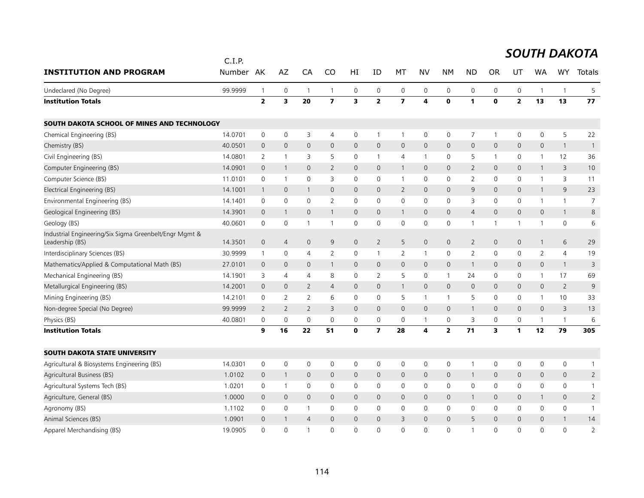|                                                                           | C.I.P.  |                |                |                |                         |                     |                          |                         |                     |                         |                |                |                     |                     |                 |                |
|---------------------------------------------------------------------------|---------|----------------|----------------|----------------|-------------------------|---------------------|--------------------------|-------------------------|---------------------|-------------------------|----------------|----------------|---------------------|---------------------|-----------------|----------------|
| <b>INSTITUTION AND PROGRAM</b>                                            | Number  | AK             | AZ             | CA             | CO                      | ΗI                  | ID                       | MT                      | <b>NV</b>           | <b>NM</b>               | <b>ND</b>      | <b>OR</b>      | UT                  | WA                  | WY              | Totals         |
| Undeclared (No Degree)                                                    | 99.9999 | $\overline{1}$ | $\mathbf 0$    | $\overline{1}$ | $\mathbf{1}$            | 0                   | 0                        | $\mathsf{O}\xspace$     | 0                   | 0                       | $\mathsf 0$    | 0              | $\mathsf 0$         | 1                   | $\overline{1}$  | 5              |
| <b>Institution Totals</b>                                                 |         | $\mathbf{2}$   | 3              | 20             | $\overline{\mathbf{z}}$ | 3                   | $\overline{2}$           | $\overline{\mathbf{z}}$ | 4                   | $\mathbf 0$             | 1              | $\mathbf{0}$   | $\overline{2}$      | 13                  | 13              | 77             |
| SOUTH DAKOTA SCHOOL OF MINES AND TECHNOLOGY                               |         |                |                |                |                         |                     |                          |                         |                     |                         |                |                |                     |                     |                 |                |
| Chemical Engineering (BS)                                                 | 14.0701 | 0              | 0              | 3              | $\overline{4}$          | 0                   | $\mathbf{1}$             | $\mathbf{1}$            | 0                   | 0                       | 7              | $\overline{1}$ | 0                   | 0                   | 5               | 22             |
| Chemistry (BS)                                                            | 40.0501 | $\mathbf 0$    | $\mathbf 0$    | 0              | $\mathbf{0}$            | $\mathsf{O}$        | $\mathbf 0$              | $\mathbf 0$             | $\mathbf 0$         | $\mathbf 0$             | $\mathbf 0$    | $\mathbf{0}$   | $\mathbf 0$         | 0                   | $\mathbf{1}$    | $\mathbf{1}$   |
| Civil Engineering (BS)                                                    | 14.0801 | $\overline{2}$ | $\overline{1}$ | 3              | 5                       | 0                   | $\mathbf{1}$             | $\overline{4}$          | $\mathbf{1}$        | $\mathbf 0$             | 5              |                | 0                   | $\mathbf{1}$        | 12              | 36             |
| Computer Engineering (BS)                                                 | 14.0901 | $\overline{0}$ | $\mathbf{1}$   | 0              | $\overline{2}$          | $\mathsf{O}\xspace$ | $\mathbf 0$              | $\mathbf{1}$            | $\mathbf 0$         | $\mathbf 0$             | $\overline{2}$ | $\mathbf 0$    | $\mathsf{O}\xspace$ | $\mathbf{1}$        | 3               | 10             |
| Computer Science (BS)                                                     | 11.0101 | 0              | $\overline{1}$ | 0              | 3                       | 0                   | 0                        | $\mathbf{1}$            | 0                   | $\mathbf 0$             | 2              | 0              | 0                   | 1                   | 3               | 11             |
| Electrical Engineering (BS)                                               | 14.1001 | $\mathbf{1}$   | $\mathbf 0$    | $\mathbf{1}$   | 0                       | $\mathsf{O}$        | $\mathbf 0$              | $\overline{2}$          | $\mathsf{O}\xspace$ | $\mathsf{O}\xspace$     | 9              | $\mathbf{0}$   | $\mathsf{O}\xspace$ | $\mathbf{1}$        | 9               | 23             |
| Environmental Engineering (BS)                                            | 14.1401 | $\mathbf 0$    | $\mathbf 0$    | 0              | $\overline{2}$          | $\mathsf{O}$        | $\mathbf 0$              | $\mathsf{O}\xspace$     | $\mathbf 0$         | 0                       | 3              | $\mathbf 0$    | 0                   | $\mathbf{1}$        | $\mathbf{1}$    | $\overline{7}$ |
| Geological Engineering (BS)                                               | 14.3901 | $\overline{0}$ | $\mathbf{1}$   | 0              | 1                       | $\mathsf{O}\xspace$ | $\mathsf{O}$             | $\mathbf{1}$            | $\mathsf{O}\xspace$ | $\mathsf{O}\xspace$     | $\overline{4}$ | $\mathbf 0$    | $\mathsf{O}\xspace$ | $\mathsf{O}\xspace$ | $\mathbf{1}$    | 8              |
| Geology (BS)                                                              | 40.0601 | $\mathbf 0$    | 0              | $\mathbf 1$    |                         | $\mathbf 0$         | $\mathbf 0$              | $\mathbf 0$             | $\mathbf 0$         | $\mathsf 0$             |                |                | 1                   | -1                  | $\mathbf 0$     | 6              |
| Industrial Engineering/Six Sigma Greenbelt/Engr Mgmt &<br>Leadership (BS) | 14.3501 | $\mathbf 0$    | $\overline{4}$ | $\mathbf{0}$   | 9                       | $\mathbf 0$         | $\overline{2}$           | 5                       | $\mathbf{0}$        | $\mathsf{O}\xspace$     | $\overline{2}$ | $\mathbf{0}$   | $\mathbf{0}$        | $\mathbf{1}$        | 6               | 29             |
| Interdisciplinary Sciences (BS)                                           | 30.9999 | $\mathbf{1}$   | $\mathbf 0$    | 4              | $\overline{2}$          | $\mathsf{O}$        | $\mathbf{1}$             | 2                       | $\mathbf{1}$        | $\mathbf 0$             | $\overline{2}$ | $\Omega$       | $\mathbf 0$         | $\overline{2}$      | $\overline{4}$  | 19             |
| Mathematics/Applied & Computational Math (BS)                             | 27.0101 | $\mathbf 0$    | $\mathbf{0}$   | $\mathbf{0}$   | 1                       | $\mathsf{O}$        | $\mathbf 0$              | $\mathbf 0$             | $\mathbf 0$         | $\mathbf 0$             | -1             | $\mathbf{0}$   | $\mathbf 0$         | $\mathbf{0}$        | $\overline{1}$  | 3              |
| Mechanical Engineering (BS)                                               | 14.1901 | 3              | 4              | 4              | 8                       | $\Omega$            | 2                        | 5                       | $\mathbf{0}$        | $\mathbf{1}$            | 24             | $\mathbf{0}$   | $\mathbf 0$         | $\mathbf{1}$        | 17              | 69             |
| Metallurgical Engineering (BS)                                            | 14.2001 | $\mathbf 0$    | $\mathbf{0}$   | $\overline{2}$ | $\overline{4}$          | $\mathbf{0}$        | $\mathbf 0$              | $\mathbf{1}$            | $\mathbf{0}$        | $\mathbf{0}$            | $\mathbf 0$    | $\Omega$       | $\mathbf{0}$        | $\mathbf 0$         | $\overline{2}$  | 9              |
| Mining Engineering (BS)                                                   | 14.2101 | 0              | $\overline{2}$ | $\overline{2}$ | 6                       | $\mathsf{O}$        | $\mathbf 0$              | 5                       | $\mathbf{1}$        | $\mathbf{1}$            | 5              | $\Omega$       | $\mathbf 0$         | $\mathbf{1}$        | 10 <sup>°</sup> | 33             |
| Non-degree Special (No Degree)                                            | 99.9999 | 2              | 2              | $\overline{2}$ | 3                       | $\mathbf{0}$        | $\mathbf 0$              | $\mathbf{0}$            | $\mathbf{0}$        | $\mathbf{0}$            |                | $\mathbf{0}$   | $\mathbf{0}$        | $\mathbf{0}$        | 3               | 13             |
| Physics (BS)                                                              | 40.0801 | $\mathbf 0$    | $\mathbf 0$    | 0              | $\mathbf 0$             | 0                   | 0                        | $\mathbf 0$             | $\mathbf{1}$        | $\mathbf 0$             | 3              | 0              | 0                   | 1                   | $\mathbf{1}$    | 6              |
| <b>Institution Totals</b>                                                 |         | 9              | 16             | 22             | 51                      | $\mathbf 0$         | $\overline{\phantom{a}}$ | 28                      | 4                   | $\overline{\mathbf{2}}$ | 71             | 3              | 1                   | 12                  | 79              | 305            |
| <b>SOUTH DAKOTA STATE UNIVERSITY</b>                                      |         |                |                |                |                         |                     |                          |                         |                     |                         |                |                |                     |                     |                 |                |
| Agricultural & Biosystems Engineering (BS)                                | 14.0301 | $\mathbf 0$    | $\mathbf 0$    | 0              | $\mathbf 0$             | $\mathbf 0$         | 0                        | $\mathbf 0$             | $\mathbf 0$         | $\mathbf 0$             |                | 0              | $\mathbf 0$         | 0                   | $\mathsf{O}$    | $\mathbf{1}$   |
| Agricultural Business (BS)                                                | 1.0102  | $\mathbf 0$    | $\mathbf{1}$   | $\mathbf{0}$   | 0                       | $\mathbf 0$         | $\mathbf 0$              | $\mathbf 0$             | $\mathbf{0}$        | $\mathbf{0}$            |                | $\mathbf 0$    | $\mathbf 0$         | $\overline{0}$      | $\mathbf 0$     | $\overline{2}$ |
| Agricultural Systems Tech (BS)                                            | 1.0201  | 0              | $\mathbf{1}$   | 0              | $\mathbf{0}$            | $\mathbf 0$         | $\mathbf 0$              | $\mathbf 0$             | $\mathbf 0$         | $\mathbf 0$             | $\mathbf 0$    | $\mathbf{0}$   | $\mathbf 0$         | $\mathbf{0}$        | $\mathbf 0$     | $\mathbf{1}$   |
| Agriculture, General (BS)                                                 | 1.0000  | $\mathbf{0}$   | $\mathbf{0}$   | $\mathbf{0}$   | $\mathbf{0}$            | $\mathbf{0}$        | $\mathbf{0}$             | $\mathbf{0}$            | $\mathbf{0}$        | $\mathbf{0}$            | $\mathbf{1}$   | $\mathbf{0}$   | $\mathbf{0}$        | $\mathbf{1}$        | $\mathbf{0}$    | $\overline{2}$ |
| Agronomy (BS)                                                             | 1.1102  | 0              | $\mathbf 0$    | $\mathbf{1}$   | $\mathbf 0$             | 0                   | 0                        | $\mathbf 0$             | 0                   | $\mathbf 0$             | 0              | $\mathbf 0$    | $\mathbf 0$         | 0                   | $\mathsf{O}$    | $\mathbf{1}$   |
| Animal Sciences (BS)                                                      | 1.0901  | $\mathbf{0}$   |                | $\overline{4}$ | $\Omega$                | $\mathbf{0}$        | $\Omega$                 | 3                       | 0                   | $\overline{0}$          | 5              | $\Omega$       | $\mathbf 0$         | $\Omega$            | $\overline{1}$  | 14             |
| Apparel Merchandising (BS)                                                | 19.0905 | $\Omega$       | $\Omega$       | $\overline{1}$ | $\Omega$                | $\Omega$            | $\Omega$                 | $\Omega$                | $\Omega$            | $\Omega$                |                | $\Omega$       | $\Omega$            | $\Omega$            | $\Omega$        | $\overline{2}$ |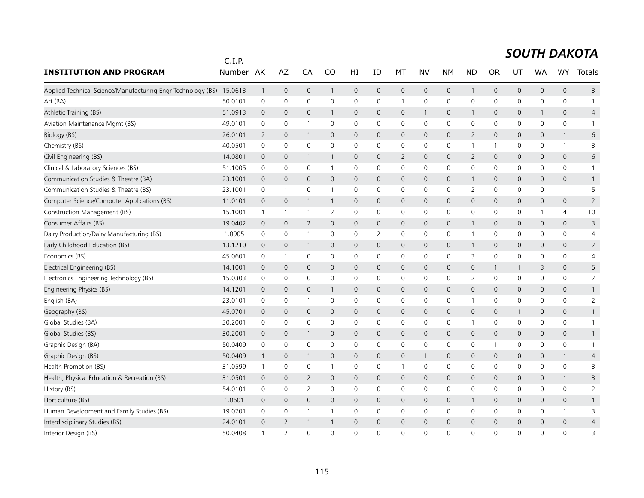|                                                                      | C.I.P.  |                |                     |                |                |              |                     |                     |                     |              |                |              |              |                     |                     |                |
|----------------------------------------------------------------------|---------|----------------|---------------------|----------------|----------------|--------------|---------------------|---------------------|---------------------|--------------|----------------|--------------|--------------|---------------------|---------------------|----------------|
| <b>INSTITUTION AND PROGRAM</b>                                       | Number  | AK             | AZ                  | CA             | CO             | HI           | ID                  | МT                  | NV                  | <b>NM</b>    | <b>ND</b>      | <b>OR</b>    | UT           | <b>WA</b>           | <b>WY</b>           | Totals         |
| Applied Technical Science/Manufacturing Engr Technology (BS) 15.0613 |         | $\mathbf{1}$   | $\mathsf{O}\xspace$ | $\mathbf 0$    | $\mathbf{1}$   | 0            | $\mathsf{O}\xspace$ | $\mathsf{O}\xspace$ | $\mathsf{O}$        | $\mathbf 0$  | 1              | 0            | $\mathbf 0$  | $\mathsf{O}\xspace$ | $\mathsf{O}\xspace$ | 3              |
| Art (BA)                                                             | 50.0101 | 0              | 0                   | $\mathbf 0$    | $\mathbf 0$    | 0            | $\mathbf 0$         | $\mathbf{1}$        | $\mathbf 0$         | $\mathbf 0$  | 0              | 0            | 0            | 0                   | 0                   | 1              |
| Athletic Training (BS)                                               | 51.0913 | $\mathbf 0$    | $\mathbf{0}$        | $\mathbf{0}$   | 1              | 0            | $\mathbf 0$         | $\mathbf{0}$        | $\mathbf{1}$        | $\mathbf 0$  | $\mathbf 1$    | 0            | $\mathbf{0}$ | 1                   | $\mathbf{0}$        | 4              |
| Aviation Maintenance Mgmt (BS)                                       | 49.0101 | $\mathbf 0$    | $\mathbf 0$         | -1             | 0              | 0            | 0                   | 0                   | 0                   | $\mathbf 0$  | $\mathbf 0$    | 0            | 0            | 0                   | 0                   |                |
| Biology (BS)                                                         | 26.0101 | 2              | $\mathbf 0$         | -1             | $\mathbf{0}$   | 0            | 0                   | $\mathbf 0$         | $\mathbf 0$         | $\mathbf 0$  | $\overline{2}$ | 0            | $\mathsf{O}$ | $\mathbf 0$         | $\mathbf{1}$        | 6              |
| Chemistry (BS)                                                       | 40.0501 | $\mathbf 0$    | $\mathbf 0$         | $\mathbf 0$    | $\Omega$       | 0            | $\mathbf 0$         | $\mathbf 0$         | $\mathbf 0$         | $\mathbf 0$  | -1             | $\mathbf{1}$ | $\mathbf 0$  | $\mathbf 0$         | $\mathbf{1}$        | 3              |
| Civil Engineering (BS)                                               | 14.0801 | $\mathbf 0$    | $\mathbf 0$         | -1             | 1              | $\mathsf{O}$ | 0                   | $\overline{2}$      | $\mathbf{0}$        | $\mathbf 0$  | 2              | 0            | $\mathbf{0}$ | 0                   | $\mathbf{0}$        | 6              |
| Clinical & Laboratory Sciences (BS)                                  | 51.1005 | 0              | $\mathbf 0$         | $\mathbf 0$    | $\mathbf{1}$   | 0            | 0                   | 0                   | 0                   | $\mathbf 0$  | $\mathbf 0$    | 0            | $\mathsf{O}$ | 0                   | 0                   | -1             |
| Communication Studies & Theatre (BA)                                 | 23.1001 | $\overline{0}$ | $\mathbf 0$         | $\overline{0}$ | $\mathbf{0}$   | 0            | 0                   | 0                   | $\mathbf 0$         | $\mathbf 0$  | 1              | $\mathbf 0$  | $\mathsf{O}$ | $\mathbf 0$         | $\mathsf{O}\xspace$ |                |
| Communication Studies & Theatre (BS)                                 | 23.1001 | 0              | $\mathbf{1}$        | 0              | -1             | 0            | 0                   | 0                   | 0                   | 0            | 2              | 0            | 0            | 0                   | $\mathbf{1}$        | 5              |
| Computer Science/Computer Applications (BS)                          | 11.0101 | $\overline{0}$ | $\mathbf{0}$        | 1              | $\mathbf{1}$   | $\mathsf{O}$ | $\mathbf{0}$        | $\mathbf{0}$        | $\mathbf{0}$        | $\mathbf 0$  | $\mathbf 0$    | 0            | $\mathbf{0}$ | 0                   | $\mathbf{0}$        | $\overline{2}$ |
| Construction Management (BS)                                         | 15.1001 | $\mathbf{1}$   | $\mathbf{1}$        | $\overline{1}$ | $\overline{2}$ | 0            | 0                   | 0                   | 0                   | $\mathbf 0$  | $\mathbf 0$    | 0            | $\mathbf 0$  | 1                   | 4                   | 10             |
| Consumer Affairs (BS)                                                | 19.0402 | $\overline{0}$ | $\mathsf{O}\xspace$ | $\overline{2}$ | $\mathsf{O}$   | 0            | $\mathbf 0$         | $\mathsf{O}$        | $\mathbf{0}$        | $\mathbf 0$  | 1              | 0            | $\mathsf{O}$ | $\mathbf 0$         | $\mathsf{O}\xspace$ | 3              |
| Dairy Production/Dairy Manufacturing (BS)                            | 1.0905  | $\mathbf 0$    | $\mathbf 0$         | -1             | 0              | 0            | 2                   | 0                   | 0                   | 0            | -1             | 0            | 0            | $\mathbf{0}$        | 0                   | 4              |
| Early Childhood Education (BS)                                       | 13.1210 | $\overline{0}$ | $\mathbf 0$         | -1             | $\mathbf{0}$   | 0            | 0                   | 0                   | $\mathbf 0$         | $\mathbf 0$  | $\overline{1}$ | 0            | $\mathsf{O}$ | 0                   | 0                   | $\overline{2}$ |
| Economics (BS)                                                       | 45.0601 | 0              | $\mathbf{1}$        | $\mathbf 0$    | 0              | 0            | 0                   | 0                   | 0                   | $\mathbf 0$  | 3              | 0            | $\mathsf{O}$ | 0                   | 0                   | 4              |
| Electrical Engineering (BS)                                          | 14.1001 | $\overline{0}$ | $\mathbf{0}$        | $\mathbf 0$    | $\mathbf{0}$   | $\mathsf{O}$ | 0                   | $\mathbf{0}$        | $\mathbf{0}$        | $\mathbf 0$  | $\mathbf{0}$   | 1            | 1            | 3                   | $\mathbf{0}$        | 5              |
| Electronics Engineering Technology (BS)                              | 15.0303 | 0              | $\mathbf 0$         | $\mathbf 0$    | $\mathbf{0}$   | 0            | 0                   | 0                   | 0                   | 0            | $\overline{2}$ | 0            | 0            | 0                   | 0                   | 2              |
| Engineering Physics (BS)                                             | 14.1201 | $\overline{0}$ | $\mathbf 0$         | $\overline{0}$ | $\mathbf{1}$   | 0            | 0                   | $\mathbf 0$         | $\mathbf 0$         | $\mathbf 0$  | $\overline{0}$ | 0            | $\mathsf{O}$ | 0                   | 0                   | $\mathbf{1}$   |
| English (BA)                                                         | 23.0101 | 0              | 0                   | -1             | 0              | 0            | 0                   | 0                   | $\mathsf{O}\xspace$ | $\mathbf 0$  |                | 0            | $\mathbf 0$  | 0                   | 0                   | $\overline{2}$ |
| Geography (BS)                                                       | 45.0701 | $\overline{0}$ | $\mathbf 0$         | $\overline{0}$ | $\mathbf{0}$   | 0            | 0                   | $\mathbf 0$         | $\mathbf 0$         | $\mathbf 0$  | $\mathbf 0$    | 0            | 1            | 0                   | 0                   | $\mathbf{1}$   |
| Global Studies (BA)                                                  | 30.2001 | $\mathbf 0$    | $\mathsf{O}\xspace$ | $\mathbf 0$    | 0              | 0            | $\mathbf 0$         | 0                   | $\mathbf 0$         | $\mathbf 0$  | $\overline{1}$ | 0            | $\mathsf{O}$ | 0                   | 0                   | $\mathbf{1}$   |
| Global Studies (BS)                                                  | 30.2001 | $\mathbf 0$    | $\mathbf 0$         | 1              | $\mathbf{0}$   | 0            | 0                   | $\mathbf 0$         | $\mathbf 0$         | $\mathbf 0$  | $\mathbf 0$    | 0            | $\mathsf{O}$ | 0                   | 0                   | $\mathbf{1}$   |
| Graphic Design (BA)                                                  | 50.0409 | $\mathbf 0$    | 0                   | 0              | 0              | 0            | 0                   | 0                   | 0                   | $\mathsf{O}$ | 0              | 1            | 0            | 0                   | 0                   | 1              |
| Graphic Design (BS)                                                  | 50.0409 | $\mathbf{1}$   | $\mathbf 0$         | -1             | $\mathbf{0}$   | $\mathsf{O}$ | 0                   | $\mathbf{0}$        | $\mathbf{1}$        | $\mathbf 0$  | $\mathbf 0$    | 0            | $\mathbf{0}$ | 0                   | $\mathbf{1}$        | 4              |
| Health Promotion (BS)                                                | 31.0599 | $\mathbf{1}$   | 0                   | 0              | 1              | 0            | 0                   | $\mathbf{1}$        | 0                   | $\mathbf 0$  | $\mathbf 0$    | 0            | 0            | 0                   | 0                   | 3              |
| Health, Physical Education & Recreation (BS)                         | 31.0501 | $\mathbf 0$    | $\mathbf 0$         | $\overline{2}$ | $\mathbf{0}$   | 0            | 0                   | $\mathbf 0$         | $\mathbf 0$         | $\mathbf 0$  | $\mathbf 0$    | 0            | $\mathsf{O}$ | $\mathbf 0$         | $\mathbf{1}$        | 3              |
| History (BS)                                                         | 54.0101 | $\mathbf 0$    | $\mathbf 0$         | $\overline{2}$ | $\mathbf{0}$   | 0            | 0                   | 0                   | 0                   | $\mathbf 0$  | $\mathbf 0$    | 0            | $\mathbf{0}$ | $\mathbf{0}$        | 0                   | $\overline{2}$ |
| Horticulture (BS)                                                    | 1.0601  | $\overline{0}$ | $\mathbf 0$         | $\overline{0}$ | 0              | 0            | 0                   | $\mathbf 0$         | $\mathbf 0$         | $\mathbf 0$  | 1              | 0            | $\mathsf{O}$ | 0                   | 0                   | $\mathbf{1}$   |
| Human Development and Family Studies (BS)                            | 19.0701 | $\mathbf 0$    | 0                   | -1             | -1             | 0            | 0                   | 0                   | 0                   | $\mathbf 0$  | 0              | 0            | 0            | 0                   | $\mathbf{1}$        | 3              |
| Interdisciplinary Studies (BS)                                       | 24.0101 | $\mathbf 0$    | 2                   |                | 1              | $\mathbf 0$  | 0                   | $\mathbf 0$         | $\mathbf{0}$        | $\mathbf 0$  | $\mathbf 0$    | 0            | $\mathbf 0$  | 0                   | $\mathbf{0}$        | 4              |
| Interior Design (BS)                                                 | 50.0408 | $\mathbf{1}$   | $\overline{2}$      | $\Omega$       | $\Omega$       | $\Omega$     | $\Omega$            | $\Omega$            | $\Omega$            | $\Omega$     | $\Omega$       | $\Omega$     | $\Omega$     | $\Omega$            | $\Omega$            | 3              |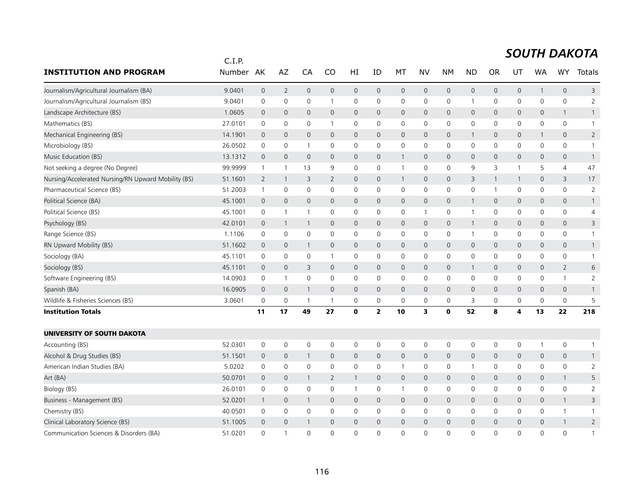|                                                     | C.I.P.  |                     |                |                         |                     |                     |                     |                     |              |                |                |                |              |              |                |                |
|-----------------------------------------------------|---------|---------------------|----------------|-------------------------|---------------------|---------------------|---------------------|---------------------|--------------|----------------|----------------|----------------|--------------|--------------|----------------|----------------|
| <b>INSTITUTION AND PROGRAM</b>                      | Number  | AK                  | AZ             | CA                      | CO                  | HI                  | ID                  | МT                  | <b>NV</b>    | <b>NM</b>      | <b>ND</b>      | <b>OR</b>      | UT           | <b>WA</b>    | <b>WY</b>      | Totals         |
| Journalism/Agricultural Journalism (BA)             | 9.0401  | $\mathsf{O}\xspace$ | $\overline{2}$ | $\mathbf 0$             | $\mathsf{O}$        | $\mathsf{O}\xspace$ | $\mathsf{O}\xspace$ | $\mathsf{O}$        | $\mathbf 0$  | $\mathbf 0$    | 0              | $\mathbf 0$    | 0            | $\mathbf{1}$ | $\mathbf 0$    | 3              |
| Journalism/Agricultural Journalism (BS)             | 9.0401  | $\mathbf 0$         | $\mathbf 0$    | $\mathbf 0$             | $\overline{1}$      | 0                   | $\mathbf 0$         | 0                   | $\mathbf 0$  | 0              | $\mathbf{1}$   | 0              | 0            | $\mathbf 0$  | $\mathbf 0$    | $\overline{2}$ |
| Landscape Architecture (BS)                         | 1.0605  | $\mathbf{0}$        | $\mathbf 0$    | $\mathbf{0}$            | $\mathbf{0}$        | $\mathbf{0}$        | $\mathbf{0}$        | $\mathbf{0}$        | $\mathbf{0}$ | $\mathbf{0}$   | $\mathsf{O}$   | $\mathbf 0$    | 0            | $\mathbf{0}$ | $\mathbf{1}$   | $\mathbf{1}$   |
| Mathematics (BS)                                    | 27.0101 | $\mathbf 0$         | 0              | 0                       |                     | 0                   | 0                   | $\mathbf 0$         | $\mathbf 0$  | $\mathbf 0$    | 0              | $\mathbf{0}$   | 0            | 0            | 0              | $\mathbf{1}$   |
| Mechanical Engineering (BS)                         | 14.1901 | $\mathbf 0$         | $\mathbf 0$    | $\mathbf 0$             | $\mathbf 0$         | $\mathbf 0$         | $\mathbf 0$         | $\mathbf 0$         | $\mathbf 0$  | $\mathbf 0$    | $\mathbf{1}$   | $\mathbf 0$    | 0            | $\mathbf{1}$ | $\mathbf 0$    | $\overline{2}$ |
| Microbiology (BS)                                   | 26.0502 | $\mathbf 0$         | $\mathbf 0$    | $\mathbf{1}$            | $\mathbf 0$         | $\mathbf 0$         | $\mathbf 0$         | $\mathbf 0$         | $\mathbf 0$  | $\mathbf 0$    | 0              | $\mathbf 0$    | $\mathbf 0$  | $\Omega$     | $\mathbf 0$    | $\mathbf{1}$   |
| Music Education (BS)                                | 13.1312 | $\mathbf{0}$        | $\mathbf{0}$   | $\mathbf{0}$            | $\mathbf{0}$        | $\mathbf{0}$        | $\mathbf{0}$        | $\mathbf{1}$        | $\mathbf{0}$ | $\mathbf{0}$   | $\mathsf{O}$   | $\mathbf 0$    | 0            | $\mathbf{0}$ | $\overline{0}$ | $\mathbf{1}$   |
| Not seeking a degree (No Degree)                    | 99.9999 | $\mathbf{1}$        | 1              | 13                      | 9                   | 0                   | 0                   | $\mathbf{1}$        | $\mathsf{O}$ | $\mathbf 0$    | 9              | 3              | 1            | 5            | 4              | 47             |
| Nursing/Accelerated Nursing/RN Upward Mobility (BS) | 51.1601 | $\overline{2}$      | $\overline{1}$ | $\overline{\mathbf{3}}$ | $\overline{2}$      | $\overline{0}$      | $\mathbf 0$         | $\mathbf{1}$        | $\mathbf 0$  | $\mathbf 0$    | 3              |                | $\mathbf{1}$ | $\mathbf{0}$ | 3              | 17             |
| Pharmaceutical Science (BS)                         | 51.2003 | $\overline{1}$      | 0              | $\mathbf 0$             | 0                   | 0                   | 0                   | 0                   | $\mathbf 0$  | 0              | 0              | $\overline{1}$ | 0            | 0            | $\mathbf 0$    | 2              |
| Political Science (BA)                              | 45.1001 | $\overline{0}$      | $\mathbf{0}$   | $\mathbf{0}$            | $\mathbf{0}$        | $\mathbf{0}$        | $\mathbf{0}$        | $\mathbf{0}$        | $\mathbf{0}$ | $\mathbf{0}$   | $\mathbf{1}$   | $\mathbf{0}$   | 0            | $\mathbf{0}$ | $\mathbf{0}$   | $\mathbf{1}$   |
| Political Science (BS)                              | 45.1001 | $\mathsf 0$         | $\overline{1}$ | $\mathbf{1}$            | $\mathbf 0$         | $\mathbf 0$         | $\mathbf 0$         | 0                   | $\mathbf{1}$ | $\mathbf 0$    | $\mathbf{1}$   | 0              | 0            | $\mathbf 0$  | 0              | $\overline{4}$ |
| Psychology (BS)                                     | 42.0101 | $\mathbf 0$         | $\overline{1}$ | $\mathbf{1}$            | $\mathbf{0}$        | $\mathsf{O}\xspace$ | $\mathsf{O}\xspace$ | $\mathsf{O}$        | $\mathbf 0$  | $\mathbf 0$    | $\mathbf{1}$   | $\mathbf{0}$   | 0            | $\mathbf{0}$ | $\mathsf{O}$   | 3              |
| Range Science (BS)                                  | 1.1106  | $\mathbf 0$         | 0              | $\mathbf 0$             | $\mathbf{0}$        | 0                   | $\mathbf{0}$        | $\mathbf 0$         | $\mathbf 0$  | $\mathbf 0$    | $\mathbf 1$    | 0              | 0            | $\mathbf{0}$ | 0              | $\mathbf{1}$   |
| RN Upward Mobility (BS)                             | 51.1602 | $\mathbf 0$         | $\mathbf 0$    | $\overline{1}$          | $\mathbf 0$         | $\mathbf 0$         | $\mathbf 0$         | $\mathsf{O}$        | $\mathbf 0$  | $\mathbf 0$    | 0              | $\mathbf{0}$   | 0            | 0            | 0              | $\mathbf{1}$   |
| Sociology (BA)                                      | 45.1101 | $\mathbf 0$         | $\mathbf 0$    | $\mathbf 0$             | $\overline{1}$      | 0                   | $\mathbf 0$         | 0                   | $\mathbf 0$  | $\mathbf 0$    | 0              | $\mathbf 0$    | 0            | $\mathbf 0$  | 0              | $\mathbf{1}$   |
| Sociology (BS)                                      | 45.1101 | $\mathbf{0}$        | $\mathbf{0}$   | 3                       | $\mathbf{0}$        | $\mathbf{0}$        | $\mathbf 0$         | $\mathsf{O}$        | $\mathbf{0}$ | $\mathbf 0$    | $\mathbf{1}$   | $\mathbf{0}$   | 0            | $\mathbf{0}$ | $\overline{2}$ | 6              |
| Software Engineering (BS)                           | 14.0903 | $\mathbf 0$         | $\overline{1}$ | $\mathbf 0$             | $\mathbf{0}$        | 0                   | $\mathbf{0}$        | 0                   | $\mathbf 0$  | $\mathbf 0$    | 0              | $\mathbf{0}$   | 0            | $\mathbf{0}$ | $\mathbf{1}$   | $\overline{2}$ |
| Spanish (BA)                                        | 16.0905 | $\overline{0}$      | $\mathbf 0$    | $\mathbf{1}$            | $\mathbf 0$         | $\mathbf 0$         | $\mathbf{0}$        | $\mathbf 0$         | $\mathbf{0}$ | $\mathbf 0$    | $\mathbf 0$    | $\mathbf{0}$   | 0            | $\mathbf{0}$ | $\mathbf 0$    | $\mathbf{1}$   |
| Wildlife & Fisheries Sciences (BS)                  | 3.0601  | $\mathbf 0$         | $\mathbf 0$    | -1                      |                     | 0                   | 0                   | $\mathbf 0$         | $\mathbf 0$  | $\mathbf 0$    | 3              | 0              | 0            | 0            | 0              | 5              |
| <b>Institution Totals</b>                           |         | 11                  | 17             | 49                      | 27                  | 0                   | $\overline{2}$      | 10                  | 3            | $\mathbf 0$    | 52             | 8              | 4            | 13           | 22             | 218            |
| UNIVERSITY OF SOUTH DAKOTA                          |         |                     |                |                         |                     |                     |                     |                     |              |                |                |                |              |              |                |                |
| Accounting (BS)                                     | 52.0301 | $\mathbf 0$         | $\mathsf 0$    | $\mathsf{O}\xspace$     | $\mathsf{O}\xspace$ | $\mathsf 0$         | 0                   | $\mathsf{O}\xspace$ | $\mathsf{O}$ | $\mathsf{O}$   | 0              | 0              | 0            | 1            | $\mathsf 0$    | 1              |
| Alcohol & Drug Studies (BS)                         | 51.1501 | $\overline{0}$      | $\mathbf 0$    | $\mathbf{1}$            | $\mathbf{0}$        | $\mathbf{0}$        | $\mathbf{0}$        | $\overline{0}$      | $\mathbf{0}$ | $\overline{0}$ | $\mathbf 0$    | $\mathbf{0}$   | 0            | $\mathbf{0}$ | $\mathbf{0}$   | $\mathbf{1}$   |
| American Indian Studies (BA)                        | 5.0202  | 0                   | 0              | 0                       | 0                   | 0                   | 0                   | $\mathbf{1}$        | 0            | $\mathbf 0$    | $\overline{1}$ | 0              | 0            | 0            | $\mathbf 0$    | $\overline{2}$ |
| Art (BA)                                            | 50.0701 | $\mathbf 0$         | $\mathbf 0$    | $\mathbf{1}$            | $\overline{2}$      | $\mathbf{1}$        | $\mathbf 0$         | $\mathbf 0$         | $\mathbf{0}$ | $\mathbf{0}$   | $\mathsf{O}$   | 0              | 0            | $\mathbf{0}$ | $\mathbf{1}$   | 5              |
| Biology (BS)                                        | 26.0101 | $\mathbf 0$         | 0              | $\mathbf 0$             | 0                   | $\mathbf{1}$        | 0                   | $\mathbf{1}$        | $\mathbf 0$  | $\mathbf 0$    | 0              | 0              | $\mathbf 0$  | $\mathbf{0}$ | $\mathbf 0$    | $\overline{2}$ |
| Business - Management (BS)                          | 52.0201 | $\mathbf{1}$        | $\mathbf 0$    | $\mathbf{1}$            | $\mathbf 0$         | $\mathbf 0$         | $\mathbf 0$         | $\mathsf{O}$        | $\mathbf 0$  | $\mathbf 0$    | 0              | $\mathbf 0$    | 0            | $\mathbf 0$  | $\mathbf{1}$   | 3              |
| Chemistry (BS)                                      | 40.0501 | 0                   | $\mathbf 0$    | $\mathbf 0$             | 0                   | $\mathbf 0$         | 0                   | 0                   | $\mathsf{O}$ | $\mathbf 0$    | 0              | 0              | 0            | $\mathbf 0$  | $\mathbf{1}$   | $\mathbf{1}$   |
| Clinical Laboratory Science (BS)                    | 51.1005 | $\mathbf 0$         | $\mathbf 0$    | -1                      | $\mathbf{0}$        | $\overline{0}$      | $\mathbf 0$         | $\mathbf{0}$        | $\mathbf{0}$ | $\overline{0}$ | $\mathbf{0}$   | 0              | 0            | $\mathbf{0}$ | 1              | $\overline{2}$ |
| Communication Sciences & Disorders (BA)             | 51.0201 | $\Omega$            | $\overline{1}$ | $\Omega$                | $\Omega$            | $\Omega$            | $\Omega$            | $\Omega$            | $\Omega$     | $\Omega$       | $\Omega$       | $\Omega$       | $\Omega$     | $\Omega$     | $\Omega$       | $\mathbf{1}$   |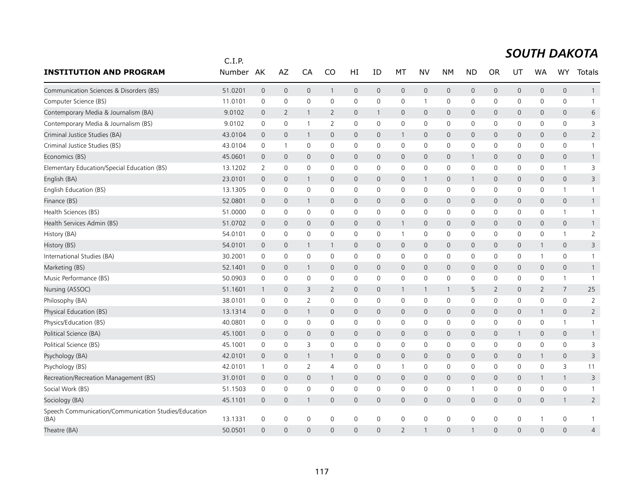|                                                              | C.I.P.  |                |                     |                     |                |                |                |                     |              |                |                |                |              |                |                     |                |
|--------------------------------------------------------------|---------|----------------|---------------------|---------------------|----------------|----------------|----------------|---------------------|--------------|----------------|----------------|----------------|--------------|----------------|---------------------|----------------|
| <b>INSTITUTION AND PROGRAM</b>                               | Number  | AK             | AZ                  | CA                  | <b>CO</b>      | ΗI             | ID             | МT                  | NV           | <b>NM</b>      | <b>ND</b>      | <b>OR</b>      | UT           | <b>WA</b>      | <b>WY</b>           | <b>Totals</b>  |
| Communication Sciences & Disorders (BS)                      | 51.0201 | $\mathbf 0$    | $\mathsf{O}\xspace$ | $\mathbf 0$         | $\mathbf{1}$   | $\mathbf 0$    | $\overline{0}$ | $\mathsf{O}$        | $\mathsf{O}$ | $\mathbf 0$    | $\mathbf 0$    | $\overline{0}$ | $\mathbf{0}$ | $\mathbf{0}$   | $\mathbf{0}$        | $\mathbf{1}$   |
| Computer Science (BS)                                        | 11.0101 | 0              | 0                   | $\mathsf{O}\xspace$ | $\mathbf 0$    | 0              | 0              | 0                   | $\mathbf{1}$ | 0              | 0              | 0              | 0            | 0              | 0                   | $\mathbf{1}$   |
| Contemporary Media & Journalism (BA)                         | 9.0102  | $\mathbf 0$    | 2                   | $\mathbf{1}$        | $\overline{2}$ | $\mathsf{O}$   | $\mathbf{1}$   | $\mathbf{0}$        | $\mathbf{0}$ | $\mathbf 0$    | $\mathbf 0$    | 0              | $\mathsf{O}$ | 0              | $\mathbf{0}$        | 6              |
| Contemporary Media & Journalism (BS)                         | 9.0102  | 0              | 0                   | -1                  | 2              | 0              | 0              | 0                   | 0            | 0              | 0              | 0              | 0            | 0              | 0                   | 3              |
| Criminal Justice Studies (BA)                                | 43.0104 | $\mathbf 0$    | $\mathbf 0$         | -1                  | $\mathbf{0}$   | 0              | 0              | $\mathbf{1}$        | 0            | $\mathbf 0$    | $\mathbf{0}$   | 0              | $\mathsf{O}$ | 0              | $\mathbf{0}$        | $\overline{2}$ |
| Criminal Justice Studies (BS)                                | 43.0104 | $\mathbf 0$    | $\mathbf{1}$        | 0                   | $\mathbf 0$    | 0              | $\mathbf 0$    | 0                   | $\mathbf 0$  | $\mathbf 0$    | $\mathbf 0$    | 0              | $\mathbf 0$  | $\mathbf 0$    | 0                   | $\mathbf{1}$   |
| Economics (BS)                                               | 45.0601 | $\overline{0}$ | $\mathbf 0$         | $\mathbf{0}$        | $\mathbf{0}$   | 0              | 0              | $\mathbf 0$         | $\mathbf{0}$ | $\mathbf 0$    | $\mathbf{1}$   | 0              | $\mathsf{O}$ | 0              | 0                   | $\mathbf{1}$   |
| Elementary Education/Special Education (BS)                  | 13.1202 | $\overline{2}$ | $\mathsf{O}\xspace$ | $\mathbf 0$         | 0              | 0              | 0              | 0                   | $\mathbf 0$  | $\mathsf{O}$   | $\mathbf 0$    | 0              | $\mathbf 0$  | 0              | $\mathbf{1}$        | 3              |
| English (BA)                                                 | 23.0101 | $\overline{0}$ | $\mathbf 0$         | -1                  | $\mathbf{0}$   | $\mathsf{O}$   | 0              | 0                   | $\mathbf{1}$ | $\mathbf 0$    | $\overline{1}$ | 0              | $\mathbf{0}$ | $\mathbf{0}$   | 0                   | 3              |
| English Education (BS)                                       | 13.1305 | 0              | 0                   | $\mathbf 0$         | $\mathbf{0}$   | 0              | 0              | 0                   | 0            | $\mathsf{O}$   | 0              | 0              | 0            | 0              | $\mathbf{1}$        | $\mathbf{1}$   |
| Finance (BS)                                                 | 52.0801 | $\mathbf 0$    | $\mathbf 0$         | 1                   | 0              | 0              | $\mathbf{0}$   | $\mathsf{O}$        | $\mathbf 0$  | $\mathbf 0$    | $\mathbf 0$    | 0              | $\mathsf{O}$ | $\mathbf 0$    | 0                   | $\mathbf{1}$   |
| Health Sciences (BS)                                         | 51.0000 | 0              | 0                   | 0                   | $\mathbf 0$    | 0              | $\mathbf 0$    | $\mathbf 0$         | $\mathbf 0$  | $\mathbf 0$    | 0              | 0              | $\mathbf 0$  | 0              | $\mathbf{1}$        | 1              |
| Health Services Admin (BS)                                   | 51.0702 | $\overline{0}$ | $\mathbf 0$         | $\mathbf 0$         | $\mathbf{0}$   | 0              | $\mathbf 0$    | $\mathbf{1}$        | 0            | $\mathbf 0$    | $\mathbf 0$    | 0              | $\mathsf{O}$ | 0              | 0                   | $\mathbf{1}$   |
| History (BA)                                                 | 54.0101 | 0              | $\mathbf 0$         | $\mathbf 0$         | $\mathbf{0}$   | 0              | 0              | 1                   | 0            | $\mathbf 0$    | 0              | 0              | $\mathbf 0$  | 0              | $\mathbf{1}$        | $\overline{2}$ |
| History (BS)                                                 | 54.0101 | $\mathbf 0$    | $\mathbf 0$         | -1                  | $\mathbf{1}$   | 0              | 0              | 0                   | $\mathsf{O}$ | $\mathbf 0$    | $\mathbf 0$    | 0              | $\mathsf{O}$ | $\mathbf{1}$   | 0                   | 3              |
| International Studies (BA)                                   | 30.2001 | 0              | 0                   | $\mathbf 0$         | 0              | 0              | $\mathbf 0$    | 0                   | 0            | $\mathbf 0$    | 0              | 0              | $\mathsf{O}$ | 1              | 0                   | $\mathbf{1}$   |
| Marketing (BS)                                               | 52.1401 | $\mathbf 0$    | $\mathbf 0$         | 1                   | $\mathsf{O}$   | 0              | 0              | $\mathsf{O}$        | $\mathbf{0}$ | $\mathbf 0$    | $\mathbf 0$    | 0              | $\mathsf{O}$ | $\mathbf{0}$   | $\mathsf{O}\xspace$ |                |
| Music Performance (BS)                                       | 50.0903 | $\mathbf 0$    | 0                   | $\mathbf 0$         | 0              | 0              | 0              | $\mathbf 0$         | 0            | $\mathbf 0$    | 0              | 0              | 0            | 0              | $\mathbf{1}$        | -1             |
| Nursing (ASSOC)                                              | 51.1601 | $\mathbf{1}$   | $\mathbf 0$         | 3                   | $\overline{2}$ | 0              | $\Omega$       | $\mathbf{1}$        | $\mathbf{1}$ | $\overline{1}$ | 5              | $\overline{2}$ | $\mathsf{O}$ | $\overline{2}$ | 7                   | 25             |
| Philosophy (BA)                                              | 38.0101 | 0              | 0                   | 2                   | 0              | 0              | 0              | 0                   | 0            | 0              | 0              | 0              | 0            | 0              | 0                   | $\overline{2}$ |
| Physical Education (BS)                                      | 13.1314 | $\mathbf 0$    | $\mathbf 0$         | 1                   | $\mathbf 0$    | 0              | 0              | $\mathbf 0$         | $\mathbf 0$  | $\mathbf 0$    | $\mathbf 0$    | 0              | $\mathsf{O}$ | $\mathbf{1}$   | 0                   | $\overline{2}$ |
| Physics/Education (BS)                                       | 40.0801 | 0              | 0                   | $\mathbf 0$         | 0              | 0              | 0              | $\mathbf 0$         | 0            | $\mathbf 0$    | 0              | 0              | $\mathbf 0$  | 0              | $\mathbf{1}$        | -1             |
| Political Science (BA)                                       | 45.1001 | $\overline{0}$ | $\mathbf 0$         | $\mathbf{0}$        | $\mathbf{0}$   | $\mathsf{O}$   | $\mathbf{0}$   | $\mathbf{0}$        | $\mathbf{0}$ | $\mathbf 0$    | $\mathbf{0}$   | 0              | $\mathbf{1}$ | $\mathbf{0}$   | $\overline{0}$      | $\mathbf{1}$   |
| Political Science (BS)                                       | 45.1001 | 0              | $\mathsf{O}\xspace$ | 3                   | 0              | 0              | 0              | 0                   | 0            | $\mathbf 0$    | 0              | 0              | $\mathsf{O}$ | 0              | 0                   | 3              |
| Psychology (BA)                                              | 42.0101 | $\mathbf 0$    | $\mathbf 0$         | $\mathbf{1}$        | $\mathbf{1}$   | 0              | 0              | $\mathbf{0}$        | $\mathsf{O}$ | $\mathbf 0$    | $\mathbf 0$    | 0              | $\mathsf{O}$ | 1              | 0                   | 3              |
| Psychology (BS)                                              | 42.0101 | $\mathbf{1}$   | 0                   | $\overline{2}$      | 4              | 0              | 0              | 1                   | 0            | $\mathsf{O}$   | 0              | 0              | $\mathbf 0$  | 0              | 3                   | 11             |
| Recreation/Recreation Management (BS)                        | 31.0101 | $\overline{0}$ | $\mathbf{0}$        | $\mathbf{0}$        | $\mathbf{1}$   | $\mathsf{O}$   | 0              | $\mathbf{0}$        | $\mathbf{0}$ | $\mathbf 0$    | $\mathbf{0}$   | 0              | $\mathbf{0}$ | $\mathbf{1}$   | $\mathbf{1}$        | 3              |
| Social Work (BS)                                             | 51.1503 | 0              | 0                   | $\mathbf{0}$        | $\Omega$       | 0              | 0              | 0                   | 0            | 0              | $\mathbf 1$    | 0              | 0            | $\mathbf{0}$   | 0                   | $\mathbf{1}$   |
| Sociology (BA)                                               | 45.1101 | $\overline{0}$ | $\mathbf 0$         | -1                  | $\mathbf 0$    | 0              | $\mathbf 0$    | $\mathbf 0$         | $\mathbf 0$  | $\mathsf{O}$   | $\mathbf 0$    | 0              | $\mathsf{O}$ | 0              | $\mathbf{1}$        | $\overline{2}$ |
| Speech Communication/Communication Studies/Education<br>(BA) | 13.1331 | $\mathbf 0$    | $\mathsf{O}\xspace$ | $\mathbf 0$         | $\mathbf 0$    | 0              | $\mathbf 0$    | $\mathsf{O}\xspace$ | $\mathbf 0$  | $\mathbf 0$    | $\mathbf 0$    | 0              | $\mathsf 0$  |                | 0                   | $\mathbf{1}$   |
| Theatre (BA)                                                 | 50.0501 | $\Omega$       | $\overline{0}$      | $\Omega$            | $\Omega$       | $\overline{0}$ | 0              | $\overline{2}$      |              | $\mathbf 0$    |                | $\Omega$       | 0            | 0              | $\overline{0}$      | $\overline{4}$ |
|                                                              |         |                |                     |                     |                |                |                |                     |              |                |                |                |              |                |                     |                |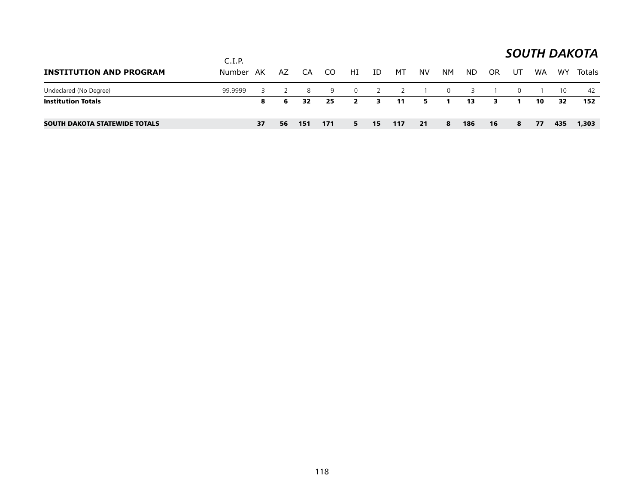|                                      | C.I.P.    |    |    |     |      |                |                |                          |           |                |     |           |          |    |     | <b>SOUTH DAKOTA</b> |
|--------------------------------------|-----------|----|----|-----|------|----------------|----------------|--------------------------|-----------|----------------|-----|-----------|----------|----|-----|---------------------|
| <b>INSTITUTION AND PROGRAM</b>       | Number AK |    | AZ | CA  | CO.  | HI             | ID             | MT                       | <b>NV</b> | NM             | ND. | <b>OR</b> | UT       | WA | WY  | Totals              |
| Undeclared (No Degree)               | 99.9999   |    |    | 8   | 9    | $\overline{0}$ | $\overline{2}$ | $\overline{\phantom{0}}$ |           | $\overline{0}$ | 3   |           | $\Omega$ |    | 10  | 42                  |
| <b>Institution Totals</b>            |           | 8  | 6  | 32  | - 25 | $\mathbf{2}$   | 3.             | 11                       | 5.        |                | 13  | з.        |          | 10 | 32  | 152                 |
| <b>SOUTH DAKOTA STATEWIDE TOTALS</b> |           | 37 | 56 | 151 | 171  | 5.             | 15             | 117                      | 21        | 8              | 186 | 16        | 8        | 77 | 435 | 1,303               |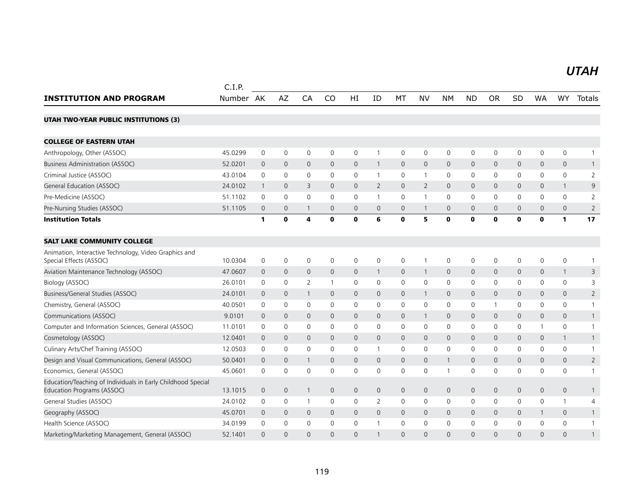#### *UTAH UTAH*

|                                                                                            | C.I.P.    |                |                     |              |              |                     |              |                     |                |              |              |              |              |              |                     |                |
|--------------------------------------------------------------------------------------------|-----------|----------------|---------------------|--------------|--------------|---------------------|--------------|---------------------|----------------|--------------|--------------|--------------|--------------|--------------|---------------------|----------------|
| <b>INSTITUTION AND PROGRAM</b>                                                             | Number AK |                | AZ                  | CA           | CO           | HI                  | ID           | MT                  | <b>NV</b>      | <b>NM</b>    | <b>ND</b>    | <b>OR</b>    | SD           | <b>WA</b>    | WY                  | Totals         |
| <b>UTAH TWO-YEAR PUBLIC INSTITUTIONS (3)</b>                                               |           |                |                     |              |              |                     |              |                     |                |              |              |              |              |              |                     |                |
| <b>COLLEGE OF EASTERN UTAH</b>                                                             |           |                |                     |              |              |                     |              |                     |                |              |              |              |              |              |                     |                |
| Anthropology, Other (ASSOC)                                                                | 45.0299   | $\mathbf 0$    | $\mathsf{O}\xspace$ | $\mathbf 0$  | 0            | 0                   | $\mathbf{1}$ | $\mathbf 0$         | $\mathsf{O}$   | $\mathbf 0$  | 0            | 0            | $\mathsf{O}$ | 0            | $\mathbf 0$         | 1              |
| <b>Business Administration (ASSOC)</b>                                                     | 52.0201   | $\Omega$       | $\mathbf{0}$        | $\mathbf{0}$ | $\mathbf{0}$ | $\Omega$            | $\mathbf{1}$ | $\Omega$            | $\Omega$       | $\Omega$     | $\mathsf{O}$ | $\Omega$     | 0            | $\Omega$     | $\Omega$            | $\mathbf{1}$   |
| Criminal Justice (ASSOC)                                                                   | 43.0104   | $\mathbf 0$    | $\mathbf 0$         | $\mathbf 0$  | $\mathbf{0}$ | 0                   | $\mathbf{1}$ | 0                   | $\mathbf{1}$   | $\mathbf 0$  | 0            | $\mathbf{0}$ | 0            | $\mathbf{0}$ | $\mathbf 0$         | $\overline{2}$ |
| General Education (ASSOC)                                                                  | 24.0102   | $\mathbf{1}$   | $\mathbf 0$         | 3            | $\mathbf{0}$ | $\mathbf{0}$        | $\mathbf{2}$ | $\mathbf{0}$        | 2              | $\mathbf{0}$ | 0            | $\mathbf 0$  | 0            | $\mathbf{0}$ | $\mathbf{1}$        | 9              |
| Pre-Medicine (ASSOC)                                                                       | 51.1102   | $\mathbf 0$    | $\mathbf 0$         | $\mathbf 0$  | $\mathbf 0$  | $\mathbf 0$         | $\mathbf{1}$ | $\mathsf{O}\xspace$ | $\mathbf{1}$   | $\mathbf 0$  | 0            | 0            | $\mathbf 0$  | $\Omega$     | 0                   | $\overline{2}$ |
| Pre-Nursing Studies (ASSOC)                                                                | 51.1105   | $\mathbf 0$    | $\mathbf 0$         | 1            | $\mathbf 0$  | $\mathbf 0$         | $\mathbf 0$  | $\mathsf{O}$        | $\mathbf{1}$   | $\mathbf 0$  | $\mathbf 0$  | $\mathbf 0$  | 0            | $\mathbf{0}$ | $\mathbf 0$         | $\overline{2}$ |
| <b>Institution Totals</b>                                                                  |           | $\mathbf{1}$   | $\mathbf 0$         | 4            | 0            | O                   | 6            | $\mathbf 0$         | 5              | $\mathbf 0$  | 0            | 0            | $\mathbf{0}$ | $\mathbf 0$  | $\mathbf{1}$        | 17             |
| <b>SALT LAKE COMMUNITY COLLEGE</b>                                                         |           |                |                     |              |              |                     |              |                     |                |              |              |              |              |              |                     |                |
| Animation, Interactive Technology, Video Graphics and<br>Special Effects (ASSOC)           | 10.0304   | 0              | $\mathbf 0$         | $\mathbf 0$  | $\mathbf 0$  | $\mathbf 0$         | $\mathbf 0$  | 0                   | $\mathbf{1}$   | $\mathbf 0$  | 0            | 0            | 0            | $\mathbf 0$  | $\mathsf 0$         | $\mathbf{1}$   |
| Aviation Maintenance Technology (ASSOC)                                                    | 47.0607   | $\mathbf 0$    | $\mathbf 0$         | $\mathbf 0$  | $\mathsf{O}$ | $\mathbf 0$         | $\mathbf{1}$ | $\mathsf{O}$        | $\mathbf{1}$   | $\mathbf 0$  | 0            | $\mathbf 0$  | 0            | $\mathbf 0$  | $\mathbf{1}$        | 3              |
| Biology (ASSOC)                                                                            | 26.0101   | 0              | 0                   | 2            |              | 0                   | 0            | $\mathbf 0$         | $\mathbf 0$    | $\mathbf 0$  | 0            | 0            | 0            | 0            | 0                   | 3              |
| Business/General Studies (ASSOC)                                                           | 24.0101   | $\mathbf{0}$   | $\mathbf{0}$        | $\mathbf{1}$ | $\mathbf{0}$ | $\mathbf{0}$        | $\mathbf{0}$ | $\mathsf{O}$        | $\mathbf{1}$   | $\mathbf{0}$ | $\mathsf{O}$ | $\mathbf{0}$ | 0            | $\mathbf{0}$ | $\mathbf{0}$        | $\overline{2}$ |
| Chemistry, General (ASSOC)                                                                 | 40.0501   | $\mathbf 0$    | $\mathbf 0$         | $\mathbf 0$  | $\mathbf 0$  | 0                   | 0            | 0                   | $\mathsf{O}$   | $\mathbf 0$  | 0            | $\mathbf{1}$ | 0            | $\mathbf 0$  | 0                   | $\mathbf{1}$   |
| Communications (ASSOC)                                                                     | 9.0101    | $\mathbf{0}$   | $\mathbf{0}$        | $\mathbf{0}$ | $\mathbf{0}$ | $\mathbf{0}$        | $\mathbf{0}$ | $\mathsf{O}$        | $\overline{1}$ | $\mathbf{0}$ | $\mathsf{O}$ | $\mathbf 0$  | 0            | $\mathbf{0}$ | $\mathsf{O}\xspace$ | $\mathbf{1}$   |
| Computer and Information Sciences, General (ASSOC)                                         | 11.0101   | $\Omega$       | $\mathbf{0}$        | $\mathbf{0}$ | $\mathbf{0}$ | $\Omega$            | $\Omega$     | $\mathbf 0$         | $\mathbf{0}$   | $\mathbf 0$  | $\Omega$     | $\mathbf{0}$ | $\Omega$     | $\mathbf{1}$ | $\mathbf{0}$        | $\mathbf{1}$   |
| Cosmetology (ASSOC)                                                                        | 12.0401   | $\mathbf 0$    | $\mathbf{0}$        | $\Omega$     | $\mathbf{0}$ | $\mathbf{0}$        | $\mathbf{0}$ | $\mathbf{0}$        | $\mathbf{0}$   | $\mathbf{0}$ | $\mathsf{O}$ | $\mathbf{0}$ | 0            | $\mathbf 0$  | $\mathbf{1}$        | $\mathbf{1}$   |
| Culinary Arts/Chef Training (ASSOC)                                                        | 12.0503   | 0              | 0                   | 0            | 0            | 0                   | 1            | 0                   | $\mathbf 0$    | $\mathbf 0$  | 0            | 0            | 0            | 0            | 0                   | 1              |
| Design and Visual Communications, General (ASSOC)                                          | 50.0401   | $\mathbf{0}$   | $\mathbf 0$         | $\mathbf{1}$ | $\mathbf{0}$ | $\mathsf{O}\xspace$ | $\mathbf{0}$ | $\mathsf{O}$        | $\mathbf{0}$   | $\mathbf{1}$ | $\mathbf 0$  | $\mathbf{0}$ | 0            | $\mathbf{0}$ | $\mathsf{O}$        | $\overline{2}$ |
| Economics, General (ASSOC)                                                                 | 45.0601   | $\mathbf 0$    | $\mathbf 0$         | $\mathbf 0$  | $\mathbf 0$  | $\mathbf 0$         | $\mathbf 0$  | $\mathbf 0$         | $\mathbf 0$    | $\mathbf{1}$ | 0            | 0            | 0            | $\mathbf 0$  | 0                   | $\mathbf{1}$   |
| Education/Teaching of Individuals in Early Childhood Special<br>Education Programs (ASSOC) | 13.1015   | $\overline{0}$ | $\mathbf{0}$        | $\mathbf{1}$ | $\mathbf{0}$ | $\mathbf{0}$        | $\mathbf{0}$ | $\overline{0}$      | $\mathbf{0}$   | $\mathbf{0}$ | $\mathbf{0}$ | $\mathbf{0}$ | 0            | $\mathbf{0}$ | $\mathbf{0}$        | $\mathbf{1}$   |
| General Studies (ASSOC)                                                                    | 24.0102   | 0              | 0                   | -1           | 0            | 0                   | 2            | 0                   | $\mathbf 0$    | $\mathbf 0$  | 0            | $\mathbf{0}$ | 0            | 0            | $\mathbf{1}$        | 4              |
| Geography (ASSOC)                                                                          | 45.0701   | $\mathbf 0$    | $\mathbf 0$         | $\mathbf{0}$ | $\mathbf{0}$ | $\mathbf{0}$        | $\mathbf 0$  | $\mathsf{O}$        | $\mathbf{0}$   | $\mathbf{0}$ | 0            | $\mathbf{0}$ | 0            | $\mathbf{1}$ | $\mathbf{0}$        | $\mathbf{1}$   |
| Health Science (ASSOC)                                                                     | 34.0199   | $\mathbf 0$    | $\mathbf 0$         | $\mathbf 0$  | $\mathbf{0}$ | $\mathbf 0$         | $\mathbf{1}$ | $\mathbf 0$         | $\mathbf{0}$   | $\mathbf 0$  | 0            | 0            | 0            | $\Omega$     | 0                   | $\mathbf{1}$   |
| Marketing/Marketing Management, General (ASSOC)                                            | 52.1401   | $\Omega$       | $\Omega$            | $\Omega$     | $\Omega$     | $\Omega$            |              | $\Omega$            | $\overline{0}$ | $\Omega$     | $\Omega$     | $\Omega$     | $\Omega$     | $\Omega$     | $\Omega$            | $\mathbf{1}$   |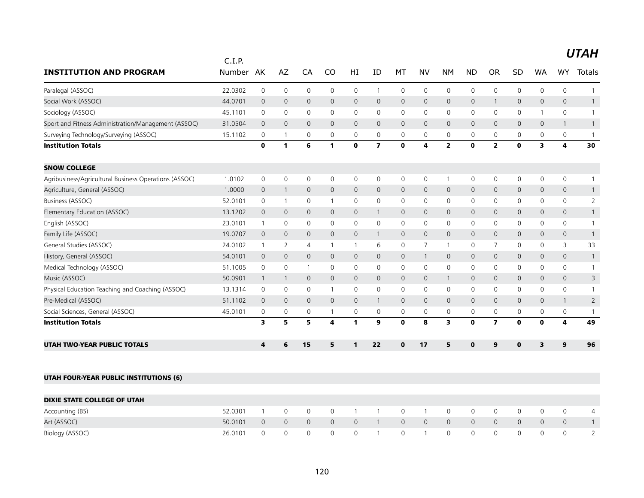|                                                       | C.I.P.  | AK             | AZ             | CA             | CO                  |              |                         |              | <b>NV</b>      |                         |                | <b>OR</b>               | SD             |              | <b>WY</b>               |                |
|-------------------------------------------------------|---------|----------------|----------------|----------------|---------------------|--------------|-------------------------|--------------|----------------|-------------------------|----------------|-------------------------|----------------|--------------|-------------------------|----------------|
| <b>INSTITUTION AND PROGRAM</b>                        | Number  |                |                |                |                     | HI           | ID                      | МT           |                | <b>NM</b>               | <b>ND</b>      |                         |                | WA           |                         | Totals         |
| Paralegal (ASSOC)                                     | 22.0302 | $\mathsf 0$    | $\mathbf 0$    | $\mathbf 0$    | $\mathsf{O}\xspace$ | $\mathbf 0$  | $\mathbf{1}$            | 0            | $\mathbf 0$    | 0                       | $\mathbf 0$    | $\mathbf 0$             | $\mathbf 0$    | $\mathbf 0$  | $\mathbf 0$             | $\overline{1}$ |
| Social Work (ASSOC)                                   | 44.0701 | $\mathbf 0$    | $\mathbf 0$    | $\mathbf 0$    | $\mathbf 0$         | 0            | 0                       | $\mathbf 0$  | $\mathbf 0$    | $\mathsf{O}$            | $\overline{0}$ | $\mathbf{1}$            | $\mathbf 0$    | $\mathbf 0$  | $\mathsf{O}$            | $\mathbf{1}$   |
| Sociology (ASSOC)                                     | 45.1101 | 0              | $\mathbf 0$    | $\mathbf 0$    | 0                   | 0            | 0                       | 0            | 0              | 0                       | 0              | $\mathbf 0$             | 0              |              | $\mathbf 0$             | $\overline{1}$ |
| Sport and Fitness Administration/Management (ASSOC)   | 31.0504 | $\mathbf 0$    | $\mathbf 0$    | $\overline{0}$ | $\mathbf{0}$        | $\mathsf{O}$ | 0                       | $\mathbf 0$  | $\mathbf 0$    | $\mathbf 0$             | $\overline{0}$ | $\mathbf 0$             | $\mathsf{O}$   | 0            | $\mathbf{1}$            | $\overline{1}$ |
| Surveying Technology/Surveying (ASSOC)                | 15.1102 | 0              | $\mathbf{1}$   | $\mathbf 0$    | $\mathbf 0$         | 0            | 0                       | $\mathbf 0$  | $\mathbf 0$    | $\mathbf 0$             | 0              | 0                       | 0              | 0            | $\mathbf 0$             | $\overline{1}$ |
| <b>Institution Totals</b>                             |         | $\mathbf 0$    | $\mathbf{1}$   | 6              | 1                   | $\mathbf 0$  | $\overline{\mathbf{z}}$ | $\mathbf 0$  | 4              | $\overline{2}$          | $\mathbf 0$    | $\overline{2}$          | $\mathbf{0}$   | 3            | $\overline{\mathbf{4}}$ | 30             |
| <b>SNOW COLLEGE</b>                                   |         |                |                |                |                     |              |                         |              |                |                         |                |                         |                |              |                         |                |
| Agribusiness/Agricultural Business Operations (ASSOC) | 1.0102  | 0              | $\mathbf 0$    | $\mathbf 0$    | 0                   | 0            | 0                       | 0            | 0              | $\overline{1}$          | 0              | 0                       | 0              | 0            | 0                       | -1             |
| Agriculture, General (ASSOC)                          | 1.0000  | $\mathbf 0$    | $\overline{1}$ | $\mathbf 0$    | $\mathbf 0$         | $\mathsf{O}$ | 0                       | 0            | $\mathbf 0$    | $\mathbf 0$             | $\mathbf 0$    | $\mathbf 0$             | $\overline{0}$ | $\mathsf{O}$ | $\mathbf 0$             | $\mathbf{1}$   |
| Business (ASSOC)                                      | 52.0101 | 0              | $\mathbf{1}$   | $\mathbf 0$    | $\mathbf{1}$        | 0            | 0                       | $\mathbf 0$  | $\mathbf 0$    | $\mathsf{O}$            | $\mathbf 0$    | $\mathbf 0$             | 0              | $\mathbf{0}$ | $\mathbf 0$             | $\overline{2}$ |
| Elementary Education (ASSOC)                          | 13.1202 | $\mathbf 0$    | $\mathbf{0}$   | $\mathbf{0}$   | $\mathbf{0}$        | $\mathbf{0}$ | 1                       | $\mathbf{0}$ | $\mathbf{0}$   | $\mathsf{O}$            | $\overline{0}$ | $\mathbf{0}$            | $\mathbf{0}$   | $\mathbf{0}$ | $\mathbf{0}$            | $\overline{1}$ |
| English (ASSOC)                                       | 23.0101 | $\mathbf{1}$   | $\mathbf 0$    | $\mathbf 0$    | $\mathbf 0$         | 0            | 0                       | 0            | $\mathbf 0$    | 0                       | $\mathbf 0$    | 0                       | 0              | 0            | 0                       | $\overline{1}$ |
| Family Life (ASSOC)                                   | 19.0707 | $\mathbf 0$    | $\mathbf 0$    | $\overline{0}$ | $\mathbf 0$         | 0            | $\mathbf{1}$            | $\mathbf 0$  | 0              | $\mathbf 0$             | $\theta$       | $\mathbf 0$             | $\mathsf{O}$   | $\mathbf 0$  | $\mathsf{O}$            | $\overline{1}$ |
| General Studies (ASSOC)                               | 24.0102 | $\mathbf{1}$   | 2              | $\overline{4}$ | $\mathbf{1}$        | $\mathbf{1}$ | 6                       | 0            | $\overline{7}$ | $\mathbf{1}$            | 0              | $\overline{7}$          | 0              | 0            | 3                       | 33             |
| History, General (ASSOC)                              | 54.0101 | $\mathbf 0$    | $\mathbf 0$    | $\mathbf 0$    | $\mathbf{0}$        | $\mathsf{O}$ | $\mathbf{0}$            | 0            | $\mathbf{1}$   | $\mathsf{O}$            | $\overline{0}$ | $\mathbf{0}$            | $\mathbf{0}$   | $\mathbf{0}$ | $\mathsf{O}$            | $\overline{1}$ |
| Medical Technology (ASSOC)                            | 51.1005 | 0              | $\mathbf 0$    | $\overline{1}$ | 0                   | 0            | 0                       | 0            | $\mathbf 0$    | $\mathbf 0$             | 0              | $\mathbf 0$             | 0              | 0            | 0                       | $\overline{1}$ |
| Music (ASSOC)                                         | 50.0901 | $\overline{1}$ | $\mathbf{1}$   | $\mathbf{0}$   | $\mathbf{0}$        | $\mathbf{0}$ | $\mathbf{0}$            | $\mathbf{0}$ | $\mathbf{0}$   | $\mathbf{1}$            | $\overline{0}$ | $\mathbf 0$             | $\mathbf{0}$   | $\mathbf{0}$ | $\mathbf{0}$            | 3              |
| Physical Education Teaching and Coaching (ASSOC)      | 13.1314 | 0              | $\mathbf 0$    | $\mathbf 0$    | $\mathbf 1$         | $\mathsf{O}$ | 0                       | 0            | 0              | 0                       | $\mathbf 0$    | 0                       | $\mathbf 0$    | 0            | $\mathbf 0$             | $\overline{1}$ |
| Pre-Medical (ASSOC)                                   | 51.1102 | $\mathbf 0$    | $\mathbf 0$    | $\mathbf 0$    | $\mathbf 0$         | $\mathsf{O}$ | $\mathbf{1}$            | $\mathbf 0$  | 0              | $\mathsf{O}$            | $\overline{0}$ | $\mathbf 0$             | $\mathsf{O}$   | $\mathsf{O}$ | $\mathbf{1}$            | $\overline{2}$ |
| Social Sciences, General (ASSOC)                      | 45.0101 | 0              | 0              | 0              | 1                   | 0            | 0                       | 0            | 0              | 0                       | 0              | 0                       | 0              | 0            | 0                       | $\overline{1}$ |
| <b>Institution Totals</b>                             |         | 3              | 5              | 5              | 4                   | $\mathbf{1}$ | 9                       | $\mathbf 0$  | 8              | $\overline{\mathbf{3}}$ | $\mathbf 0$    | $\overline{\mathbf{z}}$ | $\mathbf 0$    | $\mathbf{0}$ | $\overline{\mathbf{4}}$ | 49             |
| <b>UTAH TWO-YEAR PUBLIC TOTALS</b>                    |         | 4              | 6              | 15             | 5                   | $\mathbf{1}$ | 22                      | $\mathbf{0}$ | 17             | 5                       | $\mathbf 0$    | 9                       | $\mathbf{0}$   | 3            | $\mathbf{9}$            | 96             |
|                                                       |         |                |                |                |                     |              |                         |              |                |                         |                |                         |                |              |                         |                |
| <b>UTAH FOUR-YEAR PUBLIC INSTITUTIONS (6)</b>         |         |                |                |                |                     |              |                         |              |                |                         |                |                         |                |              |                         |                |
| <b>DIXIE STATE COLLEGE OF UTAH</b>                    |         |                |                |                |                     |              |                         |              |                |                         |                |                         |                |              |                         |                |

| DIXIE STATE COLLEGE OF UTAH |                     |                |                |              |                                                                |                                             |                |                |          |          |          |  |
|-----------------------------|---------------------|----------------|----------------|--------------|----------------------------------------------------------------|---------------------------------------------|----------------|----------------|----------|----------|----------|--|
| Accounting (BS)             | 52.0301             | $\overline{0}$ | $\overline{0}$ |              | 0 1 1 0 1                                                      | 1 0 0 0                                     |                |                | $\Omega$ |          |          |  |
| Art (ASSOC)                 | 50.0101 0 0 0 0 0 1 |                |                |              | $1 \quad 0 \quad 0 \quad 0$                                    |                                             | $\overline{0}$ | $\overline{0}$ | $\Omega$ | $\Omega$ | $\Omega$ |  |
| Biology (ASSOC)             | 26.0101             |                |                | $0 \qquad 1$ | $\begin{array}{ccc} \circ & \circ & \circ & \circ \end{array}$ | $\begin{array}{cccc} 0 & 0 & 0 \end{array}$ |                |                | $\Omega$ |          |          |  |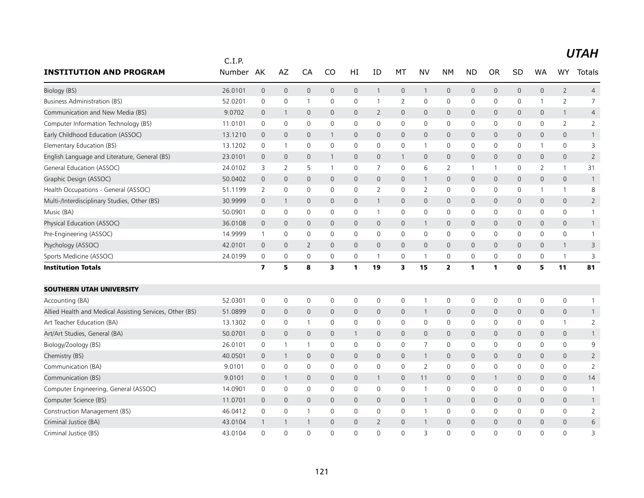|                                                          | C.I.P.  |                         |                     |                |              |                     |                |                     |                |                     |                     |              |                     |                     |                     |                |
|----------------------------------------------------------|---------|-------------------------|---------------------|----------------|--------------|---------------------|----------------|---------------------|----------------|---------------------|---------------------|--------------|---------------------|---------------------|---------------------|----------------|
| <b>INSTITUTION AND PROGRAM</b>                           | Number  | AK                      | AZ                  | CA             | CO           | HI                  | ID             | МT                  | NV             | <b>NM</b>           | <b>ND</b>           | <b>OR</b>    | SD                  | <b>WA</b>           | <b>WY</b>           | Totals         |
| Biology (BS)                                             | 26.0101 | $\mathsf{O}\xspace$     | $\mathsf{O}\xspace$ | $\mathbf 0$    | $\mathsf{O}$ | $\mathsf{O}\xspace$ | $\mathbf{1}$   | $\mathsf{O}\xspace$ | $\mathbf{1}$   | $\mathsf{O}\xspace$ | 0                   | $\mathbf 0$  | 0                   | $\mathsf{O}\xspace$ | $\overline{2}$      | $\overline{4}$ |
| <b>Business Administration (BS)</b>                      | 52.0201 | 0                       | $\mathsf{O}\xspace$ | $\overline{1}$ | $\mathbf 0$  | $\mathbf 0$         | $\mathbf{1}$   | $\overline{2}$      | $\mathbf 0$    | $\mathsf 0$         | 0                   | 0            | 0                   | 1                   | $\overline{2}$      | $\overline{7}$ |
| Communication and New Media (BS)                         | 9.0702  | $\mathbf 0$             | $\mathbf{1}$        | $\mathbf{0}$   | $\mathbf{0}$ | $\mathbf{0}$        | 2              | $\mathbf{0}$        | $\mathbf{0}$   | $\mathbf 0$         | $\mathbf 0$         | $\mathbf 0$  | 0                   | $\mathbf{0}$        | $\mathbf{1}$        | 4              |
| Computer Information Technology (BS)                     | 11.0101 | 0                       | $\mathbf 0$         | $\mathbf 0$    | $\Omega$     | 0                   | 0              | 0                   | $\mathbf 0$    | 0                   | 0                   | 0            | 0                   | $\mathbf{0}$        | $\overline{2}$      | 2              |
| Early Childhood Education (ASSOC)                        | 13.1210 | 0                       | $\mathbf 0$         | $\mathbf 0$    | $\mathbf{1}$ | $\mathsf{O}$        | $\mathbf 0$    | 0                   | $\mathbf 0$    | $\mathsf{O}\xspace$ | 0                   | $\mathbf{0}$ | 0                   | $\mathbf 0$         | $\mathsf{O}\xspace$ | $\mathbf{1}$   |
| Elementary Education (BS)                                | 13.1202 | $\mathbf 0$             | $\mathbf{1}$        | $\mathbf 0$    | $\mathbf 0$  | $\mathbf 0$         | $\mathbf 0$    | 0                   | $\mathbf{1}$   | $\mathbf 0$         | 0                   | $\mathbf 0$  | $\mathbf 0$         | $\mathbf{1}$        | $\mathbf 0$         | 3              |
| English Language and Literature, General (BS)            | 23.0101 | $\mathbf 0$             | $\mathbf{0}$        | $\mathbf{0}$   | $\mathbf{1}$ | $\mathbf{0}$        | $\mathbf{0}$   | $\mathbf{1}$        | $\mathbf{0}$   | $\mathbf 0$         | $\mathbf 0$         | $\mathbf 0$  | 0                   | $\mathbf{0}$        | $\mathbf{0}$        | $\overline{2}$ |
| General Education (ASSOC)                                | 24.0102 | 3                       | 2                   | 5              | $\mathbf{1}$ | 0                   | 7              | 0                   | 6              | $\overline{2}$      | $\mathbf 1$         | 1            | 0                   | 2                   | $\mathbf{1}$        | 31             |
| Graphic Design (ASSOC)                                   | 50.0402 | $\overline{0}$          | $\mathbf 0$         | $\mathbf 0$    | $\mathbf{0}$ | $\mathsf{O}\xspace$ | $\mathbf{0}$   | 0                   | $\mathbf{1}$   | $\mathbf 0$         | $\mathsf{O}\xspace$ | $\mathbf 0$  | $\mathsf{O}\xspace$ | $\mathbf{0}$        | $\mathsf{O}\xspace$ | $\overline{1}$ |
| Health Occupations - General (ASSOC)                     | 51.1199 | 2                       | 0                   | $\mathbf 0$    | 0            | 0                   | 2              | 0                   | 2              | 0                   | 0                   | 0            | 0                   | 1                   | $\mathbf{1}$        | 8              |
| Multi-/Interdisciplinary Studies, Other (BS)             | 30.9999 | $\overline{0}$          | $\mathbf{1}$        | $\overline{0}$ | $\mathbf{0}$ | $\mathbf{0}$        | $\mathbf{1}$   | $\mathbf{0}$        | $\mathbf{0}$   | $\mathbf 0$         | $\mathbf 0$         | $\mathbf 0$  | 0                   | $\mathbf{0}$        | $\mathbf{0}$        | $\overline{2}$ |
| Music (BA)                                               | 50.0901 | 0                       | 0                   | 0              | $\mathbf 0$  | 0                   | 1              | $\mathbf 0$         | $\mathbf 0$    | $\mathbf 0$         | 0                   | 0            | 0                   | $\mathbf 0$         | 0                   | $\mathbf{1}$   |
| Physical Education (ASSOC)                               | 36.0108 | $\overline{0}$          | $\mathsf{O}\xspace$ | $\mathbf 0$    | $\mathsf{O}$ | $\mathsf{O}$        | $\mathbf{0}$   | $\mathsf{O}$        | $\mathbf{1}$   | $\mathbf 0$         | $\mathbf 0$         | $\mathbf{0}$ | 0                   | $\mathbf{0}$        | $\mathbf{0}$        | $\mathbf{1}$   |
| Pre-Engineering (ASSOC)                                  | 14.9999 | 1                       | $\mathbf 0$         | $\mathbf 0$    | $\mathbf{0}$ | 0                   | $\Omega$       | 0                   | $\mathbf 0$    | $\mathbf 0$         | 0                   | 0            | 0                   | $\mathbf{0}$        | 0                   | $\mathbf{1}$   |
| Psychology (ASSOC)                                       | 42.0101 | $\mathbf 0$             | $\mathbf 0$         | 2              | $\mathbf{0}$ | $\mathsf{O}$        | $\mathbf 0$    | 0                   | $\mathbf{0}$   | $\mathbf 0$         | 0                   | $\mathbf{0}$ | 0                   | $\mathbf 0$         | $\mathbf{1}$        | 3              |
| Sports Medicine (ASSOC)                                  | 24.0199 | 0                       | $\mathsf{O}\xspace$ | $\mathbf 0$    | 0            | 0                   | $\mathbf{1}$   | 0                   | $\mathbf{1}$   | $\mathbf 0$         | 0                   | 0            | 0                   | 0                   | $\mathbf{1}$        | 3              |
| <b>Institution Totals</b>                                |         | $\overline{\mathbf{z}}$ | 5                   | 8              | 3            | 1                   | 19             | 3                   | 15             | $\overline{2}$      | $\mathbf{1}$        | 1            | $\mathbf{0}$        | 5                   | 11                  | 81             |
| <b>SOUTHERN UTAH UNIVERSITY</b>                          |         |                         |                     |                |              |                     |                |                     |                |                     |                     |              |                     |                     |                     |                |
| Accounting (BA)                                          | 52.0301 | $\mathbf 0$             | $\mathbf 0$         | $\mathbf 0$    | $\mathbf 0$  | $\mathbf 0$         | 0              | 0                   | $\mathbf{1}$   | $\mathbf 0$         | 0                   | 0            | 0                   | 0                   | 0                   | $\mathbf{1}$   |
| Allied Health and Medical Assisting Services, Other (BS) | 51.0899 | 0                       | $\mathbf 0$         | $\overline{0}$ | $\mathbf{0}$ | $\mathsf{O}$        | $\mathbf 0$    | 0                   | $\mathbf{1}$   | $\mathbf 0$         | $\mathbf 0$         | $\mathbf 0$  | 0                   | $\mathbf 0$         | $\mathbf 0$         | $\mathbf{1}$   |
| Art Teacher Education (BA)                               | 13.1302 | 0                       | 0                   | $\overline{1}$ | $\mathbf 0$  | 0                   | 0              | $\mathbf 0$         | $\mathsf{O}$   | $\mathbf 0$         | 0                   | 0            | 0                   | 0                   | $\mathbf{1}$        | $\overline{2}$ |
| Art/Art Studies, General (BA)                            | 50.0701 | $\overline{0}$          | $\mathbf 0$         | $\mathbf{0}$   | $\mathbf{0}$ | $\mathbf{1}$        | $\mathbf{0}$   | $\mathbf{0}$        | $\mathbf{0}$   | $\mathbf 0$         | $\mathsf{O}$        | $\mathbf{0}$ | 0                   | $\mathbf{0}$        | $\mathbf{0}$        | $\mathbf{1}$   |
| Biology/Zoology (BS)                                     | 26.0101 | 0                       | $\mathbf{1}$        | $\overline{1}$ | 0            | 0                   | 0              | 0                   | $\overline{7}$ | $\mathbf 0$         | 0                   | 0            | 0                   | 0                   | 0                   | 9              |
| Chemistry (BS)                                           | 40.0501 | $\overline{0}$          | $\mathbf{1}$        | $\overline{0}$ | $\mathbf{0}$ | $\mathbf{0}$        | $\overline{0}$ | $\mathbf{0}$        | $\mathbf{1}$   | $\mathbf 0$         | $\mathbf{0}$        | $\mathbf 0$  | 0                   | $\mathbf{0}$        | $\mathbf{0}$        | $\overline{2}$ |
| Communication (BA)                                       | 9.0101  | 0                       | $\mathsf{O}\xspace$ | $\mathbf 0$    | 0            | 0                   | 0              | 0                   | 2              | $\mathbf 0$         | 0                   | 0            | 0                   | 0                   | 0                   | $\overline{2}$ |
| Communication (BS)                                       | 9.0101  | $\overline{0}$          | $\mathbf{1}$        | $\overline{0}$ | $\mathbf{0}$ | $\mathsf{O}$        | $\mathbf{1}$   | 0                   | 11             | $\mathbf 0$         | $\mathbf 0$         | $\mathbf{1}$ | $\mathsf{O}$        | $\mathbf{0}$        | $\mathbf{0}$        | 14             |
| Computer Engineering, General (ASSOC)                    | 14.0901 | 0                       | $\mathbf 0$         | $\mathbf 0$    | $\mathbf{0}$ | 0                   | 0              | 0                   | $\mathbf{1}$   | $\mathbf 0$         | 0                   | 0            | 0                   | $\mathbf{0}$        | 0                   | $\mathbf{1}$   |
| Computer Science (BS)                                    | 11.0701 | 0                       | $\mathbf 0$         | $\mathbf 0$    | 0            | $\mathsf{O}$        | $\mathbf 0$    | $\mathsf{O}$        | $\mathbf{1}$   | $\overline{0}$      | 0                   | $\mathbf 0$  | 0                   | $\mathbf 0$         | $\mathsf{O}$        | $\mathbf{1}$   |
| Construction Management (BS)                             | 46.0412 | 0                       | $\mathsf{O}\xspace$ | $\overline{1}$ | 0            | 0                   | 0              | 0                   | $\mathbf{1}$   | $\mathbf 0$         | 0                   | 0            | 0                   | 0                   | 0                   | $\overline{2}$ |
| Criminal Justice (BA)                                    | 43.0104 | -1                      | $\mathbf{1}$        | -1             | $\mathbf{0}$ | 0                   | $\overline{2}$ | $\mathbf{0}$        | $\mathbf{1}$   | $\mathbf 0$         | $\mathbf{0}$        | $\mathbf 0$  | 0                   | 0                   | $\mathbf 0$         | 6              |
| Criminal Justice (BS)                                    | 43.0104 | $\Omega$                | $\Omega$            | $\Omega$       | $\Omega$     | $\Omega$            | $\Omega$       | $\Omega$            | 3              | $\Omega$            | $\Omega$            | $\Omega$     | $\Omega$            | $\Omega$            | $\Omega$            | 3              |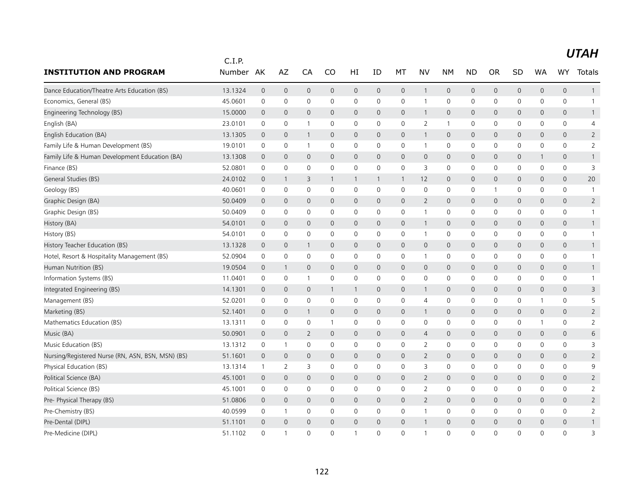|                                                   | C.I.P.  |                     |                     |                |              |              |                     |                     |                |              |                |                |                |                     |                     |                |
|---------------------------------------------------|---------|---------------------|---------------------|----------------|--------------|--------------|---------------------|---------------------|----------------|--------------|----------------|----------------|----------------|---------------------|---------------------|----------------|
| <b>INSTITUTION AND PROGRAM</b>                    | Number  | AK                  | AZ                  | CA             | CO           | HI           | ID                  | МT                  | NV             | <b>NM</b>    | <b>ND</b>      | <b>OR</b>      | SD             | <b>WA</b>           | <b>WY</b>           | Totals         |
| Dance Education/Theatre Arts Education (BS)       | 13.1324 | $\mathsf{O}\xspace$ | $\mathsf{O}\xspace$ | $\mathbf 0$    | $\mathsf{O}$ | 0            | $\mathsf{O}\xspace$ | $\mathsf{O}$        | $\mathbf{1}$   | $\mathbf 0$  | $\mathbf 0$    | 0              | $\mathbf 0$    | $\mathsf{O}\xspace$ | $\mathsf{O}\xspace$ | $\mathbf{1}$   |
| Economics, General (BS)                           | 45.0601 | 0                   | 0                   | $\mathbf 0$    | $\mathbf 0$  | 0            | $\mathbf 0$         | 0                   | $\mathbf{1}$   | $\mathbf 0$  | $\mathbf 0$    | 0              | $\mathbf 0$    | 0                   | 0                   | $\mathbf{1}$   |
| Engineering Technology (BS)                       | 15,0000 | $\mathbf 0$         | $\mathbf{0}$        | $\mathbf{0}$   | $\mathbf{0}$ | $\mathsf{O}$ | $\mathbf 0$         | $\mathbf{0}$        | $\mathbf{1}$   | $\mathbf 0$  | $\mathbf 0$    | 0              | $\mathbf{0}$   | 0                   | $\mathbf{0}$        | $\mathbf{1}$   |
| English (BA)                                      | 23.0101 | 0                   | 0                   | -1             | 0            | 0            | 0                   | 0                   | $\overline{2}$ | $\mathbf{1}$ | 0              | 0              | 0              | 0                   | 0                   | 4              |
| English Education (BA)                            | 13.1305 | $\mathbf 0$         | $\mathbf 0$         | $\overline{1}$ | 0            | 0            | 0                   | 0                   | $\mathbf{1}$   | $\mathbf 0$  | $\mathbf 0$    | 0              | $\mathsf{O}$   | $\mathbf 0$         | 0                   | $\overline{2}$ |
| Family Life & Human Development (BS)              | 19.0101 | $\mathbf 0$         | 0                   | -1             | 0            | 0            | $\Omega$            | 0                   | $\mathbf{1}$   | $\mathbf 0$  | 0              | 0              | $\mathbf 0$    | $\mathbf{0}$        | 0                   | $\overline{2}$ |
| Family Life & Human Development Education (BA)    | 13.1308 | $\overline{0}$      | $\mathbf 0$         | $\mathbf 0$    | $\mathbf{0}$ | 0            | 0                   | 0                   | $\mathbf 0$    | $\mathbf 0$  | $\mathbf 0$    | 0              | $\mathsf{O}$   | $\mathbf{1}$        | 0                   | $\mathbf{1}$   |
| Finance (BS)                                      | 52.0801 | $\mathsf 0$         | $\mathsf{O}\xspace$ | $\mathbf 0$    | $\mathbf 0$  | 0            | 0                   | 0                   | 3              | $\mathbf 0$  | $\mathbf 0$    | 0              | $\mathsf{O}$   | 0                   | 0                   | 3              |
| General Studies (BS)                              | 24.0102 | $\mathbf 0$         | $\mathbf{1}$        | 3              | 1            | $\mathbf{1}$ | 1                   | $\mathbf{1}$        | 12             | $\mathbf 0$  | $\mathbf 0$    | 0              | $\mathbf{0}$   | $\mathbf{0}$        | $\mathbf{0}$        | 20             |
| Geology (BS)                                      | 40.0601 | 0                   | 0                   | 0              | 0            | 0            | 0                   | 0                   | 0              | 0            | 0              | $\overline{1}$ | 0              | 0                   | 0                   | -1             |
| Graphic Design (BA)                               | 50.0409 | $\mathbf 0$         | $\mathbf 0$         | $\mathbf 0$    | 0            | 0            | $\mathbf 0$         | $\mathbf 0$         | $\overline{2}$ | $\mathbf 0$  | $\mathbf 0$    | $\mathbf 0$    | $\mathsf{O}$   | $\mathbf 0$         | 0                   | $\overline{2}$ |
| Graphic Design (BS)                               | 50.0409 | $\mathbf 0$         | 0                   | $\mathbf 0$    | 0            | 0            | 0                   | $\mathsf 0$         | $\mathbf{1}$   | $\mathbf 0$  | $\mathbf 0$    | 0              | 0              | 0                   | 0                   | -1             |
| History (BA)                                      | 54.0101 | $\overline{0}$      | $\mathbf{0}$        | $\mathbf{0}$   | $\mathbf{0}$ | $\mathsf{O}$ | $\mathbf{0}$        | $\mathbf{0}$        | $\mathbf{1}$   | $\mathbf 0$  | $\mathbf{0}$   | 0              | $\mathsf{O}$   | 0                   | $\mathbf{0}$        | $\mathbf{1}$   |
| History (BS)                                      | 54.0101 | 0                   | 0                   | $\mathbf 0$    | 0            | 0            | 0                   | 0                   | $\mathbf{1}$   | $\mathbf 0$  | 0              | 0              | $\mathsf{O}$   | 0                   | 0                   | $\mathbf{1}$   |
| History Teacher Education (BS)                    | 13.1328 | $\overline{0}$      | $\mathbf 0$         | -1             | $\mathbf{0}$ | $\mathsf{O}$ | 0                   | $\mathbf{0}$        | $\mathbf 0$    | $\mathbf 0$  | $\mathbf 0$    | 0              | $\mathsf{O}$   | 0                   | $\mathsf{O}\xspace$ |                |
| Hotel, Resort & Hospitality Management (BS)       | 52.0904 | 0                   | $\mathbf 0$         | $\mathbf 0$    | 0            | 0            | $\mathbf 0$         | 0                   | $\mathbf{1}$   | $\mathbf 0$  | 0              | 0              | 0              | 0                   | 0                   | $\mathbf{1}$   |
| Human Nutrition (BS)                              | 19.0504 | $\mathbf 0$         | $\mathbf{1}$        | $\overline{0}$ | $\mathbf{0}$ | 0            | 0                   | 0                   | $\mathsf{O}$   | $\mathbf 0$  | $\mathbf 0$    | 0              | $\mathsf{O}$   | $\mathbf{0}$        | 0                   | $\mathbf{1}$   |
| Information Systems (BS)                          | 11.0401 | $\mathbf 0$         | 0                   | $\overline{1}$ | $\mathbf 0$  | 0            | 0                   | 0                   | 0              | 0            | 0              | 0              | $\mathbf 0$    | 0                   | 0                   | $\mathbf{1}$   |
| Integrated Engineering (BS)                       | 14.1301 | $\mathbf 0$         | $\mathbf 0$         | $\mathbf{0}$   | 1            | $\mathbf{1}$ | $\mathbf 0$         | $\mathbf{0}$        | $\mathbf{1}$   | $\mathbf 0$  | $\mathbf 0$    | 0              | $\mathbf{0}$   | 0                   | $\mathbf{0}$        | 3              |
| Management (BS)                                   | 52.0201 | 0                   | 0                   | 0              | 0            | 0            | 0                   | $\mathsf{O}\xspace$ | $\overline{4}$ | $\mathsf{O}$ | 0              | 0              | 0              |                     | 0                   | 5              |
| Marketing (BS)                                    | 52.1401 | $\mathbf 0$         | $\mathbf 0$         | $\overline{1}$ | 0            | 0            | 0                   | $\mathsf{O}$        | $\mathbf{1}$   | $\mathsf{O}$ | $\mathbf 0$    | $\mathbf 0$    | $\mathbf 0$    | $\mathbf 0$         | 0                   | $\overline{2}$ |
| Mathematics Education (BS)                        | 13.1311 | 0                   | 0                   | $\mathbf 0$    | $\mathbf{1}$ | 0            | $\mathbf 0$         | 0                   | 0              | $\mathbf 0$  | 0              | 0              | 0              | 1                   | 0                   | $\overline{2}$ |
| Music (BA)                                        | 50.0901 | $\mathbf 0$         | $\mathbf 0$         | 2              | 0            | 0            | 0                   | $\mathsf{O}$        | $\overline{4}$ | $\mathbf 0$  | $\mathbf 0$    | 0              | $\mathsf{O}$   | $\mathbf 0$         | 0                   | 6              |
| Music Education (BS)                              | 13.1312 | 0                   | $\mathbf{1}$        | $\mathbf 0$    | $\mathbf 0$  | 0            | 0                   | 0                   | $\overline{2}$ | $\mathbf 0$  | $\mathbf 0$    | 0              | $\mathsf{O}$   | 0                   | 0                   | 3              |
| Nursing/Registered Nurse (RN, ASN, BSN, MSN) (BS) | 51.1601 | $\mathbf 0$         | $\mathbf{0}$        | $\overline{0}$ | $\mathbf{0}$ | $\mathsf{O}$ | 0                   | $\mathbf{0}$        | 2              | $\mathbf 0$  | $\mathbf 0$    | 0              | $\mathbf{0}$   | $\mathbf{0}$        | $\mathbf{0}$        | $\overline{2}$ |
| Physical Education (BS)                           | 13.1314 | $\mathbf{1}$        | 2                   | 3              | $\Omega$     | 0            | 0                   | 0                   | 3              | 0            | 0              | 0              | 0              | $\mathbf{0}$        | 0                   | 9              |
| Political Science (BA)                            | 45.1001 | $\mathbf 0$         | $\mathbf 0$         | $\mathbf 0$    | $\mathbf 0$  | 0            | 0                   | $\mathbf 0$         | $\overline{2}$ | $\mathbf 0$  | $\overline{0}$ | 0              | $\mathsf{O}$   | 0                   | 0                   | $\overline{2}$ |
| Political Science (BS)                            | 45.1001 | $\mathbf 0$         | $\mathbf 0$         | $\mathbf 0$    | $\mathbf 0$  | 0            | $\mathbf 0$         | $\mathbf 0$         | $\overline{2}$ | $\mathbf 0$  | $\mathbf 0$    | 0              | $\mathbf 0$    | $\Omega$            | 0                   | $\overline{2}$ |
| Pre- Physical Therapy (BS)                        | 51.0806 | $\overline{0}$      | $\mathbf{0}$        | $\overline{0}$ | $\mathbf{0}$ | $\mathsf{O}$ | $\mathbf{0}$        | $\mathbf{0}$        | 2              | $\mathbf 0$  | $\mathbf 0$    | 0              | $\mathbf{0}$   | $\mathbf{0}$        | $\mathbf{0}$        | $\overline{2}$ |
| Pre-Chemistry (BS)                                | 40.0599 | 0                   | $\mathbf{1}$        | 0              | 0            | 0            | 0                   | 0                   | $\mathbf{1}$   | $\mathbf 0$  | 0              | 0              | 0              | 0                   | 0                   | $\overline{2}$ |
| Pre-Dental (DIPL)                                 | 51.1101 | $\overline{0}$      | $\overline{0}$      | $\mathbf{0}$   | $\mathbf{0}$ | $\mathbf 0$  | 0                   | $\mathbf{0}$        | $\overline{1}$ | $\mathbf 0$  | $\mathbf 0$    | 0              | $\overline{0}$ | 0                   | $\mathsf{O}\xspace$ |                |
| Pre-Medicine (DIPL)                               | 51.1102 | $\Omega$            | $\mathbf{1}$        | $\Omega$       | $\Omega$     | $\mathbf{1}$ | 0                   | $\Omega$            | $\overline{1}$ | $\Omega$     | $\Omega$       | $\Omega$       | $\Omega$       | 0                   | $\Omega$            | 3              |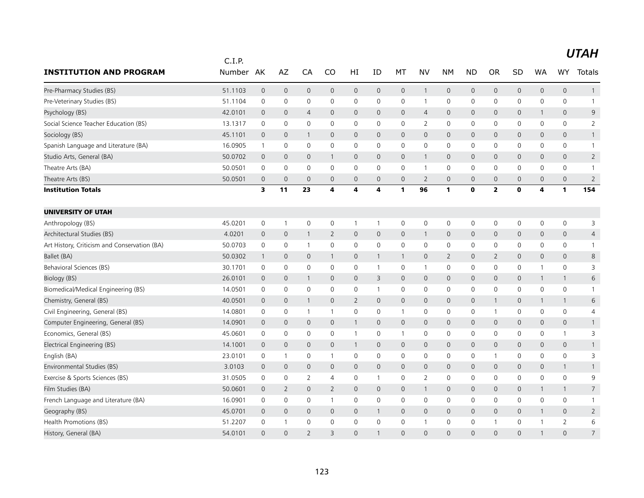|                                              | C.I.P.  |                     |                     |                          |                     |                |                     |                     |                     |              |              |                         |              |                     |                     |                 |
|----------------------------------------------|---------|---------------------|---------------------|--------------------------|---------------------|----------------|---------------------|---------------------|---------------------|--------------|--------------|-------------------------|--------------|---------------------|---------------------|-----------------|
| <b>INSTITUTION AND PROGRAM</b>               | Number  | AK                  | AZ                  | CA                       | CO                  | HI             | ID                  | МT                  | NV                  | <b>NM</b>    | <b>ND</b>    | <b>OR</b>               | SD           | <b>WA</b>           | <b>WY</b>           | Totals          |
| Pre-Pharmacy Studies (BS)                    | 51.1103 | $\mathsf{O}\xspace$ | $\mathsf{O}\xspace$ | $\mathbf 0$              | $\mathsf{O}$        | 0              | $\mathsf{O}\xspace$ | $\mathsf{O}$        | $\mathbf{1}$        | $\mathbf 0$  | $\mathbf 0$  | 0                       | $\mathsf{O}$ | $\mathsf{O}\xspace$ | $\mathsf{O}\xspace$ | $\mathbf{1}$    |
| Pre-Veterinary Studies (BS)                  | 51.1104 | 0                   | 0                   | $\mathbf 0$              | $\mathbf 0$         | 0              | $\mathbf 0$         | 0                   | $\mathbf{1}$        | $\mathbf 0$  | 0            | 0                       | $\mathbf 0$  | 0                   | 0                   | $\mathbf{1}$    |
| Psychology (BS)                              | 42.0101 | $\mathbf 0$         | $\mathbf{0}$        | $\overline{4}$           | $\mathbf 0$         | $\mathsf{O}$   | $\mathbf 0$         | $\mathbf{0}$        | $\overline{4}$      | $\mathbf 0$  | $\mathbf 0$  | 0                       | $\mathbf{0}$ | 1                   | $\mathbf{0}$        | 9               |
| Social Science Teacher Education (BS)        | 13.1317 | 0                   | 0                   | 0                        | 0                   | 0              | 0                   | 0                   | $\overline{2}$      | $\mathbf 0$  | 0            | 0                       | 0            | 0                   | 0                   | $\overline{2}$  |
| Sociology (BS)                               | 45.1101 | $\mathbf 0$         | $\mathbf 0$         | -1                       | $\mathbf{0}$        | 0              | 0                   | 0                   | $\mathbf{0}$        | $\mathbf 0$  | $\mathbf 0$  | 0                       | $\mathsf{O}$ | $\mathbf 0$         | 0                   | $\mathbf{1}$    |
| Spanish Language and Literature (BA)         | 16.0905 | $\mathbf{1}$        | 0                   | $\mathbf 0$              | $\mathbf{0}$        | 0              | $\Omega$            | 0                   | $\mathbf 0$         | $\mathbf{0}$ | 0            | 0                       | 0            | $\mathbf{0}$        | 0                   | $\mathbf{1}$    |
| Studio Arts, General (BA)                    | 50.0702 | $\mathbf 0$         | $\mathbf 0$         | $\mathbf 0$              | $\mathbf{1}$        | 0              | 0                   | $\mathsf{O}$        | $\overline{1}$      | $\mathbf 0$  | $\mathbf 0$  | 0                       | $\mathsf{O}$ | 0                   | 0                   | $\overline{2}$  |
| Theatre Arts (BA)                            | 50.0501 | $\mathbf 0$         | $\mathsf{O}\xspace$ | $\mathbf 0$              | $\mathbf 0$         | 0              | 0                   | 0                   | $\mathbf{1}$        | $\mathsf{O}$ | $\mathbf 0$  | 0                       | $\mathsf{O}$ | 0                   | 0                   | $\mathbf{1}$    |
| Theatre Arts (BS)                            | 50.0501 | $\mathbf 0$         | $\overline{0}$      | $\mathbf 0$              | $\mathbf 0$         | $\overline{0}$ | 0                   | $\mathbf 0$         | 2                   | $\mathbf 0$  | $\mathbf 0$  | 0                       | $\mathbf 0$  | $\mathbf 0$         | $\mathbf{0}$        | $\overline{2}$  |
| <b>Institution Totals</b>                    |         | 3                   | 11                  | 23                       | 4                   | 4              | 4                   | 1                   | 96                  | 1            | $\mathbf 0$  | $\overline{\mathbf{2}}$ | $\mathbf 0$  | 4                   | 1                   | 154             |
| <b>UNIVERSITY OF UTAH</b>                    |         |                     |                     |                          |                     |                |                     |                     |                     |              |              |                         |              |                     |                     |                 |
| Anthropology (BS)                            | 45.0201 | $\mathbf 0$         | $\mathbf{1}$        | $\mathbf 0$              | $\mathbf 0$         | $\mathbf{1}$   | 1                   | 0                   | $\mathbf 0$         | $\mathbf 0$  | $\mathbf 0$  | 0                       | $\mathsf{O}$ | 0                   | 0                   | 3               |
| Architectural Studies (BS)                   | 4.0201  | $\mathbf 0$         | $\mathsf{O}\xspace$ | -1                       | $\overline{2}$      | $\mathsf{O}$   | $\mathbf{0}$        | $\mathbf{0}$        | $\mathbf{1}$        | $\mathbf 0$  | $\mathbf 0$  | 0                       | $\mathsf{O}$ | 0                   | $\mathsf{O}\xspace$ | $\overline{4}$  |
| Art History, Criticism and Conservation (BA) | 50.0703 | 0                   | $\mathsf{O}\xspace$ | -1                       | 0                   | 0              | 0                   | $\mathbf 0$         | $\mathbf 0$         | $\mathbf 0$  | 0            | 0                       | 0            | 0                   | 0                   |                 |
| Ballet (BA)                                  | 50.0302 | $\mathbf{1}$        | $\mathbf 0$         | $\mathbf 0$              | $\mathbf{1}$        | 0              | 1                   | $\mathbf{1}$        | $\mathbf 0$         | 2            | $\mathbf 0$  | 2                       | $\mathsf{O}$ | 0                   | $\mathbf{0}$        | 8               |
| Behavioral Sciences (BS)                     | 30.1701 | $\mathbf 0$         | $\mathbf 0$         | $\mathbf 0$              | $\mathbf 0$         | 0              | $\mathbf{1}$        | 0                   | $\mathbf{1}$        | $\mathbf 0$  | 0            | 0                       | $\mathbf 0$  | 1                   | 0                   | 3               |
| Biology (BS)                                 | 26.0101 | $\overline{0}$      | $\mathbf 0$         | $\mathbf{1}$             | $\mathbf{0}$        | $\mathsf{O}$   | 3                   | $\mathbf{0}$        | $\mathbf{0}$        | $\mathbf 0$  | $\mathbf{0}$ | 0                       | $\mathbf 0$  | $\mathbf{1}$        | $\mathbf{1}$        | 6               |
| Biomedical/Medical Engineering (BS)          | 14.0501 | $\mathbf 0$         | $\mathsf{O}\xspace$ | 0                        | 0                   | 0              | 1                   | 0                   | 0                   | $\mathbf 0$  | $\mathbf 0$  | 0                       | $\mathbf 0$  | 0                   | 0                   | -1              |
| Chemistry, General (BS)                      | 40.0501 | $\mathbf 0$         | $\mathbf 0$         | -1                       | 0                   | $\overline{2}$ | 0                   | $\mathsf{O}$        | $\mathbf 0$         | $\mathbf 0$  | $\mathbf 0$  | $\mathbf{1}$            | $\mathsf{O}$ | 1                   | $\mathbf{1}$        | 6               |
| Civil Engineering, General (BS)              | 14.0801 | 0                   | 0                   | $\overline{\phantom{a}}$ | 1                   | 0              | 0                   | $\mathbf{1}$        | 0                   | $\mathbf 0$  | $\mathbf 0$  | $\overline{1}$          | $\mathsf{O}$ | 0                   | 0                   | 4               |
| Computer Engineering, General (BS)           | 14.0901 | $\overline{0}$      | $\mathbf{0}$        | $\mathbf{0}$             | $\mathbf{0}$        | $\mathbf{1}$   | $\mathbf{0}$        | $\mathbf{0}$        | $\mathbf{0}$        | $\mathbf 0$  | $\mathbf 0$  | $\mathbf{0}$            | $\mathsf{O}$ | $\mathbf{0}$        | $\mathbf{0}$        | $\mathbf{1}$    |
| Economics, General (BS)                      | 45.0601 | 0                   | 0                   | 0                        | 0                   | $\mathbf{1}$   | $\mathbf 0$         | $\mathbf{1}$        | 0                   | $\mathbf 0$  | 0            | 0                       | $\mathsf{O}$ | 0                   | $\mathbf{1}$        | 3               |
| Electrical Engineering (BS)                  | 14.1001 | $\overline{0}$      | $\mathbf 0$         | $\mathbf 0$              | $\mathsf{O}\xspace$ | $\mathbf{1}$   | $\mathbf 0$         | $\mathsf{O}$        | $\mathsf{O}\xspace$ | $\mathbf 0$  | $\mathbf 0$  | 0                       | $\mathsf{O}$ | $\mathbf 0$         | $\mathsf{O}\xspace$ | $\mathbf{1}$    |
| English (BA)                                 | 23.0101 | 0                   | $\mathbf{1}$        | 0                        | -1                  | 0              | 0                   | 0                   | 0                   | 0            | 0            | 1                       | 0            | 0                   | 0                   | 3               |
| Environmental Studies (BS)                   | 3.0103  | $\mathbf 0$         | $\mathbf{0}$        | $\mathbf{0}$             | $\mathbf{0}$        | $\mathsf{O}$   | 0                   | $\mathbf{0}$        | $\mathbf{0}$        | $\mathbf 0$  | $\mathbf 0$  | 0                       | $\mathbf{0}$ | 0                   | $\mathbf{1}$        | $\mathbf{1}$    |
| Exercise & Sports Sciences (BS)              | 31.0505 | 0                   | 0                   | 2                        | 4                   | 0              | 1                   | 0                   | 2                   | $\mathbf 0$  | $\mathbf 0$  | $\mathbf 0$             | $\mathsf{O}$ | 0                   | 0                   | 9               |
| Film Studies (BA)                            | 50.0601 | $\mathbf 0$         | $\overline{2}$      | $\mathbf{0}$             | $\overline{2}$      | 0              | 0                   | $\mathsf{O}$        | $\overline{1}$      | $\mathbf{0}$ | $\mathbf 0$  | 0                       | $\mathbf 0$  | $\mathbf{1}$        | $\mathbf{1}$        | $7\overline{ }$ |
| French Language and Literature (BA)          | 16.0901 | 0                   | $\mathbf 0$         | $\mathbf 0$              | $\mathbf{1}$        | 0              | 0                   | 0                   | $\mathbf{0}$        | 0            | 0            | 0                       | 0            | $\mathbf{0}$        | 0                   | $\mathbf{1}$    |
| Geography (BS)                               | 45.0701 | $\overline{0}$      | $\mathbf 0$         | $\overline{0}$           | 0                   | 0              | 1                   | $\mathsf{O}$        | $\mathbf 0$         | $\mathbf 0$  | $\mathbf 0$  | 0                       | $\mathsf{O}$ | 1                   | 0                   | $\overline{2}$  |
| Health Promotions (BS)                       | 51.2207 | $\mathbf 0$         | $\mathbf{1}$        | 0                        | $\mathbf 0$         | 0              | 0                   | $\mathsf{O}\xspace$ |                     | $\mathbf 0$  | 0            | 1                       | $\mathbf 0$  |                     | $\overline{2}$      | 6               |
| History, General (BA)                        | 54.0101 | $\Omega$            | $\Omega$            | $\overline{2}$           | $\overline{3}$      | $\Omega$       | -1                  | $\Omega$            | $\Omega$            | $\Omega$     | $\Omega$     | $\Omega$                | $\Omega$     |                     | $\Omega$            | $\overline{7}$  |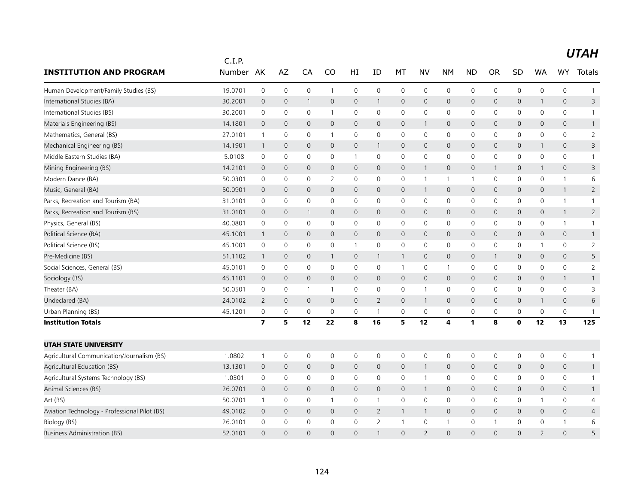|                                               | C.I.P.    |                         |                |                     |              |                     |                |              |                          |                     |              |                     |              |                          |                     |                |
|-----------------------------------------------|-----------|-------------------------|----------------|---------------------|--------------|---------------------|----------------|--------------|--------------------------|---------------------|--------------|---------------------|--------------|--------------------------|---------------------|----------------|
| <b>INSTITUTION AND PROGRAM</b>                | Number AK |                         | AZ             | CA                  | CO           | HI                  | ID             | МT           | NV                       | <b>NM</b>           | <b>ND</b>    | <b>OR</b>           | SD           | <b>WA</b>                | <b>WY</b>           | Totals         |
| Human Development/Family Studies (BS)         | 19.0701   | $\mathsf 0$             | $\mathbf 0$    | $\mathsf{O}\xspace$ | $\mathbf{1}$ | $\mathsf 0$         | $\mathbf 0$    | 0            | $\mathbf 0$              | $\mathsf 0$         | 0            | $\mathsf{O}\xspace$ | 0            | 0                        | $\mathsf{O}\xspace$ | $\mathbf{1}$   |
| International Studies (BA)                    | 30.2001   | $\mathbf 0$             | $\mathbf 0$    | $\mathbf{1}$        | $\mathsf{O}$ | $\mathbf 0$         | $\mathbf{1}$   | $\mathsf{O}$ | $\mathsf{O}$             | $\mathsf{O}\xspace$ | $\mathsf{O}$ | $\mathbf{0}$        | 0            | $\mathbf{1}$             | $\mathbf{0}$        | 3              |
| International Studies (BS)                    | 30.2001   | 0                       | $\mathbf 0$    | 0                   | $\mathbf{1}$ | 0                   | 0              | $\mathbf 0$  | $\mathbf 0$              | 0                   | 0            | $\mathbf 0$         | 0            | 0                        | $\mathbf 0$         | $\mathbf{1}$   |
| Materials Engineering (BS)                    | 14.1801   | $\mathbf 0$             | $\mathbf{0}$   | $\mathbf{0}$        | $\mathbf{0}$ | $\mathbf 0$         | $\mathbf 0$    | $\mathbf{0}$ | $\mathbf{1}$             | $\mathbf 0$         | 0            | 0                   | $\mathbf{0}$ | $\mathbf{0}$             | $\mathbf{0}$        | $\mathbf{1}$   |
| Mathematics, General (BS)                     | 27.0101   | $\overline{1}$          | $\mathbf 0$    | $\mathbf 0$         | $\mathbf{1}$ | 0                   | $\mathbf 0$    | 0            | $\mathbf 0$              | $\mathbf 0$         | 0            | $\mathbf 0$         | 0            | 0                        | $\mathbf 0$         | $\overline{2}$ |
| Mechanical Engineering (BS)                   | 14.1901   | $\overline{1}$          | $\mathbf 0$    | $\mathbf{0}$        | $\mathbf{0}$ | $\mathsf{O}\xspace$ | $\mathbf{1}$   | $\mathsf{O}$ | $\mathbf 0$              | $\mathsf{O}\xspace$ | $\mathsf{O}$ | 0                   | 0            | $\mathbf{1}$             | $\mathbf{0}$        | 3              |
| Middle Eastern Studies (BA)                   | 5.0108    | 0                       | $\mathbf 0$    | 0                   | 0            | $\mathbf{1}$        | 0              | 0            | 0                        | 0                   | 0            | $\Omega$            | 0            | 0                        | $\mathbf 0$         | $\mathbf{1}$   |
| Mining Engineering (BS)                       | 14.2101   | $\mathbf 0$             | $\overline{0}$ | $\mathbf 0$         | $\mathsf{O}$ | $\mathbf 0$         | $\mathbf 0$    | $\mathsf{O}$ | $\mathbf{1}$             | $\mathbf 0$         | 0            | $\mathbf 1$         | 0            | $\mathbf{1}$             | $\mathbf 0$         | 3              |
| Modern Dance (BA)                             | 50.0301   | $\mathsf 0$             | 0              | 0                   | 2            | $\mathbf 0$         | $\mathbf 0$    | 0            | $\mathbf{1}$             | $\mathbf{1}$        | $\mathbf{1}$ | 0                   | 0            | $\mathbf 0$              | $\mathbf{1}$        | 6              |
| Music, General (BA)                           | 50.0901   | $\mathbf 0$             | $\mathbf 0$    | $\mathbf{0}$        | $\mathbf{0}$ | $\mathbf 0$         | $\mathbf{0}$   | $\mathsf{O}$ | $\mathbf{1}$             | $\mathbf 0$         | 0            | $\mathbf{0}$        | 0            | 0                        | $\mathbf{1}$        | $\overline{2}$ |
| Parks, Recreation and Tourism (BA)            | 31.0101   | 0                       | $\mathbf 0$    | $\mathbf 0$         | 0            | 0                   | 0              | $\mathbf 0$  | $\mathbf 0$              | $\mathbf 0$         | 0            | $\mathbf 0$         | 0            | $\mathbf 0$              | $\mathbf{1}$        | $\mathbf{1}$   |
| Parks, Recreation and Tourism (BS)            | 31.0101   | $\mathbf 0$             | $\mathbf 0$    | $\mathbf{1}$        | $\mathsf{O}$ | $\mathbf 0$         | $\mathbf 0$    | $\mathsf{O}$ | $\mathbf 0$              | $\mathbf 0$         | 0            | $\mathbf 0$         | 0            | $\mathbf 0$              | $\mathbf{1}$        | $\overline{2}$ |
| Physics, General (BS)                         | 40.0801   | $\mathsf 0$             | $\mathbf 0$    | $\mathsf{O}\xspace$ | $\mathbf 0$  | 0                   | $\mathbf 0$    | 0            | $\mathbf 0$              | 0                   | 0            | $\mathbf 0$         | 0            | $\mathbf 0$              | $\mathbf{1}$        | $\mathbf{1}$   |
| Political Science (BA)                        | 45.1001   | $\mathbf{1}$            | $\mathbf{0}$   | $\mathbf{0}$        | $\mathbf{0}$ | $\mathbf 0$         | $\Omega$       | $\mathbf{0}$ | $\mathbf{0}$             | $\mathbf{0}$        | $\mathsf{O}$ | $\Omega$            | $\mathbf{0}$ | $\mathbf{0}$             | $\mathbf{0}$        | $\mathbf{1}$   |
| Political Science (BS)                        | 45.1001   | 0                       | 0              | 0                   | 0            | 1                   | 0              | 0            | 0                        | 0                   | 0            | 0                   | 0            | 1                        | 0                   | 2              |
| Pre-Medicine (BS)                             | 51.1102   | $\overline{1}$          | $\mathbf 0$    | $\mathbf 0$         | 1            | $\mathbf 0$         | $\mathbf{1}$   | $\mathbf{1}$ | $\mathbf 0$              | $\mathsf{O}\xspace$ | 0            |                     | 0            | $\mathbf 0$              | $\mathsf{O}\xspace$ | 5              |
| Social Sciences, General (BS)                 | 45.0101   | 0                       | $\mathbf 0$    | $\mathbf 0$         | $\mathbf{0}$ | 0                   | 0              | $\mathbf{1}$ | $\mathbf 0$              | $\overline{1}$      | 0            | $\mathbf 0$         | 0            | $\mathbf{0}$             | $\mathbf 0$         | 2              |
| Sociology (BS)                                | 45.1101   | $\mathbf 0$             | $\mathbf{0}$   | $\mathbf{0}$        | $\mathbf{0}$ | $\mathbf{0}$        | $\Omega$       | $\mathbf{0}$ | $\mathbf{0}$             | $\mathbf{0}$        | $\mathsf{O}$ | $\Omega$            | $\mathbf{0}$ | $\mathbf{0}$             | $\mathbf{1}$        | $\mathbf{1}$   |
| Theater (BA)                                  | 50.0501   | 0                       | 0              | $\overline{1}$      | 1            | 0                   | $\mathbf 0$    | 0            | $\mathbf{1}$             | 0                   | 0            | 0                   | 0            | 0                        | $\mathbf 0$         | 3              |
| Undeclared (BA)                               | 24.0102   | 2                       | $\mathbf 0$    | $\mathbf 0$         | $\mathsf{O}$ | 0                   | $\overline{2}$ | $\mathsf{O}$ | $\mathbf{1}$             | $\mathbf 0$         | 0            | 0                   | 0            | $\mathbf{1}$             | $\mathsf{O}\xspace$ | 6              |
| Urban Planning (BS)                           | 45.1201   | 0                       | 0              | 0                   | 0            | 0                   | $\mathbf{1}$   | 0            | $\mathbf 0$              | 0                   | 0            | $\mathbf 0$         | 0            | 0                        | $\mathsf{O}\xspace$ | $\mathbf{1}$   |
| <b>Institution Totals</b>                     |           | $\overline{\mathbf{z}}$ | 5              | 12                  | 22           | 8                   | 16             | 5            | 12                       | 4                   | 1            | 8                   | $\mathbf 0$  | 12                       | 13                  | 125            |
| <b>UTAH STATE UNIVERSITY</b>                  |           |                         |                |                     |              |                     |                |              |                          |                     |              |                     |              |                          |                     |                |
| Agricultural Communication/Journalism (BS)    | 1.0802    | $\overline{1}$          | $\mathbf 0$    | $\mathbf 0$         | $\mathbf 0$  | $\mathbf 0$         | $\mathbf 0$    | 0            | $\mathbf 0$              | $\mathbf 0$         | 0            | $\mathbf 0$         | 0            | $\mathbf 0$              | $\mathsf{O}\xspace$ | $\mathbf{1}$   |
| Agricultural Education (BS)                   | 13.1301   | $\mathbf 0$             | $\mathbf 0$    | $\mathbf 0$         | $\mathsf{O}$ | $\mathbf 0$         | $\mathbf 0$    | $\mathsf{O}$ | $\mathbf{1}$             | $\mathbf 0$         | 0            | $\mathbf{0}$        | 0            | $\mathbf 0$              | $\mathbf 0$         | $\mathbf{1}$   |
| Agricultural Systems Technology (BS)          | 1.0301    | $\mathbf 0$             | $\mathbf 0$    | $\mathbf 0$         | $\mathbf 0$  | $\mathbf 0$         | $\mathbf 0$    | 0            | $\overline{1}$           | $\mathbf 0$         | 0            | $\mathbf 0$         | $\mathsf{O}$ | $\mathbf 0$              | $\mathbf 0$         | $\mathbf{1}$   |
| Animal Sciences (BS)                          | 26.0701   | $\mathbf 0$             | $\mathbf{0}$   | $\mathbf{0}$        | $\mathbf{0}$ | $\mathbf{0}$        | $\mathbf{0}$   | $\mathsf{O}$ | 1                        | $\mathbf{0}$        | 0            | 0                   | 0            | $\mathbf{0}$             | $\overline{0}$      | $\mathbf{1}$   |
| Art (BS)                                      | 50.0701   | $\overline{1}$          | 0              | 0                   | $\mathbf{1}$ | 0                   | $\mathbf{1}$   | 0            | $\mathbf 0$              | 0                   | 0            | 0                   | 0            | $\mathbf{1}$             | $\mathbf 0$         | 4              |
| Aviation Technology - Professional Pilot (BS) | 49.0102   | $\mathbf 0$             | $\mathbf 0$    | $\mathbf 0$         | $\mathsf{O}$ | $\mathbf 0$         | 2              | $\mathbf{1}$ | $\mathbf{1}$             | $\mathbf 0$         | 0            | $\mathbf{0}$        | 0            | $\mathbf{0}$             | $\mathbf{0}$        | $\overline{4}$ |
| Biology (BS)                                  | 26.0101   | $\mathbf 0$             | 0              | 0                   | $\mathbf 0$  | 0                   | 2              | $\mathbf{1}$ | $\mathsf{O}$             | $\overline{1}$      | 0            |                     | 0            | 0                        | 1                   | 6              |
| Business Administration (BS)                  | 52.0101   | $\Omega$                | $\Omega$       | $\Omega$            | $\Omega$     | $\Omega$            | $\overline{1}$ | $\Omega$     | $\overline{\phantom{0}}$ | $\Omega$            | $\Omega$     | $\Omega$            | $\Omega$     | $\overline{\phantom{0}}$ | $\Omega$            | 5              |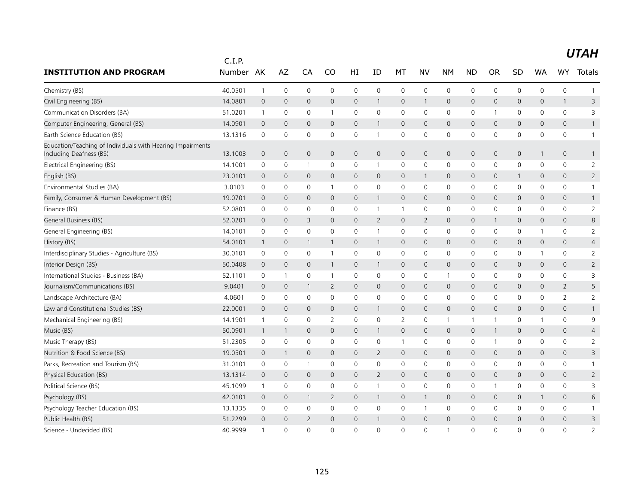|                                                                                       | C.I.P.  |                |                |                |                |              |                |              |                     |              |              |              |              |                     |                     |                |
|---------------------------------------------------------------------------------------|---------|----------------|----------------|----------------|----------------|--------------|----------------|--------------|---------------------|--------------|--------------|--------------|--------------|---------------------|---------------------|----------------|
| <b>INSTITUTION AND PROGRAM</b>                                                        | Number  | AK             | AZ             | CA             | CO             | HI           | ID             | MT           | NV                  | <b>NM</b>    | <b>ND</b>    | <b>OR</b>    | SD           | <b>WA</b>           | <b>WY</b>           | Totals         |
| Chemistry (BS)                                                                        | 40.0501 | $\mathbf{1}$   | $\mathbf 0$    | 0              | $\mathbf 0$    | $\mathbf 0$  | $\mathbf 0$    | $\mathbf 0$  | 0                   | $\mathbf 0$  | 0            | $\mathbf 0$  | $\mathbf 0$  | 0                   | $\mathsf{O}\xspace$ | $\mathbf{1}$   |
| Civil Engineering (BS)                                                                | 14.0801 | $\mathbf 0$    | $\overline{0}$ | $\mathbf{0}$   | 0              | $\mathsf{O}$ | $\mathbf{1}$   | $\mathbf 0$  | $\mathbf{1}$        | $\mathbf 0$  | $\mathsf{O}$ | $\mathbf{0}$ | $\mathbf 0$  | $\mathbf{0}$        | $\overline{1}$      | 3              |
| Communication Disorders (BA)                                                          | 51.0201 | $\mathbf{1}$   | $\mathbf 0$    | 0              | 1              | 0            | $\mathbf 0$    | $\mathbf 0$  | 0                   | 0            | 0            | -1           | 0            | $\mathbf{0}$        | $\mathbf 0$         | 3              |
| Computer Engineering, General (BS)                                                    | 14.0901 | $\mathbf 0$    | $\mathbf 0$    | $\mathbf{0}$   | 0              | $\mathbf{0}$ | $\mathbf{1}$   | $\mathbf{0}$ | $\mathbf{0}$        | $\mathbf 0$  | $\mathsf{O}$ | $\mathbf{0}$ | $\mathbf{0}$ | $\mathbf 0$         | $\mathbf{0}$        | $\mathbf{1}$   |
| Earth Science Education (BS)                                                          | 13.1316 | 0              | $\mathbf 0$    | 0              | 0              | $\mathbf 0$  | 1              | $\mathbf 0$  | $\mathbf 0$         | $\mathbf 0$  | 0            | $\mathbf{0}$ | $\mathbf 0$  | $\mathbf 0$         | $\mathbf 0$         | $\mathbf{1}$   |
| Education/Teaching of Individuals with Hearing Impairments<br>Including Deafness (BS) | 13.1003 | $\overline{0}$ | $\mathbf{0}$   | $\mathbf{0}$   | 0              | $\mathsf{O}$ | $\mathbf{0}$   | $\mathbf 0$  | $\mathbf{0}$        | $\mathbf 0$  | $\mathsf{O}$ | $\mathbf{0}$ | $\mathbf 0$  | 1                   | $\mathbf 0$         | $\mathbf{1}$   |
| Electrical Engineering (BS)                                                           | 14.1001 | 0              | 0              | $\mathbf{1}$   | 0              | 0            | $\mathbf{1}$   | $\mathbf 0$  | 0                   | 0            | 0            | 0            | 0            | 0                   | $\mathbf 0$         | 2              |
| English (BS)                                                                          | 23.0101 | $\mathbf 0$    | $\mathbf 0$    | $\mathbf{0}$   | 0              | $\mathbf{0}$ | $\mathbf 0$    | $\mathbf{0}$ | $\mathbf{1}$        | $\mathbf 0$  | $\mathsf{O}$ | $\mathbf{0}$ | 1            | $\mathbf 0$         | $\mathbf{0}$        | $\overline{2}$ |
| Environmental Studies (BA)                                                            | 3.0103  | 0              | $\mathbf 0$    | 0              | 1              | $\mathsf{O}$ | $\mathbf 0$    | $\mathbf 0$  | 0                   | 0            | 0            | $\mathbf{0}$ | 0            | $\Omega$            | $\mathbf 0$         | $\mathbf{1}$   |
| Family, Consumer & Human Development (BS)                                             | 19.0701 | $\overline{0}$ | $\mathbf 0$    | 0              | 0              | $\mathsf{O}$ | $\mathbf{1}$   | $\mathbf 0$  | $\mathbf 0$         | $\Omega$     | $\Omega$     | $\Omega$     | $\Omega$     | $\Omega$            | $\mathbf 0$         | $\mathbf{1}$   |
| Finance (BS)                                                                          | 52.0801 | 0              | 0              | 0              | 0              | 0            | $\mathbf{1}$   | $\mathbf{1}$ | 0                   | 0            | 0            | 0            | 0            | 0                   | 0                   | $\overline{2}$ |
| General Business (BS)                                                                 | 52.0201 | $\overline{0}$ | $\mathbf 0$    | 3              | 0              | $\mathbf 0$  | 2              | $\mathbf 0$  | $\overline{2}$      | $\mathbf 0$  | 0            | 1            | $\mathbf 0$  | $\mathbf 0$         | $\mathbf 0$         | 8              |
| General Engineering (BS)                                                              | 14.0101 | $\mathbf 0$    | $\mathbf 0$    | 0              | $\mathbf 0$    | $\mathsf{O}$ | $\mathbf{1}$   | $\mathbf 0$  | 0                   | 0            | 0            | $\mathbf 0$  | 0            | $\mathbf{1}$        | $\mathsf{O}$        | $\overline{2}$ |
| History (BS)                                                                          | 54.0101 | $\overline{1}$ | $\mathbf 0$    | $\mathbf{1}$   | 1              | $\mathsf{O}$ | $\mathbf{1}$   | $\mathbf 0$  | $\mathsf{O}\xspace$ | $\mathbf 0$  | 0            | $\mathbf{0}$ | $\mathbf 0$  | $\mathsf{O}\xspace$ | $\mathbf 0$         | $\overline{4}$ |
| Interdisciplinary Studies - Agriculture (BS)                                          | 30.0101 | $\mathbf 0$    | $\mathbf 0$    | 0              |                | $\mathsf{O}$ | $\mathbf 0$    | $\mathbf 0$  | $\mathbf 0$         | $\mathbf 0$  | 0            | 0            | $\mathbf 0$  | 1                   | $\mathsf{O}$        | $\overline{2}$ |
| Interior Design (BS)                                                                  | 50.0408 | $\mathbf 0$    | $\mathbf 0$    | $\mathbf{0}$   | 1              | 0            | $\mathbf{1}$   | $\mathbf{0}$ | $\mathbf{0}$        | $\mathbf 0$  | 0            | $\mathbf{0}$ | $\mathbf 0$  | $\mathbf{0}$        | $\mathbf 0$         | $\overline{2}$ |
| International Studies - Business (BA)                                                 | 52.1101 | 0              | $\mathbf{1}$   | 0              | 1              | 0            | $\mathbf 0$    | $\mathbf 0$  | 0                   | $\mathbf{1}$ | 0            | 0            | 0            | 0                   | $\mathbf 0$         | 3              |
| Journalism/Communications (BS)                                                        | 9.0401  | $\mathbf 0$    | $\mathbf 0$    | 1              | 2              | $\mathbf{0}$ | $\mathbf 0$    | $\mathbf{0}$ | $\mathbf{0}$        | $\mathbf{0}$ | $\mathbf{0}$ | $\mathbf{0}$ | $\mathbf{0}$ | $\mathbf{0}$        | $\overline{2}$      | 5              |
| Landscape Architecture (BA)                                                           | 4.0601  | 0              | $\mathbf 0$    | 0              | 0              | $\mathsf{O}$ | $\mathbf 0$    | $\mathbf 0$  | 0                   | 0            | 0            | $\Omega$     | 0            | 0                   | 2                   | $\overline{2}$ |
| Law and Constitutional Studies (BS)                                                   | 22.0001 | $\mathbf 0$    | $\mathbf{0}$   | $\Omega$       | 0              | $\mathbf{0}$ | $\mathbf{1}$   | $\mathbf{0}$ | $\mathbf{0}$        | $\Omega$     | $\Omega$     | $\Omega$     | $\Omega$     | $\Omega$            | $\mathbf{0}$        | $\mathbf{1}$   |
| Mechanical Engineering (BS)                                                           | 14.1901 | $\mathbf{1}$   | 0              | 0              | 2              | 0            | $\mathbf 0$    | 2            | 0                   | $\mathbf{1}$ |              |              | 0            | 1                   | $\mathbf 0$         | 9              |
| Music (BS)                                                                            | 50.0901 | $\mathbf{1}$   | $\mathbf{1}$   | 0              | 0              | $\mathbf 0$  | $\mathbf{1}$   | $\mathbf 0$  | $\mathsf{O}$        | $\mathbf 0$  | 0            |              | $\mathbf 0$  | $\mathbf 0$         | $\mathbf 0$         | 4              |
| Music Therapy (BS)                                                                    | 51.2305 | $\mathsf 0$    | $\mathbf 0$    | 0              | $\mathbf 0$    | $\mathsf{O}$ | $\mathbf 0$    | $\mathbf{1}$ | 0                   | 0            | 0            |              | 0            | $\mathbf 0$         | $\mathsf{O}$        | $\overline{2}$ |
| Nutrition & Food Science (BS)                                                         | 19.0501 | $\mathbf 0$    | $\mathbf{1}$   | 0              | 0              | $\mathsf{O}$ | $\overline{2}$ | $\mathbf 0$  | $\mathsf{O}\xspace$ | $\mathbf 0$  | 0            | $\mathbf 0$  | $\mathbf 0$  | $\mathbf 0$         | $\mathbf 0$         | 3              |
| Parks, Recreation and Tourism (BS)                                                    | 31.0101 | 0              | 0              | $\mathbf{1}$   | 0              | 0            | $\mathbf 0$    | $\mathbf 0$  | $\mathbf 0$         | $\mathbf 0$  | 0            | 0            | 0            | 0                   | $\mathsf{O}$        | $\mathbf{1}$   |
| Physical Education (BS)                                                               | 13.1314 | $\overline{0}$ | $\mathbf{0}$   | $\mathbf{0}$   | 0              | $\mathsf{O}$ | $\overline{2}$ | $\mathbf{0}$ | $\overline{0}$      | $\mathbf{0}$ | $\mathsf{O}$ | $\mathbf{0}$ | $\mathbf{0}$ | $\mathbf{0}$        | $\mathbf 0$         | $\overline{2}$ |
| Political Science (BS)                                                                | 45.1099 | $\mathbf{1}$   | 0              | 0              | $\mathbf 0$    | $\mathbf 0$  | 1              | $\mathbf 0$  | $\mathbf 0$         | $\mathbf 0$  | 0            |              | $\mathbf 0$  | $\mathbf 0$         | $\mathsf{O}$        | 3              |
| Psychology (BS)                                                                       | 42.0101 | $\mathbf 0$    | $\mathbf{0}$   | 1              | $\overline{2}$ | $\mathbf{0}$ | $\mathbf{1}$   | $\mathbf{0}$ | 1                   | $\mathbf{0}$ | $\mathbf{0}$ | $\mathbf{0}$ | $\mathbf{0}$ | 1                   | $\mathbf{0}$        | 6              |
| Psychology Teacher Education (BS)                                                     | 13.1335 | 0              | $\mathbf 0$    | 0              | 0              | 0            | $\mathbf 0$    | 0            | $\overline{1}$      | 0            | 0            | 0            | 0            | 0                   | 0                   | 1              |
| Public Health (BS)                                                                    | 51.2299 | $\mathbf{0}$   | $\Omega$       | $\overline{2}$ | $\Omega$       | $\mathbf{0}$ | $\mathbf{1}$   | $\mathbf{0}$ | $\Omega$            | $\Omega$     | $\Omega$     | $\Omega$     | $\Omega$     | $\Omega$            | $\mathbf{0}$        | 3              |
| Science - Undecided (BS)                                                              | 40.9999 | $\overline{1}$ | $\Omega$       | $\Omega$       | 0              | $\Omega$     | $\Omega$       | $\mathbf{0}$ | $\Omega$            | $\mathbf 1$  | $\Omega$     | $\Omega$     | $\Omega$     | $\Omega$            | $\mathbf{0}$        | $\overline{2}$ |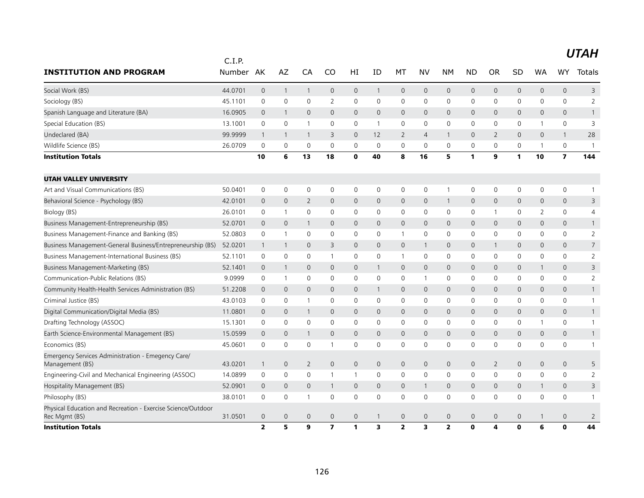|                                                                               | C.I.P.  |                |                |                |                         |                |                |                |                         |                |                |                |              |                |                |                |
|-------------------------------------------------------------------------------|---------|----------------|----------------|----------------|-------------------------|----------------|----------------|----------------|-------------------------|----------------|----------------|----------------|--------------|----------------|----------------|----------------|
| <b>INSTITUTION AND PROGRAM</b>                                                | Number  | AK             | AZ             | CA             | CO                      | ΗI             | ID             | MT             | <b>NV</b>               | NΜ             | <b>ND</b>      | <b>OR</b>      | <b>SD</b>    | WA             | WY.            | Totals         |
| Social Work (BS)                                                              | 44.0701 | $\mathbf 0$    | $\mathbf{1}$   | $\mathbf{1}$   | 0                       | $\mathsf{O}$   | $\mathbf{1}$   | $\mathbf 0$    | $\mathsf{O}$            | $\mathbf{0}$   | $\mathbf{0}$   | $\mathbf{0}$   | $\mathbf{0}$ | $\mathsf{O}$   | $\mathbf{0}$   | 3              |
| Sociology (BS)                                                                | 45.1101 | 0              | 0              | 0              | $\overline{2}$          | 0              | 0              | $\mathbf 0$    | 0                       | 0              | 0              | 0              | 0            | $\mathbf 0$    | $\mathsf{O}$   | $\overline{2}$ |
| Spanish Language and Literature (BA)                                          | 16.0905 | $\overline{0}$ | $\mathbf{1}$   | $\mathbf{0}$   | 0                       | $\overline{0}$ | $\mathbf{0}$   | $\mathbf{0}$   | $\overline{0}$          | $\overline{0}$ | $\mathbf 0$    | $\mathbf{0}$   | $\mathbf 0$  | $\overline{0}$ | $\mathbf 0$    | $\mathbf{1}$   |
| Special Education (BS)                                                        | 13.1001 | 0              | $\mathbf 0$    | $\mathbf{1}$   | 0                       | 0              | $\overline{1}$ | $\mathbf 0$    | 0                       | 0              | 0              | 0              | 0            | 1              | $\mathsf{O}$   | 3              |
| Undeclared (BA)                                                               | 99.9999 | $\overline{1}$ | $\mathbf{1}$   | $\mathbf{1}$   | 3                       | $\mathbf{0}$   | 12             | 2              | $\overline{4}$          | $\mathbf{1}$   | $\Omega$       | $\overline{2}$ | $\Omega$     | $\Omega$       | $\overline{1}$ | 28             |
| Wildlife Science (BS)                                                         | 26.0709 | $\mathbf 0$    | $\mathbf 0$    | 0              | 0                       | 0              | $\mathbf 0$    | $\mathbf 0$    | $\Omega$                | 0              | 0              | $\mathbf{0}$   | 0            | $\mathbf{1}$   | $\mathbf 0$    | $\mathbf{1}$   |
| <b>Institution Totals</b>                                                     |         | 10             | 6              | 13             | 18                      | $\mathbf 0$    | 40             | 8              | 16                      | 5              | 1              | 9              | 1            | 10             | $\overline{ }$ | 144            |
| <b>UTAH VALLEY UNIVERSITY</b>                                                 |         |                |                |                |                         |                |                |                |                         |                |                |                |              |                |                |                |
| Art and Visual Communications (BS)                                            | 50.0401 | $\mathbf 0$    | $\mathbf 0$    | 0              | 0                       | 0              | $\mathbf 0$    | $\mathbf 0$    | $\mathsf{O}\xspace$     | $\mathbf{1}$   | 0              | $\mathbf 0$    | 0            | 0              | $\mathsf{O}$   | $\mathbf{1}$   |
| Behavioral Science - Psychology (BS)                                          | 42.0101 | $\mathbf 0$    | $\mathbf{0}$   | $\overline{2}$ | 0                       | $\overline{0}$ | $\mathbf{0}$   | $\mathbf{0}$   | $\mathbf{0}$            | $\mathbf{1}$   | $\mathsf{O}$   | $\mathbf{0}$   | $\mathbf{0}$ | $\mathbf{0}$   | $\mathbf 0$    | 3              |
| Biology (BS)                                                                  | 26.0101 | 0              | $\overline{1}$ | 0              | 0                       | 0              | $\mathbf 0$    | $\mathbf 0$    | $\mathbf 0$             | 0              | 0              |                | 0            | 2              | $\mathbf 0$    | 4              |
| Business Management-Entrepreneurship (BS)                                     | 52.0701 | $\mathbf 0$    | $\mathbf{0}$   | 1              | 0                       | $\mathbf 0$    | $\mathbf{0}$   | $\mathbf{0}$   | $\mathbf{0}$            | $\mathbf 0$    | 0              | $\mathbf{0}$   | $\mathbf{0}$ | $\mathbf 0$    | $\mathbf{0}$   | $\mathbf{1}$   |
| Business Management-Finance and Banking (BS)                                  | 52.0803 | 0              | $\mathbf{1}$   | 0              | 0                       | 0              | $\mathbf 0$    | $\overline{1}$ | 0                       | 0              | 0              | 0              | 0            | 0              | $\mathbf 0$    | $\overline{2}$ |
| Business Management-General Business/Entrepreneurship (BS)                    | 52.0201 | $\overline{1}$ | $\mathbf{1}$   | $\mathbf{0}$   | 3                       | $\mathsf{O}$   | $\mathbf{0}$   | $\mathbf 0$    | $\mathbf{1}$            | $\mathbf{0}$   | $\mathsf{O}$   | $\mathbf{1}$   | $\mathbf 0$  | $\mathbf{0}$   | $\mathbf 0$    | $\overline{7}$ |
| Business Management-International Business (BS)                               | 52.1101 | 0              | 0              | 0              | 1                       | 0              | $\mathbf 0$    | $\mathbf{1}$   | 0                       | $\mathbf 0$    | 0              | 0              | 0            | 0              | $\mathsf{O}$   | 2              |
| Business Management-Marketing (BS)                                            | 52.1401 | $\mathbf{0}$   | 1              | $\mathbf{0}$   | $\mathbf{0}$            | $\mathbf{0}$   | $\mathbf{1}$   | $\mathbf{0}$   | $\mathbf 0$             | $\overline{0}$ | $\mathsf{O}$   | $\mathbf{0}$   | $\mathbf 0$  | $\mathbf{1}$   | $\mathbf{0}$   | 3              |
| Communication-Public Relations (BS)                                           | 9.0999  | 0              | $\overline{1}$ | 0              | 0                       | $\mathbf 0$    | $\mathbf 0$    | 0              | $\overline{1}$          | 0              | 0              | $\mathbf 0$    | 0            | 0              | $\mathbf 0$    | $\overline{2}$ |
| Community Health-Health Services Administration (BS)                          | 51.2208 | $\mathbf 0$    | $\mathbf{0}$   | $\mathbf{0}$   | 0                       | $\mathbf{0}$   | $\mathbf{1}$   | $\mathbf 0$    | $\mathbf{0}$            | $\mathbf{0}$   | 0              | $\mathbf{0}$   | $\mathbf{0}$ | $\mathbf{0}$   | $\mathbf 0$    | $\mathbf{1}$   |
| Criminal Justice (BS)                                                         | 43.0103 | 0              | $\mathbf 0$    | $\mathbf{1}$   | 0                       | 0              | $\mathbf 0$    | $\mathbf 0$    | 0                       | $\mathbf 0$    | 0              | $\Omega$       | $\mathbf 0$  | $\mathbf 0$    | $\mathsf{O}$   | $\mathbf{1}$   |
| Digital Communication/Digital Media (BS)                                      | 11.0801 | $\overline{0}$ | $\mathbf{0}$   | $\mathbf{1}$   | 0                       | $\mathbf{0}$   | $\mathbf{0}$   | $\mathbf{0}$   | $\overline{0}$          | $\overline{0}$ | $\overline{0}$ | $\mathbf{0}$   | $\mathbf{0}$ | $\mathbf{0}$   | $\mathbf 0$    | $\mathbf{1}$   |
| Drafting Technology (ASSOC)                                                   | 15.1301 | 0              | $\mathbf{0}$   | $\Omega$       | 0                       | 0              | $\mathbf{0}$   | $\mathbf{0}$   | $\Omega$                | 0              | 0              | $\Omega$       | 0            | 1              | $\mathsf{O}$   | $\mathbf{1}$   |
| Earth Science-Environmental Management (BS)                                   | 15.0599 | $\mathbf 0$    | $\mathbf 0$    |                | 0                       | $\mathbf{0}$   | $\overline{0}$ | $\mathbf{0}$   | $\overline{0}$          | $\overline{0}$ | $\mathbf 0$    | $\Omega$       | $\mathbf 0$  | $\mathbf 0$    | $\mathbf{0}$   | $\mathbf{1}$   |
| Economics (BS)                                                                | 45.0601 | $\mathbf 0$    | $\mathbf 0$    | 0              |                         | $\mathbf 0$    | $\mathbf 0$    | $\mathbf 0$    | 0                       | $\mathbf 0$    | 0              | $\mathbf{0}$   | $\mathbf 0$  | $\mathbf 0$    | $\mathbf 0$    | $\mathbf{1}$   |
| Emergency Services Administration - Emegency Care/<br>Management (BS)         | 43.0201 | $\overline{1}$ | $\mathbf 0$    | $\overline{2}$ | 0                       | $\mathbf 0$    | $\mathbf 0$    | $\mathbf 0$    | 0                       | $\mathbf 0$    | 0              | $\overline{2}$ | $\mathbf 0$  | $\mathbf 0$    | $\mathbf 0$    | 5              |
| Engineering-Civil and Mechanical Engineering (ASSOC)                          | 14.0899 | 0              | $\mathbf 0$    | 0              | 1                       | 1              | $\mathbf 0$    | $\mathbf 0$    | 0                       | 0              | $\Omega$       | $\Omega$       | 0            | $\Omega$       | $\mathbf 0$    | 2              |
| Hospitality Management (BS)                                                   | 52.0901 | $\mathbf 0$    | $\mathbf{0}$   | $\overline{0}$ |                         | $\mathbf{0}$   | $\mathbf{0}$   | $\mathbf{0}$   | $\mathbf{1}$            | $\mathbf 0$    | $\mathbf{0}$   | $\mathbf{0}$   | $\mathbf{0}$ | $\mathbf{1}$   | $\mathbf 0$    | 3              |
| Philosophy (BS)                                                               | 38.0101 | $\mathbf 0$    | 0              | -1             | 0                       | $\mathbf 0$    | $\mathbf 0$    | $\mathbf 0$    | 0                       | 0              | 0              | $\Omega$       | 0            | $\Omega$       | $\mathbf 0$    | 1              |
| Physical Education and Recreation - Exercise Science/Outdoor<br>Rec Mgmt (BS) | 31.0501 | $\overline{0}$ | $\mathbf 0$    | $\mathbf 0$    | 0                       | $\mathbf 0$    | $\mathbf{1}$   | $\mathbf 0$    | 0                       | $\mathbf 0$    | 0              | $\mathbf 0$    | $\mathbf 0$  | $\mathbf{1}$   | $\mathbf 0$    | 2              |
| <b>Institution Totals</b>                                                     |         | $\overline{2}$ | 5              | 9              | $\overline{\mathbf{z}}$ | 1              | 3              | $\overline{2}$ | $\overline{\mathbf{3}}$ | $\overline{2}$ | 0              | 4              | $\mathbf{0}$ | 6              | $\mathbf 0$    | 44             |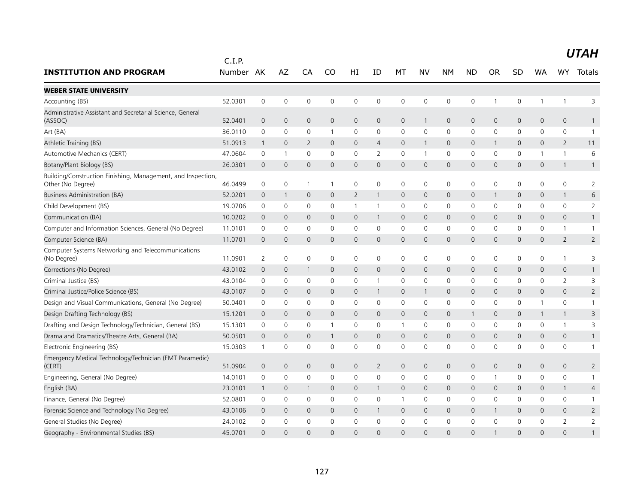| <b>INSTITUTION AND PROGRAM</b>                                                    | C.I.P.<br>Number | AK             | AZ                  | CA             | CO           | HI           | ΙD             | МT           | NV           | <b>NM</b>    | <b>ND</b>    | <b>OR</b>      | SD           | WA           | WY                  | Totals         |
|-----------------------------------------------------------------------------------|------------------|----------------|---------------------|----------------|--------------|--------------|----------------|--------------|--------------|--------------|--------------|----------------|--------------|--------------|---------------------|----------------|
|                                                                                   |                  |                |                     |                |              |              |                |              |              |              |              |                |              |              |                     |                |
| <b>WEBER STATE UNIVERSITY</b>                                                     |                  |                |                     |                |              |              |                |              |              |              |              |                |              |              |                     |                |
| Accounting (BS)                                                                   | 52.0301          | $\mathbf 0$    | $\mathsf{O}\xspace$ | $\mathbf 0$    | $\mathbf 0$  | 0            | 0              | $\mathbf 0$  | $\mathbf 0$  | 0            | $\mathsf 0$  | $\mathbf{1}$   | 0            | $\mathbf{1}$ | $\mathbf{1}$        | 3              |
| Administrative Assistant and Secretarial Science, General<br>(ASSOC)              | 52.0401          | $\overline{0}$ | $\mathbf 0$         | $\overline{0}$ | 0            | $\mathbf{0}$ | $\overline{0}$ | $\mathbf 0$  | $\mathbf{1}$ | $\mathbf 0$  | $\mathbf 0$  | $\mathbf{0}$   | 0            | 0            | $\mathbf{0}$        | $\mathbf{1}$   |
| Art (BA)                                                                          | 36.0110          | 0              | $\mathsf{O}\xspace$ | $\mathbf 0$    | 1            | 0            | 0              | $\mathbf 0$  | $\mathbf 0$  | 0            | 0            | 0              | 0            | 0            | 0                   | $\overline{1}$ |
| Athletic Training (BS)                                                            | 51.0913          | $\mathbf{1}$   | $\mathbf 0$         | 2              | $\mathbf{0}$ | $\mathbf{0}$ | $\overline{4}$ | $\mathbf 0$  | $\mathbf{1}$ | $\mathbf 0$  | $\mathbf 0$  | $\mathbf{1}$   | $\mathbf 0$  | 0            | $\overline{2}$      | 11             |
| Automotive Mechanics (CERT)                                                       | 47.0604          | 0              | -1                  | $\mathbf 0$    | $\Omega$     | 0            | 2              | $\mathbf 0$  | $\mathbf{1}$ | 0            | 0            | 0              | 0            | 1            | 1                   | 6              |
| Botany/Plant Biology (BS)                                                         | 26.0301          | $\Omega$       | $\mathbf 0$         | $\Omega$       | $\Omega$     | $\mathsf{O}$ | $\Omega$       | 0            | $\Omega$     | $\mathbf 0$  | $\Omega$     | $\Omega$       | 0            | 0            | $\mathbf{1}$        | $\mathbf{1}$   |
| Building/Construction Finishing, Management, and Inspection,<br>Other (No Degree) | 46.0499          | $\mathbf 0$    | $\mathbf 0$         | -1             | -1           | $\mathsf{O}$ | 0              | $\mathbf 0$  | $\mathbf 0$  | $\mathbf 0$  | $\mathbf 0$  | 0              | $\mathbf 0$  | 0            | $\mathbf 0$         | $\overline{2}$ |
| <b>Business Administration (BA)</b>                                               | 52.0201          | 0              | $\mathbf{1}$        | $\mathbf 0$    | $\mathbf{0}$ | 2            |                | $\mathbf{0}$ | $\mathbf{0}$ | $\mathbf 0$  | $\mathbf 0$  | 1              | 0            | 0            | $\mathbf{1}$        | 6              |
| Child Development (BS)                                                            | 19.0706          | 0              | $\mathbf 0$         | $\mathbf 0$    | $\mathbf{0}$ | $\mathbf{1}$ | $\mathbf{1}$   | $\mathbf 0$  | $\mathbf 0$  | 0            | $\mathbf{0}$ | $\Omega$       | 0            | 0            | $\mathbf 0$         | $\overline{2}$ |
| Communication (BA)                                                                | 10.0202          | $\overline{0}$ | $\mathbf 0$         | 0              | $\mathbf{0}$ | $\mathsf{O}$ | -1             | $\mathbf 0$  | $\mathbf 0$  | $\mathbf 0$  | 0            | $\mathbf 0$    | 0            | 0            | $\mathbf 0$         | $\mathbf{1}$   |
| Computer and Information Sciences, General (No Degree)                            | 11.0101          | 0              | $\mathbf 0$         | $\mathbf 0$    | $\mathbf{0}$ | $\mathsf{O}$ | 0              | 0            | $\mathbf 0$  | $\mathbf 0$  | $\mathbf 0$  | $\Omega$       | 0            | 0            | $\mathbf{1}$        | $\mathbf{1}$   |
| Computer Science (BA)                                                             | 11.0701          | $\Omega$       | $\mathbf 0$         | $\mathbf{0}$   | $\Omega$     | $\mathbf{0}$ | $\Omega$       | $\mathbf{0}$ | $\Omega$     | $\mathbf{0}$ | $\Omega$     | $\Omega$       | $\mathsf{O}$ | 0            | $\overline{2}$      | $\overline{2}$ |
| Computer Systems Networking and Telecommunications<br>(No Degree)                 | 11.0901          | $\overline{2}$ | $\mathsf{O}\xspace$ | $\mathbf 0$    | 0            | 0            | 0              | $\mathbf 0$  | $\mathbf 0$  | $\mathsf{O}$ | 0            | 0              | 0            | 0            | 1                   | 3              |
| Corrections (No Degree)                                                           | 43.0102          | $\overline{0}$ | $\mathbf{0}$        | -1             | $\mathbf{0}$ | $\mathbf{0}$ | $\overline{0}$ | $\mathbf{0}$ | $\mathbf{0}$ | $\mathbf{0}$ | $\mathbf{0}$ | $\overline{0}$ | $\mathsf{O}$ | 0            | $\mathbf{0}$        | $\mathbf{1}$   |
| Criminal Justice (BS)                                                             | 43.0104          | 0              | 0                   | 0              | 0            | 0            |                | $\mathbf 0$  | $\mathbf 0$  | 0            | 0            | 0              | 0            | 0            | 2                   | 3              |
| Criminal Justice/Police Science (BS)                                              | 43.0107          | $\overline{0}$ | $\mathbf 0$         | $\overline{0}$ | $\mathbf 0$  | 0            |                | 0            | $\mathbf{1}$ | $\mathsf{O}$ | $\mathbf 0$  | $\mathbf 0$    | $\mathsf{O}$ | 0            | $\mathbf 0$         | $\overline{2}$ |
| Design and Visual Communications, General (No Degree)                             | 50.0401          | 0              | $\mathbf 0$         | $\mathbf 0$    | $\mathbf 0$  | $\mathbf 0$  | 0              | $\mathbf 0$  | $\mathbf 0$  | $\mathbf 0$  | $\mathbf 0$  | $\mathbf 0$    | $\mathbf 0$  | 1            | $\mathbf 0$         | $\mathbf{1}$   |
| Design Drafting Technology (BS)                                                   | 15.1201          | $\mathbf 0$    | $\mathbf 0$         | $\mathbf{0}$   | $\mathbf{0}$ | $\mathbf{0}$ | $\overline{0}$ | $\mathbf{0}$ | $\mathbf{0}$ | $\mathbf 0$  | 1            | $\mathbf 0$    | $\mathbf{0}$ | $\mathbf{1}$ | $\mathbf{1}$        | 3              |
| Drafting and Design Technology/Technician, General (BS)                           | 15.1301          | $\mathbf 0$    | $\mathbf 0$         | $\mathbf 0$    | $\mathbf{1}$ | 0            | 0              | $\mathbf{1}$ | $\mathbf 0$  | $\mathbf 0$  | 0            | 0              | $\mathbf 0$  | 0            | $\mathbf{1}$        | 3              |
| Drama and Dramatics/Theatre Arts, General (BA)                                    | 50.0501          | $\overline{0}$ | $\overline{0}$      | $\overline{0}$ | 1            | $\mathbf{0}$ | $\overline{0}$ | $\mathbf{0}$ | $\mathbf{0}$ | $\mathbf 0$  | $\mathbf{0}$ | 0              | 0            | 0            | $\mathsf{O}\xspace$ | $\mathbf{1}$   |
| Electronic Engineering (BS)                                                       | 15.0303          | $\mathbf{1}$   | $\mathbf 0$         | $\mathbf 0$    | $\Omega$     | 0            | 0              | 0            | $\mathbf 0$  | 0            | 0            | $\Omega$       | 0            | 0            | 0                   | $\overline{1}$ |
| Emergency Medical Technology/Technician (EMT Paramedic)<br>(CERT)                 | 51.0904          | $\mathbf 0$    | $\mathbf 0$         | $\overline{0}$ | $\mathbf{0}$ | $\mathbf{0}$ | $\overline{2}$ | $\mathbf{0}$ | $\mathbf{0}$ | $\mathbf 0$  | $\mathbf 0$  | $\overline{0}$ | $\mathsf{O}$ | 0            | $\mathbf{0}$        | 2              |
| Engineering, General (No Degree)                                                  | 14.0101          | 0              | $\mathbf 0$         | $\mathbf 0$    | 0            | 0            | 0              | $\mathbf 0$  | $\mathbf 0$  | 0            | 0            | $\mathbf{1}$   | 0            | 0            | $\mathbf 0$         | $\mathbf{1}$   |
| English (BA)                                                                      | 23.0101          | -1             | $\mathbf 0$         | -1             | $\mathbf{0}$ | $\mathbf{0}$ |                | $\mathbf 0$  | $\mathbf{0}$ | $\mathbf{0}$ | $\mathbf{0}$ | $\mathbf{0}$   | $\mathbf{0}$ | 0            | $\mathbf{1}$        | 4              |
| Finance, General (No Degree)                                                      | 52.0801          | 0              | $\mathbf 0$         | $\mathbf 0$    | $\mathbf{0}$ | 0            | $\Omega$       | $\mathbf{1}$ | $\mathbf 0$  | 0            | 0            | $\Omega$       | $\mathbf{0}$ | 0            | $\mathbf{0}$        | -1             |
| Forensic Science and Technology (No Degree)                                       | 43.0106          | $\overline{0}$ | $\mathbf 0$         | $\mathbf 0$    | 0            | $\mathsf{O}$ | $\mathbf{1}$   | 0            | $\mathbf 0$  | $\mathbf 0$  | $\mathbf 0$  | 1              | 0            | 0            | $\mathbf 0$         | $\overline{2}$ |
| General Studies (No Degree)                                                       | 24.0102          | $\mathbf 0$    | $\mathbf 0$         | 0              | $\Omega$     | $\mathbf 0$  | $\Omega$       | 0            | $\mathbf 0$  | $\mathbf 0$  | $\mathbf 0$  | 0              | 0            | 0            | $\overline{2}$      | $\overline{2}$ |
| Geography - Environmental Studies (BS)                                            | 45.0701          | $\Omega$       | $\Omega$            | $\Omega$       | $\Omega$     | $\Omega$     | $\Omega$       | $\Omega$     | $\Omega$     | $\Omega$     | $\Omega$     |                | $\Omega$     | $\Omega$     | $\Omega$            | $\mathbf{1}$   |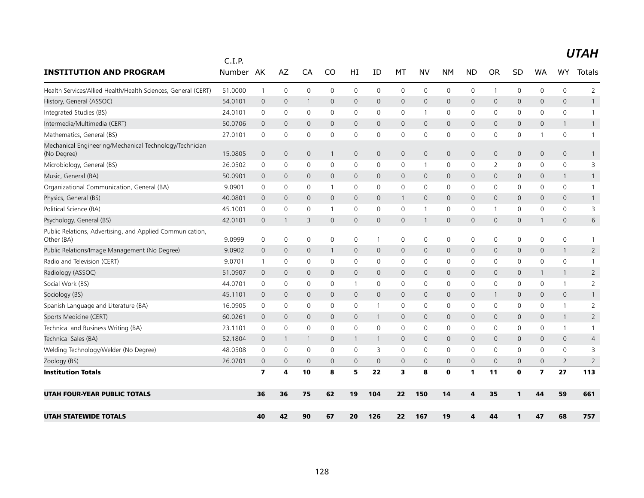| <b>INSTITUTION AND PROGRAM</b>                                          | C.I.P.<br><b>Number</b> | AK                      | AZ             | CA             | CO           | HI             | ID           | MT           | <b>NV</b>      | <b>NM</b>   | <b>ND</b>    | <b>OR</b>    | <b>SD</b>    | WA                      | <b>WY</b>      | Totals         |
|-------------------------------------------------------------------------|-------------------------|-------------------------|----------------|----------------|--------------|----------------|--------------|--------------|----------------|-------------|--------------|--------------|--------------|-------------------------|----------------|----------------|
|                                                                         |                         |                         |                |                |              |                |              |              |                |             |              |              |              |                         |                |                |
| Health Services/Allied Health/Health Sciences, General (CERT)           | 51.0000                 | $\mathbf{1}$            | $\mathbf 0$    | 0              | $\mathbf 0$  | 0              | $\mathbf 0$  | 0            | $\mathbf 0$    | 0           | 0            | $\mathbf{1}$ | 0            | 0                       | $\mathbf 0$    | $\overline{2}$ |
| History, General (ASSOC)                                                | 54.0101                 | $\overline{0}$          | 0              | -1             | 0            | 0              | $\mathbf 0$  | $\mathbf 0$  | $\mathbf 0$    | 0           | 0            | $\mathbf 0$  | 0            | 0                       | $\mathbf 0$    | $\mathbf{1}$   |
| Integrated Studies (BS)                                                 | 24.0101                 | 0                       | 0              | 0              | $\mathbf 0$  | 0              | 0            | 0            | $\overline{1}$ | 0           | 0            | 0            | 0            | 0                       | 0              | $\mathbf{1}$   |
| Intermedia/Multimedia (CERT)                                            | 50.0706                 | $\mathbf 0$             | $\mathbf{0}$   | $\overline{0}$ | $\mathbf{0}$ | $\mathsf{O}$   | $\mathbf{0}$ | $\mathbf{0}$ | $\mathbf{0}$   | $\mathbf 0$ | $\mathbf{0}$ | $\Omega$     | $\mathbf{0}$ | $\mathbf{0}$            | $\mathbf{1}$   | $\mathbf{1}$   |
| Mathematics, General (BS)                                               | 27.0101                 | 0                       | $\mathbf 0$    | 0              | $\mathbf 0$  | 0              | $\mathbf 0$  | $\mathbf 0$  | 0              | 0           | $\mathbf 0$  | 0            | 0            | 1                       | $\mathbf 0$    | $\mathbf{1}$   |
| Mechanical Engineering/Mechanical Technology/Technician<br>(No Degree)  | 15.0805                 | $\overline{0}$          | $\mathbf 0$    | $\mathbf 0$    | $\mathbf{1}$ | 0              | $\mathbf 0$  | $\mathbf 0$  | $\mathbf 0$    | $\mathbf 0$ | $\mathbf{0}$ | $\mathbf{0}$ | 0            | $\mathbf 0$             | $\mathbf 0$    | $\mathbf{1}$   |
| Microbiology, General (BS)                                              | 26.0502                 | 0                       | 0              | 0              | 0            | 0              | 0            | 0            | -1             | 0           | 0            | 2            | 0            | 0                       | $\mathbf 0$    | 3              |
| Music, General (BA)                                                     | 50.0901                 | $\mathbf 0$             | $\mathbf 0$    | 0              | 0            | $\mathbf 0$    | 0            | $\mathbf 0$  | $\mathbf 0$    | $\mathbf 0$ | 0            | $\mathbf{0}$ | 0            | 0                       | $\mathbf{1}$   | $\mathbf{1}$   |
| Organizational Communication, General (BA)                              | 9.0901                  | $\mathbf 0$             | $\mathbf 0$    | 0              | $\mathbf{1}$ | 0              | $\mathbf 0$  | $\mathbf 0$  | $\mathbf 0$    | 0           | $\mathbf 0$  | $\Omega$     | 0            | 0                       | $\mathbf 0$    | $\mathbf{1}$   |
| Physics, General (BS)                                                   | 40.0801                 | $\mathbf 0$             | $\overline{0}$ | $\mathbf{0}$   | $\mathbf{0}$ | $\overline{0}$ | $\Omega$     | $\mathbf{1}$ | $\mathbf{0}$   | $\mathbf 0$ | $\mathbf{0}$ | $\Omega$     | $\mathbf{0}$ | $\Omega$                | $\mathbf{0}$   | $\mathbf{1}$   |
| Political Science (BA)                                                  | 45.1001                 | 0                       | $\mathbf 0$    | 0              | 1            | 0              | $\mathbf 0$  | 0            | $\mathbf{1}$   | 0           | $\mathbf 0$  | -1           | 0            | 0                       | $\mathbf 0$    | 3              |
| Psychology, General (BS)                                                | 42.0101                 | $\overline{0}$          |                | 3              | 0            | 0              | $\mathbf 0$  | $\mathbf 0$  | 1              | 0           | $\mathsf{O}$ | $\mathbf 0$  | 0            | $\mathbf{1}$            | 0              | 6              |
| Public Relations, Advertising, and Applied Communication,<br>Other (BA) | 9.0999                  | $\mathbf 0$             | $\mathbf 0$    | 0              | $\mathbf 0$  | 0              | $\mathbf{1}$ | 0            | $\mathbf 0$    | 0           | 0            | 0            | 0            | $\mathbf{0}$            | $\mathbf 0$    | 1              |
| Public Relations/Image Management (No Degree)                           | 9.0902                  | $\mathbf 0$             | $\mathbf 0$    | $\overline{0}$ | 1            | 0              | $\mathbf 0$  | $\mathbf 0$  | $\mathbf 0$    | $\mathbf 0$ | $\mathbf{0}$ | $\mathbf{0}$ | 0            | $\mathbf{0}$            | $\mathbf{1}$   | $\overline{2}$ |
| Radio and Television (CERT)                                             | 9.0701                  | $\mathbf{1}$            | 0              | 0              | $\mathbf 0$  | 0              | $\mathbf 0$  | $\mathbf 0$  | 0              | $\mathsf 0$ | $\mathbf 0$  | 0            | 0            | 0                       | $\mathbf 0$    | $\mathbf{1}$   |
| Radiology (ASSOC)                                                       | 51.0907                 | $\mathbf 0$             | $\mathbf 0$    | $\mathbf{0}$   | $\mathbf{0}$ | $\overline{0}$ | $\mathbf 0$  | $\mathbf 0$  | $\mathbf 0$    | $\mathbf 0$ | $\mathbf{0}$ | $\mathbf 0$  | 0            | $\mathbf{1}$            | $\mathbf{1}$   | $\overline{2}$ |
| Social Work (BS)                                                        | 44.0701                 | 0                       | 0              | 0              | $\mathbf 0$  | $\mathbf{1}$   | 0            | 0            | $\mathbf 0$    | 0           | 0            | 0            | 0            | 0                       | $\mathbf{1}$   | $\overline{2}$ |
| Sociology (BS)                                                          | 45.1101                 | $\mathbf 0$             | $\mathbf 0$    | 0              | 0            | $\mathbf 0$    | $\mathbf 0$  | $\mathbf 0$  | $\mathbf 0$    | 0           | 0            |              | 0            | $\mathbf{0}$            | $\mathbf 0$    | $\mathbf{1}$   |
| Spanish Language and Literature (BA)                                    | 16.0905                 | $\mathbf 0$             | 0              | 0              | $\mathbf{0}$ | 0              | $\mathbf{1}$ | $\mathbf 0$  | $\mathbf 0$    | 0           | $\mathbf 0$  | 0            | 0            | 0                       | $\mathbf{1}$   | 2              |
| Sports Medicine (CERT)                                                  | 60.0261                 | $\mathbf 0$             | $\mathbf{0}$   | $\mathbf{0}$   | $\mathbf{0}$ | $\overline{0}$ | $\mathbf{1}$ | $\mathbf 0$  | $\mathbf{0}$   | $\mathbf 0$ | $\mathbf{0}$ | $\Omega$     | $\mathbf{0}$ | $\mathbf{0}$            | $\mathbf{1}$   | $\overline{2}$ |
| Technical and Business Writing (BA)                                     | 23.1101                 | 0                       | 0              | 0              | 0            | 0              | 0            | 0            | 0              | 0           | 0            | $\Omega$     | 0            | 0                       | $\mathbf{1}$   | $\mathbf{1}$   |
| Technical Sales (BA)                                                    | 52.1804                 | $\mathbf 0$             | -1             | 1              | 0            | -1             | $\mathbf{1}$ | $\mathbf 0$  | $\mathbf 0$    | $\mathbf 0$ | $\mathsf{O}$ | $\mathbf{0}$ | 0            | $\mathbf{0}$            | $\mathbf 0$    | $\overline{4}$ |
| Welding Technology/Welder (No Degree)                                   | 48.0508                 | 0                       | 0              | 0              | 0            | 0              | 3            | 0            | 0              | 0           | 0            | 0            | 0            | 0                       | 0              | 3              |
| Zoology (BS)                                                            | 26.0701                 | $\mathbf 0$             | $\mathbf 0$    | $\mathbf 0$    | $\mathbf{0}$ | $\mathbf 0$    | $\mathbf{0}$ | $\mathbf 0$  | $\mathbf{0}$   | $\mathbf 0$ | $\mathbf{0}$ | $\mathbf{0}$ | $\mathbf{0}$ | $\mathbf 0$             | $\overline{2}$ | $\overline{2}$ |
| <b>Institution Totals</b>                                               |                         | $\overline{\mathbf{z}}$ | 4              | 10             | 8            | 5              | 22           | 3            | 8              | $\mathbf 0$ | $\mathbf{1}$ | 11           | $\mathbf 0$  | $\overline{\mathbf{z}}$ | 27             | 113            |
| <b>UTAH FOUR-YEAR PUBLIC TOTALS</b>                                     |                         | 36                      | 36             | 75             | 62           | 19             | 104          | 22           | 150            | 14          | 4            | 35           | 1            | 44                      | 59             | 661            |
| <b>UTAH STATEWIDE TOTALS</b>                                            |                         | 40                      | 42             | 90             | 67           | 20             | 126          | 22           | 167            | 19          | 4            | 44           | 1            | 47                      | 68             | 757            |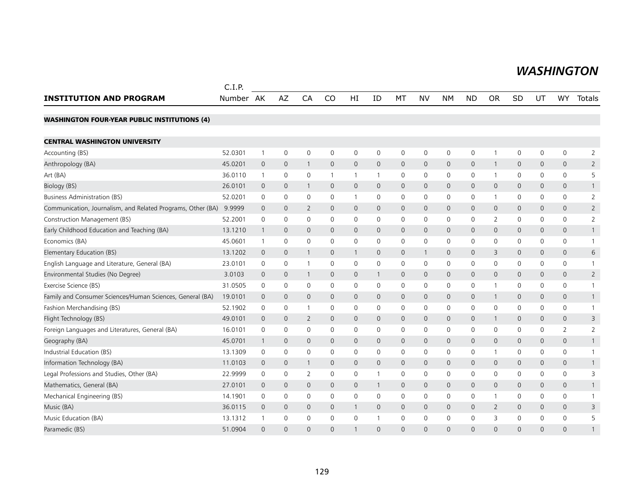#### *WASHINGTON WASHINGTON*

|                                                             | C.I.P.    |              |                     |                |              |              |              |              |                     |                |              |                |              |                |                     |                |
|-------------------------------------------------------------|-----------|--------------|---------------------|----------------|--------------|--------------|--------------|--------------|---------------------|----------------|--------------|----------------|--------------|----------------|---------------------|----------------|
| <b>INSTITUTION AND PROGRAM</b>                              | Number AK |              | AZ                  | CA             | CO           | HI           | ID           | MT           | <b>NV</b>           | <b>NM</b>      | <b>ND</b>    | <b>OR</b>      | SD           | UT             | <b>WY</b>           | Totals         |
| <b>WASHINGTON FOUR-YEAR PUBLIC INSTITUTIONS (4)</b>         |           |              |                     |                |              |              |              |              |                     |                |              |                |              |                |                     |                |
| <b>CENTRAL WASHINGTON UNIVERSITY</b>                        |           |              |                     |                |              |              |              |              |                     |                |              |                |              |                |                     |                |
| Accounting (BS)                                             | 52.0301   | $\mathbf{1}$ | $\mathsf{O}\xspace$ | $\mathbf 0$    | 0            | 0            | $\mathbf 0$  | 0            | $\mathsf{O}\xspace$ | $\mathsf{O}$   | $\mathbf 0$  | $\overline{1}$ | $\mathsf{O}$ | 0              | 0                   | 2              |
| Anthropology (BA)                                           | 45.0201   | $\mathbf 0$  | $\mathbf 0$         | $\overline{1}$ | $\mathbf{0}$ | 0            | $\mathbf 0$  | $\mathbf{0}$ | $\mathbf{0}$        | $\mathbf 0$    | $\mathbf 0$  | $\overline{1}$ | $\mathsf{O}$ | 0              | 0                   | $\overline{2}$ |
| Art (BA)                                                    | 36.0110   | $\mathbf{1}$ | $\mathbf 0$         | $\mathbf 0$    |              | 1            | 1            | $\mathbf 0$  | $\mathsf{O}$        | $\mathbf 0$    | $\mathbf 0$  | $\overline{1}$ | $\mathbf 0$  | 0              | 0                   | 5              |
| Biology (BS)                                                | 26.0101   | $\mathbf 0$  | $\mathbf 0$         | $\overline{1}$ | $\mathbf 0$  | 0            | $\mathbf 0$  | $\mathbf 0$  | $\mathsf{O}$        | $\mathbf 0$    | $\mathbf 0$  | $\mathbf 0$    | $\mathsf{O}$ | 0              | 0                   |                |
| <b>Business Administration (BS)</b>                         | 52.0201   | 0            | $\mathbf 0$         | $\mathbf 0$    | 0            | 1            | 0            | 0            | 0                   | 0              | $\mathbf 0$  | $\overline{1}$ | 0            | 0              | 0                   | 2              |
| Communication, Journalism, and Related Programs, Other (BA) | 9.9999    | $\mathbf 0$  | $\mathbf{0}$        | 2              | $\mathbf{0}$ | 0            | $\mathbf 0$  | $\mathbf{0}$ | $\mathbf{0}$        | $\mathbf 0$    | $\mathbf 0$  | $\mathbf 0$    | $\mathsf{O}$ | $\mathbf{0}$   | 0                   | $\overline{2}$ |
| Construction Management (BS)                                | 52.2001   | 0            | $\mathbf 0$         | $\mathbf 0$    | $\mathbf{0}$ | 0            | $\mathbf{0}$ | 0            | 0                   | $\mathbf 0$    | 0            | 2              | $\mathbf 0$  | 0              | 0                   | $\overline{2}$ |
| Early Childhood Education and Teaching (BA)                 | 13.1210   | $\mathbf{1}$ | $\mathbf 0$         | $\mathbf 0$    | 0            | 0            | $\mathbf{0}$ | $\mathsf{O}$ | $\mathsf{O}$        | $\mathbf 0$    | $\mathbf 0$  | $\mathbf 0$    | $\mathsf{O}$ | 0              | $\mathsf{O}\xspace$ |                |
| Economics (BA)                                              | 45.0601   | 1            | 0                   | $\mathbf 0$    | 0            | 0            | 0            | 0            | 0                   | 0              | $\mathbf 0$  | 0              | 0            | 0              | 0                   | -1             |
| Elementary Education (BS)                                   | 13.1202   | $\mathbf 0$  | $\mathbf 0$         | $\overline{1}$ | 0            | $\mathbf{1}$ | 0            | 0            | $\mathbf{1}$        | $\overline{0}$ | $\mathbf 0$  | 3              | $\mathsf{O}$ | 0              | 0                   | 6              |
| English Language and Literature, General (BA)               | 23.0101   | 0            | 0                   | $\overline{1}$ | $\mathbf 0$  | 0            | 0            | $\mathbf 0$  | $\mathbf 0$         | $\mathbf 0$    | $\mathbf 0$  | $\mathbf 0$    | $\mathbf 0$  | 0              | 0                   |                |
| Environmental Studies (No Degree)                           | 3.0103    | $\mathbf 0$  | $\mathbf 0$         | $\overline{1}$ | $\mathbf 0$  | 0            | $\mathbf{1}$ | $\mathsf{O}$ | $\mathsf{O}$        | $\mathbf 0$    | $\mathbf 0$  | $\mathbf{0}$   | $\mathsf{O}$ | 0              | $\mathsf{O}\xspace$ | $\overline{2}$ |
| Exercise Science (BS)                                       | 31.0505   | 0            | $\mathbf 0$         | 0              | 0            | 0            | 0            | 0            | 0                   | 0              | 0            | 1              | 0            | 0              | 0                   |                |
| Family and Consumer Sciences/Human Sciences, General (BA)   | 19.0101   | $\mathbf 0$  | $\mathbf 0$         | $\mathbf{0}$   | $\mathbf{0}$ | 0            | $\mathbf 0$  | 0            | $\mathbf{0}$        | $\mathbf 0$    | $\mathbf 0$  | 1              | $\mathsf{O}$ | 0              | 0                   |                |
| Fashion Merchandising (BS)                                  | 52.1902   | 0            | 0                   | -1             | 0            | 0            | 0            | 0            | $\mathbf 0$         | 0              | 0            | 0              | 0            | 0              | 0                   |                |
| Flight Technology (BS)                                      | 49.0101   | $\mathbf 0$  | $\mathbf{0}$        | $\overline{2}$ | $\mathbf{0}$ | 0            | $\mathbf{0}$ | $\mathbf 0$  | $\mathbf{0}$        | $\mathbf 0$    | $\mathbf 0$  | $\mathbf{1}$   | $\mathbf{0}$ | $\mathbf{0}$   | $\mathbf{0}$        | 3              |
| Foreign Languages and Literatures, General (BA)             | 16.0101   | 0            | $\mathsf{O}\xspace$ | $\mathbf 0$    | 0            | 0            | 0            | 0            | $\mathsf{O}\xspace$ | $\mathsf{O}$   | $\mathbf 0$  | $\mathbf 0$    | $\mathsf{O}$ | 0              | $\overline{2}$      | $\overline{2}$ |
| Geography (BA)                                              | 45.0701   | 1            | $\mathbf 0$         | $\mathbf 0$    | $\mathbf 0$  | 0            | 0            | 0            | 0                   | $\mathbf 0$    | $\mathbf 0$  | $\mathbf 0$    | $\mathbf 0$  | 0              | 0                   | -1             |
| Industrial Education (BS)                                   | 13.1309   | 0            | $\mathbf 0$         | $\mathbf 0$    | 0            | 0            | 0            | $\mathbf 0$  | $\mathbf 0$         | $\mathbf 0$    | 0            | $\overline{1}$ | $\mathbf 0$  | 0              | 0                   |                |
| Information Technology (BA)                                 | 11.0103   | $\mathbf 0$  | $\mathbf 0$         | $\overline{1}$ | $\mathbf{0}$ | $\mathsf{O}$ | $\mathbf 0$  | $\mathbf{0}$ | $\mathbf{0}$        | $\mathbf 0$    | $\mathbf{0}$ | $\mathbf 0$    | $\mathbf{0}$ | $\mathbf{0}$   | $\mathbf{0}$        |                |
| Legal Professions and Studies, Other (BA)                   | 22.9999   | 0            | 0                   | $\overline{2}$ | 0            | 0            | 1            | 0            | $\mathsf{O}\xspace$ | $\mathsf{O}$   | $\mathbf 0$  | $\mathbf 0$    | $\mathsf{O}$ | 0              | 0                   | 3              |
| Mathematics, General (BA)                                   | 27.0101   | $\mathbf 0$  | $\mathbf 0$         | $\mathbf 0$    | 0            | 0            | $\mathbf{1}$ | 0            | 0                   | $\mathbf 0$    | $\mathbf 0$  | $\mathbf 0$    | $\mathsf{O}$ | 0              | 0                   |                |
| Mechanical Engineering (BS)                                 | 14.1901   | 0            | $\mathbf 0$         | $\mathbf 0$    | 0            | 0            | $\mathbf{0}$ | 0            | $\mathbf 0$         | 0              | 0            | -1             | 0            | 0              | 0                   |                |
| Music (BA)                                                  | 36.0115   | $\mathbf 0$  | $\mathbf 0$         | $\mathbf 0$    | $\mathbf{0}$ | $\mathbf{1}$ | $\mathbf 0$  | $\mathbf 0$  | $\mathsf{O}$        | $\mathbf 0$    | $\mathbf 0$  | 2              | $\mathsf{O}$ | $\mathbf{0}$   | 0                   | 3              |
| Music Education (BA)                                        | 13.1312   |              | $\mathbf 0$         | $\mathbf 0$    | 0            | 0            | 1            | $\mathbf 0$  | $\mathbf 0$         | $\mathbf 0$    | $\mathbf 0$  | 3              | $\mathsf{O}$ | 0              | 0                   | 5              |
| Paramedic (BS)                                              | 51.0904   | $\Omega$     | $\Omega$            | $\Omega$       | $\Omega$     |              | $\Omega$     | $\Omega$     | $\Omega$            | $\Omega$       | $\Omega$     | $\Omega$       | $\Omega$     | $\overline{0}$ | $\Omega$            |                |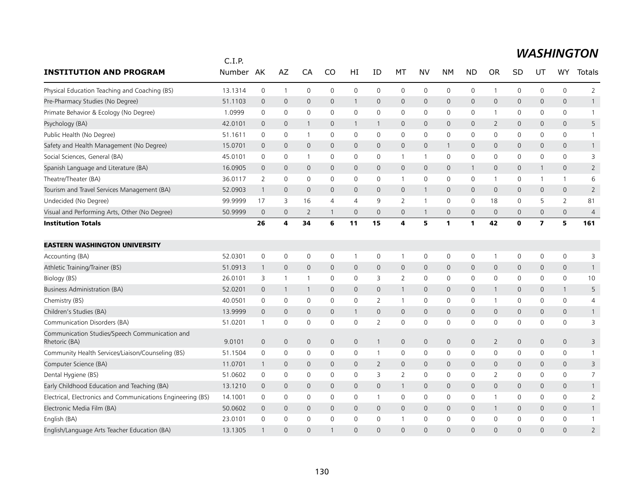|                                                                 | C.I.P.  |                     |                |                |                |                     |                |                     |              |                     |              |                |             |                         |                     |                |
|-----------------------------------------------------------------|---------|---------------------|----------------|----------------|----------------|---------------------|----------------|---------------------|--------------|---------------------|--------------|----------------|-------------|-------------------------|---------------------|----------------|
| <b>INSTITUTION AND PROGRAM</b>                                  | Number  | AK                  | AZ             | CA             | CO             | HI                  | ID             | МT                  | NV           | <b>NM</b>           | <b>ND</b>    | <b>OR</b>      | <b>SD</b>   | UT                      | <b>WY</b>           | Totals         |
| Physical Education Teaching and Coaching (BS)                   | 13.1314 | $\mathbf 0$         | $\overline{1}$ | $\mathbf 0$    | $\mathbf 0$    | $\mathbf 0$         | $\mathbf 0$    | $\mathbf 0$         | $\mathbf 0$  | $\mathsf 0$         | 0            | 1              | 0           | $\mathbf 0$             | 0                   | $\overline{2}$ |
| Pre-Pharmacy Studies (No Degree)                                | 51.1103 | $\mathbf 0$         | $\mathbf 0$    | $\mathbf 0$    | $\mathbf{0}$   | $\mathbf{1}$        | $\mathbf 0$    | $\mathsf{O}$        | $\mathbf 0$  | $\mathbf 0$         | $\mathsf{O}$ | $\mathbf 0$    | 0           | $\mathbf{0}$            | $\mathbf 0$         | $\mathbf{1}$   |
| Primate Behavior & Ecology (No Degree)                          | 1.0999  | $\mathbf 0$         | 0              | $\mathbf 0$    | $\Omega$       | $\mathbf 0$         | $\Omega$       | 0                   | $\mathbf 0$  | $\mathbf 0$         | 0            | 1              | 0           | $\mathbf{0}$            | 0                   | $\mathbf{1}$   |
| Psychology (BA)                                                 | 42.0101 | $\mathbf 0$         | $\mathbf 0$    | 1              | $\mathbf{0}$   | 1                   | $\mathbf{1}$   | $\mathbf{0}$        | $\mathbf{0}$ | $\mathbf 0$         | 0            | $\overline{2}$ | 0           | 0                       | $\mathbf{0}$        | 5              |
| Public Health (No Degree)                                       | 51.1611 | $\mathbf 0$         | 0              | $\mathbf{1}$   | 0              | 0                   | 0              | 0                   | $\mathbf 0$  | $\mathbf 0$         | 0            | 0              | 0           | 0                       | 0                   | $\mathbf{1}$   |
| Safety and Health Management (No Degree)                        | 15.0701 | $\mathbf 0$         | $\mathbf{0}$   | $\mathbf{0}$   | $\mathbf{0}$   | $\mathbf{0}$        | $\mathbf 0$    | $\mathbf{0}$        | $\mathbf{0}$ | $\mathbf{1}$        | 0            | $\mathbf 0$    | 0           | $\mathbf 0$             | $\mathbf{0}$        | $\mathbf{1}$   |
| Social Sciences, General (BA)                                   | 45.0101 | $\mathbf 0$         | 0              | $\mathbf{1}$   | 0              | 0                   | 0              | $\mathbf{1}$        | $\mathbf{1}$ | $\mathbf 0$         | 0            | $\mathbf{0}$   | 0           | 0                       | 0                   | 3              |
| Spanish Language and Literature (BA)                            | 16.0905 | $\overline{0}$      | $\mathbf{0}$   | $\mathbf{0}$   | $\mathbf{0}$   | $\mathbf{0}$        | $\Omega$       | $\mathbf{0}$        | $\mathbf{0}$ | $\mathbf{0}$        | $\mathbf{1}$ | $\mathbf 0$    | 0           | $\mathbf{1}$            | $\mathbf{0}$        | $\overline{2}$ |
| Theatre/Theater (BA)                                            | 36.0117 | 2                   | 0              | 0              | $\mathbf 0$    | 0                   | 0              | $\mathbf{1}$        | $\mathbf 0$  | $\mathbf 0$         | 0            | 1              | 0           | 1                       | $\mathbf{1}$        | 6              |
| Tourism and Travel Services Management (BA)                     | 52.0903 | $\mathbf{1}$        | $\mathbf{0}$   | $\mathbf{0}$   | $\mathbf{0}$   | $\mathbf{0}$        | $\mathbf{0}$   | $\mathbf{0}$        | $\mathbf{1}$ | $\mathbf{0}$        | $\mathbf 0$  | $\mathbf 0$    | 0           | $\mathbf{0}$            | $\mathbf{0}$        | $\overline{2}$ |
| Undecided (No Degree)                                           | 99.9999 | 17                  | 3              | 16             | $\overline{4}$ | $\overline{4}$      | 9              | $\overline{2}$      | $\mathbf{1}$ | $\mathbf 0$         | 0            | 18             | $\mathbf 0$ | 5                       | $\overline{2}$      | 81             |
| Visual and Performing Arts, Other (No Degree)                   | 50.9999 | $\mathbf 0$         | $\mathbf 0$    | $\overline{2}$ | $\overline{1}$ | $\mathbf 0$         | $\mathbf 0$    | $\mathbf 0$         | $\mathbf{1}$ | $\mathsf{O}\xspace$ | 0            | $\mathbf 0$    | 0           | $\mathbf 0$             | $\mathsf{O}\xspace$ | $\overline{4}$ |
| <b>Institution Totals</b>                                       |         | 26                  | 4              | 34             | 6              | 11                  | 15             | 4                   | 5            | $\mathbf{1}$        | $\mathbf{1}$ | 42             | $\mathbf 0$ | $\overline{\mathbf{z}}$ | 5                   | 161            |
| <b>EASTERN WASHINGTON UNIVERSITY</b>                            |         |                     |                |                |                |                     |                |                     |              |                     |              |                |             |                         |                     |                |
| Accounting (BA)                                                 | 52.0301 | $\mathbf 0$         | $\mathbf 0$    | $\mathbf 0$    | $\mathbf 0$    | $\mathbf{1}$        | 0              | $\mathbf{1}$        | $\mathsf{O}$ | $\mathbf 0$         | 0            | $\mathbf 1$    | 0           | $\mathbf 0$             | 0                   | 3              |
| Athletic Training/Trainer (BS)                                  | 51.0913 | $\mathbf{1}$        | $\mathbf 0$    | $\mathbf 0$    | $\mathbf 0$    | $\mathbf 0$         | $\mathbf 0$    | $\mathbf 0$         | $\mathbf 0$  | $\mathsf{O}\xspace$ | 0            | $\mathbf 0$    | 0           | $\mathbf 0$             | $\mathbf 0$         | $\mathbf{1}$   |
| Biology (BS)                                                    | 26.0101 | 3                   | $\overline{1}$ | $\mathbf{1}$   | $\mathbf 0$    | $\mathbf 0$         | 3              | $\overline{2}$      | $\mathbf 0$  | $\mathbf 0$         | 0            | 0              | $\mathbf 0$ | $\mathbf 0$             | 0                   | 10             |
| <b>Business Administration (BA)</b>                             | 52.0201 | $\mathbf 0$         | $\overline{1}$ | $\overline{1}$ | $\mathbf 0$    | $\mathbf 0$         | $\mathbf 0$    | $\mathbf{1}$        | $\mathbf 0$  | $\mathbf 0$         | 0            | 1              | 0           | $\mathbf 0$             | $\mathbf{1}$        | 5              |
| Chemistry (BS)                                                  | 40.0501 | $\mathbf 0$         | $\mathbf 0$    | $\mathbf 0$    | $\mathbf 0$    | 0                   | $\overline{2}$ | $\mathbf{1}$        | $\mathbf 0$  | $\mathbf 0$         | 0            | $\mathbf{1}$   | 0           | $\mathbf 0$             | 0                   | $\overline{4}$ |
| Children's Studies (BA)                                         | 13.9999 | $\mathbf 0$         | $\mathbf 0$    | $\mathbf{0}$   | $\mathbf{0}$   | $\mathbf{1}$        | $\mathbf{0}$   | $\mathbf 0$         | $\mathbf{0}$ | $\mathbf{0}$        | 0            | $\mathbf 0$    | 0           | $\mathbf{0}$            | $\overline{0}$      | $\mathbf{1}$   |
| Communication Disorders (BA)                                    | 51.0201 | $\mathbf{1}$        | 0              | $\mathbf 0$    | 0              | $\mathbf 0$         | $\overline{2}$ | $\mathbf 0$         | $\mathbf 0$  | $\mathbf 0$         | 0            | 0              | 0           | 0                       | 0                   | 3              |
| Communication Studies/Speech Communication and<br>Rhetoric (BA) | 9.0101  | $\mathsf{O}\xspace$ | $\mathbf 0$    | $\mathbf 0$    | $\mathbf 0$    | $\mathsf{O}\xspace$ | $\mathbf{1}$   | $\mathbf 0$         | $\mathbf 0$  | $\mathbf 0$         | 0            | $\overline{2}$ | 0           | $\mathsf{O}\xspace$     | $\mathbf 0$         | 3              |
| Community Health Services/Liaison/Counseling (BS)               | 51.1504 | $\mathsf 0$         | $\mathbf 0$    | $\mathbf 0$    | $\mathbf 0$    | 0                   | $\mathbf{1}$   | $\mathsf{O}\xspace$ | $\mathsf{O}$ | $\mathsf{O}$        | 0            | $\mathbf 0$    | 0           | $\mathbf 0$             | 0                   | $\mathbf{1}$   |
| Computer Science (BA)                                           | 11.0701 | $\mathbf{1}$        | $\mathbf 0$    | $\mathbf{0}$   | $\mathbf{0}$   | $\mathbf{0}$        | $\overline{2}$ | $\overline{0}$      | $\mathbf{0}$ | $\mathbf{0}$        | 0            | $\mathbf 0$    | 0           | $\mathbf{0}$            | $\mathbf{0}$        | 3              |
| Dental Hygiene (BS)                                             | 51.0602 | $\mathbf 0$         | 0              | $\mathbf 0$    | $\Omega$       | 0                   | 3              | 2                   | $\mathbf 0$  | $\mathbf 0$         | 0            | 2              | 0           | 0                       | 0                   | 7              |
| Early Childhood Education and Teaching (BA)                     | 13.1210 | $\mathbf 0$         | $\mathbf 0$    | $\mathbf{0}$   | $\mathbf{0}$   | $\mathbf{0}$        | $\mathbf{0}$   | $\mathbf{1}$        | $\mathbf{0}$ | $\mathbf{0}$        | $\mathsf{O}$ | $\Omega$       | 0           | $\mathbf{0}$            | $\mathbf{0}$        | $\mathbf{1}$   |
| Electrical, Electronics and Communications Engineering (BS)     | 14.1001 | 0                   | 0              | 0              | $\mathbf{0}$   | 0                   | 1              | 0                   | $\mathbf 0$  | $\mathbf 0$         | 0            |                | 0           | 0                       | 0                   | $\overline{2}$ |
| Electronic Media Film (BA)                                      | 50.0602 | $\overline{0}$      | $\mathbf 0$    | $\mathbf{0}$   | $\mathbf{0}$   | 0                   | $\mathbf{0}$   | $\mathbf 0$         | $\mathbf{0}$ | $\mathbf 0$         | $\mathbf{0}$ | 1              | 0           | $\mathbf 0$             | 0                   | $\mathbf{1}$   |
| English (BA)                                                    | 23.0101 | $\Omega$            | $\mathbf 0$    | $\mathbf 0$    | $\Omega$       | $\mathbf{0}$        | $\Omega$       | $\mathbf{1}$        | $\mathbf 0$  | $\mathbf 0$         | 0            | $\mathbf{0}$   | 0           | $\Omega$                | 0                   | $\mathbf{1}$   |
| English/Language Arts Teacher Education (BA)                    | 13.1305 | $\mathbf{1}$        | $\Omega$       | $\Omega$       |                | $\Omega$            | $\Omega$       | $\Omega$            | $\Omega$     | $\Omega$            | $\Omega$     | $\Omega$       | $\Omega$    | $\Omega$                | $\Omega$            | $\overline{2}$ |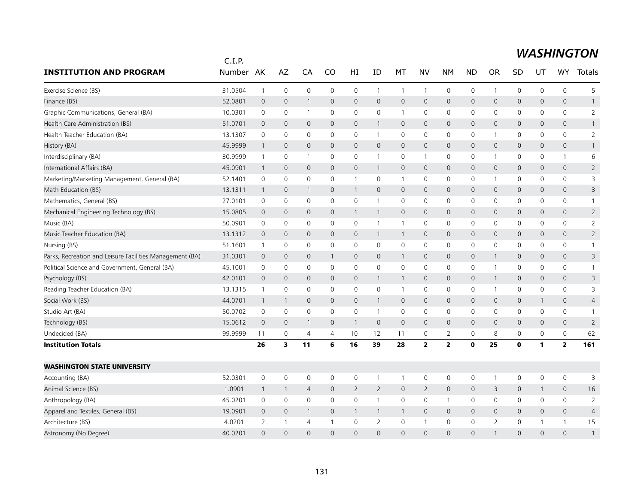|                                                          | C.I.P.  |                |                         |                |                |                     |                |                |                         |                         |              |                     |              |              |                     |                |
|----------------------------------------------------------|---------|----------------|-------------------------|----------------|----------------|---------------------|----------------|----------------|-------------------------|-------------------------|--------------|---------------------|--------------|--------------|---------------------|----------------|
| <b>INSTITUTION AND PROGRAM</b>                           | Number  | AK             | AZ                      | CA             | CO             | HI                  | ID             | МT             | NV                      | <b>NM</b>               | <b>ND</b>    | <b>OR</b>           | SD           | UT           | WY                  | Totals         |
| Exercise Science (BS)                                    | 31.0504 | $\overline{1}$ | $\mathbf 0$             | 0              | 0              | $\mathsf 0$         | $\mathbf{1}$   | $\mathbf{1}$   | $\mathbf{1}$            | 0                       | 0            | $\mathbf{1}$        | 0            | 0            | $\mathbf 0$         | 5              |
| Finance (BS)                                             | 52.0801 | $\mathbf 0$    | $\mathbf 0$             | $\mathbf{1}$   | 0              | $\mathsf{O}$        | $\mathbf{0}$   | $\mathbf 0$    | $\mathbf 0$             | 0                       | $\mathbf{0}$ | $\mathbf{0}$        | 0            | $\mathbf{0}$ | $\mathbf{0}$        | $\mathbf{1}$   |
| Graphic Communications, General (BA)                     | 10.0301 | $\mathbf 0$    | $\mathbf 0$             | $\mathbf{1}$   | 0              | 0                   | 0              | $\mathbf{1}$   | $\mathbf 0$             | 0                       | $\mathbf 0$  | 0                   | 0            | 0            | $\mathbf 0$         | $\overline{2}$ |
| Health Care Administration (BS)                          | 51.0701 | $\mathbf{0}$   | $\mathbf 0$             | $\mathbf{0}$   | 0              | $\mathbf{0}$        | $\mathbf{1}$   | $\mathbf{0}$   | $\mathbf{0}$            | $\overline{0}$          | $\mathbf{0}$ | 0                   | $\mathbf{0}$ | 0            | $\mathbf{0}$        | $\mathbf{1}$   |
| Health Teacher Education (BA)                            | 13.1307 | $\mathbf 0$    | $\mathbf 0$             | 0              | $\mathbf 0$    | $\mathsf 0$         | $\mathbf{1}$   | 0              | $\mathbf 0$             | 0                       | 0            | -1                  | 0            | 0            | $\mathsf{O}$        | $\overline{2}$ |
| History (BA)                                             | 45.9999 | $\mathbf{1}$   | $\mathbf{0}$            | $\mathbf{0}$   | $\mathbf{0}$   | $\overline{0}$      | $\mathbf{0}$   | $\mathbf 0$    | $\mathbf{0}$            | $\mathbf 0$             | $\mathbf{0}$ | $\mathbf{0}$        | 0            | $\mathbf{0}$ | $\mathbf{0}$        | $\mathbf{1}$   |
| Interdisciplinary (BA)                                   | 30.9999 | $\overline{1}$ | $\mathbf 0$             | $\mathbf{1}$   | 0              | 0                   | $\mathbf{1}$   | 0              | $\mathbf{1}$            | 0                       | 0            | -1                  | 0            | 0            | $\mathbf{1}$        | 6              |
| International Affairs (BA)                               | 45.0901 | $\overline{1}$ | $\mathbf 0$             | 0              | 0              | $\mathsf{O}\xspace$ | $\mathbf{1}$   | $\mathbf 0$    | $\mathbf 0$             | 0                       | $\mathsf{O}$ | $\mathbf 0$         | 0            | $\mathbf 0$  | $\mathbf 0$         | $\overline{2}$ |
| Marketing/Marketing Management, General (BA)             | 52.1401 | $\mathbf 0$    | 0                       | 0              | $\mathbf 0$    | $\mathbf{1}$        | 0              | $\mathbf{1}$   | $\mathbf 0$             | $\mathbf 0$             | 0            |                     | 0            | 0            | 0                   | 3              |
| Math Education (BS)                                      | 13.1311 | $\overline{1}$ | $\overline{0}$          | $\mathbf{1}$   | $\mathbf 0$    | $\mathbf{1}$        | $\mathbf 0$    | $\mathbf 0$    | $\mathbf 0$             | $\mathbf 0$             | $\mathbf{0}$ | $\mathbf 0$         | 0            | $\mathbf 0$  | 0                   | 3              |
| Mathematics, General (BS)                                | 27.0101 | $\mathbf 0$    | $\mathbf 0$             | 0              | $\mathbf 0$    | $\mathbf 0$         | $\mathbf{1}$   | $\mathbf 0$    | $\mathbf 0$             | $\mathbf 0$             | $\mathsf{O}$ | $\Omega$            | 0            | $\mathbf 0$  | $\mathbf 0$         | $\mathbf{1}$   |
| Mechanical Engineering Technology (BS)                   | 15.0805 | $\mathbf 0$    | $\mathbf 0$             | 0              | $\mathbf 0$    | $\mathbf{1}$        | $\overline{1}$ | $\mathbf 0$    | $\mathbf 0$             | $\mathbf 0$             | $\mathsf{O}$ | $\mathbf{0}$        | 0            | $\mathbf 0$  | 0                   | $\overline{2}$ |
| Music (BA)                                               | 50.0901 | $\mathbf 0$    | $\mathbf 0$             | 0              | $\mathbf 0$    | 0                   | $\mathbf{1}$   | $\mathbf{1}$   | $\mathbf 0$             | 0                       | 0            | 0                   | 0            | $\mathbf 0$  | $\mathsf{O}$        | $\overline{2}$ |
| Music Teacher Education (BA)                             | 13.1312 | $\mathbf{0}$   | $\mathbf{0}$            | $\mathbf{0}$   | 0              | $\mathbf{0}$        | $\mathbf{1}$   | $\overline{1}$ | $\mathbf{0}$            | $\mathbf 0$             | $\mathbf{0}$ | $\Omega$            | $\mathbf{0}$ | $\Omega$     | $\mathbf{0}$        | $\overline{2}$ |
| Nursing (BS)                                             | 51.1601 | $\mathbf{1}$   | $\mathbf 0$             | 0              | 0              | 0                   | 0              | 0              | $\mathbf 0$             | 0                       | 0            | 0                   | 0            | 0            | $\mathbf 0$         | $\overline{1}$ |
| Parks, Recreation and Leisure Facilities Management (BA) | 31.0301 | $\overline{0}$ | $\mathbf{0}$            | 0              | 1              | $\mathbf 0$         | $\mathbf 0$    | $\mathbf{1}$   | $\mathbf 0$             | 0                       | $\mathsf{O}$ |                     | 0            | 0            | $\mathsf{O}\xspace$ | 3              |
| Political Science and Government, General (BA)           | 45.1001 | $\mathbf 0$    | $\mathbf{0}$            | 0              | $\mathbf{0}$   | $\mathbf 0$         | $\mathbf{0}$   | $\mathbf 0$    | $\mathbf 0$             | $\mathbf 0$             | 0            | -1                  | 0            | $\mathbf{0}$ | $\mathbf 0$         | $\mathbf{1}$   |
| Psychology (BS)                                          | 42.0101 | $\mathbf{0}$   | $\mathbf{0}$            | $\Omega$       | 0              | $\mathbf{0}$        | $\mathbf{1}$   | $\overline{1}$ | $\mathbf{0}$            | $\mathbf{0}$            | $\mathbf{0}$ | -1                  | $\mathbf{0}$ | $\Omega$     | $\mathbf{0}$        | 3              |
| Reading Teacher Education (BA)                           | 13.1315 | $\overline{1}$ | 0                       | 0              | 0              | 0                   | 0              | $\mathbf{1}$   | 0                       | 0                       | 0            | $\mathbf{1}$        | 0            | 0            | $\mathbf 0$         | 3              |
| Social Work (BS)                                         | 44.0701 | $\overline{1}$ | $\mathbf{1}$            | $\mathbf{0}$   | 0              | $\mathsf{O}\xspace$ | $\mathbf{1}$   | $\mathbf 0$    | $\mathbf 0$             | $\mathbf 0$             | $\mathsf{O}$ | $\mathsf{O}\xspace$ | 0            | $\mathbf{1}$ | $\mathsf{O}\xspace$ | $\overline{4}$ |
| Studio Art (BA)                                          | 50.0702 | 0              | $\mathbf 0$             | 0              | 0              | $\mathsf 0$         | $\mathbf{1}$   | 0              | 0                       | 0                       | $\mathbf 0$  | 0                   | 0            | 0            | $\mathbf 0$         | $\mathbf{1}$   |
| Technology (BS)                                          | 15.0612 | $\mathbf{0}$   | $\mathbf{0}$            | $\mathbf{1}$   | $\mathbf{0}$   | $\mathbf{1}$        | $\mathbf 0$    | $\mathbf 0$    | $\mathbf{0}$            | $\mathbf{0}$            | $\mathbf{0}$ | $\mathbf{0}$        | 0            | $\mathbf{0}$ | $\mathbf 0$         | $\overline{2}$ |
| Undecided (BA)                                           | 99.9999 | 11             | 0                       | 4              | $\overline{4}$ | 10                  | 12             | 11             | 0                       | $\overline{2}$          | 0            | 8                   | 0            | 0            | $\mathsf{O}$        | 62             |
| <b>Institution Totals</b>                                |         | 26             | $\overline{\mathbf{3}}$ | 11             | 6              | 16                  | 39             | 28             | $\overline{\mathbf{2}}$ | $\overline{\mathbf{2}}$ | $\mathbf 0$  | 25                  | $\mathbf{0}$ | 1            | $\overline{2}$      | 161            |
| <b>WASHINGTON STATE UNIVERSITY</b>                       |         |                |                         |                |                |                     |                |                |                         |                         |              |                     |              |              |                     |                |
| Accounting (BA)                                          | 52.0301 | $\mathbf 0$    | $\mathbf 0$             | 0              | 0              | $\mathsf 0$         | $\mathbf{1}$   | $\mathbf{1}$   | 0                       | 0                       | 0            | $\mathbf{1}$        | 0            | 0            | $\mathbf 0$         | 3              |
| Animal Science (BS)                                      | 1.0901  | $\overline{1}$ | 1                       | $\overline{4}$ | $\mathbf{0}$   | $\overline{2}$      | 2              | $\mathbf 0$    | 2                       | $\mathbf{0}$            | $\mathbf{0}$ | 3                   | $\mathbf{0}$ | $\mathbf{1}$ | $\mathbf{0}$        | 16             |
| Anthropology (BA)                                        | 45.0201 | $\mathbf 0$    | $\mathbf 0$             | 0              | 0              | 0                   | $\mathbf{1}$   | 0              | $\mathbf 0$             | $\mathbf{1}$            | 0            | 0                   | 0            | 0            | $\mathbf 0$         | $\overline{2}$ |
| Apparel and Textiles, General (BS)                       | 19.0901 | $\mathbf{0}$   | $\mathbf 0$             | $\mathbf{1}$   | $\mathbf 0$    | $\mathbf{1}$        | $\mathbf{1}$   | $\overline{1}$ | $\mathbf{0}$            | $\mathbf 0$             | $\mathbf{0}$ | $\mathbf{0}$        | 0            | $\mathbf{0}$ | $\mathbf{0}$        | $\overline{4}$ |
| Architecture (BS)                                        | 4.0201  | 2              | -1                      | 4              |                | $\mathbf 0$         | $\overline{2}$ | $\mathbf 0$    | $\mathbf{1}$            | 0                       | 0            | 2                   | 0            | 1            | 1                   | 15             |
| Astronomy (No Degree)                                    | 40.0201 | $\Omega$       | $\Omega$                | $\Omega$       | $\Omega$       | $\Omega$            | $\Omega$       | $\Omega$       | $\Omega$                | $\Omega$                | $\Omega$     |                     | $\Omega$     | $\Omega$     | $\Omega$            | $\mathbf{1}$   |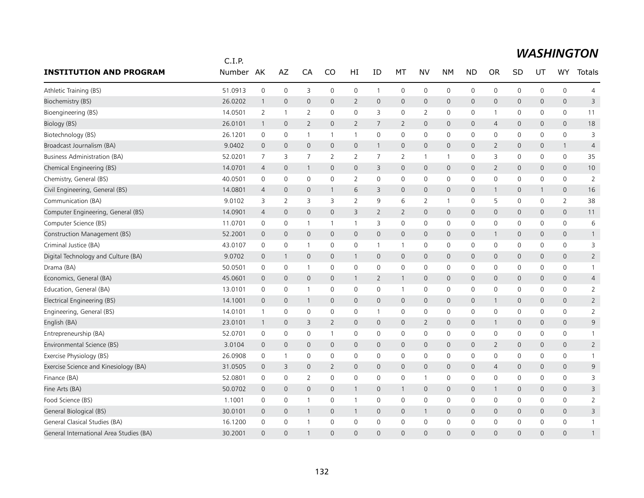|                                         | C.I.P.  |                     |                     |                          |                     |                |                     |                     |                     |                |                |                |              |              |                     |                |
|-----------------------------------------|---------|---------------------|---------------------|--------------------------|---------------------|----------------|---------------------|---------------------|---------------------|----------------|----------------|----------------|--------------|--------------|---------------------|----------------|
| <b>INSTITUTION AND PROGRAM</b>          | Number  | AK                  | AZ                  | CA                       | CO                  | HI             | ID                  | МT                  | NV                  | <b>NM</b>      | <b>ND</b>      | <b>OR</b>      | SD           | UT           | <b>WY</b>           | Totals         |
| Athletic Training (BS)                  | 51.0913 | $\mathsf{O}\xspace$ | $\mathsf{O}\xspace$ | 3                        | 0                   | 0              | 1                   | $\mathsf{O}\xspace$ | 0                   | $\mathbf 0$    | $\mathbf 0$    | 0              | $\mathsf{O}$ | 0            | 0                   | $\overline{4}$ |
| Biochemistry (BS)                       | 26.0202 | $\mathbf{1}$        | $\mathbf 0$         | $\mathbf 0$              | $\mathbf{0}$        | $\overline{2}$ | $\mathbf 0$         | $\mathsf{O}$        | $\mathsf{O}$        | $\mathbf 0$    | $\mathbf 0$    | 0              | $\mathsf{O}$ | 0            | $\mathsf{O}\xspace$ | 3              |
| Bioengineering (BS)                     | 14.0501 | 2                   | $\mathbf{1}$        | $\overline{2}$           | 0                   | 0              | 3                   | 0                   | 2                   | 0              | 0              | 1              | 0            | 0            | 0                   | 11             |
| Biology (BS)                            | 26.0101 | $\mathbf{1}$        | $\mathbf{0}$        | 2                        | $\Omega$            | $\overline{2}$ | 7                   | 2                   | $\mathbf{0}$        | $\mathbf 0$    | $\mathbf 0$    | $\overline{4}$ | $\mathbf{0}$ | 0            | $\mathbf{0}$        | 18             |
| Biotechnology (BS)                      | 26.1201 | $\mathbf 0$         | 0                   | $\overline{\phantom{a}}$ | $\mathbf{1}$        | $\mathbf{1}$   | $\mathsf{O}\xspace$ | 0                   | $\mathbf 0$         | $\mathbf 0$    | $\mathbf 0$    | 0              | $\mathsf{O}$ | 0            | 0                   | 3              |
| Broadcast Journalism (BA)               | 9.0402  | $\mathbf 0$         | $\overline{0}$      | $\mathbf{0}$             | $\mathbf{0}$        | 0              | 1                   | $\mathsf{O}\xspace$ | $\mathbf{0}$        | $\mathbf 0$    | $\mathbf{0}$   | $\overline{2}$ | $\mathsf{O}$ | $\mathbf{0}$ | $\mathbf{1}$        | $\overline{4}$ |
| <b>Business Administration (BA)</b>     | 52.0201 | 7                   | 3                   | 7                        | 2                   | 2              | 7                   | 2                   | $\mathbf{1}$        | $\overline{1}$ | 0              | 3              | 0            | 0            | 0                   | 35             |
| Chemical Engineering (BS)               | 14.0701 | 4                   | $\mathbf 0$         | $\overline{1}$           | 0                   | 0              | 3                   | $\mathbf 0$         | $\mathbf 0$         | $\mathbf 0$    | $\overline{0}$ | 2              | $\mathsf{O}$ | 0            | 0                   | 10             |
| Chemistry, General (BS)                 | 40.0501 | $\mathbf 0$         | 0                   | 0                        | 0                   | $\overline{2}$ | 0                   | 0                   | 0                   | $\mathbf 0$    | 0              | 0              | $\mathsf{O}$ | 0            | 0                   | 2              |
| Civil Engineering, General (BS)         | 14.0801 | 4                   | $\mathbf 0$         | $\mathbf 0$              | $\mathbf{1}$        | 6              | 3                   | 0                   | $\mathbf 0$         | $\mathbf 0$    | $\mathbf 0$    | 1              | $\mathbf 0$  | 1            | 0                   | 16             |
| Communication (BA)                      | 9.0102  | 3                   | 2                   | 3                        | 3                   | $\overline{2}$ | 9                   | 6                   | 2                   | $\overline{1}$ | 0              | 5              | $\mathbf 0$  | 0            | $\overline{2}$      | 38             |
| Computer Engineering, General (BS)      | 14.0901 | 4                   | $\mathbf 0$         | $\mathbf 0$              | $\mathsf{O}$        | 3              | $\overline{2}$      | $\overline{2}$      | $\mathbf 0$         | $\mathbf 0$    | $\mathbf 0$    | 0              | $\mathsf{O}$ | 0            | $\mathsf{O}\xspace$ | 11             |
| Computer Science (BS)                   | 11.0701 | $\mathbf 0$         | $\mathsf{O}\xspace$ | $\mathbf{1}$             | 1                   | $\mathbf{1}$   | 3                   | 0                   | 0                   | $\mathbf 0$    | $\mathbf 0$    | 0              | $\mathsf{O}$ | 0            | 0                   | 6              |
| Construction Management (BS)            | 52.2001 | $\mathbf 0$         | $\mathbf{0}$        | $\overline{0}$           | $\mathbf{0}$        | $\mathsf{O}$   | $\mathbf{0}$        | $\mathbf{0}$        | $\mathbf{0}$        | $\mathbf 0$    | $\mathbf 0$    | 1              | $\mathbf{0}$ | $\mathbf{0}$ | $\mathbf{0}$        | $\mathbf{1}$   |
| Criminal Justice (BA)                   | 43.0107 | 0                   | 0                   | -1                       | 0                   | 0              | 1                   | $\mathbf{1}$        | 0                   | 0              | 0              | 0              | 0            | 0            | 0                   | 3              |
| Digital Technology and Culture (BA)     | 9.0702  | $\mathbf 0$         | $\mathbf{1}$        | $\mathbf 0$              | $\mathbf 0$         | $\mathbf{1}$   | 0                   | $\mathbf 0$         | $\mathbf 0$         | $\mathbf 0$    | $\overline{0}$ | 0              | $\mathsf{O}$ | 0            | 0                   | $\overline{2}$ |
| Drama (BA)                              | 50.0501 | $\mathbf 0$         | $\mathbf 0$         | -1                       | $\mathbf{0}$        | 0              | $\Omega$            | 0                   | 0                   | 0              | 0              | 0              | 0            | $\mathbf{0}$ | 0                   | $\mathbf{1}$   |
| Economics, General (BA)                 | 45.0601 | $\overline{0}$      | $\mathbf{0}$        | $\mathbf{0}$             | $\overline{0}$      | $\mathbf{1}$   | 2                   | $\mathbf{1}$        | $\mathbf{0}$        | $\mathbf 0$    | $\mathbf{0}$   | $\Omega$       | $\mathbf{0}$ | 0            | $\mathbf{0}$        | $\overline{4}$ |
| Education, General (BA)                 | 13.0101 | 0                   | 0                   | $\overline{1}$           | 0                   | 0              | 0                   | $\mathbf{1}$        | 0                   | $\mathbf 0$    | 0              | 0              | 0            | 0            | 0                   | $\overline{2}$ |
| Electrical Engineering (BS)             | 14.1001 | $\overline{0}$      | $\mathbf 0$         | $\overline{1}$           | $\mathsf{O}\xspace$ | 0              | 0                   | $\mathsf{O}$        | $\mathsf{O}\xspace$ | $\mathbf 0$    | $\mathbf 0$    | $\mathbf{1}$   | $\mathsf{O}$ | 0            | $\mathsf{O}\xspace$ | $\overline{2}$ |
| Engineering, General (BS)               | 14.0101 | $\mathbf{1}$        | 0                   | 0                        | 0                   | 0              | 1                   | 0                   | 0                   | $\mathbf 0$    | 0              | 0              | 0            | 0            | 0                   | 2              |
| English (BA)                            | 23.0101 | $\mathbf{1}$        | $\mathbf 0$         | 3                        | $\overline{2}$      | 0              | $\mathbf 0$         | $\mathsf{O}$        | $\overline{2}$      | $\mathbf 0$    | $\mathbf 0$    | $\mathbf{1}$   | $\mathsf{O}$ | $\mathbf 0$  | 0                   | 9              |
| Entrepreneurship (BA)                   | 52.0701 | 0                   | 0                   | 0                        | 1                   | 0              | 0                   | 0                   | 0                   | 0              | 0              | 0              | $\mathsf{O}$ | 0            | 0                   |                |
| Environmental Science (BS)              | 3.0104  | $\mathbf 0$         | $\mathbf 0$         | $\mathbf 0$              | 0                   | 0              | $\mathbf 0$         | $\mathsf{O}$        | $\mathbf 0$         | $\mathbf 0$    | $\mathbf 0$    | 2              | $\mathsf{O}$ | 0            | 0                   | $\overline{2}$ |
| Exercise Physiology (BS)                | 26.0908 | 0                   | 1                   | $\mathbf 0$              | $\mathbf{0}$        | 0              | 0                   | 0                   | 0                   | $\mathbf 0$    | 0              | 0              | $\mathbf 0$  | 0            | 0                   |                |
| Exercise Science and Kinesiology (BA)   | 31.0505 | $\mathbf 0$         | 3                   | $\mathbf 0$              | $\overline{2}$      | 0              | 0                   | 0                   | $\mathbf 0$         | $\mathbf 0$    | $\mathbf 0$    | $\overline{4}$ | $\mathsf{O}$ | 0            | 0                   | 9              |
| Finance (BA)                            | 52.0801 | $\mathbf 0$         | 0                   | $\overline{2}$           | $\mathbf 0$         | 0              | $\mathbf 0$         | 0                   | $\mathbf{1}$        | $\mathbf 0$    | $\mathbf 0$    | 0              | $\mathbf 0$  | 0            | 0                   | 3              |
| Fine Arts (BA)                          | 50.0702 | $\overline{0}$      | $\mathbf{0}$        | $\mathbf{0}$             | $\mathbf{0}$        | $\mathbf{1}$   | 0                   | $\mathbf{1}$        | $\mathbf{0}$        | $\mathbf 0$    | $\mathbf{0}$   | 1              | $\mathbf{0}$ | $\mathbf{0}$ | $\mathbf{0}$        | 3              |
| Food Science (BS)                       | 1.1001  | 0                   | 0                   | $\overline{1}$           | $\mathbf 0$         | $\mathbf{1}$   | 0                   | 0                   | 0                   | $\mathbf 0$    | 0              | 0              | $\mathsf{O}$ | 0            | 0                   | $\overline{2}$ |
| General Biological (BS)                 | 30.0101 | $\overline{0}$      | $\mathbf 0$         | -1                       | 0                   | $\mathbf{1}$   | $\mathbf{0}$        | $\mathsf{O}$        | $\mathbf{1}$        | $\mathbf 0$    | $\mathbf 0$    | 0              | $\mathsf{O}$ | 0            | 0                   | 3              |
| General Clasical Studies (BA)           | 16.1200 | 0                   | $\mathbf 0$         |                          | 0                   | 0              | 0                   | $\mathbf 0$         | $\mathbf 0$         | $\mathbf 0$    | 0              | 0              | 0            | 0            | 0                   |                |
| General International Area Studies (BA) | 30.2001 | $\Omega$            | $\Omega$            |                          | $\Omega$            | $\Omega$       | $\Omega$            | $\Omega$            | $\Omega$            | $\Omega$       | $\Omega$       | $\Omega$       | $\Omega$     | $\Omega$     | $\Omega$            |                |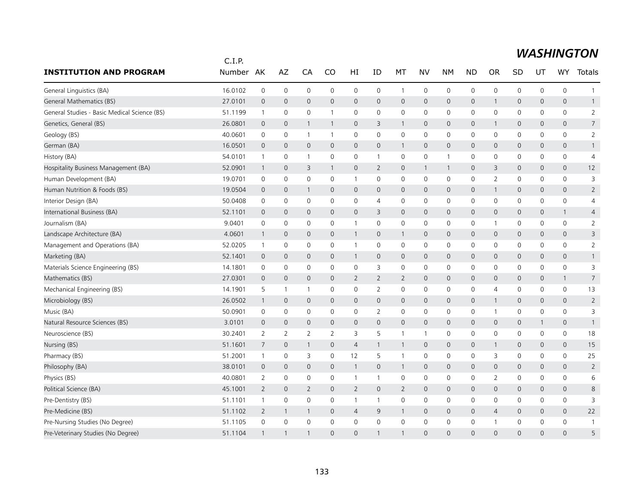|                                              | C.I.P.    |                |                |                |                |                |                |                |              |                |                |                          |              |              |                     |                 |
|----------------------------------------------|-----------|----------------|----------------|----------------|----------------|----------------|----------------|----------------|--------------|----------------|----------------|--------------------------|--------------|--------------|---------------------|-----------------|
| <b>INSTITUTION AND PROGRAM</b>               | Number AK |                | AZ             | CA             | CO             | HI             | ID             | МT             | NV           | <b>NM</b>      | ND             | <b>OR</b>                | SD           | UT           | WY                  | Totals          |
| General Linguistics (BA)                     | 16.0102   | $\mathbf 0$    | $\mathbf 0$    | $\mathbf 0$    | $\mathbf 0$    | 0              | 0              | $\mathbf{1}$   | $\mathbf 0$  | $\mathbf 0$    | $\mathbf 0$    | 0                        | $\mathsf{O}$ | 0            | 0                   | $\mathbf{1}$    |
| General Mathematics (BS)                     | 27.0101   | $\mathbf 0$    | $\mathbf 0$    | $\mathbf{0}$   | $\overline{0}$ | $\mathsf{O}$   | $\overline{0}$ | $\mathbf 0$    | $\mathbf 0$  | $\mathbf 0$    | $\mathbf 0$    | $\mathbf{1}$             | $\mathsf{O}$ | $\mathbf{0}$ | $\mathsf{O}\xspace$ | $\mathbf{1}$    |
| General Studies - Basic Medical Science (BS) | 51.1199   | $\overline{1}$ | $\mathbf 0$    | $\mathbf 0$    |                | 0              | 0              | $\mathbf 0$    | 0            | 0              | 0              | 0                        | 0            | 0            | 0                   | $\overline{2}$  |
| Genetics, General (BS)                       | 26.0801   | $\mathbf 0$    | $\overline{0}$ | $\mathbf{1}$   | $\mathbf{1}$   | $\mathsf{O}$   | 3              | $\mathbf{1}$   | $\mathbf 0$  | $\mathbf 0$    | $\mathbf 0$    | $\mathbf{1}$             | $\mathsf{O}$ | 0            | $\mathsf{O}\xspace$ | $\overline{7}$  |
| Geology (BS)                                 | 40.0601   | 0              | 0              | $\overline{1}$ | $\overline{1}$ | 0              | 0              | $\mathbf 0$    | $\mathbf 0$  | $\mathbf 0$    | $\mathbf 0$    | 0                        | $\mathsf{O}$ | $\mathbf 0$  | 0                   | $\overline{2}$  |
| German (BA)                                  | 16.0501   | $\mathbf{0}$   | $\mathbf{0}$   | $\overline{0}$ | $\mathbf{0}$   | $\mathbf{0}$   | 0              | $\mathbf{1}$   | $\mathbf{0}$ | $\mathbf 0$    | $\mathbf{0}$   | $\mathbf{0}$             | $\mathbf{0}$ | $\mathbf{0}$ | $\mathbf{0}$        | $\mathbf{1}$    |
| History (BA)                                 | 54.0101   | $\mathbf{1}$   | 0              | $\mathbf{1}$   | $\mathbf 0$    | 0              | 1              | 0              | 0            | $\overline{1}$ | 0              | 0                        | 0            | 0            | 0                   | 4               |
| Hospitality Business Management (BA)         | 52.0901   | $\mathbf{1}$   | $\overline{0}$ | 3              | $\mathbf{1}$   | $\mathsf{O}$   | $\overline{2}$ | $\mathbf 0$    | $\mathbf{1}$ | $\overline{1}$ | $\overline{0}$ | 3                        | $\mathsf{O}$ | 0            | 0                   | 12              |
| Human Development (BA)                       | 19.0701   | 0              | $\mathbf 0$    | $\mathbf 0$    | $\mathbf 0$    | 1              | 0              | 0              | 0            | 0              | 0              | 2                        | 0            | 0            | 0                   | 3               |
| Human Nutrition & Foods (BS)                 | 19.0504   | $\pmb{0}$      | $\mathbf 0$    | $\mathbf{1}$   | $\mathbf 0$    | 0              | $\mathbf 0$    | 0              | $\mathsf{O}$ | $\mathsf{O}$   | $\mathbf 0$    | $\mathbf{1}$             | 0            | 0            | 0                   | $\overline{2}$  |
| Interior Design (BA)                         | 50.0408   | $\mathbf 0$    | $\mathbf 0$    | $\mathbf 0$    | $\mathbf 0$    | 0              | $\overline{4}$ | $\mathbf 0$    | $\mathbf 0$  | $\mathbf 0$    | 0              | 0                        | $\mathsf{O}$ | $\mathbf 0$  | 0                   | $\overline{4}$  |
| International Business (BA)                  | 52.1101   | $\mathbf 0$    | $\mathbf 0$    | $\mathbf 0$    | $\mathsf{O}$   | $\mathsf{O}$   | 3              | 0              | $\mathsf{O}$ | $\mathbf 0$    | $\mathbf 0$    | $\mathbf{0}$             | $\mathsf{O}$ | 0            | $\mathbf{1}$        | 4               |
| Journalism (BA)                              | 9.0401    | 0              | $\mathbf 0$    | $\mathbf 0$    | $\Omega$       | $\mathbf{1}$   | 0              | 0              | $\mathbf 0$  | 0              | 0              | $\mathbf{1}$             | 0            | 0            | 0                   | $\overline{2}$  |
| Landscape Architecture (BA)                  | 4.0601    | $\mathbf{1}$   | $\overline{0}$ | $\overline{0}$ | $\mathbf{0}$   | $\mathbf{1}$   | $\overline{0}$ | $\mathbf{1}$   | $\mathsf{O}$ | $\mathbf 0$    | $\mathbf 0$    | $\overline{0}$           | $\mathbf 0$  | 0            | $\mathbf{0}$        | 3               |
| Management and Operations (BA)               | 52.0205   | $\overline{1}$ | 0              | $\mathbf 0$    | $\mathbf 0$    | 1              | 0              | $\mathbf 0$    | $\mathbf 0$  | $\mathbf 0$    | 0              | 0                        | 0            | 0            | 0                   | 2               |
| Marketing (BA)                               | 52.1401   | $\mathbf 0$    | $\overline{0}$ | $\mathbf{0}$   | $\mathbf{0}$   | $\mathbf{1}$   | $\mathbf 0$    | 0              | $\mathbf 0$  | $\mathbf 0$    | $\mathbf 0$    | $\mathbf 0$              | $\mathsf{O}$ | 0            | 0                   | $\mathbf{1}$    |
| Materials Science Engineering (BS)           | 14.1801   | 0              | $\mathbf 0$    | $\mathbf 0$    | 0              | 0              | 3              | $\mathbf 0$    | $\mathbf 0$  | $\mathbf 0$    | $\mathbf 0$    | 0                        | $\mathbf 0$  | $\mathbf 0$  | 0                   | 3               |
| Mathematics (BS)                             | 27.0301   | $\mathbf{0}$   | $\mathbf{0}$   | $\mathbf{0}$   | $\mathbf{0}$   | $\overline{2}$ | $\overline{2}$ | $\overline{2}$ | $\mathbf{0}$ | $\mathbf 0$    | $\mathbf{0}$   | $\mathbf{0}$             | $\mathbf{0}$ | 0            | $\mathbf{1}$        | $7\overline{ }$ |
| Mechanical Engineering (BS)                  | 14.1901   | 5              | $\overline{1}$ | $\mathbf{1}$   | $\mathbf 0$    | 0              | $\overline{2}$ | $\mathbf 0$    | 0            | $\mathbf 0$    | 0              | 4                        | 0            | 0            | 0                   | 13              |
| Microbiology (BS)                            | 26.0502   | $\mathbf{1}$   | $\mathbf 0$    | $\overline{0}$ | $\mathbf 0$    | $\mathsf{O}$   | $\mathbf 0$    | 0              | $\mathsf{O}$ | $\mathbf 0$    | $\mathbf 0$    | $\mathbf{1}$             | $\mathbf 0$  | $\mathbf 0$  | $\mathsf{O}\xspace$ | $\overline{2}$  |
| Music (BA)                                   | 50.0901   | $\mathbf 0$    | $\mathbf 0$    | $\mathbf 0$    | $\mathbf 0$    | 0              | $\overline{2}$ | $\mathbf 0$    | $\mathbf 0$  | $\mathbf 0$    | $\mathbf 0$    | $\overline{1}$           | $\mathsf{O}$ | 0            | 0                   | 3               |
| Natural Resource Sciences (BS)               | 3.0101    | $\overline{0}$ | $\mathbf 0$    | $\mathbf{0}$   | $\mathbf{0}$   | $\mathbf{0}$   | $\overline{0}$ | 0              | $\mathbf{0}$ | $\mathbf 0$    | $\mathbf{0}$   | $\overline{0}$           | $\mathsf{O}$ | $\mathbf{1}$ | $\mathbf{0}$        | $\mathbf{1}$    |
| Neuroscience (BS)                            | 30.2401   | $\overline{2}$ | 2              | $\overline{2}$ | 2              | 3              | 5              | $\mathbf{1}$   | $\mathbf{1}$ | $\mathbf 0$    | 0              | 0                        | $\mathsf{O}$ | 0            | 0                   | 18              |
| Nursing (BS)                                 | 51.1601   | 7              | $\mathbf 0$    | $\mathbf{1}$   | $\mathbf 0$    | 4              | $\mathbf{1}$   | $\mathbf{1}$   | $\mathsf{O}$ | $\mathbf 0$    | $\mathbf 0$    | $\mathbf{1}$             | $\mathsf{O}$ | $\mathbf 0$  | $\mathsf{O}\xspace$ | 15              |
| Pharmacy (BS)                                | 51.2001   | $\mathbf{1}$   | 0              | 3              | 0              | 12             | 5              | $\mathbf{1}$   | 0            | 0              | 0              | 3                        | 0            | 0            | 0                   | 25              |
| Philosophy (BA)                              | 38.0101   | $\mathbf{0}$   | $\mathbf{0}$   | $\mathbf{0}$   | $\mathbf{0}$   | $\mathbf{1}$   | $\overline{0}$ | $\mathbf{1}$   | $\mathbf{0}$ | $\mathbf 0$    | $\mathbf{0}$   | $\mathbf 0$              | $\mathbf{0}$ | 0            | $\mathbf{0}$        | $\overline{2}$  |
| Physics (BS)                                 | 40.0801   | $\overline{2}$ | $\mathbf 0$    | $\mathbf 0$    | 0              | $\mathbf{1}$   | $\mathbf{1}$   | $\mathbf 0$    | $\mathbf 0$  | $\mathbf 0$    | 0              | $\overline{2}$           | $\mathsf{O}$ | 0            | 0                   | 6               |
| Political Science (BA)                       | 45.1001   | $\overline{2}$ | $\mathbf{0}$   | $\overline{2}$ | $\overline{0}$ | $\overline{2}$ | $\mathbf 0$    | $\overline{2}$ | $\mathbf{0}$ | $\mathbf 0$    | $\mathbf{0}$   | $\mathbf{0}$             | $\mathsf{O}$ | $\mathbf 0$  | $\mathbf{0}$        | 8               |
| Pre-Dentistry (BS)                           | 51.1101   | $\mathbf{1}$   | 0              | $\mathbf 0$    | $\Omega$       | $\mathbf{1}$   | 1              | 0              | $\mathbf 0$  | 0              | 0              | $\Omega$                 | 0            | $\mathbf{0}$ | 0                   | 3               |
| Pre-Medicine (BS)                            | 51.1102   | $\overline{2}$ | $\mathbf{1}$   | $\mathbf{1}$   | $\mathbf 0$    | 4              | 9              | $\mathbf{1}$   | $\mathsf{O}$ | $\mathbf 0$    | $\mathbf 0$    | $\overline{4}$           | $\mathsf{O}$ | $\mathbf 0$  | 0                   | 22              |
| Pre-Nursing Studies (No Degree)              | 51.1105   | $\mathbf 0$    | $\mathbf 0$    | $\mathbf 0$    | $\mathbf 0$    | 0              | 0              | 0              | $\mathbf 0$  | $\mathbf 0$    | 0              | $\overline{\phantom{a}}$ | 0            | $\mathbf 0$  | 0                   |                 |
| Pre-Veterinary Studies (No Degree)           | 51.1104   | $\mathbf{1}$   | $\mathbf{1}$   | $\mathbf 1$    | $\Omega$       | $\Omega$       |                | $\mathbf{1}$   | $\Omega$     | $\Omega$       | $\Omega$       | $\Omega$                 | $\Omega$     | $\Omega$     | $\Omega$            | 5               |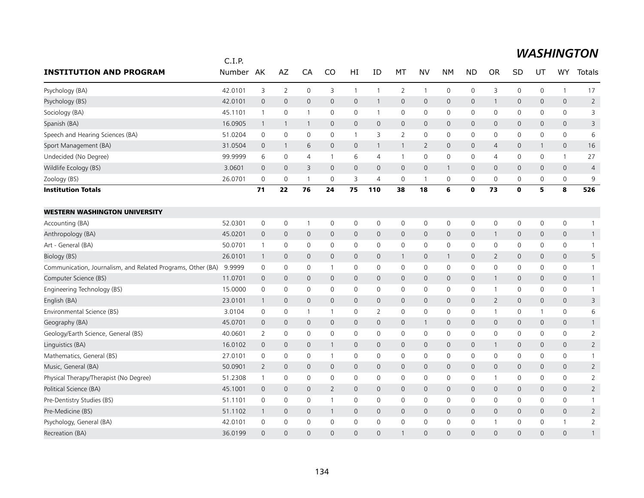|                                                             | C.I.P.  |                |                |                |                |                     |                |                |              |                     |              |                |              |              |                |                |
|-------------------------------------------------------------|---------|----------------|----------------|----------------|----------------|---------------------|----------------|----------------|--------------|---------------------|--------------|----------------|--------------|--------------|----------------|----------------|
| <b>INSTITUTION AND PROGRAM</b>                              | Number  | AK             | AZ             | CA             | CO             | HI                  | ID             | MT             | <b>NV</b>    | <b>NM</b>           | <b>ND</b>    | <b>OR</b>      | SD           | UT           | WY             | Totals         |
| Psychology (BA)                                             | 42.0101 | 3              | $\overline{2}$ | 0              | 3              | $\mathbf{1}$        | $\mathbf{1}$   | $\overline{2}$ | $\mathbf{1}$ | $\mathsf{O}\xspace$ | 0            | 3              | 0            | $\mathbf 0$  | $\mathbf{1}$   | 17             |
| Psychology (BS)                                             | 42.0101 | $\overline{0}$ | $\mathbf 0$    | $\mathbf{0}$   | $\mathsf{O}$   | $\mathbf 0$         | $\mathbf{1}$   | $\mathbf 0$    | $\mathbf 0$  | 0                   | $\mathsf{O}$ | -1             | 0            | $\mathbf{0}$ | $\mathbf{0}$   | $\overline{2}$ |
| Sociology (BA)                                              | 45.1101 | $\mathbf{1}$   | 0              | $\mathbf 1$    | $\mathbf 0$    | 0                   | $\mathbf{1}$   | $\mathbf 0$    | $\mathbf 0$  | 0                   | $\mathbf 0$  | 0              | 0            | 0            | $\mathbf 0$    | 3              |
| Spanish (BA)                                                | 16.0905 | $\mathbf{1}$   | $\overline{1}$ | $\mathbf{1}$   | 0              | 0                   | $\mathbf 0$    | $\mathbf 0$    | $\mathbf 0$  | $\mathbf 0$         | $\mathsf{O}$ | $\mathbf 0$    | 0            | 0            | 0              | 3              |
| Speech and Hearing Sciences (BA)                            | 51.0204 | 0              | $\mathbf 0$    | $\mathbf 0$    | $\mathbf 0$    | $\mathbf{1}$        | 3              | 2              | $\mathbf 0$  | $\mathbf 0$         | $\mathsf{O}$ | 0              | 0            | 0            | $\mathbf 0$    | 6              |
| Sport Management (BA)                                       | 31.0504 | $\mathbf 0$    | 1              | 6              | $\mathbf{0}$   | $\mathbf{0}$        | $\mathbf{1}$   | $\mathbf{1}$   | 2            | $\mathbf 0$         | $\mathbf{0}$ | 4              | $\mathbf{0}$ | $\mathbf{1}$ | $\mathbf{0}$   | 16             |
| Undecided (No Degree)                                       | 99.9999 | 6              | 0              | 4              | 1              | 6                   | 4              | $\mathbf{1}$   | 0            | 0                   | 0            | 4              | 0            | 0            | $\mathbf{1}$   | 27             |
| Wildlife Ecology (BS)                                       | 3.0601  | $\overline{0}$ | $\mathbf 0$    | 3              | 0              | $\mathsf{O}\xspace$ | $\mathbf 0$    | $\mathbf 0$    | $\mathbf 0$  | $\mathbf{1}$        | $\mathbf 0$  | $\mathbf 0$    | 0            | $\mathbf 0$  | $\mathbf 0$    | $\overline{4}$ |
| Zoology (BS)                                                | 26.0701 | $\mathbf 0$    | 0              | -1             | $\mathbf 0$    | 3                   | $\overline{4}$ | 0              | -1           | 0                   | 0            | 0              | 0            | 0            | 0              | 9              |
| <b>Institution Totals</b>                                   |         | 71             | 22             | 76             | 24             | 75                  | 110            | 38             | 18           | 6                   | $\mathbf o$  | 73             | $\mathbf{0}$ | 5            | 8              | 526            |
| <b>WESTERN WASHINGTON UNIVERSITY</b>                        |         |                |                |                |                |                     |                |                |              |                     |              |                |              |              |                |                |
| Accounting (BA)                                             | 52.0301 | $\mathbf 0$    | 0              | $\mathbf{1}$   | 0              | $\mathbf 0$         | $\mathbf 0$    | 0              | $\mathbf 0$  | 0                   | 0            | $\mathbf 0$    | 0            | 0            | $\mathbf 0$    | $\mathbf{1}$   |
| Anthropology (BA)                                           | 45.0201 | $\overline{0}$ | $\mathbf 0$    | 0              | $\mathbf{0}$   | $\mathbf 0$         | $\mathbf{0}$   | $\mathbf 0$    | $\mathbf{0}$ | 0                   | $\mathsf{O}$ | -1             | 0            | $\mathbf{0}$ | $\mathbf 0$    | $\mathbf{1}$   |
| Art - General (BA)                                          | 50.0701 | $\mathbf{1}$   | $\mathbf 0$    | 0              | $\mathbf 0$    | 0                   | 0              | $\mathbf 0$    | $\mathbf 0$  | 0                   | 0            | 0              | 0            | 0            | $\mathbf 0$    | $\mathbf{1}$   |
| Biology (BS)                                                | 26.0101 | $\overline{1}$ | $\mathbf 0$    | $\mathbf{0}$   | $\mathbf{0}$   | 0                   | $\mathbf 0$    | $\overline{1}$ | $\mathbf 0$  | $\mathbf{1}$        | $\mathbf{0}$ | 2              | 0            | $\mathbf{0}$ | $\mathbf 0$    | 5              |
| Communication, Journalism, and Related Programs, Other (BA) | 9.9999  | $\mathbf 0$    | $\mathbf 0$    | 0              | $\mathbf{1}$   | $\mathbf 0$         | $\mathbf 0$    | 0              | $\mathbf 0$  | $\mathbf 0$         | $\mathsf{O}$ | 0              | 0            | $\mathbf 0$  | $\mathbf 0$    | $\mathbf{1}$   |
| Computer Science (BS)                                       | 11.0701 | $\mathbf 0$    | $\mathbf{0}$   | $\mathbf{0}$   | $\mathbf{0}$   | $\mathsf{O}$        | $\mathbf{0}$   | $\mathbf 0$    | $\mathbf{0}$ | $\mathbf 0$         | $\mathbf{0}$ | -1             | 0            | $\mathbf{0}$ | $\mathbf{0}$   | $\mathbf{1}$   |
| Engineering Technology (BS)                                 | 15.0000 | $\mathbf 0$    | $\mathbf 0$    | 0              | 0              | 0                   | 0              | $\mathbf 0$    | $\mathbf 0$  | 0                   | $\mathbf 0$  | -1             | 0            | 0            | $\mathbf 0$    | $\mathbf{1}$   |
| English (BA)                                                | 23.0101 | $\mathbf{1}$   | $\mathbf 0$    | 0              | $\mathbf 0$    | 0                   | $\mathbf 0$    | $\mathsf{O}$   | $\mathbf 0$  | $\mathbf 0$         | $\mathsf{O}$ | $\overline{2}$ | 0            | $\mathbf 0$  | $\mathsf{O}$   | 3              |
| Environmental Science (BS)                                  | 3.0104  | 0              | 0              | $\overline{1}$ | $\mathbf{1}$   | 0                   | $\overline{2}$ | 0              | $\mathbf 0$  | $\mathbf 0$         | 0            | -1             | 0            | 1            | $\mathbf 0$    | 6              |
| Geography (BA)                                              | 45.0701 | $\mathbf 0$    | $\mathbf 0$    | $\mathbf{0}$   | $\mathbf{0}$   | $\mathbf{0}$        | $\mathbf{0}$   | $\mathbf 0$    | $\mathbf{1}$ | $\mathbf{0}$        | $\mathbf{0}$ | $\mathbf{0}$   | 0            | $\mathbf{0}$ | $\mathbf{0}$   | $\mathbf{1}$   |
| Geology/Earth Science, General (BS)                         | 40.0601 | 2              | 0              | 0              | $\mathbf 0$    | 0                   | 0              | 0              | $\mathbf 0$  | 0                   | 0            | 0              | 0            | 0            | 0              | $\overline{2}$ |
| Linguistics (BA)                                            | 16.0102 | $\overline{0}$ | $\mathbf 0$    | 0              | 1              | $\mathbf 0$         | $\mathbf 0$    | $\mathbf 0$    | $\mathbf 0$  | $\mathsf{O}\xspace$ | $\mathsf{O}$ | -1             | 0            | $\mathbf 0$  | $\mathsf{O}$   | $\overline{2}$ |
| Mathematics, General (BS)                                   | 27.0101 | $\mathbf 0$    | 0              | 0              | -1             | 0                   | 0              | 0              | 0            | 0                   | 0            | 0              | 0            | 0            | $\mathbf 0$    | $\mathbf{1}$   |
| Music, General (BA)                                         | 50.0901 | $\overline{2}$ | $\mathbf 0$    | $\mathbf{0}$   | $\mathbf{0}$   | $\mathsf{O}$        | $\mathbf{0}$   | $\mathbf{0}$   | $\mathbf{0}$ | $\mathbf{0}$        | $\mathbf{0}$ | 0              | $\mathbf{0}$ | $\mathbf{0}$ | $\overline{0}$ | $\overline{2}$ |
| Physical Therapy/Therapist (No Degree)                      | 51.2308 | $\mathbf{1}$   | $\mathbf 0$    | 0              | 0              | 0                   | 0              | 0              | 0            | $\mathbf 0$         | 0            | $\mathbf{1}$   | 0            | 0            | $\mathbf 0$    | $\overline{2}$ |
| Political Science (BA)                                      | 45.1001 | $\overline{0}$ | $\mathbf 0$    | $\mathbf{0}$   | $\overline{2}$ | $\mathbf 0$         | $\mathbf{0}$   | $\mathbf 0$    | $\mathbf{0}$ | $\mathbf{0}$        | $\mathbf{O}$ | $\mathbf{0}$   | 0            | $\mathbf{0}$ | $\mathbf{0}$   | $\overline{2}$ |
| Pre-Dentistry Studies (BS)                                  | 51.1101 | $\mathbf 0$    | 0              | 0              | $\mathbf{1}$   | 0                   | 0              | 0              | $\mathbf 0$  | 0                   | 0            | $\Omega$       | 0            | $\mathbf{0}$ | $\mathbf 0$    | $\mathbf{1}$   |
| Pre-Medicine (BS)                                           | 51.1102 | $\overline{1}$ | $\mathbf 0$    | 0              | 1              | $\mathbf 0$         | $\mathbf 0$    | $\mathbf 0$    | $\mathbf 0$  | $\mathbf 0$         | $\mathsf{O}$ | $\mathbf 0$    | 0            | $\mathbf 0$  | $\mathbf 0$    | $\overline{2}$ |
| Psychology, General (BA)                                    | 42.0101 | $\mathbf 0$    | $\mathbf 0$    | 0              | $\mathbf 0$    | 0                   | $\mathbf 0$    | $\mathbf 0$    | $\mathbf 0$  | 0                   | $\mathbf 0$  |                | 0            | 0            | $\mathbf{1}$   | $\overline{2}$ |
| Recreation (BA)                                             | 36.0199 | $\Omega$       | $\Omega$       | $\Omega$       | $\Omega$       | $\Omega$            | $\Omega$       | $\mathbf{1}$   | $\Omega$     | $\Omega$            | $\Omega$     | $\Omega$       | $\Omega$     | $\Omega$     | $\Omega$       | $\mathbf{1}$   |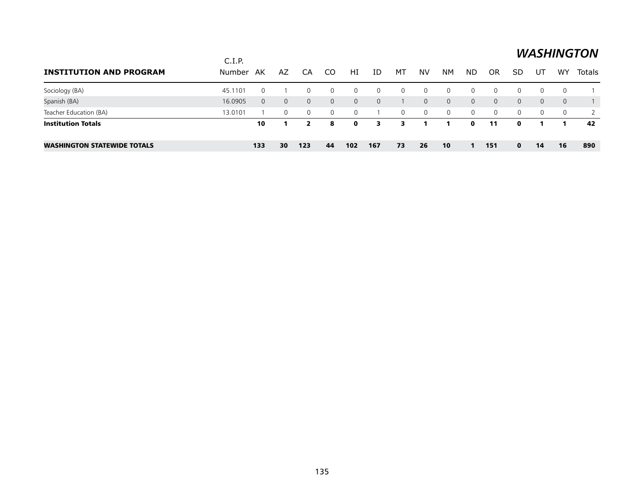#### *WASHINGTON*  $C.I.P.$ **INSTITUTION AND PROGRAM** BUMber AK **AZ**CA
CO
HI
ID
MT
NV
NM
ND
OR
SD
UT
WY
Totals <u> 1989 - Johann Stoff, deutscher Stoffen und der Stoffen und der Stoffen und der Stoffen und der Stoffen und de</u> Sociology (BA) 45.1101 0 1 0 0 0 0 0 0 0 0 0 0 0 0 1 Spanish (BA) 16.0905 0 0 0 0 0 0 1 0 0 0 0 0 0 0 1 Teacher Education (BA) 13.0101 1 0 0 0 0 1 0 0 0 0 0 0 0 0 2 Institution Totals 10 1 2 8 0 3 3 1 1 0 11 0 1 1 42 Washington Statewide Totals 133 30 123 44 102 167 73 26 10 1 151 0 14 16 890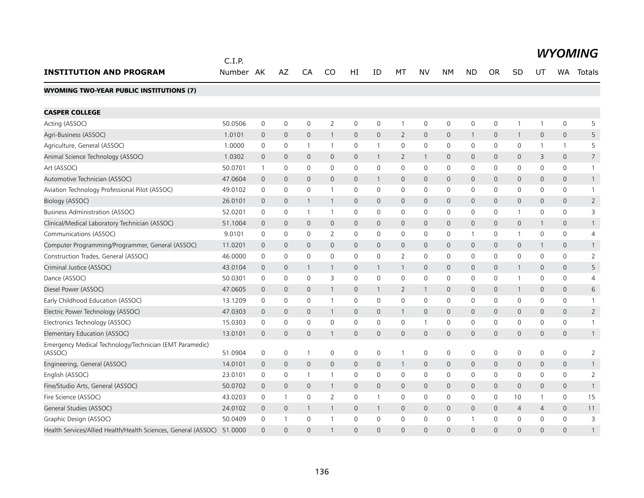|                                                                    | C.I.P.    |                |                     |                |                |              |                |                |                |                |                |              |                     |                |                     | <b>WYOMING</b>  |
|--------------------------------------------------------------------|-----------|----------------|---------------------|----------------|----------------|--------------|----------------|----------------|----------------|----------------|----------------|--------------|---------------------|----------------|---------------------|-----------------|
| <b>INSTITUTION AND PROGRAM</b>                                     | Number AK |                | <b>AZ</b>           | CA             | CO             | НI           | ID             | МT             | NV             | <b>NM</b>      | <b>ND</b>      | <b>OR</b>    | SD                  | UT             | WA.                 | Totals          |
| <b>WYOMING TWO-YEAR PUBLIC INSTITUTIONS (7)</b>                    |           |                |                     |                |                |              |                |                |                |                |                |              |                     |                |                     |                 |
| <b>CASPER COLLEGE</b>                                              |           |                |                     |                |                |              |                |                |                |                |                |              |                     |                |                     |                 |
| Acting (ASSOC)                                                     | 50.0506   | $\mathbf 0$    | $\mathsf{O}\xspace$ | $\mathbf 0$    | $\overline{2}$ | $\mathbf 0$  | 0              | $\mathbf{1}$   | $\mathsf{O}$   | $\mathbf 0$    | 0              | $\mathbf 0$  | 1                   | 1              | 0                   | 5               |
| Agri-Business (ASSOC)                                              | 1.0101    | $\mathbf{0}$   | $\mathbf 0$         | $\mathbf{0}$   | $\mathbf{1}$   | $\mathbf{0}$ | $\overline{0}$ | $\overline{2}$ | $\mathbf{0}$   | $\mathbf 0$    | $\mathbf{1}$   | $\mathbf{0}$ | $\mathbf{1}$        | $\mathbf{0}$   | $\mathbf{0}$        | 5               |
| Agriculture, General (ASSOC)                                       | 1.0000    | 0              | $\mathsf{O}\xspace$ | $\overline{1}$ | $\overline{1}$ | 0            | $\mathbf{1}$   | $\mathbf 0$    | $\mathbf 0$    | $\mathbf 0$    | $\mathbf 0$    | 0            | 0                   | 1              | $\mathbf{1}$        | 5               |
| Animal Science Technology (ASSOC)                                  | 1.0302    | $\overline{0}$ | $\mathbf{0}$        | $\overline{0}$ | $\mathbf{0}$   | $\mathbf{O}$ | $\mathbf{1}$   | $\overline{2}$ | $\mathbf{1}$   | $\mathbf 0$    | $\mathbf 0$    | $\Omega$     | 0                   | 3              | $\mathbf{0}$        | $7\overline{ }$ |
| Art (ASSOC)                                                        | 50.0701   | 1              | $\mathbf 0$         | $\mathbf 0$    | $\mathbf{0}$   | $\mathbf 0$  | $\Omega$       | 0              | $\mathbf 0$    | $\mathbf 0$    | 0              | $\mathbf{0}$ | $\mathbf 0$         | $\mathbf{0}$   | 0                   | $\mathbf{1}$    |
| Automotive Technician (ASSOC)                                      | 47.0604   | $\overline{0}$ | $\mathbf{0}$        | $\mathbf{0}$   | $\Omega$       | $\mathbf{0}$ | $\mathbf{1}$   | $\mathbf{0}$   | $\mathbf{0}$   | $\mathbf 0$    | $\mathbf 0$    | $\mathbf{0}$ | 0                   | $\mathbf{0}$   | $\overline{0}$      | $\mathbf{1}$    |
| Aviation Technology Professional Pilot (ASSOC)                     | 49.0102   | 0              | $\mathbf 0$         | $\mathbf 0$    | $\mathbf{1}$   | $\mathbf 0$  | 0              | $\mathbf 0$    | $\mathbf 0$    | $\mathbf 0$    | 0              | 0            | $\mathbf 0$         | $\mathbf 0$    | 0                   | $\mathbf{1}$    |
| Biology (ASSOC)                                                    | 26.0101   | $\mathbf{0}$   | $\overline{0}$      | -1             | $\mathbf{1}$   | $\mathbf{0}$ | $\Omega$       | $\mathsf{O}$   | $\mathbf{0}$   | $\overline{0}$ | $\mathbf 0$    | $\Omega$     | $\mathbf{O}$        | $\Omega$       | $\mathbf{0}$        | $\overline{2}$  |
| <b>Business Administration (ASSOC)</b>                             | 52.0201   | $\mathbf 0$    | 0                   | $\overline{1}$ | 1              | $\mathsf{O}$ | 0              | $\mathbf 0$    | $\mathbf 0$    | $\mathbf 0$    | 0              | 0            | 1                   | 0              | 0                   | 3               |
| Clinical/Medical Laboratory Technician (ASSOC)                     | 51.1004   | $\overline{0}$ | $\mathbf 0$         | $\mathbf{0}$   | $\mathsf{O}$   | $\mathbf{0}$ | $\overline{0}$ | $\mathsf{O}$   | $\mathbf 0$    | $\mathbf 0$    | $\overline{0}$ | $\mathbf{0}$ | $\mathsf{O}\xspace$ | 1              | $\mathsf{O}\xspace$ | $\mathbf{1}$    |
| Communications (ASSOC)                                             | 9.0101    | $\mathbf 0$    | $\mathbf 0$         | $\mathbf 0$    | $\overline{2}$ | $\mathsf{O}$ | 0              | $\mathbf 0$    | $\mathbf 0$    | $\mathbf 0$    | $\mathbf{1}$   | $\mathbf 0$  | $\mathbf{1}$        | $\mathbf 0$    | $\mathbf 0$         | $\overline{4}$  |
| Computer Programming/Programmer, General (ASSOC)                   | 11.0201   | $\overline{0}$ | $\mathbf{0}$        | $\mathbf{0}$   | $\mathsf{O}$   | $\mathbf{O}$ | $\mathbf 0$    | $\mathsf{O}$   | $\mathbf{0}$   | $\mathbf{0}$   | $\overline{0}$ | $\mathbf{0}$ | $\mathsf{O}\xspace$ | 1              | $\mathbf{0}$        | $\mathbf{1}$    |
| Construction Trades, General (ASSOC)                               | 46.0000   | 0              | $\mathbf 0$         | $\mathbf 0$    | $\Omega$       | $\mathsf{O}$ | $\mathbf 0$    | $\overline{2}$ | $\mathbf 0$    | $\mathbf 0$    | 0              | $\Omega$     | $\mathsf{O}$        | $\Omega$       | 0                   | $\overline{2}$  |
| Criminal Justice (ASSOC)                                           | 43.0104   | $\mathbf 0$    | $\mathsf{O}\xspace$ | -1             | $\mathbf{1}$   | $\mathbf{0}$ | $\mathbf{1}$   | $\mathbf{1}$   | $\mathbf{0}$   | $\mathbf{0}$   | $\mathbf{0}$   | $\mathbf 0$  | $\mathbf{1}$        | $\mathbf 0$    | $\mathbf{0}$        | 5               |
| Dance (ASSOC)                                                      | 50.0301   | 0              | 0                   | 0              | 3              | 0            | $\Omega$       | $\mathbf 0$    | $\mathbf{0}$   | $\Omega$       | 0              | $\mathbf{0}$ | 1                   | $\mathbf{0}$   | $\Omega$            | $\overline{4}$  |
| Diesel Power (ASSOC)                                               | 47.0605   | 0              | $\mathbf 0$         | $\overline{0}$ | 1              | 0            | -1             | 2              | $\mathbf{1}$   | $\mathbf 0$    | 0              | 0            | $\mathbf{1}$        | $\Omega$       | 0                   | 6               |
| Early Childhood Education (ASSOC)                                  | 13.1209   | 0              | 0                   | $\mathbf{0}$   | $\overline{1}$ | $\Omega$     | $\mathbf{0}$   | $\mathbf{0}$   | $\mathbf{0}$   | $\Omega$       | $\mathbf{0}$   | $\mathbf{0}$ | 0                   | $\mathbf{0}$   | $\Omega$            | $\mathbf{1}$    |
| Electric Power Technology (ASSOC)                                  | 47.0303   | 0              | $\mathbf 0$         | $\overline{0}$ | $\mathbf{1}$   | $\mathsf{O}$ | $\mathbf 0$    | $\mathbf{1}$   | $\mathbf 0$    | $\mathbf 0$    | $\mathbf 0$    | $\mathbf 0$  | 0                   | 0              | 0                   | $\overline{2}$  |
| Electronics Technology (ASSOC)                                     | 15.0303   | 0              | 0                   | $\mathbf 0$    | $\mathbf 0$    | $\mathsf{O}$ | 0              | 0              | $\overline{1}$ | $\mathbf 0$    | 0              | 0            | 0                   | 0              | 0                   | $\mathbf{1}$    |
| Elementary Education (ASSOC)                                       | 13.0101   | 0              | $\mathbf 0$         | $\mathbf{0}$   | $\mathbf{1}$   | $\mathsf{O}$ | $\mathbf 0$    | 0              | $\mathbf 0$    | $\mathbf 0$    | $\mathbf 0$    | $\mathbf{0}$ | 0                   | $\mathbf 0$    | 0                   | $\mathbf{1}$    |
| Emergency Medical Technology/Technician (EMT Paramedic)<br>(ASSOC) | 51.0904   | 0              | 0                   | $\overline{1}$ | 0              | $\mathbf 0$  | 0              | $\mathbf{1}$   | $\mathbf 0$    | $\mathbf 0$    | 0              | 0            | 0                   | 0              | $\mathbf 0$         | 2               |
| Engineering, General (ASSOC)                                       | 14.0101   | $\overline{0}$ | $\overline{0}$      | $\mathbf{0}$   | $\mathsf{O}$   | $\mathbf{O}$ | $\mathbf{0}$   | $\mathbf{1}$   | $\mathbf{0}$   | $\overline{0}$ | $\mathbf 0$    | $\mathbf{0}$ | $\mathsf{O}\xspace$ | $\mathbf{0}$   | $\mathbf{0}$        | $\mathbf{1}$    |
| English (ASSOC)                                                    | 23.0101   | 0              | 0                   | $\mathbf{1}$   | $\mathbf{1}$   | $\mathbf 0$  | 0              | 0              | $\mathbf 0$    | $\mathbf 0$    | 0              | 0            | $\mathbf 0$         | $\mathbf{0}$   | 0                   | 2               |
| Fine/Studio Arts, General (ASSOC)                                  | 50.0702   | $\overline{0}$ | $\mathsf{O}\xspace$ | $\overline{0}$ | $\mathbf{1}$   | $\mathbf{0}$ | $\overline{0}$ | $\mathsf{O}$   | $\mathbf{0}$   | $\mathbf 0$    | $\mathbf 0$    | $\mathbf{0}$ | 0                   | $\mathbf{0}$   | $\mathbf{0}$        | $\mathbf{1}$    |
| Fire Science (ASSOC)                                               | 43.0203   | 0              | $\mathbf{1}$        | 0              | $\overline{2}$ | $\mathbf 0$  | $\mathbf{1}$   | 0              | $\mathbf 0$    | $\mathbf 0$    | 0              | $\mathbf 0$  | 10                  | 1              | 0                   | 15              |
| General Studies (ASSOC)                                            | 24.0102   | $\overline{0}$ | $\mathbf 0$         | $\overline{1}$ | $\mathbf{1}$   | $\mathbf{O}$ | $\mathbf{1}$   | $\mathsf{O}$   | $\mathbf{0}$   | $\mathbf{0}$   | $\mathbf 0$    | $\mathbf{0}$ | $\overline{4}$      | $\overline{4}$ | $\mathbf{0}$        | 11              |
| Graphic Design (ASSOC)                                             | 50.0409   | $\mathbf 0$    | $\mathbf{1}$        | $\mathbf 0$    | $\mathbf{1}$   | $\mathbf 0$  | $\Omega$       | $\mathbf 0$    | $\mathbf 0$    | $\mathbf 0$    | $\overline{1}$ | $\Omega$     | $\mathbf 0$         | $\Omega$       | $\mathbf 0$         | 3               |
| Health Services/Allied Health/Health Sciences, General (ASSOC)     | 51.0000   | $\Omega$       | $\Omega$            | $\Omega$       |                | $\Omega$     | $\Omega$       | $\Omega$       | $\Omega$       | $\Omega$       | $\Omega$       | $\Omega$     | $\Omega$            | $\Omega$       | $\Omega$            | 1               |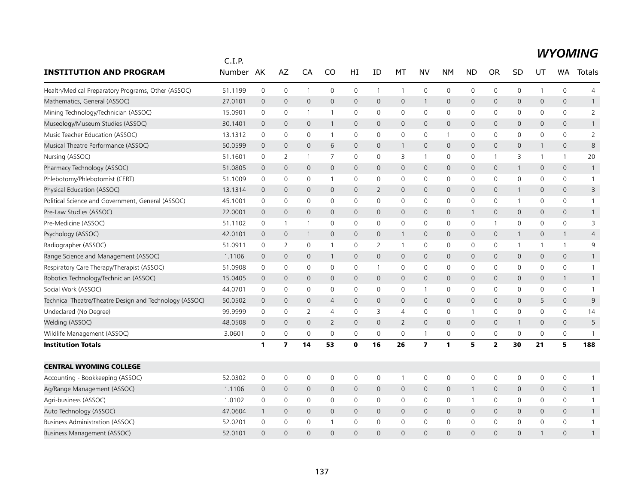#### *WYOMING*

|                                                         | C.I.P.  |                |                         |                |                |                |              |                |                         |                     |              |                |              |              |                     |                |
|---------------------------------------------------------|---------|----------------|-------------------------|----------------|----------------|----------------|--------------|----------------|-------------------------|---------------------|--------------|----------------|--------------|--------------|---------------------|----------------|
| <b>INSTITUTION AND PROGRAM</b>                          | Number  | AK             | AZ                      | CA             | CO             | HI             | ID           | МT             | NV                      | <b>NM</b>           | <b>ND</b>    | <b>OR</b>      | SD           | UT           | WA                  | Totals         |
| Health/Medical Preparatory Programs, Other (ASSOC)      | 51.1199 | $\mathbf 0$    | $\mathbf 0$             | $\mathbf{1}$   | 0              | $\mathsf 0$    | $\mathbf{1}$ | $\mathbf{1}$   | $\mathbf 0$             | 0                   | 0            | 0              | 0            | $\mathbf{1}$ | $\mathsf{O}\xspace$ | $\overline{4}$ |
| Mathematics, General (ASSOC)                            | 27.0101 | $\mathbf 0$    | $\mathbf 0$             | $\mathbf{0}$   | $\mathsf{O}$   | $\mathbf 0$    | $\mathbf{0}$ | $\mathsf{O}$   | $\mathbf{1}$            | $\overline{0}$      | $\mathbf{0}$ | $\mathbf{0}$   | 0            | 0            | $\mathsf{O}$        | $\mathbf{1}$   |
| Mining Technology/Technician (ASSOC)                    | 15.0901 | 0              | $\mathbf 0$             | $\overline{1}$ | $\mathbf{1}$   | 0              | 0            | $\mathbf 0$    | $\mathbf 0$             | 0                   | $\mathbf 0$  | 0              | 0            | 0            | $\mathsf{O}$        | $\overline{2}$ |
| Museology/Museum Studies (ASSOC)                        | 30.1401 | $\mathbf 0$    | $\mathbf{0}$            | $\mathbf 0$    | 1              | $\mathbf 0$    | $\mathbf{0}$ | $\mathbf{0}$   | $\mathbf{0}$            | $\overline{0}$      | $\mathbf 0$  | $\Omega$       | $\mathsf{O}$ | 0            | $\mathbf{0}$        | $\mathbf{1}$   |
| Music Teacher Education (ASSOC)                         | 13.1312 | 0              | 0                       | $\mathbf 0$    | $\mathbf{1}$   | $\mathsf 0$    | $\mathbf 0$  | 0              | $\mathbf 0$             | $\mathbf{1}$        | 0            | 0              | 0            | 0            | 0                   | $\overline{2}$ |
| Musical Theatre Performance (ASSOC)                     | 50.0599 | $\overline{0}$ | $\mathbf{0}$            | $\mathbf{0}$   | 6              | $\mathbf 0$    | $\mathbf{0}$ | $\mathbf{1}$   | $\mathbf{0}$            | $\overline{0}$      | $\mathbf{0}$ | $\mathbf{0}$   | 0            | 1            | $\mathbf{0}$        | 8              |
| Nursing (ASSOC)                                         | 51.1601 | 0              | 2                       | $\overline{1}$ | 7              | 0              | $\mathbf{0}$ | 3              | $\mathbf{1}$            | 0                   | 0            | -1             | 3            | 1            | $\mathbf{1}$        | 20             |
| Pharmacy Technology (ASSOC)                             | 51.0805 | $\mathbf 0$    | $\mathbf 0$             | 0              | $\mathsf{O}$   | 0              | $\mathbf 0$  | $\mathsf{O}$   | $\mathbf 0$             | 0                   | 0            | 0              | $\mathbf{1}$ | 0            | $\mathsf{O}$        | $\mathbf{1}$   |
| Phlebotomy/Phlebotomist (CERT)                          | 51.1009 | $\mathbf 0$    | $\mathbf 0$             | 0              | 1              | 0              | $\mathbf 0$  | 0              | $\mathbf 0$             | 0                   | $\mathbf 0$  | 0              | 0            | 0            | $\mathsf{O}$        | $\mathbf{1}$   |
| Physical Education (ASSOC)                              | 13.1314 | $\mathbf 0$    | $\mathbf 0$             | $\mathbf 0$    | $\mathbf 0$    | 0              | 2            | $\mathsf{O}$   | $\mathbf 0$             | $\mathbf 0$         | $\mathbf 0$  | 0              | $\mathbf{1}$ | 0            | $\mathsf{O}$        | 3              |
| Political Science and Government, General (ASSOC)       | 45.1001 | 0              | $\mathbf 0$             | $\Omega$       | 0              | $\mathbf 0$    | $\mathbf 0$  | $\mathbf 0$    | $\mathbf 0$             | $\mathbf 0$         | 0            | $\mathbf{0}$   | $\mathbf{1}$ | 0            | $\mathsf{O}$        | $\mathbf{1}$   |
| Pre-Law Studies (ASSOC)                                 | 22.0001 | $\mathbf 0$    | $\mathbf 0$             | $\mathbf 0$    | $\mathsf{O}$   | 0              | $\mathbf 0$  | $\mathsf{O}$   | $\mathbf 0$             | $\mathbf 0$         | $\mathbf{1}$ | 0              | 0            | 0            | $\mathsf{O}$        | $\mathbf{1}$   |
| Pre-Medicine (ASSOC)                                    | 51.1102 | 0              | $\overline{1}$          | $\mathbf{1}$   | $\mathbf 0$    | 0              | $\mathbf 0$  | 0              | $\mathbf 0$             | 0                   | 0            | $\mathbf{1}$   | 0            | 0            | 0                   | 3              |
| Psychology (ASSOC)                                      | 42.0101 | $\mathbf{0}$   | $\mathbf{0}$            | $\overline{1}$ | $\mathbf 0$    | $\Omega$       | $\Omega$     | $\overline{1}$ | $\mathbf{0}$            | $\mathbf 0$         | $\mathbf{0}$ | $\mathbf 0$    | $\mathbf{1}$ | 0            | $\mathbf{1}$        | $\overline{4}$ |
| Radiographer (ASSOC)                                    | 51.0911 | 0              | 2                       | 0              | 1              | 0              | 2            | $\mathbf{1}$   | 0                       | 0                   | 0            | 0              | $\mathbf{1}$ | 1            | $\mathbf{1}$        | 9              |
| Range Science and Management (ASSOC)                    | 1.1106  | $\mathbf 0$    | $\overline{0}$          | $\mathbf 0$    | 1              | 0              | $\mathbf 0$  | $\mathsf{O}$   | $\mathbf 0$             | 0                   | 0            | $\mathbf{0}$   | 0            | 0            | $\mathsf{O}$        | $\mathbf{1}$   |
| Respiratory Care Therapy/Therapist (ASSOC)              | 51.0908 | 0              | $\mathbf 0$             | $\Omega$       | $\mathbf{0}$   | 0              | $\mathbf{1}$ | 0              | $\mathbf 0$             | 0                   | 0            | $\Omega$       | 0            | 0            | $\mathsf{O}$        | 1              |
| Robotics Technology/Technician (ASSOC)                  | 15.0405 | $\mathbf{0}$   | $\mathbf{0}$            | $\Omega$       | $\mathbf{0}$   | $\mathbf 0$    | $\Omega$     | $\mathbf{0}$   | $\mathbf{0}$            | $\overline{0}$      | $\mathbf{0}$ | $\Omega$       | $\mathsf{O}$ | $\Omega$     | $\mathbf{1}$        | $\mathbf{1}$   |
| Social Work (ASSOC)                                     | 44.0701 | 0              | 0                       | 0              | 0              | 0              | $\mathbf 0$  | 0              | $\mathbf{1}$            | 0                   | $\mathbf 0$  | 0              | 0            | 0            | $\mathsf{O}\xspace$ | $\mathbf{1}$   |
| Technical Theatre/Theatre Design and Technology (ASSOC) | 50.0502 | $\mathbf 0$    | $\mathbf 0$             | $\mathbf{0}$   | $\overline{4}$ | $\overline{0}$ | $\mathbf{0}$ | $\mathsf{O}$   | $\mathbf 0$             | $\mathsf{O}\xspace$ | $\mathbf{0}$ | $\mathbf{0}$   | $\mathsf{O}$ | 5            | $\mathsf{O}$        | 9              |
| Undeclared (No Degree)                                  | 99.9999 | 0              | 0                       | 2              | $\overline{4}$ | 0              | 3            | 4              | $\mathbf 0$             | 0                   | 1            | 0              | 0            | 0            | $\mathsf{O}$        | 14             |
| Welding (ASSOC)                                         | 48.0508 | $\mathbf 0$    | $\mathbf 0$             | $\mathbf{0}$   | $\overline{2}$ | 0              | $\mathbf{0}$ | $\overline{2}$ | $\mathbf{0}$            | $\mathbf 0$         | $\mathbf 0$  | 0              | $\mathbf{1}$ | $\mathbf{0}$ | $\mathsf{O}$        | 5              |
| Wildlife Management (ASSOC)                             | 3.0601  | 0              | 0                       | 0              | $\mathbf 0$    | 0              | $\mathbf 0$  | 0              | $\mathbf{1}$            | 0                   | 0            | $\mathbf 0$    | 0            | $\mathbf 0$  | 0                   | $\mathbf{1}$   |
| <b>Institution Totals</b>                               |         | 1              | $\overline{\mathbf{z}}$ | 14             | 53             | 0              | 16           | 26             | $\overline{\mathbf{z}}$ | $\mathbf{1}$        | 5            | $\overline{2}$ | 30           | 21           | 5                   | 188            |
| <b>CENTRAL WYOMING COLLEGE</b>                          |         |                |                         |                |                |                |              |                |                         |                     |              |                |              |              |                     |                |
| Accounting - Bookkeeping (ASSOC)                        | 52.0302 | 0              | 0                       | $\mathbf 0$    | 0              | 0              | 0            | $\mathbf{1}$   | 0                       | 0                   | 0            | 0              | 0            | 0            | 0                   | $\mathbf{1}$   |
| Ag/Range Management (ASSOC)                             | 1.1106  | $\mathbf{0}$   | $\mathbf 0$             | $\mathbf{0}$   | $\mathbf 0$    | $\mathbf 0$    | $\mathbf{0}$ | $\mathsf{O}$   | $\mathbf 0$             | 0                   | 1            | $\mathbf 0$    | $\mathsf{O}$ | 0            | $\mathbf{0}$        | $\mathbf{1}$   |
| Agri-business (ASSOC)                                   | 1.0102  | 0              | 0                       | 0              | $\mathbf 0$    | 0              | 0            | 0              | 0                       | 0                   | 1            | 0              | 0            | 0            | 0                   | $\mathbf{1}$   |
| Auto Technology (ASSOC)                                 | 47.0604 | $\mathbf{1}$   | $\overline{0}$          | $\mathbf{0}$   | $\mathsf{O}$   | $\mathbf 0$    | $\mathbf{0}$ | $\mathsf{O}$   | $\mathbf{0}$            | 0                   | $\mathbf{0}$ | $\mathbf{0}$   | 0            | 0            | $\mathsf{O}$        | $\mathbf{1}$   |
| <b>Business Administration (ASSOC)</b>                  | 52.0201 | 0              | 0                       | 0              |                | 0              | $\Omega$     | $\mathbf 0$    | 0                       | 0                   | 0            | 0              | 0            | 0            | $\mathbf 0$         | 1              |
| Business Management (ASSOC)                             | 52.0101 | $\Omega$       | $\Omega$                | $\Omega$       | $\Omega$       | $\Omega$       | $\Omega$     | $\Omega$       | $\Omega$                | $\Omega$            | $\Omega$     | $\Omega$       | $\Omega$     |              | $\Omega$            | 1              |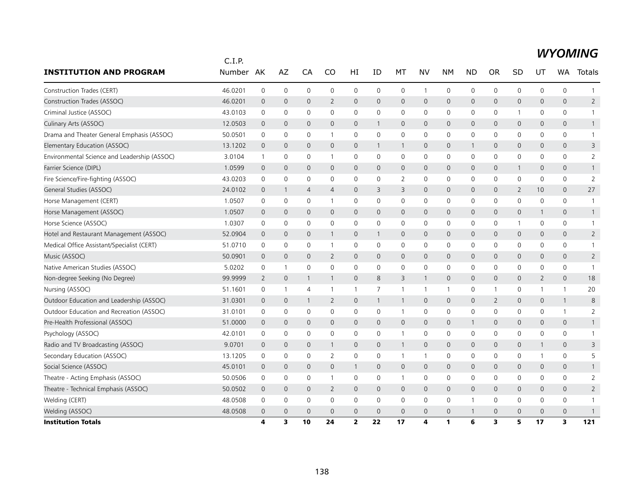|                                              | C.I.P.  |                |                |                |                |                     |                |                |                |                     |                     |                |                |              |                     |                |
|----------------------------------------------|---------|----------------|----------------|----------------|----------------|---------------------|----------------|----------------|----------------|---------------------|---------------------|----------------|----------------|--------------|---------------------|----------------|
| <b>INSTITUTION AND PROGRAM</b>               | Number  | AK             | AZ             | CA             | CO             | HI                  | ID             | MT             | <b>NV</b>      | <b>NM</b>           | <b>ND</b>           | <b>OR</b>      | SD             | UT           | <b>WA</b>           | Totals         |
| Construction Trades (CERT)                   | 46.0201 | $\mathbf 0$    | 0              | 0              | $\mathbf 0$    | 0                   | $\mathbf 0$    | $\mathbf 0$    | $\mathbf{1}$   | 0                   | $\mathbf 0$         | 0              | 0              | $\mathbf 0$  | $\mathbf 0$         | $\mathbf{1}$   |
| Construction Trades (ASSOC)                  | 46.0201 | $\mathbf 0$    | $\mathbf{0}$   | $\mathbf{0}$   | 2              | $\overline{0}$      | $\Omega$       | $\mathbf{0}$   | $\mathbf{0}$   | $\mathbf 0$         | $\mathbf{0}$        | $\Omega$       | $\mathbf 0$    | $\Omega$     | $\Omega$            | $\overline{2}$ |
| Criminal Justice (ASSOC)                     | 43.0103 | 0              | 0              | 0              | 0              | 0                   | 0              | 0              | 0              | $\mathsf 0$         | 0                   | 0              | 1              | 0            | 0                   | $\mathbf{1}$   |
| Culinary Arts (ASSOC)                        | 12.0503 | $\mathbf 0$    | 0              | $\mathbf{0}$   | $\mathbf{0}$   | 0                   | $\mathbf{1}$   | $\mathbf 0$    | $\mathbf 0$    | 0                   | $\mathbf{0}$        | $\mathbf{0}$   | 0              | $\mathbf 0$  | $\mathbf{0}$        | $\mathbf{1}$   |
| Drama and Theater General Emphasis (ASSOC)   | 50.0501 | 0              | $\mathbf 0$    | 0              | 1              | 0                   | 0              | $\mathbf 0$    | $\mathbf 0$    | 0                   | 0                   | 0              | 0              | 0            | 0                   | $\mathbf{1}$   |
| Elementary Education (ASSOC)                 | 13.1202 | $\overline{0}$ | $\mathbf 0$    | $\mathbf{0}$   | $\mathbf{0}$   | $\overline{0}$      | $\mathbf{1}$   | $\overline{1}$ | $\mathbf{0}$   | $\mathbf 0$         | 1                   | $\overline{0}$ | $\mathbf 0$    | 0            | $\mathbf{0}$        | 3              |
| Environmental Science and Leadership (ASSOC) | 3.0104  | $\mathbf{1}$   | $\mathbf 0$    | 0              | 1              | 0                   | 0              | 0              | $\mathbf 0$    | $\mathbf 0$         | $\mathbf 0$         | 0              | 0              | 0            | 0                   | 2              |
| Farrier Science (DIPL)                       | 1.0599  | $\mathbf 0$    | $\mathbf 0$    | 0              | 0              | 0                   | $\mathbf 0$    | $\mathbf 0$    | $\mathbf 0$    | $\mathbf 0$         | 0                   | 0              | $\mathbf{1}$   | 0            | 0                   | $\mathbf{1}$   |
| Fire Science/Fire-fighting (ASSOC)           | 43.0203 | 0              | 0              | 0              | $\mathbf 0$    | 0                   | 0              | 2              | 0              | 0                   | 0                   | 0              | 0              | 0            | 0                   | $\overline{2}$ |
| General Studies (ASSOC)                      | 24.0102 | $\overline{0}$ | -1             | $\overline{4}$ | $\overline{4}$ | $\overline{0}$      | 3              | 3              | $\mathbf{0}$   | $\mathbf 0$         | $\mathbf{0}$        | $\mathbf 0$    | $\overline{2}$ | 10           | $\mathbf{0}$        | 27             |
| Horse Management (CERT)                      | 1.0507  | $\mathbf 0$    | $\mathbf 0$    | 0              | 1              | 0                   | $\mathbf 0$    | $\mathbf 0$    | $\mathbf 0$    | $\mathbf 0$         | $\mathbf 0$         | $\Omega$       | 0              | 0            | 0                   | $\overline{1}$ |
| Horse Management (ASSOC)                     | 1.0507  | $\mathbf 0$    | $\mathbf{0}$   | $\mathbf{0}$   | $\mathbf{0}$   | $\mathsf{O}$        | $\mathbf{0}$   | $\mathbf{0}$   | $\mathbf{0}$   | $\mathbf{0}$        | $\mathbf{0}$        | $\mathbf{0}$   | $\overline{0}$ | $\mathbf{1}$ | $\mathbf{0}$        | $\mathbf{1}$   |
| Horse Science (ASSOC)                        | 1.0307  | 0              | 0              | 0              | 0              | 0                   | 0              | 0              | 0              | 0                   | 0                   | 0              | 1              | 0            | 0                   | $\mathbf{1}$   |
| Hotel and Restaurant Management (ASSOC)      | 52.0904 | $\mathbf 0$    | 0              | 0              | 1              | $\mathsf{O}$        | $\mathbf{1}$   | $\mathbf 0$    | $\mathbf 0$    | 0                   | 0                   | $\mathbf{0}$   | 0              | 0            | 0                   | $\overline{2}$ |
| Medical Office Assistant/Specialist (CERT)   | 51.0710 | 0              | $\mathbf 0$    | 0              | $\mathbf{1}$   | 0                   | $\mathbf 0$    | 0              | $\mathbf 0$    | 0                   | $\mathbf 0$         | 0              | 0              | 0            | 0                   | $\mathbf{1}$   |
| Music (ASSOC)                                | 50.0901 | $\mathbf 0$    | $\mathbf 0$    | $\mathbf{0}$   | $\overline{2}$ | $\mathsf{O}$        | $\mathbf{0}$   | $\mathbf{0}$   | $\mathbf{0}$   | $\mathbf 0$         | $\mathbf{0}$        | $\mathbf{0}$   | 0              | $\mathbf{0}$ | $\overline{0}$      | $\overline{2}$ |
| Native American Studies (ASSOC)              | 5.0202  | $\mathbf 0$    | $\mathbf{1}$   | 0              | 0              | 0                   | 0              | $\mathbf 0$    | $\mathbf 0$    | 0                   | $\mathsf{O}\xspace$ | 0              | 0              | 0            | 0                   | $\mathbf{1}$   |
| Non-degree Seeking (No Degree)               | 99.9999 | $\overline{2}$ | $\overline{0}$ | $\mathbf 1$    | 1              | $\overline{0}$      | 8              | 3              | 1              | 0                   | 0                   | $\mathbf 0$    | $\mathbf 0$    | 2            | $\mathbf{0}$        | 18             |
| Nursing (ASSOC)                              | 51.1601 | 0              | -1             | 4              | $\mathbf{1}$   | 1                   | 7              | $\overline{1}$ | $\overline{1}$ | $\overline{1}$      | 0                   | -1             | 0              | 1            | $\mathbf{1}$        | 20             |
| Outdoor Education and Leadership (ASSOC)     | 31.0301 | $\mathbf 0$    | 0              | 1              | $\overline{2}$ | $\mathsf{O}$        | $\mathbf{1}$   | $\mathbf{1}$   | $\mathbf{0}$   | $\mathsf{O}\xspace$ | $\mathbf{0}$        | $\overline{2}$ | 0              | $\mathbf{0}$ | $\mathbf{1}$        | 8              |
| Outdoor Education and Recreation (ASSOC)     | 31.0101 | $\mathbf 0$    | $\mathbf 0$    | 0              | 0              | 0                   | 0              | $\overline{1}$ | $\mathbf 0$    | 0                   | $\mathbf 0$         | 0              | 0              | 0            | $\mathbf{1}$        | $\overline{2}$ |
| Pre-Health Professional (ASSOC)              | 51.0000 | $\overline{0}$ | $\mathbf 0$    | 0              | 0              | $\mathsf{O}\xspace$ | $\mathbf 0$    | $\mathbf 0$    | $\mathbf 0$    | 0                   | 1                   | $\mathbf 0$    | 0              | 0            | $\mathsf{O}\xspace$ | $\mathbf{1}$   |
| Psychology (ASSOC)                           | 42.0101 | 0              | 0              | 0              | $\mathbf 0$    | 0                   | 0              | $\mathbf{1}$   | 0              | 0                   | 0                   | 0              | 0              | 0            | 0                   | $\mathbf{1}$   |
| Radio and TV Broadcasting (ASSOC)            | 9.0701  | $\overline{0}$ | 0              | 0              | 1              | 0                   | $\mathbf 0$    | $\overline{1}$ | $\mathbf 0$    | $\mathbf 0$         | 0                   | $\mathbf{0}$   | 0              | $\mathbf{1}$ | $\mathbf{0}$        | 3              |
| Secondary Education (ASSOC)                  | 13.1205 | 0              | $\mathbf 0$    | 0              | $\overline{2}$ | 0                   | 0              | $\mathbf{1}$   | $\overline{1}$ | 0                   | $\mathbf 0$         | 0              | 0              | 1            | $\mathbf 0$         | 5              |
| Social Science (ASSOC)                       | 45.0101 | $\mathbf 0$    | $\mathbf{0}$   | $\mathbf{0}$   | $\mathbf{0}$   | $\mathbf{1}$        | $\mathbf{0}$   | $\mathbf{0}$   | $\mathbf{0}$   | $\mathbf 0$         | $\mathbf{0}$        | $\overline{0}$ | $\overline{0}$ | $\Omega$     | $\mathbf{0}$        | $\mathbf{1}$   |
| Theatre - Acting Emphasis (ASSOC)            | 50.0506 | 0              | 0              | 0              | $\mathbf{1}$   | 0                   | 0              | $\mathbf{1}$   | 0              | 0                   | 0                   | 0              | 0              | 0            | 0                   | 2              |
| Theatre - Technical Emphasis (ASSOC)         | 50.0502 | $\overline{0}$ | 0              | $\mathbf{0}$   | $\overline{2}$ | 0                   | $\mathbf{0}$   | $\mathbf 0$    | $\mathbf 0$    | $\mathbf 0$         | $\mathbf{0}$        | $\mathbf{0}$   | 0              | $\mathbf{0}$ | 0                   | $\overline{2}$ |
| Welding (CERT)                               | 48.0508 | $\mathbf 0$    | $\mathbf 0$    | 0              | 0              | 0                   | $\mathbf 0$    | $\mathbf 0$    | $\mathbf 0$    | 0                   | 1                   | 0              | 0              | 0            | $\mathbf 0$         | $\mathbf{1}$   |
| Welding (ASSOC)                              | 48.0508 | $\mathbf 0$    | $\Omega$       | $\Omega$       | $\Omega$       | $\overline{0}$      | $\overline{0}$ | $\mathbf{0}$   | $\mathbf{0}$   | $\mathbf 0$         |                     | $\Omega$       | $\mathbf 0$    | $\Omega$     | $\overline{0}$      | $\mathbf{1}$   |
| <b>Institution Totals</b>                    |         | 4              | 3              | 10             | 24             | $\overline{2}$      | 22             | 17             | 4              | 1                   | 6                   | 3.             | 5              | 17           | 3                   | 121            |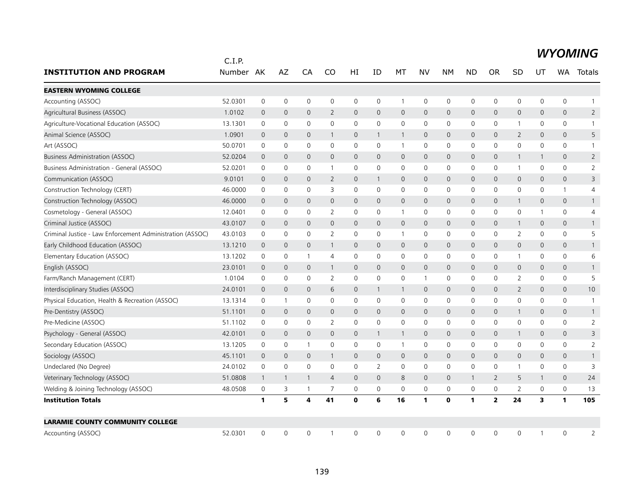|                                                           | C.I.P.    |                |                     |                |                |              |                |              |                |              |              |                |                     |              |                     |                |
|-----------------------------------------------------------|-----------|----------------|---------------------|----------------|----------------|--------------|----------------|--------------|----------------|--------------|--------------|----------------|---------------------|--------------|---------------------|----------------|
| <b>INSTITUTION AND PROGRAM</b>                            | Number AK |                | AZ                  | CA             | CO             | HI           | ID             | МT           | NV             | <b>NM</b>    | <b>ND</b>    | <b>OR</b>      | SD                  | UT           | <b>WA</b>           | Totals         |
| <b>EASTERN WYOMING COLLEGE</b>                            |           |                |                     |                |                |              |                |              |                |              |              |                |                     |              |                     |                |
| Accounting (ASSOC)                                        | 52.0301   | 0              | $\mathsf{O}\xspace$ | $\mathbf 0$    | $\mathbf 0$    | 0            | 0              | $\mathbf{1}$ | $\mathbf 0$    | $\mathbf 0$  | 0            | 0              | $\mathsf{O}$        | 0            | 0                   | 1              |
| Agricultural Business (ASSOC)                             | 1.0102    | $\mathbf{0}$   | $\mathbf 0$         | $\mathbf{0}$   | 2              | $\mathbf{0}$ | 0              | $\mathbf 0$  | $\mathbf{0}$   | $\mathbf{0}$ | $\mathbf{0}$ | $\mathbf{0}$   | $\mathbf{0}$        | 0            | $\mathbf{0}$        | $\overline{2}$ |
| Agriculture-Vocational Education (ASSOC)                  | 13.1301   | 0              | $\mathbf 0$         | $\mathbf 0$    | $\mathbf 0$    | 0            | 0              | $\mathbf 0$  | $\mathbf 0$    | $\mathbf 0$  | 0            | 0              | 1                   | 0            | 0                   |                |
| Animal Science (ASSOC)                                    | 1.0901    | $\mathbf 0$    | $\mathbf 0$         | $\overline{0}$ | 1              | 0            | $\mathbf{1}$   | $\mathbf{1}$ | $\mathbf 0$    | $\mathbf 0$  | $\mathbf 0$  | 0              | $\overline{2}$      | 0            | 0                   | 5              |
| Art (ASSOC)                                               | 50.0701   | $\mathbf 0$    | $\mathbf 0$         | $\mathbf 0$    | $\Omega$       | $\mathsf{O}$ | 0              | $\mathbf{1}$ | $\mathbf 0$    | $\mathbf 0$  | $\mathbf 0$  | 0              | $\mathbf 0$         | $\mathbf 0$  | 0                   | $\mathbf{1}$   |
| <b>Business Administration (ASSOC)</b>                    | 52.0204   | $\mathbf 0$    | $\mathbf{0}$        | $\mathbf{0}$   | $\mathbf{0}$   | $\mathbf{0}$ | 0              | $\mathbf{0}$ | $\mathbf{0}$   | $\mathbf{0}$ | $\mathbf{0}$ | $\mathbf{0}$   | $\mathbf{1}$        | $\mathbf{1}$ | $\mathbf{0}$        | $\overline{2}$ |
| Business Administration - General (ASSOC)                 | 52.0201   | 0              | $\mathbf 0$         | 0              | $\overline{1}$ | 0            | 0              | 0            | $\mathbf 0$    | $\mathbf 0$  | 0            | 0              | $\mathbf{1}$        | 0            | 0                   | $\overline{2}$ |
| Communication (ASSOC)                                     | 9.0101    | $\mathbf{0}$   | $\mathbf 0$         | $\overline{0}$ | $\overline{2}$ | $\mathsf{O}$ | $\mathbf{1}$   | 0            | $\mathbf 0$    | $\mathbf 0$  | $\mathbf 0$  | $\mathbf{0}$   | $\mathsf{O}$        | $\mathbf{0}$ | $\mathsf{O}\xspace$ | 3              |
| Construction Technology (CERT)                            | 46.0000   | 0              | 0                   | $\mathbf 0$    | 3              | 0            | 0              | 0            | $\mathbf 0$    | 0            | 0            | 0              | 0                   | 0            | $\mathbf{1}$        | 4              |
| Construction Technology (ASSOC)                           | 46.0000   | $\overline{0}$ | $\mathbf{0}$        | $\mathbf{0}$   | $\mathbf{0}$   | $\mathbf{0}$ | $\overline{0}$ | $\mathbf{0}$ | $\mathbf{0}$   | $\mathbf 0$  | $\mathbf{0}$ | $\mathbf{0}$   | $\mathbf{1}$        | $\mathbf{0}$ | $\mathbf{0}$        | $\mathbf{1}$   |
| Cosmetology - General (ASSOC)                             | 12.0401   | 0              | 0                   | $\mathbf 0$    | 2              | $\mathbf 0$  | 0              | $\mathbf{1}$ | $\mathbf 0$    | $\mathbf 0$  | 0            | 0              | $\mathsf{O}$        | 1            | 0                   | 4              |
| Criminal Justice (ASSOC)                                  | 43.0107   | $\mathbf 0$    | $\mathbf 0$         | $\mathbf{0}$   | $\mathbf{0}$   | $\mathsf{O}$ | $\mathbf{0}$   | $\mathsf{O}$ | $\mathbf{0}$   | $\mathbf 0$  | $\mathbf 0$  | $\mathbf{0}$   | 1                   | $\mathbf 0$  | $\mathsf{O}\xspace$ | $\mathbf{1}$   |
| Criminal Justice - Law Enforcement Administration (ASSOC) | 43.0103   | 0              | $\mathbf 0$         | $\mathbf 0$    | 2              | 0            | 0              | $\mathbf{1}$ | $\mathbf 0$    | 0            | 0            | 0              | 2                   | $\mathbf{0}$ | 0                   | 5              |
| Early Childhood Education (ASSOC)                         | 13.1210   | 0              | $\mathbf 0$         | $\mathbf 0$    | $\mathbf{1}$   | $\mathsf{O}$ | 0              | 0            | $\mathbf 0$    | $\mathbf 0$  | $\mathbf 0$  | 0              | $\mathsf{O}$        | 0            | 0                   |                |
| Elementary Education (ASSOC)                              | 13.1202   | 0              | 0                   | $\overline{1}$ | $\overline{4}$ | 0            | 0              | 0            | 0              | $\mathbf 0$  | 0            | 0              | $\mathbf{1}$        | 0            | 0                   | 6              |
| English (ASSOC)                                           | 23.0101   | $\mathbf{0}$   | $\mathbf 0$         | $\overline{0}$ | $\mathbf{1}$   | $\mathbf{0}$ | $\mathbf{0}$   | $\mathbf{0}$ | $\mathbf{0}$   | $\mathbf 0$  | $\mathbf{0}$ | $\mathbf{0}$   | $\mathbf{0}$        | $\mathbf 0$  | $\mathbf{0}$        |                |
| Farm/Ranch Management (CERT)                              | 1.0104    | 0              | $\mathbf 0$         | $\mathbf{0}$   | 2              | 0            | 0              | 0            | $\overline{1}$ | 0            | 0            | $\Omega$       | 2                   | 0            | 0                   | 5              |
| Interdisciplinary Studies (ASSOC)                         | 24.0101   | $\mathbf 0$    | $\overline{0}$      | $\mathbf{0}$   | 6              | $\mathsf{O}$ | $\mathbf{1}$   | $\mathbf{1}$ | $\mathsf{O}$   | $\mathbf 0$  | $\mathbf{0}$ | $\overline{0}$ | $\overline{2}$      | 0            | 0                   | 10             |
| Physical Education, Health & Recreation (ASSOC)           | 13.1314   | 0              | $\mathbf{1}$        | $\mathbf 0$    | $\mathbf 0$    | 0            | 0              | 0            | $\mathbf 0$    | $\mathbf 0$  | 0            | 0              | $\mathbf 0$         | 0            | 0                   |                |
| Pre-Dentistry (ASSOC)                                     | 51.1101   | $\mathbf 0$    | $\mathbf 0$         | $\mathbf{0}$   | $\mathbf 0$    | 0            | $\mathbf 0$    | 0            | $\mathbf 0$    | $\mathbf 0$  | $\mathbf 0$  | 0              | 1                   | 0            | 0                   | $\mathbf{1}$   |
| Pre-Medicine (ASSOC)                                      | 51.1102   | 0              | $\mathbf 0$         | $\mathbf 0$    | 2              | 0            | 0              | $\mathbf 0$  | $\mathbf 0$    | $\mathbf 0$  | 0            | 0              | $\mathbf 0$         | 0            | 0                   | $\overline{2}$ |
| Psychology - General (ASSOC)                              | 42.0101   | $\mathbf 0$    | $\mathbf 0$         | $\mathbf{0}$   | $\mathbf{0}$   | $\mathsf{O}$ | $\mathbf{1}$   | $\mathbf{1}$ | $\mathbf 0$    | $\mathbf 0$  | $\mathbf{0}$ | $\mathbf{0}$   | $\mathbf{1}$        | $\mathbf{0}$ | 0                   | 3              |
| Secondary Education (ASSOC)                               | 13.1205   | 0              | 0                   | $\mathbf{1}$   | 0              | 0            | 0              | $\mathbf{1}$ | 0              | $\mathsf{O}$ | 0            | 0              | $\mathsf{O}\xspace$ | 0            | 0                   | $\overline{2}$ |
| Sociology (ASSOC)                                         | 45.1101   | $\mathbf{0}$   | $\mathbf{0}$        | $\overline{0}$ | $\mathbf{1}$   | $\mathbf{0}$ | $\overline{0}$ | $\mathbf{0}$ | $\mathbf{0}$   | $\mathbf 0$  | $\mathbf{0}$ | 0              | $\mathbf{0}$        | 0            | $\mathbf{0}$        |                |
| Undeclared (No Degree)                                    | 24.0102   | 0              | $\mathbf 0$         | $\mathbf 0$    | 0              | 0            | 2              | 0            | 0              | 0            | 0            | 0              | $\mathbf{1}$        | 0            | 0                   | 3              |
| Veterinary Technology (ASSOC)                             | 51.0808   | $\mathbf{1}$   | $\mathbf{1}$        | $\mathbf{1}$   | $\overline{4}$ | $\mathsf{O}$ | $\overline{0}$ | 8            | $\mathbf 0$    | $\mathbf 0$  | $\mathbf{1}$ | $\overline{2}$ | 5                   | 1            | 0                   | 24             |
| Welding & Joining Technology (ASSOC)                      | 48.0508   | 0              | 3                   | -1             | $\overline{7}$ | 0            | 0              | 0            | $\mathbf 0$    | $\mathbf 0$  | 0            | 0              | 2                   | $\mathbf 0$  | 0                   | 13             |
| <b>Institution Totals</b>                                 |           | 1              | 5                   | 4              | 41             | 0            | 6              | 16           | $\mathbf{1}$   | $\mathbf 0$  | $\mathbf{1}$ | $\overline{2}$ | 24                  | 3            | $\mathbf{1}$        | 105            |
| <b>LARAMIE COUNTY COMMUNITY COLLEGE</b>                   |           |                |                     |                |                |              |                |              |                |              |              |                |                     |              |                     |                |
| Accounting (ASSOC)                                        | 52.0301   | $\mathbf{0}$   | $\mathbf{0}$        | $\Omega$       | -1             | 0            | 0              | $\mathbf{0}$ | $\mathbf{0}$   | $\mathbf{0}$ | $\Omega$     | 0              | $\Omega$            | $\mathbf{1}$ | $\Omega$            | 2              |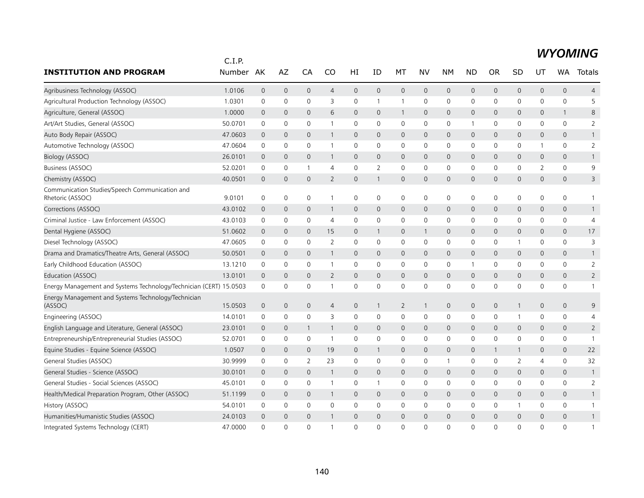|                                                                    | C.I.P.  |                     |                |                |                |              |              |                |                     |                     |              |              |                |                |                     |                |
|--------------------------------------------------------------------|---------|---------------------|----------------|----------------|----------------|--------------|--------------|----------------|---------------------|---------------------|--------------|--------------|----------------|----------------|---------------------|----------------|
| <b>INSTITUTION AND PROGRAM</b>                                     | Number  | AK                  | AZ             | CA             | CO             | HI           | ID           | МT             | NV                  | <b>NM</b>           | <b>ND</b>    | <b>OR</b>    | SD             | UT             | WA                  | Totals         |
| Agribusiness Technology (ASSOC)                                    | 1.0106  | $\overline{0}$      | $\mathbf 0$    | $\mathbf{0}$   | $\overline{4}$ | $\mathbf{0}$ | $\mathbf 0$  | $\mathbf{0}$   | $\mathbf{0}$        | $\mathbf 0$         | $\mathsf{O}$ | $\mathbf{0}$ | 0              | $\mathbf{0}$   | $\mathbf{0}$        | $\overline{4}$ |
| Agricultural Production Technology (ASSOC)                         | 1.0301  | $\mathsf{O}\xspace$ | $\mathbf 0$    | $\mathbf 0$    | 3              | 0            | 1            | $\mathbf{1}$   | $\mathsf{O}$        | 0                   | 0            | 0            | 0              | 0              | 0                   | 5              |
| Agriculture, General (ASSOC)                                       | 1.0000  | $\mathbf 0$         | $\mathbf 0$    | $\mathbf 0$    | 6              | $\mathbf 0$  | $\mathbf{0}$ | $\mathbf{1}$   | $\mathbf 0$         | $\mathbf 0$         | 0            | 0            | 0              | 0              | 1                   | 8              |
| Art/Art Studies, General (ASSOC)                                   | 50.0701 | $\mathbf 0$         | 0              | $\mathbf 0$    |                | 0            | $\Omega$     | 0              | $\mathbf 0$         | $\mathbf 0$         | $\mathbf 1$  | $\mathbf{0}$ | 0              | 0              | 0                   | 2              |
| Auto Body Repair (ASSOC)                                           | 47.0603 | $\overline{0}$      | $\mathbf{0}$   | $\mathbf{0}$   | $\mathbf{1}$   | $\mathbf{0}$ | $\mathbf{0}$ | $\mathbf{0}$   | $\mathbf{0}$        | $\mathbf{0}$        | $\mathbf 0$  | $\Omega$     | 0              | $\mathbf{0}$   | $\mathbf{0}$        | $\mathbf{1}$   |
| Automotive Technology (ASSOC)                                      | 47.0604 | $\mathbf 0$         | 0              | $\mathbf 0$    | -1             | 0            | 0            | 0              | $\mathbf 0$         | 0                   | 0            | 0            | 0              | 1              | 0                   | 2              |
| Biology (ASSOC)                                                    | 26.0101 | $\overline{0}$      | $\mathbf{0}$   | $\mathbf{0}$   | 1              | $\mathbf{0}$ | $\mathbf{0}$ | $\overline{0}$ | $\mathbf{0}$        | $\mathbf{0}$        | $\mathbf 0$  | $\mathbf 0$  | 0              | $\mathbf{0}$   | $\mathbf{0}$        | $\mathbf{1}$   |
| Business (ASSOC)                                                   | 52.0201 | 0                   | 0              | -1             | $\overline{4}$ | 0            | 2            | 0              | 0                   | 0                   | 0            | 0            | 0              | 2              | 0                   | 9              |
| Chemistry (ASSOC)                                                  | 40.0501 | $\overline{0}$      | $\mathbf{0}$   | $\mathbf{0}$   | 2              | $\mathbf{0}$ | $\mathbf{1}$ | $\mathbf{0}$   | $\mathbf{0}$        | $\mathbf{0}$        | $\mathbf 0$  | 0            | 0              | $\mathbf{0}$   | $\mathbf{0}$        | 3              |
| Communication Studies/Speech Communication and<br>Rhetoric (ASSOC) | 9.0101  | 0                   | $\mathbf 0$    | $\mathbf 0$    | $\overline{1}$ | $\mathbf 0$  | 0            | $\mathbf 0$    | $\mathbf 0$         | $\mathbf 0$         | 0            | 0            | 0              | 0              | 0                   | $\mathbf{1}$   |
| Corrections (ASSOC)                                                | 43.0102 | $\overline{0}$      | $\mathbf 0$    | $\mathbf 0$    | $\mathbf{1}$   | $\mathbf 0$  | $\mathbf 0$  | $\mathsf{O}$   | $\mathbf 0$         | $\mathbf 0$         | 0            | $\mathbf{0}$ | 0              | $\mathbf 0$    | 0                   | $\mathbf{1}$   |
| Criminal Justice - Law Enforcement (ASSOC)                         | 43.0103 | $\mathbf 0$         | $\mathbf 0$    | $\mathbf 0$    | $\overline{4}$ | 0            | 0            | $\mathbf 0$    | $\mathbf 0$         | $\mathbf 0$         | 0            | $\mathbf{0}$ | 0              | $\mathbf{0}$   | 0                   | $\overline{4}$ |
| Dental Hygiene (ASSOC)                                             | 51.0602 | $\mathbf 0$         | $\mathbf 0$    | $\mathbf 0$    | 15             | $\mathbf{0}$ | $\mathbf{1}$ | $\mathbf{0}$   | $\mathbf{1}$        | $\mathbf{0}$        | $\mathbf{0}$ | $\mathbf 0$  | 0              | $\mathbf 0$    | $\mathbf{0}$        | 17             |
| Diesel Technology (ASSOC)                                          | 47.0605 | $\mathbf 0$         | $\mathbf 0$    | 0              | 2              | 0            | $\Omega$     | $\mathbf 0$    | $\mathbf 0$         | $\mathbf 0$         | 0            | 0            | 1              | $\Omega$       | 0                   | 3              |
| Drama and Dramatics/Theatre Arts, General (ASSOC)                  | 50.0501 | $\mathbf 0$         | $\mathbf 0$    | $\mathbf 0$    |                | 0            | $\mathbf 0$  | $\mathbf 0$    | $\mathbf 0$         | $\mathbf 0$         | $\mathbf 0$  | 0            | 0              | $\mathbf 0$    | 0                   | $\mathbf{1}$   |
| Early Childhood Education (ASSOC)                                  | 13.1210 | $\mathbf 0$         | 0              | $\mathbf 0$    | $\overline{1}$ | $\mathbf 0$  | $\mathbf 0$  | 0              | $\mathbf 0$         | $\mathbf 0$         | $\mathbf{1}$ | 0            | $\mathbf 0$    | $\mathbf 0$    | 0                   | $\overline{2}$ |
| Education (ASSOC)                                                  | 13.0101 | $\mathbf 0$         | $\mathbf 0$    | $\Omega$       | 2              | $\mathbf{0}$ | $\Omega$     | $\mathbf{0}$   | $\mathbf{0}$        | $\mathbf 0$         | $\Omega$     | $\Omega$     | 0              | $\Omega$       | $\mathbf{0}$        | $\overline{2}$ |
| Energy Management and Systems Technology/Technician (CERT) 15.0503 |         | $\mathbf 0$         | 0              | 0              |                | 0            | 0            | $\mathbf 0$    | $\mathbf 0$         | 0                   | 0            | 0            | 0              | 0              | 0                   | $\mathbf{1}$   |
| Energy Management and Systems Technology/Technician<br>(ASSOC)     | 15.0503 | $\mathbf 0$         | $\mathbf 0$    | $\mathbf 0$    | $\overline{4}$ | $\pmb{0}$    | $\mathbf{1}$ | $\overline{2}$ | $\mathbf{1}$        | $\mathsf{O}\xspace$ | $\mathbf 0$  | $\mathbf 0$  | $\mathbf{1}$   | 0              | $\mathsf{O}\xspace$ | 9              |
| Engineering (ASSOC)                                                | 14.0101 | $\mathbf 0$         | 0              | $\mathbf 0$    | 3              | 0            | 0            | $\mathbf 0$    | 0                   | $\mathbf 0$         | 0            | 0            | 1              | 0              | 0                   | $\overline{4}$ |
| English Language and Literature, General (ASSOC)                   | 23.0101 | $\overline{0}$      | $\mathbf 0$    | 1              | $\mathbf{1}$   | $\mathbf{0}$ | 0            | $\mathbf{0}$   | $\mathbf 0$         | $\mathbf 0$         | $\mathbf{0}$ | $\mathbf 0$  | 0              | $\mathbf 0$    | 0                   | $\overline{2}$ |
| Entrepreneurship/Entrepreneurial Studies (ASSOC)                   | 52.0701 | $\mathbf 0$         | $\mathbf 0$    | 0              | $\overline{1}$ | 0            | 0            | 0              | $\mathbf 0$         | $\mathbf 0$         | 0            | 0            | 0              | 0              | 0                   | $\overline{1}$ |
| Equine Studies - Equine Science (ASSOC)                            | 1.0507  | $\mathbf 0$         | $\mathbf 0$    | $\mathbf{0}$   | 19             | $\mathsf{O}$ | $\mathbf{1}$ | $\mathbf 0$    | $\mathbf{0}$        | $\mathbf 0$         | 0            |              | $\mathbf{1}$   | $\mathbf 0$    | $\mathbf{0}$        | 22             |
| General Studies (ASSOC)                                            | 30.9999 | 0                   | 0              | $\overline{2}$ | 23             | 0            | 0            | 0              | 0                   | $\mathbf{1}$        | 0            | 0            | $\overline{2}$ | $\overline{4}$ | 0                   | 32             |
| General Studies - Science (ASSOC)                                  | 30.0101 | $\mathbf 0$         | $\mathbf 0$    | $\mathbf{0}$   | $\mathbf{1}$   | $\mathbf 0$  | $\Omega$     | $\mathbf{0}$   | $\mathbf{0}$        | $\mathbf{0}$        | 0            | 0            | 0              | 0              | $\mathbf{0}$        | $\mathbf{1}$   |
| General Studies - Social Sciences (ASSOC)                          | 45.0101 | $\mathbf 0$         | 0              | $\mathbf 0$    | -1             | 0            | 1            | 0              | $\mathbf 0$         | $\mathbf 0$         | 0            | 0            | 0              | 0              | 0                   | 2              |
| Health/Medical Preparation Program, Other (ASSOC)                  | 51.1199 | $\overline{0}$      | $\mathbf 0$    | $\mathbf{0}$   | $\mathbf{1}$   | $\mathbf{0}$ | $\mathbf{0}$ | $\mathbf{0}$   | $\mathbf{0}$        | $\mathbf{0}$        | 0            | 0            | 0              | $\mathbf 0$    | $\mathbf{0}$        | $\mathbf{1}$   |
| History (ASSOC)                                                    | 54.0101 | $\mathbf 0$         | 0              | $\mathbf 0$    | $\mathbf 0$    | 0            | 0            | 0              | $\mathsf{O}\xspace$ | 0                   | 0            | 0            | 1              | 0              | 0                   | $\mathbf{1}$   |
| Humanities/Humanistic Studies (ASSOC)                              | 24.0103 | $\overline{0}$      | $\overline{0}$ | $\mathbf{0}$   |                | $\mathbf{0}$ | $\mathbf{0}$ | $\mathbf{0}$   | $\mathbf{0}$        | $\mathbf 0$         | $\mathbf 0$  | $\mathbf{0}$ | 0              | $\mathbf{0}$   | $\overline{0}$      | $\mathbf{1}$   |
| Integrated Systems Technology (CERT)                               | 47.0000 | $\Omega$            | $\Omega$       | $\Omega$       |                | $\Omega$     | $\Omega$     | $\Omega$       | $\Omega$            | $\Omega$            | O            | $\Omega$     | 0              | $\Omega$       | $\Omega$            | $\mathbf{1}$   |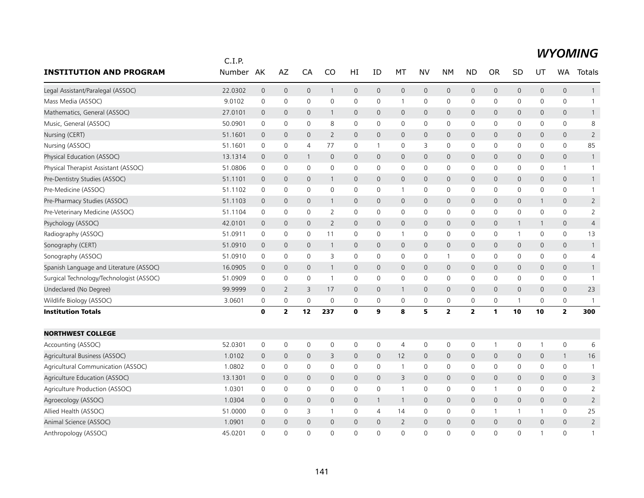|                                          | C.I.P.  |                |                     |              |                     |                     |                     |                |                     |                     |                     |              |              |                     |                     |                |
|------------------------------------------|---------|----------------|---------------------|--------------|---------------------|---------------------|---------------------|----------------|---------------------|---------------------|---------------------|--------------|--------------|---------------------|---------------------|----------------|
| <b>INSTITUTION AND PROGRAM</b>           | Number  | AK             | AZ                  | CA           | CO                  | HI                  | ID                  | МT             | <b>NV</b>           | NΜ                  | <b>ND</b>           | OR           | SD           | UT                  | WA.                 | Totals         |
| Legal Assistant/Paralegal (ASSOC)        | 22.0302 | $\mathbf 0$    | $\mathbf 0$         | 0            | 1                   | $\mathsf{O}\xspace$ | $\mathbf 0$         | $\mathbf 0$    | $\mathsf{O}\xspace$ | $\mathsf{O}\xspace$ | $\mathbf 0$         | $\mathsf{O}$ | 0            | $\mathsf{O}\xspace$ | $\mathsf{O}$        | $\mathbf{1}$   |
| Mass Media (ASSOC)                       | 9.0102  | $\mathbf 0$    | 0                   | 0            | $\mathbf 0$         | 0                   | $\mathbf 0$         | $\mathbf{1}$   | $\mathbf 0$         | 0                   | $\mathbf 0$         | 0            | 0            | 0                   | $\mathsf{O}$        | $\mathbf{1}$   |
| Mathematics, General (ASSOC)             | 27.0101 | $\mathbf 0$    | $\mathbf 0$         | $\mathbf{0}$ | 1                   | $\mathbf{0}$        | $\mathbf{0}$        | $\mathbf{0}$   | $\mathbf{0}$        | $\overline{0}$      | $\mathbf{0}$        | $\mathbf 0$  | $\mathsf{O}$ | 0                   | $\mathbf{0}$        | $\mathbf{1}$   |
| Music, General (ASSOC)                   | 50.0901 | 0              | 0                   | 0            | 8                   | 0                   | 0                   | $\mathbf 0$    | $\mathbf 0$         | $\mathbf 0$         | 0                   | 0            | 0            | 0                   | $\mathsf{O}$        | 8              |
| Nursing (CERT)                           | 51.1601 | $\overline{0}$ | $\overline{0}$      | 0            | $\overline{2}$      | $\mathsf{O}$        | $\mathbf 0$         | $\mathbf 0$    | $\mathbf 0$         | $\mathbf 0$         | $\mathbf 0$         | $\mathbf 0$  | 0            | $\mathbf 0$         | $\mathsf{O}$        | $\overline{2}$ |
| Nursing (ASSOC)                          | 51.1601 | $\mathbf 0$    | $\mathbf 0$         | 4            | 77                  | $\mathbf 0$         | $\mathbf{1}$        | $\mathbf 0$    | 3                   | $\mathbf 0$         | $\mathbf 0$         | $\mathbf 0$  | 0            | 0                   | $\mathsf{O}$        | 85             |
| Physical Education (ASSOC)               | 13.1314 | $\mathbf 0$    | $\mathbf{0}$        | $\mathbf{1}$ | $\mathbf{0}$        | $\mathbf{0}$        | $\mathbf{0}$        | $\mathbf{0}$   | $\mathbf{0}$        | $\mathbf{0}$        | $\mathbf{0}$        | $\mathbf 0$  | $\mathsf{O}$ | 0                   | $\mathbf{0}$        | $\mathbf{1}$   |
| Physical Therapist Assistant (ASSOC)     | 51.0806 | $\mathbf 0$    | 0                   | 0            | 0                   | 0                   | 0                   | 0              | $\mathbf 0$         | $\mathsf 0$         | 0                   | 0            | 0            | 0                   | $\mathbf{1}$        | $\mathbf{1}$   |
| Pre-Dentistry Studies (ASSOC)            | 51.1101 | $\overline{0}$ | $\mathbf 0$         | 0            | 1                   | $\mathsf{O}$        | $\mathbf{0}$        | $\mathbf 0$    | $\mathbf{0}$        | $\mathsf{O}\xspace$ | $\mathbf 0$         | $\mathbf 0$  | 0            | $\overline{0}$      | $\mathsf{O}$        | $\mathbf{1}$   |
| Pre-Medicine (ASSOC)                     | 51.1102 | 0              | 0                   | 0            | $\mathbf 0$         | 0                   | 0                   | $\mathbf{1}$   | $\mathbf 0$         | 0                   | 0                   | 0            | 0            | 0                   | 0                   | $\mathbf{1}$   |
| Pre-Pharmacy Studies (ASSOC)             | 51.1103 | $\mathbf 0$    | $\mathbf{0}$        | $\mathbf{0}$ | 1                   | $\mathbf{0}$        | $\mathbf{0}$        | $\mathbf{0}$   | $\mathbf{0}$        | $\mathbf{0}$        | $\mathbf{0}$        | $\mathbf{0}$ | $\mathsf{O}$ | $\mathbf{1}$        | $\mathbf{0}$        | $\overline{2}$ |
| Pre-Veterinary Medicine (ASSOC)          | 51.1104 | $\mathbf 0$    | 0                   | 0            | 2                   | 0                   | 0                   | 0              | $\mathbf 0$         | $\mathsf{O}\xspace$ | 0                   | $\mathbf 0$  | 0            | 0                   | 0                   | $\overline{2}$ |
| Psychology (ASSOC)                       | 42.0101 | $\overline{0}$ | $\mathbf 0$         | $\mathbf{0}$ | $\overline{2}$      | $\mathsf{O}$        | $\mathbf{0}$        | $\mathbf 0$    | $\mathbf 0$         | $\mathsf{O}\xspace$ | $\mathsf{O}\xspace$ | 0            | $\mathbf{1}$ | $\mathbf{1}$        | $\mathsf{O}$        | $\overline{4}$ |
| Radiography (ASSOC)                      | 51.0911 | 0              | $\mathbf 0$         | 0            | 11                  | 0                   | 0                   | $\mathbf{1}$   | $\mathbf 0$         | $\mathbf 0$         | 0                   | 0            | $\mathbf{1}$ | 0                   | $\mathsf{O}$        | 13             |
| Sonography (CERT)                        | 51.0910 | $\overline{0}$ | 0                   | 0            | $\mathbf{1}$        | $\mathsf{O}$        | $\mathbf 0$         | $\mathbf 0$    | $\mathbf 0$         | $\mathbf 0$         | $\mathbf 0$         | $\mathbf{0}$ | 0            | $\mathbf 0$         | $\mathsf{O}$        | $\mathbf{1}$   |
| Sonography (ASSOC)                       | 51.0910 | 0              | $\mathbf 0$         | 0            | 3                   | 0                   | 0                   | 0              | $\mathbf 0$         | $\mathbf{1}$        | 0                   | 0            | 0            | 0                   | $\mathsf{O}$        | 4              |
| Spanish Language and Literature (ASSOC)  | 16.0905 | $\mathbf 0$    | $\mathbf 0$         | $\mathbf{0}$ | 1                   | $\mathsf{O}$        | $\mathbf{0}$        | $\mathbf 0$    | $\mathbf{0}$        | $\mathbf{0}$        | $\mathbf{0}$        | $\mathbf{0}$ | 0            | $\mathbf 0$         | $\mathbf{0}$        | $\mathbf{1}$   |
| Surgical Technology/Technologist (ASSOC) | 51.0909 | 0              | 0                   | 0            | $\overline{1}$      | $\mathbf 0$         | 0                   | 0              | $\mathbf 0$         | 0                   | 0                   | $\mathbf{0}$ | 0            | 0                   | 0                   | $\mathbf{1}$   |
| Undeclared (No Degree)                   | 99.9999 | $\mathbf 0$    | $\overline{2}$      | 3            | 17                  | $\mathbf 0$         | $\mathbf 0$         | $\mathbf{1}$   | $\mathbf 0$         | $\mathbf 0$         | $\mathbf{0}$        | $\mathbf{0}$ | 0            | $\mathbf 0$         | $\mathsf{O}$        | 23             |
| Wildlife Biology (ASSOC)                 | 3.0601  | $\mathbf 0$    | $\mathsf{O}\xspace$ | 0            | $\mathbf 0$         | $\mathbf 0$         | $\mathbf 0$         | $\mathbf 0$    | 0                   | $\mathbf 0$         | $\mathbf 0$         | 0            | 1            | 0                   | 0                   | $\mathbf{1}$   |
| <b>Institution Totals</b>                |         | $\mathbf 0$    | $\overline{2}$      | 12           | 237                 | $\mathbf 0$         | 9                   | 8              | 5                   | $\mathbf{2}$        | $\overline{2}$      | 1            | 10           | 10                  | $\mathbf{z}$        | 300            |
| <b>NORTHWEST COLLEGE</b>                 |         |                |                     |              |                     |                     |                     |                |                     |                     |                     |              |              |                     |                     |                |
| Accounting (ASSOC)                       | 52.0301 | $\mathbf 0$    | $\mathsf{O}\xspace$ | 0            | $\mathsf{O}\xspace$ | 0                   | $\mathsf{O}\xspace$ | $\overline{4}$ | $\mathsf{O}\xspace$ | 0                   | 0                   | -1           | 0            | -1                  | $\mathsf{O}\xspace$ | 6              |
| Agricultural Business (ASSOC)            | 1.0102  | $\mathbf 0$    | $\mathbf{0}$        | $\mathbf{0}$ | 3                   | $\mathbf{O}$        | $\mathbf{0}$        | 12             | $\mathbf{0}$        | $\overline{0}$      | $\mathbf{0}$        | $\mathbf{0}$ | $\mathbf 0$  | $\overline{0}$      | $\mathbf{1}$        | 16             |
| Agricultural Communication (ASSOC)       | 1.0802  | 0              | 0                   | 0            | 0                   | 0                   | 0                   | $\mathbf{1}$   | $\mathbf 0$         | 0                   | 0                   | 0            | 0            | 0                   | 0                   | $\mathbf{1}$   |
| Agriculture Education (ASSOC)            | 13.1301 | $\overline{0}$ | $\mathbf{0}$        | $\mathbf{0}$ | $\mathbf{0}$        | $\mathsf{O}$        | $\mathbf{0}$        | 3              | $\mathbf{0}$        | $\mathbf 0$         | $\mathbf{0}$        | $\mathbf{0}$ | 0            | $\overline{0}$      | $\mathsf{O}$        | 3              |
| Agriculture Production (ASSOC)           | 1.0301  | $\mathbf 0$    | 0                   | 0            | $\mathbf{0}$        | $\mathsf{O}$        | 0                   | $\overline{1}$ | $\mathbf 0$         | $\mathbf 0$         | 0                   | -1           | 0            | $\Omega$            | $\mathsf{O}$        | 2              |
| Agroecology (ASSOC)                      | 1.0304  | $\overline{0}$ | $\mathbf 0$         | 0            | 0                   | $\mathsf{O}$        | $\mathbf{1}$        | $\mathbf{1}$   | $\mathbf 0$         | $\mathsf{O}$        | $\mathbf 0$         | 0            | 0            | 0                   | $\mathsf{O}$        | $\overline{2}$ |
| Allied Health (ASSOC)                    | 51.0000 | 0              | 0                   | 3            | 1                   | 0                   | $\overline{4}$      | 14             | 0                   | $\mathsf 0$         | 0                   | -1           | $\mathbf{1}$ | -1                  | 0                   | 25             |
| Animal Science (ASSOC)                   | 1.0901  | $\mathbf 0$    | $\mathbf 0$         | $\mathbf{0}$ | $\mathsf{O}$        | $\mathbf 0$         | $\overline{0}$      | $\overline{2}$ | $\mathbf{0}$        | $\mathbf 0$         | $\mathbf 0$         | $\mathbf{0}$ | $\mathbf 0$  | $\mathbf 0$         | $\mathsf{O}$        | $\overline{2}$ |
| Anthropology (ASSOC)                     | 45.0201 | $\Omega$       | $\Omega$            | $\Omega$     | $\Omega$            | $\Omega$            | $\Omega$            | $\Omega$       | $\Omega$            | $\Omega$            | $\Omega$            | $\Omega$     | $\Omega$     | $\mathbf{1}$        | $\Omega$            | $\mathbf{1}$   |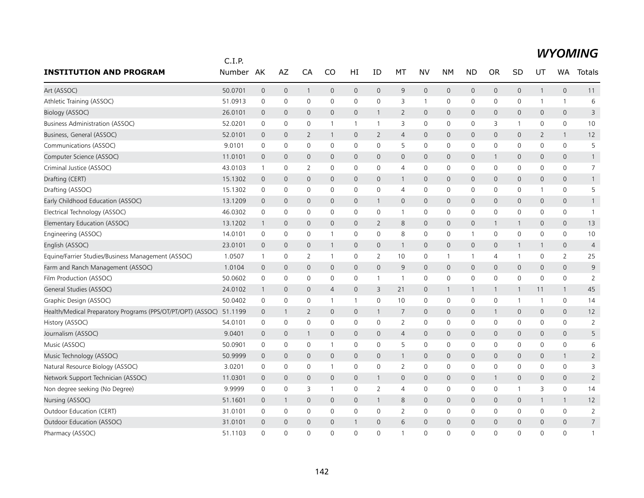|                                                             | C.I.P.  |                |                |                |                |                |                |                |                     |                     |                |                |              |              |                |                |
|-------------------------------------------------------------|---------|----------------|----------------|----------------|----------------|----------------|----------------|----------------|---------------------|---------------------|----------------|----------------|--------------|--------------|----------------|----------------|
| <b>INSTITUTION AND PROGRAM</b>                              | Number  | AK             | AZ             | CA             | CO             | HI             | ID             | МT             | NV                  | <b>NM</b>           | <b>ND</b>      | <b>OR</b>      | SD           | UT           | WA             | Totals         |
| Art (ASSOC)                                                 | 50.0701 | $\mathbf 0$    | $\mathbf 0$    | $\mathbf{1}$   | 0              | 0              | $\mathbf 0$    | 9              | $\mathsf{O}\xspace$ | $\mathbf 0$         | $\mathsf{O}$   | 0              | 0            | $\mathbf{1}$ | $\mathbf 0$    | 11             |
| Athletic Training (ASSOC)                                   | 51.0913 | 0              | 0              | 0              | $\mathbf 0$    | 0              | $\mathbf 0$    | 3              | $\mathbf{1}$        | 0                   | $\mathbf 0$    | 0              | 0            | 1            | $\mathbf{1}$   | 6              |
| Biology (ASSOC)                                             | 26.0101 | $\mathbf 0$    | $\mathbf 0$    | $\mathbf{0}$   | $\mathbf{0}$   | $\mathsf{O}$   | $\mathbf{1}$   | $\overline{2}$ | $\mathbf{0}$        | $\mathbf 0$         | $\mathbf{0}$   | $\Omega$       | $\mathbf{0}$ | $\mathbf{0}$ | $\mathbf{0}$   | 3              |
| <b>Business Administration (ASSOC)</b>                      | 52.0201 | 0              | 0              | 0              | 1              | -1             | 1              | 3              | $\mathbf 0$         | 0                   | 0              | 3              | 1            | 0            | 0              | 10             |
| Business, General (ASSOC)                                   | 52.0101 | $\mathbf 0$    | $\overline{0}$ | $\overline{2}$ | 1              | 0              | 2              | $\overline{4}$ | $\mathbf 0$         | 0                   | 0              | $\overline{0}$ | 0            | 2            | $\mathbf{1}$   | 12             |
| Communications (ASSOC)                                      | 9.0101  | $\mathbf 0$    | $\mathbf 0$    | 0              | $\mathbf 0$    | 0              | $\mathbf 0$    | 5              | $\mathbf 0$         | $\mathbf 0$         | $\mathsf{O}$   | 0              | 0            | $\Omega$     | $\mathbf 0$    | 5              |
| Computer Science (ASSOC)                                    | 11.0101 | $\mathbf 0$    | $\mathbf{0}$   | $\mathbf{0}$   | $\mathbf{0}$   | 0              | $\mathbf{0}$   | $\mathbf{0}$   | $\mathbf{0}$        | $\mathbf 0$         | $\mathbf{0}$   |                | $\mathbf{0}$ | $\mathbf 0$  | $\mathbf{0}$   | $\mathbf{1}$   |
| Criminal Justice (ASSOC)                                    | 43.0103 | $\mathbf{1}$   | 0              | 2              | 0              | 0              | 0              | $\overline{4}$ | $\mathbf 0$         | 0                   | 0              | 0              | 0            | 0            | $\mathbf 0$    | $\overline{7}$ |
| Drafting (CERT)                                             | 15.1302 | $\overline{0}$ | $\mathbf 0$    | 0              | 0              | $\mathsf{O}$   | $\mathbf{0}$   | $\mathbf{1}$   | $\mathbf 0$         | $\mathsf{O}\xspace$ | $\mathsf{O}$   | $\mathbf{0}$   | 0            | $\mathbf{0}$ | $\mathsf{O}$   | $\mathbf{1}$   |
| Drafting (ASSOC)                                            | 15.1302 | 0              | $\mathbf 0$    | 0              | $\mathbf 0$    | 0              | $\mathbf 0$    | $\overline{4}$ | $\mathbf 0$         | 0                   | $\mathbf 0$    | 0              | 0            | 1            | 0              | 5              |
| Early Childhood Education (ASSOC)                           | 13.1209 | $\mathbf 0$    | $\mathbf{0}$   | $\overline{0}$ | $\mathbf{0}$   | $\overline{0}$ | $\mathbf{1}$   | $\mathbf{0}$   | $\mathbf{0}$        | $\mathbf 0$         | $\overline{0}$ | $\mathbf{0}$   | $\mathbf{0}$ | $\mathbf{0}$ | $\mathbf{0}$   | $\mathbf{1}$   |
| Electrical Technology (ASSOC)                               | 46.0302 | 0              | 0              | 0              | $\mathbf 0$    | 0              | 0              | $\mathbf{1}$   | $\mathbf 0$         | 0                   | 0              | 0              | 0            | $\mathbf 0$  | 0              | $\mathbf{1}$   |
| Elementary Education (ASSOC)                                | 13.1202 | $\mathbf{1}$   | $\mathbf 0$    | $\mathbf{0}$   | 0              | 0              | $\overline{2}$ | 8              | $\mathbf 0$         | $\mathsf{O}\xspace$ | $\mathsf{O}$   |                | $\mathbf{1}$ | $\mathbf{0}$ | $\mathbf{0}$   | 13             |
| Engineering (ASSOC)                                         | 14.0101 | 0              | $\mathbf 0$    | 0              | 1              | 0              | $\mathbf{0}$   | 8              | $\mathbf 0$         | 0                   | $\mathbf{1}$   | 0              | 0            | $\mathbf{0}$ | 0              | 10             |
| English (ASSOC)                                             | 23.0101 | $\mathbf 0$    | 0              | 0              | 1              | 0              | 0              | $\mathbf{1}$   | $\mathbf 0$         | 0                   | $\mathsf{O}$   | $\mathbf 0$    | $\mathbf{1}$ | 1            | 0              | $\overline{4}$ |
| Equine/Farrier Studies/Business Management (ASSOC)          | 1.0507  | $\mathbf{1}$   | $\mathbf 0$    | $\overline{2}$ | $\mathbf{1}$   | 0              | 2              | 10             | $\mathbf 0$         | $\overline{1}$      | $\mathbf{1}$   | 4              | $\mathbf{1}$ | 0            | $\overline{2}$ | 25             |
| Farm and Ranch Management (ASSOC)                           | 1.0104  | $\mathbf 0$    | $\mathbf{0}$   | $\mathbf{0}$   | $\mathbf{0}$   | $\mathsf{O}$   | $\mathbf{0}$   | 9              | $\mathbf{0}$        | $\mathbf 0$         | $\mathbf{0}$   | $\Omega$       | 0            | $\mathbf 0$  | $\overline{0}$ | 9              |
| Film Production (ASSOC)                                     | 50.0602 | 0              | 0              | $\Omega$       | 0              | 0              | $\mathbf{1}$   | $\overline{1}$ | $\mathbf 0$         | 0                   | 0              | $\Omega$       | 0            | 0            | 0              | 2              |
| General Studies (ASSOC)                                     | 24.0102 | $\mathbf{1}$   | $\mathbf 0$    | 0              | $\overline{4}$ | 0              | 3              | 21             | $\mathbf 0$         | $\mathbf{1}$        | 1              | -1             | $\mathbf{1}$ | 11           | $\mathbf{1}$   | 45             |
| Graphic Design (ASSOC)                                      | 50.0402 | $\mathbf 0$    | 0              | 0              | 1              | 1              | $\mathbf 0$    | 10             | $\mathbf 0$         | $\mathsf 0$         | 0              | 0              | 1            | 1            | $\mathbf 0$    | 14             |
| Health/Medical Preparatory Programs (PPS/OT/PT/OPT) (ASSOC) | 51.1199 | $\mathbf 0$    | -1             | $\overline{2}$ | 0              | 0              | $\mathbf{1}$   | 7              | $\mathbf 0$         | $\mathbf 0$         | 0              |                | 0            | 0            | 0              | 12             |
| History (ASSOC)                                             | 54.0101 | 0              | 0              | 0              | $\mathbf 0$    | 0              | 0              | $\overline{2}$ | $\mathbf 0$         | $\mathbf 0$         | 0              | $\mathbf 0$    | 0            | $\mathbf 0$  | 0              | $\overline{2}$ |
| Journalism (ASSOC)                                          | 9.0401  | $\overline{0}$ | $\mathbf 0$    | $\mathbf{1}$   | $\mathbf{0}$   | 0              | $\mathbf 0$    | $\overline{4}$ | $\mathbf 0$         | 0                   | $\mathsf{O}$   | $\mathbf{0}$   | 0            | $\mathbf{0}$ | $\mathbf{0}$   | 5              |
| Music (ASSOC)                                               | 50.0901 | 0              | 0              | 0              | 1              | 0              | 0              | 5              | $\mathsf{O}\xspace$ | 0                   | $\mathbf 0$    | 0              | 0            | 0            | 0              | 6              |
| Music Technology (ASSOC)                                    | 50.9999 | $\mathbf{0}$   | $\mathbf 0$    | $\overline{0}$ | $\mathbf{0}$   | $\mathsf{O}$   | $\mathbf{0}$   | $\mathbf{1}$   | $\mathbf{0}$        | $\mathbf 0$         | $\mathbf{0}$   | $\mathbf 0$    | $\mathbf 0$  | 0            | $\mathbf{1}$   | $\overline{2}$ |
| Natural Resource Biology (ASSOC)                            | 3.0201  | 0              | $\mathbf 0$    | 0              | 1              | 0              | 0              | 2              | 0                   | 0                   | 0              | 0              | 0            | 0            | $\mathbf 0$    | 3              |
| Network Support Technician (ASSOC)                          | 11.0301 | $\overline{0}$ | $\mathbf{0}$   | $\mathbf{0}$   | $\mathbf{0}$   | 0              | $\mathbf{1}$   | $\mathbf 0$    | $\mathbf 0$         | $\mathbf 0$         | $\mathbf{0}$   |                | 0            | 0            | 0              | $\overline{2}$ |
| Non degree seeking (No Degree)                              | 9.9999  | 0              | 0              | 3              | 1              | 0              | 2              | $\overline{4}$ | $\mathbf 0$         | 0                   | 0              | 0              | $\mathbf{1}$ | 3            | 0              | 14             |
| Nursing (ASSOC)                                             | 51.1601 | $\mathbf 0$    | 1              | 0              | 0              | 0              | $\mathbf{1}$   | 8              | $\mathbf 0$         | 0                   | 0              | 0              | 0            | $\mathbf{1}$ | $\mathbf{1}$   | 12             |
| Outdoor Education (CERT)                                    | 31.0101 | 0              | 0              | 0              | $\mathbf 0$    | 0              | 0              | $\overline{2}$ | 0                   | 0                   | 0              | 0              | 0            | $\mathbf 0$  | $\mathbf 0$    | $\overline{2}$ |
| Outdoor Education (ASSOC)                                   | 31.0101 | $\mathbf 0$    | $\mathbf 0$    | $\mathbf{0}$   | $\mathbf 0$    | -1             | $\mathbf{0}$   | 6              | $\mathbf{0}$        | $\mathbf{0}$        | $\mathbf 0$    | $\mathbf 0$    | $\mathbf{0}$ | 0            | $\mathbf{0}$   | $\overline{7}$ |
| Pharmacy (ASSOC)                                            | 51.1103 | $\Omega$       | $\Omega$       | $\Omega$       | $\Omega$       | $\mathbf 0$    | $\Omega$       | $\overline{1}$ | $\Omega$            | $\Omega$            | $\Omega$       | $\Omega$       | $\Omega$     | $\Omega$     | $\Omega$       | $\mathbf{1}$   |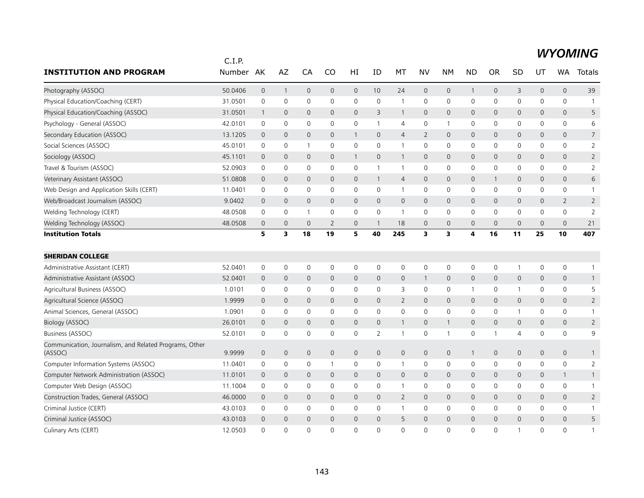|                                                                   | C.I.P.        |                     |                     |                |                |                     |                |                |                |                |                     |                |              |                     |                     |                 |
|-------------------------------------------------------------------|---------------|---------------------|---------------------|----------------|----------------|---------------------|----------------|----------------|----------------|----------------|---------------------|----------------|--------------|---------------------|---------------------|-----------------|
| <b>INSTITUTION AND PROGRAM</b>                                    | <b>Number</b> | AK                  | AZ                  | CA             | CO             | HI                  | ID             | MT             | <b>NV</b>      | <b>NM</b>      | <b>ND</b>           | <b>OR</b>      | SD           | UT                  | WA.                 | Totals          |
| Photography (ASSOC)                                               | 50.0406       | $\mathsf{O}\xspace$ | $\overline{1}$      | $\mathbf 0$    | $\mathsf{O}$   | $\mathsf{O}\xspace$ | 10             | 24             | $\mathbf 0$    | $\mathbf 0$    | $\mathbf{1}$        | $\mathsf{O}$   | 3            | $\mathsf{O}\xspace$ | $\mathsf{O}\xspace$ | 39              |
| Physical Education/Coaching (CERT)                                | 31.0501       | $\mathbf 0$         | $\mathsf{O}\xspace$ | $\mathbf 0$    | $\mathbf 0$    | 0                   | 0              | $\mathbf{1}$   | $\mathbf 0$    | 0              | 0                   | 0              | 0            | $\mathsf{O}\xspace$ | 0                   | $\mathbf{1}$    |
| Physical Education/Coaching (ASSOC)                               | 31.0501       | $\mathbf{1}$        | $\mathbf 0$         | $\mathbf 0$    | $\mathbf{0}$   | $\mathbf{0}$        | 3              | $\mathbf{1}$   | $\mathbf{0}$   | 0              | $\mathsf{O}$        | $\mathbf{0}$   | 0            | 0                   | $\mathsf{O}$        | 5               |
| Psychology - General (ASSOC)                                      | 42.0101       | 0                   | 0                   | $\mathbf 0$    | 0              | 0                   | $\mathbf{1}$   | 4              | $\mathbf 0$    | $\overline{1}$ | 0                   | 0              | 0            | $\mathbf 0$         | $\mathsf{O}$        | 6               |
| Secondary Education (ASSOC)                                       | 13.1205       | $\mathbf 0$         | $\mathbf 0$         | $\mathbf{0}$   | $\mathbf 0$    | $\mathbf{1}$        | $\mathbf 0$    | $\overline{4}$ | $\overline{2}$ | 0              | $\mathbf{0}$        | $\mathbf 0$    | 0            | 0                   | $\mathsf{O}$        | $7\overline{ }$ |
| Social Sciences (ASSOC)                                           | 45.0101       | 0                   | 0                   | $\mathbf{1}$   | 0              | 0                   | 0              | $\mathbf{1}$   | 0              | 0              | 0                   | 0              | 0            | 0                   | 0                   | $\overline{2}$  |
| Sociology (ASSOC)                                                 | 45.1101       | $\mathbf 0$         | $\mathbf 0$         | $\mathbf 0$    | $\mathbf 0$    | $\mathbf{1}$        | $\mathbf 0$    | $\mathbf{1}$   | $\mathsf{O}$   | 0              | $\mathbf 0$         | $\mathbf{0}$   | 0            | 0                   | $\mathsf{O}$        | $\overline{2}$  |
| Travel & Tourism (ASSOC)                                          | 52.0903       | $\mathbf 0$         | 0                   | $\mathbf 0$    | 0              | $\mathbf 0$         | $\mathbf{1}$   | $\mathbf{1}$   | $\mathbf 0$    | $\mathsf 0$    | 0                   | 0              | 0            | 0                   | 0                   | $\overline{2}$  |
| Veterinary Assistant (ASSOC)                                      | 51.0808       | $\mathbf 0$         | $\mathbf 0$         | $\mathbf 0$    | $\mathbf 0$    | $\mathbf 0$         | $\mathbf{1}$   | $\overline{4}$ | $\mathsf{O}$   | 0              | $\mathsf{O}$        | $\mathbf{1}$   | 0            | 0                   | $\mathsf{O}$        | 6               |
| Web Design and Application Skills (CERT)                          | 11.0401       | $\mathbf 0$         | $\mathbf 0$         | $\mathbf 0$    | $\mathbf 0$    | 0                   | $\mathbf 0$    | $\mathbf{1}$   | $\mathbf 0$    | $\mathbf 0$    | 0                   | $\mathbf 0$    | 0            | $\mathbf 0$         | $\mathsf{O}$        | $\mathbf{1}$    |
| Web/Broadcast Journalism (ASSOC)                                  | 9.0402        | $\mathbf 0$         | $\mathbf 0$         | $\mathbf{0}$   | $\mathbf{0}$   | $\mathbf 0$         | $\mathbf{0}$   | $\mathsf{O}$   | $\mathbf{0}$   | $\mathbf 0$    | $\mathsf{O}$        | $\mathbf 0$    | 0            | 0                   | $\overline{2}$      | $\overline{2}$  |
| Welding Technology (CERT)                                         | 48.0508       | $\mathbf 0$         | $\mathbf 0$         | $\overline{1}$ | $\mathbf 0$    | 0                   | $\mathbf 0$    | $\mathbf{1}$   | $\mathbf 0$    | 0              | $\mathsf 0$         | 0              | 0            | 0                   | $\mathsf{O}$        | $\overline{2}$  |
| Welding Technology (ASSOC)                                        | 48.0508       | $\mathbf 0$         | $\mathbf 0$         | $\overline{0}$ | $\overline{2}$ | 0                   | $\mathbf{1}$   | 18             | $\mathbf{0}$   | 0              | $\overline{0}$      | $\overline{0}$ | 0            | 0                   | $\mathsf{O}\xspace$ | 21              |
| <b>Institution Totals</b>                                         |               | 5                   | 3                   | 18             | 19             | 5                   | 40             | 245            | 3              | 3              | 4                   | 16             | 11           | 25                  | 10                  | 407             |
| <b>SHERIDAN COLLEGE</b>                                           |               |                     |                     |                |                |                     |                |                |                |                |                     |                |              |                     |                     |                 |
| Administrative Assistant (CERT)                                   | 52.0401       | $\mathbf 0$         | $\mathsf{O}\xspace$ | $\mathbf 0$    | 0              | 0                   | 0              | 0              | $\mathbf 0$    | $\mathsf 0$    | $\mathsf{O}\xspace$ | 0              | $\mathbf{1}$ | 0                   | 0                   | $\mathbf{1}$    |
| Administrative Assistant (ASSOC)                                  | 52.0401       | $\mathbf 0$         | $\mathbf 0$         | $\mathbf 0$    | $\mathbf 0$    | 0                   | $\mathbf 0$    | $\mathsf{O}$   | $\overline{1}$ | $\mathbf 0$    | $\mathsf{O}$        | $\mathbf 0$    | 0            | 0                   | $\mathsf{O}$        | $\mathbf{1}$    |
| Agricultural Business (ASSOC)                                     | 1.0101        | 0                   | 0                   | 0              | 0              | 0                   | 0              | 3              | $\mathbf 0$    | $\mathsf 0$    | 1                   | 0              | $\mathbf{1}$ | 0                   | 0                   | 5               |
| Agricultural Science (ASSOC)                                      | 1.9999        | $\overline{0}$      | $\mathbf 0$         | $\mathbf{0}$   | $\mathbf{0}$   | $\mathbf{0}$        | $\mathbf{0}$   | $\overline{2}$ | $\mathbf{0}$   | $\mathbf 0$    | $\mathsf{O}$        | $\mathbf{0}$   | 0            | $\mathbf{0}$        | $\mathbf{0}$        | $\overline{2}$  |
| Animal Sciences, General (ASSOC)                                  | 1.0901        | 0                   | $\mathbf 0$         | $\mathbf 0$    | $\mathbf 0$    | $\mathbf 0$         | $\mathbf 0$    | $\mathbf 0$    | $\mathsf{O}$   | 0              | $\mathbf 0$         | 0              | $\mathbf{1}$ | 0                   | $\mathsf{O}$        | $\mathbf{1}$    |
| <b>Biology (ASSOC)</b>                                            | 26.0101       | $\overline{0}$      | $\mathbf 0$         | $\mathbf{0}$   | $\mathbf{0}$   | $\mathbf 0$         | $\mathbf{0}$   | $\mathbf{1}$   | $\mathbf{0}$   | $\mathbf{1}$   | $\overline{0}$      | $\mathbf{0}$   | 0            | $\mathbf{0}$        | $\mathsf{O}$        | $\overline{2}$  |
| Business (ASSOC)                                                  | 52.0101       | $\mathbf 0$         | $\mathbf 0$         | $\mathbf 0$    | $\mathbf 0$    | 0                   | $\overline{2}$ | $\mathbf{1}$   | $\mathsf{O}$   | $\mathbf 1$    | 0                   |                | 4            | 0                   | $\mathsf{O}$        | 9               |
| Communication, Journalism, and Related Programs, Other<br>(ASSOC) | 9.9999        | $\mathbf 0$         | $\mathbf{0}$        | $\mathbf{0}$   | $\mathbf{0}$   | $\mathbf{0}$        | $\mathbf{0}$   | $\mathbf{0}$   | $\mathbf{0}$   | $\mathbf 0$    | $\mathbf{1}$        | $\mathbf 0$    | $\mathsf{O}$ | $\mathbf{0}$        | $\mathbf{0}$        | $\mathbf{1}$    |
| Computer Information Systems (ASSOC)                              | 11.0401       | 0                   | 0                   | $\mathbf 0$    |                | 0                   | 0              | $\mathbf{1}$   | $\mathbf 0$    | $\mathbf 0$    | 0                   | 0              | 0            | 0                   | $\mathbf 0$         | $\overline{2}$  |
| Computer Network Administration (ASSOC)                           | 11.0101       | $\mathbf 0$         | $\mathbf 0$         | $\mathbf{0}$   | $\mathbf{0}$   | $\mathbf 0$         | $\mathbf{0}$   | $\mathbf{0}$   | $\mathbf{0}$   | $\mathbf 0$    | $\mathbf{0}$        | $\mathbf 0$    | 0            | 0                   | $\mathbf{1}$        | $\mathbf{1}$    |
| Computer Web Design (ASSOC)                                       | 11.1004       | $\mathbf 0$         | 0                   | $\mathbf{0}$   | $\mathbf{0}$   | $\Omega$            | $\Omega$       | $\mathbf{1}$   | $\mathbf{0}$   | $\mathbf 0$    | 0                   | $\mathbf{0}$   | 0            | $\Omega$            | $\mathsf{O}$        | 1               |
| Construction Trades, General (ASSOC)                              | 46.0000       | $\overline{0}$      | $\mathbf 0$         | $\mathbf{0}$   | $\Omega$       | $\mathbf{0}$        | $\mathbf{0}$   | $\overline{2}$ | $\mathbf{0}$   | $\mathbf 0$    | $\Omega$            | $\Omega$       | $\mathsf{O}$ | $\Omega$            | $\mathbf{0}$        | $\overline{2}$  |
| Criminal Justice (CERT)                                           | 43.0103       | 0                   | 0                   | $\mathbf 0$    | 0              | 0                   | 0              | $\mathbf{1}$   | $\mathbf 0$    | 0              | $\mathbf 0$         | 0              | 0            | 0                   | $\mathsf{O}$        | $\mathbf{1}$    |
| Criminal Justice (ASSOC)                                          | 43.0103       | $\overline{0}$      | $\mathbf 0$         | $\mathbf{0}$   | $\Omega$       | $\mathbf 0$         | $\Omega$       | 5              | $\mathbf{0}$   | $\mathbf 0$    | $\mathbf 0$         | $\Omega$       | $\mathsf{O}$ | $\Omega$            | $\mathbf{0}$        | 5               |
| Culinary Arts (CERT)                                              | 12.0503       | $\Omega$            | $\Omega$            | $\Omega$       | $\Omega$       | $\Omega$            | $\Omega$       | $\Omega$       | $\Omega$       | $\Omega$       | $\Omega$            | $\Omega$       | $\mathbf 1$  | $\Omega$            | $\Omega$            | 1               |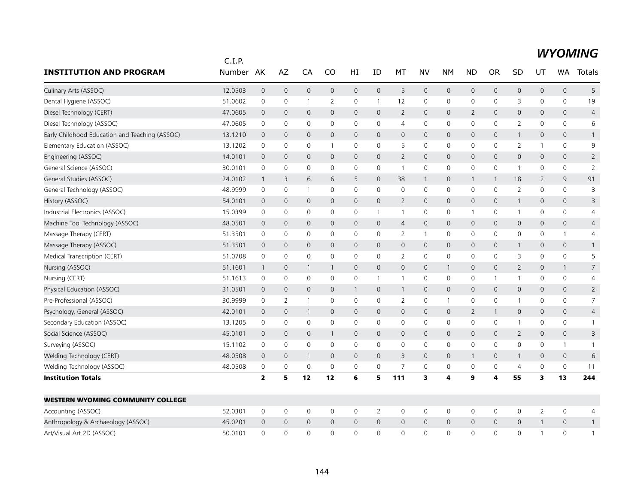|                                                | C.I.P.  |                         |                |                     |                |                     |                |                |                         |                         |                |              |                |                     |                     |                |
|------------------------------------------------|---------|-------------------------|----------------|---------------------|----------------|---------------------|----------------|----------------|-------------------------|-------------------------|----------------|--------------|----------------|---------------------|---------------------|----------------|
| <b>INSTITUTION AND PROGRAM</b>                 | Number  | AK                      | AZ             | CA                  | CO             | HI                  | ID             | МT             | NV                      | <b>NM</b>               | <b>ND</b>      | OR           | SD             | UT                  | <b>WA</b>           | Totals         |
| Culinary Arts (ASSOC)                          | 12.0503 | $\mathsf{O}\xspace$     | $\mathsf{O}$   | $\mathsf{O}\xspace$ | $\mathsf{O}$   | $\mathsf{O}\xspace$ | $\mathbf 0$    | 5              | $\mathbf 0$             | $\mathsf{O}\xspace$     | 0              | $\mathbf 0$  | 0              | $\mathsf{O}\xspace$ | $\mathbf 0$         | 5              |
| Dental Hygiene (ASSOC)                         | 51.0602 | $\mathsf 0$             | 0              | $\mathbf{1}$        | $\overline{2}$ | 0                   | $\mathbf{1}$   | 12             | $\mathbf 0$             | 0                       | 0              | 0            | 3              | $\mathbf 0$         | 0                   | 19             |
| Diesel Technology (CERT)                       | 47.0605 | $\mathbf 0$             | $\mathbf{0}$   | $\mathbf{0}$        | $\mathbf 0$    | $\mathbf 0$         | $\mathbf{0}$   | $\overline{2}$ | $\mathbf{0}$            | $\mathbf 0$             | $\overline{2}$ | $\mathbf 0$  | $\mathbf{0}$   | $\mathbf 0$         | $\mathbf{0}$        | 4              |
| Diesel Technology (ASSOC)                      | 47.0605 | 0                       | 0              | 0                   | 0              | 0                   | 0              | $\overline{4}$ | $\mathbf 0$             | $\mathbf 0$             | 0              | 0            | 2              | 0                   | 0                   | 6              |
| Early Childhood Education and Teaching (ASSOC) | 13.1210 | $\mathbf 0$             | $\mathbf 0$    | $\mathbf 0$         | $\mathbf 0$    | 0                   | $\mathbf 0$    | $\mathbf 0$    | $\mathbf 0$             | $\mathbf 0$             | 0              | 0            | $\mathbf{1}$   | $\mathbf 0$         | 0                   | $\mathbf{1}$   |
| Elementary Education (ASSOC)                   | 13.1202 | $\mathbf 0$             | $\mathbf 0$    | $\mathbf 0$         | $\mathbf{1}$   | $\mathbf 0$         | $\mathbf 0$    | 5              | $\mathbf 0$             | $\mathbf 0$             | 0              | 0            | $\overline{2}$ | $\mathbf{1}$        | $\mathbf 0$         | 9              |
| Engineering (ASSOC)                            | 14.0101 | $\mathbf 0$             | $\mathbf{0}$   | 0                   | $\mathbf{0}$   | $\mathsf{O}$        | $\mathbf{0}$   | 2              | $\mathbf{0}$            | $\mathbf 0$             | $\mathsf{O}$   | 0            | $\mathbf{0}$   | $\mathbf{0}$        | $\overline{0}$      | $\overline{2}$ |
| General Science (ASSOC)                        | 30.0101 | 0                       | $\mathbf 0$    | 0                   | 0              | 0                   | 0              | $\mathbf{1}$   | 0                       | 0                       | 0              | 0            | $\mathbf{1}$   | 0                   | 0                   | $\overline{2}$ |
| General Studies (ASSOC)                        | 24.0102 | $\overline{1}$          | 3              | 6                   | 6              | 5                   | $\mathbf{0}$   | 38             | $\mathbf{1}$            | $\mathbf 0$             | $\mathbf{1}$   |              | 18             | 2                   | 9                   | 91             |
| General Technology (ASSOC)                     | 48.9999 | 0                       | 0              | $\overline{1}$      | 0              | 0                   | 0              | 0              | $\mathbf 0$             | 0                       | 0              | $\mathbf 0$  | 2              | 0                   | $\mathbf 0$         | 3              |
| History (ASSOC)                                | 54.0101 | $\overline{0}$          | $\mathbf{0}$   | $\mathbf{0}$        | $\mathbf{0}$   | $\mathbf 0$         | $\mathbf{0}$   | $\overline{2}$ | $\mathbf{0}$            | $\mathbf{0}$            | $\mathsf{O}$   | $\mathbf{0}$ | $\mathbf{1}$   | $\mathbf{0}$        | $\mathbf{0}$        | 3              |
| Industrial Electronics (ASSOC)                 | 15.0399 | $\mathsf 0$             | $\mathbf 0$    | 0                   | $\mathbf 0$    | $\mathbf 0$         | $\mathbf{1}$   | $\mathbf{1}$   | 0                       | 0                       | $\mathbf{1}$   | $\mathbf 0$  | $\mathbf{1}$   | $\mathbf 0$         | 0                   | 4              |
| Machine Tool Technology (ASSOC)                | 48.0501 | $\mathbf 0$             | $\mathbf 0$    | $\mathbf 0$         | $\mathsf{O}$   | $\mathbf 0$         | $\mathbf 0$    | $\overline{4}$ | $\mathbf 0$             | $\mathsf{O}\xspace$     | 0              | $\mathbf{0}$ | 0              | $\mathbf 0$         | $\mathsf{O}$        | $\overline{4}$ |
| Massage Therapy (CERT)                         | 51.3501 | 0                       | $\mathbf 0$    | 0                   | $\mathbf{0}$   | 0                   | 0              | 2              | $\overline{1}$          | $\mathbf 0$             | 0              | 0            | 0              | 0                   | $\mathbf{1}$        | 4              |
| Massage Therapy (ASSOC)                        | 51.3501 | $\mathbf 0$             | $\mathbf 0$    | $\mathbf 0$         | $\mathbf 0$    | 0                   | $\mathbf 0$    | $\mathsf{O}$   | $\mathbf 0$             | 0                       | 0              | 0            | $\mathbf{1}$   | 0                   | 0                   | $\mathbf{1}$   |
| Medical Transcription (CERT)                   | 51.0708 | $\mathsf 0$             | $\mathbf 0$    | $\mathbf 0$         | $\mathbf 0$    | $\mathsf 0$         | $\mathbf 0$    | $\overline{2}$ | $\mathbf 0$             | $\mathbf 0$             | 0              | 0            | 3              | $\mathbf 0$         | 0                   | 5              |
| Nursing (ASSOC)                                | 51.1601 | $\overline{1}$          | $\mathbf 0$    | 1                   | 1              | $\mathbf 0$         | $\mathbf{0}$   | $\mathbf{0}$   | $\mathbf{0}$            | $\mathbf{1}$            | 0              | 0            | $\overline{2}$ | $\mathbf{0}$        | 1                   | $\overline{7}$ |
| Nursing (CERT)                                 | 51.1613 | 0                       | $\mathbf 0$    | 0                   | $\mathbf{0}$   | 0                   | $\mathbf{1}$   | $\mathbf{1}$   | $\mathbf 0$             | 0                       | 0              | 1            | $\mathbf{1}$   | 0                   | 0                   | 4              |
| Physical Education (ASSOC)                     | 31.0501 | $\mathbf 0$             | $\overline{0}$ | $\mathbf 0$         | $\mathsf{O}$   | $\mathbf{1}$        | $\mathbf 0$    | $\mathbf{1}$   | $\mathbf 0$             | 0                       | 0              | $\mathbf{0}$ | 0              | $\mathbf 0$         | $\mathbf 0$         | $\overline{2}$ |
| Pre-Professional (ASSOC)                       | 30.9999 | $\mathsf 0$             | 2              | $\overline{1}$      | $\mathbf 0$    | 0                   | $\mathbf 0$    | 2              | $\mathbf 0$             | $\mathbf{1}$            | 0              | 0            | 1              | 0                   | 0                   | $\overline{7}$ |
| Psychology, General (ASSOC)                    | 42.0101 | $\mathbf 0$             | $\mathbf 0$    | $\mathbf{1}$        | $\overline{0}$ | 0                   | $\mathbf 0$    | $\mathsf{O}$   | $\mathbf 0$             | $\mathbf 0$             | $\overline{2}$ |              | 0              | 0                   | 0                   | 4              |
| Secondary Education (ASSOC)                    | 13.1205 | $\mathsf 0$             | 0              | $\mathsf 0$         | 0              | $\mathsf 0$         | $\mathbf 0$    | 0              | $\mathbf 0$             | $\mathbf 0$             | 0              | 0            | $\mathbf{1}$   | 0                   | 0                   | $\mathbf{1}$   |
| Social Science (ASSOC)                         | 45.0101 | $\mathbf 0$             | $\mathbf 0$    | $\mathbf 0$         | 1              | $\mathbf 0$         | $\mathbf{0}$   | $\mathsf{O}$   | $\mathsf{O}$            | $\mathbf 0$             | 0              | $\mathbf{0}$ | $\overline{2}$ | $\mathbf{0}$        | 0                   | 3              |
| Surveying (ASSOC)                              | 15.1102 | 0                       | 0              | 0                   | 0              | $\mathsf{O}\xspace$ | $\mathbf 0$    | $\mathsf{O}$   | $\mathbf 0$             | $\mathsf 0$             | 0              | 0            | 0              | 0                   | $\mathbf{1}$        | $\mathbf{1}$   |
| Welding Technology (CERT)                      | 48.0508 | $\mathbf 0$             | $\mathbf{0}$   | $\mathbf{1}$        | $\mathbf 0$    | $\mathbf 0$         | $\Omega$       | 3              | $\mathbf{0}$            | $\mathbf{0}$            | $\mathbf{1}$   | 0            | $\mathbf{1}$   | $\mathbf{0}$        | $\mathbf{0}$        | 6              |
| Welding Technology (ASSOC)                     | 48.0508 | 0                       | 0              | 0                   | 0              | 0                   | 0              | $\overline{7}$ | 0                       | 0                       | 0              | 0            | 4              | 0                   | 0                   | 11             |
| <b>Institution Totals</b>                      |         | $\overline{\mathbf{2}}$ | 5              | 12                  | 12             | 6                   | 5              | 111            | $\overline{\mathbf{3}}$ | $\overline{\mathbf{4}}$ | 9              | 4            | 55             | 3                   | 13                  | 244            |
| <b>WESTERN WYOMING COMMUNITY COLLEGE</b>       |         |                         |                |                     |                |                     |                |                |                         |                         |                |              |                |                     |                     |                |
| Accounting (ASSOC)                             | 52.0301 | $\mathsf 0$             | $\mathbf 0$    | 0                   | 0              | $\mathsf 0$         | $\overline{2}$ | 0              | $\mathbf 0$             | 0                       | 0              | 0            | 0              | $\overline{2}$      | $\mathsf 0$         | 4              |
| Anthropology & Archaeology (ASSOC)             | 45.0201 | $\mathbf 0$             | $\mathbf{0}$   | $\mathbf{0}$        | $\mathbf{0}$   | $\overline{0}$      | $\mathbf{0}$   | $\mathbf{0}$   | $\mathbf{0}$            | $\mathbf{0}$            | $\mathbf 0$    | 0            | 0              | $\mathbf{1}$        | $\mathsf{O}\xspace$ | $\mathbf{1}$   |
| Art/Visual Art 2D (ASSOC)                      | 50.0101 | $\Omega$                | $\Omega$       | $\Omega$            | $\Omega$       | $\Omega$            | $\Omega$       | $\Omega$       | $\Omega$                | $\Omega$                | $\Omega$       | $\Omega$     | $\mathbf 0$    | $\mathbf{1}$        | $\Omega$            | $\mathbf{1}$   |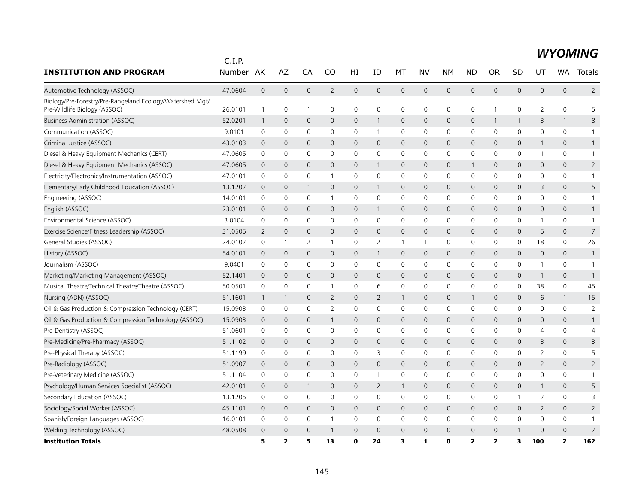|                                                                                           | C.I.P.  |                |                |                |                |              |                |                |              |              |                         |                         |                |                |                |                 |
|-------------------------------------------------------------------------------------------|---------|----------------|----------------|----------------|----------------|--------------|----------------|----------------|--------------|--------------|-------------------------|-------------------------|----------------|----------------|----------------|-----------------|
| <b>INSTITUTION AND PROGRAM</b>                                                            | Number  | AK             | AZ             | CA             | CO             | HI           | ID             | МT             | NV           | <b>NM</b>    | <b>ND</b>               | <b>OR</b>               | SD             | UT             | <b>WA</b>      | Totals          |
| Automotive Technology (ASSOC)                                                             | 47.0604 | $\mathbf 0$    | $\overline{0}$ | $\overline{0}$ | $\overline{2}$ | $\mathbf 0$  | $\mathbf{0}$   | $\overline{0}$ | $\mathbf{0}$ | $\mathbf{0}$ | $\mathbf{0}$            | 0                       | $\overline{0}$ | 0              | $\mathbf{0}$   | $2^{\circ}$     |
| Biology/Pre-Forestry/Pre-Rangeland Ecology/Watershed Mgt/<br>Pre-Wildlife Biology (ASSOC) | 26.0101 | 1              | 0              | $\overline{1}$ | 0              | 0            | 0              | 0              | 0            | $\mathsf{O}$ | $\mathbf 0$             | 1                       | 0              | 2              | 0              | 5               |
| <b>Business Administration (ASSOC)</b>                                                    | 52.0201 | 1              | $\mathbf 0$    | $\overline{0}$ | $\mathbf{0}$   | 0            | $\mathbf{1}$   | $\mathbf{0}$   | $\mathbf{0}$ | $\mathbf 0$  | $\mathbf{0}$            | $\mathbf{1}$            | 1              | 3              | $\mathbf{1}$   | 8               |
| Communication (ASSOC)                                                                     | 9.0101  | 0              | $\mathbf 0$    | $\mathbf 0$    | 0              | 0            | 1              | $\mathbf 0$    | 0            | $\mathbf 0$  | $\mathbf 0$             | $\mathbf 0$             | $\mathbf 0$    | 0              | 0              | $\mathbf{1}$    |
| Criminal Justice (ASSOC)                                                                  | 43.0103 | $\mathbf 0$    | $\overline{0}$ | $\mathbf{0}$   | $\mathbf{0}$   | $\mathsf{O}$ | 0              | $\mathbf{0}$   | $\mathbf{0}$ | $\mathbf{0}$ | $\mathbf 0$             | 0                       | $\mathbf{0}$   | $\mathbf{1}$   | $\mathbf{0}$   | $\mathbf{1}$    |
| Diesel & Heavy Equipment Mechanics (CERT)                                                 | 47.0605 | 0              | $\mathbf 0$    | $\mathbf 0$    | $\Omega$       | 0            | 0              | $\mathbf 0$    | $\mathbf 0$  | $\mathbf 0$  | 0                       | 0                       | 0              | 1              | $\Omega$       | $\mathbf{1}$    |
| Diesel & Heavy Equipment Mechanics (ASSOC)                                                | 47.0605 | $\mathbf 0$    | $\overline{0}$ | $\mathbf{0}$   | $\mathbf{0}$   | $\mathsf{O}$ | $\mathbf{1}$   | $\mathbf{0}$   | $\mathbf{0}$ | $\mathbf{0}$ | 1                       | $\mathbf{0}$            | $\mathbf{0}$   | $\mathbf{0}$   | $\mathbf{0}$   | $\overline{2}$  |
| Electricity/Electronics/Instrumentation (ASSOC)                                           | 47.0101 | 0              | 0              | $\mathbf 0$    | -1             | 0            | 0              | 0              | 0            | 0            | $\mathbf 0$             | 0                       | 0              | 0              | 0              | $\mathbf{1}$    |
| Elementary/Early Childhood Education (ASSOC)                                              | 13.1202 | 0              | $\mathbf 0$    | -1             | $\overline{0}$ | 0            | $\mathbf{1}$   | 0              | $\mathsf{O}$ | $\mathbf 0$  | $\mathbf 0$             | 0                       | $\mathbf{0}$   | 3              | $\mathbf{0}$   | 5               |
| Engineering (ASSOC)                                                                       | 14.0101 | 0              | 0              | 0              | -1             | 0            | 0              | $\mathbf 0$    | 0            | 0            | $\mathbf 0$             | 0                       | 0              | 0              | 0              |                 |
| English (ASSOC)                                                                           | 23.0101 | 0              | $\mathbf 0$    | $\mathbf 0$    | 0              | 0            | $\mathbf{1}$   | $\mathbf 0$    | 0            | $\mathbf 0$  | $\mathbf 0$             | 0                       | $\mathsf{O}$   | 0              | 0              | $\mathbf{1}$    |
| Environmental Science (ASSOC)                                                             | 3.0104  | 0              | $\mathbf 0$    | $\mathbf 0$    | 0              | 0            | 0              | $\mathbf 0$    | 0            | 0            | $\mathbf 0$             | 0                       | 0              | 1              | 0              | $\mathbf{1}$    |
| Exercise Science/Fitness Leadership (ASSOC)                                               | 31.0505 | $\overline{2}$ | $\overline{0}$ | $\mathbf{0}$   | $\mathbf{0}$   | $\mathsf{O}$ | 0              | $\overline{0}$ | $\mathbf{0}$ | $\mathbf{0}$ | $\mathbf 0$             | 0                       | $\mathbf{0}$   | 5              | $\mathbf{0}$   | $7\overline{ }$ |
| General Studies (ASSOC)                                                                   | 24.0102 | 0              | $\mathbf{1}$   | 2              | $\mathbf{1}$   | 0            | 2              | $\mathbf{1}$   | $\mathbf{1}$ | 0            | $\mathbf 0$             | 0                       | 0              | 18             | 0              | 26              |
| History (ASSOC)                                                                           | 54.0101 | $\mathbf 0$    | $\overline{0}$ | $\overline{0}$ | 0              | $\mathsf{O}$ | $\mathbf{1}$   | $\mathbf{0}$   | $\mathbf{0}$ | $\mathbf{0}$ | $\overline{0}$          | 0                       | $\mathbf{0}$   | $\mathbf{0}$   | $\mathbf{0}$   | $\mathbf{1}$    |
| Journalism (ASSOC)                                                                        | 9.0401  | 0              | $\mathbf 0$    | $\mathbf 0$    | 0              | 0            | 0              | $\mathbf 0$    | $\mathbf 0$  | $\mathbf 0$  | $\mathbf 0$             | 0                       | 0              | 1              | 0              |                 |
| Marketing/Marketing Management (ASSOC)                                                    | 52.1401 | $\mathbf{0}$   | $\mathbf 0$    | $\mathbf 0$    | $\mathbf 0$    | 0            | 0              | $\mathbf 0$    | $\mathbf{0}$ | $\mathbf{0}$ | $\mathbf{0}$            | $\mathbf 0$             | $\mathbf{0}$   | 1              | $\mathbf{0}$   | $\mathbf{1}$    |
| Musical Theatre/Technical Theatre/Theatre (ASSOC)                                         | 50.0501 | 0              | 0              | 0              | -1             | 0            | 6              | 0              | 0            | 0            | $\mathbf 0$             | 0                       | 0              | 38             | 0              | 45              |
| Nursing (ADN) (ASSOC)                                                                     | 51.1601 | 1              | $\mathbf{1}$   | $\mathbf 0$    | $\overline{2}$ | 0            | $\overline{2}$ | $\mathbf{1}$   | 0            | $\mathbf 0$  |                         | $\mathbf 0$             | $\mathbf 0$    | 6              | $\mathbf{1}$   | 15              |
| Oil & Gas Production & Compression Technology (CERT)                                      | 15.0903 | 0              | 0              | $\mathbf 0$    | $\overline{2}$ | 0            | 0              | 0              | $\mathbf 0$  | $\mathbf 0$  | $\mathbf 0$             | 0                       | 0              | 0              | 0              | $\overline{2}$  |
| Oil & Gas Production & Compression Technology (ASSOC)                                     | 15.0903 | $\mathbf{0}$   | $\mathbf 0$    | $\mathbf 0$    |                | 0            | 0              | $\mathbf{0}$   | $\mathbf{0}$ | $\mathbf{0}$ | $\mathbf 0$             | 0                       | $\mathsf{O}$   | 0              | $\mathbf{0}$   |                 |
| Pre-Dentistry (ASSOC)                                                                     | 51.0601 | 0              | 0              | $\mathbf 0$    | 0              | 0            | 0              | 0              | $\mathbf 0$  | $\mathsf{O}$ | 0                       | 0                       | 0              | 4              | 0              | 4               |
| Pre-Medicine/Pre-Pharmacy (ASSOC)                                                         | 51.1102 | $\mathbf 0$    | $\overline{0}$ | $\mathbf{0}$   | 0              | $\mathsf{O}$ | 0              | $\mathbf{0}$   | $\mathbf{0}$ | $\mathbf{0}$ | $\mathbf{0}$            | 0                       | $\mathbf{0}$   | 3              | $\mathbf{0}$   | 3               |
| Pre-Physical Therapy (ASSOC)                                                              | 51.1199 | 0              | $\mathbf 0$    | $\mathbf 0$    | 0              | 0            | 3              | 0              | $\mathbf 0$  | $\mathbf 0$  | $\mathbf 0$             | 0                       | $\mathbf 0$    | $\overline{2}$ | 0              | 5               |
| Pre-Radiology (ASSOC)                                                                     | 51.0907 | $\mathbf{0}$   | $\mathbf{0}$   | $\mathbf{0}$   | $\mathbf{0}$   | $\mathsf{O}$ | 0              | $\overline{0}$ | $\mathbf{0}$ | $\mathbf{0}$ | $\mathbf 0$             | 0                       | $\mathbf{0}$   | $\overline{2}$ | $\mathbf{0}$   | $\overline{2}$  |
| Pre-Veterinary Medicine (ASSOC)                                                           | 51.1104 | 0              | $\mathbf 0$    | $\mathbf 0$    | 0              | 0            | $\mathbf{1}$   | $\mathbf 0$    | 0            | 0            | 0                       | 0                       | 0              | 0              | 0              | -1              |
| Psychology/Human Services Specialist (ASSOC)                                              | 42.0101 | $\mathbf{0}$   | $\mathbf 0$    | -1             | $\mathbf 0$    | 0            | 2              | $\mathbf{1}$   | 0            | $\mathbf 0$  | $\mathbf{0}$            | 0                       | $\mathsf{O}$   | $\mathbf{1}$   | 0              | 5               |
| Secondary Education (ASSOC)                                                               | 13.1205 | 0              | 0              | $\mathbf 0$    | 0              | 0            | 0              | 0              | $\mathbf 0$  | 0            | 0                       | 0                       | 1              | 2              | 0              | 3               |
| Sociology/Social Worker (ASSOC)                                                           | 45.1101 | $\mathbf{0}$   | $\mathbf 0$    | $\mathbf{0}$   | $\mathbf{0}$   | 0            | 0              | $\overline{0}$ | $\mathbf{0}$ | $\mathbf 0$  | $\mathbf{0}$            | 0                       | $\mathsf{O}$   | 2              | 0              | $\overline{2}$  |
| Spanish/Foreign Languages (ASSOC)                                                         | 16.0101 | 0              | 0              | $\mathbf 0$    |                | 0            | 0              | 0              | 0            | 0            | $\mathbf 0$             | 0                       | 0              | 0              | 0              | 1               |
| Welding Technology (ASSOC)                                                                | 48.0508 | 0              | $\mathbf 0$    | $\overline{0}$ |                | $\mathbf 0$  | $\Omega$       | $\overline{0}$ | $\mathbf{0}$ | $\mathbf{0}$ | $\overline{0}$          | 0                       |                | 0              | $\overline{0}$ | $\overline{2}$  |
| <b>Institution Totals</b>                                                                 |         | 5              | $\overline{2}$ | 5              | 13             | $\mathbf{0}$ | 24             | 3              | 1            | $\mathbf{0}$ | $\overline{\mathbf{2}}$ | $\overline{\mathbf{2}}$ | 3              | 100            | $\overline{2}$ | 162             |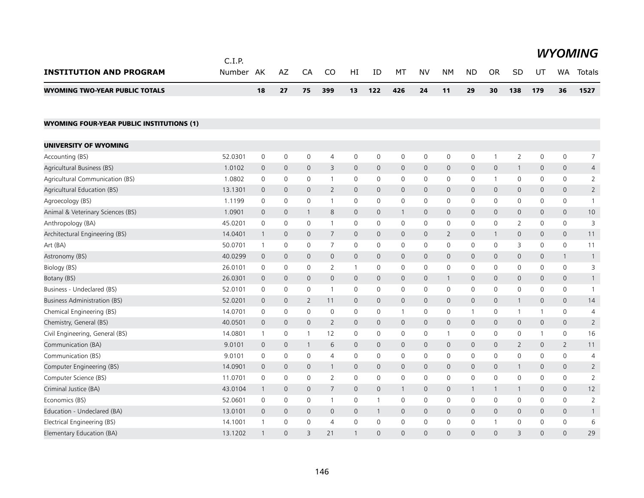|                                                  | C.I.P.    |                     |                     |                     |                |                     |                     |              |              |                     |                |                |                |                     |                     | <b>WYOMING</b> |
|--------------------------------------------------|-----------|---------------------|---------------------|---------------------|----------------|---------------------|---------------------|--------------|--------------|---------------------|----------------|----------------|----------------|---------------------|---------------------|----------------|
| <b>INSTITUTION AND PROGRAM</b>                   | Number AK |                     | AZ                  | CA                  | CO             | HI                  | ID                  | МT           | <b>NV</b>    | <b>NM</b>           | <b>ND</b>      | <b>OR</b>      | SD             | UT                  | WA                  | Totals         |
| <b>WYOMING TWO-YEAR PUBLIC TOTALS</b>            |           | 18                  | 27                  | 75                  | 399            | 13                  | 122                 | 426          | 24           | 11                  | 29             | 30             | 138            | 179                 | 36                  | 1527           |
| <b>WYOMING FOUR-YEAR PUBLIC INSTITUTIONS (1)</b> |           |                     |                     |                     |                |                     |                     |              |              |                     |                |                |                |                     |                     |                |
| UNIVERSITY OF WYOMING                            |           |                     |                     |                     |                |                     |                     |              |              |                     |                |                |                |                     |                     |                |
| Accounting (BS)                                  | 52.0301   | 0                   | 0                   | 0                   | $\overline{4}$ | 0                   | 0                   | 0            | 0            | 0                   | 0              | $\overline{1}$ | 2              | 0                   | 0                   | 7              |
| Agricultural Business (BS)                       | 1.0102    | 0                   | $\mathbf 0$         | $\mathbf 0$         | 3              | $\mathsf{O}$        | 0                   | $\mathbf 0$  | 0            | $\mathsf{O}$        | $\mathbf 0$    | $\mathbf 0$    | $\mathbf{1}$   | 0                   | 0                   | $\overline{4}$ |
| Agricultural Communication (BS)                  | 1.0802    | $\mathbf 0$         | $\mathsf{O}\xspace$ | $\mathsf{O}\xspace$ | $\mathbf{1}$   | $\mathsf{O}$        | 0                   | $\mathbf 0$  | $\mathbf 0$  | $\mathsf{O}$        | $\mathbf 0$    | $\overline{1}$ | $\mathsf{O}$   | 0                   | 0                   | $\overline{2}$ |
| Agricultural Education (BS)                      | 13.1301   | $\mathbf{0}$        | $\overline{0}$      | $\mathbf{0}$        | $\overline{2}$ | 0                   | $\mathbf{0}$        | $\mathsf{O}$ | $\mathsf{O}$ | $\overline{0}$      | $\mathbf{0}$   | $\mathbf{0}$   | $\overline{0}$ | $\mathbf{0}$        | $\mathsf{O}$        | $\overline{2}$ |
| Agroecology (BS)                                 | 1.1199    | 0                   | 0                   | 0                   | $\mathbf{1}$   | 0                   | 0                   | 0            | 0            | 0                   | 0              | $\mathbf 0$    | 0              | 0                   | 0                   | $\mathbf{1}$   |
| Animal & Veterinary Sciences (BS)                | 1.0901    | $\mathsf{O}$        | $\mathbf 0$         | $\mathbf{1}$        | 8              | $\mathsf{O}$        | 0                   | $\mathbf{1}$ | 0            | $\mathbf 0$         | $\mathbf 0$    | $\mathbf{0}$   | $\mathsf{O}$   | 0                   | 0                   | 10             |
| Anthropology (BA)                                | 45.0201   | $\mathbf 0$         | $\mathsf{O}\xspace$ | $\mathbf 0$         | $\mathbf{1}$   | 0                   | 0                   | 0            | $\mathbf 0$  | $\mathsf{O}$        | $\mathbf 0$    | $\mathbf 0$    | 2              | 0                   | 0                   | 3              |
| Architectural Engineering (BS)                   | 14.0401   | $\mathbf{1}$        | $\mathsf{O}\xspace$ | $\mathbf{0}$        | $\overline{7}$ | $\mathbf{O}$        | $\mathbf{0}$        | $\mathbf{0}$ | $\mathbf{0}$ | $\overline{2}$      | $\mathsf{O}$   | 1              | $\overline{0}$ | $\mathsf{O}$        | $\mathsf{O}$        | 11             |
| Art (BA)                                         | 50.0701   | $\mathbf{1}$        | 0                   | 0                   | 7              | 0                   | 0                   | 0            | 0            | 0                   | 0              | 0              | 3              | 0                   | 0                   | 11             |
| Astronomy (BS)                                   | 40.0299   | $\mathsf{O}$        | $\mathbf 0$         | $\mathbf 0$         | $\mathbf 0$    | $\mathsf{O}$        | 0                   | $\mathbf 0$  | 0            | $\mathsf{O}$        | $\mathbf 0$    | $\mathbf 0$    | $\mathsf{O}$   | 0                   | $\mathbf{1}$        | $\overline{1}$ |
| Biology (BS)                                     | 26.0101   | $\mathbf 0$         | $\mathsf{O}\xspace$ | $\mathbf 0$         | 2              | $\mathbf{1}$        | 0                   | $\mathbf 0$  | $\mathbf 0$  | $\mathsf{O}$        | $\mathbf 0$    | $\mathbf 0$    | $\mathsf{O}$   | 0                   | 0                   | 3              |
| Botany (BS)                                      | 26.0301   | $\mathsf{O}\xspace$ | $\mathsf{O}\xspace$ | $\mathsf{O}\xspace$ | $\mathbf 0$    | $\mathsf{O}\xspace$ | $\mathsf{O}\xspace$ | $\mathsf{O}$ | 0            | $\mathbf{1}$        | $\mathbf 0$    | $\mathbf 0$    | $\mathsf{O}$   | $\mathsf{O}\xspace$ | 0                   |                |
| Business - Undeclared (BS)                       | 52.0101   | 0                   | 0                   | 0                   | $\mathbf{1}$   | 0                   | 0                   | 0            | 0            | 0                   | 0              | $\mathbf 0$    | 0              | 0                   | 0                   | -1             |
| Business Administration (BS)                     | 52.0201   | $\mathsf{O}$        | $\mathbf 0$         | $\overline{2}$      | 11             | $\mathsf{O}$        | 0                   | $\mathbf 0$  | 0            | $\mathsf{O}$        | $\mathbf 0$    | $\mathbf 0$    | $\mathbf{1}$   | 0                   | 0                   | 14             |
| Chemical Engineering (BS)                        | 14.0701   | $\mathsf{O}$        | $\mathbf 0$         | $\mathbf 0$         | $\mathbf 0$    | $\mathsf{O}$        | 0                   | $\mathbf{1}$ | $\mathbf 0$  | $\mathsf{O}$        | $\overline{1}$ | $\mathbf 0$    | $\mathbf{1}$   | 1                   | 0                   | 4              |
| Chemistry, General (BS)                          | 40.0501   | $\mathbf 0$         | $\mathbf 0$         | $\mathbf 0$         | $\overline{2}$ | $\mathsf{O}$        | 0                   | 0            | 0            | $\mathsf{O}$        | $\mathbf 0$    | $\mathbf 0$    | $\mathsf{O}$   | $\mathbf 0$         | $\mathsf{O}\xspace$ | $\overline{2}$ |
| Civil Engineering, General (BS)                  | 14.0801   | $\mathbf{1}$        | 0                   | $\mathbf{1}$        | 12             | 0                   | 0                   | 0            | 0            | $\mathbf{1}$        | 0              | 0              | 0              | -1                  | 0                   | 16             |
| Communication (BA)                               | 9.0101    | $\mathsf{O}$        | $\mathbf 0$         | $\mathbf{1}$        | 6              | $\mathsf{O}$        | $\mathbf{0}$        | $\mathbf 0$  | $\mathbf{0}$ | $\mathsf{O}$        | $\mathbf 0$    | $\mathbf{0}$   | $\overline{2}$ | $\mathbf 0$         | $\overline{2}$      | 11             |
| Communication (BS)                               | 9.0101    | $\mathbf 0$         | $\mathbf 0$         | $\mathbf 0$         | $\overline{4}$ | $\mathbf 0$         | 0                   | $\mathbf 0$  | $\mathbf 0$  | $\mathbf 0$         | $\mathbf 0$    | $\mathbf 0$    | $\mathbf 0$    | $\mathbf 0$         | 0                   | $\overline{4}$ |
| Computer Engineering (BS)                        | 14.0901   | $\overline{0}$      | $\mathbf 0$         | $\mathbf 0$         | $\mathbf{1}$   | $\mathsf{O}$        | 0                   | 0            | 0            | $\mathsf{O}$        | $\mathbf 0$    | $\mathbf 0$    | $\mathbf{1}$   | 0                   | 0                   | $\overline{2}$ |
| Computer Science (BS)                            | 11.0701   | 0                   | 0                   | 0                   | 2              | 0                   | 0                   | 0            | $\mathbf 0$  | 0                   | 0              | $\mathbf 0$    | 0              | 0                   | 0                   | $\overline{2}$ |
| Criminal Justice (BA)                            | 43.0104   | $\mathbf{1}$        | $\mathbf 0$         | $\mathsf{O}\xspace$ | $\overline{7}$ | $\mathsf{O}$        | 0                   | $\mathbf{1}$ | $\mathbf{0}$ | $\mathsf{O}$        | $\mathbf{1}$   | $\mathbf{1}$   | $\mathbf{1}$   | $\mathbf{0}$        | 0                   | 12             |
| Economics (BS)                                   | 52.0601   | $\mathbf 0$         | $\mathbf 0$         | $\mathbf 0$         | $\mathbf{1}$   | $\mathsf{O}$        | $\mathbf{1}$        | 0            | $\mathbf 0$  | $\mathsf{O}\xspace$ | $\mathbf 0$    | $\mathbf 0$    | $\mathbf 0$    | 0                   | 0                   | $\sqrt{2}$     |
| Education - Undeclared (BA)                      | 13.0101   | $\mathbf 0$         | $\mathbf 0$         | $\mathbf 0$         | $\mathbf 0$    | $\mathsf{O}$        | 1                   | 0            | 0            | $\mathsf{O}$        | $\mathbf 0$    | $\mathbf 0$    | $\mathsf{O}$   | 0                   | 0                   | 1              |
| Electrical Engineering (BS)                      | 14.1001   | $\mathbf{1}$        | 0                   | 0                   | $\overline{4}$ | 0                   | 0                   | 0            | $\mathbf 0$  | 0                   | 0              | $\mathbf{1}$   | 0              | 0                   | 0                   | 6              |
| Elementary Education (BA)                        | 13.1202   | $\mathbf{1}$        | $\Omega$            | $\overline{3}$      | 21             | $\mathbf{1}$        | $\Omega$            | $\Omega$     | $\Omega$     | $\Omega$            | $\Omega$       | $\Omega$       | 3              | $\overline{0}$      | $\Omega$            | 29             |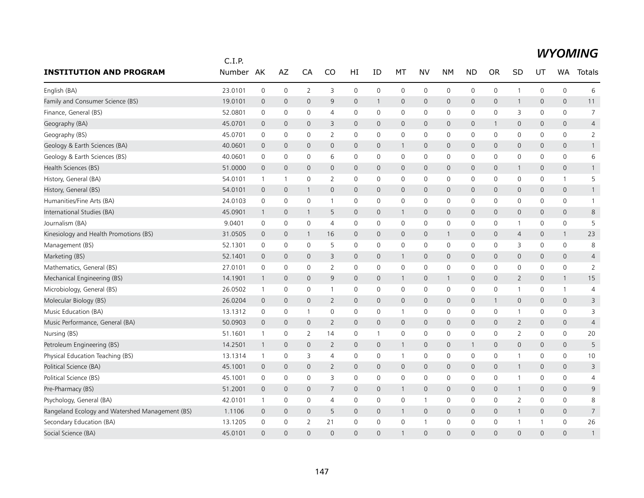|                                                 | C.I.P.  |                |              |                |                |                |              |                         |              |                     |              |                |                |              |                     |                |
|-------------------------------------------------|---------|----------------|--------------|----------------|----------------|----------------|--------------|-------------------------|--------------|---------------------|--------------|----------------|----------------|--------------|---------------------|----------------|
| <b>INSTITUTION AND PROGRAM</b>                  | Number  | AK             | AZ           | CA             | CO             | HI             | ID           | МT                      | <b>NV</b>    | <b>NM</b>           | <b>ND</b>    | <b>OR</b>      | SD             | UT           | <b>WA</b>           | Totals         |
| English (BA)                                    | 23.0101 | $\mathbf 0$    | $\mathbf 0$  | $\overline{2}$ | 3              | 0              | $\mathbf 0$  | $\mathbf 0$             | $\mathbf 0$  | 0                   | 0            | 0              | $\mathbf{1}$   | $\mathbf 0$  | $\mathbf 0$         | 6              |
| Family and Consumer Science (BS)                | 19.0101 | $\mathbf 0$    | $\mathbf{0}$ | $\mathbf{0}$   | 9              | $\mathbf{0}$   | $\mathbf{1}$ | $\mathbf 0$             | $\mathbf{0}$ | $\mathbf 0$         | $\mathbf{0}$ | $\mathbf{0}$   | $\mathbf{1}$   | $\mathbf{0}$ | $\mathbf{0}$        | 11             |
| Finance, General (BS)                           | 52.0801 | 0              | 0            | 0              | $\overline{4}$ | 0              | 0            | 0                       | 0            | 0                   | 0            | 0              | 3              | 0            | $\mathbf 0$         | $\overline{7}$ |
| Geography (BA)                                  | 45.0701 | $\overline{0}$ | $\mathbf 0$  | $\overline{0}$ | 3              | $\overline{0}$ | $\mathbf{0}$ | $\mathbf 0$             | $\mathbf 0$  | 0                   | $\mathsf{O}$ |                | 0              | 0            | $\mathsf{O}\xspace$ | $\overline{4}$ |
| Geography (BS)                                  | 45.0701 | 0              | $\mathbf 0$  | 0              | 2              | 0              | 0            | 0                       | $\mathbf 0$  | 0                   | 0            | $\mathbf 0$    | 0              | 0            | $\mathbf 0$         | 2              |
| Geology & Earth Sciences (BA)                   | 40.0601 | $\overline{0}$ | $\mathbf{0}$ | $\mathbf{0}$   | $\mathbf{0}$   | $\overline{0}$ | $\mathbf 0$  | $\mathbf{1}$            | $\mathbf{0}$ | $\mathbf 0$         | $\mathbf{0}$ | $\mathbf 0$    | 0              | $\mathbf{0}$ | $\mathbf{0}$        | $\mathbf{1}$   |
| Geology & Earth Sciences (BS)                   | 40.0601 | 0              | 0            | 0              | 6              | 0              | 0            | $\mathbf 0$             | $\mathbf 0$  | 0                   | 0            | 0              | 0              | 0            | 0                   | 6              |
| Health Sciences (BS)                            | 51.0000 | $\mathbf 0$    | $\mathbf{0}$ | $\overline{0}$ | $\mathbf{0}$   | $\mathsf{O}$   | $\mathbf{0}$ | $\mathbf 0$             | $\mathbf{0}$ | $\mathbf 0$         | $\mathbf{0}$ | $\mathbf{0}$   | $\mathbf{1}$   | $\mathbf 0$  | 0                   | $\mathbf{1}$   |
| History, General (BA)                           | 54.0101 | $\mathbf{1}$   | $\mathbf{1}$ | 0              | $\overline{2}$ | 0              | 0            | 0                       | 0            | 0                   | 0            | 0              | 0              | 0            | $\mathbf{1}$        | 5              |
| History, General (BS)                           | 54.0101 | $\mathbf 0$    | $\mathbf 0$  | $\mathbf{1}$   | $\mathbf{0}$   | 0              | $\mathbf{0}$ | $\mathbf 0$             | $\mathbf{0}$ | 0                   | $\mathbf{0}$ | $\mathbf{0}$   | 0              | $\mathbf 0$  | 0                   | $\mathbf{1}$   |
| Humanities/Fine Arts (BA)                       | 24.0103 | $\mathbf 0$    | $\mathbf 0$  | 0              | $\mathbf{1}$   | 0              | 0            | 0                       | $\mathbf 0$  | $\mathbf 0$         | 0            | 0              | 0              | 0            | 0                   | $\mathbf{1}$   |
| International Studies (BA)                      | 45.0901 | $\mathbf{1}$   | $\mathbf 0$  | $\mathbf{1}$   | 5              | 0              | $\mathbf 0$  | $\overline{1}$          | $\mathbf 0$  | $\mathsf{O}\xspace$ | $\mathsf{O}$ | $\mathbf{0}$   | 0              | $\mathbf{0}$ | $\mathsf{O}$        | 8              |
| Journalism (BA)                                 | 9.0401  | 0              | 0            | 0              | $\overline{4}$ | 0              | 0            | 0                       | $\mathbf 0$  | 0                   | 0            | 0              | $\mathbf{1}$   | 0            | 0                   | 5              |
| Kinesiology and Health Promotions (BS)          | 31.0505 | $\overline{0}$ | $\mathbf 0$  | $\mathbf{1}$   | 16             | 0              | $\mathbf 0$  | $\mathbf 0$             | $\mathbf 0$  | $\mathbf{1}$        | $\mathsf{O}$ | 0              | 4              | $\mathbf 0$  | $\mathbf{1}$        | 23             |
| Management (BS)                                 | 52.1301 | $\mathbf 0$    | $\mathbf 0$  | 0              | 5              | 0              | $\mathbf 0$  | $\mathbf 0$             | $\mathbf 0$  | 0                   | $\mathbf 0$  | 0              | 3              | $\mathbf 0$  | $\mathbf 0$         | 8              |
| Marketing (BS)                                  | 52.1401 | $\mathbf 0$    | $\mathbf 0$  | $\mathbf{0}$   | 3              | 0              | $\mathbf{0}$ | $\mathbf{1}$            | $\mathbf 0$  | $\mathbf 0$         | $\mathbf{0}$ | $\mathbf 0$    | 0              | $\mathbf 0$  | 0                   | $\overline{4}$ |
| Mathematics, General (BS)                       | 27.0101 | $\mathbf 0$    | $\mathbf 0$  | 0              | $\overline{2}$ | 0              | $\mathbf 0$  | 0                       | $\mathbf 0$  | $\mathbf 0$         | 0            | 0              | 0              | $\mathbf 0$  | $\mathbf 0$         | $\overline{2}$ |
| Mechanical Engineering (BS)                     | 14.1901 | $\overline{1}$ | $\mathbf 0$  | $\mathbf{0}$   | 9              | 0              | $\mathbf{0}$ | $\mathbf{1}$            | $\mathbf{0}$ | $\mathbf{1}$        | $\mathbf{0}$ | $\mathbf{0}$   | $\mathbf{2}$   | $\mathbf 0$  | $\mathbf{1}$        | 15             |
| Microbiology, General (BS)                      | 26.0502 | $\mathbf{1}$   | $\mathbf 0$  | 0              | $\mathbf{1}$   | 0              | 0            | $\mathbf 0$             | $\mathbf 0$  | 0                   | $\mathbf 0$  | $\Omega$       | $\mathbf{1}$   | 0            | $\mathbf{1}$        | 4              |
| Molecular Biology (BS)                          | 26.0204 | $\overline{0}$ | $\mathbf 0$  | 0              | $\overline{2}$ | 0              | $\mathbf{0}$ | $\mathbf 0$             | $\mathbf 0$  | $\mathbf 0$         | $\mathsf{O}$ | -1             | 0              | $\mathbf{0}$ | $\mathbf{0}$        | 3              |
| Music Education (BA)                            | 13.1312 | 0              | 0            | -1             | 0              | 0              | 0            | $\mathbf{1}$            | 0            | 0                   | 0            | 0              | 1              | 0            | $\mathbf 0$         | 3              |
| Music Performance, General (BA)                 | 50.0903 | $\overline{0}$ | $\mathbf 0$  | 0              | $\overline{2}$ | 0              | $\mathbf 0$  | $\mathbf 0$             | $\mathbf 0$  | $\mathbf 0$         | $\mathsf{O}$ | $\mathbf 0$    | $\overline{2}$ | $\mathbf 0$  | $\mathbf 0$         | $\overline{4}$ |
| Nursing (BS)                                    | 51.1601 | $\mathbf{1}$   | $\mathbf 0$  | $\overline{2}$ | 14             | 0              | $\mathbf{1}$ | 0                       | $\mathbf 0$  | $\mathbf 0$         | 0            | 0              | $\overline{2}$ | $\mathbf 0$  | $\mathbf 0$         | 20             |
| Petroleum Engineering (BS)                      | 14.2501 | $\mathbf{1}$   | $\mathbf 0$  | $\mathbf{0}$   | 2              | $\mathsf{O}$   | $\mathbf{0}$ | $\mathbf{1}$            | $\mathbf{0}$ | $\mathbf 0$         | 1            | $\mathbf{0}$   | 0              | $\mathbf{0}$ | $\overline{0}$      | 5              |
| Physical Education Teaching (BS)                | 13.1314 | $\mathbf{1}$   | 0            | 3              | $\overline{4}$ | 0              | 0            | $\mathbf{1}$            | 0            | 0                   | 0            | 0              | $\mathbf{1}$   | 0            | $\mathbf 0$         | 10             |
| Political Science (BA)                          | 45.1001 | $\overline{0}$ | $\mathbf 0$  | $\overline{0}$ | $\overline{2}$ | $\mathbf 0$    | $\mathbf{0}$ | $\mathbf{0}$            | $\mathbf 0$  | $\mathbf{0}$        | $\mathsf{O}$ | $\overline{0}$ | $\mathbf{1}$   | $\mathbf{0}$ | $\overline{0}$      | 3              |
| Political Science (BS)                          | 45.1001 | 0              | $\mathbf 0$  | $\Omega$       | 3              | 0              | 0            | 0                       | $\mathbf 0$  | 0                   | 0            | 0              | $\mathbf{1}$   | 0            | $\mathbf 0$         | 4              |
| Pre-Pharmacy (BS)                               | 51.2001 | $\overline{0}$ | $\mathbf{0}$ | $\mathbf{0}$   | $\overline{7}$ | 0              | $\mathbf 0$  | $\mathbf{1}$            | 0            | $\mathbf 0$         | $\mathbf{0}$ | $\mathbf{0}$   | $\mathbf{1}$   | $\mathbf 0$  | $\mathbf 0$         | 9              |
| Psychology, General (BA)                        | 42.0101 | $\mathbf{1}$   | 0            | 0              | 4              | 0              | 0            | $\mathbf 0$             | -1           | 0                   | 0            | 0              | $\overline{2}$ | 0            | 0                   | 8              |
| Rangeland Ecology and Watershed Management (BS) | 1.1106  | $\overline{0}$ | $\mathbf 0$  | 0              | 5              | 0              | $\mathbf 0$  | $\overline{\mathbf{1}}$ | $\mathbf 0$  | 0                   | $\mathsf{O}$ | 0              | $\mathbf{1}$   | 0            | $\mathbf 0$         | $\overline{7}$ |
| Secondary Education (BA)                        | 13.1205 | $\mathbf 0$    | $\mathbf 0$  | $\overline{2}$ | 21             | 0              | $\mathbf 0$  | $\mathbf 0$             | $\mathbf{1}$ | 0                   | $\mathbf 0$  | 0              | 1              | 1            | $\mathbf 0$         | 26             |
| Social Science (BA)                             | 45.0101 | $\Omega$       | $\Omega$     | $\Omega$       | $\Omega$       | $\Omega$       | $\Omega$     | $\mathbf{1}$            | $\Omega$     | $\Omega$            | $\Omega$     | $\Omega$       | $\Omega$       | $\Omega$     | $\Omega$            | $\mathbf{1}$   |